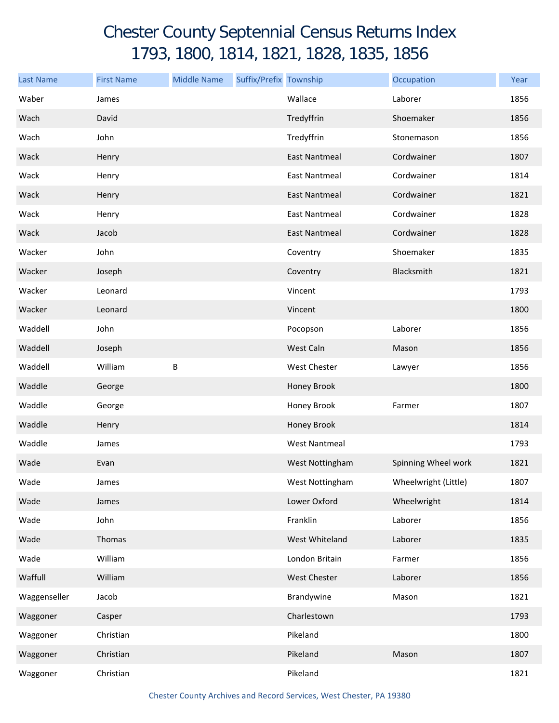## Chester County Septennial Census Returns Index 1793, 1800, 1814, 1821, 1828, 1835, 1856

| <b>Last Name</b> | <b>First Name</b> | <b>Middle Name</b> | Suffix/Prefix Township |                      | Occupation           | Year |
|------------------|-------------------|--------------------|------------------------|----------------------|----------------------|------|
| Waber            | James             |                    |                        | Wallace              | Laborer              | 1856 |
| Wach             | David             |                    |                        | Tredyffrin           | Shoemaker            | 1856 |
| Wach             | John              |                    |                        | Tredyffrin           | Stonemason           | 1856 |
| Wack             | Henry             |                    |                        | <b>East Nantmeal</b> | Cordwainer           | 1807 |
| Wack             | Henry             |                    |                        | <b>East Nantmeal</b> | Cordwainer           | 1814 |
| Wack             | Henry             |                    |                        | <b>East Nantmeal</b> | Cordwainer           | 1821 |
| Wack             | Henry             |                    |                        | <b>East Nantmeal</b> | Cordwainer           | 1828 |
| Wack             | Jacob             |                    |                        | <b>East Nantmeal</b> | Cordwainer           | 1828 |
| Wacker           | John              |                    |                        | Coventry             | Shoemaker            | 1835 |
| Wacker           | Joseph            |                    |                        | Coventry             | Blacksmith           | 1821 |
| Wacker           | Leonard           |                    |                        | Vincent              |                      | 1793 |
| Wacker           | Leonard           |                    |                        | Vincent              |                      | 1800 |
| Waddell          | John              |                    |                        | Pocopson             | Laborer              | 1856 |
| Waddell          | Joseph            |                    |                        | West Caln            | Mason                | 1856 |
| Waddell          | William           | B                  |                        | <b>West Chester</b>  | Lawyer               | 1856 |
| Waddle           | George            |                    |                        | Honey Brook          |                      | 1800 |
| Waddle           | George            |                    |                        | Honey Brook          | Farmer               | 1807 |
| Waddle           | Henry             |                    |                        | Honey Brook          |                      | 1814 |
| Waddle           | James             |                    |                        | <b>West Nantmeal</b> |                      | 1793 |
| Wade             | Evan              |                    |                        | West Nottingham      | Spinning Wheel work  | 1821 |
| Wade             | James             |                    |                        | West Nottingham      | Wheelwright (Little) | 1807 |
| Wade             | James             |                    |                        | Lower Oxford         | Wheelwright          | 1814 |
| Wade             | John              |                    |                        | Franklin             | Laborer              | 1856 |
| Wade             | Thomas            |                    |                        | West Whiteland       | Laborer              | 1835 |
| Wade             | William           |                    |                        | London Britain       | Farmer               | 1856 |
| Waffull          | William           |                    |                        | West Chester         | Laborer              | 1856 |
| Waggenseller     | Jacob             |                    |                        | Brandywine           | Mason                | 1821 |
| Waggoner         | Casper            |                    |                        | Charlestown          |                      | 1793 |
| Waggoner         | Christian         |                    |                        | Pikeland             |                      | 1800 |
| Waggoner         | Christian         |                    |                        | Pikeland             | Mason                | 1807 |
| Waggoner         | Christian         |                    |                        | Pikeland             |                      | 1821 |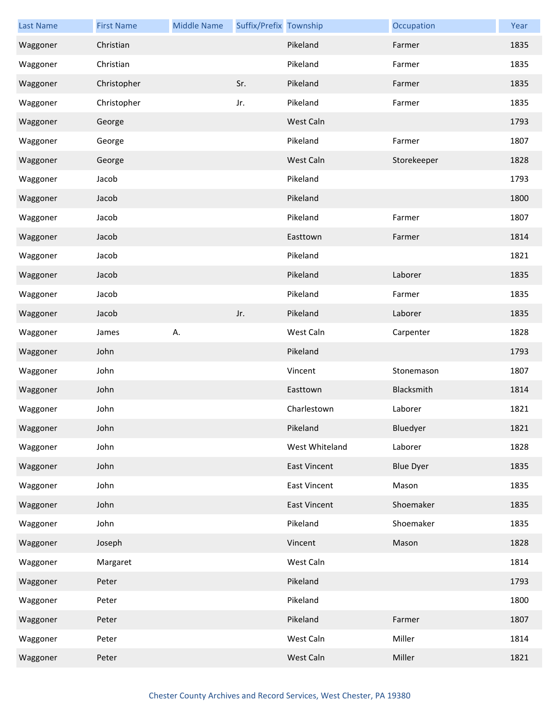| <b>Last Name</b> | <b>First Name</b> | <b>Middle Name</b> | Suffix/Prefix Township |                     | Occupation       | Year |
|------------------|-------------------|--------------------|------------------------|---------------------|------------------|------|
| Waggoner         | Christian         |                    |                        | Pikeland            | Farmer           | 1835 |
| Waggoner         | Christian         |                    |                        | Pikeland            | Farmer           | 1835 |
| Waggoner         | Christopher       |                    | Sr.                    | Pikeland            | Farmer           | 1835 |
| Waggoner         | Christopher       |                    | Jr.                    | Pikeland            | Farmer           | 1835 |
| Waggoner         | George            |                    |                        | West Caln           |                  | 1793 |
| Waggoner         | George            |                    |                        | Pikeland            | Farmer           | 1807 |
| Waggoner         | George            |                    |                        | West Caln           | Storekeeper      | 1828 |
| Waggoner         | Jacob             |                    |                        | Pikeland            |                  | 1793 |
| Waggoner         | Jacob             |                    |                        | Pikeland            |                  | 1800 |
| Waggoner         | Jacob             |                    |                        | Pikeland            | Farmer           | 1807 |
| Waggoner         | Jacob             |                    |                        | Easttown            | Farmer           | 1814 |
| Waggoner         | Jacob             |                    |                        | Pikeland            |                  | 1821 |
| Waggoner         | Jacob             |                    |                        | Pikeland            | Laborer          | 1835 |
| Waggoner         | Jacob             |                    |                        | Pikeland            | Farmer           | 1835 |
| Waggoner         | Jacob             |                    | Jr.                    | Pikeland            | Laborer          | 1835 |
| Waggoner         | James             | Α.                 |                        | West Caln           | Carpenter        | 1828 |
| Waggoner         | John              |                    |                        | Pikeland            |                  | 1793 |
| Waggoner         | John              |                    |                        | Vincent             | Stonemason       | 1807 |
| Waggoner         | John              |                    |                        | Easttown            | Blacksmith       | 1814 |
| Waggoner         | John              |                    |                        | Charlestown         | Laborer          | 1821 |
| Waggoner         | John              |                    |                        | Pikeland            | Bluedyer         | 1821 |
| Waggoner         | John              |                    |                        | West Whiteland      | Laborer          | 1828 |
| Waggoner         | John              |                    |                        | <b>East Vincent</b> | <b>Blue Dyer</b> | 1835 |
| Waggoner         | John              |                    |                        | <b>East Vincent</b> | Mason            | 1835 |
| Waggoner         | John              |                    |                        | <b>East Vincent</b> | Shoemaker        | 1835 |
| Waggoner         | John              |                    |                        | Pikeland            | Shoemaker        | 1835 |
| Waggoner         | Joseph            |                    |                        | Vincent             | Mason            | 1828 |
| Waggoner         | Margaret          |                    |                        | West Caln           |                  | 1814 |
| Waggoner         | Peter             |                    |                        | Pikeland            |                  | 1793 |
| Waggoner         | Peter             |                    |                        | Pikeland            |                  | 1800 |
| Waggoner         | Peter             |                    |                        | Pikeland            | Farmer           | 1807 |
| Waggoner         | Peter             |                    |                        | West Caln           | Miller           | 1814 |
| Waggoner         | Peter             |                    |                        | West Caln           | Miller           | 1821 |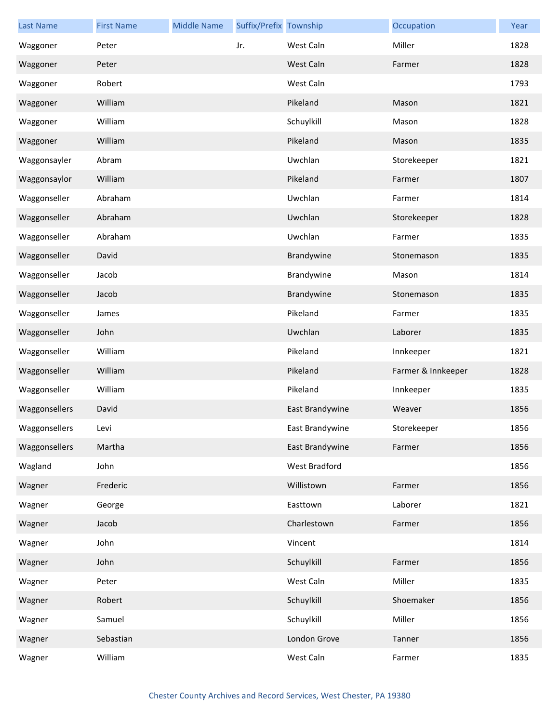| <b>Last Name</b> | <b>First Name</b> | <b>Middle Name</b> | Suffix/Prefix Township |                 | Occupation         | Year |
|------------------|-------------------|--------------------|------------------------|-----------------|--------------------|------|
| Waggoner         | Peter             |                    | Jr.                    | West Caln       | Miller             | 1828 |
| Waggoner         | Peter             |                    |                        | West Caln       | Farmer             | 1828 |
| Waggoner         | Robert            |                    |                        | West Caln       |                    | 1793 |
| Waggoner         | William           |                    |                        | Pikeland        | Mason              | 1821 |
| Waggoner         | William           |                    |                        | Schuylkill      | Mason              | 1828 |
| Waggoner         | William           |                    |                        | Pikeland        | Mason              | 1835 |
| Waggonsayler     | Abram             |                    |                        | Uwchlan         | Storekeeper        | 1821 |
| Waggonsaylor     | William           |                    |                        | Pikeland        | Farmer             | 1807 |
| Waggonseller     | Abraham           |                    |                        | Uwchlan         | Farmer             | 1814 |
| Waggonseller     | Abraham           |                    |                        | Uwchlan         | Storekeeper        | 1828 |
| Waggonseller     | Abraham           |                    |                        | Uwchlan         | Farmer             | 1835 |
| Waggonseller     | David             |                    |                        | Brandywine      | Stonemason         | 1835 |
| Waggonseller     | Jacob             |                    |                        | Brandywine      | Mason              | 1814 |
| Waggonseller     | Jacob             |                    |                        | Brandywine      | Stonemason         | 1835 |
| Waggonseller     | James             |                    |                        | Pikeland        | Farmer             | 1835 |
| Waggonseller     | John              |                    |                        | Uwchlan         | Laborer            | 1835 |
| Waggonseller     | William           |                    |                        | Pikeland        | Innkeeper          | 1821 |
| Waggonseller     | William           |                    |                        | Pikeland        | Farmer & Innkeeper | 1828 |
| Waggonseller     | William           |                    |                        | Pikeland        | Innkeeper          | 1835 |
| Waggonsellers    | David             |                    |                        | East Brandywine | Weaver             | 1856 |
| Waggonsellers    | Levi              |                    |                        | East Brandywine | Storekeeper        | 1856 |
| Waggonsellers    | Martha            |                    |                        | East Brandywine | Farmer             | 1856 |
| Wagland          | John              |                    |                        | West Bradford   |                    | 1856 |
| Wagner           | Frederic          |                    |                        | Willistown      | Farmer             | 1856 |
| Wagner           | George            |                    |                        | Easttown        | Laborer            | 1821 |
| Wagner           | Jacob             |                    |                        | Charlestown     | Farmer             | 1856 |
| Wagner           | John              |                    |                        | Vincent         |                    | 1814 |
| Wagner           | John              |                    |                        | Schuylkill      | Farmer             | 1856 |
| Wagner           | Peter             |                    |                        | West Caln       | Miller             | 1835 |
| Wagner           | Robert            |                    |                        | Schuylkill      | Shoemaker          | 1856 |
| Wagner           | Samuel            |                    |                        | Schuylkill      | Miller             | 1856 |
| Wagner           | Sebastian         |                    |                        | London Grove    | Tanner             | 1856 |
| Wagner           | William           |                    |                        | West Caln       | Farmer             | 1835 |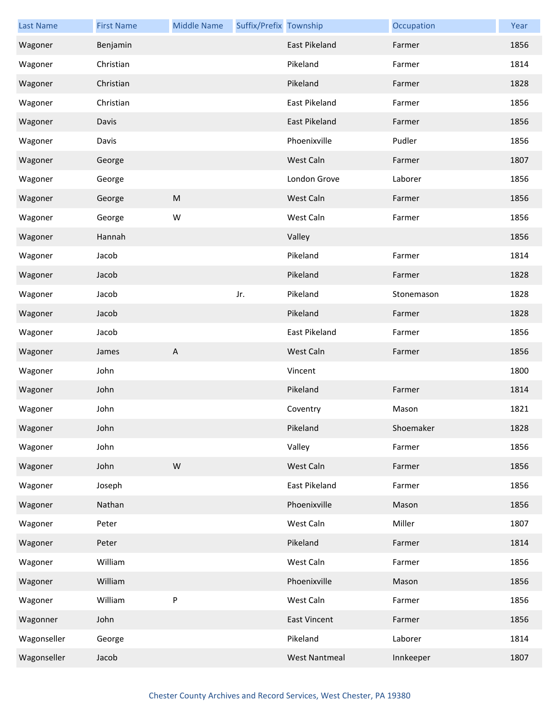| <b>Last Name</b> | <b>First Name</b> | <b>Middle Name</b> | Suffix/Prefix Township |                      | Occupation | Year |
|------------------|-------------------|--------------------|------------------------|----------------------|------------|------|
| Wagoner          | Benjamin          |                    |                        | East Pikeland        | Farmer     | 1856 |
| Wagoner          | Christian         |                    |                        | Pikeland             | Farmer     | 1814 |
| Wagoner          | Christian         |                    |                        | Pikeland             | Farmer     | 1828 |
| Wagoner          | Christian         |                    |                        | East Pikeland        | Farmer     | 1856 |
| Wagoner          | Davis             |                    |                        | East Pikeland        | Farmer     | 1856 |
| Wagoner          | Davis             |                    |                        | Phoenixville         | Pudler     | 1856 |
| Wagoner          | George            |                    |                        | West Caln            | Farmer     | 1807 |
| Wagoner          | George            |                    |                        | London Grove         | Laborer    | 1856 |
| Wagoner          | George            | M                  |                        | West Caln            | Farmer     | 1856 |
| Wagoner          | George            | W                  |                        | West Caln            | Farmer     | 1856 |
| Wagoner          | Hannah            |                    |                        | Valley               |            | 1856 |
| Wagoner          | Jacob             |                    |                        | Pikeland             | Farmer     | 1814 |
| Wagoner          | Jacob             |                    |                        | Pikeland             | Farmer     | 1828 |
| Wagoner          | Jacob             |                    | Jr.                    | Pikeland             | Stonemason | 1828 |
| Wagoner          | Jacob             |                    |                        | Pikeland             | Farmer     | 1828 |
| Wagoner          | Jacob             |                    |                        | East Pikeland        | Farmer     | 1856 |
| Wagoner          | James             | $\overline{A}$     |                        | West Caln            | Farmer     | 1856 |
| Wagoner          | John              |                    |                        | Vincent              |            | 1800 |
| Wagoner          | John              |                    |                        | Pikeland             | Farmer     | 1814 |
| Wagoner          | John              |                    |                        | Coventry             | Mason      | 1821 |
| Wagoner          | John              |                    |                        | Pikeland             | Shoemaker  | 1828 |
| Wagoner          | John              |                    |                        | Valley               | Farmer     | 1856 |
| Wagoner          | John              | W                  |                        | West Caln            | Farmer     | 1856 |
| Wagoner          | Joseph            |                    |                        | East Pikeland        | Farmer     | 1856 |
| Wagoner          | Nathan            |                    |                        | Phoenixville         | Mason      | 1856 |
| Wagoner          | Peter             |                    |                        | West Caln            | Miller     | 1807 |
| Wagoner          | Peter             |                    |                        | Pikeland             | Farmer     | 1814 |
| Wagoner          | William           |                    |                        | West Caln            | Farmer     | 1856 |
| Wagoner          | William           |                    |                        | Phoenixville         | Mason      | 1856 |
| Wagoner          | William           | P                  |                        | West Caln            | Farmer     | 1856 |
| Wagonner         | John              |                    |                        | <b>East Vincent</b>  | Farmer     | 1856 |
| Wagonseller      | George            |                    |                        | Pikeland             | Laborer    | 1814 |
| Wagonseller      | Jacob             |                    |                        | <b>West Nantmeal</b> | Innkeeper  | 1807 |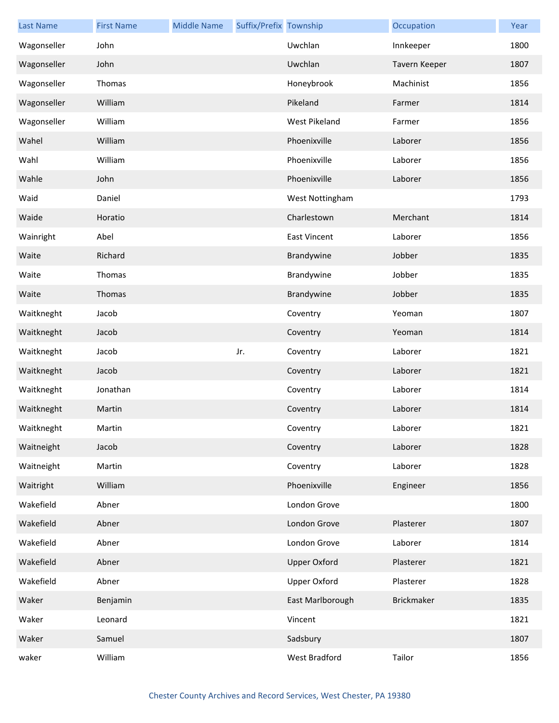| <b>Last Name</b> | <b>First Name</b> | <b>Middle Name</b> | Suffix/Prefix Township |                     | Occupation        | Year |
|------------------|-------------------|--------------------|------------------------|---------------------|-------------------|------|
| Wagonseller      | John              |                    |                        | Uwchlan             | Innkeeper         | 1800 |
| Wagonseller      | John              |                    |                        | Uwchlan             | Tavern Keeper     | 1807 |
| Wagonseller      | Thomas            |                    |                        | Honeybrook          | Machinist         | 1856 |
| Wagonseller      | William           |                    |                        | Pikeland            | Farmer            | 1814 |
| Wagonseller      | William           |                    |                        | West Pikeland       | Farmer            | 1856 |
| Wahel            | William           |                    |                        | Phoenixville        | Laborer           | 1856 |
| Wahl             | William           |                    |                        | Phoenixville        | Laborer           | 1856 |
| Wahle            | John              |                    |                        | Phoenixville        | Laborer           | 1856 |
| Waid             | Daniel            |                    |                        | West Nottingham     |                   | 1793 |
| Waide            | Horatio           |                    |                        | Charlestown         | Merchant          | 1814 |
| Wainright        | Abel              |                    |                        | <b>East Vincent</b> | Laborer           | 1856 |
| Waite            | Richard           |                    |                        | Brandywine          | Jobber            | 1835 |
| Waite            | Thomas            |                    |                        | Brandywine          | Jobber            | 1835 |
| Waite            | Thomas            |                    |                        | Brandywine          | Jobber            | 1835 |
| Waitkneght       | Jacob             |                    |                        | Coventry            | Yeoman            | 1807 |
| Waitkneght       | Jacob             |                    |                        | Coventry            | Yeoman            | 1814 |
| Waitkneght       | Jacob             |                    | Jr.                    | Coventry            | Laborer           | 1821 |
| Waitkneght       | Jacob             |                    |                        | Coventry            | Laborer           | 1821 |
| Waitkneght       | Jonathan          |                    |                        | Coventry            | Laborer           | 1814 |
| Waitkneght       | Martin            |                    |                        | Coventry            | Laborer           | 1814 |
| Waitkneght       | Martin            |                    |                        | Coventry            | Laborer           | 1821 |
| Waitneight       | Jacob             |                    |                        | Coventry            | Laborer           | 1828 |
| Waitneight       | Martin            |                    |                        | Coventry            | Laborer           | 1828 |
| Waitright        | William           |                    |                        | Phoenixville        | Engineer          | 1856 |
| Wakefield        | Abner             |                    |                        | London Grove        |                   | 1800 |
| Wakefield        | Abner             |                    |                        | London Grove        | Plasterer         | 1807 |
| Wakefield        | Abner             |                    |                        | London Grove        | Laborer           | 1814 |
| Wakefield        | Abner             |                    |                        | <b>Upper Oxford</b> | Plasterer         | 1821 |
| Wakefield        | Abner             |                    |                        | <b>Upper Oxford</b> | Plasterer         | 1828 |
| Waker            | Benjamin          |                    |                        | East Marlborough    | <b>Brickmaker</b> | 1835 |
| Waker            | Leonard           |                    |                        | Vincent             |                   | 1821 |
| Waker            | Samuel            |                    |                        | Sadsbury            |                   | 1807 |
| waker            | William           |                    |                        | West Bradford       | Tailor            | 1856 |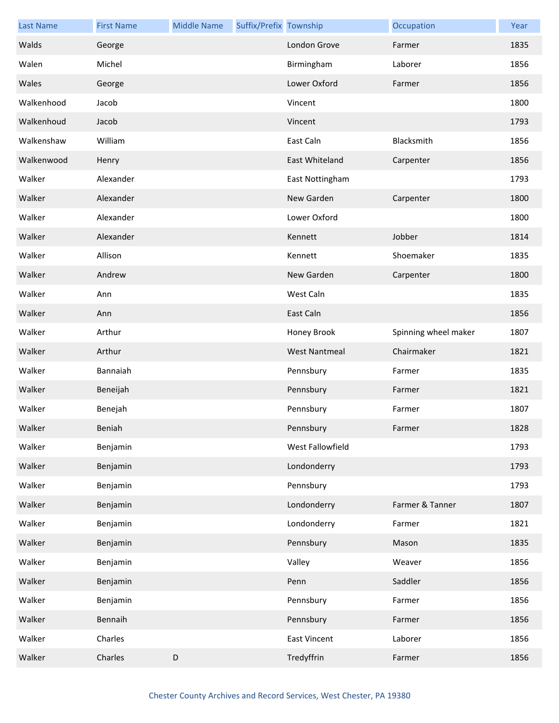| <b>Last Name</b> | <b>First Name</b> | <b>Middle Name</b> | Suffix/Prefix Township |                      | Occupation           | Year |
|------------------|-------------------|--------------------|------------------------|----------------------|----------------------|------|
| Walds            | George            |                    |                        | London Grove         | Farmer               | 1835 |
| Walen            | Michel            |                    |                        | Birmingham           | Laborer              | 1856 |
| Wales            | George            |                    |                        | Lower Oxford         | Farmer               | 1856 |
| Walkenhood       | Jacob             |                    |                        | Vincent              |                      | 1800 |
| Walkenhoud       | Jacob             |                    |                        | Vincent              |                      | 1793 |
| Walkenshaw       | William           |                    |                        | East Caln            | Blacksmith           | 1856 |
| Walkenwood       | Henry             |                    |                        | East Whiteland       | Carpenter            | 1856 |
| Walker           | Alexander         |                    |                        | East Nottingham      |                      | 1793 |
| Walker           | Alexander         |                    |                        | New Garden           | Carpenter            | 1800 |
| Walker           | Alexander         |                    |                        | Lower Oxford         |                      | 1800 |
| Walker           | Alexander         |                    |                        | Kennett              | Jobber               | 1814 |
| Walker           | Allison           |                    |                        | Kennett              | Shoemaker            | 1835 |
| Walker           | Andrew            |                    |                        | New Garden           | Carpenter            | 1800 |
| Walker           | Ann               |                    |                        | West Caln            |                      | 1835 |
| Walker           | Ann               |                    |                        | East Caln            |                      | 1856 |
| Walker           | Arthur            |                    |                        | Honey Brook          | Spinning wheel maker | 1807 |
| Walker           | Arthur            |                    |                        | <b>West Nantmeal</b> | Chairmaker           | 1821 |
| Walker           | Bannaiah          |                    |                        | Pennsbury            | Farmer               | 1835 |
| Walker           | Beneijah          |                    |                        | Pennsbury            | Farmer               | 1821 |
| Walker           | Benejah           |                    |                        | Pennsbury            | Farmer               | 1807 |
| Walker           | Beniah            |                    |                        | Pennsbury            | Farmer               | 1828 |
| Walker           | Benjamin          |                    |                        | West Fallowfield     |                      | 1793 |
| Walker           | Benjamin          |                    |                        | Londonderry          |                      | 1793 |
| Walker           | Benjamin          |                    |                        | Pennsbury            |                      | 1793 |
| Walker           | Benjamin          |                    |                        | Londonderry          | Farmer & Tanner      | 1807 |
| Walker           | Benjamin          |                    |                        | Londonderry          | Farmer               | 1821 |
| Walker           | Benjamin          |                    |                        | Pennsbury            | Mason                | 1835 |
| Walker           | Benjamin          |                    |                        | Valley               | Weaver               | 1856 |
| Walker           | Benjamin          |                    |                        | Penn                 | Saddler              | 1856 |
| Walker           | Benjamin          |                    |                        | Pennsbury            | Farmer               | 1856 |
| Walker           | Bennaih           |                    |                        | Pennsbury            | Farmer               | 1856 |
| Walker           | Charles           |                    |                        | <b>East Vincent</b>  | Laborer              | 1856 |
| Walker           | Charles           | $\mathsf D$        |                        | Tredyffrin           | Farmer               | 1856 |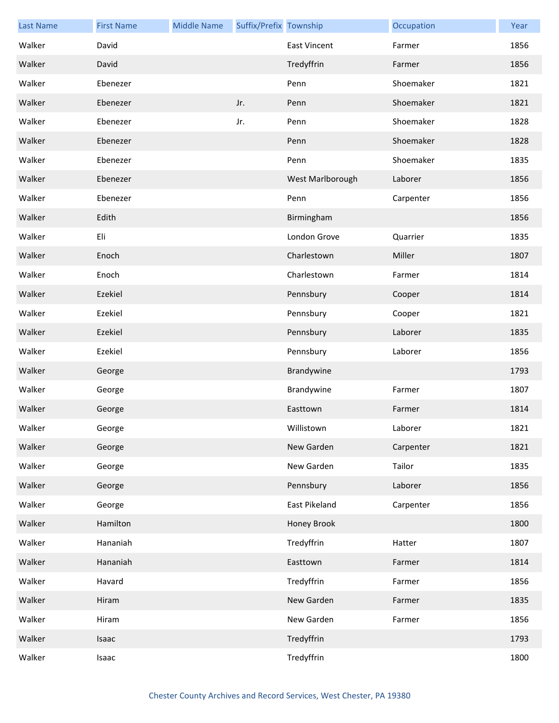| <b>Last Name</b> | <b>First Name</b> | <b>Middle Name</b> | Suffix/Prefix Township |                     | Occupation | Year |
|------------------|-------------------|--------------------|------------------------|---------------------|------------|------|
| Walker           | David             |                    |                        | <b>East Vincent</b> | Farmer     | 1856 |
| Walker           | David             |                    |                        | Tredyffrin          | Farmer     | 1856 |
| Walker           | Ebenezer          |                    |                        | Penn                | Shoemaker  | 1821 |
| Walker           | Ebenezer          |                    | Jr.                    | Penn                | Shoemaker  | 1821 |
| Walker           | Ebenezer          |                    | Jr.                    | Penn                | Shoemaker  | 1828 |
| Walker           | Ebenezer          |                    |                        | Penn                | Shoemaker  | 1828 |
| Walker           | Ebenezer          |                    |                        | Penn                | Shoemaker  | 1835 |
| Walker           | Ebenezer          |                    |                        | West Marlborough    | Laborer    | 1856 |
| Walker           | Ebenezer          |                    |                        | Penn                | Carpenter  | 1856 |
| Walker           | Edith             |                    |                        | Birmingham          |            | 1856 |
| Walker           | Eli               |                    |                        | London Grove        | Quarrier   | 1835 |
| Walker           | Enoch             |                    |                        | Charlestown         | Miller     | 1807 |
| Walker           | Enoch             |                    |                        | Charlestown         | Farmer     | 1814 |
| Walker           | Ezekiel           |                    |                        | Pennsbury           | Cooper     | 1814 |
| Walker           | Ezekiel           |                    |                        | Pennsbury           | Cooper     | 1821 |
| Walker           | Ezekiel           |                    |                        | Pennsbury           | Laborer    | 1835 |
| Walker           | Ezekiel           |                    |                        | Pennsbury           | Laborer    | 1856 |
| Walker           | George            |                    |                        | Brandywine          |            | 1793 |
| Walker           | George            |                    |                        | Brandywine          | Farmer     | 1807 |
| Walker           | George            |                    |                        | Easttown            | Farmer     | 1814 |
| Walker           | George            |                    |                        | Willistown          | Laborer    | 1821 |
| Walker           | George            |                    |                        | New Garden          | Carpenter  | 1821 |
| Walker           | George            |                    |                        | New Garden          | Tailor     | 1835 |
| Walker           | George            |                    |                        | Pennsbury           | Laborer    | 1856 |
| Walker           | George            |                    |                        | East Pikeland       | Carpenter  | 1856 |
| Walker           | Hamilton          |                    |                        | Honey Brook         |            | 1800 |
| Walker           | Hananiah          |                    |                        | Tredyffrin          | Hatter     | 1807 |
| Walker           | Hananiah          |                    |                        | Easttown            | Farmer     | 1814 |
| Walker           | Havard            |                    |                        | Tredyffrin          | Farmer     | 1856 |
| Walker           | Hiram             |                    |                        | New Garden          | Farmer     | 1835 |
| Walker           | Hiram             |                    |                        | New Garden          | Farmer     | 1856 |
| Walker           | Isaac             |                    |                        | Tredyffrin          |            | 1793 |
| Walker           | Isaac             |                    |                        | Tredyffrin          |            | 1800 |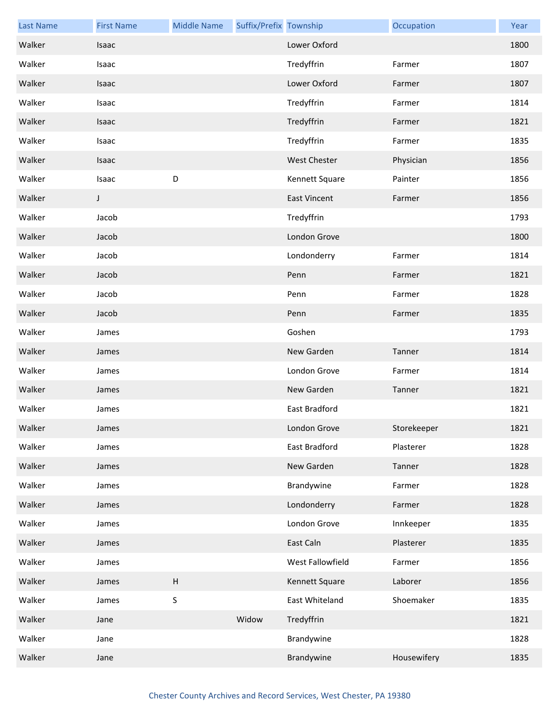| <b>Last Name</b> | <b>First Name</b> | <b>Middle Name</b>        | Suffix/Prefix Township |                     | Occupation  | Year |
|------------------|-------------------|---------------------------|------------------------|---------------------|-------------|------|
| Walker           | Isaac             |                           |                        | Lower Oxford        |             | 1800 |
| Walker           | Isaac             |                           |                        | Tredyffrin          | Farmer      | 1807 |
| Walker           | Isaac             |                           |                        | Lower Oxford        | Farmer      | 1807 |
| Walker           | Isaac             |                           |                        | Tredyffrin          | Farmer      | 1814 |
| Walker           | Isaac             |                           |                        | Tredyffrin          | Farmer      | 1821 |
| Walker           | Isaac             |                           |                        | Tredyffrin          | Farmer      | 1835 |
| Walker           | Isaac             |                           |                        | <b>West Chester</b> | Physician   | 1856 |
| Walker           | Isaac             | D                         |                        | Kennett Square      | Painter     | 1856 |
| Walker           | J                 |                           |                        | <b>East Vincent</b> | Farmer      | 1856 |
| Walker           | Jacob             |                           |                        | Tredyffrin          |             | 1793 |
| Walker           | Jacob             |                           |                        | London Grove        |             | 1800 |
| Walker           | Jacob             |                           |                        | Londonderry         | Farmer      | 1814 |
| Walker           | Jacob             |                           |                        | Penn                | Farmer      | 1821 |
| Walker           | Jacob             |                           |                        | Penn                | Farmer      | 1828 |
| Walker           | Jacob             |                           |                        | Penn                | Farmer      | 1835 |
| Walker           | James             |                           |                        | Goshen              |             | 1793 |
| Walker           | James             |                           |                        | New Garden          | Tanner      | 1814 |
| Walker           | James             |                           |                        | London Grove        | Farmer      | 1814 |
| Walker           | James             |                           |                        | New Garden          | Tanner      | 1821 |
| Walker           | James             |                           |                        | East Bradford       |             | 1821 |
| Walker           | James             |                           |                        | London Grove        | Storekeeper | 1821 |
| Walker           | James             |                           |                        | East Bradford       | Plasterer   | 1828 |
| Walker           | James             |                           |                        | New Garden          | Tanner      | 1828 |
| Walker           | James             |                           |                        | Brandywine          | Farmer      | 1828 |
| Walker           | James             |                           |                        | Londonderry         | Farmer      | 1828 |
| Walker           | James             |                           |                        | London Grove        | Innkeeper   | 1835 |
| Walker           | James             |                           |                        | East Caln           | Plasterer   | 1835 |
| Walker           | James             |                           |                        | West Fallowfield    | Farmer      | 1856 |
| Walker           | James             | $\boldsymbol{\mathsf{H}}$ |                        | Kennett Square      | Laborer     | 1856 |
| Walker           | James             | $\sf S$                   |                        | East Whiteland      | Shoemaker   | 1835 |
| Walker           | Jane              |                           | Widow                  | Tredyffrin          |             | 1821 |
| Walker           | Jane              |                           |                        | Brandywine          |             | 1828 |
| Walker           | Jane              |                           |                        | Brandywine          | Housewifery | 1835 |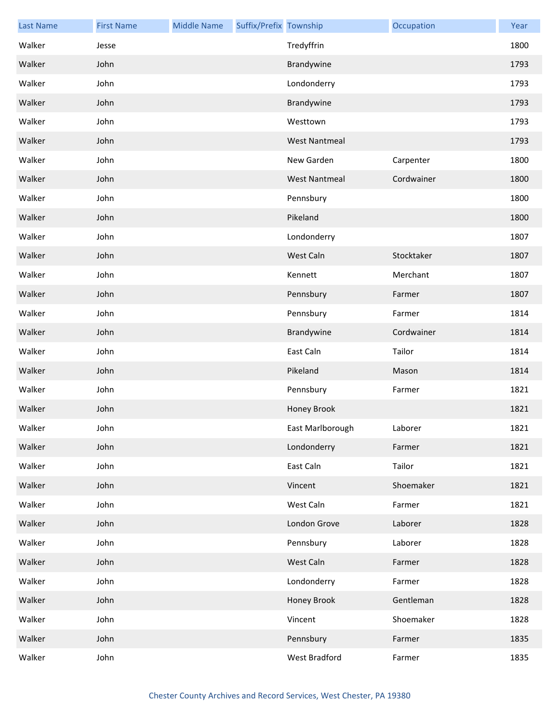| <b>Last Name</b> | <b>First Name</b> | <b>Middle Name</b> | Suffix/Prefix Township |                      | Occupation | Year |
|------------------|-------------------|--------------------|------------------------|----------------------|------------|------|
| Walker           | Jesse             |                    |                        | Tredyffrin           |            | 1800 |
| Walker           | John              |                    |                        | Brandywine           |            | 1793 |
| Walker           | John              |                    |                        | Londonderry          |            | 1793 |
| Walker           | John              |                    |                        | Brandywine           |            | 1793 |
| Walker           | John              |                    |                        | Westtown             |            | 1793 |
| Walker           | John              |                    |                        | <b>West Nantmeal</b> |            | 1793 |
| Walker           | John              |                    |                        | New Garden           | Carpenter  | 1800 |
| Walker           | John              |                    |                        | <b>West Nantmeal</b> | Cordwainer | 1800 |
| Walker           | John              |                    |                        | Pennsbury            |            | 1800 |
| Walker           | John              |                    |                        | Pikeland             |            | 1800 |
| Walker           | John              |                    |                        | Londonderry          |            | 1807 |
| Walker           | John              |                    |                        | West Caln            | Stocktaker | 1807 |
| Walker           | John              |                    |                        | Kennett              | Merchant   | 1807 |
| Walker           | John              |                    |                        | Pennsbury            | Farmer     | 1807 |
| Walker           | John              |                    |                        | Pennsbury            | Farmer     | 1814 |
| Walker           | John              |                    |                        | Brandywine           | Cordwainer | 1814 |
| Walker           | John              |                    |                        | East Caln            | Tailor     | 1814 |
| Walker           | John              |                    |                        | Pikeland             | Mason      | 1814 |
| Walker           | John              |                    |                        | Pennsbury            | Farmer     | 1821 |
| Walker           | John              |                    |                        | Honey Brook          |            | 1821 |
| Walker           | John              |                    |                        | East Marlborough     | Laborer    | 1821 |
| Walker           | John              |                    |                        | Londonderry          | Farmer     | 1821 |
| Walker           | John              |                    |                        | East Caln            | Tailor     | 1821 |
| Walker           | John              |                    |                        | Vincent              | Shoemaker  | 1821 |
| Walker           | John              |                    |                        | West Caln            | Farmer     | 1821 |
| Walker           | John              |                    |                        | London Grove         | Laborer    | 1828 |
| Walker           | John              |                    |                        | Pennsbury            | Laborer    | 1828 |
| Walker           | John              |                    |                        | West Caln            | Farmer     | 1828 |
| Walker           | John              |                    |                        | Londonderry          | Farmer     | 1828 |
| Walker           | John              |                    |                        | Honey Brook          | Gentleman  | 1828 |
| Walker           | John              |                    |                        | Vincent              | Shoemaker  | 1828 |
| Walker           | John              |                    |                        | Pennsbury            | Farmer     | 1835 |
| Walker           | John              |                    |                        | West Bradford        | Farmer     | 1835 |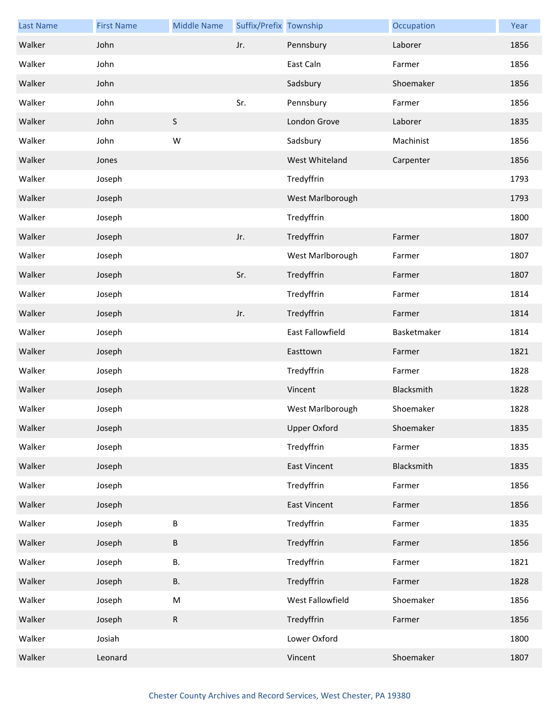| <b>Last Name</b> | <b>First Name</b> | <b>Middle Name</b> | Suffix/Prefix Township |                     | Occupation  | Year |
|------------------|-------------------|--------------------|------------------------|---------------------|-------------|------|
| Walker           | John              |                    | Jr.                    | Pennsbury           | Laborer     | 1856 |
| Walker           | John              |                    |                        | East Caln           | Farmer      | 1856 |
| Walker           | John              |                    |                        | Sadsbury            | Shoemaker   | 1856 |
| Walker           | John              |                    | Sr.                    | Pennsbury           | Farmer      | 1856 |
| Walker           | John              | $\mathsf S$        |                        | London Grove        | Laborer     | 1835 |
| Walker           | John              | W                  |                        | Sadsbury            | Machinist   | 1856 |
| Walker           | Jones             |                    |                        | West Whiteland      | Carpenter   | 1856 |
| Walker           | Joseph            |                    |                        | Tredyffrin          |             | 1793 |
| Walker           | Joseph            |                    |                        | West Marlborough    |             | 1793 |
| Walker           | Joseph            |                    |                        | Tredyffrin          |             | 1800 |
| Walker           | Joseph            |                    | Jr.                    | Tredyffrin          | Farmer      | 1807 |
| Walker           | Joseph            |                    |                        | West Marlborough    | Farmer      | 1807 |
| Walker           | Joseph            |                    | Sr.                    | Tredyffrin          | Farmer      | 1807 |
| Walker           | Joseph            |                    |                        | Tredyffrin          | Farmer      | 1814 |
| Walker           | Joseph            |                    | Jr.                    | Tredyffrin          | Farmer      | 1814 |
| Walker           | Joseph            |                    |                        | East Fallowfield    | Basketmaker | 1814 |
| Walker           | Joseph            |                    |                        | Easttown            | Farmer      | 1821 |
| Walker           | Joseph            |                    |                        | Tredyffrin          | Farmer      | 1828 |
| Walker           | Joseph            |                    |                        | Vincent             | Blacksmith  | 1828 |
| Walker           | Joseph            |                    |                        | West Marlborough    | Shoemaker   | 1828 |
| Walker           | Joseph            |                    |                        | <b>Upper Oxford</b> | Shoemaker   | 1835 |
| Walker           | Joseph            |                    |                        | Tredyffrin          | Farmer      | 1835 |
| Walker           | Joseph            |                    |                        | <b>East Vincent</b> | Blacksmith  | 1835 |
| Walker           | Joseph            |                    |                        | Tredyffrin          | Farmer      | 1856 |
| Walker           | Joseph            |                    |                        | <b>East Vincent</b> | Farmer      | 1856 |
| Walker           | Joseph            | $\sf B$            |                        | Tredyffrin          | Farmer      | 1835 |
| Walker           | Joseph            | $\sf B$            |                        | Tredyffrin          | Farmer      | 1856 |
| Walker           | Joseph            | В.                 |                        | Tredyffrin          | Farmer      | 1821 |
| Walker           | Joseph            | В.                 |                        | Tredyffrin          | Farmer      | 1828 |
| Walker           | Joseph            | ${\sf M}$          |                        | West Fallowfield    | Shoemaker   | 1856 |
| Walker           | Joseph            | ${\sf R}$          |                        | Tredyffrin          | Farmer      | 1856 |
| Walker           | Josiah            |                    |                        | Lower Oxford        |             | 1800 |
| Walker           | Leonard           |                    |                        | Vincent             | Shoemaker   | 1807 |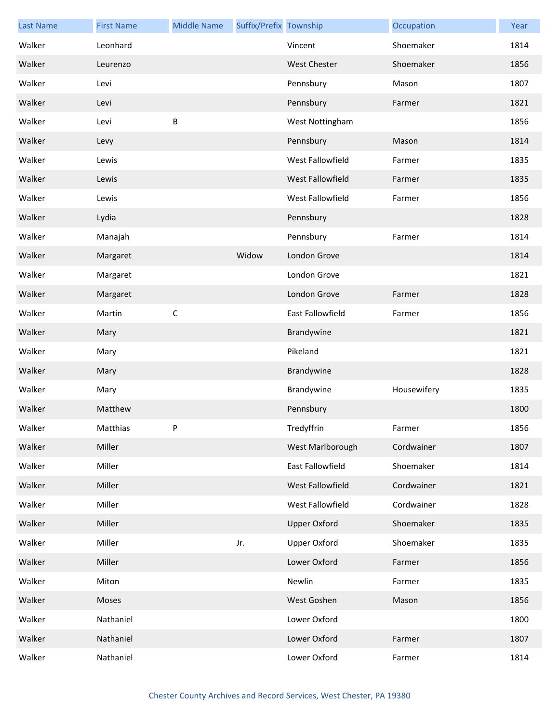| <b>Last Name</b> | <b>First Name</b> | <b>Middle Name</b> | Suffix/Prefix Township |                     | Occupation  | Year |
|------------------|-------------------|--------------------|------------------------|---------------------|-------------|------|
| Walker           | Leonhard          |                    |                        | Vincent             | Shoemaker   | 1814 |
| Walker           | Leurenzo          |                    |                        | <b>West Chester</b> | Shoemaker   | 1856 |
| Walker           | Levi              |                    |                        | Pennsbury           | Mason       | 1807 |
| Walker           | Levi              |                    |                        | Pennsbury           | Farmer      | 1821 |
| Walker           | Levi              | B                  |                        | West Nottingham     |             | 1856 |
| Walker           | Levy              |                    |                        | Pennsbury           | Mason       | 1814 |
| Walker           | Lewis             |                    |                        | West Fallowfield    | Farmer      | 1835 |
| Walker           | Lewis             |                    |                        | West Fallowfield    | Farmer      | 1835 |
| Walker           | Lewis             |                    |                        | West Fallowfield    | Farmer      | 1856 |
| Walker           | Lydia             |                    |                        | Pennsbury           |             | 1828 |
| Walker           | Manajah           |                    |                        | Pennsbury           | Farmer      | 1814 |
| Walker           | Margaret          |                    | Widow                  | London Grove        |             | 1814 |
| Walker           | Margaret          |                    |                        | London Grove        |             | 1821 |
| Walker           | Margaret          |                    |                        | London Grove        | Farmer      | 1828 |
| Walker           | Martin            | $\mathsf C$        |                        | East Fallowfield    | Farmer      | 1856 |
| Walker           | Mary              |                    |                        | Brandywine          |             | 1821 |
| Walker           | Mary              |                    |                        | Pikeland            |             | 1821 |
| Walker           | Mary              |                    |                        | Brandywine          |             | 1828 |
| Walker           | Mary              |                    |                        | Brandywine          | Housewifery | 1835 |
| Walker           | Matthew           |                    |                        | Pennsbury           |             | 1800 |
| Walker           | Matthias          | Ρ                  |                        | Tredyffrin          | Farmer      | 1856 |
| Walker           | Miller            |                    |                        | West Marlborough    | Cordwainer  | 1807 |
| Walker           | Miller            |                    |                        | East Fallowfield    | Shoemaker   | 1814 |
| Walker           | Miller            |                    |                        | West Fallowfield    | Cordwainer  | 1821 |
| Walker           | Miller            |                    |                        | West Fallowfield    | Cordwainer  | 1828 |
| Walker           | Miller            |                    |                        | <b>Upper Oxford</b> | Shoemaker   | 1835 |
| Walker           | Miller            |                    | Jr.                    | <b>Upper Oxford</b> | Shoemaker   | 1835 |
| Walker           | Miller            |                    |                        | Lower Oxford        | Farmer      | 1856 |
| Walker           | Miton             |                    |                        | Newlin              | Farmer      | 1835 |
| Walker           | Moses             |                    |                        | West Goshen         | Mason       | 1856 |
| Walker           | Nathaniel         |                    |                        | Lower Oxford        |             | 1800 |
| Walker           | Nathaniel         |                    |                        | Lower Oxford        | Farmer      | 1807 |
| Walker           | Nathaniel         |                    |                        | Lower Oxford        | Farmer      | 1814 |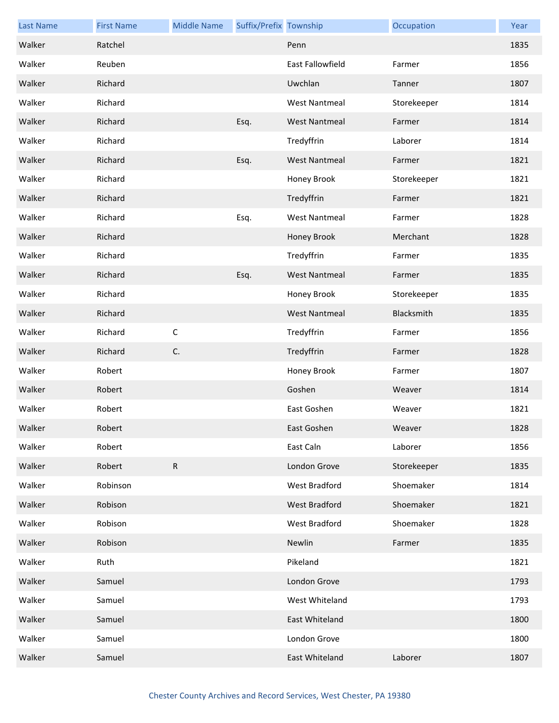| <b>Last Name</b> | <b>First Name</b> | <b>Middle Name</b> | Suffix/Prefix Township |                      | Occupation  | Year |
|------------------|-------------------|--------------------|------------------------|----------------------|-------------|------|
| Walker           | Ratchel           |                    |                        | Penn                 |             | 1835 |
| Walker           | Reuben            |                    |                        | East Fallowfield     | Farmer      | 1856 |
| Walker           | Richard           |                    |                        | Uwchlan              | Tanner      | 1807 |
| Walker           | Richard           |                    |                        | <b>West Nantmeal</b> | Storekeeper | 1814 |
| Walker           | Richard           |                    | Esq.                   | <b>West Nantmeal</b> | Farmer      | 1814 |
| Walker           | Richard           |                    |                        | Tredyffrin           | Laborer     | 1814 |
| Walker           | Richard           |                    | Esq.                   | <b>West Nantmeal</b> | Farmer      | 1821 |
| Walker           | Richard           |                    |                        | Honey Brook          | Storekeeper | 1821 |
| Walker           | Richard           |                    |                        | Tredyffrin           | Farmer      | 1821 |
| Walker           | Richard           |                    | Esq.                   | <b>West Nantmeal</b> | Farmer      | 1828 |
| Walker           | Richard           |                    |                        | Honey Brook          | Merchant    | 1828 |
| Walker           | Richard           |                    |                        | Tredyffrin           | Farmer      | 1835 |
| Walker           | Richard           |                    | Esq.                   | <b>West Nantmeal</b> | Farmer      | 1835 |
| Walker           | Richard           |                    |                        | Honey Brook          | Storekeeper | 1835 |
| Walker           | Richard           |                    |                        | <b>West Nantmeal</b> | Blacksmith  | 1835 |
| Walker           | Richard           | $\mathsf C$        |                        | Tredyffrin           | Farmer      | 1856 |
| Walker           | Richard           | $\mathsf{C}.$      |                        | Tredyffrin           | Farmer      | 1828 |
| Walker           | Robert            |                    |                        | Honey Brook          | Farmer      | 1807 |
| Walker           | Robert            |                    |                        | Goshen               | Weaver      | 1814 |
| Walker           | Robert            |                    |                        | East Goshen          | Weaver      | 1821 |
| Walker           | Robert            |                    |                        | East Goshen          | Weaver      | 1828 |
| Walker           | Robert            |                    |                        | East Caln            | Laborer     | 1856 |
| Walker           | Robert            | $\mathsf{R}$       |                        | London Grove         | Storekeeper | 1835 |
| Walker           | Robinson          |                    |                        | West Bradford        | Shoemaker   | 1814 |
| Walker           | Robison           |                    |                        | West Bradford        | Shoemaker   | 1821 |
| Walker           | Robison           |                    |                        | West Bradford        | Shoemaker   | 1828 |
| Walker           | Robison           |                    |                        | Newlin               | Farmer      | 1835 |
| Walker           | Ruth              |                    |                        | Pikeland             |             | 1821 |
| Walker           | Samuel            |                    |                        | London Grove         |             | 1793 |
| Walker           | Samuel            |                    |                        | West Whiteland       |             | 1793 |
| Walker           | Samuel            |                    |                        | East Whiteland       |             | 1800 |
| Walker           | Samuel            |                    |                        | London Grove         |             | 1800 |
| Walker           | Samuel            |                    |                        | East Whiteland       | Laborer     | 1807 |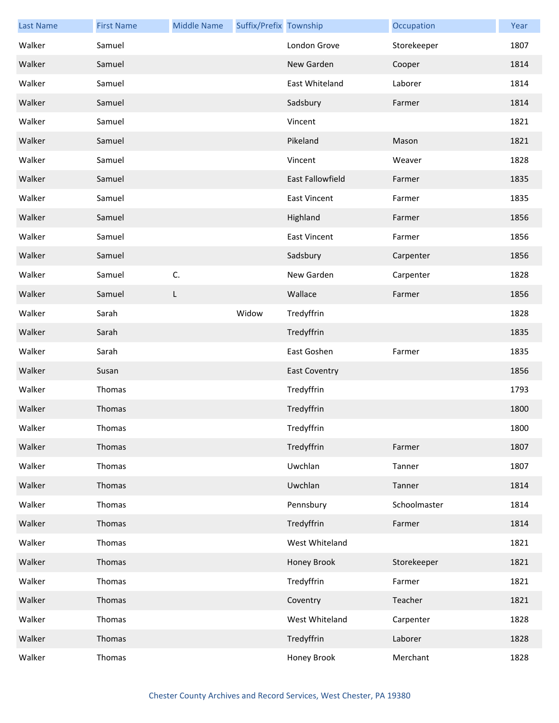| <b>Last Name</b> | <b>First Name</b> | <b>Middle Name</b> | Suffix/Prefix Township |                      | Occupation   | Year |
|------------------|-------------------|--------------------|------------------------|----------------------|--------------|------|
| Walker           | Samuel            |                    |                        | London Grove         | Storekeeper  | 1807 |
| Walker           | Samuel            |                    |                        | New Garden           | Cooper       | 1814 |
| Walker           | Samuel            |                    |                        | East Whiteland       | Laborer      | 1814 |
| Walker           | Samuel            |                    |                        | Sadsbury             | Farmer       | 1814 |
| Walker           | Samuel            |                    |                        | Vincent              |              | 1821 |
| Walker           | Samuel            |                    |                        | Pikeland             | Mason        | 1821 |
| Walker           | Samuel            |                    |                        | Vincent              | Weaver       | 1828 |
| Walker           | Samuel            |                    |                        | East Fallowfield     | Farmer       | 1835 |
| Walker           | Samuel            |                    |                        | <b>East Vincent</b>  | Farmer       | 1835 |
| Walker           | Samuel            |                    |                        | Highland             | Farmer       | 1856 |
| Walker           | Samuel            |                    |                        | <b>East Vincent</b>  | Farmer       | 1856 |
| Walker           | Samuel            |                    |                        | Sadsbury             | Carpenter    | 1856 |
| Walker           | Samuel            | C.                 |                        | New Garden           | Carpenter    | 1828 |
| Walker           | Samuel            | L                  |                        | Wallace              | Farmer       | 1856 |
| Walker           | Sarah             |                    | Widow                  | Tredyffrin           |              | 1828 |
| Walker           | Sarah             |                    |                        | Tredyffrin           |              | 1835 |
| Walker           | Sarah             |                    |                        | East Goshen          | Farmer       | 1835 |
| Walker           | Susan             |                    |                        | <b>East Coventry</b> |              | 1856 |
| Walker           | Thomas            |                    |                        | Tredyffrin           |              | 1793 |
| Walker           | Thomas            |                    |                        | Tredyffrin           |              | 1800 |
| Walker           | Thomas            |                    |                        | Tredyffrin           |              | 1800 |
| Walker           | Thomas            |                    |                        | Tredyffrin           | Farmer       | 1807 |
| Walker           | Thomas            |                    |                        | Uwchlan              | Tanner       | 1807 |
| Walker           | Thomas            |                    |                        | Uwchlan              | Tanner       | 1814 |
| Walker           | Thomas            |                    |                        | Pennsbury            | Schoolmaster | 1814 |
| Walker           | Thomas            |                    |                        | Tredyffrin           | Farmer       | 1814 |
| Walker           | Thomas            |                    |                        | West Whiteland       |              | 1821 |
| Walker           | Thomas            |                    |                        | Honey Brook          | Storekeeper  | 1821 |
| Walker           | Thomas            |                    |                        | Tredyffrin           | Farmer       | 1821 |
| Walker           | Thomas            |                    |                        | Coventry             | Teacher      | 1821 |
| Walker           | Thomas            |                    |                        | West Whiteland       | Carpenter    | 1828 |
| Walker           | Thomas            |                    |                        | Tredyffrin           | Laborer      | 1828 |
| Walker           | Thomas            |                    |                        | Honey Brook          | Merchant     | 1828 |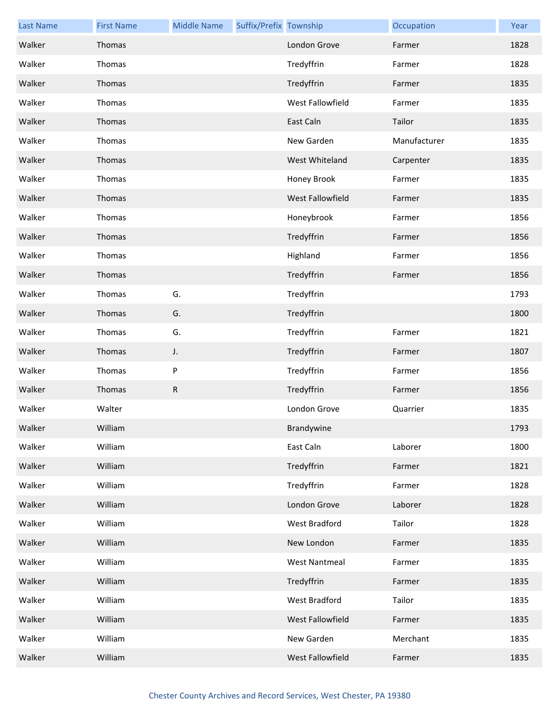| <b>Last Name</b> | <b>First Name</b> | <b>Middle Name</b> | Suffix/Prefix Township |                      | Occupation   | Year |
|------------------|-------------------|--------------------|------------------------|----------------------|--------------|------|
| Walker           | Thomas            |                    |                        | London Grove         | Farmer       | 1828 |
| Walker           | Thomas            |                    |                        | Tredyffrin           | Farmer       | 1828 |
| Walker           | Thomas            |                    |                        | Tredyffrin           | Farmer       | 1835 |
| Walker           | Thomas            |                    |                        | West Fallowfield     | Farmer       | 1835 |
| Walker           | Thomas            |                    |                        | East Caln            | Tailor       | 1835 |
| Walker           | Thomas            |                    |                        | New Garden           | Manufacturer | 1835 |
| Walker           | Thomas            |                    |                        | West Whiteland       | Carpenter    | 1835 |
| Walker           | Thomas            |                    |                        | Honey Brook          | Farmer       | 1835 |
| Walker           | Thomas            |                    |                        | West Fallowfield     | Farmer       | 1835 |
| Walker           | Thomas            |                    |                        | Honeybrook           | Farmer       | 1856 |
| Walker           | Thomas            |                    |                        | Tredyffrin           | Farmer       | 1856 |
| Walker           | Thomas            |                    |                        | Highland             | Farmer       | 1856 |
| Walker           | Thomas            |                    |                        | Tredyffrin           | Farmer       | 1856 |
| Walker           | Thomas            | G.                 |                        | Tredyffrin           |              | 1793 |
| Walker           | Thomas            | G.                 |                        | Tredyffrin           |              | 1800 |
| Walker           | Thomas            | G.                 |                        | Tredyffrin           | Farmer       | 1821 |
| Walker           | Thomas            | J.                 |                        | Tredyffrin           | Farmer       | 1807 |
| Walker           | Thomas            | P                  |                        | Tredyffrin           | Farmer       | 1856 |
| Walker           | Thomas            | R                  |                        | Tredyffrin           | Farmer       | 1856 |
| Walker           | Walter            |                    |                        | London Grove         | Quarrier     | 1835 |
| Walker           | William           |                    |                        | Brandywine           |              | 1793 |
| Walker           | William           |                    |                        | East Caln            | Laborer      | 1800 |
| Walker           | William           |                    |                        | Tredyffrin           | Farmer       | 1821 |
| Walker           | William           |                    |                        | Tredyffrin           | Farmer       | 1828 |
| Walker           | William           |                    |                        | London Grove         | Laborer      | 1828 |
| Walker           | William           |                    |                        | West Bradford        | Tailor       | 1828 |
| Walker           | William           |                    |                        | New London           | Farmer       | 1835 |
| Walker           | William           |                    |                        | <b>West Nantmeal</b> | Farmer       | 1835 |
| Walker           | William           |                    |                        | Tredyffrin           | Farmer       | 1835 |
| Walker           | William           |                    |                        | West Bradford        | Tailor       | 1835 |
| Walker           | William           |                    |                        | West Fallowfield     | Farmer       | 1835 |
| Walker           | William           |                    |                        | New Garden           | Merchant     | 1835 |
| Walker           | William           |                    |                        | West Fallowfield     | Farmer       | 1835 |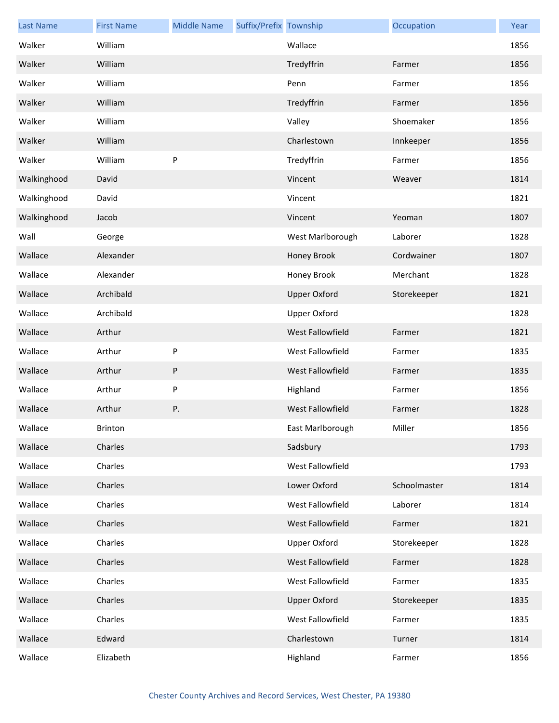| <b>Last Name</b> | <b>First Name</b> | <b>Middle Name</b> | Suffix/Prefix Township |                     | Occupation   | Year |
|------------------|-------------------|--------------------|------------------------|---------------------|--------------|------|
| Walker           | William           |                    |                        | Wallace             |              | 1856 |
| Walker           | William           |                    |                        | Tredyffrin          | Farmer       | 1856 |
| Walker           | William           |                    |                        | Penn                | Farmer       | 1856 |
| Walker           | William           |                    |                        | Tredyffrin          | Farmer       | 1856 |
| Walker           | William           |                    |                        | Valley              | Shoemaker    | 1856 |
| Walker           | William           |                    |                        | Charlestown         | Innkeeper    | 1856 |
| Walker           | William           | ${\sf P}$          |                        | Tredyffrin          | Farmer       | 1856 |
| Walkinghood      | David             |                    |                        | Vincent             | Weaver       | 1814 |
| Walkinghood      | David             |                    |                        | Vincent             |              | 1821 |
| Walkinghood      | Jacob             |                    |                        | Vincent             | Yeoman       | 1807 |
| Wall             | George            |                    |                        | West Marlborough    | Laborer      | 1828 |
| Wallace          | Alexander         |                    |                        | Honey Brook         | Cordwainer   | 1807 |
| Wallace          | Alexander         |                    |                        | Honey Brook         | Merchant     | 1828 |
| Wallace          | Archibald         |                    |                        | <b>Upper Oxford</b> | Storekeeper  | 1821 |
| Wallace          | Archibald         |                    |                        | <b>Upper Oxford</b> |              | 1828 |
| Wallace          | Arthur            |                    |                        | West Fallowfield    | Farmer       | 1821 |
| Wallace          | Arthur            | $\sf P$            |                        | West Fallowfield    | Farmer       | 1835 |
| Wallace          | Arthur            | P                  |                        | West Fallowfield    | Farmer       | 1835 |
| Wallace          | Arthur            | ${\sf P}$          |                        | Highland            | Farmer       | 1856 |
| Wallace          | Arthur            | Ρ.                 |                        | West Fallowfield    | Farmer       | 1828 |
| Wallace          | Brinton           |                    |                        | East Marlborough    | Miller       | 1856 |
| Wallace          | Charles           |                    |                        | Sadsbury            |              | 1793 |
| Wallace          | Charles           |                    |                        | West Fallowfield    |              | 1793 |
| Wallace          | Charles           |                    |                        | Lower Oxford        | Schoolmaster | 1814 |
| Wallace          | Charles           |                    |                        | West Fallowfield    | Laborer      | 1814 |
| Wallace          | Charles           |                    |                        | West Fallowfield    | Farmer       | 1821 |
| Wallace          | Charles           |                    |                        | <b>Upper Oxford</b> | Storekeeper  | 1828 |
| Wallace          | Charles           |                    |                        | West Fallowfield    | Farmer       | 1828 |
| Wallace          | Charles           |                    |                        | West Fallowfield    | Farmer       | 1835 |
| Wallace          | Charles           |                    |                        | <b>Upper Oxford</b> | Storekeeper  | 1835 |
| Wallace          | Charles           |                    |                        | West Fallowfield    | Farmer       | 1835 |
| Wallace          | Edward            |                    |                        | Charlestown         | Turner       | 1814 |
| Wallace          | Elizabeth         |                    |                        | Highland            | Farmer       | 1856 |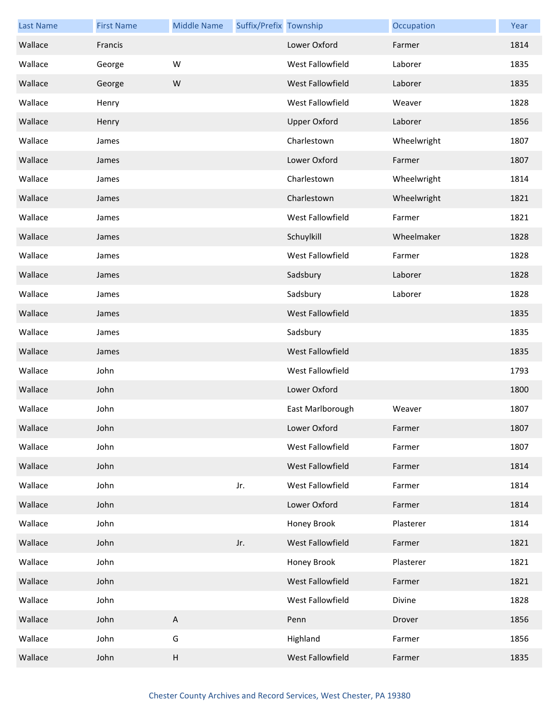| <b>Last Name</b> | <b>First Name</b> | <b>Middle Name</b>        | Suffix/Prefix Township |                         | Occupation  | Year |
|------------------|-------------------|---------------------------|------------------------|-------------------------|-------------|------|
| Wallace          | Francis           |                           |                        | Lower Oxford            | Farmer      | 1814 |
| Wallace          | George            | W                         |                        | West Fallowfield        | Laborer     | 1835 |
| Wallace          | George            | W                         |                        | <b>West Fallowfield</b> | Laborer     | 1835 |
| Wallace          | Henry             |                           |                        | West Fallowfield        | Weaver      | 1828 |
| Wallace          | Henry             |                           |                        | <b>Upper Oxford</b>     | Laborer     | 1856 |
| Wallace          | James             |                           |                        | Charlestown             | Wheelwright | 1807 |
| Wallace          | James             |                           |                        | Lower Oxford            | Farmer      | 1807 |
| Wallace          | James             |                           |                        | Charlestown             | Wheelwright | 1814 |
| Wallace          | James             |                           |                        | Charlestown             | Wheelwright | 1821 |
| Wallace          | James             |                           |                        | West Fallowfield        | Farmer      | 1821 |
| Wallace          | James             |                           |                        | Schuylkill              | Wheelmaker  | 1828 |
| Wallace          | James             |                           |                        | West Fallowfield        | Farmer      | 1828 |
| Wallace          | James             |                           |                        | Sadsbury                | Laborer     | 1828 |
| Wallace          | James             |                           |                        | Sadsbury                | Laborer     | 1828 |
| Wallace          | James             |                           |                        | West Fallowfield        |             | 1835 |
| Wallace          | James             |                           |                        | Sadsbury                |             | 1835 |
| Wallace          | James             |                           |                        | West Fallowfield        |             | 1835 |
| Wallace          | John              |                           |                        | West Fallowfield        |             | 1793 |
| Wallace          | John              |                           |                        | Lower Oxford            |             | 1800 |
| Wallace          | John              |                           |                        | East Marlborough        | Weaver      | 1807 |
| Wallace          | John              |                           |                        | Lower Oxford            | Farmer      | 1807 |
| Wallace          | John              |                           |                        | West Fallowfield        | Farmer      | 1807 |
| Wallace          | John              |                           |                        | West Fallowfield        | Farmer      | 1814 |
| Wallace          | John              |                           | Jr.                    | West Fallowfield        | Farmer      | 1814 |
| Wallace          | John              |                           |                        | Lower Oxford            | Farmer      | 1814 |
| Wallace          | John              |                           |                        | Honey Brook             | Plasterer   | 1814 |
| Wallace          | John              |                           | Jr.                    | West Fallowfield        | Farmer      | 1821 |
| Wallace          | John              |                           |                        | Honey Brook             | Plasterer   | 1821 |
| Wallace          | John              |                           |                        | West Fallowfield        | Farmer      | 1821 |
| Wallace          | John              |                           |                        | West Fallowfield        | Divine      | 1828 |
| Wallace          | John              | $\boldsymbol{\mathsf{A}}$ |                        | Penn                    | Drover      | 1856 |
| Wallace          | John              | G                         |                        | Highland                | Farmer      | 1856 |
| Wallace          | John              | $\sf H$                   |                        | West Fallowfield        | Farmer      | 1835 |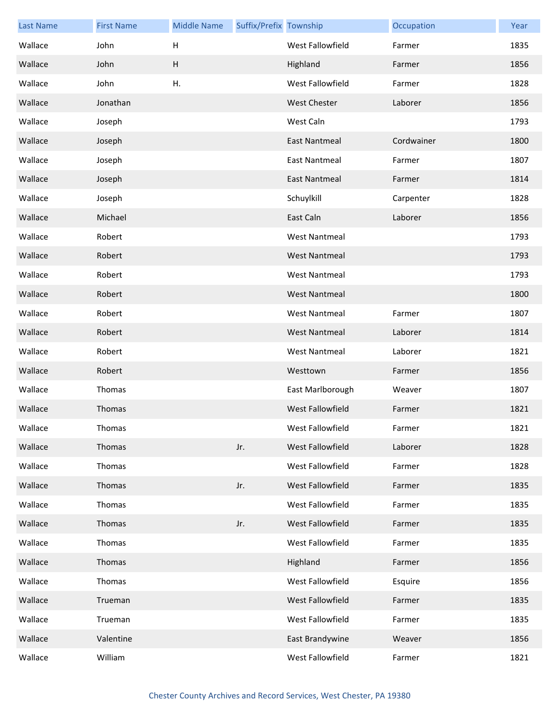| <b>Last Name</b> | <b>First Name</b> | <b>Middle Name</b> | Suffix/Prefix Township |                         | Occupation | Year |
|------------------|-------------------|--------------------|------------------------|-------------------------|------------|------|
| Wallace          | John              | H                  |                        | West Fallowfield        | Farmer     | 1835 |
| Wallace          | John              | H                  |                        | Highland                | Farmer     | 1856 |
| Wallace          | John              | H.                 |                        | West Fallowfield        | Farmer     | 1828 |
| Wallace          | Jonathan          |                    |                        | <b>West Chester</b>     | Laborer    | 1856 |
| Wallace          | Joseph            |                    |                        | West Caln               |            | 1793 |
| Wallace          | Joseph            |                    |                        | <b>East Nantmeal</b>    | Cordwainer | 1800 |
| Wallace          | Joseph            |                    |                        | <b>East Nantmeal</b>    | Farmer     | 1807 |
| Wallace          | Joseph            |                    |                        | <b>East Nantmeal</b>    | Farmer     | 1814 |
| Wallace          | Joseph            |                    |                        | Schuylkill              | Carpenter  | 1828 |
| Wallace          | Michael           |                    |                        | East Caln               | Laborer    | 1856 |
| Wallace          | Robert            |                    |                        | <b>West Nantmeal</b>    |            | 1793 |
| Wallace          | Robert            |                    |                        | <b>West Nantmeal</b>    |            | 1793 |
| Wallace          | Robert            |                    |                        | <b>West Nantmeal</b>    |            | 1793 |
| Wallace          | Robert            |                    |                        | <b>West Nantmeal</b>    |            | 1800 |
| Wallace          | Robert            |                    |                        | <b>West Nantmeal</b>    | Farmer     | 1807 |
| Wallace          | Robert            |                    |                        | <b>West Nantmeal</b>    | Laborer    | 1814 |
| Wallace          | Robert            |                    |                        | <b>West Nantmeal</b>    | Laborer    | 1821 |
| Wallace          | Robert            |                    |                        | Westtown                | Farmer     | 1856 |
| Wallace          | Thomas            |                    |                        | East Marlborough        | Weaver     | 1807 |
| Wallace          | Thomas            |                    |                        | <b>West Fallowfield</b> | Farmer     | 1821 |
| Wallace          | Thomas            |                    |                        | West Fallowfield        | Farmer     | 1821 |
| Wallace          | Thomas            |                    | Jr.                    | West Fallowfield        | Laborer    | 1828 |
| Wallace          | Thomas            |                    |                        | West Fallowfield        | Farmer     | 1828 |
| Wallace          | Thomas            |                    | Jr.                    | West Fallowfield        | Farmer     | 1835 |
| Wallace          | Thomas            |                    |                        | West Fallowfield        | Farmer     | 1835 |
| Wallace          | Thomas            |                    | Jr.                    | West Fallowfield        | Farmer     | 1835 |
| Wallace          | Thomas            |                    |                        | West Fallowfield        | Farmer     | 1835 |
| Wallace          | Thomas            |                    |                        | Highland                | Farmer     | 1856 |
| Wallace          | Thomas            |                    |                        | West Fallowfield        | Esquire    | 1856 |
| Wallace          | Trueman           |                    |                        | West Fallowfield        | Farmer     | 1835 |
| Wallace          | Trueman           |                    |                        | West Fallowfield        | Farmer     | 1835 |
| Wallace          | Valentine         |                    |                        | East Brandywine         | Weaver     | 1856 |
| Wallace          | William           |                    |                        | West Fallowfield        | Farmer     | 1821 |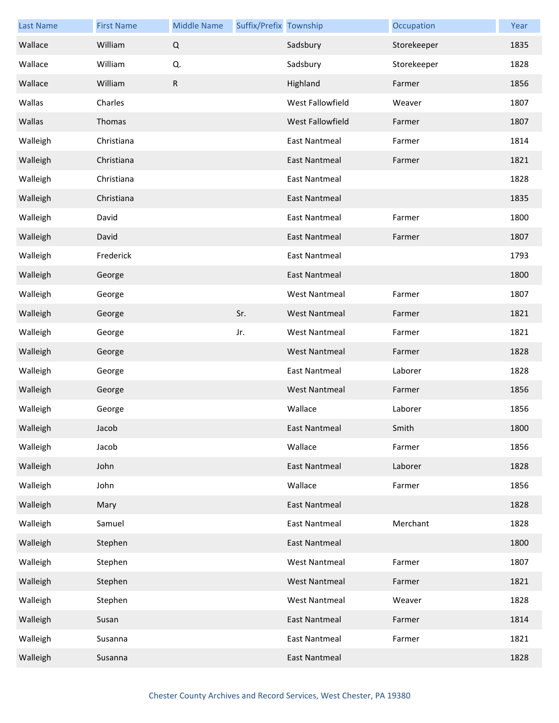| <b>Last Name</b> | <b>First Name</b> | <b>Middle Name</b> | Suffix/Prefix Township |                      | Occupation  | Year |
|------------------|-------------------|--------------------|------------------------|----------------------|-------------|------|
| Wallace          | William           | $\mathsf Q$        |                        | Sadsbury             | Storekeeper | 1835 |
| Wallace          | William           | Q.                 |                        | Sadsbury             | Storekeeper | 1828 |
| Wallace          | William           | $\mathsf{R}$       |                        | Highland             | Farmer      | 1856 |
| Wallas           | Charles           |                    |                        | West Fallowfield     | Weaver      | 1807 |
| Wallas           | Thomas            |                    |                        | West Fallowfield     | Farmer      | 1807 |
| Walleigh         | Christiana        |                    |                        | <b>East Nantmeal</b> | Farmer      | 1814 |
| Walleigh         | Christiana        |                    |                        | <b>East Nantmeal</b> | Farmer      | 1821 |
| Walleigh         | Christiana        |                    |                        | <b>East Nantmeal</b> |             | 1828 |
| Walleigh         | Christiana        |                    |                        | <b>East Nantmeal</b> |             | 1835 |
| Walleigh         | David             |                    |                        | <b>East Nantmeal</b> | Farmer      | 1800 |
| Walleigh         | David             |                    |                        | <b>East Nantmeal</b> | Farmer      | 1807 |
| Walleigh         | Frederick         |                    |                        | <b>East Nantmeal</b> |             | 1793 |
| Walleigh         | George            |                    |                        | East Nantmeal        |             | 1800 |
| Walleigh         | George            |                    |                        | <b>West Nantmeal</b> | Farmer      | 1807 |
| Walleigh         | George            |                    | Sr.                    | <b>West Nantmeal</b> | Farmer      | 1821 |
| Walleigh         | George            |                    | Jr.                    | <b>West Nantmeal</b> | Farmer      | 1821 |
| Walleigh         | George            |                    |                        | <b>West Nantmeal</b> | Farmer      | 1828 |
| Walleigh         | George            |                    |                        | <b>East Nantmeal</b> | Laborer     | 1828 |
| Walleigh         | George            |                    |                        | <b>West Nantmeal</b> | Farmer      | 1856 |
| Walleigh         | George            |                    |                        | Wallace              | Laborer     | 1856 |
| Walleigh         | Jacob             |                    |                        | East Nantmeal        | Smith       | 1800 |
| Walleigh         | Jacob             |                    |                        | Wallace              | Farmer      | 1856 |
| Walleigh         | John              |                    |                        | <b>East Nantmeal</b> | Laborer     | 1828 |
| Walleigh         | John              |                    |                        | Wallace              | Farmer      | 1856 |
| Walleigh         | Mary              |                    |                        | <b>East Nantmeal</b> |             | 1828 |
| Walleigh         | Samuel            |                    |                        | <b>East Nantmeal</b> | Merchant    | 1828 |
| Walleigh         | Stephen           |                    |                        | <b>East Nantmeal</b> |             | 1800 |
| Walleigh         | Stephen           |                    |                        | <b>West Nantmeal</b> | Farmer      | 1807 |
| Walleigh         | Stephen           |                    |                        | <b>West Nantmeal</b> | Farmer      | 1821 |
| Walleigh         | Stephen           |                    |                        | <b>West Nantmeal</b> | Weaver      | 1828 |
| Walleigh         | Susan             |                    |                        | <b>East Nantmeal</b> | Farmer      | 1814 |
| Walleigh         | Susanna           |                    |                        | <b>East Nantmeal</b> | Farmer      | 1821 |
| Walleigh         | Susanna           |                    |                        | <b>East Nantmeal</b> |             | 1828 |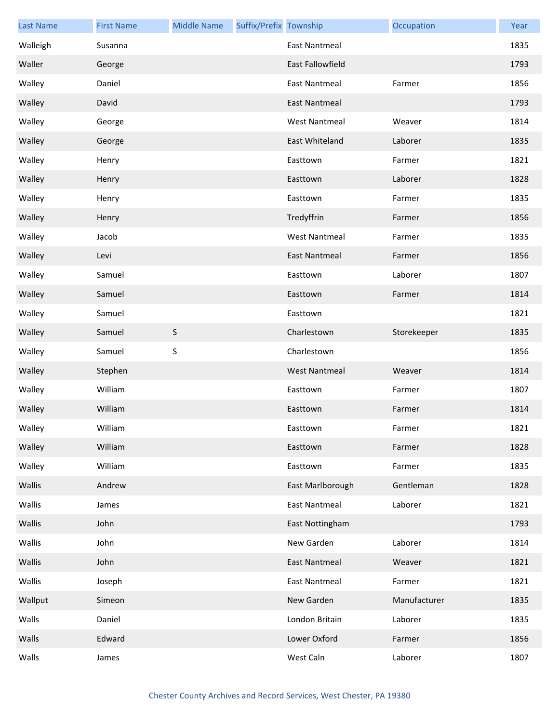| <b>Last Name</b> | <b>First Name</b> | <b>Middle Name</b> | Suffix/Prefix Township |                         | Occupation   | Year |
|------------------|-------------------|--------------------|------------------------|-------------------------|--------------|------|
| Walleigh         | Susanna           |                    |                        | East Nantmeal           |              | 1835 |
| Waller           | George            |                    |                        | <b>East Fallowfield</b> |              | 1793 |
| Walley           | Daniel            |                    |                        | <b>East Nantmeal</b>    | Farmer       | 1856 |
| Walley           | David             |                    |                        | <b>East Nantmeal</b>    |              | 1793 |
| Walley           | George            |                    |                        | <b>West Nantmeal</b>    | Weaver       | 1814 |
| Walley           | George            |                    |                        | East Whiteland          | Laborer      | 1835 |
| Walley           | Henry             |                    |                        | Easttown                | Farmer       | 1821 |
| Walley           | Henry             |                    |                        | Easttown                | Laborer      | 1828 |
| Walley           | Henry             |                    |                        | Easttown                | Farmer       | 1835 |
| Walley           | Henry             |                    |                        | Tredyffrin              | Farmer       | 1856 |
| Walley           | Jacob             |                    |                        | <b>West Nantmeal</b>    | Farmer       | 1835 |
| Walley           | Levi              |                    |                        | <b>East Nantmeal</b>    | Farmer       | 1856 |
| Walley           | Samuel            |                    |                        | Easttown                | Laborer      | 1807 |
| Walley           | Samuel            |                    |                        | Easttown                | Farmer       | 1814 |
| Walley           | Samuel            |                    |                        | Easttown                |              | 1821 |
| Walley           | Samuel            | $\mathsf S$        |                        | Charlestown             | Storekeeper  | 1835 |
| Walley           | Samuel            | S                  |                        | Charlestown             |              | 1856 |
| Walley           | Stephen           |                    |                        | <b>West Nantmeal</b>    | Weaver       | 1814 |
| Walley           | William           |                    |                        | Easttown                | Farmer       | 1807 |
| Walley           | William           |                    |                        | Easttown                | Farmer       | 1814 |
| Walley           | William           |                    |                        | Easttown                | Farmer       | 1821 |
| Walley           | William           |                    |                        | Easttown                | Farmer       | 1828 |
| Walley           | William           |                    |                        | Easttown                | Farmer       | 1835 |
| Wallis           | Andrew            |                    |                        | East Marlborough        | Gentleman    | 1828 |
| Wallis           | James             |                    |                        | <b>East Nantmeal</b>    | Laborer      | 1821 |
| Wallis           | John              |                    |                        | East Nottingham         |              | 1793 |
| Wallis           | John              |                    |                        | New Garden              | Laborer      | 1814 |
| Wallis           | John              |                    |                        | <b>East Nantmeal</b>    | Weaver       | 1821 |
| Wallis           | Joseph            |                    |                        | East Nantmeal           | Farmer       | 1821 |
| Wallput          | Simeon            |                    |                        | New Garden              | Manufacturer | 1835 |
| Walls            | Daniel            |                    |                        | London Britain          | Laborer      | 1835 |
| Walls            | Edward            |                    |                        | Lower Oxford            | Farmer       | 1856 |
| Walls            | James             |                    |                        | West Caln               | Laborer      | 1807 |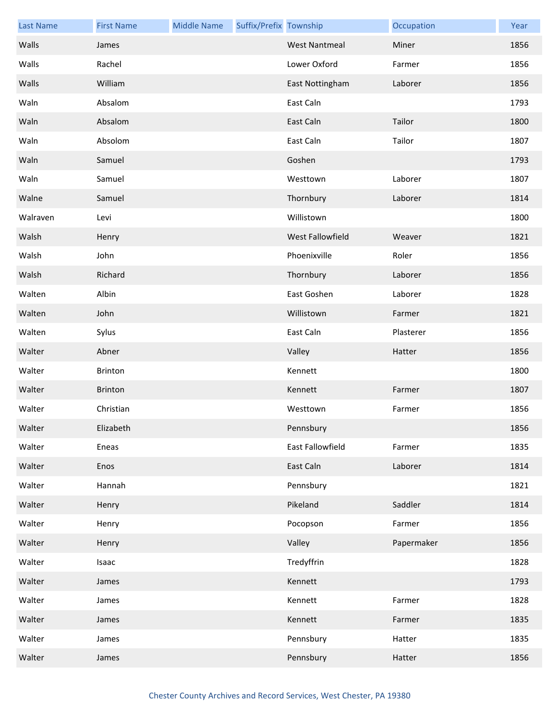| <b>Last Name</b> | <b>First Name</b> | <b>Middle Name</b> | Suffix/Prefix Township |                         | Occupation | Year |
|------------------|-------------------|--------------------|------------------------|-------------------------|------------|------|
| Walls            | James             |                    |                        | <b>West Nantmeal</b>    | Miner      | 1856 |
| Walls            | Rachel            |                    |                        | Lower Oxford            | Farmer     | 1856 |
| Walls            | William           |                    |                        | East Nottingham         | Laborer    | 1856 |
| Waln             | Absalom           |                    |                        | East Caln               |            | 1793 |
| Waln             | Absalom           |                    |                        | East Caln               | Tailor     | 1800 |
| Waln             | Absolom           |                    |                        | East Caln               | Tailor     | 1807 |
| Waln             | Samuel            |                    |                        | Goshen                  |            | 1793 |
| Waln             | Samuel            |                    |                        | Westtown                | Laborer    | 1807 |
| Walne            | Samuel            |                    |                        | Thornbury               | Laborer    | 1814 |
| Walraven         | Levi              |                    |                        | Willistown              |            | 1800 |
| Walsh            | Henry             |                    |                        | <b>West Fallowfield</b> | Weaver     | 1821 |
| Walsh            | John              |                    |                        | Phoenixville            | Roler      | 1856 |
| Walsh            | Richard           |                    |                        | Thornbury               | Laborer    | 1856 |
| Walten           | Albin             |                    |                        | East Goshen             | Laborer    | 1828 |
| Walten           | John              |                    |                        | Willistown              | Farmer     | 1821 |
| Walten           | Sylus             |                    |                        | East Caln               | Plasterer  | 1856 |
| Walter           | Abner             |                    |                        | Valley                  | Hatter     | 1856 |
| Walter           | <b>Brinton</b>    |                    |                        | Kennett                 |            | 1800 |
| Walter           | <b>Brinton</b>    |                    |                        | Kennett                 | Farmer     | 1807 |
| Walter           | Christian         |                    |                        | Westtown                | Farmer     | 1856 |
| Walter           | Elizabeth         |                    |                        | Pennsbury               |            | 1856 |
| Walter           | Eneas             |                    |                        | East Fallowfield        | Farmer     | 1835 |
| Walter           | Enos              |                    |                        | East Caln               | Laborer    | 1814 |
| Walter           | Hannah            |                    |                        | Pennsbury               |            | 1821 |
| Walter           | Henry             |                    |                        | Pikeland                | Saddler    | 1814 |
| Walter           | Henry             |                    |                        | Pocopson                | Farmer     | 1856 |
| Walter           | Henry             |                    |                        | Valley                  | Papermaker | 1856 |
| Walter           | Isaac             |                    |                        | Tredyffrin              |            | 1828 |
| Walter           | James             |                    |                        | Kennett                 |            | 1793 |
| Walter           | James             |                    |                        | Kennett                 | Farmer     | 1828 |
| Walter           | James             |                    |                        | Kennett                 | Farmer     | 1835 |
| Walter           | James             |                    |                        | Pennsbury               | Hatter     | 1835 |
| Walter           | James             |                    |                        | Pennsbury               | Hatter     | 1856 |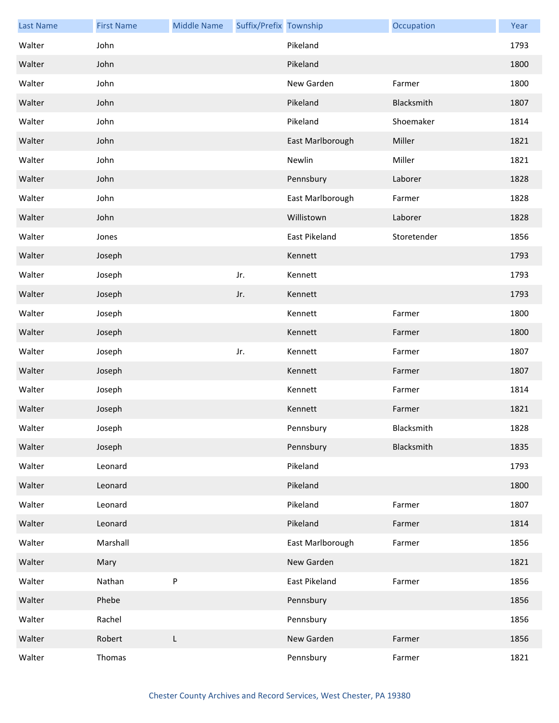| <b>Last Name</b> | <b>First Name</b> | <b>Middle Name</b> | Suffix/Prefix Township |                  | Occupation  | Year |
|------------------|-------------------|--------------------|------------------------|------------------|-------------|------|
| Walter           | John              |                    |                        | Pikeland         |             | 1793 |
| Walter           | John              |                    |                        | Pikeland         |             | 1800 |
| Walter           | John              |                    |                        | New Garden       | Farmer      | 1800 |
| Walter           | John              |                    |                        | Pikeland         | Blacksmith  | 1807 |
| Walter           | John              |                    |                        | Pikeland         | Shoemaker   | 1814 |
| Walter           | John              |                    |                        | East Marlborough | Miller      | 1821 |
| Walter           | John              |                    |                        | Newlin           | Miller      | 1821 |
| Walter           | John              |                    |                        | Pennsbury        | Laborer     | 1828 |
| Walter           | John              |                    |                        | East Marlborough | Farmer      | 1828 |
| Walter           | John              |                    |                        | Willistown       | Laborer     | 1828 |
| Walter           | Jones             |                    |                        | East Pikeland    | Storetender | 1856 |
| Walter           | Joseph            |                    |                        | Kennett          |             | 1793 |
| Walter           | Joseph            |                    | Jr.                    | Kennett          |             | 1793 |
| Walter           | Joseph            |                    | Jr.                    | Kennett          |             | 1793 |
| Walter           | Joseph            |                    |                        | Kennett          | Farmer      | 1800 |
| Walter           | Joseph            |                    |                        | Kennett          | Farmer      | 1800 |
| Walter           | Joseph            |                    | Jr.                    | Kennett          | Farmer      | 1807 |
| Walter           | Joseph            |                    |                        | Kennett          | Farmer      | 1807 |
| Walter           | Joseph            |                    |                        | Kennett          | Farmer      | 1814 |
| Walter           | Joseph            |                    |                        | Kennett          | Farmer      | 1821 |
| Walter           | Joseph            |                    |                        | Pennsbury        | Blacksmith  | 1828 |
| Walter           | Joseph            |                    |                        | Pennsbury        | Blacksmith  | 1835 |
| Walter           | Leonard           |                    |                        | Pikeland         |             | 1793 |
| Walter           | Leonard           |                    |                        | Pikeland         |             | 1800 |
| Walter           | Leonard           |                    |                        | Pikeland         | Farmer      | 1807 |
| Walter           | Leonard           |                    |                        | Pikeland         | Farmer      | 1814 |
| Walter           | Marshall          |                    |                        | East Marlborough | Farmer      | 1856 |
| Walter           | Mary              |                    |                        | New Garden       |             | 1821 |
| Walter           | Nathan            | P                  |                        | East Pikeland    | Farmer      | 1856 |
| Walter           | Phebe             |                    |                        | Pennsbury        |             | 1856 |
| Walter           | Rachel            |                    |                        | Pennsbury        |             | 1856 |
| Walter           | Robert            | L                  |                        | New Garden       | Farmer      | 1856 |
| Walter           | Thomas            |                    |                        | Pennsbury        | Farmer      | 1821 |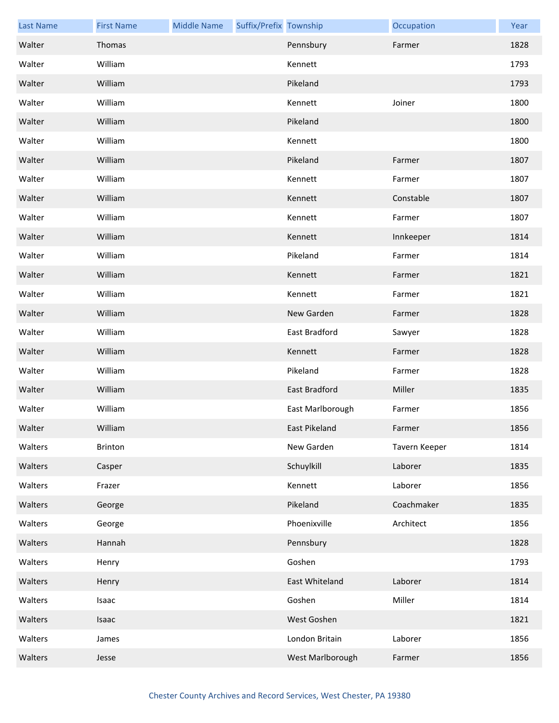| <b>Last Name</b> | <b>First Name</b> | <b>Middle Name</b> | Suffix/Prefix Township |                  | Occupation    | Year |
|------------------|-------------------|--------------------|------------------------|------------------|---------------|------|
| Walter           | Thomas            |                    |                        | Pennsbury        | Farmer        | 1828 |
| Walter           | William           |                    |                        | Kennett          |               | 1793 |
| Walter           | William           |                    |                        | Pikeland         |               | 1793 |
| Walter           | William           |                    |                        | Kennett          | Joiner        | 1800 |
| Walter           | William           |                    |                        | Pikeland         |               | 1800 |
| Walter           | William           |                    |                        | Kennett          |               | 1800 |
| Walter           | William           |                    |                        | Pikeland         | Farmer        | 1807 |
| Walter           | William           |                    |                        | Kennett          | Farmer        | 1807 |
| Walter           | William           |                    |                        | Kennett          | Constable     | 1807 |
| Walter           | William           |                    |                        | Kennett          | Farmer        | 1807 |
| Walter           | William           |                    |                        | Kennett          | Innkeeper     | 1814 |
| Walter           | William           |                    |                        | Pikeland         | Farmer        | 1814 |
| Walter           | William           |                    |                        | Kennett          | Farmer        | 1821 |
| Walter           | William           |                    |                        | Kennett          | Farmer        | 1821 |
| Walter           | William           |                    |                        | New Garden       | Farmer        | 1828 |
| Walter           | William           |                    |                        | East Bradford    | Sawyer        | 1828 |
| Walter           | William           |                    |                        | Kennett          | Farmer        | 1828 |
| Walter           | William           |                    |                        | Pikeland         | Farmer        | 1828 |
| Walter           | William           |                    |                        | East Bradford    | Miller        | 1835 |
| Walter           | William           |                    |                        | East Marlborough | Farmer        | 1856 |
| Walter           | William           |                    |                        | East Pikeland    | Farmer        | 1856 |
| Walters          | Brinton           |                    |                        | New Garden       | Tavern Keeper | 1814 |
| Walters          | Casper            |                    |                        | Schuylkill       | Laborer       | 1835 |
| Walters          | Frazer            |                    |                        | Kennett          | Laborer       | 1856 |
| Walters          | George            |                    |                        | Pikeland         | Coachmaker    | 1835 |
| Walters          | George            |                    |                        | Phoenixville     | Architect     | 1856 |
| Walters          | Hannah            |                    |                        | Pennsbury        |               | 1828 |
| Walters          | Henry             |                    |                        | Goshen           |               | 1793 |
| Walters          | Henry             |                    |                        | East Whiteland   | Laborer       | 1814 |
| Walters          | Isaac             |                    |                        | Goshen           | Miller        | 1814 |
| Walters          | Isaac             |                    |                        | West Goshen      |               | 1821 |
| Walters          | James             |                    |                        | London Britain   | Laborer       | 1856 |
| Walters          | Jesse             |                    |                        | West Marlborough | Farmer        | 1856 |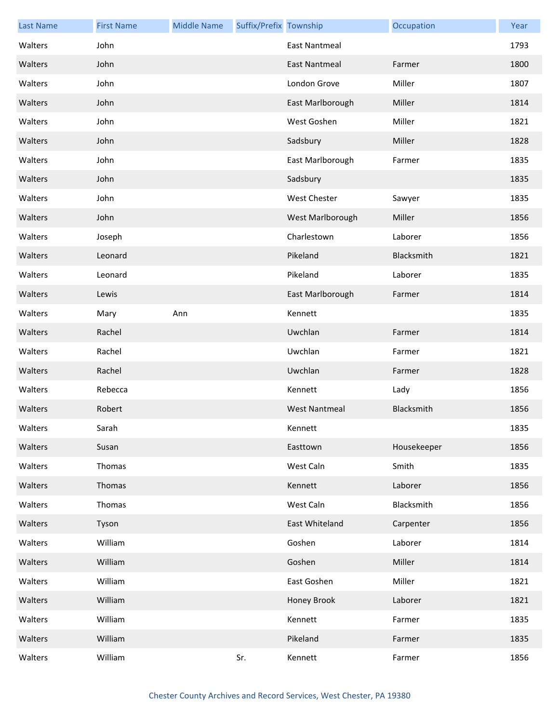| <b>Last Name</b> | <b>First Name</b> | <b>Middle Name</b> | Suffix/Prefix Township |                      | Occupation  | Year |
|------------------|-------------------|--------------------|------------------------|----------------------|-------------|------|
| Walters          | John              |                    |                        | East Nantmeal        |             | 1793 |
| Walters          | John              |                    |                        | <b>East Nantmeal</b> | Farmer      | 1800 |
| Walters          | John              |                    |                        | London Grove         | Miller      | 1807 |
| Walters          | John              |                    |                        | East Marlborough     | Miller      | 1814 |
| Walters          | John              |                    |                        | West Goshen          | Miller      | 1821 |
| Walters          | John              |                    |                        | Sadsbury             | Miller      | 1828 |
| Walters          | John              |                    |                        | East Marlborough     | Farmer      | 1835 |
| Walters          | John              |                    |                        | Sadsbury             |             | 1835 |
| Walters          | John              |                    |                        | <b>West Chester</b>  | Sawyer      | 1835 |
| Walters          | John              |                    |                        | West Marlborough     | Miller      | 1856 |
| Walters          | Joseph            |                    |                        | Charlestown          | Laborer     | 1856 |
| Walters          | Leonard           |                    |                        | Pikeland             | Blacksmith  | 1821 |
| Walters          | Leonard           |                    |                        | Pikeland             | Laborer     | 1835 |
| Walters          | Lewis             |                    |                        | East Marlborough     | Farmer      | 1814 |
| Walters          | Mary              | Ann                |                        | Kennett              |             | 1835 |
| Walters          | Rachel            |                    |                        | Uwchlan              | Farmer      | 1814 |
| Walters          | Rachel            |                    |                        | Uwchlan              | Farmer      | 1821 |
| Walters          | Rachel            |                    |                        | Uwchlan              | Farmer      | 1828 |
| Walters          | Rebecca           |                    |                        | Kennett              | Lady        | 1856 |
| Walters          | Robert            |                    |                        | <b>West Nantmeal</b> | Blacksmith  | 1856 |
| Walters          | Sarah             |                    |                        | Kennett              |             | 1835 |
| Walters          | Susan             |                    |                        | Easttown             | Housekeeper | 1856 |
| Walters          | Thomas            |                    |                        | West Caln            | Smith       | 1835 |
| Walters          | Thomas            |                    |                        | Kennett              | Laborer     | 1856 |
| Walters          | Thomas            |                    |                        | West Caln            | Blacksmith  | 1856 |
| Walters          | Tyson             |                    |                        | East Whiteland       | Carpenter   | 1856 |
| Walters          | William           |                    |                        | Goshen               | Laborer     | 1814 |
| Walters          | William           |                    |                        | Goshen               | Miller      | 1814 |
| Walters          | William           |                    |                        | East Goshen          | Miller      | 1821 |
| Walters          | William           |                    |                        | Honey Brook          | Laborer     | 1821 |
| Walters          | William           |                    |                        | Kennett              | Farmer      | 1835 |
| Walters          | William           |                    |                        | Pikeland             | Farmer      | 1835 |
| Walters          | William           |                    | Sr.                    | Kennett              | Farmer      | 1856 |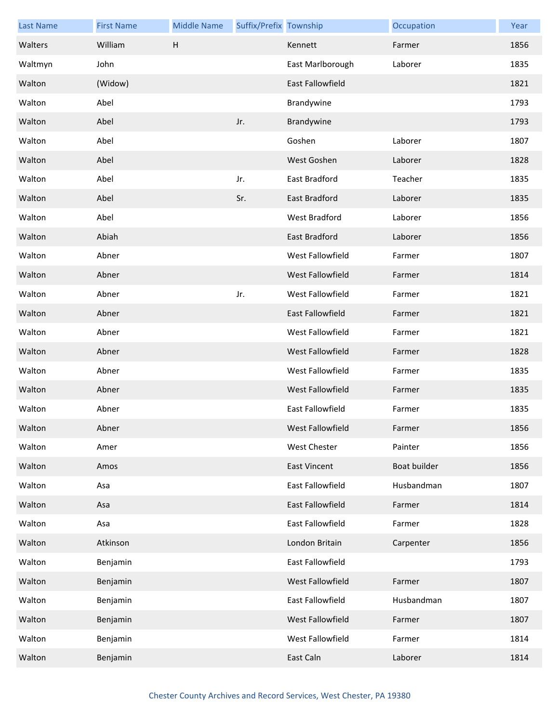| <b>Last Name</b> | <b>First Name</b> | <b>Middle Name</b> | Suffix/Prefix Township |                         | Occupation   | Year |
|------------------|-------------------|--------------------|------------------------|-------------------------|--------------|------|
| Walters          | William           | H                  |                        | Kennett                 | Farmer       | 1856 |
| Waltmyn          | John              |                    |                        | East Marlborough        | Laborer      | 1835 |
| Walton           | (Widow)           |                    |                        | East Fallowfield        |              | 1821 |
| Walton           | Abel              |                    |                        | Brandywine              |              | 1793 |
| Walton           | Abel              |                    | Jr.                    | Brandywine              |              | 1793 |
| Walton           | Abel              |                    |                        | Goshen                  | Laborer      | 1807 |
| Walton           | Abel              |                    |                        | West Goshen             | Laborer      | 1828 |
| Walton           | Abel              |                    | Jr.                    | East Bradford           | Teacher      | 1835 |
| Walton           | Abel              |                    | Sr.                    | East Bradford           | Laborer      | 1835 |
| Walton           | Abel              |                    |                        | <b>West Bradford</b>    | Laborer      | 1856 |
| Walton           | Abiah             |                    |                        | <b>East Bradford</b>    | Laborer      | 1856 |
| Walton           | Abner             |                    |                        | <b>West Fallowfield</b> | Farmer       | 1807 |
| Walton           | Abner             |                    |                        | West Fallowfield        | Farmer       | 1814 |
| Walton           | Abner             |                    | Jr.                    | West Fallowfield        | Farmer       | 1821 |
| Walton           | Abner             |                    |                        | East Fallowfield        | Farmer       | 1821 |
| Walton           | Abner             |                    |                        | West Fallowfield        | Farmer       | 1821 |
| Walton           | Abner             |                    |                        | West Fallowfield        | Farmer       | 1828 |
| Walton           | Abner             |                    |                        | West Fallowfield        | Farmer       | 1835 |
| Walton           | Abner             |                    |                        | West Fallowfield        | Farmer       | 1835 |
| Walton           | Abner             |                    |                        | East Fallowfield        | Farmer       | 1835 |
| Walton           | Abner             |                    |                        | West Fallowfield        | Farmer       | 1856 |
| Walton           | Amer              |                    |                        | <b>West Chester</b>     | Painter      | 1856 |
| Walton           | Amos              |                    |                        | <b>East Vincent</b>     | Boat builder | 1856 |
| Walton           | Asa               |                    |                        | East Fallowfield        | Husbandman   | 1807 |
| Walton           | Asa               |                    |                        | East Fallowfield        | Farmer       | 1814 |
| Walton           | Asa               |                    |                        | <b>East Fallowfield</b> | Farmer       | 1828 |
| Walton           | Atkinson          |                    |                        | London Britain          | Carpenter    | 1856 |
| Walton           | Benjamin          |                    |                        | East Fallowfield        |              | 1793 |
| Walton           | Benjamin          |                    |                        | West Fallowfield        | Farmer       | 1807 |
| Walton           | Benjamin          |                    |                        | East Fallowfield        | Husbandman   | 1807 |
| Walton           | Benjamin          |                    |                        | West Fallowfield        | Farmer       | 1807 |
| Walton           | Benjamin          |                    |                        | West Fallowfield        | Farmer       | 1814 |
| Walton           | Benjamin          |                    |                        | East Caln               | Laborer      | 1814 |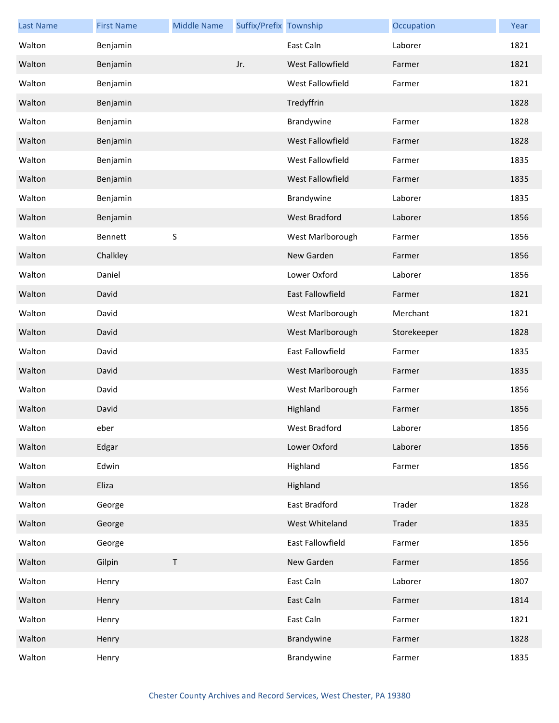| <b>Last Name</b> | <b>First Name</b> | <b>Middle Name</b> | Suffix/Prefix Township |                  | Occupation  | Year |
|------------------|-------------------|--------------------|------------------------|------------------|-------------|------|
| Walton           | Benjamin          |                    |                        | East Caln        | Laborer     | 1821 |
| Walton           | Benjamin          |                    | Jr.                    | West Fallowfield | Farmer      | 1821 |
| Walton           | Benjamin          |                    |                        | West Fallowfield | Farmer      | 1821 |
| Walton           | Benjamin          |                    |                        | Tredyffrin       |             | 1828 |
| Walton           | Benjamin          |                    |                        | Brandywine       | Farmer      | 1828 |
| Walton           | Benjamin          |                    |                        | West Fallowfield | Farmer      | 1828 |
| Walton           | Benjamin          |                    |                        | West Fallowfield | Farmer      | 1835 |
| Walton           | Benjamin          |                    |                        | West Fallowfield | Farmer      | 1835 |
| Walton           | Benjamin          |                    |                        | Brandywine       | Laborer     | 1835 |
| Walton           | Benjamin          |                    |                        | West Bradford    | Laborer     | 1856 |
| Walton           | Bennett           | $\sf S$            |                        | West Marlborough | Farmer      | 1856 |
| Walton           | Chalkley          |                    |                        | New Garden       | Farmer      | 1856 |
| Walton           | Daniel            |                    |                        | Lower Oxford     | Laborer     | 1856 |
| Walton           | David             |                    |                        | East Fallowfield | Farmer      | 1821 |
| Walton           | David             |                    |                        | West Marlborough | Merchant    | 1821 |
| Walton           | David             |                    |                        | West Marlborough | Storekeeper | 1828 |
| Walton           | David             |                    |                        | East Fallowfield | Farmer      | 1835 |
| Walton           | David             |                    |                        | West Marlborough | Farmer      | 1835 |
| Walton           | David             |                    |                        | West Marlborough | Farmer      | 1856 |
| Walton           | David             |                    |                        | Highland         | Farmer      | 1856 |
| Walton           | eber              |                    |                        | West Bradford    | Laborer     | 1856 |
| Walton           | Edgar             |                    |                        | Lower Oxford     | Laborer     | 1856 |
| Walton           | Edwin             |                    |                        | Highland         | Farmer      | 1856 |
| Walton           | Eliza             |                    |                        | Highland         |             | 1856 |
| Walton           | George            |                    |                        | East Bradford    | Trader      | 1828 |
| Walton           | George            |                    |                        | West Whiteland   | Trader      | 1835 |
| Walton           | George            |                    |                        | East Fallowfield | Farmer      | 1856 |
| Walton           | Gilpin            | $\mathsf T$        |                        | New Garden       | Farmer      | 1856 |
| Walton           | Henry             |                    |                        | East Caln        | Laborer     | 1807 |
| Walton           | Henry             |                    |                        | East Caln        | Farmer      | 1814 |
| Walton           | Henry             |                    |                        | East Caln        | Farmer      | 1821 |
| Walton           | Henry             |                    |                        | Brandywine       | Farmer      | 1828 |
| Walton           | Henry             |                    |                        | Brandywine       | Farmer      | 1835 |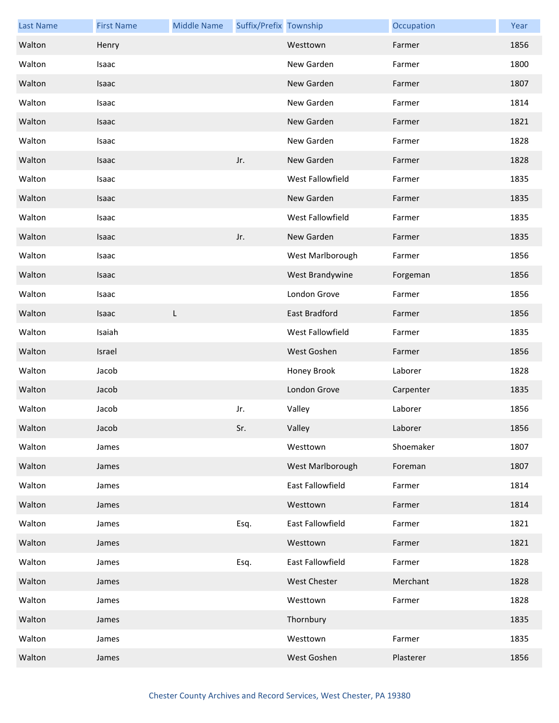| <b>Last Name</b> | <b>First Name</b> | <b>Middle Name</b> | Suffix/Prefix Township |                  | Occupation | Year |
|------------------|-------------------|--------------------|------------------------|------------------|------------|------|
| Walton           | Henry             |                    |                        | Westtown         | Farmer     | 1856 |
| Walton           | Isaac             |                    |                        | New Garden       | Farmer     | 1800 |
| Walton           | Isaac             |                    |                        | New Garden       | Farmer     | 1807 |
| Walton           | Isaac             |                    |                        | New Garden       | Farmer     | 1814 |
| Walton           | Isaac             |                    |                        | New Garden       | Farmer     | 1821 |
| Walton           | Isaac             |                    |                        | New Garden       | Farmer     | 1828 |
| Walton           | Isaac             |                    | Jr.                    | New Garden       | Farmer     | 1828 |
| Walton           | Isaac             |                    |                        | West Fallowfield | Farmer     | 1835 |
| Walton           | Isaac             |                    |                        | New Garden       | Farmer     | 1835 |
| Walton           | Isaac             |                    |                        | West Fallowfield | Farmer     | 1835 |
| Walton           | Isaac             |                    | Jr.                    | New Garden       | Farmer     | 1835 |
| Walton           | Isaac             |                    |                        | West Marlborough | Farmer     | 1856 |
| Walton           | Isaac             |                    |                        | West Brandywine  | Forgeman   | 1856 |
| Walton           | Isaac             |                    |                        | London Grove     | Farmer     | 1856 |
| Walton           | Isaac             | L                  |                        | East Bradford    | Farmer     | 1856 |
| Walton           | Isaiah            |                    |                        | West Fallowfield | Farmer     | 1835 |
| Walton           | Israel            |                    |                        | West Goshen      | Farmer     | 1856 |
| Walton           | Jacob             |                    |                        | Honey Brook      | Laborer    | 1828 |
| Walton           | Jacob             |                    |                        | London Grove     | Carpenter  | 1835 |
| Walton           | Jacob             |                    | Jr.                    | Valley           | Laborer    | 1856 |
| Walton           | Jacob             |                    | Sr.                    | Valley           | Laborer    | 1856 |
| Walton           | James             |                    |                        | Westtown         | Shoemaker  | 1807 |
| Walton           | James             |                    |                        | West Marlborough | Foreman    | 1807 |
| Walton           | James             |                    |                        | East Fallowfield | Farmer     | 1814 |
| Walton           | James             |                    |                        | Westtown         | Farmer     | 1814 |
| Walton           | James             |                    | Esq.                   | East Fallowfield | Farmer     | 1821 |
| Walton           | James             |                    |                        | Westtown         | Farmer     | 1821 |
| Walton           | James             |                    | Esq.                   | East Fallowfield | Farmer     | 1828 |
| Walton           | James             |                    |                        | West Chester     | Merchant   | 1828 |
| Walton           | James             |                    |                        | Westtown         | Farmer     | 1828 |
| Walton           | James             |                    |                        | Thornbury        |            | 1835 |
| Walton           | James             |                    |                        | Westtown         | Farmer     | 1835 |
| Walton           | James             |                    |                        | West Goshen      | Plasterer  | 1856 |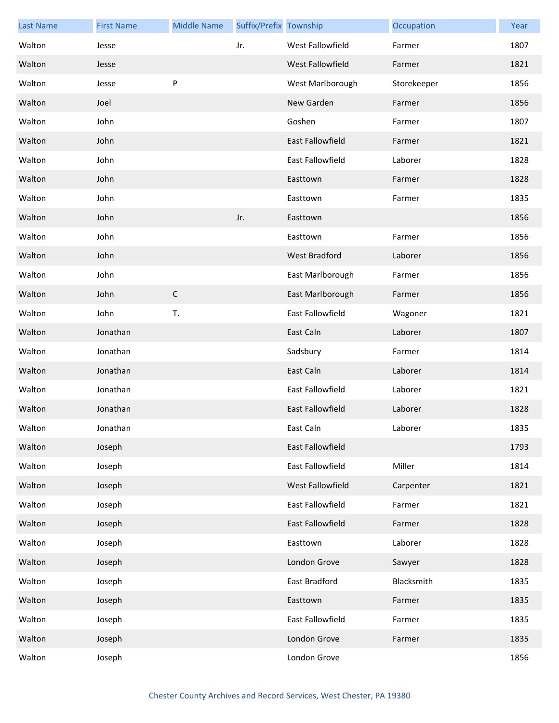| <b>Last Name</b> | <b>First Name</b> | <b>Middle Name</b> | Suffix/Prefix Township |                         | Occupation  | Year |
|------------------|-------------------|--------------------|------------------------|-------------------------|-------------|------|
| Walton           | Jesse             |                    | Jr.                    | West Fallowfield        | Farmer      | 1807 |
| Walton           | Jesse             |                    |                        | West Fallowfield        | Farmer      | 1821 |
| Walton           | Jesse             | $\sf P$            |                        | West Marlborough        | Storekeeper | 1856 |
| Walton           | Joel              |                    |                        | New Garden              | Farmer      | 1856 |
| Walton           | John              |                    |                        | Goshen                  | Farmer      | 1807 |
| Walton           | John              |                    |                        | <b>East Fallowfield</b> | Farmer      | 1821 |
| Walton           | John              |                    |                        | <b>East Fallowfield</b> | Laborer     | 1828 |
| Walton           | John              |                    |                        | Easttown                | Farmer      | 1828 |
| Walton           | John              |                    |                        | Easttown                | Farmer      | 1835 |
| Walton           | John              |                    | Jr.                    | Easttown                |             | 1856 |
| Walton           | John              |                    |                        | Easttown                | Farmer      | 1856 |
| Walton           | John              |                    |                        | <b>West Bradford</b>    | Laborer     | 1856 |
| Walton           | John              |                    |                        | East Marlborough        | Farmer      | 1856 |
| Walton           | John              | $\mathsf C$        |                        | East Marlborough        | Farmer      | 1856 |
| Walton           | John              | T.                 |                        | <b>East Fallowfield</b> | Wagoner     | 1821 |
| Walton           | Jonathan          |                    |                        | East Caln               | Laborer     | 1807 |
| Walton           | Jonathan          |                    |                        | Sadsbury                | Farmer      | 1814 |
| Walton           | Jonathan          |                    |                        | East Caln               | Laborer     | 1814 |
| Walton           | Jonathan          |                    |                        | <b>East Fallowfield</b> | Laborer     | 1821 |
| Walton           | Jonathan          |                    |                        | <b>East Fallowfield</b> | Laborer     | 1828 |
| Walton           | Jonathan          |                    |                        | East Caln               | Laborer     | 1835 |
| Walton           | Joseph            |                    |                        | East Fallowfield        |             | 1793 |
| Walton           | Joseph            |                    |                        | East Fallowfield        | Miller      | 1814 |
| Walton           | Joseph            |                    |                        | West Fallowfield        | Carpenter   | 1821 |
| Walton           | Joseph            |                    |                        | East Fallowfield        | Farmer      | 1821 |
| Walton           | Joseph            |                    |                        | East Fallowfield        | Farmer      | 1828 |
| Walton           | Joseph            |                    |                        | Easttown                | Laborer     | 1828 |
| Walton           | Joseph            |                    |                        | London Grove            | Sawyer      | 1828 |
| Walton           | Joseph            |                    |                        | East Bradford           | Blacksmith  | 1835 |
| Walton           | Joseph            |                    |                        | Easttown                | Farmer      | 1835 |
| Walton           | Joseph            |                    |                        | East Fallowfield        | Farmer      | 1835 |
| Walton           | Joseph            |                    |                        | London Grove            | Farmer      | 1835 |
| Walton           | Joseph            |                    |                        | London Grove            |             | 1856 |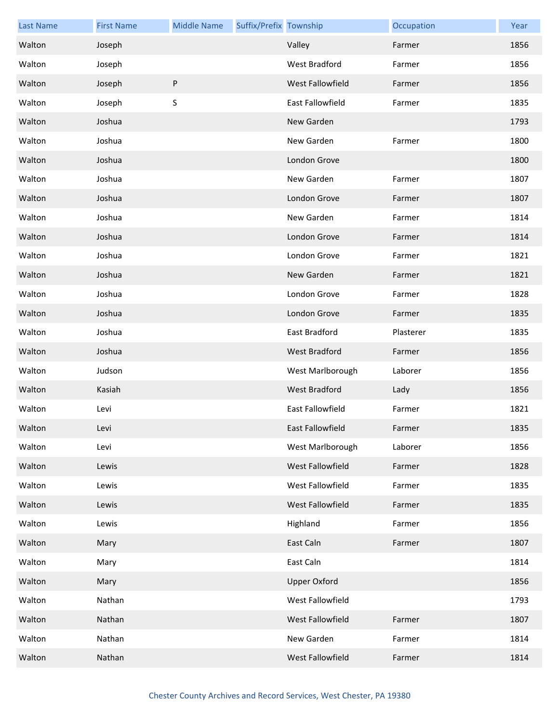| <b>Last Name</b> | <b>First Name</b> | <b>Middle Name</b> | Suffix/Prefix Township |                      | Occupation | Year |
|------------------|-------------------|--------------------|------------------------|----------------------|------------|------|
| Walton           | Joseph            |                    |                        | Valley               | Farmer     | 1856 |
| Walton           | Joseph            |                    |                        | <b>West Bradford</b> | Farmer     | 1856 |
| Walton           | Joseph            | $\sf P$            |                        | West Fallowfield     | Farmer     | 1856 |
| Walton           | Joseph            | $\sf S$            |                        | East Fallowfield     | Farmer     | 1835 |
| Walton           | Joshua            |                    |                        | New Garden           |            | 1793 |
| Walton           | Joshua            |                    |                        | New Garden           | Farmer     | 1800 |
| Walton           | Joshua            |                    |                        | London Grove         |            | 1800 |
| Walton           | Joshua            |                    |                        | New Garden           | Farmer     | 1807 |
| Walton           | Joshua            |                    |                        | London Grove         | Farmer     | 1807 |
| Walton           | Joshua            |                    |                        | New Garden           | Farmer     | 1814 |
| Walton           | Joshua            |                    |                        | London Grove         | Farmer     | 1814 |
| Walton           | Joshua            |                    |                        | London Grove         | Farmer     | 1821 |
| Walton           | Joshua            |                    |                        | New Garden           | Farmer     | 1821 |
| Walton           | Joshua            |                    |                        | London Grove         | Farmer     | 1828 |
| Walton           | Joshua            |                    |                        | London Grove         | Farmer     | 1835 |
| Walton           | Joshua            |                    |                        | East Bradford        | Plasterer  | 1835 |
| Walton           | Joshua            |                    |                        | West Bradford        | Farmer     | 1856 |
| Walton           | Judson            |                    |                        | West Marlborough     | Laborer    | 1856 |
| Walton           | Kasiah            |                    |                        | <b>West Bradford</b> | Lady       | 1856 |
| Walton           | Levi              |                    |                        | East Fallowfield     | Farmer     | 1821 |
| Walton           | Levi              |                    |                        | East Fallowfield     | Farmer     | 1835 |
| Walton           | Levi              |                    |                        | West Marlborough     | Laborer    | 1856 |
| Walton           | Lewis             |                    |                        | West Fallowfield     | Farmer     | 1828 |
| Walton           | Lewis             |                    |                        | West Fallowfield     | Farmer     | 1835 |
| Walton           | Lewis             |                    |                        | West Fallowfield     | Farmer     | 1835 |
| Walton           | Lewis             |                    |                        | Highland             | Farmer     | 1856 |
| Walton           | Mary              |                    |                        | East Caln            | Farmer     | 1807 |
| Walton           | Mary              |                    |                        | East Caln            |            | 1814 |
| Walton           | Mary              |                    |                        | <b>Upper Oxford</b>  |            | 1856 |
| Walton           | Nathan            |                    |                        | West Fallowfield     |            | 1793 |
| Walton           | Nathan            |                    |                        | West Fallowfield     | Farmer     | 1807 |
| Walton           | Nathan            |                    |                        | New Garden           | Farmer     | 1814 |
| Walton           | Nathan            |                    |                        | West Fallowfield     | Farmer     | 1814 |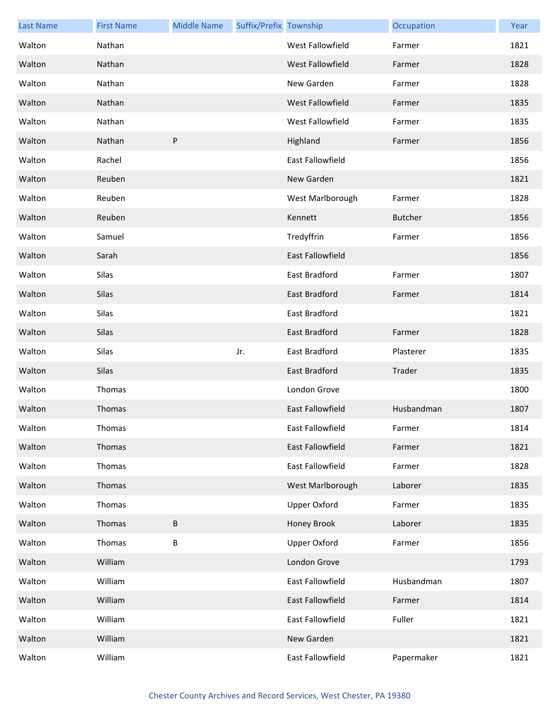| <b>Last Name</b> | <b>First Name</b> | <b>Middle Name</b> | Suffix/Prefix Township |                         | Occupation     | Year |
|------------------|-------------------|--------------------|------------------------|-------------------------|----------------|------|
| Walton           | Nathan            |                    |                        | West Fallowfield        | Farmer         | 1821 |
| Walton           | Nathan            |                    |                        | West Fallowfield        | Farmer         | 1828 |
| Walton           | Nathan            |                    |                        | New Garden              | Farmer         | 1828 |
| Walton           | Nathan            |                    |                        | West Fallowfield        | Farmer         | 1835 |
| Walton           | Nathan            |                    |                        | West Fallowfield        | Farmer         | 1835 |
| Walton           | Nathan            | P                  |                        | Highland                | Farmer         | 1856 |
| Walton           | Rachel            |                    |                        | East Fallowfield        |                | 1856 |
| Walton           | Reuben            |                    |                        | New Garden              |                | 1821 |
| Walton           | Reuben            |                    |                        | West Marlborough        | Farmer         | 1828 |
| Walton           | Reuben            |                    |                        | Kennett                 | <b>Butcher</b> | 1856 |
| Walton           | Samuel            |                    |                        | Tredyffrin              | Farmer         | 1856 |
| Walton           | Sarah             |                    |                        | <b>East Fallowfield</b> |                | 1856 |
| Walton           | Silas             |                    |                        | East Bradford           | Farmer         | 1807 |
| Walton           | Silas             |                    |                        | East Bradford           | Farmer         | 1814 |
| Walton           | Silas             |                    |                        | East Bradford           |                | 1821 |
| Walton           | Silas             |                    |                        | East Bradford           | Farmer         | 1828 |
| Walton           | Silas             |                    | Jr.                    | East Bradford           | Plasterer      | 1835 |
| Walton           | Silas             |                    |                        | East Bradford           | Trader         | 1835 |
| Walton           | Thomas            |                    |                        | London Grove            |                | 1800 |
| Walton           | Thomas            |                    |                        | East Fallowfield        | Husbandman     | 1807 |
| Walton           | Thomas            |                    |                        | East Fallowfield        | Farmer         | 1814 |
| Walton           | Thomas            |                    |                        | East Fallowfield        | Farmer         | 1821 |
| Walton           | Thomas            |                    |                        | East Fallowfield        | Farmer         | 1828 |
| Walton           | Thomas            |                    |                        | West Marlborough        | Laborer        | 1835 |
| Walton           | Thomas            |                    |                        | <b>Upper Oxford</b>     | Farmer         | 1835 |
| Walton           | Thomas            | B                  |                        | Honey Brook             | Laborer        | 1835 |
| Walton           | Thomas            | B                  |                        | <b>Upper Oxford</b>     | Farmer         | 1856 |
| Walton           | William           |                    |                        | London Grove            |                | 1793 |
| Walton           | William           |                    |                        | East Fallowfield        | Husbandman     | 1807 |
| Walton           | William           |                    |                        | East Fallowfield        | Farmer         | 1814 |
| Walton           | William           |                    |                        | East Fallowfield        | Fuller         | 1821 |
| Walton           | William           |                    |                        | New Garden              |                | 1821 |
| Walton           | William           |                    |                        | East Fallowfield        | Papermaker     | 1821 |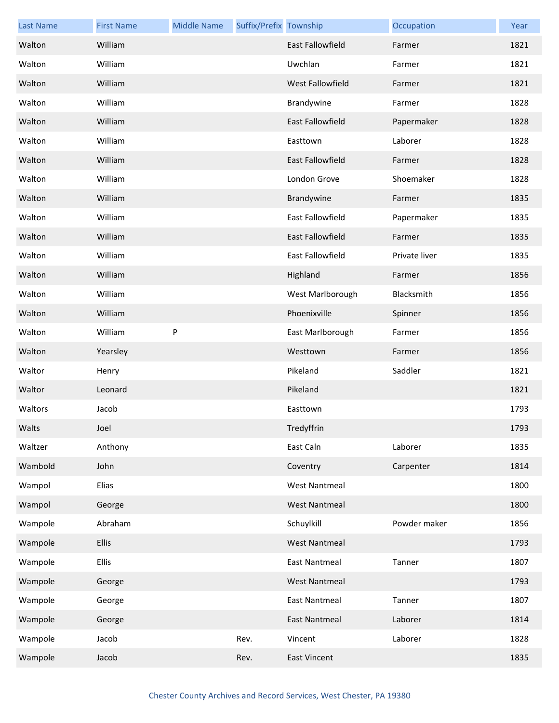| <b>Last Name</b> | <b>First Name</b> | <b>Middle Name</b> | Suffix/Prefix Township |                         | Occupation    | Year |
|------------------|-------------------|--------------------|------------------------|-------------------------|---------------|------|
| Walton           | William           |                    |                        | <b>East Fallowfield</b> | Farmer        | 1821 |
| Walton           | William           |                    |                        | Uwchlan                 | Farmer        | 1821 |
| Walton           | William           |                    |                        | <b>West Fallowfield</b> | Farmer        | 1821 |
| Walton           | William           |                    |                        | Brandywine              | Farmer        | 1828 |
| Walton           | William           |                    |                        | <b>East Fallowfield</b> | Papermaker    | 1828 |
| Walton           | William           |                    |                        | Easttown                | Laborer       | 1828 |
| Walton           | William           |                    |                        | <b>East Fallowfield</b> | Farmer        | 1828 |
| Walton           | William           |                    |                        | London Grove            | Shoemaker     | 1828 |
| Walton           | William           |                    |                        | Brandywine              | Farmer        | 1835 |
| Walton           | William           |                    |                        | East Fallowfield        | Papermaker    | 1835 |
| Walton           | William           |                    |                        | <b>East Fallowfield</b> | Farmer        | 1835 |
| Walton           | William           |                    |                        | <b>East Fallowfield</b> | Private liver | 1835 |
| Walton           | William           |                    |                        | Highland                | Farmer        | 1856 |
| Walton           | William           |                    |                        | West Marlborough        | Blacksmith    | 1856 |
| Walton           | William           |                    |                        | Phoenixville            | Spinner       | 1856 |
| Walton           | William           | P                  |                        | East Marlborough        | Farmer        | 1856 |
| Walton           | Yearsley          |                    |                        | Westtown                | Farmer        | 1856 |
| Waltor           | Henry             |                    |                        | Pikeland                | Saddler       | 1821 |
| Waltor           | Leonard           |                    |                        | Pikeland                |               | 1821 |
| Waltors          | Jacob             |                    |                        | Easttown                |               | 1793 |
| Walts            | Joel              |                    |                        | Tredyffrin              |               | 1793 |
| Waltzer          | Anthony           |                    |                        | East Caln               | Laborer       | 1835 |
| Wambold          | John              |                    |                        | Coventry                | Carpenter     | 1814 |
| Wampol           | Elias             |                    |                        | <b>West Nantmeal</b>    |               | 1800 |
| Wampol           | George            |                    |                        | <b>West Nantmeal</b>    |               | 1800 |
| Wampole          | Abraham           |                    |                        | Schuylkill              | Powder maker  | 1856 |
| Wampole          | Ellis             |                    |                        | <b>West Nantmeal</b>    |               | 1793 |
| Wampole          | <b>Ellis</b>      |                    |                        | <b>East Nantmeal</b>    | Tanner        | 1807 |
| Wampole          | George            |                    |                        | <b>West Nantmeal</b>    |               | 1793 |
| Wampole          | George            |                    |                        | <b>East Nantmeal</b>    | Tanner        | 1807 |
| Wampole          | George            |                    |                        | <b>East Nantmeal</b>    | Laborer       | 1814 |
| Wampole          | Jacob             |                    | Rev.                   | Vincent                 | Laborer       | 1828 |
| Wampole          | Jacob             |                    | Rev.                   | <b>East Vincent</b>     |               | 1835 |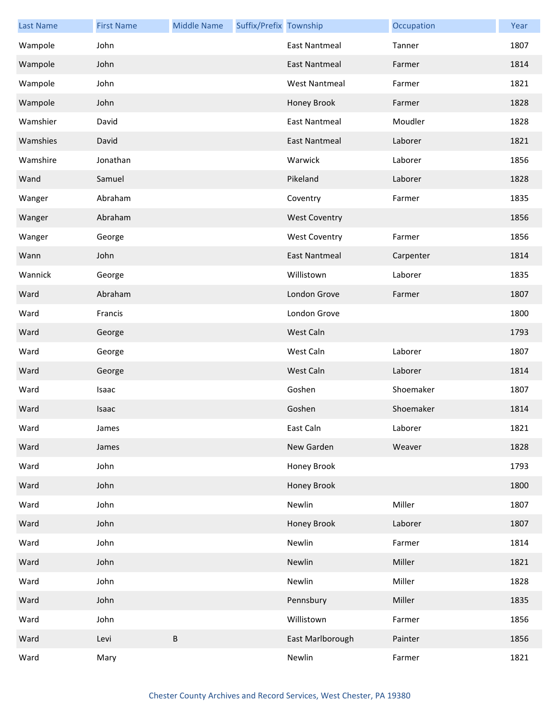| <b>Last Name</b> | <b>First Name</b> | <b>Middle Name</b> | Suffix/Prefix Township |                      | Occupation | Year |
|------------------|-------------------|--------------------|------------------------|----------------------|------------|------|
| Wampole          | John              |                    |                        | <b>East Nantmeal</b> | Tanner     | 1807 |
| Wampole          | John              |                    |                        | <b>East Nantmeal</b> | Farmer     | 1814 |
| Wampole          | John              |                    |                        | <b>West Nantmeal</b> | Farmer     | 1821 |
| Wampole          | John              |                    |                        | Honey Brook          | Farmer     | 1828 |
| Wamshier         | David             |                    |                        | <b>East Nantmeal</b> | Moudler    | 1828 |
| Wamshies         | David             |                    |                        | <b>East Nantmeal</b> | Laborer    | 1821 |
| Wamshire         | Jonathan          |                    |                        | Warwick              | Laborer    | 1856 |
| Wand             | Samuel            |                    |                        | Pikeland             | Laborer    | 1828 |
| Wanger           | Abraham           |                    |                        | Coventry             | Farmer     | 1835 |
| Wanger           | Abraham           |                    |                        | <b>West Coventry</b> |            | 1856 |
| Wanger           | George            |                    |                        | <b>West Coventry</b> | Farmer     | 1856 |
| Wann             | John              |                    |                        | <b>East Nantmeal</b> | Carpenter  | 1814 |
| Wannick          | George            |                    |                        | Willistown           | Laborer    | 1835 |
| Ward             | Abraham           |                    |                        | London Grove         | Farmer     | 1807 |
| Ward             | Francis           |                    |                        | London Grove         |            | 1800 |
| Ward             | George            |                    |                        | West Caln            |            | 1793 |
| Ward             | George            |                    |                        | West Caln            | Laborer    | 1807 |
| Ward             | George            |                    |                        | West Caln            | Laborer    | 1814 |
| Ward             | Isaac             |                    |                        | Goshen               | Shoemaker  | 1807 |
| Ward             | Isaac             |                    |                        | Goshen               | Shoemaker  | 1814 |
| Ward             | James             |                    |                        | East Caln            | Laborer    | 1821 |
| Ward             | James             |                    |                        | New Garden           | Weaver     | 1828 |
| Ward             | John              |                    |                        | Honey Brook          |            | 1793 |
| Ward             | John              |                    |                        | Honey Brook          |            | 1800 |
| Ward             | John              |                    |                        | Newlin               | Miller     | 1807 |
| Ward             | John              |                    |                        | Honey Brook          | Laborer    | 1807 |
| Ward             | John              |                    |                        | Newlin               | Farmer     | 1814 |
| Ward             | John              |                    |                        | Newlin               | Miller     | 1821 |
| Ward             | John              |                    |                        | Newlin               | Miller     | 1828 |
| Ward             | John              |                    |                        | Pennsbury            | Miller     | 1835 |
| Ward             | John              |                    |                        | Willistown           | Farmer     | 1856 |
| Ward             | Levi              | В                  |                        | East Marlborough     | Painter    | 1856 |
| Ward             | Mary              |                    |                        | Newlin               | Farmer     | 1821 |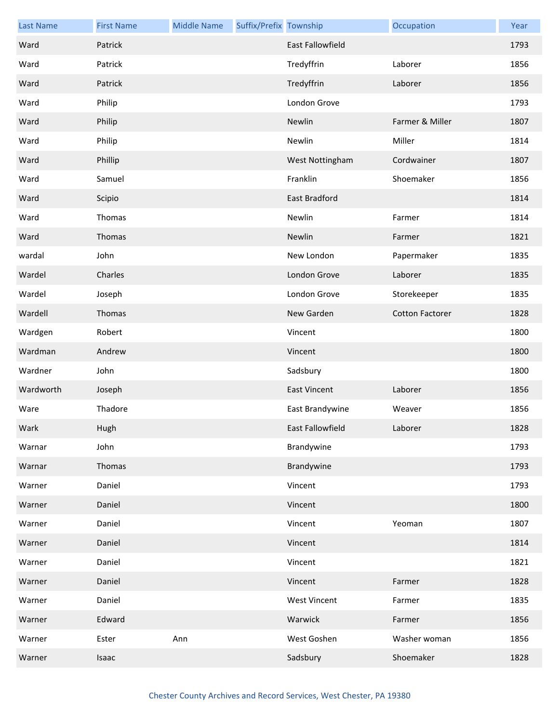| <b>Last Name</b> | <b>First Name</b> | <b>Middle Name</b> | Suffix/Prefix Township |                         | Occupation             | Year |
|------------------|-------------------|--------------------|------------------------|-------------------------|------------------------|------|
| Ward             | Patrick           |                    |                        | <b>East Fallowfield</b> |                        | 1793 |
| Ward             | Patrick           |                    |                        | Tredyffrin              | Laborer                | 1856 |
| Ward             | Patrick           |                    |                        | Tredyffrin              | Laborer                | 1856 |
| Ward             | Philip            |                    |                        | London Grove            |                        | 1793 |
| Ward             | Philip            |                    |                        | Newlin                  | Farmer & Miller        | 1807 |
| Ward             | Philip            |                    |                        | Newlin                  | Miller                 | 1814 |
| Ward             | Phillip           |                    |                        | West Nottingham         | Cordwainer             | 1807 |
| Ward             | Samuel            |                    |                        | Franklin                | Shoemaker              | 1856 |
| Ward             | Scipio            |                    |                        | East Bradford           |                        | 1814 |
| Ward             | Thomas            |                    |                        | Newlin                  | Farmer                 | 1814 |
| Ward             | Thomas            |                    |                        | Newlin                  | Farmer                 | 1821 |
| wardal           | John              |                    |                        | New London              | Papermaker             | 1835 |
| Wardel           | Charles           |                    |                        | London Grove            | Laborer                | 1835 |
| Wardel           | Joseph            |                    |                        | London Grove            | Storekeeper            | 1835 |
| Wardell          | Thomas            |                    |                        | New Garden              | <b>Cotton Factorer</b> | 1828 |
| Wardgen          | Robert            |                    |                        | Vincent                 |                        | 1800 |
| Wardman          | Andrew            |                    |                        | Vincent                 |                        | 1800 |
| Wardner          | John              |                    |                        | Sadsbury                |                        | 1800 |
| Wardworth        | Joseph            |                    |                        | <b>East Vincent</b>     | Laborer                | 1856 |
| Ware             | Thadore           |                    |                        | East Brandywine         | Weaver                 | 1856 |
| Wark             | Hugh              |                    |                        | East Fallowfield        | Laborer                | 1828 |
| Warnar           | John              |                    |                        | Brandywine              |                        | 1793 |
| Warnar           | Thomas            |                    |                        | Brandywine              |                        | 1793 |
| Warner           | Daniel            |                    |                        | Vincent                 |                        | 1793 |
| Warner           | Daniel            |                    |                        | Vincent                 |                        | 1800 |
| Warner           | Daniel            |                    |                        | Vincent                 | Yeoman                 | 1807 |
| Warner           | Daniel            |                    |                        | Vincent                 |                        | 1814 |
| Warner           | Daniel            |                    |                        | Vincent                 |                        | 1821 |
| Warner           | Daniel            |                    |                        | Vincent                 | Farmer                 | 1828 |
| Warner           | Daniel            |                    |                        | <b>West Vincent</b>     | Farmer                 | 1835 |
| Warner           | Edward            |                    |                        | Warwick                 | Farmer                 | 1856 |
| Warner           | Ester             | Ann                |                        | West Goshen             | Washer woman           | 1856 |
| Warner           | Isaac             |                    |                        | Sadsbury                | Shoemaker              | 1828 |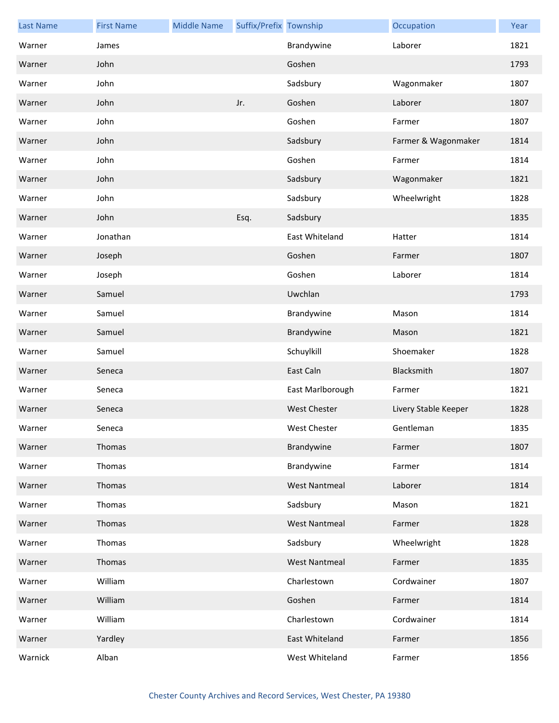| <b>Last Name</b> | <b>First Name</b> | <b>Middle Name</b> | Suffix/Prefix Township |                      | Occupation           | Year |
|------------------|-------------------|--------------------|------------------------|----------------------|----------------------|------|
| Warner           | James             |                    |                        | Brandywine           | Laborer              | 1821 |
| Warner           | John              |                    |                        | Goshen               |                      | 1793 |
| Warner           | John              |                    |                        | Sadsbury             | Wagonmaker           | 1807 |
| Warner           | John              |                    | Jr.                    | Goshen               | Laborer              | 1807 |
| Warner           | John              |                    |                        | Goshen               | Farmer               | 1807 |
| Warner           | John              |                    |                        | Sadsbury             | Farmer & Wagonmaker  | 1814 |
| Warner           | John              |                    |                        | Goshen               | Farmer               | 1814 |
| Warner           | John              |                    |                        | Sadsbury             | Wagonmaker           | 1821 |
| Warner           | John              |                    |                        | Sadsbury             | Wheelwright          | 1828 |
| Warner           | John              |                    | Esq.                   | Sadsbury             |                      | 1835 |
| Warner           | Jonathan          |                    |                        | East Whiteland       | Hatter               | 1814 |
| Warner           | Joseph            |                    |                        | Goshen               | Farmer               | 1807 |
| Warner           | Joseph            |                    |                        | Goshen               | Laborer              | 1814 |
| Warner           | Samuel            |                    |                        | Uwchlan              |                      | 1793 |
| Warner           | Samuel            |                    |                        | Brandywine           | Mason                | 1814 |
| Warner           | Samuel            |                    |                        | Brandywine           | Mason                | 1821 |
| Warner           | Samuel            |                    |                        | Schuylkill           | Shoemaker            | 1828 |
| Warner           | Seneca            |                    |                        | East Caln            | Blacksmith           | 1807 |
| Warner           | Seneca            |                    |                        | East Marlborough     | Farmer               | 1821 |
| Warner           | Seneca            |                    |                        | <b>West Chester</b>  | Livery Stable Keeper | 1828 |
| Warner           | Seneca            |                    |                        | West Chester         | Gentleman            | 1835 |
| Warner           | Thomas            |                    |                        | Brandywine           | Farmer               | 1807 |
| Warner           | Thomas            |                    |                        | Brandywine           | Farmer               | 1814 |
| Warner           | Thomas            |                    |                        | <b>West Nantmeal</b> | Laborer              | 1814 |
| Warner           | Thomas            |                    |                        | Sadsbury             | Mason                | 1821 |
| Warner           | Thomas            |                    |                        | <b>West Nantmeal</b> | Farmer               | 1828 |
| Warner           | Thomas            |                    |                        | Sadsbury             | Wheelwright          | 1828 |
| Warner           | Thomas            |                    |                        | <b>West Nantmeal</b> | Farmer               | 1835 |
| Warner           | William           |                    |                        | Charlestown          | Cordwainer           | 1807 |
| Warner           | William           |                    |                        | Goshen               | Farmer               | 1814 |
| Warner           | William           |                    |                        | Charlestown          | Cordwainer           | 1814 |
| Warner           | Yardley           |                    |                        | East Whiteland       | Farmer               | 1856 |
| Warnick          | Alban             |                    |                        | West Whiteland       | Farmer               | 1856 |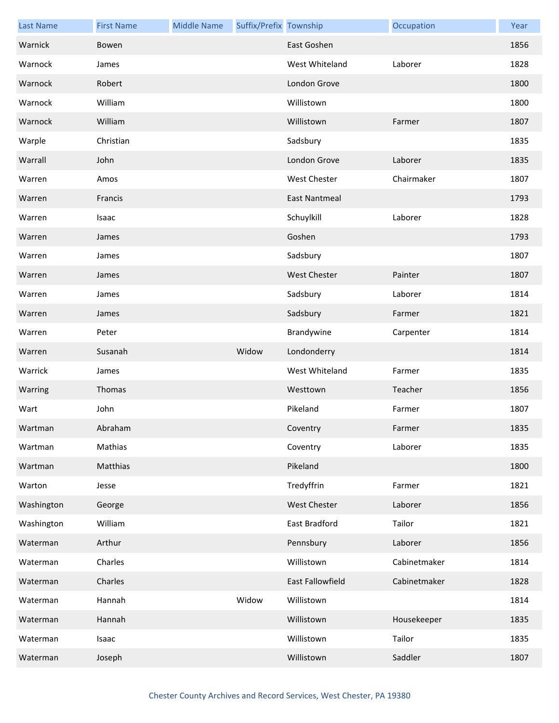| <b>Last Name</b> | <b>First Name</b> | <b>Middle Name</b> | Suffix/Prefix Township |                      | Occupation   | Year |
|------------------|-------------------|--------------------|------------------------|----------------------|--------------|------|
| Warnick          | Bowen             |                    |                        | East Goshen          |              | 1856 |
| Warnock          | James             |                    |                        | West Whiteland       | Laborer      | 1828 |
| Warnock          | Robert            |                    |                        | London Grove         |              | 1800 |
| Warnock          | William           |                    |                        | Willistown           |              | 1800 |
| Warnock          | William           |                    |                        | Willistown           | Farmer       | 1807 |
| Warple           | Christian         |                    |                        | Sadsbury             |              | 1835 |
| Warrall          | John              |                    |                        | London Grove         | Laborer      | 1835 |
| Warren           | Amos              |                    |                        | <b>West Chester</b>  | Chairmaker   | 1807 |
| Warren           | Francis           |                    |                        | <b>East Nantmeal</b> |              | 1793 |
| Warren           | Isaac             |                    |                        | Schuylkill           | Laborer      | 1828 |
| Warren           | James             |                    |                        | Goshen               |              | 1793 |
| Warren           | James             |                    |                        | Sadsbury             |              | 1807 |
| Warren           | James             |                    |                        | <b>West Chester</b>  | Painter      | 1807 |
| Warren           | James             |                    |                        | Sadsbury             | Laborer      | 1814 |
| Warren           | James             |                    |                        | Sadsbury             | Farmer       | 1821 |
| Warren           | Peter             |                    |                        | Brandywine           | Carpenter    | 1814 |
| Warren           | Susanah           |                    | Widow                  | Londonderry          |              | 1814 |
| Warrick          | James             |                    |                        | West Whiteland       | Farmer       | 1835 |
| Warring          | Thomas            |                    |                        | Westtown             | Teacher      | 1856 |
| Wart             | John              |                    |                        | Pikeland             | Farmer       | 1807 |
| Wartman          | Abraham           |                    |                        | Coventry             | Farmer       | 1835 |
| Wartman          | Mathias           |                    |                        | Coventry             | Laborer      | 1835 |
| Wartman          | Matthias          |                    |                        | Pikeland             |              | 1800 |
| Warton           | Jesse             |                    |                        | Tredyffrin           | Farmer       | 1821 |
| Washington       | George            |                    |                        | West Chester         | Laborer      | 1856 |
| Washington       | William           |                    |                        | East Bradford        | Tailor       | 1821 |
| Waterman         | Arthur            |                    |                        | Pennsbury            | Laborer      | 1856 |
| Waterman         | Charles           |                    |                        | Willistown           | Cabinetmaker | 1814 |
| Waterman         | Charles           |                    |                        | East Fallowfield     | Cabinetmaker | 1828 |
| Waterman         | Hannah            |                    | Widow                  | Willistown           |              | 1814 |
| Waterman         | Hannah            |                    |                        | Willistown           | Housekeeper  | 1835 |
| Waterman         | Isaac             |                    |                        | Willistown           | Tailor       | 1835 |
| Waterman         | Joseph            |                    |                        | Willistown           | Saddler      | 1807 |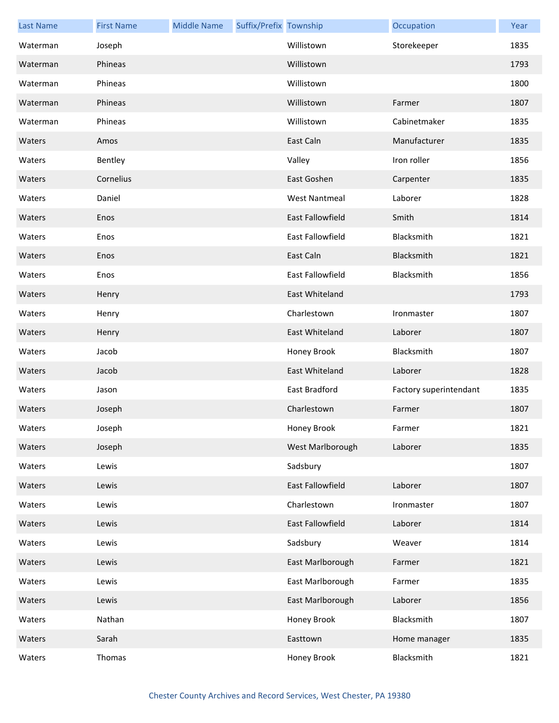| <b>Last Name</b> | <b>First Name</b> | <b>Middle Name</b> | Suffix/Prefix Township |                         | Occupation             | Year |
|------------------|-------------------|--------------------|------------------------|-------------------------|------------------------|------|
| Waterman         | Joseph            |                    |                        | Willistown              | Storekeeper            | 1835 |
| Waterman         | Phineas           |                    |                        | Willistown              |                        | 1793 |
| Waterman         | Phineas           |                    |                        | Willistown              |                        | 1800 |
| Waterman         | Phineas           |                    |                        | Willistown              | Farmer                 | 1807 |
| Waterman         | Phineas           |                    |                        | Willistown              | Cabinetmaker           | 1835 |
| Waters           | Amos              |                    |                        | East Caln               | Manufacturer           | 1835 |
| Waters           | Bentley           |                    |                        | Valley                  | Iron roller            | 1856 |
| Waters           | Cornelius         |                    |                        | East Goshen             | Carpenter              | 1835 |
| Waters           | Daniel            |                    |                        | <b>West Nantmeal</b>    | Laborer                | 1828 |
| Waters           | Enos              |                    |                        | <b>East Fallowfield</b> | Smith                  | 1814 |
| Waters           | Enos              |                    |                        | East Fallowfield        | Blacksmith             | 1821 |
| Waters           | Enos              |                    |                        | East Caln               | Blacksmith             | 1821 |
| Waters           | Enos              |                    |                        | East Fallowfield        | Blacksmith             | 1856 |
| Waters           | Henry             |                    |                        | East Whiteland          |                        | 1793 |
| Waters           | Henry             |                    |                        | Charlestown             | Ironmaster             | 1807 |
| Waters           | Henry             |                    |                        | <b>East Whiteland</b>   | Laborer                | 1807 |
| Waters           | Jacob             |                    |                        | Honey Brook             | Blacksmith             | 1807 |
| Waters           | Jacob             |                    |                        | East Whiteland          | Laborer                | 1828 |
| Waters           | Jason             |                    |                        | East Bradford           | Factory superintendant | 1835 |
| Waters           | Joseph            |                    |                        | Charlestown             | Farmer                 | 1807 |
| Waters           | Joseph            |                    |                        | Honey Brook             | Farmer                 | 1821 |
| Waters           | Joseph            |                    |                        | West Marlborough        | Laborer                | 1835 |
| Waters           | Lewis             |                    |                        | Sadsbury                |                        | 1807 |
| Waters           | Lewis             |                    |                        | East Fallowfield        | Laborer                | 1807 |
| Waters           | Lewis             |                    |                        | Charlestown             | Ironmaster             | 1807 |
| Waters           | Lewis             |                    |                        | East Fallowfield        | Laborer                | 1814 |
| Waters           | Lewis             |                    |                        | Sadsbury                | Weaver                 | 1814 |
| Waters           | Lewis             |                    |                        | East Marlborough        | Farmer                 | 1821 |
| Waters           | Lewis             |                    |                        | East Marlborough        | Farmer                 | 1835 |
| Waters           | Lewis             |                    |                        | East Marlborough        | Laborer                | 1856 |
| Waters           | Nathan            |                    |                        | Honey Brook             | Blacksmith             | 1807 |
| Waters           | Sarah             |                    |                        | Easttown                | Home manager           | 1835 |
| Waters           | Thomas            |                    |                        | Honey Brook             | Blacksmith             | 1821 |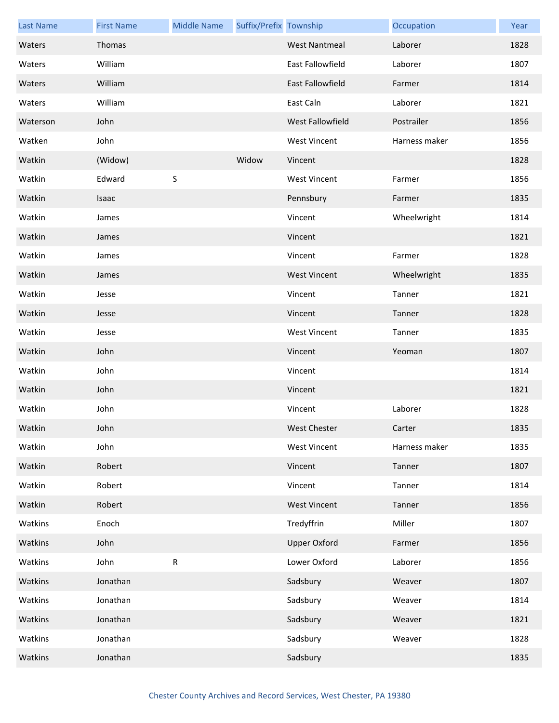| <b>Last Name</b> | <b>First Name</b> | <b>Middle Name</b> | Suffix/Prefix Township |                         | Occupation    | Year |
|------------------|-------------------|--------------------|------------------------|-------------------------|---------------|------|
| Waters           | Thomas            |                    |                        | <b>West Nantmeal</b>    | Laborer       | 1828 |
| Waters           | William           |                    |                        | East Fallowfield        | Laborer       | 1807 |
| Waters           | William           |                    |                        | East Fallowfield        | Farmer        | 1814 |
| Waters           | William           |                    |                        | East Caln               | Laborer       | 1821 |
| Waterson         | John              |                    |                        | <b>West Fallowfield</b> | Postrailer    | 1856 |
| Watken           | John              |                    |                        | <b>West Vincent</b>     | Harness maker | 1856 |
| Watkin           | (Widow)           |                    | Widow                  | Vincent                 |               | 1828 |
| Watkin           | Edward            | $\sf S$            |                        | <b>West Vincent</b>     | Farmer        | 1856 |
| Watkin           | Isaac             |                    |                        | Pennsbury               | Farmer        | 1835 |
| Watkin           | James             |                    |                        | Vincent                 | Wheelwright   | 1814 |
| Watkin           | James             |                    |                        | Vincent                 |               | 1821 |
| Watkin           | James             |                    |                        | Vincent                 | Farmer        | 1828 |
| Watkin           | James             |                    |                        | <b>West Vincent</b>     | Wheelwright   | 1835 |
| Watkin           | Jesse             |                    |                        | Vincent                 | Tanner        | 1821 |
| Watkin           | Jesse             |                    |                        | Vincent                 | Tanner        | 1828 |
| Watkin           | Jesse             |                    |                        | <b>West Vincent</b>     | Tanner        | 1835 |
| Watkin           | John              |                    |                        | Vincent                 | Yeoman        | 1807 |
| Watkin           | John              |                    |                        | Vincent                 |               | 1814 |
| Watkin           | John              |                    |                        | Vincent                 |               | 1821 |
| Watkin           | John              |                    |                        | Vincent                 | Laborer       | 1828 |
| Watkin           | John              |                    |                        | West Chester            | Carter        | 1835 |
| Watkin           | John              |                    |                        | <b>West Vincent</b>     | Harness maker | 1835 |
| Watkin           | Robert            |                    |                        | Vincent                 | Tanner        | 1807 |
| Watkin           | Robert            |                    |                        | Vincent                 | Tanner        | 1814 |
| Watkin           | Robert            |                    |                        | <b>West Vincent</b>     | Tanner        | 1856 |
| Watkins          | Enoch             |                    |                        | Tredyffrin              | Miller        | 1807 |
| Watkins          | John              |                    |                        | <b>Upper Oxford</b>     | Farmer        | 1856 |
| Watkins          | John              | ${\sf R}$          |                        | Lower Oxford            | Laborer       | 1856 |
| Watkins          | Jonathan          |                    |                        | Sadsbury                | Weaver        | 1807 |
| Watkins          | Jonathan          |                    |                        | Sadsbury                | Weaver        | 1814 |
| Watkins          | Jonathan          |                    |                        | Sadsbury                | Weaver        | 1821 |
| Watkins          | Jonathan          |                    |                        | Sadsbury                | Weaver        | 1828 |
| Watkins          | Jonathan          |                    |                        | Sadsbury                |               | 1835 |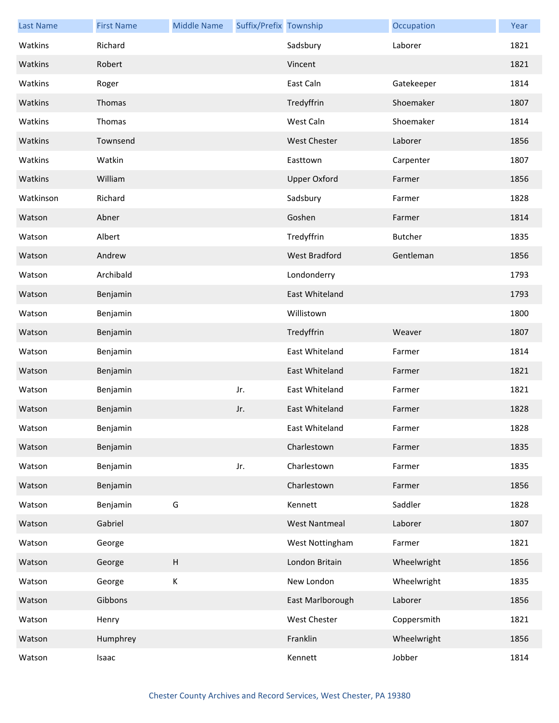| <b>Last Name</b> | <b>First Name</b> | <b>Middle Name</b> | Suffix/Prefix Township |                      | Occupation     | Year |
|------------------|-------------------|--------------------|------------------------|----------------------|----------------|------|
| Watkins          | Richard           |                    |                        | Sadsbury             | Laborer        | 1821 |
| Watkins          | Robert            |                    |                        | Vincent              |                | 1821 |
| Watkins          | Roger             |                    |                        | East Caln            | Gatekeeper     | 1814 |
| Watkins          | Thomas            |                    |                        | Tredyffrin           | Shoemaker      | 1807 |
| Watkins          | Thomas            |                    |                        | West Caln            | Shoemaker      | 1814 |
| Watkins          | Townsend          |                    |                        | <b>West Chester</b>  | Laborer        | 1856 |
| Watkins          | Watkin            |                    |                        | Easttown             | Carpenter      | 1807 |
| Watkins          | William           |                    |                        | <b>Upper Oxford</b>  | Farmer         | 1856 |
| Watkinson        | Richard           |                    |                        | Sadsbury             | Farmer         | 1828 |
| Watson           | Abner             |                    |                        | Goshen               | Farmer         | 1814 |
| Watson           | Albert            |                    |                        | Tredyffrin           | <b>Butcher</b> | 1835 |
| Watson           | Andrew            |                    |                        | West Bradford        | Gentleman      | 1856 |
| Watson           | Archibald         |                    |                        | Londonderry          |                | 1793 |
| Watson           | Benjamin          |                    |                        | East Whiteland       |                | 1793 |
| Watson           | Benjamin          |                    |                        | Willistown           |                | 1800 |
| Watson           | Benjamin          |                    |                        | Tredyffrin           | Weaver         | 1807 |
| Watson           | Benjamin          |                    |                        | East Whiteland       | Farmer         | 1814 |
| Watson           | Benjamin          |                    |                        | East Whiteland       | Farmer         | 1821 |
| Watson           | Benjamin          |                    | Jr.                    | East Whiteland       | Farmer         | 1821 |
| Watson           | Benjamin          |                    | Jr.                    | East Whiteland       | Farmer         | 1828 |
| Watson           | Benjamin          |                    |                        | East Whiteland       | Farmer         | 1828 |
| Watson           | Benjamin          |                    |                        | Charlestown          | Farmer         | 1835 |
| Watson           | Benjamin          |                    | Jr.                    | Charlestown          | Farmer         | 1835 |
| Watson           | Benjamin          |                    |                        | Charlestown          | Farmer         | 1856 |
| Watson           | Benjamin          | G                  |                        | Kennett              | Saddler        | 1828 |
| Watson           | Gabriel           |                    |                        | <b>West Nantmeal</b> | Laborer        | 1807 |
| Watson           | George            |                    |                        | West Nottingham      | Farmer         | 1821 |
| Watson           | George            | $\sf H$            |                        | London Britain       | Wheelwright    | 1856 |
| Watson           | George            | $\mathsf K$        |                        | New London           | Wheelwright    | 1835 |
| Watson           | Gibbons           |                    |                        | East Marlborough     | Laborer        | 1856 |
| Watson           | Henry             |                    |                        | <b>West Chester</b>  | Coppersmith    | 1821 |
| Watson           | Humphrey          |                    |                        | Franklin             | Wheelwright    | 1856 |
| Watson           | Isaac             |                    |                        | Kennett              | Jobber         | 1814 |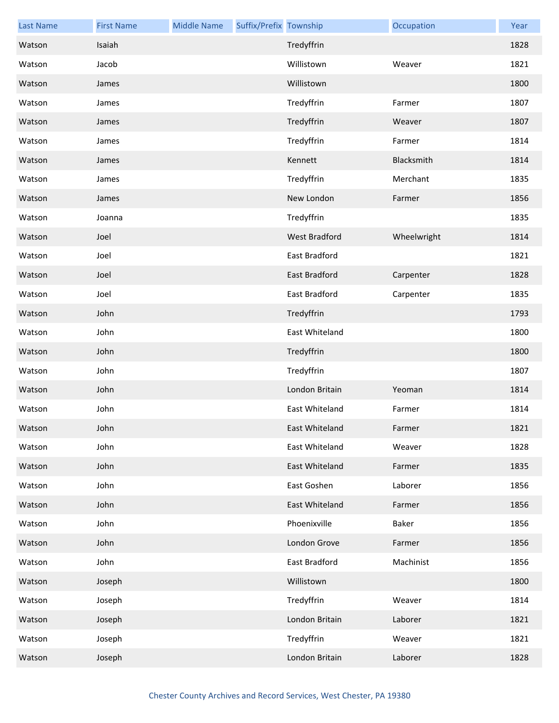| <b>Last Name</b> | <b>First Name</b> | <b>Middle Name</b> | Suffix/Prefix Township |                      | Occupation  | Year |
|------------------|-------------------|--------------------|------------------------|----------------------|-------------|------|
| Watson           | Isaiah            |                    |                        | Tredyffrin           |             | 1828 |
| Watson           | Jacob             |                    |                        | Willistown           | Weaver      | 1821 |
| Watson           | James             |                    |                        | Willistown           |             | 1800 |
| Watson           | James             |                    |                        | Tredyffrin           | Farmer      | 1807 |
| Watson           | James             |                    |                        | Tredyffrin           | Weaver      | 1807 |
| Watson           | James             |                    |                        | Tredyffrin           | Farmer      | 1814 |
| Watson           | James             |                    |                        | Kennett              | Blacksmith  | 1814 |
| Watson           | James             |                    |                        | Tredyffrin           | Merchant    | 1835 |
| Watson           | James             |                    |                        | New London           | Farmer      | 1856 |
| Watson           | Joanna            |                    |                        | Tredyffrin           |             | 1835 |
| Watson           | Joel              |                    |                        | West Bradford        | Wheelwright | 1814 |
| Watson           | Joel              |                    |                        | <b>East Bradford</b> |             | 1821 |
| Watson           | Joel              |                    |                        | East Bradford        | Carpenter   | 1828 |
| Watson           | Joel              |                    |                        | East Bradford        | Carpenter   | 1835 |
| Watson           | John              |                    |                        | Tredyffrin           |             | 1793 |
| Watson           | John              |                    |                        | East Whiteland       |             | 1800 |
| Watson           | John              |                    |                        | Tredyffrin           |             | 1800 |
| Watson           | John              |                    |                        | Tredyffrin           |             | 1807 |
| Watson           | John              |                    |                        | London Britain       | Yeoman      | 1814 |
| Watson           | John              |                    |                        | East Whiteland       | Farmer      | 1814 |
| Watson           | John              |                    |                        | East Whiteland       | Farmer      | 1821 |
| Watson           | John              |                    |                        | East Whiteland       | Weaver      | 1828 |
| Watson           | John              |                    |                        | East Whiteland       | Farmer      | 1835 |
| Watson           | John              |                    |                        | East Goshen          | Laborer     | 1856 |
| Watson           | John              |                    |                        | East Whiteland       | Farmer      | 1856 |
| Watson           | John              |                    |                        | Phoenixville         | Baker       | 1856 |
| Watson           | John              |                    |                        | London Grove         | Farmer      | 1856 |
| Watson           | John              |                    |                        | East Bradford        | Machinist   | 1856 |
| Watson           | Joseph            |                    |                        | Willistown           |             | 1800 |
| Watson           | Joseph            |                    |                        | Tredyffrin           | Weaver      | 1814 |
| Watson           | Joseph            |                    |                        | London Britain       | Laborer     | 1821 |
| Watson           | Joseph            |                    |                        | Tredyffrin           | Weaver      | 1821 |
| Watson           | Joseph            |                    |                        | London Britain       | Laborer     | 1828 |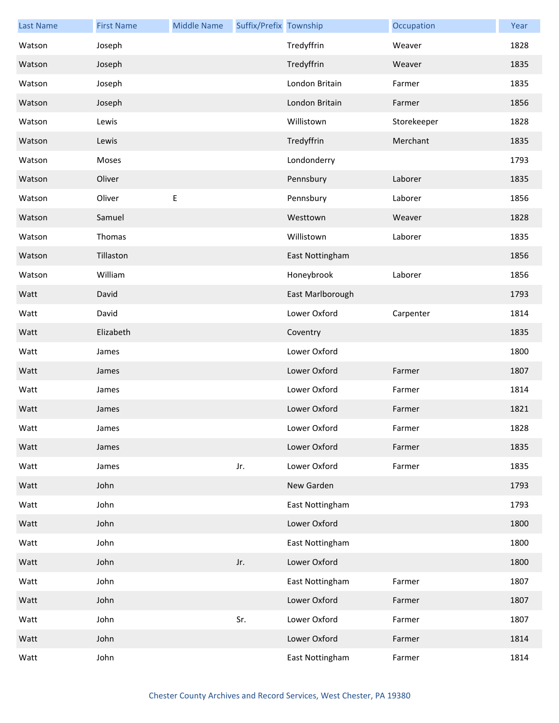| <b>Last Name</b> | <b>First Name</b> | <b>Middle Name</b> | Suffix/Prefix Township |                  | Occupation  | Year |
|------------------|-------------------|--------------------|------------------------|------------------|-------------|------|
| Watson           | Joseph            |                    |                        | Tredyffrin       | Weaver      | 1828 |
| Watson           | Joseph            |                    |                        | Tredyffrin       | Weaver      | 1835 |
| Watson           | Joseph            |                    |                        | London Britain   | Farmer      | 1835 |
| Watson           | Joseph            |                    |                        | London Britain   | Farmer      | 1856 |
| Watson           | Lewis             |                    |                        | Willistown       | Storekeeper | 1828 |
| Watson           | Lewis             |                    |                        | Tredyffrin       | Merchant    | 1835 |
| Watson           | Moses             |                    |                        | Londonderry      |             | 1793 |
| Watson           | Oliver            |                    |                        | Pennsbury        | Laborer     | 1835 |
| Watson           | Oliver            | E                  |                        | Pennsbury        | Laborer     | 1856 |
| Watson           | Samuel            |                    |                        | Westtown         | Weaver      | 1828 |
| Watson           | Thomas            |                    |                        | Willistown       | Laborer     | 1835 |
| Watson           | Tillaston         |                    |                        | East Nottingham  |             | 1856 |
| Watson           | William           |                    |                        | Honeybrook       | Laborer     | 1856 |
| Watt             | David             |                    |                        | East Marlborough |             | 1793 |
| Watt             | David             |                    |                        | Lower Oxford     | Carpenter   | 1814 |
| Watt             | Elizabeth         |                    |                        | Coventry         |             | 1835 |
| Watt             | James             |                    |                        | Lower Oxford     |             | 1800 |
| Watt             | James             |                    |                        | Lower Oxford     | Farmer      | 1807 |
| Watt             | James             |                    |                        | Lower Oxford     | Farmer      | 1814 |
| Watt             | James             |                    |                        | Lower Oxford     | Farmer      | 1821 |
| Watt             | James             |                    |                        | Lower Oxford     | Farmer      | 1828 |
| Watt             | James             |                    |                        | Lower Oxford     | Farmer      | 1835 |
| Watt             | James             |                    | Jr.                    | Lower Oxford     | Farmer      | 1835 |
| Watt             | John              |                    |                        | New Garden       |             | 1793 |
| Watt             | John              |                    |                        | East Nottingham  |             | 1793 |
| Watt             | John              |                    |                        | Lower Oxford     |             | 1800 |
| Watt             | John              |                    |                        | East Nottingham  |             | 1800 |
| Watt             | John              |                    | Jr.                    | Lower Oxford     |             | 1800 |
| Watt             | John              |                    |                        | East Nottingham  | Farmer      | 1807 |
| Watt             | John              |                    |                        | Lower Oxford     | Farmer      | 1807 |
| Watt             | John              |                    | Sr.                    | Lower Oxford     | Farmer      | 1807 |
| Watt             | John              |                    |                        | Lower Oxford     | Farmer      | 1814 |
| Watt             | John              |                    |                        | East Nottingham  | Farmer      | 1814 |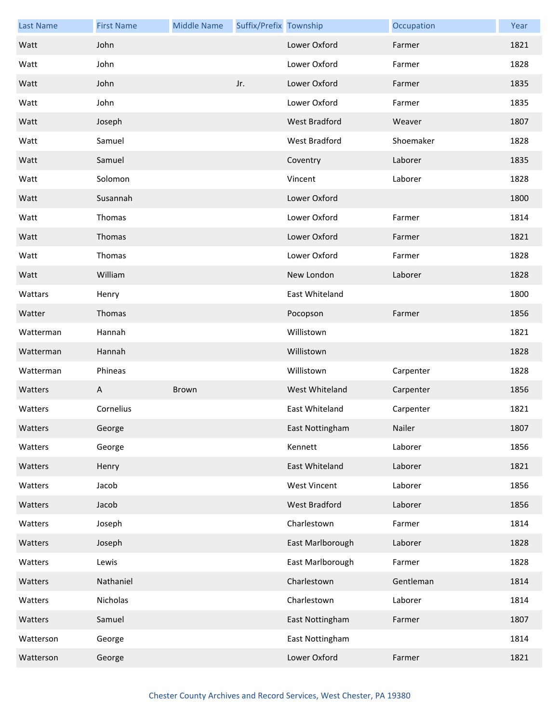| <b>Last Name</b> | <b>First Name</b> | <b>Middle Name</b> | Suffix/Prefix Township |                     | Occupation | Year |
|------------------|-------------------|--------------------|------------------------|---------------------|------------|------|
| Watt             | John              |                    |                        | Lower Oxford        | Farmer     | 1821 |
| Watt             | John              |                    |                        | Lower Oxford        | Farmer     | 1828 |
| Watt             | John              |                    | Jr.                    | Lower Oxford        | Farmer     | 1835 |
| Watt             | John              |                    |                        | Lower Oxford        | Farmer     | 1835 |
| Watt             | Joseph            |                    |                        | West Bradford       | Weaver     | 1807 |
| Watt             | Samuel            |                    |                        | West Bradford       | Shoemaker  | 1828 |
| Watt             | Samuel            |                    |                        | Coventry            | Laborer    | 1835 |
| Watt             | Solomon           |                    |                        | Vincent             | Laborer    | 1828 |
| Watt             | Susannah          |                    |                        | Lower Oxford        |            | 1800 |
| Watt             | Thomas            |                    |                        | Lower Oxford        | Farmer     | 1814 |
| Watt             | Thomas            |                    |                        | Lower Oxford        | Farmer     | 1821 |
| Watt             | Thomas            |                    |                        | Lower Oxford        | Farmer     | 1828 |
| Watt             | William           |                    |                        | New London          | Laborer    | 1828 |
| Wattars          | Henry             |                    |                        | East Whiteland      |            | 1800 |
| Watter           | Thomas            |                    |                        | Pocopson            | Farmer     | 1856 |
| Watterman        | Hannah            |                    |                        | Willistown          |            | 1821 |
| Watterman        | Hannah            |                    |                        | Willistown          |            | 1828 |
| Watterman        | Phineas           |                    |                        | Willistown          | Carpenter  | 1828 |
| Watters          | A                 | Brown              |                        | West Whiteland      | Carpenter  | 1856 |
| Watters          | Cornelius         |                    |                        | East Whiteland      | Carpenter  | 1821 |
| Watters          | George            |                    |                        | East Nottingham     | Nailer     | 1807 |
| Watters          | George            |                    |                        | Kennett             | Laborer    | 1856 |
| Watters          | Henry             |                    |                        | East Whiteland      | Laborer    | 1821 |
| Watters          | Jacob             |                    |                        | <b>West Vincent</b> | Laborer    | 1856 |
| Watters          | Jacob             |                    |                        | West Bradford       | Laborer    | 1856 |
| Watters          | Joseph            |                    |                        | Charlestown         | Farmer     | 1814 |
| Watters          | Joseph            |                    |                        | East Marlborough    | Laborer    | 1828 |
| Watters          | Lewis             |                    |                        | East Marlborough    | Farmer     | 1828 |
| Watters          | Nathaniel         |                    |                        | Charlestown         | Gentleman  | 1814 |
| Watters          | Nicholas          |                    |                        | Charlestown         | Laborer    | 1814 |
| Watters          | Samuel            |                    |                        | East Nottingham     | Farmer     | 1807 |
| Watterson        | George            |                    |                        | East Nottingham     |            | 1814 |
| Watterson        | George            |                    |                        | Lower Oxford        | Farmer     | 1821 |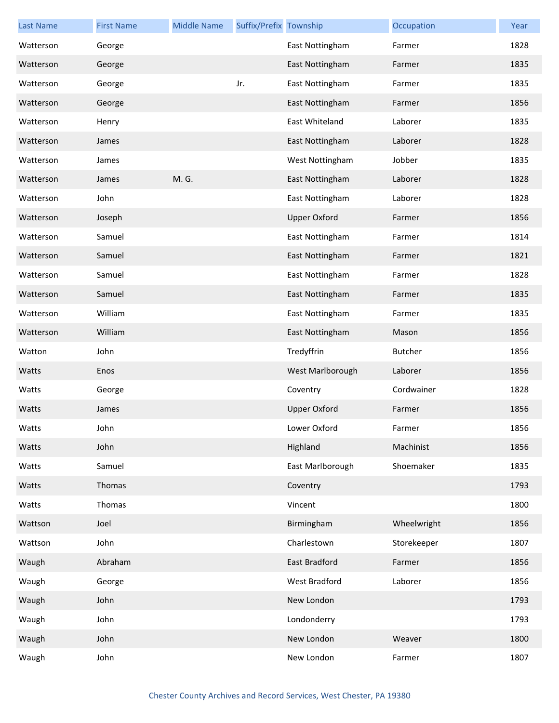| <b>Last Name</b> | <b>First Name</b> | <b>Middle Name</b> | Suffix/Prefix Township |                     | Occupation     | Year |
|------------------|-------------------|--------------------|------------------------|---------------------|----------------|------|
| Watterson        | George            |                    |                        | East Nottingham     | Farmer         | 1828 |
| Watterson        | George            |                    |                        | East Nottingham     | Farmer         | 1835 |
| Watterson        | George            |                    | Jr.                    | East Nottingham     | Farmer         | 1835 |
| Watterson        | George            |                    |                        | East Nottingham     | Farmer         | 1856 |
| Watterson        | Henry             |                    |                        | East Whiteland      | Laborer        | 1835 |
| Watterson        | James             |                    |                        | East Nottingham     | Laborer        | 1828 |
| Watterson        | James             |                    |                        | West Nottingham     | Jobber         | 1835 |
| Watterson        | James             | M. G.              |                        | East Nottingham     | Laborer        | 1828 |
| Watterson        | John              |                    |                        | East Nottingham     | Laborer        | 1828 |
| Watterson        | Joseph            |                    |                        | <b>Upper Oxford</b> | Farmer         | 1856 |
| Watterson        | Samuel            |                    |                        | East Nottingham     | Farmer         | 1814 |
| Watterson        | Samuel            |                    |                        | East Nottingham     | Farmer         | 1821 |
| Watterson        | Samuel            |                    |                        | East Nottingham     | Farmer         | 1828 |
| Watterson        | Samuel            |                    |                        | East Nottingham     | Farmer         | 1835 |
| Watterson        | William           |                    |                        | East Nottingham     | Farmer         | 1835 |
| Watterson        | William           |                    |                        | East Nottingham     | Mason          | 1856 |
| Watton           | John              |                    |                        | Tredyffrin          | <b>Butcher</b> | 1856 |
| Watts            | Enos              |                    |                        | West Marlborough    | Laborer        | 1856 |
| Watts            | George            |                    |                        | Coventry            | Cordwainer     | 1828 |
| Watts            | James             |                    |                        | <b>Upper Oxford</b> | Farmer         | 1856 |
| Watts            | John              |                    |                        | Lower Oxford        | Farmer         | 1856 |
| Watts            | John              |                    |                        | Highland            | Machinist      | 1856 |
| Watts            | Samuel            |                    |                        | East Marlborough    | Shoemaker      | 1835 |
| Watts            | Thomas            |                    |                        | Coventry            |                | 1793 |
| Watts            | Thomas            |                    |                        | Vincent             |                | 1800 |
| Wattson          | Joel              |                    |                        | Birmingham          | Wheelwright    | 1856 |
| Wattson          | John              |                    |                        | Charlestown         | Storekeeper    | 1807 |
| Waugh            | Abraham           |                    |                        | East Bradford       | Farmer         | 1856 |
| Waugh            | George            |                    |                        | West Bradford       | Laborer        | 1856 |
| Waugh            | John              |                    |                        | New London          |                | 1793 |
| Waugh            | John              |                    |                        | Londonderry         |                | 1793 |
| Waugh            | John              |                    |                        | New London          | Weaver         | 1800 |
| Waugh            | John              |                    |                        | New London          | Farmer         | 1807 |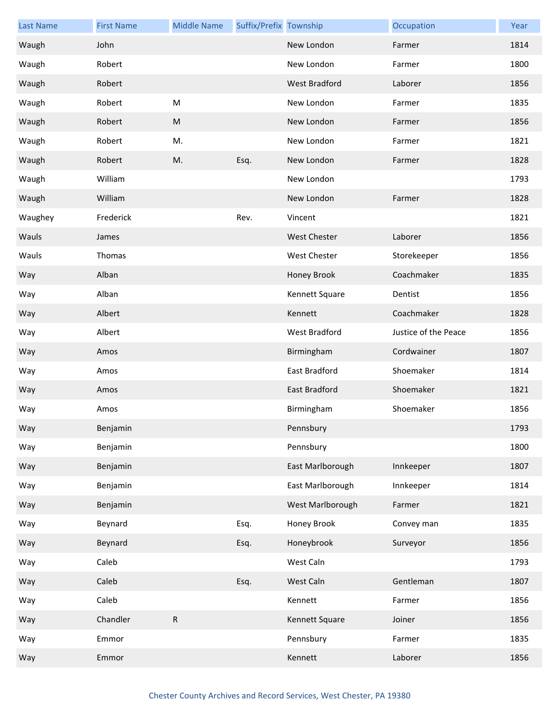| <b>Last Name</b> | <b>First Name</b> | <b>Middle Name</b> | Suffix/Prefix Township |                      | Occupation           | Year |
|------------------|-------------------|--------------------|------------------------|----------------------|----------------------|------|
| Waugh            | John              |                    |                        | New London           | Farmer               | 1814 |
| Waugh            | Robert            |                    |                        | New London           | Farmer               | 1800 |
| Waugh            | Robert            |                    |                        | West Bradford        | Laborer              | 1856 |
| Waugh            | Robert            | ${\sf M}$          |                        | New London           | Farmer               | 1835 |
| Waugh            | Robert            | ${\sf M}$          |                        | New London           | Farmer               | 1856 |
| Waugh            | Robert            | M.                 |                        | New London           | Farmer               | 1821 |
| Waugh            | Robert            | M.                 | Esq.                   | New London           | Farmer               | 1828 |
| Waugh            | William           |                    |                        | New London           |                      | 1793 |
| Waugh            | William           |                    |                        | New London           | Farmer               | 1828 |
| Waughey          | Frederick         |                    | Rev.                   | Vincent              |                      | 1821 |
| Wauls            | James             |                    |                        | <b>West Chester</b>  | Laborer              | 1856 |
| Wauls            | Thomas            |                    |                        | West Chester         | Storekeeper          | 1856 |
| Way              | Alban             |                    |                        | Honey Brook          | Coachmaker           | 1835 |
| Way              | Alban             |                    |                        | Kennett Square       | Dentist              | 1856 |
| Way              | Albert            |                    |                        | Kennett              | Coachmaker           | 1828 |
| Way              | Albert            |                    |                        | West Bradford        | Justice of the Peace | 1856 |
| Way              | Amos              |                    |                        | Birmingham           | Cordwainer           | 1807 |
| Way              | Amos              |                    |                        | East Bradford        | Shoemaker            | 1814 |
| Way              | Amos              |                    |                        | <b>East Bradford</b> | Shoemaker            | 1821 |
| Way              | Amos              |                    |                        | Birmingham           | Shoemaker            | 1856 |
| Way              | Benjamin          |                    |                        | Pennsbury            |                      | 1793 |
| Way              | Benjamin          |                    |                        | Pennsbury            |                      | 1800 |
| Way              | Benjamin          |                    |                        | East Marlborough     | Innkeeper            | 1807 |
| Way              | Benjamin          |                    |                        | East Marlborough     | Innkeeper            | 1814 |
| Way              | Benjamin          |                    |                        | West Marlborough     | Farmer               | 1821 |
| Way              | Beynard           |                    | Esq.                   | Honey Brook          | Convey man           | 1835 |
| Way              | Beynard           |                    | Esq.                   | Honeybrook           | Surveyor             | 1856 |
| Way              | Caleb             |                    |                        | West Caln            |                      | 1793 |
| Way              | Caleb             |                    | Esq.                   | West Caln            | Gentleman            | 1807 |
| Way              | Caleb             |                    |                        | Kennett              | Farmer               | 1856 |
| Way              | Chandler          | ${\sf R}$          |                        | Kennett Square       | Joiner               | 1856 |
| Way              | Emmor             |                    |                        | Pennsbury            | Farmer               | 1835 |
| Way              | Emmor             |                    |                        | Kennett              | Laborer              | 1856 |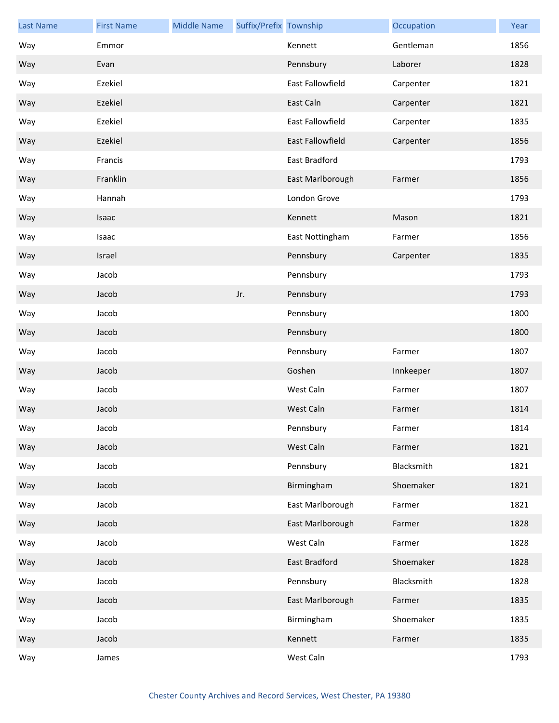| <b>Last Name</b> | <b>First Name</b> | <b>Middle Name</b> | Suffix/Prefix Township |                         | Occupation | Year |
|------------------|-------------------|--------------------|------------------------|-------------------------|------------|------|
| Way              | Emmor             |                    |                        | Kennett                 | Gentleman  | 1856 |
| Way              | Evan              |                    |                        | Pennsbury               | Laborer    | 1828 |
| Way              | Ezekiel           |                    |                        | East Fallowfield        | Carpenter  | 1821 |
| Way              | Ezekiel           |                    |                        | East Caln               | Carpenter  | 1821 |
| Way              | Ezekiel           |                    |                        | East Fallowfield        | Carpenter  | 1835 |
| Way              | Ezekiel           |                    |                        | <b>East Fallowfield</b> | Carpenter  | 1856 |
| Way              | Francis           |                    |                        | East Bradford           |            | 1793 |
| Way              | Franklin          |                    |                        | East Marlborough        | Farmer     | 1856 |
| Way              | Hannah            |                    |                        | London Grove            |            | 1793 |
| Way              | Isaac             |                    |                        | Kennett                 | Mason      | 1821 |
| Way              | Isaac             |                    |                        | East Nottingham         | Farmer     | 1856 |
| Way              | Israel            |                    |                        | Pennsbury               | Carpenter  | 1835 |
| Way              | Jacob             |                    |                        | Pennsbury               |            | 1793 |
| Way              | Jacob             |                    | Jr.                    | Pennsbury               |            | 1793 |
| Way              | Jacob             |                    |                        | Pennsbury               |            | 1800 |
| Way              | Jacob             |                    |                        | Pennsbury               |            | 1800 |
| Way              | Jacob             |                    |                        | Pennsbury               | Farmer     | 1807 |
| Way              | Jacob             |                    |                        | Goshen                  | Innkeeper  | 1807 |
| Way              | Jacob             |                    |                        | West Caln               | Farmer     | 1807 |
| Way              | Jacob             |                    |                        | West Caln               | Farmer     | 1814 |
| Way              | Jacob             |                    |                        | Pennsbury               | Farmer     | 1814 |
| Way              | Jacob             |                    |                        | West Caln               | Farmer     | 1821 |
| Way              | Jacob             |                    |                        | Pennsbury               | Blacksmith | 1821 |
| Way              | Jacob             |                    |                        | Birmingham              | Shoemaker  | 1821 |
| Way              | Jacob             |                    |                        | East Marlborough        | Farmer     | 1821 |
| Way              | Jacob             |                    |                        | East Marlborough        | Farmer     | 1828 |
| Way              | Jacob             |                    |                        | West Caln               | Farmer     | 1828 |
| Way              | Jacob             |                    |                        | East Bradford           | Shoemaker  | 1828 |
| Way              | Jacob             |                    |                        | Pennsbury               | Blacksmith | 1828 |
| Way              | Jacob             |                    |                        | East Marlborough        | Farmer     | 1835 |
| Way              | Jacob             |                    |                        | Birmingham              | Shoemaker  | 1835 |
| Way              | Jacob             |                    |                        | Kennett                 | Farmer     | 1835 |
| Way              | James             |                    |                        | West Caln               |            | 1793 |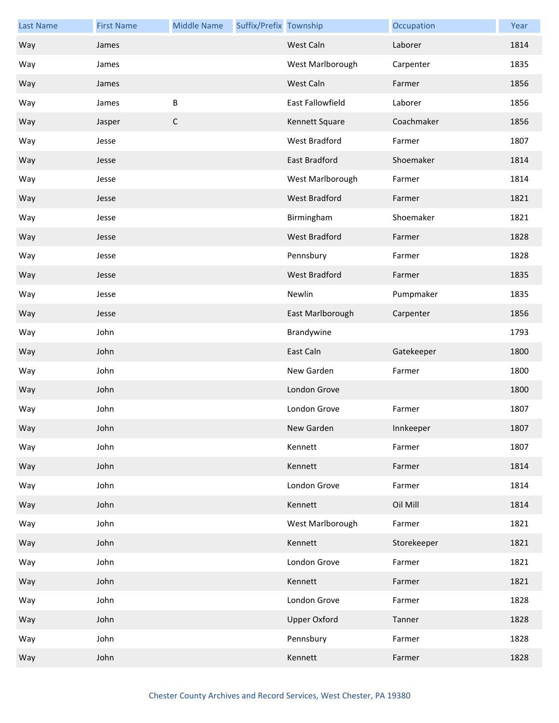| <b>Last Name</b> | <b>First Name</b> | <b>Middle Name</b> | Suffix/Prefix Township |                      | Occupation  | Year |
|------------------|-------------------|--------------------|------------------------|----------------------|-------------|------|
| Way              | James             |                    |                        | West Caln            | Laborer     | 1814 |
| Way              | James             |                    |                        | West Marlborough     | Carpenter   | 1835 |
| Way              | James             |                    |                        | West Caln            | Farmer      | 1856 |
| Way              | James             | B                  |                        | East Fallowfield     | Laborer     | 1856 |
| Way              | Jasper            | $\mathsf C$        |                        | Kennett Square       | Coachmaker  | 1856 |
| Way              | Jesse             |                    |                        | West Bradford        | Farmer      | 1807 |
| Way              | Jesse             |                    |                        | East Bradford        | Shoemaker   | 1814 |
| Way              | Jesse             |                    |                        | West Marlborough     | Farmer      | 1814 |
| Way              | Jesse             |                    |                        | <b>West Bradford</b> | Farmer      | 1821 |
| Way              | Jesse             |                    |                        | Birmingham           | Shoemaker   | 1821 |
| Way              | Jesse             |                    |                        | <b>West Bradford</b> | Farmer      | 1828 |
| Way              | Jesse             |                    |                        | Pennsbury            | Farmer      | 1828 |
| Way              | Jesse             |                    |                        | <b>West Bradford</b> | Farmer      | 1835 |
| Way              | Jesse             |                    |                        | Newlin               | Pumpmaker   | 1835 |
| Way              | Jesse             |                    |                        | East Marlborough     | Carpenter   | 1856 |
| Way              | John              |                    |                        | Brandywine           |             | 1793 |
| Way              | John              |                    |                        | East Caln            | Gatekeeper  | 1800 |
| Way              | John              |                    |                        | New Garden           | Farmer      | 1800 |
| Way              | John              |                    |                        | London Grove         |             | 1800 |
| Way              | John              |                    |                        | London Grove         | Farmer      | 1807 |
| Way              | John              |                    |                        | New Garden           | Innkeeper   | 1807 |
| Way              | John              |                    |                        | Kennett              | Farmer      | 1807 |
| Way              | John              |                    |                        | Kennett              | Farmer      | 1814 |
| Way              | John              |                    |                        | London Grove         | Farmer      | 1814 |
| Way              | John              |                    |                        | Kennett              | Oil Mill    | 1814 |
| Way              | John              |                    |                        | West Marlborough     | Farmer      | 1821 |
| Way              | John              |                    |                        | Kennett              | Storekeeper | 1821 |
| Way              | John              |                    |                        | London Grove         | Farmer      | 1821 |
| Way              | John              |                    |                        | Kennett              | Farmer      | 1821 |
| Way              | John              |                    |                        | London Grove         | Farmer      | 1828 |
| Way              | John              |                    |                        | <b>Upper Oxford</b>  | Tanner      | 1828 |
| Way              | John              |                    |                        | Pennsbury            | Farmer      | 1828 |
| Way              | John              |                    |                        | Kennett              | Farmer      | 1828 |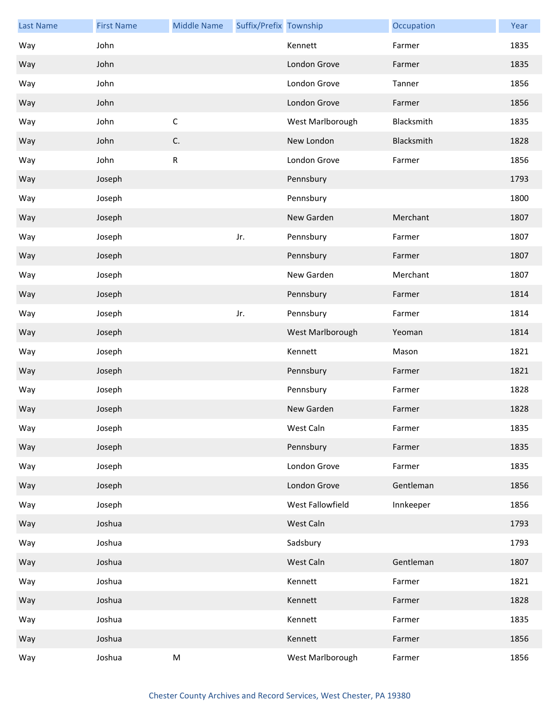| <b>Last Name</b> | <b>First Name</b> | <b>Middle Name</b> | Suffix/Prefix Township |                  | Occupation | Year |
|------------------|-------------------|--------------------|------------------------|------------------|------------|------|
| Way              | John              |                    |                        | Kennett          | Farmer     | 1835 |
| Way              | John              |                    |                        | London Grove     | Farmer     | 1835 |
| Way              | John              |                    |                        | London Grove     | Tanner     | 1856 |
| Way              | John              |                    |                        | London Grove     | Farmer     | 1856 |
| Way              | John              | $\mathsf C$        |                        | West Marlborough | Blacksmith | 1835 |
| Way              | John              | C.                 |                        | New London       | Blacksmith | 1828 |
| Way              | John              | ${\sf R}$          |                        | London Grove     | Farmer     | 1856 |
| Way              | Joseph            |                    |                        | Pennsbury        |            | 1793 |
| Way              | Joseph            |                    |                        | Pennsbury        |            | 1800 |
| Way              | Joseph            |                    |                        | New Garden       | Merchant   | 1807 |
| Way              | Joseph            |                    | Jr.                    | Pennsbury        | Farmer     | 1807 |
| Way              | Joseph            |                    |                        | Pennsbury        | Farmer     | 1807 |
| Way              | Joseph            |                    |                        | New Garden       | Merchant   | 1807 |
| Way              | Joseph            |                    |                        | Pennsbury        | Farmer     | 1814 |
| Way              | Joseph            |                    | Jr.                    | Pennsbury        | Farmer     | 1814 |
| Way              | Joseph            |                    |                        | West Marlborough | Yeoman     | 1814 |
| Way              | Joseph            |                    |                        | Kennett          | Mason      | 1821 |
| Way              | Joseph            |                    |                        | Pennsbury        | Farmer     | 1821 |
| Way              | Joseph            |                    |                        | Pennsbury        | Farmer     | 1828 |
| Way              | Joseph            |                    |                        | New Garden       | Farmer     | 1828 |
| Way              | Joseph            |                    |                        | West Caln        | Farmer     | 1835 |
| Way              | Joseph            |                    |                        | Pennsbury        | Farmer     | 1835 |
| Way              | Joseph            |                    |                        | London Grove     | Farmer     | 1835 |
| Way              | Joseph            |                    |                        | London Grove     | Gentleman  | 1856 |
| Way              | Joseph            |                    |                        | West Fallowfield | Innkeeper  | 1856 |
| Way              | Joshua            |                    |                        | West Caln        |            | 1793 |
| Way              | Joshua            |                    |                        | Sadsbury         |            | 1793 |
| Way              | Joshua            |                    |                        | West Caln        | Gentleman  | 1807 |
| Way              | Joshua            |                    |                        | Kennett          | Farmer     | 1821 |
| Way              | Joshua            |                    |                        | Kennett          | Farmer     | 1828 |
| Way              | Joshua            |                    |                        | Kennett          | Farmer     | 1835 |
| Way              | Joshua            |                    |                        | Kennett          | Farmer     | 1856 |
| Way              | Joshua            | M                  |                        | West Marlborough | Farmer     | 1856 |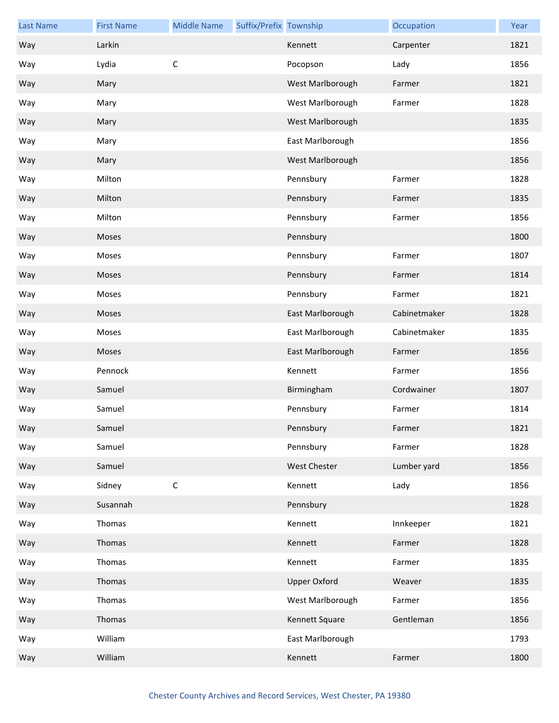| <b>Last Name</b> | <b>First Name</b> | <b>Middle Name</b> | Suffix/Prefix Township |                     | Occupation   | Year |
|------------------|-------------------|--------------------|------------------------|---------------------|--------------|------|
| Way              | Larkin            |                    |                        | Kennett             | Carpenter    | 1821 |
| Way              | Lydia             | $\mathsf C$        |                        | Pocopson            | Lady         | 1856 |
| Way              | Mary              |                    |                        | West Marlborough    | Farmer       | 1821 |
| Way              | Mary              |                    |                        | West Marlborough    | Farmer       | 1828 |
| Way              | Mary              |                    |                        | West Marlborough    |              | 1835 |
| Way              | Mary              |                    |                        | East Marlborough    |              | 1856 |
| Way              | Mary              |                    |                        | West Marlborough    |              | 1856 |
| Way              | Milton            |                    |                        | Pennsbury           | Farmer       | 1828 |
| Way              | Milton            |                    |                        | Pennsbury           | Farmer       | 1835 |
| Way              | Milton            |                    |                        | Pennsbury           | Farmer       | 1856 |
| Way              | Moses             |                    |                        | Pennsbury           |              | 1800 |
| Way              | Moses             |                    |                        | Pennsbury           | Farmer       | 1807 |
| Way              | Moses             |                    |                        | Pennsbury           | Farmer       | 1814 |
| Way              | Moses             |                    |                        | Pennsbury           | Farmer       | 1821 |
| Way              | Moses             |                    |                        | East Marlborough    | Cabinetmaker | 1828 |
| Way              | Moses             |                    |                        | East Marlborough    | Cabinetmaker | 1835 |
| Way              | Moses             |                    |                        | East Marlborough    | Farmer       | 1856 |
| Way              | Pennock           |                    |                        | Kennett             | Farmer       | 1856 |
| Way              | Samuel            |                    |                        | Birmingham          | Cordwainer   | 1807 |
| Way              | Samuel            |                    |                        | Pennsbury           | Farmer       | 1814 |
| Way              | Samuel            |                    |                        | Pennsbury           | Farmer       | 1821 |
| Way              | Samuel            |                    |                        | Pennsbury           | Farmer       | 1828 |
| Way              | Samuel            |                    |                        | West Chester        | Lumber yard  | 1856 |
| Way              | Sidney            | $\mathsf C$        |                        | Kennett             | Lady         | 1856 |
| Way              | Susannah          |                    |                        | Pennsbury           |              | 1828 |
| Way              | Thomas            |                    |                        | Kennett             | Innkeeper    | 1821 |
| Way              | Thomas            |                    |                        | Kennett             | Farmer       | 1828 |
| Way              | Thomas            |                    |                        | Kennett             | Farmer       | 1835 |
| Way              | Thomas            |                    |                        | <b>Upper Oxford</b> | Weaver       | 1835 |
| Way              | Thomas            |                    |                        | West Marlborough    | Farmer       | 1856 |
| Way              | Thomas            |                    |                        | Kennett Square      | Gentleman    | 1856 |
| Way              | William           |                    |                        | East Marlborough    |              | 1793 |
| Way              | William           |                    |                        | Kennett             | Farmer       | 1800 |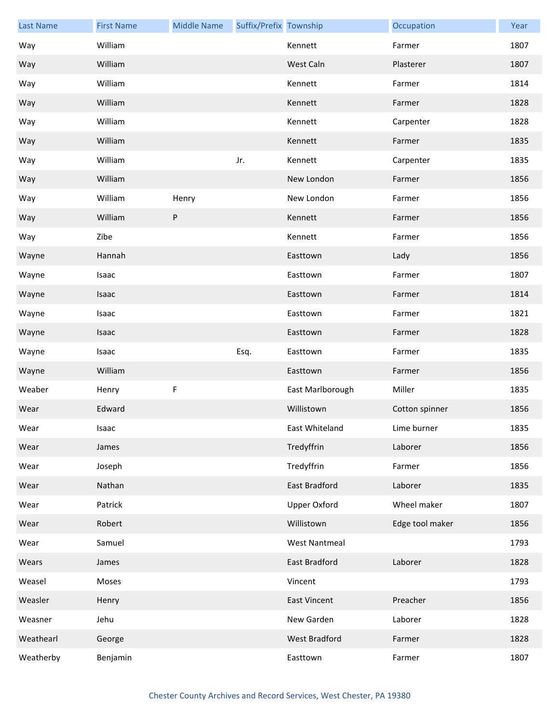| <b>Last Name</b> | <b>First Name</b> | <b>Middle Name</b> | Suffix/Prefix Township |                      | Occupation      | Year |
|------------------|-------------------|--------------------|------------------------|----------------------|-----------------|------|
| Way              | William           |                    |                        | Kennett              | Farmer          | 1807 |
| Way              | William           |                    |                        | West Caln            | Plasterer       | 1807 |
| Way              | William           |                    |                        | Kennett              | Farmer          | 1814 |
| Way              | William           |                    |                        | Kennett              | Farmer          | 1828 |
| Way              | William           |                    |                        | Kennett              | Carpenter       | 1828 |
| Way              | William           |                    |                        | Kennett              | Farmer          | 1835 |
| Way              | William           |                    | Jr.                    | Kennett              | Carpenter       | 1835 |
| Way              | William           |                    |                        | New London           | Farmer          | 1856 |
| Way              | William           | Henry              |                        | New London           | Farmer          | 1856 |
| Way              | William           | ${\sf P}$          |                        | Kennett              | Farmer          | 1856 |
| Way              | Zibe              |                    |                        | Kennett              | Farmer          | 1856 |
| Wayne            | Hannah            |                    |                        | Easttown             | Lady            | 1856 |
| Wayne            | Isaac             |                    |                        | Easttown             | Farmer          | 1807 |
| Wayne            | Isaac             |                    |                        | Easttown             | Farmer          | 1814 |
| Wayne            | Isaac             |                    |                        | Easttown             | Farmer          | 1821 |
| Wayne            | Isaac             |                    |                        | Easttown             | Farmer          | 1828 |
| Wayne            | Isaac             |                    | Esq.                   | Easttown             | Farmer          | 1835 |
| Wayne            | William           |                    |                        | Easttown             | Farmer          | 1856 |
| Weaber           | Henry             | F                  |                        | East Marlborough     | Miller          | 1835 |
| Wear             | Edward            |                    |                        | Willistown           | Cotton spinner  | 1856 |
| Wear             | Isaac             |                    |                        | East Whiteland       | Lime burner     | 1835 |
| Wear             | James             |                    |                        | Tredyffrin           | Laborer         | 1856 |
| Wear             | Joseph            |                    |                        | Tredyffrin           | Farmer          | 1856 |
| Wear             | Nathan            |                    |                        | East Bradford        | Laborer         | 1835 |
| Wear             | Patrick           |                    |                        | <b>Upper Oxford</b>  | Wheel maker     | 1807 |
| Wear             | Robert            |                    |                        | Willistown           | Edge tool maker | 1856 |
| Wear             | Samuel            |                    |                        | <b>West Nantmeal</b> |                 | 1793 |
| Wears            | James             |                    |                        | <b>East Bradford</b> | Laborer         | 1828 |
| Weasel           | Moses             |                    |                        | Vincent              |                 | 1793 |
| Weasler          | Henry             |                    |                        | <b>East Vincent</b>  | Preacher        | 1856 |
| Weasner          | Jehu              |                    |                        | New Garden           | Laborer         | 1828 |
|                  |                   |                    |                        |                      |                 |      |
| Weathearl        | George            |                    |                        | West Bradford        | Farmer          | 1828 |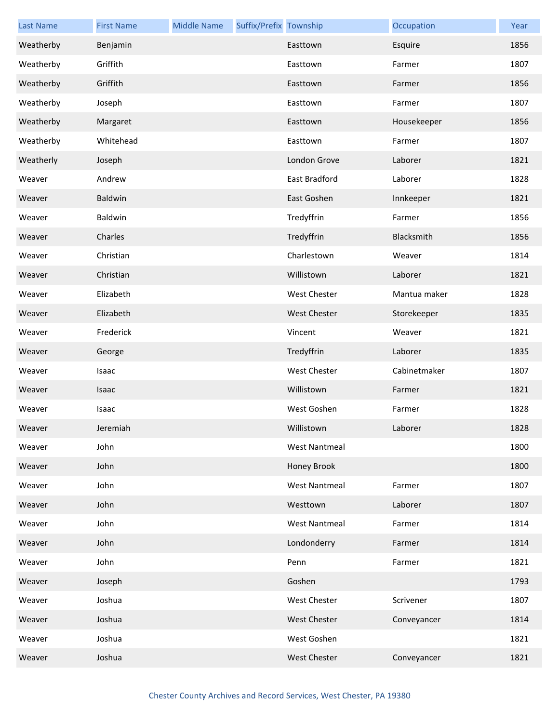| <b>Last Name</b> | <b>First Name</b> | <b>Middle Name</b> | Suffix/Prefix Township |                      | Occupation   | Year |
|------------------|-------------------|--------------------|------------------------|----------------------|--------------|------|
| Weatherby        | Benjamin          |                    |                        | Easttown             | Esquire      | 1856 |
| Weatherby        | Griffith          |                    |                        | Easttown             | Farmer       | 1807 |
| Weatherby        | Griffith          |                    |                        | Easttown             | Farmer       | 1856 |
| Weatherby        | Joseph            |                    |                        | Easttown             | Farmer       | 1807 |
| Weatherby        | Margaret          |                    |                        | Easttown             | Housekeeper  | 1856 |
| Weatherby        | Whitehead         |                    |                        | Easttown             | Farmer       | 1807 |
| Weatherly        | Joseph            |                    |                        | London Grove         | Laborer      | 1821 |
| Weaver           | Andrew            |                    |                        | <b>East Bradford</b> | Laborer      | 1828 |
| Weaver           | Baldwin           |                    |                        | East Goshen          | Innkeeper    | 1821 |
| Weaver           | Baldwin           |                    |                        | Tredyffrin           | Farmer       | 1856 |
| Weaver           | Charles           |                    |                        | Tredyffrin           | Blacksmith   | 1856 |
| Weaver           | Christian         |                    |                        | Charlestown          | Weaver       | 1814 |
| Weaver           | Christian         |                    |                        | Willistown           | Laborer      | 1821 |
| Weaver           | Elizabeth         |                    |                        | West Chester         | Mantua maker | 1828 |
| Weaver           | Elizabeth         |                    |                        | West Chester         | Storekeeper  | 1835 |
| Weaver           | Frederick         |                    |                        | Vincent              | Weaver       | 1821 |
| Weaver           | George            |                    |                        | Tredyffrin           | Laborer      | 1835 |
| Weaver           | Isaac             |                    |                        | West Chester         | Cabinetmaker | 1807 |
| Weaver           | Isaac             |                    |                        | Willistown           | Farmer       | 1821 |
| Weaver           | Isaac             |                    |                        | West Goshen          | Farmer       | 1828 |
| Weaver           | Jeremiah          |                    |                        | Willistown           | Laborer      | 1828 |
| Weaver           | John              |                    |                        | <b>West Nantmeal</b> |              | 1800 |
| Weaver           | John              |                    |                        | Honey Brook          |              | 1800 |
| Weaver           | John              |                    |                        | <b>West Nantmeal</b> | Farmer       | 1807 |
| Weaver           | John              |                    |                        | Westtown             | Laborer      | 1807 |
| Weaver           | John              |                    |                        | <b>West Nantmeal</b> | Farmer       | 1814 |
| Weaver           | John              |                    |                        | Londonderry          | Farmer       | 1814 |
| Weaver           | John              |                    |                        | Penn                 | Farmer       | 1821 |
| Weaver           | Joseph            |                    |                        | Goshen               |              | 1793 |
| Weaver           | Joshua            |                    |                        | West Chester         | Scrivener    | 1807 |
| Weaver           | Joshua            |                    |                        | West Chester         | Conveyancer  | 1814 |
| Weaver           | Joshua            |                    |                        | West Goshen          |              | 1821 |
| Weaver           | Joshua            |                    |                        | West Chester         | Conveyancer  | 1821 |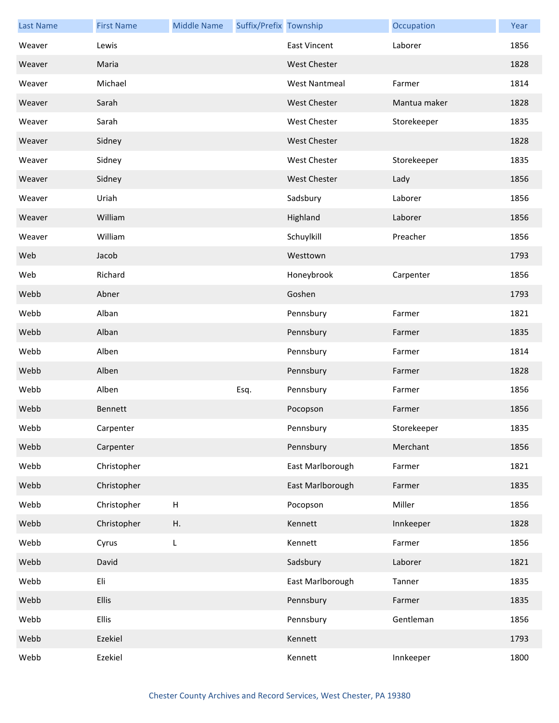| <b>Last Name</b> | <b>First Name</b> | <b>Middle Name</b>        | Suffix/Prefix Township |                      | Occupation   | Year |
|------------------|-------------------|---------------------------|------------------------|----------------------|--------------|------|
| Weaver           | Lewis             |                           |                        | <b>East Vincent</b>  | Laborer      | 1856 |
| Weaver           | Maria             |                           |                        | <b>West Chester</b>  |              | 1828 |
| Weaver           | Michael           |                           |                        | <b>West Nantmeal</b> | Farmer       | 1814 |
| Weaver           | Sarah             |                           |                        | <b>West Chester</b>  | Mantua maker | 1828 |
| Weaver           | Sarah             |                           |                        | <b>West Chester</b>  | Storekeeper  | 1835 |
| Weaver           | Sidney            |                           |                        | <b>West Chester</b>  |              | 1828 |
| Weaver           | Sidney            |                           |                        | <b>West Chester</b>  | Storekeeper  | 1835 |
| Weaver           | Sidney            |                           |                        | <b>West Chester</b>  | Lady         | 1856 |
| Weaver           | Uriah             |                           |                        | Sadsbury             | Laborer      | 1856 |
| Weaver           | William           |                           |                        | Highland             | Laborer      | 1856 |
| Weaver           | William           |                           |                        | Schuylkill           | Preacher     | 1856 |
| Web              | Jacob             |                           |                        | Westtown             |              | 1793 |
| Web              | Richard           |                           |                        | Honeybrook           | Carpenter    | 1856 |
| Webb             | Abner             |                           |                        | Goshen               |              | 1793 |
| Webb             | Alban             |                           |                        | Pennsbury            | Farmer       | 1821 |
| Webb             | Alban             |                           |                        | Pennsbury            | Farmer       | 1835 |
| Webb             | Alben             |                           |                        | Pennsbury            | Farmer       | 1814 |
| Webb             | Alben             |                           |                        | Pennsbury            | Farmer       | 1828 |
| Webb             | Alben             |                           | Esq.                   | Pennsbury            | Farmer       | 1856 |
| Webb             | Bennett           |                           |                        | Pocopson             | Farmer       | 1856 |
| Webb             | Carpenter         |                           |                        | Pennsbury            | Storekeeper  | 1835 |
| Webb             | Carpenter         |                           |                        | Pennsbury            | Merchant     | 1856 |
| Webb             | Christopher       |                           |                        | East Marlborough     | Farmer       | 1821 |
| Webb             | Christopher       |                           |                        | East Marlborough     | Farmer       | 1835 |
| Webb             | Christopher       | $\boldsymbol{\mathsf{H}}$ |                        | Pocopson             | Miller       | 1856 |
| Webb             | Christopher       | Η.                        |                        | Kennett              | Innkeeper    | 1828 |
| Webb             | Cyrus             | L                         |                        | Kennett              | Farmer       | 1856 |
| Webb             | David             |                           |                        | Sadsbury             | Laborer      | 1821 |
| Webb             | Eli               |                           |                        | East Marlborough     | Tanner       | 1835 |
| Webb             | Ellis             |                           |                        | Pennsbury            | Farmer       | 1835 |
| Webb             | <b>Ellis</b>      |                           |                        | Pennsbury            | Gentleman    | 1856 |
| Webb             | Ezekiel           |                           |                        | Kennett              |              | 1793 |
| Webb             | Ezekiel           |                           |                        | Kennett              | Innkeeper    | 1800 |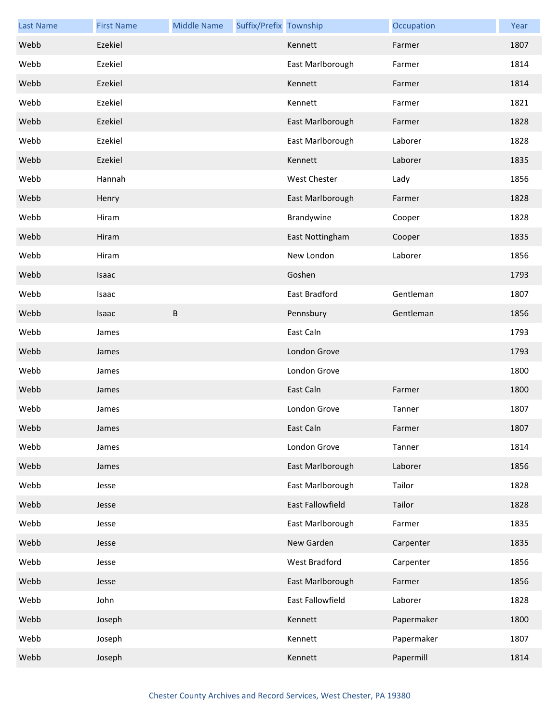| <b>Last Name</b> | <b>First Name</b> | <b>Middle Name</b> | Suffix/Prefix Township |                  | Occupation | Year |
|------------------|-------------------|--------------------|------------------------|------------------|------------|------|
| Webb             | Ezekiel           |                    |                        | Kennett          | Farmer     | 1807 |
| Webb             | Ezekiel           |                    |                        | East Marlborough | Farmer     | 1814 |
| Webb             | Ezekiel           |                    |                        | Kennett          | Farmer     | 1814 |
| Webb             | Ezekiel           |                    |                        | Kennett          | Farmer     | 1821 |
| Webb             | Ezekiel           |                    |                        | East Marlborough | Farmer     | 1828 |
| Webb             | Ezekiel           |                    |                        | East Marlborough | Laborer    | 1828 |
| Webb             | Ezekiel           |                    |                        | Kennett          | Laborer    | 1835 |
| Webb             | Hannah            |                    |                        | West Chester     | Lady       | 1856 |
| Webb             | Henry             |                    |                        | East Marlborough | Farmer     | 1828 |
| Webb             | Hiram             |                    |                        | Brandywine       | Cooper     | 1828 |
| Webb             | Hiram             |                    |                        | East Nottingham  | Cooper     | 1835 |
| Webb             | Hiram             |                    |                        | New London       | Laborer    | 1856 |
| Webb             | Isaac             |                    |                        | Goshen           |            | 1793 |
| Webb             | Isaac             |                    |                        | East Bradford    | Gentleman  | 1807 |
| Webb             | Isaac             | B                  |                        | Pennsbury        | Gentleman  | 1856 |
| Webb             | James             |                    |                        | East Caln        |            | 1793 |
| Webb             | James             |                    |                        | London Grove     |            | 1793 |
| Webb             | James             |                    |                        | London Grove     |            | 1800 |
| Webb             | James             |                    |                        | East Caln        | Farmer     | 1800 |
| Webb             | James             |                    |                        | London Grove     | Tanner     | 1807 |
| Webb             | James             |                    |                        | East Caln        | Farmer     | 1807 |
| Webb             | James             |                    |                        | London Grove     | Tanner     | 1814 |
| Webb             | James             |                    |                        | East Marlborough | Laborer    | 1856 |
| Webb             | Jesse             |                    |                        | East Marlborough | Tailor     | 1828 |
| Webb             | Jesse             |                    |                        | East Fallowfield | Tailor     | 1828 |
| Webb             | Jesse             |                    |                        | East Marlborough | Farmer     | 1835 |
| Webb             | Jesse             |                    |                        | New Garden       | Carpenter  | 1835 |
| Webb             | Jesse             |                    |                        | West Bradford    | Carpenter  | 1856 |
| Webb             | Jesse             |                    |                        | East Marlborough | Farmer     | 1856 |
| Webb             | John              |                    |                        | East Fallowfield | Laborer    | 1828 |
| Webb             | Joseph            |                    |                        | Kennett          | Papermaker | 1800 |
| Webb             | Joseph            |                    |                        | Kennett          | Papermaker | 1807 |
| Webb             | Joseph            |                    |                        | Kennett          | Papermill  | 1814 |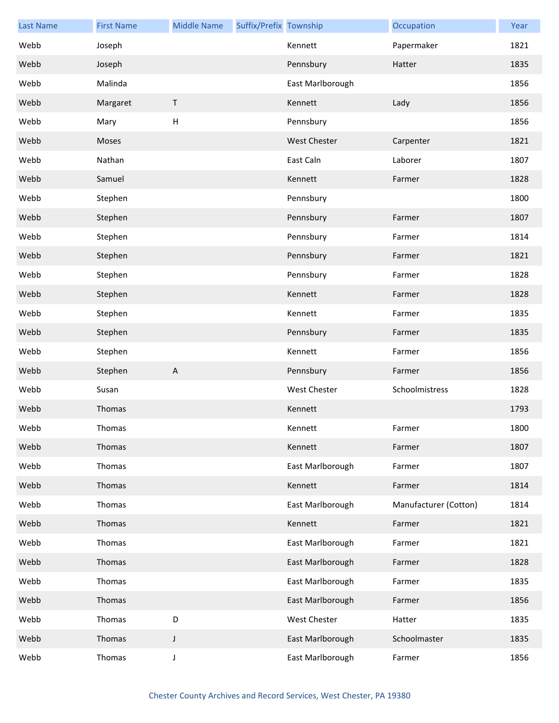| <b>Last Name</b> | <b>First Name</b> | <b>Middle Name</b>        | Suffix/Prefix Township |                     | Occupation            | Year |
|------------------|-------------------|---------------------------|------------------------|---------------------|-----------------------|------|
| Webb             | Joseph            |                           |                        | Kennett             | Papermaker            | 1821 |
| Webb             | Joseph            |                           |                        | Pennsbury           | Hatter                | 1835 |
| Webb             | Malinda           |                           |                        | East Marlborough    |                       | 1856 |
| Webb             | Margaret          | $\sf T$                   |                        | Kennett             | Lady                  | 1856 |
| Webb             | Mary              | $\mathsf{H}%$             |                        | Pennsbury           |                       | 1856 |
| Webb             | Moses             |                           |                        | <b>West Chester</b> | Carpenter             | 1821 |
| Webb             | Nathan            |                           |                        | East Caln           | Laborer               | 1807 |
| Webb             | Samuel            |                           |                        | Kennett             | Farmer                | 1828 |
| Webb             | Stephen           |                           |                        | Pennsbury           |                       | 1800 |
| Webb             | Stephen           |                           |                        | Pennsbury           | Farmer                | 1807 |
| Webb             | Stephen           |                           |                        | Pennsbury           | Farmer                | 1814 |
| Webb             | Stephen           |                           |                        | Pennsbury           | Farmer                | 1821 |
| Webb             | Stephen           |                           |                        | Pennsbury           | Farmer                | 1828 |
| Webb             | Stephen           |                           |                        | Kennett             | Farmer                | 1828 |
| Webb             | Stephen           |                           |                        | Kennett             | Farmer                | 1835 |
| Webb             | Stephen           |                           |                        | Pennsbury           | Farmer                | 1835 |
| Webb             | Stephen           |                           |                        | Kennett             | Farmer                | 1856 |
| Webb             | Stephen           | $\boldsymbol{\mathsf{A}}$ |                        | Pennsbury           | Farmer                | 1856 |
| Webb             | Susan             |                           |                        | West Chester        | Schoolmistress        | 1828 |
| Webb             | Thomas            |                           |                        | Kennett             |                       | 1793 |
| Webb             | Thomas            |                           |                        | Kennett             | Farmer                | 1800 |
| Webb             | Thomas            |                           |                        | Kennett             | Farmer                | 1807 |
| Webb             | Thomas            |                           |                        | East Marlborough    | Farmer                | 1807 |
| Webb             | Thomas            |                           |                        | Kennett             | Farmer                | 1814 |
| Webb             | Thomas            |                           |                        | East Marlborough    | Manufacturer (Cotton) | 1814 |
| Webb             | Thomas            |                           |                        | Kennett             | Farmer                | 1821 |
| Webb             | Thomas            |                           |                        | East Marlborough    | Farmer                | 1821 |
| Webb             | Thomas            |                           |                        | East Marlborough    | Farmer                | 1828 |
| Webb             | Thomas            |                           |                        | East Marlborough    | Farmer                | 1835 |
| Webb             | Thomas            |                           |                        | East Marlborough    | Farmer                | 1856 |
| Webb             | Thomas            | D                         |                        | West Chester        | Hatter                | 1835 |
| Webb             | Thomas            | J                         |                        | East Marlborough    | Schoolmaster          | 1835 |
| Webb             | Thomas            | J                         |                        | East Marlborough    | Farmer                | 1856 |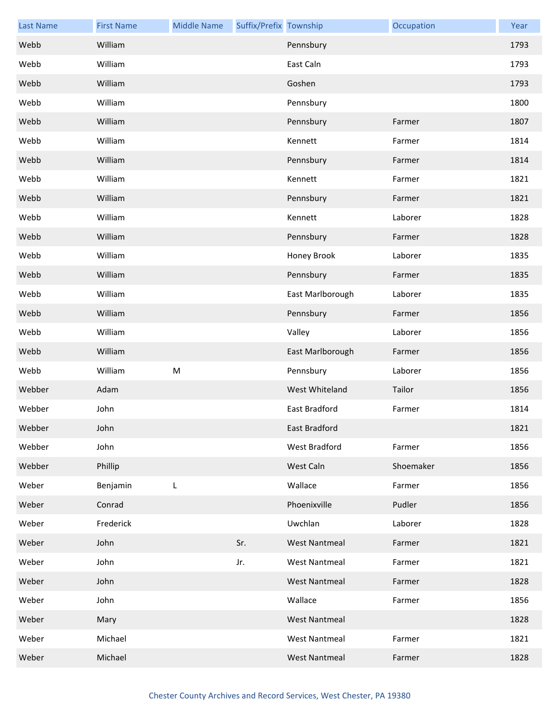| <b>Last Name</b> | <b>First Name</b> | <b>Middle Name</b> | Suffix/Prefix Township |                      | Occupation | Year |
|------------------|-------------------|--------------------|------------------------|----------------------|------------|------|
| Webb             | William           |                    |                        | Pennsbury            |            | 1793 |
| Webb             | William           |                    |                        | East Caln            |            | 1793 |
| Webb             | William           |                    |                        | Goshen               |            | 1793 |
| Webb             | William           |                    |                        | Pennsbury            |            | 1800 |
| Webb             | William           |                    |                        | Pennsbury            | Farmer     | 1807 |
| Webb             | William           |                    |                        | Kennett              | Farmer     | 1814 |
| Webb             | William           |                    |                        | Pennsbury            | Farmer     | 1814 |
| Webb             | William           |                    |                        | Kennett              | Farmer     | 1821 |
| Webb             | William           |                    |                        | Pennsbury            | Farmer     | 1821 |
| Webb             | William           |                    |                        | Kennett              | Laborer    | 1828 |
| Webb             | William           |                    |                        | Pennsbury            | Farmer     | 1828 |
| Webb             | William           |                    |                        | Honey Brook          | Laborer    | 1835 |
| Webb             | William           |                    |                        | Pennsbury            | Farmer     | 1835 |
| Webb             | William           |                    |                        | East Marlborough     | Laborer    | 1835 |
| Webb             | William           |                    |                        | Pennsbury            | Farmer     | 1856 |
| Webb             | William           |                    |                        | Valley               | Laborer    | 1856 |
| Webb             | William           |                    |                        | East Marlborough     | Farmer     | 1856 |
| Webb             | William           | M                  |                        | Pennsbury            | Laborer    | 1856 |
| Webber           | Adam              |                    |                        | West Whiteland       | Tailor     | 1856 |
| Webber           | John              |                    |                        | East Bradford        | Farmer     | 1814 |
| Webber           | John              |                    |                        | East Bradford        |            | 1821 |
| Webber           | John              |                    |                        | West Bradford        | Farmer     | 1856 |
| Webber           | Phillip           |                    |                        | West Caln            | Shoemaker  | 1856 |
| Weber            | Benjamin          | L                  |                        | Wallace              | Farmer     | 1856 |
| Weber            | Conrad            |                    |                        | Phoenixville         | Pudler     | 1856 |
| Weber            | Frederick         |                    |                        | Uwchlan              | Laborer    | 1828 |
| Weber            | John              |                    | Sr.                    | <b>West Nantmeal</b> | Farmer     | 1821 |
| Weber            | John              |                    | Jr.                    | <b>West Nantmeal</b> | Farmer     | 1821 |
| Weber            | John              |                    |                        | <b>West Nantmeal</b> | Farmer     | 1828 |
| Weber            | John              |                    |                        | Wallace              | Farmer     | 1856 |
| Weber            | Mary              |                    |                        | <b>West Nantmeal</b> |            | 1828 |
| Weber            | Michael           |                    |                        | <b>West Nantmeal</b> | Farmer     | 1821 |
| Weber            | Michael           |                    |                        | <b>West Nantmeal</b> | Farmer     | 1828 |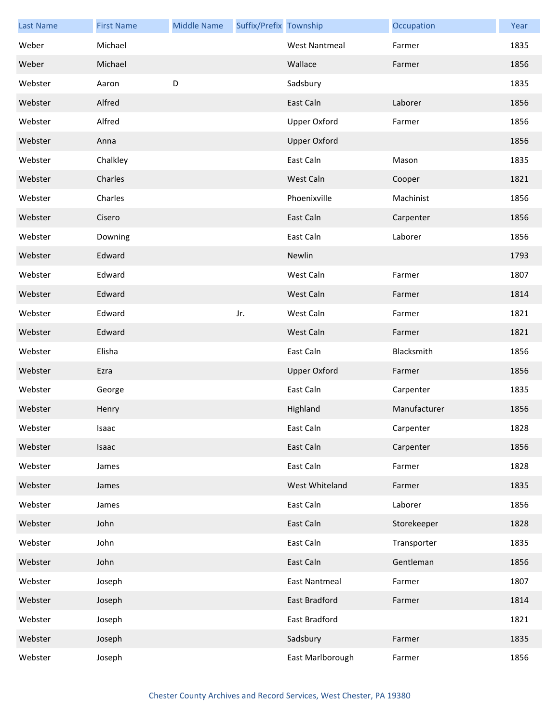| <b>Last Name</b> | <b>First Name</b> | <b>Middle Name</b> | Suffix/Prefix Township |                      | Occupation   | Year |
|------------------|-------------------|--------------------|------------------------|----------------------|--------------|------|
| Weber            | Michael           |                    |                        | <b>West Nantmeal</b> | Farmer       | 1835 |
| Weber            | Michael           |                    |                        | Wallace              | Farmer       | 1856 |
| Webster          | Aaron             | D                  |                        | Sadsbury             |              | 1835 |
| Webster          | Alfred            |                    |                        | East Caln            | Laborer      | 1856 |
| Webster          | Alfred            |                    |                        | <b>Upper Oxford</b>  | Farmer       | 1856 |
| Webster          | Anna              |                    |                        | <b>Upper Oxford</b>  |              | 1856 |
| Webster          | Chalkley          |                    |                        | East Caln            | Mason        | 1835 |
| Webster          | Charles           |                    |                        | West Caln            | Cooper       | 1821 |
| Webster          | Charles           |                    |                        | Phoenixville         | Machinist    | 1856 |
| Webster          | Cisero            |                    |                        | East Caln            | Carpenter    | 1856 |
| Webster          | Downing           |                    |                        | East Caln            | Laborer      | 1856 |
| Webster          | Edward            |                    |                        | Newlin               |              | 1793 |
| Webster          | Edward            |                    |                        | West Caln            | Farmer       | 1807 |
| Webster          | Edward            |                    |                        | West Caln            | Farmer       | 1814 |
| Webster          | Edward            |                    | Jr.                    | West Caln            | Farmer       | 1821 |
| Webster          | Edward            |                    |                        | West Caln            | Farmer       | 1821 |
| Webster          | Elisha            |                    |                        | East Caln            | Blacksmith   | 1856 |
| Webster          | Ezra              |                    |                        | <b>Upper Oxford</b>  | Farmer       | 1856 |
| Webster          | George            |                    |                        | East Caln            | Carpenter    | 1835 |
| Webster          | Henry             |                    |                        | Highland             | Manufacturer | 1856 |
| Webster          | Isaac             |                    |                        | East Caln            | Carpenter    | 1828 |
| Webster          | Isaac             |                    |                        | East Caln            | Carpenter    | 1856 |
| Webster          | James             |                    |                        | East Caln            | Farmer       | 1828 |
| Webster          | James             |                    |                        | West Whiteland       | Farmer       | 1835 |
| Webster          | James             |                    |                        | East Caln            | Laborer      | 1856 |
| Webster          | John              |                    |                        | East Caln            | Storekeeper  | 1828 |
| Webster          | John              |                    |                        | East Caln            | Transporter  | 1835 |
| Webster          | John              |                    |                        | East Caln            | Gentleman    | 1856 |
| Webster          | Joseph            |                    |                        | <b>East Nantmeal</b> | Farmer       | 1807 |
| Webster          | Joseph            |                    |                        | <b>East Bradford</b> | Farmer       | 1814 |
| Webster          | Joseph            |                    |                        | East Bradford        |              | 1821 |
| Webster          | Joseph            |                    |                        | Sadsbury             | Farmer       | 1835 |
| Webster          | Joseph            |                    |                        | East Marlborough     | Farmer       | 1856 |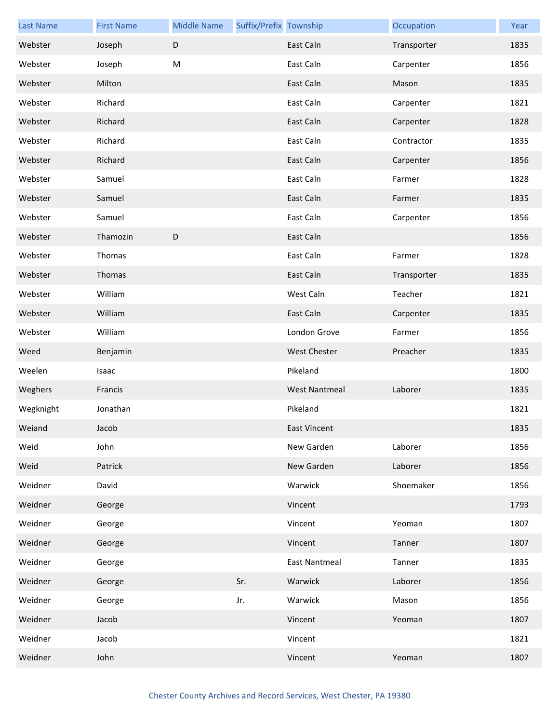| <b>Last Name</b> | <b>First Name</b> | <b>Middle Name</b> | Suffix/Prefix Township |                      | Occupation  | Year |
|------------------|-------------------|--------------------|------------------------|----------------------|-------------|------|
| Webster          | Joseph            | D                  |                        | East Caln            | Transporter | 1835 |
| Webster          | Joseph            | M                  |                        | East Caln            | Carpenter   | 1856 |
| Webster          | Milton            |                    |                        | East Caln            | Mason       | 1835 |
| Webster          | Richard           |                    |                        | East Caln            | Carpenter   | 1821 |
| Webster          | Richard           |                    |                        | East Caln            | Carpenter   | 1828 |
| Webster          | Richard           |                    |                        | East Caln            | Contractor  | 1835 |
| Webster          | Richard           |                    |                        | East Caln            | Carpenter   | 1856 |
| Webster          | Samuel            |                    |                        | East Caln            | Farmer      | 1828 |
| Webster          | Samuel            |                    |                        | East Caln            | Farmer      | 1835 |
| Webster          | Samuel            |                    |                        | East Caln            | Carpenter   | 1856 |
| Webster          | Thamozin          | D                  |                        | East Caln            |             | 1856 |
| Webster          | Thomas            |                    |                        | East Caln            | Farmer      | 1828 |
| Webster          | Thomas            |                    |                        | East Caln            | Transporter | 1835 |
| Webster          | William           |                    |                        | West Caln            | Teacher     | 1821 |
| Webster          | William           |                    |                        | East Caln            | Carpenter   | 1835 |
| Webster          | William           |                    |                        | London Grove         | Farmer      | 1856 |
| Weed             | Benjamin          |                    |                        | <b>West Chester</b>  | Preacher    | 1835 |
| Weelen           | Isaac             |                    |                        | Pikeland             |             | 1800 |
| Weghers          | Francis           |                    |                        | <b>West Nantmeal</b> | Laborer     | 1835 |
| Wegknight        | Jonathan          |                    |                        | Pikeland             |             | 1821 |
| Weiand           | Jacob             |                    |                        | <b>East Vincent</b>  |             | 1835 |
| Weid             | John              |                    |                        | New Garden           | Laborer     | 1856 |
| Weid             | Patrick           |                    |                        | New Garden           | Laborer     | 1856 |
| Weidner          | David             |                    |                        | Warwick              | Shoemaker   | 1856 |
| Weidner          | George            |                    |                        | Vincent              |             | 1793 |
| Weidner          | George            |                    |                        | Vincent              | Yeoman      | 1807 |
| Weidner          | George            |                    |                        | Vincent              | Tanner      | 1807 |
| Weidner          | George            |                    |                        | <b>East Nantmeal</b> | Tanner      | 1835 |
| Weidner          | George            |                    | Sr.                    | Warwick              | Laborer     | 1856 |
| Weidner          | George            |                    | Jr.                    | Warwick              | Mason       | 1856 |
| Weidner          | Jacob             |                    |                        | Vincent              | Yeoman      | 1807 |
| Weidner          | Jacob             |                    |                        | Vincent              |             | 1821 |
| Weidner          | John              |                    |                        | Vincent              | Yeoman      | 1807 |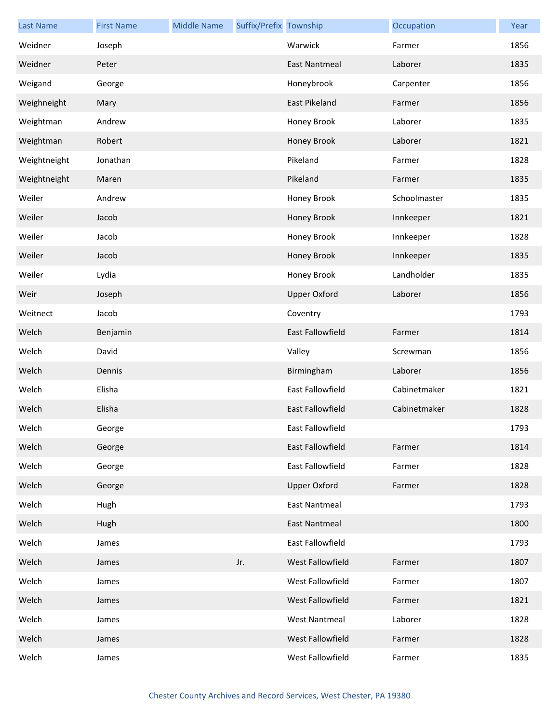| <b>Last Name</b> | <b>First Name</b> | <b>Middle Name</b> | Suffix/Prefix Township |                         | Occupation   | Year |
|------------------|-------------------|--------------------|------------------------|-------------------------|--------------|------|
| Weidner          | Joseph            |                    |                        | Warwick                 | Farmer       | 1856 |
| Weidner          | Peter             |                    |                        | <b>East Nantmeal</b>    | Laborer      | 1835 |
| Weigand          | George            |                    |                        | Honeybrook              | Carpenter    | 1856 |
| Weighneight      | Mary              |                    |                        | East Pikeland           | Farmer       | 1856 |
| Weightman        | Andrew            |                    |                        | Honey Brook             | Laborer      | 1835 |
| Weightman        | Robert            |                    |                        | Honey Brook             | Laborer      | 1821 |
| Weightneight     | Jonathan          |                    |                        | Pikeland                | Farmer       | 1828 |
| Weightneight     | Maren             |                    |                        | Pikeland                | Farmer       | 1835 |
| Weiler           | Andrew            |                    |                        | Honey Brook             | Schoolmaster | 1835 |
| Weiler           | Jacob             |                    |                        | Honey Brook             | Innkeeper    | 1821 |
| Weiler           | Jacob             |                    |                        | Honey Brook             | Innkeeper    | 1828 |
| Weiler           | Jacob             |                    |                        | Honey Brook             | Innkeeper    | 1835 |
| Weiler           | Lydia             |                    |                        | Honey Brook             | Landholder   | 1835 |
| Weir             | Joseph            |                    |                        | <b>Upper Oxford</b>     | Laborer      | 1856 |
| Weitnect         | Jacob             |                    |                        | Coventry                |              | 1793 |
| Welch            | Benjamin          |                    |                        | East Fallowfield        | Farmer       | 1814 |
| Welch            | David             |                    |                        | Valley                  | Screwman     | 1856 |
| Welch            | Dennis            |                    |                        | Birmingham              | Laborer      | 1856 |
| Welch            | Elisha            |                    |                        | East Fallowfield        | Cabinetmaker | 1821 |
| Welch            | Elisha            |                    |                        | East Fallowfield        | Cabinetmaker | 1828 |
| Welch            | George            |                    |                        | East Fallowfield        |              | 1793 |
| Welch            | George            |                    |                        | <b>East Fallowfield</b> | Farmer       | 1814 |
| Welch            | George            |                    |                        | East Fallowfield        | Farmer       | 1828 |
| Welch            | George            |                    |                        | <b>Upper Oxford</b>     | Farmer       | 1828 |
| Welch            | Hugh              |                    |                        | <b>East Nantmeal</b>    |              | 1793 |
| Welch            | Hugh              |                    |                        | <b>East Nantmeal</b>    |              | 1800 |
| Welch            | James             |                    |                        | East Fallowfield        |              | 1793 |
| Welch            | James             |                    | Jr.                    | West Fallowfield        | Farmer       | 1807 |
| Welch            | James             |                    |                        | West Fallowfield        | Farmer       | 1807 |
| Welch            | James             |                    |                        | West Fallowfield        | Farmer       | 1821 |
| Welch            | James             |                    |                        | <b>West Nantmeal</b>    | Laborer      | 1828 |
| Welch            | James             |                    |                        | West Fallowfield        | Farmer       | 1828 |
| Welch            | James             |                    |                        | West Fallowfield        | Farmer       | 1835 |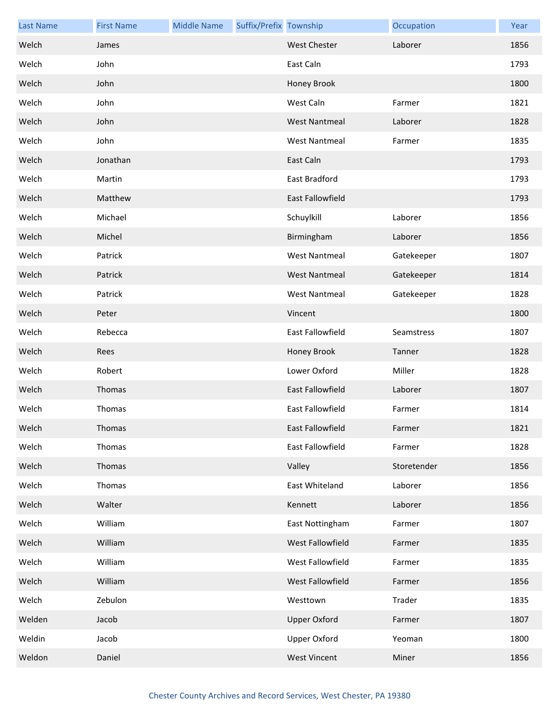| <b>Last Name</b> | <b>First Name</b> | <b>Middle Name</b> | Suffix/Prefix Township |                         | Occupation  | Year |
|------------------|-------------------|--------------------|------------------------|-------------------------|-------------|------|
| Welch            | James             |                    |                        | <b>West Chester</b>     | Laborer     | 1856 |
| Welch            | John              |                    |                        | East Caln               |             | 1793 |
| Welch            | John              |                    |                        | Honey Brook             |             | 1800 |
| Welch            | John              |                    |                        | West Caln               | Farmer      | 1821 |
| Welch            | John              |                    |                        | <b>West Nantmeal</b>    | Laborer     | 1828 |
| Welch            | John              |                    |                        | <b>West Nantmeal</b>    | Farmer      | 1835 |
| Welch            | Jonathan          |                    |                        | East Caln               |             | 1793 |
| Welch            | Martin            |                    |                        | East Bradford           |             | 1793 |
| Welch            | Matthew           |                    |                        | East Fallowfield        |             | 1793 |
| Welch            | Michael           |                    |                        | Schuylkill              | Laborer     | 1856 |
| Welch            | Michel            |                    |                        | Birmingham              | Laborer     | 1856 |
| Welch            | Patrick           |                    |                        | <b>West Nantmeal</b>    | Gatekeeper  | 1807 |
| Welch            | Patrick           |                    |                        | <b>West Nantmeal</b>    | Gatekeeper  | 1814 |
| Welch            | Patrick           |                    |                        | <b>West Nantmeal</b>    | Gatekeeper  | 1828 |
| Welch            | Peter             |                    |                        | Vincent                 |             | 1800 |
| Welch            | Rebecca           |                    |                        | East Fallowfield        | Seamstress  | 1807 |
| Welch            | Rees              |                    |                        | Honey Brook             | Tanner      | 1828 |
| Welch            | Robert            |                    |                        | Lower Oxford            | Miller      | 1828 |
| Welch            | Thomas            |                    |                        | <b>East Fallowfield</b> | Laborer     | 1807 |
| Welch            | Thomas            |                    |                        | East Fallowfield        | Farmer      | 1814 |
| Welch            | Thomas            |                    |                        | East Fallowfield        | Farmer      | 1821 |
| Welch            | Thomas            |                    |                        | East Fallowfield        | Farmer      | 1828 |
| Welch            | Thomas            |                    |                        | Valley                  | Storetender | 1856 |
| Welch            | Thomas            |                    |                        | East Whiteland          | Laborer     | 1856 |
| Welch            | Walter            |                    |                        | Kennett                 | Laborer     | 1856 |
| Welch            | William           |                    |                        | East Nottingham         | Farmer      | 1807 |
| Welch            | William           |                    |                        | West Fallowfield        | Farmer      | 1835 |
| Welch            | William           |                    |                        | West Fallowfield        | Farmer      | 1835 |
| Welch            | William           |                    |                        | West Fallowfield        | Farmer      | 1856 |
| Welch            | Zebulon           |                    |                        | Westtown                | Trader      | 1835 |
| Welden           | Jacob             |                    |                        | <b>Upper Oxford</b>     | Farmer      | 1807 |
| Weldin           | Jacob             |                    |                        | <b>Upper Oxford</b>     | Yeoman      | 1800 |
| Weldon           | Daniel            |                    |                        | <b>West Vincent</b>     | Miner       | 1856 |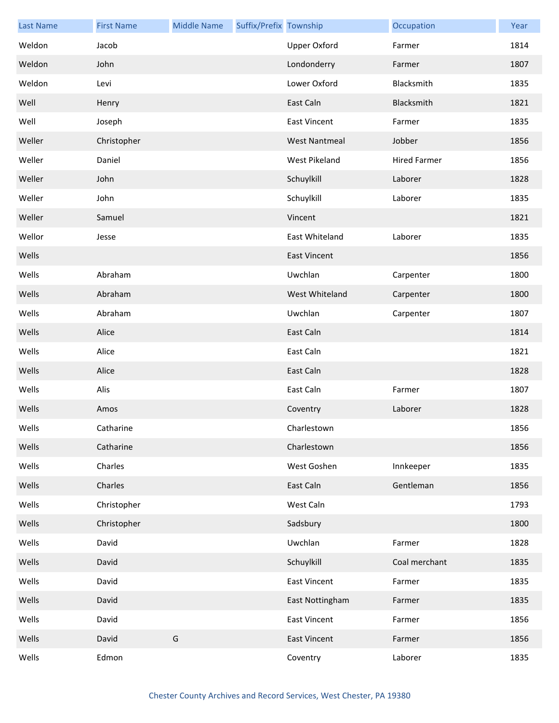| <b>Last Name</b> | <b>First Name</b> | <b>Middle Name</b> | Suffix/Prefix Township |                      | Occupation          | Year |
|------------------|-------------------|--------------------|------------------------|----------------------|---------------------|------|
| Weldon           | Jacob             |                    |                        | <b>Upper Oxford</b>  | Farmer              | 1814 |
| Weldon           | John              |                    |                        | Londonderry          | Farmer              | 1807 |
| Weldon           | Levi              |                    |                        | Lower Oxford         | Blacksmith          | 1835 |
| Well             | Henry             |                    |                        | East Caln            | Blacksmith          | 1821 |
| Well             | Joseph            |                    |                        | <b>East Vincent</b>  | Farmer              | 1835 |
| Weller           | Christopher       |                    |                        | <b>West Nantmeal</b> | Jobber              | 1856 |
| Weller           | Daniel            |                    |                        | West Pikeland        | <b>Hired Farmer</b> | 1856 |
| Weller           | John              |                    |                        | Schuylkill           | Laborer             | 1828 |
| Weller           | John              |                    |                        | Schuylkill           | Laborer             | 1835 |
| Weller           | Samuel            |                    |                        | Vincent              |                     | 1821 |
| Wellor           | Jesse             |                    |                        | East Whiteland       | Laborer             | 1835 |
| Wells            |                   |                    |                        | <b>East Vincent</b>  |                     | 1856 |
| Wells            | Abraham           |                    |                        | Uwchlan              | Carpenter           | 1800 |
| Wells            | Abraham           |                    |                        | West Whiteland       | Carpenter           | 1800 |
| Wells            | Abraham           |                    |                        | Uwchlan              | Carpenter           | 1807 |
| Wells            | Alice             |                    |                        | East Caln            |                     | 1814 |
| Wells            | Alice             |                    |                        | East Caln            |                     | 1821 |
| Wells            | Alice             |                    |                        | East Caln            |                     | 1828 |
| Wells            | Alis              |                    |                        | East Caln            | Farmer              | 1807 |
| Wells            | Amos              |                    |                        | Coventry             | Laborer             | 1828 |
| Wells            | Catharine         |                    |                        | Charlestown          |                     | 1856 |
| Wells            | Catharine         |                    |                        | Charlestown          |                     | 1856 |
| Wells            | Charles           |                    |                        | West Goshen          | Innkeeper           | 1835 |
| Wells            | Charles           |                    |                        | East Caln            | Gentleman           | 1856 |
| Wells            | Christopher       |                    |                        | West Caln            |                     | 1793 |
| Wells            | Christopher       |                    |                        | Sadsbury             |                     | 1800 |
| Wells            | David             |                    |                        | Uwchlan              | Farmer              | 1828 |
| Wells            | David             |                    |                        | Schuylkill           | Coal merchant       | 1835 |
| Wells            | David             |                    |                        | <b>East Vincent</b>  | Farmer              | 1835 |
| Wells            | David             |                    |                        | East Nottingham      | Farmer              | 1835 |
| Wells            | David             |                    |                        | <b>East Vincent</b>  | Farmer              | 1856 |
| Wells            | David             | G                  |                        | <b>East Vincent</b>  | Farmer              | 1856 |
| Wells            | Edmon             |                    |                        | Coventry             | Laborer             | 1835 |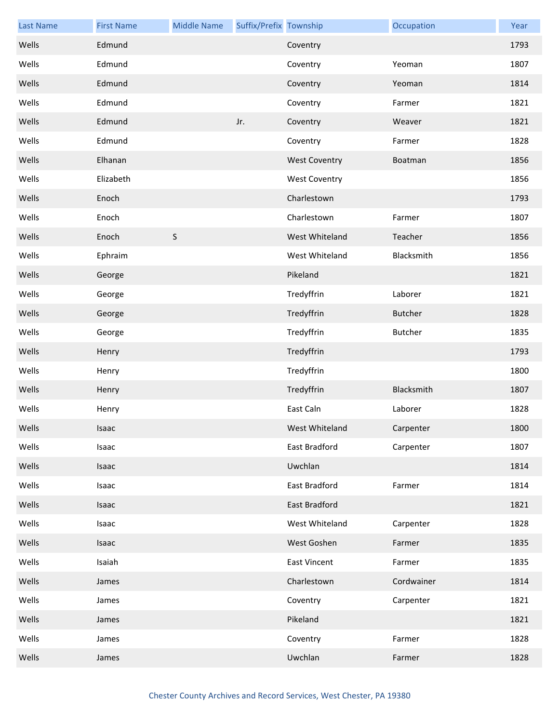| <b>Last Name</b> | <b>First Name</b> | <b>Middle Name</b> | Suffix/Prefix Township |                      | Occupation     | Year |
|------------------|-------------------|--------------------|------------------------|----------------------|----------------|------|
| Wells            | Edmund            |                    |                        | Coventry             |                | 1793 |
| Wells            | Edmund            |                    |                        | Coventry             | Yeoman         | 1807 |
| Wells            | Edmund            |                    |                        | Coventry             | Yeoman         | 1814 |
| Wells            | Edmund            |                    |                        | Coventry             | Farmer         | 1821 |
| Wells            | Edmund            |                    | Jr.                    | Coventry             | Weaver         | 1821 |
| Wells            | Edmund            |                    |                        | Coventry             | Farmer         | 1828 |
| Wells            | Elhanan           |                    |                        | <b>West Coventry</b> | Boatman        | 1856 |
| Wells            | Elizabeth         |                    |                        | <b>West Coventry</b> |                | 1856 |
| Wells            | Enoch             |                    |                        | Charlestown          |                | 1793 |
| Wells            | Enoch             |                    |                        | Charlestown          | Farmer         | 1807 |
| Wells            | Enoch             | S                  |                        | West Whiteland       | Teacher        | 1856 |
| Wells            | Ephraim           |                    |                        | West Whiteland       | Blacksmith     | 1856 |
| Wells            | George            |                    |                        | Pikeland             |                | 1821 |
| Wells            | George            |                    |                        | Tredyffrin           | Laborer        | 1821 |
| Wells            | George            |                    |                        | Tredyffrin           | <b>Butcher</b> | 1828 |
| Wells            | George            |                    |                        | Tredyffrin           | <b>Butcher</b> | 1835 |
| Wells            | Henry             |                    |                        | Tredyffrin           |                | 1793 |
| Wells            | Henry             |                    |                        | Tredyffrin           |                | 1800 |
| Wells            | Henry             |                    |                        | Tredyffrin           | Blacksmith     | 1807 |
| Wells            | Henry             |                    |                        | East Caln            | Laborer        | 1828 |
| Wells            | Isaac             |                    |                        | West Whiteland       | Carpenter      | 1800 |
| Wells            | Isaac             |                    |                        | East Bradford        | Carpenter      | 1807 |
| Wells            | Isaac             |                    |                        | Uwchlan              |                | 1814 |
| Wells            | Isaac             |                    |                        | East Bradford        | Farmer         | 1814 |
| Wells            | Isaac             |                    |                        | East Bradford        |                | 1821 |
| Wells            | Isaac             |                    |                        | West Whiteland       | Carpenter      | 1828 |
| Wells            | Isaac             |                    |                        | West Goshen          | Farmer         | 1835 |
| Wells            | Isaiah            |                    |                        | <b>East Vincent</b>  | Farmer         | 1835 |
| Wells            | James             |                    |                        | Charlestown          | Cordwainer     | 1814 |
| Wells            | James             |                    |                        | Coventry             | Carpenter      | 1821 |
| Wells            | James             |                    |                        | Pikeland             |                | 1821 |
| Wells            | James             |                    |                        | Coventry             | Farmer         | 1828 |
| Wells            | James             |                    |                        | Uwchlan              | Farmer         | 1828 |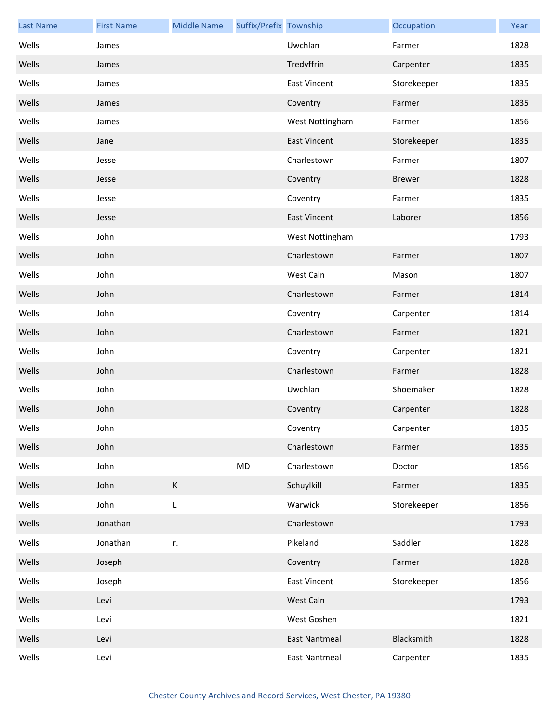| <b>Last Name</b> | <b>First Name</b> | <b>Middle Name</b> | Suffix/Prefix Township |                      | Occupation    | Year |
|------------------|-------------------|--------------------|------------------------|----------------------|---------------|------|
| Wells            | James             |                    |                        | Uwchlan              | Farmer        | 1828 |
| Wells            | James             |                    |                        | Tredyffrin           | Carpenter     | 1835 |
| Wells            | James             |                    |                        | <b>East Vincent</b>  | Storekeeper   | 1835 |
| Wells            | James             |                    |                        | Coventry             | Farmer        | 1835 |
| Wells            | James             |                    |                        | West Nottingham      | Farmer        | 1856 |
| Wells            | Jane              |                    |                        | <b>East Vincent</b>  | Storekeeper   | 1835 |
| Wells            | Jesse             |                    |                        | Charlestown          | Farmer        | 1807 |
| Wells            | Jesse             |                    |                        | Coventry             | <b>Brewer</b> | 1828 |
| Wells            | Jesse             |                    |                        | Coventry             | Farmer        | 1835 |
| Wells            | Jesse             |                    |                        | <b>East Vincent</b>  | Laborer       | 1856 |
| Wells            | John              |                    |                        | West Nottingham      |               | 1793 |
| Wells            | John              |                    |                        | Charlestown          | Farmer        | 1807 |
| Wells            | John              |                    |                        | West Caln            | Mason         | 1807 |
| Wells            | John              |                    |                        | Charlestown          | Farmer        | 1814 |
| Wells            | John              |                    |                        | Coventry             | Carpenter     | 1814 |
| Wells            | John              |                    |                        | Charlestown          | Farmer        | 1821 |
| Wells            | John              |                    |                        | Coventry             | Carpenter     | 1821 |
| Wells            | John              |                    |                        | Charlestown          | Farmer        | 1828 |
| Wells            | John              |                    |                        | Uwchlan              | Shoemaker     | 1828 |
| Wells            | John              |                    |                        | Coventry             | Carpenter     | 1828 |
| Wells            | John              |                    |                        | Coventry             | Carpenter     | 1835 |
| Wells            | John              |                    |                        | Charlestown          | Farmer        | 1835 |
| Wells            | John              |                    | MD                     | Charlestown          | Doctor        | 1856 |
| Wells            | John              | К                  |                        | Schuylkill           | Farmer        | 1835 |
| Wells            | John              | L                  |                        | Warwick              | Storekeeper   | 1856 |
| Wells            | Jonathan          |                    |                        | Charlestown          |               | 1793 |
| Wells            | Jonathan          | r.                 |                        | Pikeland             | Saddler       | 1828 |
| Wells            | Joseph            |                    |                        | Coventry             | Farmer        | 1828 |
| Wells            | Joseph            |                    |                        | <b>East Vincent</b>  | Storekeeper   | 1856 |
| Wells            | Levi              |                    |                        | West Caln            |               | 1793 |
| Wells            | Levi              |                    |                        | West Goshen          |               | 1821 |
| Wells            | Levi              |                    |                        | <b>East Nantmeal</b> | Blacksmith    | 1828 |
| Wells            | Levi              |                    |                        | <b>East Nantmeal</b> | Carpenter     | 1835 |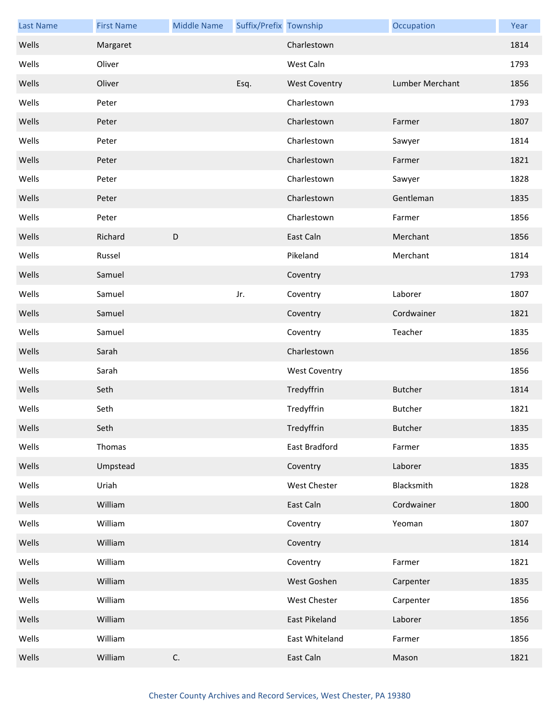| <b>Last Name</b> | <b>First Name</b> | <b>Middle Name</b> | Suffix/Prefix Township |                      | Occupation      | Year |
|------------------|-------------------|--------------------|------------------------|----------------------|-----------------|------|
| Wells            | Margaret          |                    |                        | Charlestown          |                 | 1814 |
| Wells            | Oliver            |                    |                        | West Caln            |                 | 1793 |
| Wells            | Oliver            |                    | Esq.                   | <b>West Coventry</b> | Lumber Merchant | 1856 |
| Wells            | Peter             |                    |                        | Charlestown          |                 | 1793 |
| Wells            | Peter             |                    |                        | Charlestown          | Farmer          | 1807 |
| Wells            | Peter             |                    |                        | Charlestown          | Sawyer          | 1814 |
| Wells            | Peter             |                    |                        | Charlestown          | Farmer          | 1821 |
| Wells            | Peter             |                    |                        | Charlestown          | Sawyer          | 1828 |
| Wells            | Peter             |                    |                        | Charlestown          | Gentleman       | 1835 |
| Wells            | Peter             |                    |                        | Charlestown          | Farmer          | 1856 |
| Wells            | Richard           | D                  |                        | East Caln            | Merchant        | 1856 |
| Wells            | Russel            |                    |                        | Pikeland             | Merchant        | 1814 |
| Wells            | Samuel            |                    |                        | Coventry             |                 | 1793 |
| Wells            | Samuel            |                    | Jr.                    | Coventry             | Laborer         | 1807 |
| Wells            | Samuel            |                    |                        | Coventry             | Cordwainer      | 1821 |
| Wells            | Samuel            |                    |                        | Coventry             | Teacher         | 1835 |
| Wells            | Sarah             |                    |                        | Charlestown          |                 | 1856 |
| Wells            | Sarah             |                    |                        | <b>West Coventry</b> |                 | 1856 |
| Wells            | Seth              |                    |                        | Tredyffrin           | <b>Butcher</b>  | 1814 |
| Wells            | Seth              |                    |                        | Tredyffrin           | <b>Butcher</b>  | 1821 |
| Wells            | Seth              |                    |                        | Tredyffrin           | <b>Butcher</b>  | 1835 |
| Wells            | Thomas            |                    |                        | East Bradford        | Farmer          | 1835 |
| Wells            | Umpstead          |                    |                        | Coventry             | Laborer         | 1835 |
| Wells            | Uriah             |                    |                        | West Chester         | Blacksmith      | 1828 |
| Wells            | William           |                    |                        | East Caln            | Cordwainer      | 1800 |
| Wells            | William           |                    |                        | Coventry             | Yeoman          | 1807 |
| Wells            | William           |                    |                        | Coventry             |                 | 1814 |
| Wells            | William           |                    |                        | Coventry             | Farmer          | 1821 |
| Wells            | William           |                    |                        | West Goshen          | Carpenter       | 1835 |
| Wells            | William           |                    |                        | West Chester         | Carpenter       | 1856 |
| Wells            | William           |                    |                        | East Pikeland        | Laborer         | 1856 |
| Wells            | William           |                    |                        | East Whiteland       | Farmer          | 1856 |
| Wells            | William           | $\mathsf C.$       |                        | East Caln            | Mason           | 1821 |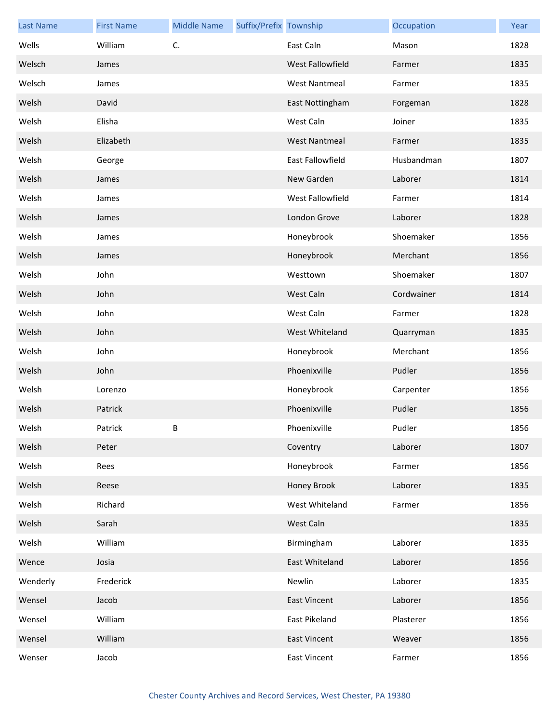| <b>Last Name</b> | <b>First Name</b> | <b>Middle Name</b> | Suffix/Prefix Township |                      | Occupation | Year |
|------------------|-------------------|--------------------|------------------------|----------------------|------------|------|
| Wells            | William           | C.                 |                        | East Caln            | Mason      | 1828 |
| Welsch           | James             |                    |                        | West Fallowfield     | Farmer     | 1835 |
| Welsch           | James             |                    |                        | <b>West Nantmeal</b> | Farmer     | 1835 |
| Welsh            | David             |                    |                        | East Nottingham      | Forgeman   | 1828 |
| Welsh            | Elisha            |                    |                        | West Caln            | Joiner     | 1835 |
| Welsh            | Elizabeth         |                    |                        | <b>West Nantmeal</b> | Farmer     | 1835 |
| Welsh            | George            |                    |                        | East Fallowfield     | Husbandman | 1807 |
| Welsh            | James             |                    |                        | New Garden           | Laborer    | 1814 |
| Welsh            | James             |                    |                        | West Fallowfield     | Farmer     | 1814 |
| Welsh            | James             |                    |                        | London Grove         | Laborer    | 1828 |
| Welsh            | James             |                    |                        | Honeybrook           | Shoemaker  | 1856 |
| Welsh            | James             |                    |                        | Honeybrook           | Merchant   | 1856 |
| Welsh            | John              |                    |                        | Westtown             | Shoemaker  | 1807 |
| Welsh            | John              |                    |                        | West Caln            | Cordwainer | 1814 |
| Welsh            | John              |                    |                        | West Caln            | Farmer     | 1828 |
| Welsh            | John              |                    |                        | West Whiteland       | Quarryman  | 1835 |
| Welsh            | John              |                    |                        | Honeybrook           | Merchant   | 1856 |
| Welsh            | John              |                    |                        | Phoenixville         | Pudler     | 1856 |
| Welsh            | Lorenzo           |                    |                        | Honeybrook           | Carpenter  | 1856 |
| Welsh            | Patrick           |                    |                        | Phoenixville         | Pudler     | 1856 |
| Welsh            | Patrick           | В                  |                        | Phoenixville         | Pudler     | 1856 |
| Welsh            | Peter             |                    |                        | Coventry             | Laborer    | 1807 |
| Welsh            | Rees              |                    |                        | Honeybrook           | Farmer     | 1856 |
| Welsh            | Reese             |                    |                        | Honey Brook          | Laborer    | 1835 |
| Welsh            | Richard           |                    |                        | West Whiteland       | Farmer     | 1856 |
| Welsh            | Sarah             |                    |                        | West Caln            |            | 1835 |
| Welsh            | William           |                    |                        | Birmingham           | Laborer    | 1835 |
| Wence            | Josia             |                    |                        | East Whiteland       | Laborer    | 1856 |
| Wenderly         | Frederick         |                    |                        | Newlin               | Laborer    | 1835 |
| Wensel           | Jacob             |                    |                        | <b>East Vincent</b>  | Laborer    | 1856 |
| Wensel           | William           |                    |                        | East Pikeland        | Plasterer  | 1856 |
| Wensel           | William           |                    |                        | <b>East Vincent</b>  | Weaver     | 1856 |
| Wenser           | Jacob             |                    |                        | <b>East Vincent</b>  | Farmer     | 1856 |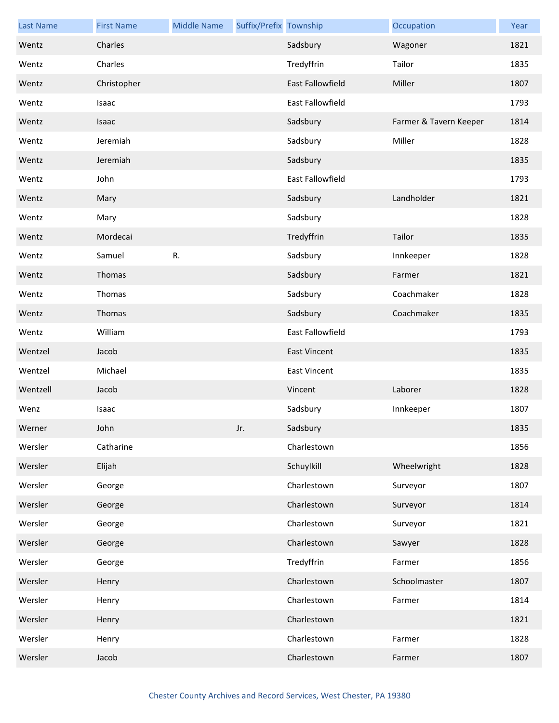| <b>Last Name</b> | <b>First Name</b> | <b>Middle Name</b> | Suffix/Prefix Township |                         | Occupation             | Year |
|------------------|-------------------|--------------------|------------------------|-------------------------|------------------------|------|
| Wentz            | Charles           |                    |                        | Sadsbury                | Wagoner                | 1821 |
| Wentz            | Charles           |                    |                        | Tredyffrin              | Tailor                 | 1835 |
| Wentz            | Christopher       |                    |                        | <b>East Fallowfield</b> | Miller                 | 1807 |
| Wentz            | Isaac             |                    |                        | East Fallowfield        |                        | 1793 |
| Wentz            | Isaac             |                    |                        | Sadsbury                | Farmer & Tavern Keeper | 1814 |
| Wentz            | Jeremiah          |                    |                        | Sadsbury                | Miller                 | 1828 |
| Wentz            | Jeremiah          |                    |                        | Sadsbury                |                        | 1835 |
| Wentz            | John              |                    |                        | East Fallowfield        |                        | 1793 |
| Wentz            | Mary              |                    |                        | Sadsbury                | Landholder             | 1821 |
| Wentz            | Mary              |                    |                        | Sadsbury                |                        | 1828 |
| Wentz            | Mordecai          |                    |                        | Tredyffrin              | Tailor                 | 1835 |
| Wentz            | Samuel            | R.                 |                        | Sadsbury                | Innkeeper              | 1828 |
| Wentz            | Thomas            |                    |                        | Sadsbury                | Farmer                 | 1821 |
| Wentz            | Thomas            |                    |                        | Sadsbury                | Coachmaker             | 1828 |
| Wentz            | Thomas            |                    |                        | Sadsbury                | Coachmaker             | 1835 |
| Wentz            | William           |                    |                        | East Fallowfield        |                        | 1793 |
| Wentzel          | Jacob             |                    |                        | <b>East Vincent</b>     |                        | 1835 |
| Wentzel          | Michael           |                    |                        | <b>East Vincent</b>     |                        | 1835 |
| Wentzell         | Jacob             |                    |                        | Vincent                 | Laborer                | 1828 |
| Wenz             | Isaac             |                    |                        | Sadsbury                | Innkeeper              | 1807 |
| Werner           | John              |                    | Jr.                    | Sadsbury                |                        | 1835 |
| Wersler          | Catharine         |                    |                        | Charlestown             |                        | 1856 |
| Wersler          | Elijah            |                    |                        | Schuylkill              | Wheelwright            | 1828 |
| Wersler          | George            |                    |                        | Charlestown             | Surveyor               | 1807 |
| Wersler          | George            |                    |                        | Charlestown             | Surveyor               | 1814 |
| Wersler          | George            |                    |                        | Charlestown             | Surveyor               | 1821 |
| Wersler          | George            |                    |                        | Charlestown             | Sawyer                 | 1828 |
| Wersler          | George            |                    |                        | Tredyffrin              | Farmer                 | 1856 |
| Wersler          | Henry             |                    |                        | Charlestown             | Schoolmaster           | 1807 |
| Wersler          | Henry             |                    |                        | Charlestown             | Farmer                 | 1814 |
| Wersler          | Henry             |                    |                        | Charlestown             |                        | 1821 |
| Wersler          | Henry             |                    |                        | Charlestown             | Farmer                 | 1828 |
| Wersler          | Jacob             |                    |                        | Charlestown             | Farmer                 | 1807 |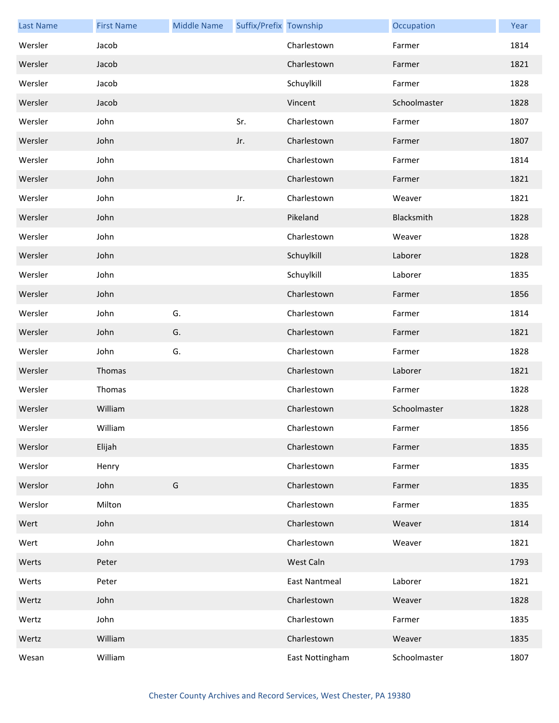| <b>Last Name</b> | <b>First Name</b> | <b>Middle Name</b> | Suffix/Prefix Township |                      | Occupation   | Year |
|------------------|-------------------|--------------------|------------------------|----------------------|--------------|------|
| Wersler          | Jacob             |                    |                        | Charlestown          | Farmer       | 1814 |
| Wersler          | Jacob             |                    |                        | Charlestown          | Farmer       | 1821 |
| Wersler          | Jacob             |                    |                        | Schuylkill           | Farmer       | 1828 |
| Wersler          | Jacob             |                    |                        | Vincent              | Schoolmaster | 1828 |
| Wersler          | John              |                    | Sr.                    | Charlestown          | Farmer       | 1807 |
| Wersler          | John              |                    | Jr.                    | Charlestown          | Farmer       | 1807 |
| Wersler          | John              |                    |                        | Charlestown          | Farmer       | 1814 |
| Wersler          | John              |                    |                        | Charlestown          | Farmer       | 1821 |
| Wersler          | John              |                    | Jr.                    | Charlestown          | Weaver       | 1821 |
| Wersler          | John              |                    |                        | Pikeland             | Blacksmith   | 1828 |
| Wersler          | John              |                    |                        | Charlestown          | Weaver       | 1828 |
| Wersler          | John              |                    |                        | Schuylkill           | Laborer      | 1828 |
| Wersler          | John              |                    |                        | Schuylkill           | Laborer      | 1835 |
| Wersler          | John              |                    |                        | Charlestown          | Farmer       | 1856 |
| Wersler          | John              | G.                 |                        | Charlestown          | Farmer       | 1814 |
| Wersler          | John              | G.                 |                        | Charlestown          | Farmer       | 1821 |
| Wersler          | John              | G.                 |                        | Charlestown          | Farmer       | 1828 |
| Wersler          | Thomas            |                    |                        | Charlestown          | Laborer      | 1821 |
| Wersler          | Thomas            |                    |                        | Charlestown          | Farmer       | 1828 |
| Wersler          | William           |                    |                        | Charlestown          | Schoolmaster | 1828 |
| Wersler          | William           |                    |                        | Charlestown          | Farmer       | 1856 |
| Werslor          | Elijah            |                    |                        | Charlestown          | Farmer       | 1835 |
| Werslor          | Henry             |                    |                        | Charlestown          | Farmer       | 1835 |
| Werslor          | John              | G                  |                        | Charlestown          | Farmer       | 1835 |
| Werslor          | Milton            |                    |                        | Charlestown          | Farmer       | 1835 |
| Wert             | John              |                    |                        | Charlestown          | Weaver       | 1814 |
| Wert             | John              |                    |                        | Charlestown          | Weaver       | 1821 |
| Werts            | Peter             |                    |                        | West Caln            |              | 1793 |
| Werts            | Peter             |                    |                        | <b>East Nantmeal</b> | Laborer      | 1821 |
| Wertz            | John              |                    |                        | Charlestown          | Weaver       | 1828 |
| Wertz            | John              |                    |                        | Charlestown          | Farmer       | 1835 |
| Wertz            | William           |                    |                        | Charlestown          | Weaver       | 1835 |
| Wesan            | William           |                    |                        | East Nottingham      | Schoolmaster | 1807 |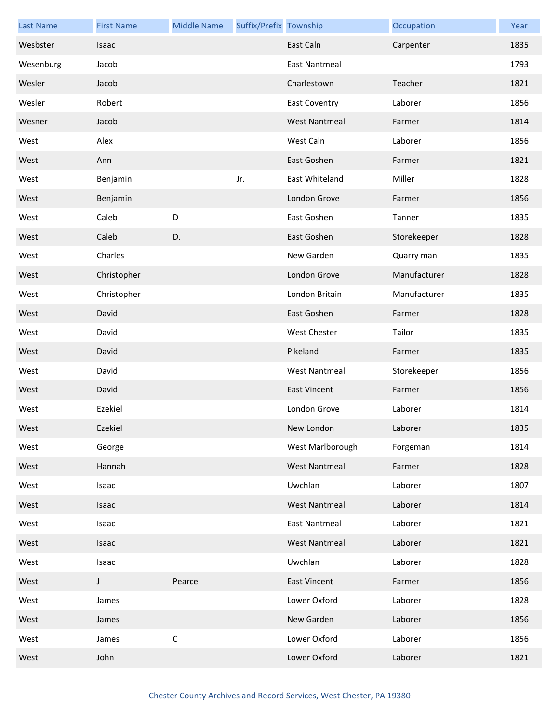| <b>Last Name</b> | <b>First Name</b> | <b>Middle Name</b> | Suffix/Prefix Township |                      | Occupation   | Year |
|------------------|-------------------|--------------------|------------------------|----------------------|--------------|------|
| Wesbster         | Isaac             |                    |                        | East Caln            | Carpenter    | 1835 |
| Wesenburg        | Jacob             |                    |                        | <b>East Nantmeal</b> |              | 1793 |
| Wesler           | Jacob             |                    |                        | Charlestown          | Teacher      | 1821 |
| Wesler           | Robert            |                    |                        | <b>East Coventry</b> | Laborer      | 1856 |
| Wesner           | Jacob             |                    |                        | <b>West Nantmeal</b> | Farmer       | 1814 |
| West             | Alex              |                    |                        | West Caln            | Laborer      | 1856 |
| West             | Ann               |                    |                        | East Goshen          | Farmer       | 1821 |
| West             | Benjamin          |                    | Jr.                    | East Whiteland       | Miller       | 1828 |
| West             | Benjamin          |                    |                        | London Grove         | Farmer       | 1856 |
| West             | Caleb             | D                  |                        | East Goshen          | Tanner       | 1835 |
| West             | Caleb             | D.                 |                        | East Goshen          | Storekeeper  | 1828 |
| West             | Charles           |                    |                        | New Garden           | Quarry man   | 1835 |
| West             | Christopher       |                    |                        | London Grove         | Manufacturer | 1828 |
| West             | Christopher       |                    |                        | London Britain       | Manufacturer | 1835 |
| West             | David             |                    |                        | East Goshen          | Farmer       | 1828 |
| West             | David             |                    |                        | <b>West Chester</b>  | Tailor       | 1835 |
| West             | David             |                    |                        | Pikeland             | Farmer       | 1835 |
| West             | David             |                    |                        | <b>West Nantmeal</b> | Storekeeper  | 1856 |
| West             | David             |                    |                        | <b>East Vincent</b>  | Farmer       | 1856 |
| West             | Ezekiel           |                    |                        | London Grove         | Laborer      | 1814 |
| West             | Ezekiel           |                    |                        | New London           | Laborer      | 1835 |
| West             | George            |                    |                        | West Marlborough     | Forgeman     | 1814 |
| West             | Hannah            |                    |                        | <b>West Nantmeal</b> | Farmer       | 1828 |
| West             | Isaac             |                    |                        | Uwchlan              | Laborer      | 1807 |
| West             | Isaac             |                    |                        | <b>West Nantmeal</b> | Laborer      | 1814 |
| West             | Isaac             |                    |                        | <b>East Nantmeal</b> | Laborer      | 1821 |
| West             | Isaac             |                    |                        | <b>West Nantmeal</b> | Laborer      | 1821 |
| West             | Isaac             |                    |                        | Uwchlan              | Laborer      | 1828 |
| West             | J                 | Pearce             |                        | <b>East Vincent</b>  | Farmer       | 1856 |
| West             | James             |                    |                        | Lower Oxford         | Laborer      | 1828 |
| West             | James             |                    |                        | New Garden           | Laborer      | 1856 |
| West             | James             | $\mathsf C$        |                        | Lower Oxford         | Laborer      | 1856 |
| West             | John              |                    |                        | Lower Oxford         | Laborer      | 1821 |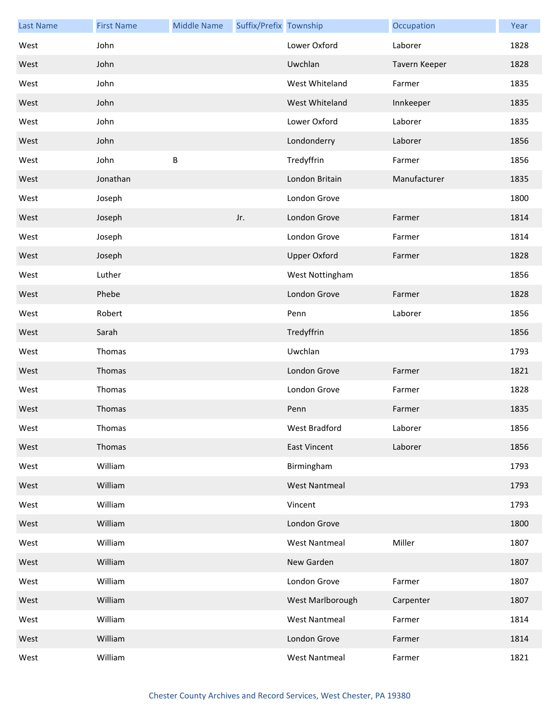| <b>Last Name</b> | <b>First Name</b> | <b>Middle Name</b> | Suffix/Prefix Township |                      | Occupation    | Year |
|------------------|-------------------|--------------------|------------------------|----------------------|---------------|------|
| West             | John              |                    |                        | Lower Oxford         | Laborer       | 1828 |
| West             | John              |                    |                        | Uwchlan              | Tavern Keeper | 1828 |
| West             | John              |                    |                        | West Whiteland       | Farmer        | 1835 |
| West             | John              |                    |                        | West Whiteland       | Innkeeper     | 1835 |
| West             | John              |                    |                        | Lower Oxford         | Laborer       | 1835 |
| West             | John              |                    |                        | Londonderry          | Laborer       | 1856 |
| West             | John              | B                  |                        | Tredyffrin           | Farmer        | 1856 |
| West             | Jonathan          |                    |                        | London Britain       | Manufacturer  | 1835 |
| West             | Joseph            |                    |                        | London Grove         |               | 1800 |
| West             | Joseph            |                    | Jr.                    | London Grove         | Farmer        | 1814 |
| West             | Joseph            |                    |                        | London Grove         | Farmer        | 1814 |
| West             | Joseph            |                    |                        | <b>Upper Oxford</b>  | Farmer        | 1828 |
| West             | Luther            |                    |                        | West Nottingham      |               | 1856 |
| West             | Phebe             |                    |                        | London Grove         | Farmer        | 1828 |
| West             | Robert            |                    |                        | Penn                 | Laborer       | 1856 |
| West             | Sarah             |                    |                        | Tredyffrin           |               | 1856 |
| West             | Thomas            |                    |                        | Uwchlan              |               | 1793 |
| West             | Thomas            |                    |                        | London Grove         | Farmer        | 1821 |
| West             | Thomas            |                    |                        | London Grove         | Farmer        | 1828 |
| West             | Thomas            |                    |                        | Penn                 | Farmer        | 1835 |
| West             | Thomas            |                    |                        | West Bradford        | Laborer       | 1856 |
| West             | Thomas            |                    |                        | <b>East Vincent</b>  | Laborer       | 1856 |
| West             | William           |                    |                        | Birmingham           |               | 1793 |
| West             | William           |                    |                        | <b>West Nantmeal</b> |               | 1793 |
| West             | William           |                    |                        | Vincent              |               | 1793 |
| West             | William           |                    |                        | London Grove         |               | 1800 |
| West             | William           |                    |                        | <b>West Nantmeal</b> | Miller        | 1807 |
| West             | William           |                    |                        | New Garden           |               | 1807 |
| West             | William           |                    |                        | London Grove         | Farmer        | 1807 |
| West             | William           |                    |                        | West Marlborough     | Carpenter     | 1807 |
| West             | William           |                    |                        | <b>West Nantmeal</b> | Farmer        | 1814 |
| West             | William           |                    |                        | London Grove         | Farmer        | 1814 |
| West             | William           |                    |                        | <b>West Nantmeal</b> | Farmer        | 1821 |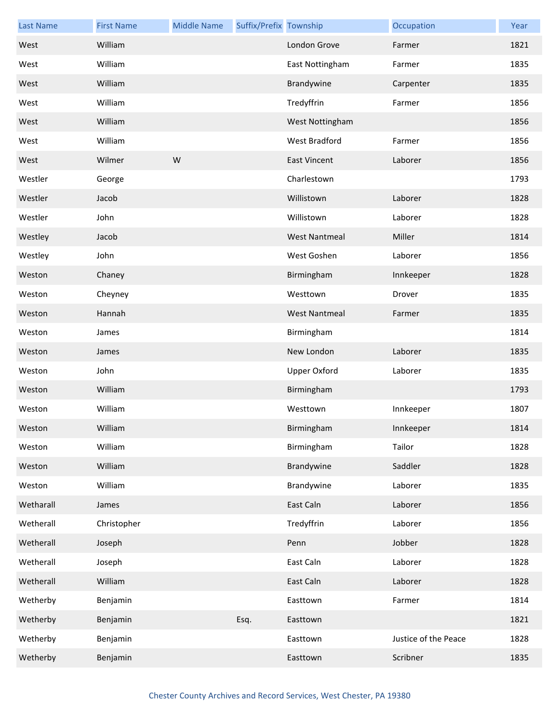| <b>Last Name</b> | <b>First Name</b> | <b>Middle Name</b> | Suffix/Prefix Township |                      | Occupation           | Year |
|------------------|-------------------|--------------------|------------------------|----------------------|----------------------|------|
| West             | William           |                    |                        | London Grove         | Farmer               | 1821 |
| West             | William           |                    |                        | East Nottingham      | Farmer               | 1835 |
| West             | William           |                    |                        | Brandywine           | Carpenter            | 1835 |
| West             | William           |                    |                        | Tredyffrin           | Farmer               | 1856 |
| West             | William           |                    |                        | West Nottingham      |                      | 1856 |
| West             | William           |                    |                        | <b>West Bradford</b> | Farmer               | 1856 |
| West             | Wilmer            | W                  |                        | <b>East Vincent</b>  | Laborer              | 1856 |
| Westler          | George            |                    |                        | Charlestown          |                      | 1793 |
| Westler          | Jacob             |                    |                        | Willistown           | Laborer              | 1828 |
| Westler          | John              |                    |                        | Willistown           | Laborer              | 1828 |
| Westley          | Jacob             |                    |                        | <b>West Nantmeal</b> | Miller               | 1814 |
| Westley          | John              |                    |                        | West Goshen          | Laborer              | 1856 |
| Weston           | Chaney            |                    |                        | Birmingham           | Innkeeper            | 1828 |
| Weston           | Cheyney           |                    |                        | Westtown             | Drover               | 1835 |
| Weston           | Hannah            |                    |                        | <b>West Nantmeal</b> | Farmer               | 1835 |
| Weston           | James             |                    |                        | Birmingham           |                      | 1814 |
| Weston           | James             |                    |                        | New London           | Laborer              | 1835 |
| Weston           | John              |                    |                        | Upper Oxford         | Laborer              | 1835 |
| Weston           | William           |                    |                        | Birmingham           |                      | 1793 |
| Weston           | William           |                    |                        | Westtown             | Innkeeper            | 1807 |
| Weston           | William           |                    |                        | Birmingham           | Innkeeper            | 1814 |
| Weston           | William           |                    |                        | Birmingham           | Tailor               | 1828 |
| Weston           | William           |                    |                        | Brandywine           | Saddler              | 1828 |
| Weston           | William           |                    |                        | Brandywine           | Laborer              | 1835 |
| Wetharall        | James             |                    |                        | East Caln            | Laborer              | 1856 |
| Wetherall        | Christopher       |                    |                        | Tredyffrin           | Laborer              | 1856 |
| Wetherall        | Joseph            |                    |                        | Penn                 | Jobber               | 1828 |
| Wetherall        | Joseph            |                    |                        | East Caln            | Laborer              | 1828 |
| Wetherall        | William           |                    |                        | East Caln            | Laborer              | 1828 |
| Wetherby         | Benjamin          |                    |                        | Easttown             | Farmer               | 1814 |
| Wetherby         | Benjamin          |                    | Esq.                   | Easttown             |                      | 1821 |
| Wetherby         | Benjamin          |                    |                        | Easttown             | Justice of the Peace | 1828 |
| Wetherby         | Benjamin          |                    |                        | Easttown             | Scribner             | 1835 |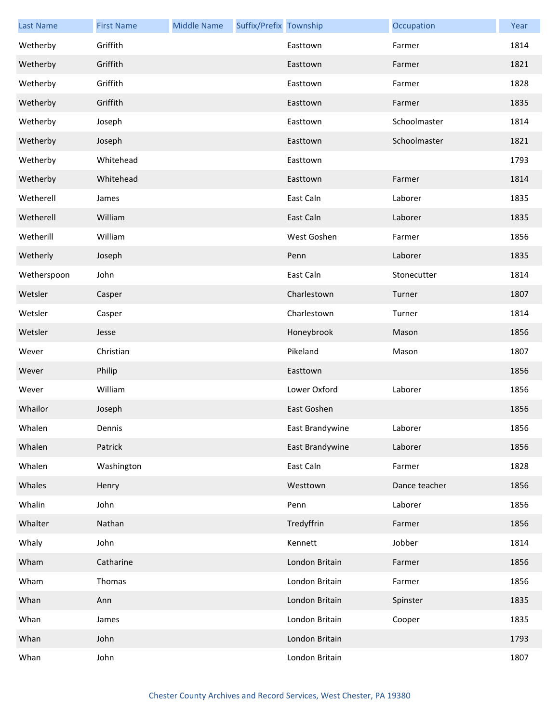| <b>Last Name</b> | <b>First Name</b> | <b>Middle Name</b> | Suffix/Prefix Township |                 | Occupation    | Year |
|------------------|-------------------|--------------------|------------------------|-----------------|---------------|------|
| Wetherby         | Griffith          |                    |                        | Easttown        | Farmer        | 1814 |
| Wetherby         | Griffith          |                    |                        | Easttown        | Farmer        | 1821 |
| Wetherby         | Griffith          |                    |                        | Easttown        | Farmer        | 1828 |
| Wetherby         | Griffith          |                    |                        | Easttown        | Farmer        | 1835 |
| Wetherby         | Joseph            |                    |                        | Easttown        | Schoolmaster  | 1814 |
| Wetherby         | Joseph            |                    |                        | Easttown        | Schoolmaster  | 1821 |
| Wetherby         | Whitehead         |                    |                        | Easttown        |               | 1793 |
| Wetherby         | Whitehead         |                    |                        | Easttown        | Farmer        | 1814 |
| Wetherell        | James             |                    |                        | East Caln       | Laborer       | 1835 |
| Wetherell        | William           |                    |                        | East Caln       | Laborer       | 1835 |
| Wetherill        | William           |                    |                        | West Goshen     | Farmer        | 1856 |
| Wetherly         | Joseph            |                    |                        | Penn            | Laborer       | 1835 |
| Wetherspoon      | John              |                    |                        | East Caln       | Stonecutter   | 1814 |
| Wetsler          | Casper            |                    |                        | Charlestown     | Turner        | 1807 |
| Wetsler          | Casper            |                    |                        | Charlestown     | Turner        | 1814 |
| Wetsler          | Jesse             |                    |                        | Honeybrook      | Mason         | 1856 |
| Wever            | Christian         |                    |                        | Pikeland        | Mason         | 1807 |
| Wever            | Philip            |                    |                        | Easttown        |               | 1856 |
| Wever            | William           |                    |                        | Lower Oxford    | Laborer       | 1856 |
| Whailor          | Joseph            |                    |                        | East Goshen     |               | 1856 |
| Whalen           | Dennis            |                    |                        | East Brandywine | Laborer       | 1856 |
| Whalen           | Patrick           |                    |                        | East Brandywine | Laborer       | 1856 |
| Whalen           | Washington        |                    |                        | East Caln       | Farmer        | 1828 |
| Whales           | Henry             |                    |                        | Westtown        | Dance teacher | 1856 |
| Whalin           | John              |                    |                        | Penn            | Laborer       | 1856 |
| Whalter          | Nathan            |                    |                        | Tredyffrin      | Farmer        | 1856 |
| Whaly            | John              |                    |                        | Kennett         | Jobber        | 1814 |
| Wham             | Catharine         |                    |                        | London Britain  | Farmer        | 1856 |
| Wham             | Thomas            |                    |                        | London Britain  | Farmer        | 1856 |
| Whan             | Ann               |                    |                        | London Britain  | Spinster      | 1835 |
| Whan             | James             |                    |                        | London Britain  | Cooper        | 1835 |
| Whan             | John              |                    |                        | London Britain  |               | 1793 |
| Whan             | John              |                    |                        | London Britain  |               | 1807 |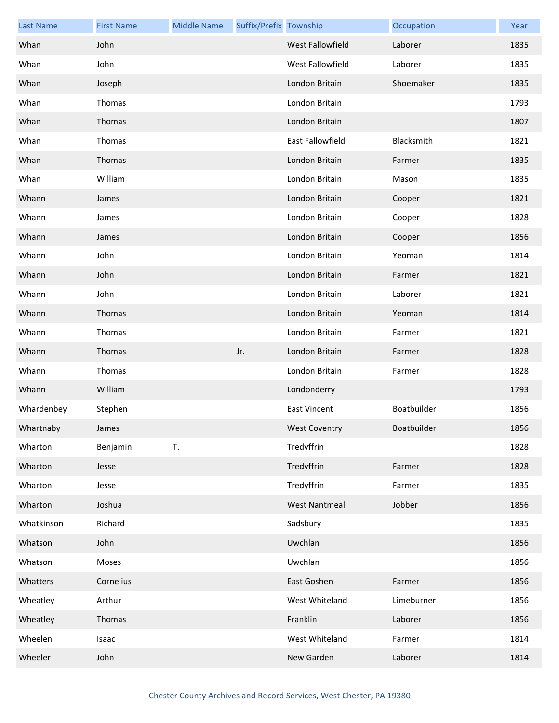| <b>Last Name</b> | <b>First Name</b> | <b>Middle Name</b> | Suffix/Prefix Township |                      | Occupation  | Year |
|------------------|-------------------|--------------------|------------------------|----------------------|-------------|------|
| Whan             | John              |                    |                        | West Fallowfield     | Laborer     | 1835 |
| Whan             | John              |                    |                        | West Fallowfield     | Laborer     | 1835 |
| Whan             | Joseph            |                    |                        | London Britain       | Shoemaker   | 1835 |
| Whan             | Thomas            |                    |                        | London Britain       |             | 1793 |
| Whan             | Thomas            |                    |                        | London Britain       |             | 1807 |
| Whan             | Thomas            |                    |                        | East Fallowfield     | Blacksmith  | 1821 |
| Whan             | Thomas            |                    |                        | London Britain       | Farmer      | 1835 |
| Whan             | William           |                    |                        | London Britain       | Mason       | 1835 |
| Whann            | James             |                    |                        | London Britain       | Cooper      | 1821 |
| Whann            | James             |                    |                        | London Britain       | Cooper      | 1828 |
| Whann            | James             |                    |                        | London Britain       | Cooper      | 1856 |
| Whann            | John              |                    |                        | London Britain       | Yeoman      | 1814 |
| Whann            | John              |                    |                        | London Britain       | Farmer      | 1821 |
| Whann            | John              |                    |                        | London Britain       | Laborer     | 1821 |
| Whann            | Thomas            |                    |                        | London Britain       | Yeoman      | 1814 |
| Whann            | Thomas            |                    |                        | London Britain       | Farmer      | 1821 |
| Whann            | Thomas            |                    | Jr.                    | London Britain       | Farmer      | 1828 |
| Whann            | Thomas            |                    |                        | London Britain       | Farmer      | 1828 |
| Whann            | William           |                    |                        | Londonderry          |             | 1793 |
| Whardenbey       | Stephen           |                    |                        | <b>East Vincent</b>  | Boatbuilder | 1856 |
| Whartnaby        | James             |                    |                        | <b>West Coventry</b> | Boatbuilder | 1856 |
| Wharton          | Benjamin          | T.                 |                        | Tredyffrin           |             | 1828 |
| Wharton          | Jesse             |                    |                        | Tredyffrin           | Farmer      | 1828 |
| Wharton          | Jesse             |                    |                        | Tredyffrin           | Farmer      | 1835 |
| Wharton          | Joshua            |                    |                        | <b>West Nantmeal</b> | Jobber      | 1856 |
| Whatkinson       | Richard           |                    |                        | Sadsbury             |             | 1835 |
| Whatson          | John              |                    |                        | Uwchlan              |             | 1856 |
| Whatson          | Moses             |                    |                        | Uwchlan              |             | 1856 |
| Whatters         | Cornelius         |                    |                        | East Goshen          | Farmer      | 1856 |
| Wheatley         | Arthur            |                    |                        | West Whiteland       | Limeburner  | 1856 |
| Wheatley         | Thomas            |                    |                        | Franklin             | Laborer     | 1856 |
| Wheelen          | Isaac             |                    |                        | West Whiteland       | Farmer      | 1814 |
| Wheeler          | John              |                    |                        | New Garden           | Laborer     | 1814 |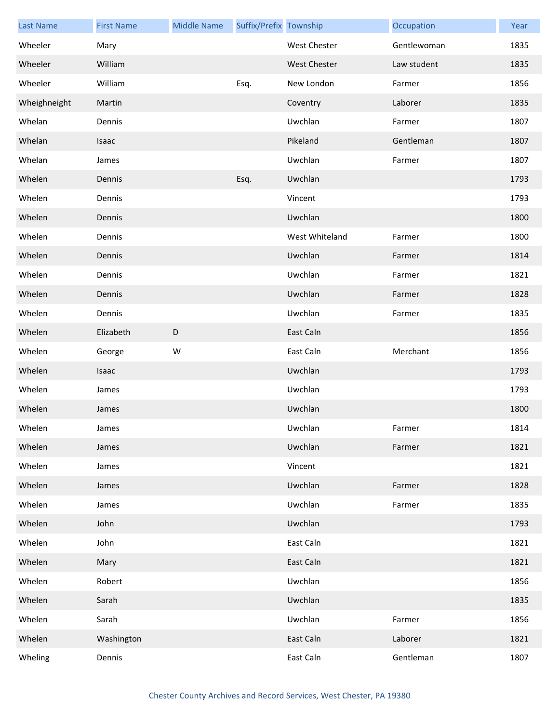| <b>Last Name</b> | <b>First Name</b> | <b>Middle Name</b> | Suffix/Prefix Township |                     | Occupation  | Year |
|------------------|-------------------|--------------------|------------------------|---------------------|-------------|------|
| Wheeler          | Mary              |                    |                        | West Chester        | Gentlewoman | 1835 |
| Wheeler          | William           |                    |                        | <b>West Chester</b> | Law student | 1835 |
| Wheeler          | William           |                    | Esq.                   | New London          | Farmer      | 1856 |
| Wheighneight     | Martin            |                    |                        | Coventry            | Laborer     | 1835 |
| Whelan           | Dennis            |                    |                        | Uwchlan             | Farmer      | 1807 |
| Whelan           | Isaac             |                    |                        | Pikeland            | Gentleman   | 1807 |
| Whelan           | James             |                    |                        | Uwchlan             | Farmer      | 1807 |
| Whelen           | Dennis            |                    | Esq.                   | Uwchlan             |             | 1793 |
| Whelen           | Dennis            |                    |                        | Vincent             |             | 1793 |
| Whelen           | Dennis            |                    |                        | Uwchlan             |             | 1800 |
| Whelen           | Dennis            |                    |                        | West Whiteland      | Farmer      | 1800 |
| Whelen           | Dennis            |                    |                        | Uwchlan             | Farmer      | 1814 |
| Whelen           | Dennis            |                    |                        | Uwchlan             | Farmer      | 1821 |
| Whelen           | Dennis            |                    |                        | Uwchlan             | Farmer      | 1828 |
| Whelen           | Dennis            |                    |                        | Uwchlan             | Farmer      | 1835 |
| Whelen           | Elizabeth         | $\mathsf D$        |                        | East Caln           |             | 1856 |
| Whelen           | George            | W                  |                        | East Caln           | Merchant    | 1856 |
| Whelen           | Isaac             |                    |                        | Uwchlan             |             | 1793 |
| Whelen           | James             |                    |                        | Uwchlan             |             | 1793 |
| Whelen           | James             |                    |                        | Uwchlan             |             | 1800 |
| Whelen           | James             |                    |                        | Uwchlan             | Farmer      | 1814 |
| Whelen           | James             |                    |                        | Uwchlan             | Farmer      | 1821 |
| Whelen           | James             |                    |                        | Vincent             |             | 1821 |
| Whelen           | James             |                    |                        | Uwchlan             | Farmer      | 1828 |
| Whelen           | James             |                    |                        | Uwchlan             | Farmer      | 1835 |
| Whelen           | John              |                    |                        | Uwchlan             |             | 1793 |
| Whelen           | John              |                    |                        | East Caln           |             | 1821 |
| Whelen           | Mary              |                    |                        | East Caln           |             | 1821 |
| Whelen           | Robert            |                    |                        | Uwchlan             |             | 1856 |
| Whelen           | Sarah             |                    |                        | Uwchlan             |             | 1835 |
| Whelen           | Sarah             |                    |                        | Uwchlan             | Farmer      | 1856 |
| Whelen           | Washington        |                    |                        | East Caln           | Laborer     | 1821 |
| Wheling          | Dennis            |                    |                        | East Caln           | Gentleman   | 1807 |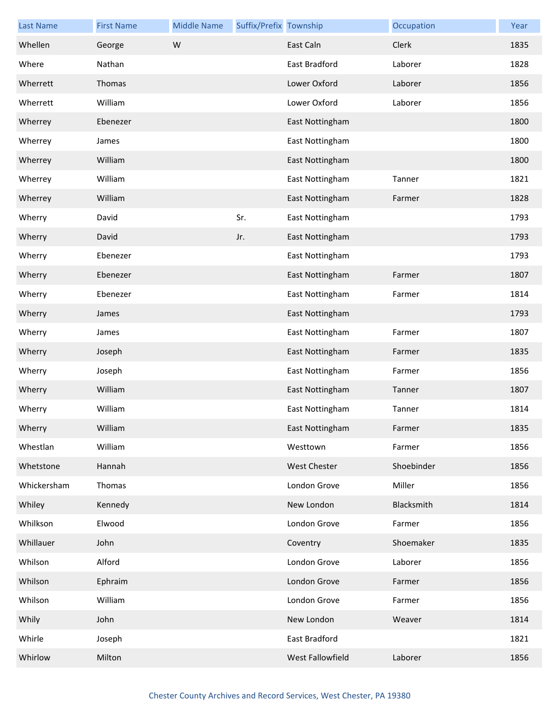| <b>Last Name</b> | <b>First Name</b> | <b>Middle Name</b> | Suffix/Prefix Township |                     | Occupation | Year |
|------------------|-------------------|--------------------|------------------------|---------------------|------------|------|
| Whellen          | George            | W                  |                        | East Caln           | Clerk      | 1835 |
| Where            | Nathan            |                    |                        | East Bradford       | Laborer    | 1828 |
| Wherrett         | Thomas            |                    |                        | Lower Oxford        | Laborer    | 1856 |
| Wherrett         | William           |                    |                        | Lower Oxford        | Laborer    | 1856 |
| Wherrey          | Ebenezer          |                    |                        | East Nottingham     |            | 1800 |
| Wherrey          | James             |                    |                        | East Nottingham     |            | 1800 |
| Wherrey          | William           |                    |                        | East Nottingham     |            | 1800 |
| Wherrey          | William           |                    |                        | East Nottingham     | Tanner     | 1821 |
| Wherrey          | William           |                    |                        | East Nottingham     | Farmer     | 1828 |
| Wherry           | David             |                    | Sr.                    | East Nottingham     |            | 1793 |
| Wherry           | David             |                    | Jr.                    | East Nottingham     |            | 1793 |
| Wherry           | Ebenezer          |                    |                        | East Nottingham     |            | 1793 |
| Wherry           | Ebenezer          |                    |                        | East Nottingham     | Farmer     | 1807 |
| Wherry           | Ebenezer          |                    |                        | East Nottingham     | Farmer     | 1814 |
| Wherry           | James             |                    |                        | East Nottingham     |            | 1793 |
| Wherry           | James             |                    |                        | East Nottingham     | Farmer     | 1807 |
| Wherry           | Joseph            |                    |                        | East Nottingham     | Farmer     | 1835 |
| Wherry           | Joseph            |                    |                        | East Nottingham     | Farmer     | 1856 |
| Wherry           | William           |                    |                        | East Nottingham     | Tanner     | 1807 |
| Wherry           | William           |                    |                        | East Nottingham     | Tanner     | 1814 |
| Wherry           | William           |                    |                        | East Nottingham     | Farmer     | 1835 |
| Whestlan         | William           |                    |                        | Westtown            | Farmer     | 1856 |
| Whetstone        | Hannah            |                    |                        | <b>West Chester</b> | Shoebinder | 1856 |
| Whickersham      | Thomas            |                    |                        | London Grove        | Miller     | 1856 |
| Whiley           | Kennedy           |                    |                        | New London          | Blacksmith | 1814 |
| Whilkson         | Elwood            |                    |                        | London Grove        | Farmer     | 1856 |
| Whillauer        | John              |                    |                        | Coventry            | Shoemaker  | 1835 |
| Whilson          | Alford            |                    |                        | London Grove        | Laborer    | 1856 |
| Whilson          | Ephraim           |                    |                        | London Grove        | Farmer     | 1856 |
| Whilson          | William           |                    |                        | London Grove        | Farmer     | 1856 |
| Whily            | John              |                    |                        | New London          | Weaver     | 1814 |
| Whirle           | Joseph            |                    |                        | East Bradford       |            | 1821 |
| Whirlow          | Milton            |                    |                        | West Fallowfield    | Laborer    | 1856 |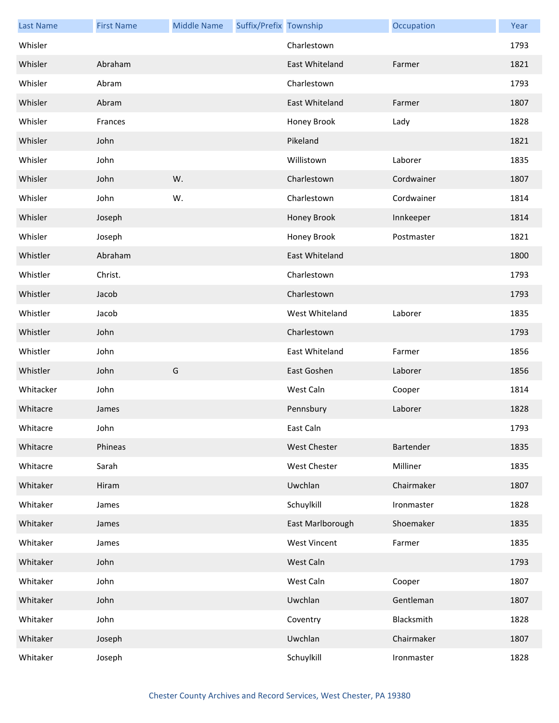| <b>Last Name</b> | <b>First Name</b> | <b>Middle Name</b> | Suffix/Prefix Township |                     | Occupation | Year |
|------------------|-------------------|--------------------|------------------------|---------------------|------------|------|
| Whisler          |                   |                    |                        | Charlestown         |            | 1793 |
| Whisler          | Abraham           |                    |                        | East Whiteland      | Farmer     | 1821 |
| Whisler          | Abram             |                    |                        | Charlestown         |            | 1793 |
| Whisler          | Abram             |                    |                        | East Whiteland      | Farmer     | 1807 |
| Whisler          | Frances           |                    |                        | Honey Brook         | Lady       | 1828 |
| Whisler          | John              |                    |                        | Pikeland            |            | 1821 |
| Whisler          | John              |                    |                        | Willistown          | Laborer    | 1835 |
| Whisler          | John              | W.                 |                        | Charlestown         | Cordwainer | 1807 |
| Whisler          | John              | W.                 |                        | Charlestown         | Cordwainer | 1814 |
| Whisler          | Joseph            |                    |                        | Honey Brook         | Innkeeper  | 1814 |
| Whisler          | Joseph            |                    |                        | Honey Brook         | Postmaster | 1821 |
| Whistler         | Abraham           |                    |                        | East Whiteland      |            | 1800 |
| Whistler         | Christ.           |                    |                        | Charlestown         |            | 1793 |
| Whistler         | Jacob             |                    |                        | Charlestown         |            | 1793 |
| Whistler         | Jacob             |                    |                        | West Whiteland      | Laborer    | 1835 |
| Whistler         | John              |                    |                        | Charlestown         |            | 1793 |
| Whistler         | John              |                    |                        | East Whiteland      | Farmer     | 1856 |
| Whistler         | John              | G                  |                        | East Goshen         | Laborer    | 1856 |
| Whitacker        | John              |                    |                        | West Caln           | Cooper     | 1814 |
| Whitacre         | James             |                    |                        | Pennsbury           | Laborer    | 1828 |
| Whitacre         | John              |                    |                        | East Caln           |            | 1793 |
| Whitacre         | Phineas           |                    |                        | West Chester        | Bartender  | 1835 |
| Whitacre         | Sarah             |                    |                        | West Chester        | Milliner   | 1835 |
| Whitaker         | Hiram             |                    |                        | Uwchlan             | Chairmaker | 1807 |
| Whitaker         | James             |                    |                        | Schuylkill          | Ironmaster | 1828 |
| Whitaker         | James             |                    |                        | East Marlborough    | Shoemaker  | 1835 |
| Whitaker         | James             |                    |                        | <b>West Vincent</b> | Farmer     | 1835 |
| Whitaker         | John              |                    |                        | West Caln           |            | 1793 |
| Whitaker         | John              |                    |                        | West Caln           | Cooper     | 1807 |
| Whitaker         | John              |                    |                        | Uwchlan             | Gentleman  | 1807 |
| Whitaker         | John              |                    |                        | Coventry            | Blacksmith | 1828 |
| Whitaker         | Joseph            |                    |                        | Uwchlan             | Chairmaker | 1807 |
| Whitaker         | Joseph            |                    |                        | Schuylkill          | Ironmaster | 1828 |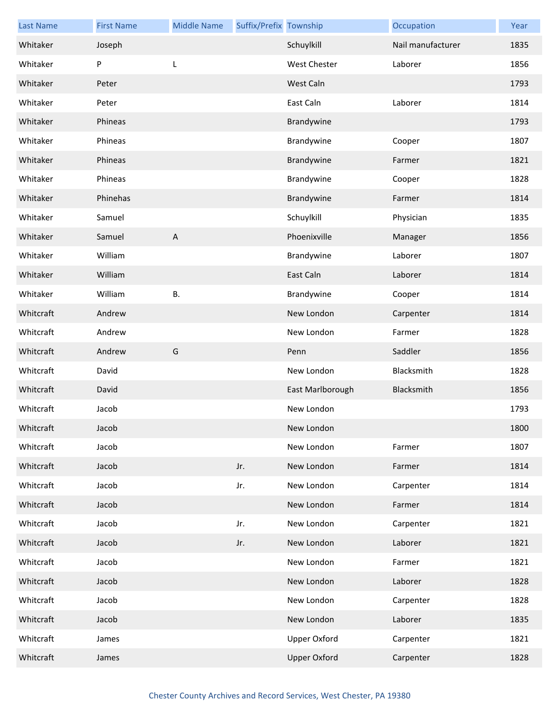| <b>Last Name</b> | <b>First Name</b> | <b>Middle Name</b> | Suffix/Prefix Township |                     | Occupation        | Year |
|------------------|-------------------|--------------------|------------------------|---------------------|-------------------|------|
| Whitaker         | Joseph            |                    |                        | Schuylkill          | Nail manufacturer | 1835 |
| Whitaker         | P                 | L                  |                        | <b>West Chester</b> | Laborer           | 1856 |
| Whitaker         | Peter             |                    |                        | West Caln           |                   | 1793 |
| Whitaker         | Peter             |                    |                        | East Caln           | Laborer           | 1814 |
| Whitaker         | Phineas           |                    |                        | Brandywine          |                   | 1793 |
| Whitaker         | Phineas           |                    |                        | Brandywine          | Cooper            | 1807 |
| Whitaker         | Phineas           |                    |                        | Brandywine          | Farmer            | 1821 |
| Whitaker         | Phineas           |                    |                        | Brandywine          | Cooper            | 1828 |
| Whitaker         | Phinehas          |                    |                        | Brandywine          | Farmer            | 1814 |
| Whitaker         | Samuel            |                    |                        | Schuylkill          | Physician         | 1835 |
| Whitaker         | Samuel            | $\mathsf{A}$       |                        | Phoenixville        | Manager           | 1856 |
| Whitaker         | William           |                    |                        | Brandywine          | Laborer           | 1807 |
| Whitaker         | William           |                    |                        | East Caln           | Laborer           | 1814 |
| Whitaker         | William           | Β.                 |                        | Brandywine          | Cooper            | 1814 |
| Whitcraft        | Andrew            |                    |                        | New London          | Carpenter         | 1814 |
| Whitcraft        | Andrew            |                    |                        | New London          | Farmer            | 1828 |
| Whitcraft        | Andrew            | G                  |                        | Penn                | Saddler           | 1856 |
| Whitcraft        | David             |                    |                        | New London          | Blacksmith        | 1828 |
| Whitcraft        | David             |                    |                        | East Marlborough    | Blacksmith        | 1856 |
| Whitcraft        | Jacob             |                    |                        | New London          |                   | 1793 |
| Whitcraft        | Jacob             |                    |                        | New London          |                   | 1800 |
| Whitcraft        | Jacob             |                    |                        | New London          | Farmer            | 1807 |
| Whitcraft        | Jacob             |                    | Jr.                    | New London          | Farmer            | 1814 |
| Whitcraft        | Jacob             |                    | Jr.                    | New London          | Carpenter         | 1814 |
| Whitcraft        | Jacob             |                    |                        | New London          | Farmer            | 1814 |
| Whitcraft        | Jacob             |                    | Jr.                    | New London          | Carpenter         | 1821 |
| Whitcraft        | Jacob             |                    | Jr.                    | New London          | Laborer           | 1821 |
| Whitcraft        | Jacob             |                    |                        | New London          | Farmer            | 1821 |
| Whitcraft        | Jacob             |                    |                        | New London          | Laborer           | 1828 |
| Whitcraft        | Jacob             |                    |                        | New London          | Carpenter         | 1828 |
| Whitcraft        | Jacob             |                    |                        | New London          | Laborer           | 1835 |
| Whitcraft        | James             |                    |                        | <b>Upper Oxford</b> | Carpenter         | 1821 |
| Whitcraft        | James             |                    |                        | <b>Upper Oxford</b> | Carpenter         | 1828 |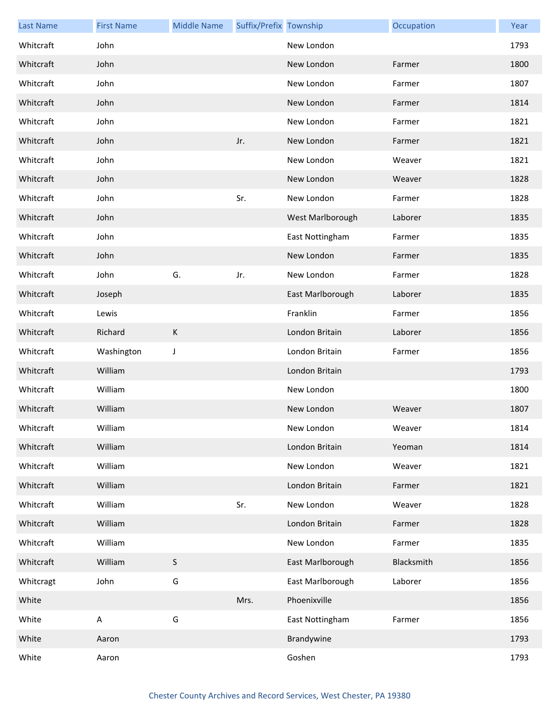| <b>Last Name</b> | <b>First Name</b> | <b>Middle Name</b> | Suffix/Prefix Township |                  | Occupation | Year |
|------------------|-------------------|--------------------|------------------------|------------------|------------|------|
| Whitcraft        | John              |                    |                        | New London       |            | 1793 |
| Whitcraft        | John              |                    |                        | New London       | Farmer     | 1800 |
| Whitcraft        | John              |                    |                        | New London       | Farmer     | 1807 |
| Whitcraft        | John              |                    |                        | New London       | Farmer     | 1814 |
| Whitcraft        | John              |                    |                        | New London       | Farmer     | 1821 |
| Whitcraft        | John              |                    | Jr.                    | New London       | Farmer     | 1821 |
| Whitcraft        | John              |                    |                        | New London       | Weaver     | 1821 |
| Whitcraft        | John              |                    |                        | New London       | Weaver     | 1828 |
| Whitcraft        | John              |                    | Sr.                    | New London       | Farmer     | 1828 |
| Whitcraft        | John              |                    |                        | West Marlborough | Laborer    | 1835 |
| Whitcraft        | John              |                    |                        | East Nottingham  | Farmer     | 1835 |
| Whitcraft        | John              |                    |                        | New London       | Farmer     | 1835 |
| Whitcraft        | John              | G.                 | Jr.                    | New London       | Farmer     | 1828 |
| Whitcraft        | Joseph            |                    |                        | East Marlborough | Laborer    | 1835 |
| Whitcraft        | Lewis             |                    |                        | Franklin         | Farmer     | 1856 |
| Whitcraft        | Richard           | $\sf K$            |                        | London Britain   | Laborer    | 1856 |
| Whitcraft        | Washington        | J                  |                        | London Britain   | Farmer     | 1856 |
| Whitcraft        | William           |                    |                        | London Britain   |            | 1793 |
| Whitcraft        | William           |                    |                        | New London       |            | 1800 |
| Whitcraft        | William           |                    |                        | New London       | Weaver     | 1807 |
| Whitcraft        | William           |                    |                        | New London       | Weaver     | 1814 |
| Whitcraft        | William           |                    |                        | London Britain   | Yeoman     | 1814 |
| Whitcraft        | William           |                    |                        | New London       | Weaver     | 1821 |
| Whitcraft        | William           |                    |                        | London Britain   | Farmer     | 1821 |
| Whitcraft        | William           |                    | Sr.                    | New London       | Weaver     | 1828 |
| Whitcraft        | William           |                    |                        | London Britain   | Farmer     | 1828 |
| Whitcraft        | William           |                    |                        | New London       | Farmer     | 1835 |
| Whitcraft        | William           | $\mathsf{S}$       |                        | East Marlborough | Blacksmith | 1856 |
| Whitcragt        | John              | G                  |                        | East Marlborough | Laborer    | 1856 |
| White            |                   |                    | Mrs.                   | Phoenixville     |            | 1856 |
| White            | A                 | G                  |                        | East Nottingham  | Farmer     | 1856 |
| White            | Aaron             |                    |                        | Brandywine       |            | 1793 |
| White            | Aaron             |                    |                        | Goshen           |            | 1793 |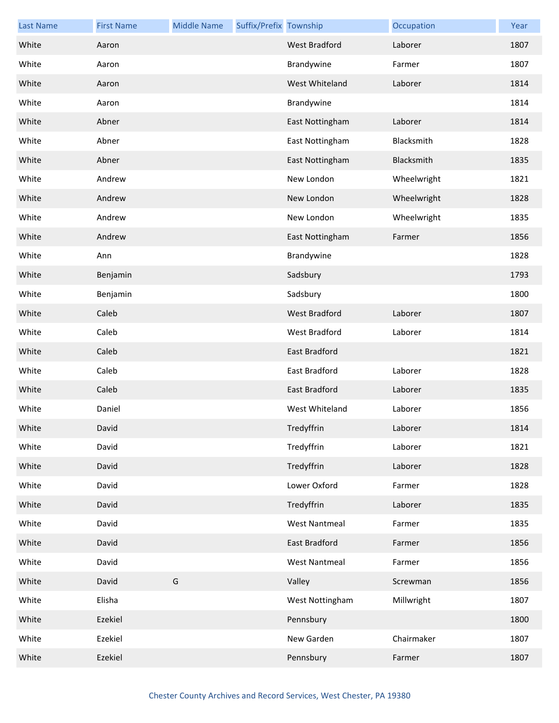| <b>Last Name</b> | <b>First Name</b> | <b>Middle Name</b> | Suffix/Prefix Township |                      | Occupation  | Year |
|------------------|-------------------|--------------------|------------------------|----------------------|-------------|------|
| White            | Aaron             |                    |                        | <b>West Bradford</b> | Laborer     | 1807 |
| White            | Aaron             |                    |                        | Brandywine           | Farmer      | 1807 |
| White            | Aaron             |                    |                        | West Whiteland       | Laborer     | 1814 |
| White            | Aaron             |                    |                        | Brandywine           |             | 1814 |
| White            | Abner             |                    |                        | East Nottingham      | Laborer     | 1814 |
| White            | Abner             |                    |                        | East Nottingham      | Blacksmith  | 1828 |
| White            | Abner             |                    |                        | East Nottingham      | Blacksmith  | 1835 |
| White            | Andrew            |                    |                        | New London           | Wheelwright | 1821 |
| White            | Andrew            |                    |                        | New London           | Wheelwright | 1828 |
| White            | Andrew            |                    |                        | New London           | Wheelwright | 1835 |
| White            | Andrew            |                    |                        | East Nottingham      | Farmer      | 1856 |
| White            | Ann               |                    |                        | Brandywine           |             | 1828 |
| White            | Benjamin          |                    |                        | Sadsbury             |             | 1793 |
| White            | Benjamin          |                    |                        | Sadsbury             |             | 1800 |
| White            | Caleb             |                    |                        | <b>West Bradford</b> | Laborer     | 1807 |
| White            | Caleb             |                    |                        | West Bradford        | Laborer     | 1814 |
| White            | Caleb             |                    |                        | East Bradford        |             | 1821 |
| White            | Caleb             |                    |                        | East Bradford        | Laborer     | 1828 |
| White            | Caleb             |                    |                        | East Bradford        | Laborer     | 1835 |
| White            | Daniel            |                    |                        | West Whiteland       | Laborer     | 1856 |
| White            | David             |                    |                        | Tredyffrin           | Laborer     | 1814 |
| White            | David             |                    |                        | Tredyffrin           | Laborer     | 1821 |
| White            | David             |                    |                        | Tredyffrin           | Laborer     | 1828 |
| White            | David             |                    |                        | Lower Oxford         | Farmer      | 1828 |
| White            | David             |                    |                        | Tredyffrin           | Laborer     | 1835 |
| White            | David             |                    |                        | <b>West Nantmeal</b> | Farmer      | 1835 |
| White            | David             |                    |                        | East Bradford        | Farmer      | 1856 |
| White            | David             |                    |                        | <b>West Nantmeal</b> | Farmer      | 1856 |
| White            | David             | G                  |                        | Valley               | Screwman    | 1856 |
| White            | Elisha            |                    |                        | West Nottingham      | Millwright  | 1807 |
| White            | Ezekiel           |                    |                        | Pennsbury            |             | 1800 |
| White            | Ezekiel           |                    |                        | New Garden           | Chairmaker  | 1807 |
| White            | Ezekiel           |                    |                        | Pennsbury            | Farmer      | 1807 |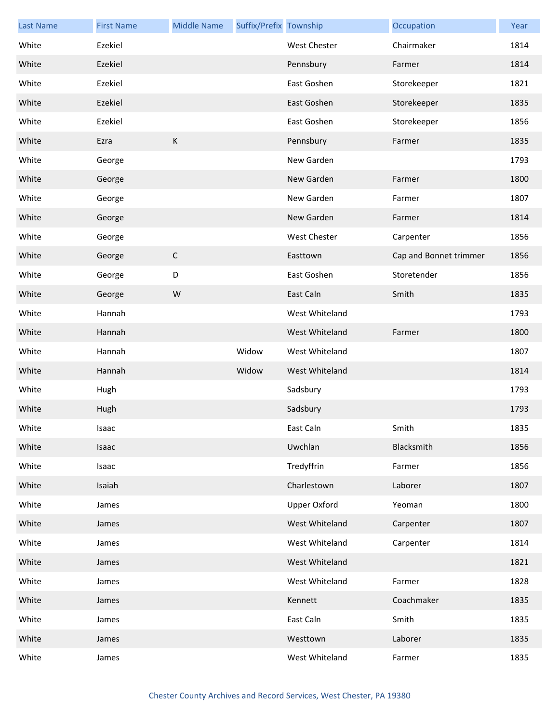| <b>Last Name</b> | <b>First Name</b> | <b>Middle Name</b> | Suffix/Prefix Township |                     | Occupation             | Year |
|------------------|-------------------|--------------------|------------------------|---------------------|------------------------|------|
| White            | Ezekiel           |                    |                        | West Chester        | Chairmaker             | 1814 |
| White            | Ezekiel           |                    |                        | Pennsbury           | Farmer                 | 1814 |
| White            | Ezekiel           |                    |                        | East Goshen         | Storekeeper            | 1821 |
| White            | Ezekiel           |                    |                        | East Goshen         | Storekeeper            | 1835 |
| White            | Ezekiel           |                    |                        | East Goshen         | Storekeeper            | 1856 |
| White            | Ezra              | $\sf K$            |                        | Pennsbury           | Farmer                 | 1835 |
| White            | George            |                    |                        | New Garden          |                        | 1793 |
| White            | George            |                    |                        | New Garden          | Farmer                 | 1800 |
| White            | George            |                    |                        | New Garden          | Farmer                 | 1807 |
| White            | George            |                    |                        | New Garden          | Farmer                 | 1814 |
| White            | George            |                    |                        | West Chester        | Carpenter              | 1856 |
| White            | George            | $\mathsf C$        |                        | Easttown            | Cap and Bonnet trimmer | 1856 |
| White            | George            | D                  |                        | East Goshen         | Storetender            | 1856 |
| White            | George            | W                  |                        | East Caln           | Smith                  | 1835 |
| White            | Hannah            |                    |                        | West Whiteland      |                        | 1793 |
| White            | Hannah            |                    |                        | West Whiteland      | Farmer                 | 1800 |
| White            | Hannah            |                    | Widow                  | West Whiteland      |                        | 1807 |
| White            | Hannah            |                    | Widow                  | West Whiteland      |                        | 1814 |
| White            | Hugh              |                    |                        | Sadsbury            |                        | 1793 |
| White            | Hugh              |                    |                        | Sadsbury            |                        | 1793 |
| White            | Isaac             |                    |                        | East Caln           | Smith                  | 1835 |
| White            | Isaac             |                    |                        | Uwchlan             | Blacksmith             | 1856 |
| White            | Isaac             |                    |                        | Tredyffrin          | Farmer                 | 1856 |
| White            | Isaiah            |                    |                        | Charlestown         | Laborer                | 1807 |
| White            | James             |                    |                        | <b>Upper Oxford</b> | Yeoman                 | 1800 |
| White            | James             |                    |                        | West Whiteland      | Carpenter              | 1807 |
| White            | James             |                    |                        | West Whiteland      | Carpenter              | 1814 |
| White            | James             |                    |                        | West Whiteland      |                        | 1821 |
| White            | James             |                    |                        | West Whiteland      | Farmer                 | 1828 |
| White            | James             |                    |                        | Kennett             | Coachmaker             | 1835 |
| White            | James             |                    |                        | East Caln           | Smith                  | 1835 |
| White            | James             |                    |                        | Westtown            | Laborer                | 1835 |
| White            | James             |                    |                        | West Whiteland      | Farmer                 | 1835 |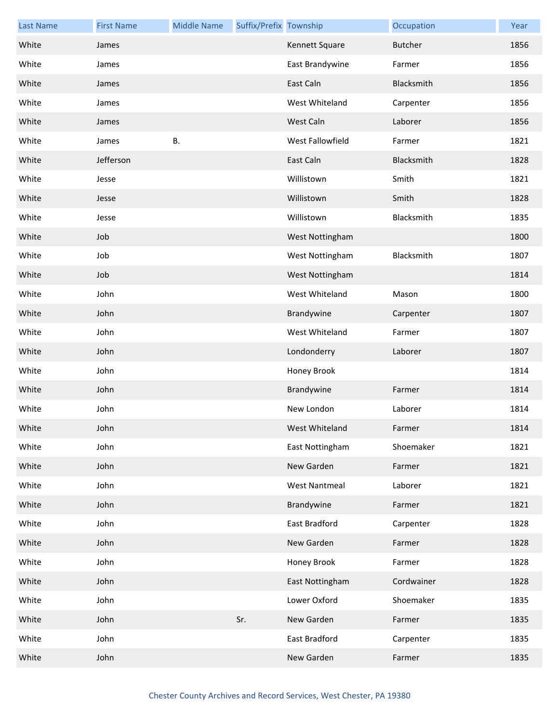| <b>Last Name</b> | <b>First Name</b> | <b>Middle Name</b> | Suffix/Prefix Township |                      | Occupation     | Year |
|------------------|-------------------|--------------------|------------------------|----------------------|----------------|------|
| White            | James             |                    |                        | Kennett Square       | <b>Butcher</b> | 1856 |
| White            | James             |                    |                        | East Brandywine      | Farmer         | 1856 |
| White            | James             |                    |                        | East Caln            | Blacksmith     | 1856 |
| White            | James             |                    |                        | West Whiteland       | Carpenter      | 1856 |
| White            | James             |                    |                        | West Caln            | Laborer        | 1856 |
| White            | James             | Β.                 |                        | West Fallowfield     | Farmer         | 1821 |
| White            | Jefferson         |                    |                        | East Caln            | Blacksmith     | 1828 |
| White            | Jesse             |                    |                        | Willistown           | Smith          | 1821 |
| White            | Jesse             |                    |                        | Willistown           | Smith          | 1828 |
| White            | Jesse             |                    |                        | Willistown           | Blacksmith     | 1835 |
| White            | Job               |                    |                        | West Nottingham      |                | 1800 |
| White            | Job               |                    |                        | West Nottingham      | Blacksmith     | 1807 |
| White            | Job               |                    |                        | West Nottingham      |                | 1814 |
| White            | John              |                    |                        | West Whiteland       | Mason          | 1800 |
| White            | John              |                    |                        | Brandywine           | Carpenter      | 1807 |
| White            | John              |                    |                        | West Whiteland       | Farmer         | 1807 |
| White            | John              |                    |                        | Londonderry          | Laborer        | 1807 |
| White            | John              |                    |                        | Honey Brook          |                | 1814 |
| White            | John              |                    |                        | Brandywine           | Farmer         | 1814 |
| White            | John              |                    |                        | New London           | Laborer        | 1814 |
| White            | John              |                    |                        | West Whiteland       | Farmer         | 1814 |
| White            | John              |                    |                        | East Nottingham      | Shoemaker      | 1821 |
| White            | John              |                    |                        | New Garden           | Farmer         | 1821 |
| White            | John              |                    |                        | <b>West Nantmeal</b> | Laborer        | 1821 |
| White            | John              |                    |                        | Brandywine           | Farmer         | 1821 |
| White            | John              |                    |                        | East Bradford        | Carpenter      | 1828 |
| White            | John              |                    |                        | New Garden           | Farmer         | 1828 |
| White            | John              |                    |                        | Honey Brook          | Farmer         | 1828 |
| White            | John              |                    |                        | East Nottingham      | Cordwainer     | 1828 |
| White            | John              |                    |                        | Lower Oxford         | Shoemaker      | 1835 |
| White            | John              |                    | Sr.                    | New Garden           | Farmer         | 1835 |
| White            | John              |                    |                        | East Bradford        | Carpenter      | 1835 |
| White            | John              |                    |                        | New Garden           | Farmer         | 1835 |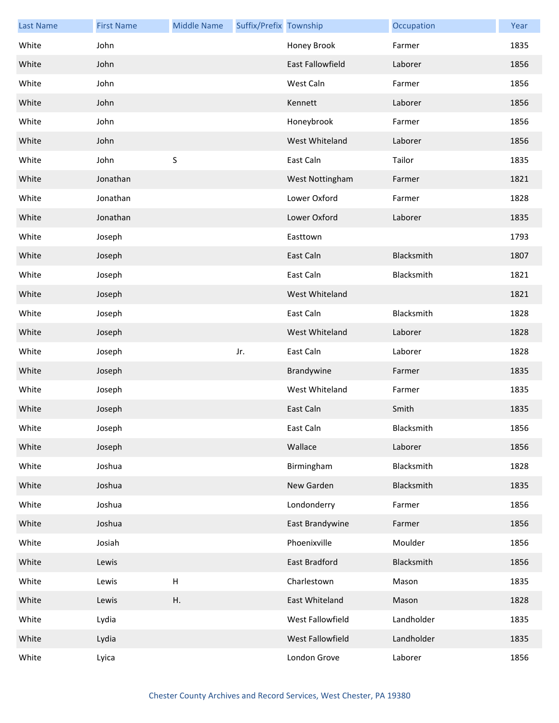| <b>Last Name</b> | <b>First Name</b> | <b>Middle Name</b>        | Suffix/Prefix Township |                         | Occupation | Year |
|------------------|-------------------|---------------------------|------------------------|-------------------------|------------|------|
| White            | John              |                           |                        | Honey Brook             | Farmer     | 1835 |
| White            | John              |                           |                        | <b>East Fallowfield</b> | Laborer    | 1856 |
| White            | John              |                           |                        | West Caln               | Farmer     | 1856 |
| White            | John              |                           |                        | Kennett                 | Laborer    | 1856 |
| White            | John              |                           |                        | Honeybrook              | Farmer     | 1856 |
| White            | John              |                           |                        | West Whiteland          | Laborer    | 1856 |
| White            | John              | S                         |                        | East Caln               | Tailor     | 1835 |
| White            | Jonathan          |                           |                        | West Nottingham         | Farmer     | 1821 |
| White            | Jonathan          |                           |                        | Lower Oxford            | Farmer     | 1828 |
| White            | Jonathan          |                           |                        | Lower Oxford            | Laborer    | 1835 |
| White            | Joseph            |                           |                        | Easttown                |            | 1793 |
| White            | Joseph            |                           |                        | East Caln               | Blacksmith | 1807 |
| White            | Joseph            |                           |                        | East Caln               | Blacksmith | 1821 |
| White            | Joseph            |                           |                        | West Whiteland          |            | 1821 |
| White            | Joseph            |                           |                        | East Caln               | Blacksmith | 1828 |
| White            | Joseph            |                           |                        | West Whiteland          | Laborer    | 1828 |
| White            | Joseph            |                           | Jr.                    | East Caln               | Laborer    | 1828 |
| White            | Joseph            |                           |                        | Brandywine              | Farmer     | 1835 |
| White            | Joseph            |                           |                        | West Whiteland          | Farmer     | 1835 |
| White            | Joseph            |                           |                        | East Caln               | Smith      | 1835 |
| White            | Joseph            |                           |                        | East Caln               | Blacksmith | 1856 |
| White            | Joseph            |                           |                        | Wallace                 | Laborer    | 1856 |
| White            | Joshua            |                           |                        | Birmingham              | Blacksmith | 1828 |
| White            | Joshua            |                           |                        | New Garden              | Blacksmith | 1835 |
| White            | Joshua            |                           |                        | Londonderry             | Farmer     | 1856 |
| White            | Joshua            |                           |                        | East Brandywine         | Farmer     | 1856 |
| White            | Josiah            |                           |                        | Phoenixville            | Moulder    | 1856 |
| White            | Lewis             |                           |                        | East Bradford           | Blacksmith | 1856 |
| White            | Lewis             | $\boldsymbol{\mathsf{H}}$ |                        | Charlestown             | Mason      | 1835 |
| White            | Lewis             | Η.                        |                        | East Whiteland          | Mason      | 1828 |
| White            | Lydia             |                           |                        | West Fallowfield        | Landholder | 1835 |
| White            | Lydia             |                           |                        | West Fallowfield        | Landholder | 1835 |
| White            | Lyica             |                           |                        | London Grove            | Laborer    | 1856 |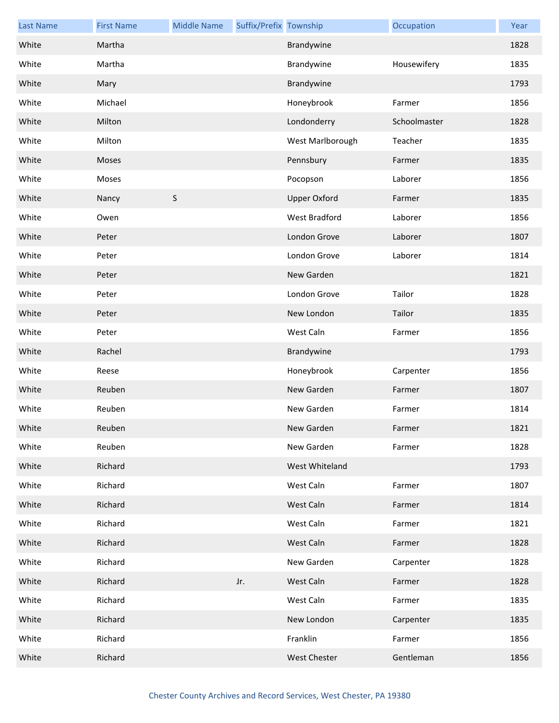| <b>Last Name</b> | <b>First Name</b> | <b>Middle Name</b> | Suffix/Prefix Township |                     | Occupation   | Year |
|------------------|-------------------|--------------------|------------------------|---------------------|--------------|------|
| White            | Martha            |                    |                        | Brandywine          |              | 1828 |
| White            | Martha            |                    |                        | Brandywine          | Housewifery  | 1835 |
| White            | Mary              |                    |                        | Brandywine          |              | 1793 |
| White            | Michael           |                    |                        | Honeybrook          | Farmer       | 1856 |
| White            | Milton            |                    |                        | Londonderry         | Schoolmaster | 1828 |
| White            | Milton            |                    |                        | West Marlborough    | Teacher      | 1835 |
| White            | Moses             |                    |                        | Pennsbury           | Farmer       | 1835 |
| White            | Moses             |                    |                        | Pocopson            | Laborer      | 1856 |
| White            | Nancy             | $\sf S$            |                        | <b>Upper Oxford</b> | Farmer       | 1835 |
| White            | Owen              |                    |                        | West Bradford       | Laborer      | 1856 |
| White            | Peter             |                    |                        | London Grove        | Laborer      | 1807 |
| White            | Peter             |                    |                        | London Grove        | Laborer      | 1814 |
| White            | Peter             |                    |                        | New Garden          |              | 1821 |
| White            | Peter             |                    |                        | London Grove        | Tailor       | 1828 |
| White            | Peter             |                    |                        | New London          | Tailor       | 1835 |
| White            | Peter             |                    |                        | West Caln           | Farmer       | 1856 |
| White            | Rachel            |                    |                        | Brandywine          |              | 1793 |
| White            | Reese             |                    |                        | Honeybrook          | Carpenter    | 1856 |
| White            | Reuben            |                    |                        | New Garden          | Farmer       | 1807 |
| White            | Reuben            |                    |                        | New Garden          | Farmer       | 1814 |
| White            | Reuben            |                    |                        | New Garden          | Farmer       | 1821 |
| White            | Reuben            |                    |                        | New Garden          | Farmer       | 1828 |
| White            | Richard           |                    |                        | West Whiteland      |              | 1793 |
| White            | Richard           |                    |                        | West Caln           | Farmer       | 1807 |
| White            | Richard           |                    |                        | West Caln           | Farmer       | 1814 |
| White            | Richard           |                    |                        | West Caln           | Farmer       | 1821 |
| White            | Richard           |                    |                        | West Caln           | Farmer       | 1828 |
| White            | Richard           |                    |                        | New Garden          | Carpenter    | 1828 |
| White            | Richard           |                    | Jr.                    | West Caln           | Farmer       | 1828 |
| White            | Richard           |                    |                        | West Caln           | Farmer       | 1835 |
| White            | Richard           |                    |                        | New London          | Carpenter    | 1835 |
| White            | Richard           |                    |                        | Franklin            | Farmer       | 1856 |
| White            | Richard           |                    |                        | <b>West Chester</b> | Gentleman    | 1856 |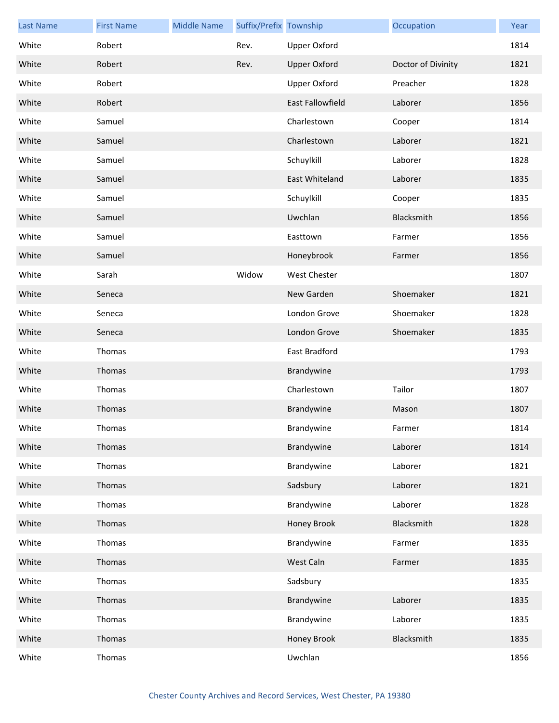| <b>Last Name</b> | <b>First Name</b> | <b>Middle Name</b> | Suffix/Prefix Township |                     | Occupation         | Year |
|------------------|-------------------|--------------------|------------------------|---------------------|--------------------|------|
| White            | Robert            |                    | Rev.                   | <b>Upper Oxford</b> |                    | 1814 |
| White            | Robert            |                    | Rev.                   | <b>Upper Oxford</b> | Doctor of Divinity | 1821 |
| White            | Robert            |                    |                        | <b>Upper Oxford</b> | Preacher           | 1828 |
| White            | Robert            |                    |                        | East Fallowfield    | Laborer            | 1856 |
| White            | Samuel            |                    |                        | Charlestown         | Cooper             | 1814 |
| White            | Samuel            |                    |                        | Charlestown         | Laborer            | 1821 |
| White            | Samuel            |                    |                        | Schuylkill          | Laborer            | 1828 |
| White            | Samuel            |                    |                        | East Whiteland      | Laborer            | 1835 |
| White            | Samuel            |                    |                        | Schuylkill          | Cooper             | 1835 |
| White            | Samuel            |                    |                        | Uwchlan             | Blacksmith         | 1856 |
| White            | Samuel            |                    |                        | Easttown            | Farmer             | 1856 |
| White            | Samuel            |                    |                        | Honeybrook          | Farmer             | 1856 |
| White            | Sarah             |                    | Widow                  | <b>West Chester</b> |                    | 1807 |
| White            | Seneca            |                    |                        | New Garden          | Shoemaker          | 1821 |
| White            | Seneca            |                    |                        | London Grove        | Shoemaker          | 1828 |
| White            | Seneca            |                    |                        | London Grove        | Shoemaker          | 1835 |
| White            | Thomas            |                    |                        | East Bradford       |                    | 1793 |
| White            | Thomas            |                    |                        | Brandywine          |                    | 1793 |
| White            | Thomas            |                    |                        | Charlestown         | Tailor             | 1807 |
| White            | Thomas            |                    |                        | Brandywine          | Mason              | 1807 |
| White            | Thomas            |                    |                        | Brandywine          | Farmer             | 1814 |
| White            | Thomas            |                    |                        | Brandywine          | Laborer            | 1814 |
| White            | Thomas            |                    |                        | Brandywine          | Laborer            | 1821 |
| White            | Thomas            |                    |                        | Sadsbury            | Laborer            | 1821 |
| White            | Thomas            |                    |                        | Brandywine          | Laborer            | 1828 |
| White            | Thomas            |                    |                        | Honey Brook         | Blacksmith         | 1828 |
| White            | Thomas            |                    |                        | Brandywine          | Farmer             | 1835 |
| White            | Thomas            |                    |                        | West Caln           | Farmer             | 1835 |
| White            | Thomas            |                    |                        | Sadsbury            |                    | 1835 |
| White            | Thomas            |                    |                        | Brandywine          | Laborer            | 1835 |
| White            | Thomas            |                    |                        | Brandywine          | Laborer            | 1835 |
| White            | Thomas            |                    |                        | Honey Brook         | Blacksmith         | 1835 |
| White            | Thomas            |                    |                        | Uwchlan             |                    | 1856 |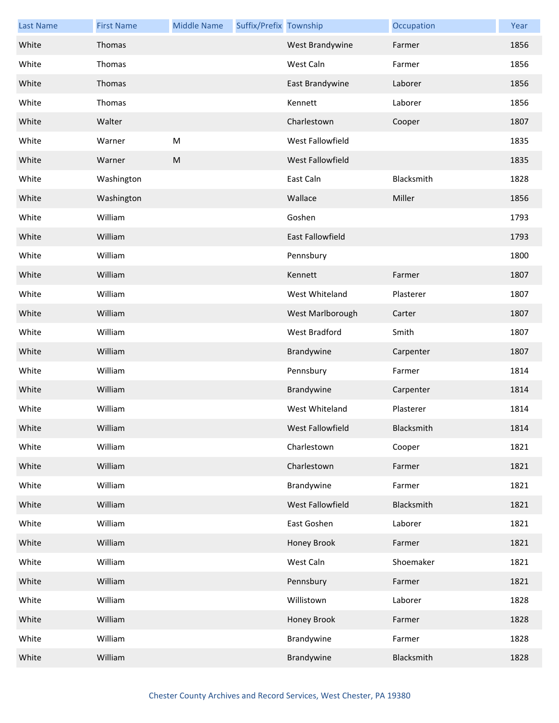| <b>Last Name</b> | <b>First Name</b> | <b>Middle Name</b> | Suffix/Prefix Township |                         | Occupation | Year |
|------------------|-------------------|--------------------|------------------------|-------------------------|------------|------|
| White            | Thomas            |                    |                        | West Brandywine         | Farmer     | 1856 |
| White            | Thomas            |                    |                        | West Caln               | Farmer     | 1856 |
| White            | Thomas            |                    |                        | East Brandywine         | Laborer    | 1856 |
| White            | Thomas            |                    |                        | Kennett                 | Laborer    | 1856 |
| White            | Walter            |                    |                        | Charlestown             | Cooper     | 1807 |
| White            | Warner            | ${\sf M}$          |                        | West Fallowfield        |            | 1835 |
| White            | Warner            | ${\sf M}$          |                        | West Fallowfield        |            | 1835 |
| White            | Washington        |                    |                        | East Caln               | Blacksmith | 1828 |
| White            | Washington        |                    |                        | Wallace                 | Miller     | 1856 |
| White            | William           |                    |                        | Goshen                  |            | 1793 |
| White            | William           |                    |                        | <b>East Fallowfield</b> |            | 1793 |
| White            | William           |                    |                        | Pennsbury               |            | 1800 |
| White            | William           |                    |                        | Kennett                 | Farmer     | 1807 |
| White            | William           |                    |                        | West Whiteland          | Plasterer  | 1807 |
| White            | William           |                    |                        | West Marlborough        | Carter     | 1807 |
| White            | William           |                    |                        | <b>West Bradford</b>    | Smith      | 1807 |
| White            | William           |                    |                        | Brandywine              | Carpenter  | 1807 |
| White            | William           |                    |                        | Pennsbury               | Farmer     | 1814 |
| White            | William           |                    |                        | Brandywine              | Carpenter  | 1814 |
| White            | William           |                    |                        | West Whiteland          | Plasterer  | 1814 |
| White            | William           |                    |                        | West Fallowfield        | Blacksmith | 1814 |
| White            | William           |                    |                        | Charlestown             | Cooper     | 1821 |
| White            | William           |                    |                        | Charlestown             | Farmer     | 1821 |
| White            | William           |                    |                        | Brandywine              | Farmer     | 1821 |
| White            | William           |                    |                        | West Fallowfield        | Blacksmith | 1821 |
| White            | William           |                    |                        | East Goshen             | Laborer    | 1821 |
| White            | William           |                    |                        | Honey Brook             | Farmer     | 1821 |
| White            | William           |                    |                        | West Caln               | Shoemaker  | 1821 |
| White            | William           |                    |                        | Pennsbury               | Farmer     | 1821 |
| White            | William           |                    |                        | Willistown              | Laborer    | 1828 |
| White            | William           |                    |                        | Honey Brook             | Farmer     | 1828 |
| White            | William           |                    |                        | Brandywine              | Farmer     | 1828 |
| White            | William           |                    |                        | Brandywine              | Blacksmith | 1828 |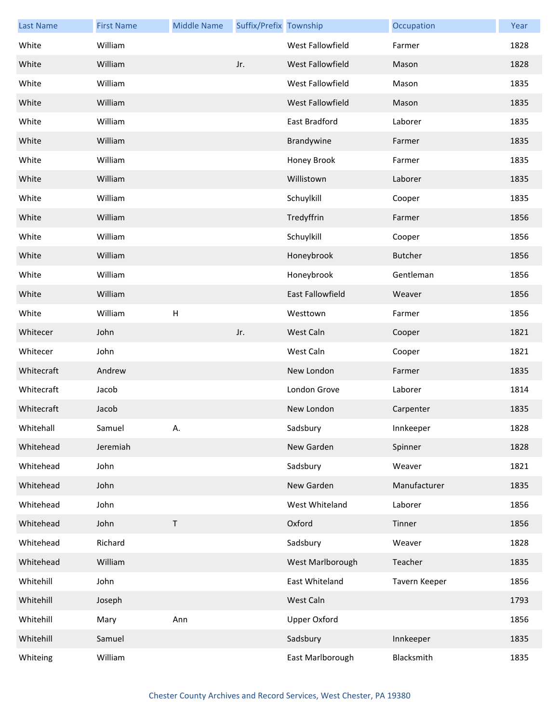| <b>Last Name</b> | <b>First Name</b> | <b>Middle Name</b>        | Suffix/Prefix Township |                         | Occupation     | Year |
|------------------|-------------------|---------------------------|------------------------|-------------------------|----------------|------|
| White            | William           |                           |                        | West Fallowfield        | Farmer         | 1828 |
| White            | William           |                           | Jr.                    | West Fallowfield        | Mason          | 1828 |
| White            | William           |                           |                        | West Fallowfield        | Mason          | 1835 |
| White            | William           |                           |                        | West Fallowfield        | Mason          | 1835 |
| White            | William           |                           |                        | East Bradford           | Laborer        | 1835 |
| White            | William           |                           |                        | Brandywine              | Farmer         | 1835 |
| White            | William           |                           |                        | Honey Brook             | Farmer         | 1835 |
| White            | William           |                           |                        | Willistown              | Laborer        | 1835 |
| White            | William           |                           |                        | Schuylkill              | Cooper         | 1835 |
| White            | William           |                           |                        | Tredyffrin              | Farmer         | 1856 |
| White            | William           |                           |                        | Schuylkill              | Cooper         | 1856 |
| White            | William           |                           |                        | Honeybrook              | <b>Butcher</b> | 1856 |
| White            | William           |                           |                        | Honeybrook              | Gentleman      | 1856 |
| White            | William           |                           |                        | <b>East Fallowfield</b> | Weaver         | 1856 |
| White            | William           | $\boldsymbol{\mathsf{H}}$ |                        | Westtown                | Farmer         | 1856 |
| Whitecer         | John              |                           | Jr.                    | West Caln               | Cooper         | 1821 |
| Whitecer         | John              |                           |                        | West Caln               | Cooper         | 1821 |
| Whitecraft       | Andrew            |                           |                        | New London              | Farmer         | 1835 |
| Whitecraft       | Jacob             |                           |                        | London Grove            | Laborer        | 1814 |
| Whitecraft       | Jacob             |                           |                        | New London              | Carpenter      | 1835 |
| Whitehall        | Samuel            | Α.                        |                        | Sadsbury                | Innkeeper      | 1828 |
| Whitehead        | Jeremiah          |                           |                        | New Garden              | Spinner        | 1828 |
| Whitehead        | John              |                           |                        | Sadsbury                | Weaver         | 1821 |
| Whitehead        | John              |                           |                        | New Garden              | Manufacturer   | 1835 |
| Whitehead        | John              |                           |                        | West Whiteland          | Laborer        | 1856 |
| Whitehead        | John              | $\sf T$                   |                        | Oxford                  | Tinner         | 1856 |
| Whitehead        | Richard           |                           |                        | Sadsbury                | Weaver         | 1828 |
| Whitehead        | William           |                           |                        | West Marlborough        | Teacher        | 1835 |
| Whitehill        | John              |                           |                        | East Whiteland          | Tavern Keeper  | 1856 |
| Whitehill        | Joseph            |                           |                        | West Caln               |                | 1793 |
| Whitehill        | Mary              | Ann                       |                        | <b>Upper Oxford</b>     |                | 1856 |
| Whitehill        | Samuel            |                           |                        | Sadsbury                | Innkeeper      | 1835 |
| Whiteing         | William           |                           |                        | East Marlborough        | Blacksmith     | 1835 |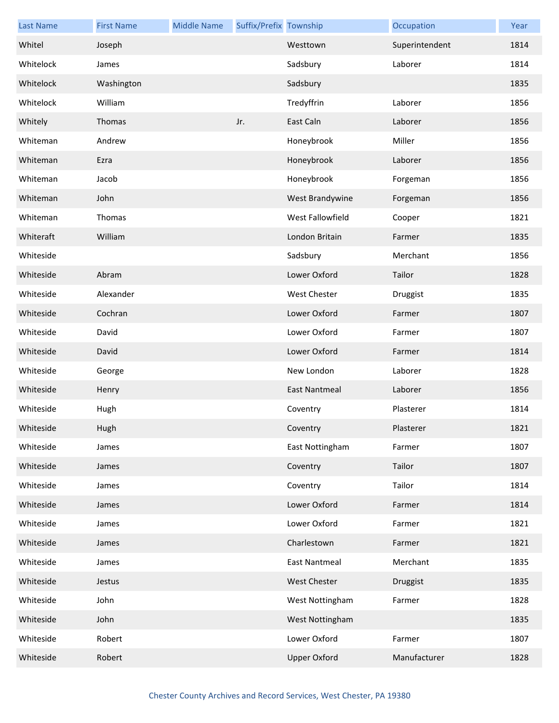| <b>Last Name</b> | <b>First Name</b> | <b>Middle Name</b> | Suffix/Prefix Township |                      | Occupation     | Year |
|------------------|-------------------|--------------------|------------------------|----------------------|----------------|------|
| Whitel           | Joseph            |                    |                        | Westtown             | Superintendent | 1814 |
| Whitelock        | James             |                    |                        | Sadsbury             | Laborer        | 1814 |
| Whitelock        | Washington        |                    |                        | Sadsbury             |                | 1835 |
| Whitelock        | William           |                    |                        | Tredyffrin           | Laborer        | 1856 |
| Whitely          | Thomas            |                    | Jr.                    | East Caln            | Laborer        | 1856 |
| Whiteman         | Andrew            |                    |                        | Honeybrook           | Miller         | 1856 |
| Whiteman         | Ezra              |                    |                        | Honeybrook           | Laborer        | 1856 |
| Whiteman         | Jacob             |                    |                        | Honeybrook           | Forgeman       | 1856 |
| Whiteman         | John              |                    |                        | West Brandywine      | Forgeman       | 1856 |
| Whiteman         | Thomas            |                    |                        | West Fallowfield     | Cooper         | 1821 |
| Whiteraft        | William           |                    |                        | London Britain       | Farmer         | 1835 |
| Whiteside        |                   |                    |                        | Sadsbury             | Merchant       | 1856 |
| Whiteside        | Abram             |                    |                        | Lower Oxford         | Tailor         | 1828 |
| Whiteside        | Alexander         |                    |                        | <b>West Chester</b>  | Druggist       | 1835 |
| Whiteside        | Cochran           |                    |                        | Lower Oxford         | Farmer         | 1807 |
| Whiteside        | David             |                    |                        | Lower Oxford         | Farmer         | 1807 |
| Whiteside        | David             |                    |                        | Lower Oxford         | Farmer         | 1814 |
| Whiteside        | George            |                    |                        | New London           | Laborer        | 1828 |
| Whiteside        | Henry             |                    |                        | East Nantmeal        | Laborer        | 1856 |
| Whiteside        | Hugh              |                    |                        | Coventry             | Plasterer      | 1814 |
| Whiteside        | Hugh              |                    |                        | Coventry             | Plasterer      | 1821 |
| Whiteside        | James             |                    |                        | East Nottingham      | Farmer         | 1807 |
| Whiteside        | James             |                    |                        | Coventry             | Tailor         | 1807 |
| Whiteside        | James             |                    |                        | Coventry             | Tailor         | 1814 |
| Whiteside        | James             |                    |                        | Lower Oxford         | Farmer         | 1814 |
| Whiteside        | James             |                    |                        | Lower Oxford         | Farmer         | 1821 |
| Whiteside        | James             |                    |                        | Charlestown          | Farmer         | 1821 |
| Whiteside        | James             |                    |                        | <b>East Nantmeal</b> | Merchant       | 1835 |
| Whiteside        | Jestus            |                    |                        | <b>West Chester</b>  | Druggist       | 1835 |
| Whiteside        | John              |                    |                        | West Nottingham      | Farmer         | 1828 |
| Whiteside        | John              |                    |                        | West Nottingham      |                | 1835 |
| Whiteside        | Robert            |                    |                        | Lower Oxford         | Farmer         | 1807 |
| Whiteside        | Robert            |                    |                        | <b>Upper Oxford</b>  | Manufacturer   | 1828 |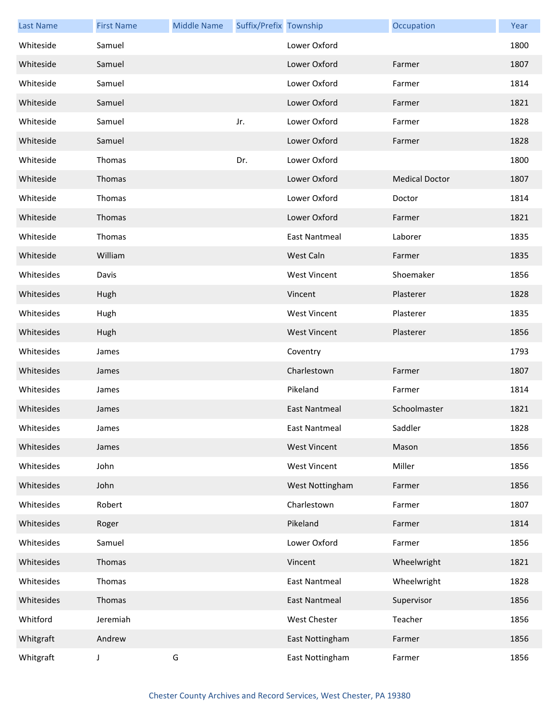| <b>Last Name</b> | <b>First Name</b> | <b>Middle Name</b> | Suffix/Prefix Township |                      | Occupation            | Year |
|------------------|-------------------|--------------------|------------------------|----------------------|-----------------------|------|
| Whiteside        | Samuel            |                    |                        | Lower Oxford         |                       | 1800 |
| Whiteside        | Samuel            |                    |                        | Lower Oxford         | Farmer                | 1807 |
| Whiteside        | Samuel            |                    |                        | Lower Oxford         | Farmer                | 1814 |
| Whiteside        | Samuel            |                    |                        | Lower Oxford         | Farmer                | 1821 |
| Whiteside        | Samuel            |                    | Jr.                    | Lower Oxford         | Farmer                | 1828 |
| Whiteside        | Samuel            |                    |                        | Lower Oxford         | Farmer                | 1828 |
| Whiteside        | Thomas            |                    | Dr.                    | Lower Oxford         |                       | 1800 |
| Whiteside        | Thomas            |                    |                        | Lower Oxford         | <b>Medical Doctor</b> | 1807 |
| Whiteside        | Thomas            |                    |                        | Lower Oxford         | Doctor                | 1814 |
| Whiteside        | Thomas            |                    |                        | Lower Oxford         | Farmer                | 1821 |
| Whiteside        | Thomas            |                    |                        | East Nantmeal        | Laborer               | 1835 |
| Whiteside        | William           |                    |                        | West Caln            | Farmer                | 1835 |
| Whitesides       | Davis             |                    |                        | <b>West Vincent</b>  | Shoemaker             | 1856 |
| Whitesides       | Hugh              |                    |                        | Vincent              | Plasterer             | 1828 |
| Whitesides       | Hugh              |                    |                        | <b>West Vincent</b>  | Plasterer             | 1835 |
| Whitesides       | Hugh              |                    |                        | <b>West Vincent</b>  | Plasterer             | 1856 |
| Whitesides       | James             |                    |                        | Coventry             |                       | 1793 |
| Whitesides       | James             |                    |                        | Charlestown          | Farmer                | 1807 |
| Whitesides       | James             |                    |                        | Pikeland             | Farmer                | 1814 |
| Whitesides       | James             |                    |                        | <b>East Nantmeal</b> | Schoolmaster          | 1821 |
| Whitesides       | James             |                    |                        | East Nantmeal        | Saddler               | 1828 |
| Whitesides       | James             |                    |                        | <b>West Vincent</b>  | Mason                 | 1856 |
| Whitesides       | John              |                    |                        | <b>West Vincent</b>  | Miller                | 1856 |
| Whitesides       | John              |                    |                        | West Nottingham      | Farmer                | 1856 |
| Whitesides       | Robert            |                    |                        | Charlestown          | Farmer                | 1807 |
| Whitesides       | Roger             |                    |                        | Pikeland             | Farmer                | 1814 |
| Whitesides       | Samuel            |                    |                        | Lower Oxford         | Farmer                | 1856 |
| Whitesides       | Thomas            |                    |                        | Vincent              | Wheelwright           | 1821 |
| Whitesides       | Thomas            |                    |                        | <b>East Nantmeal</b> | Wheelwright           | 1828 |
| Whitesides       | Thomas            |                    |                        | East Nantmeal        | Supervisor            | 1856 |
| Whitford         | Jeremiah          |                    |                        | <b>West Chester</b>  | Teacher               | 1856 |
| Whitgraft        | Andrew            |                    |                        | East Nottingham      | Farmer                | 1856 |
| Whitgraft        | J                 | G                  |                        | East Nottingham      | Farmer                | 1856 |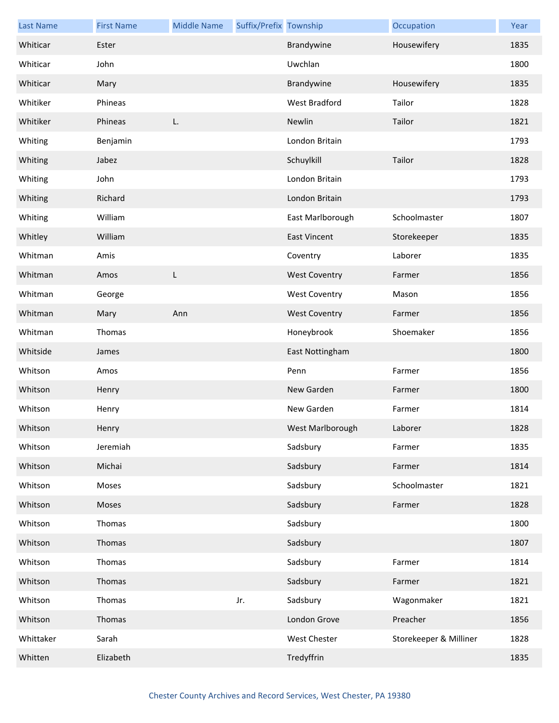| <b>Last Name</b> | <b>First Name</b> | <b>Middle Name</b> | Suffix/Prefix Township |                      | Occupation             | Year |
|------------------|-------------------|--------------------|------------------------|----------------------|------------------------|------|
| Whiticar         | Ester             |                    |                        | Brandywine           | Housewifery            | 1835 |
| Whiticar         | John              |                    |                        | Uwchlan              |                        | 1800 |
| Whiticar         | Mary              |                    |                        | Brandywine           | Housewifery            | 1835 |
| Whitiker         | Phineas           |                    |                        | West Bradford        | Tailor                 | 1828 |
| Whitiker         | Phineas           | L.                 |                        | Newlin               | Tailor                 | 1821 |
| Whiting          | Benjamin          |                    |                        | London Britain       |                        | 1793 |
| Whiting          | Jabez             |                    |                        | Schuylkill           | Tailor                 | 1828 |
| Whiting          | John              |                    |                        | London Britain       |                        | 1793 |
| Whiting          | Richard           |                    |                        | London Britain       |                        | 1793 |
| Whiting          | William           |                    |                        | East Marlborough     | Schoolmaster           | 1807 |
| Whitley          | William           |                    |                        | <b>East Vincent</b>  | Storekeeper            | 1835 |
| Whitman          | Amis              |                    |                        | Coventry             | Laborer                | 1835 |
| Whitman          | Amos              | L                  |                        | <b>West Coventry</b> | Farmer                 | 1856 |
| Whitman          | George            |                    |                        | <b>West Coventry</b> | Mason                  | 1856 |
| Whitman          | Mary              | Ann                |                        | <b>West Coventry</b> | Farmer                 | 1856 |
| Whitman          | Thomas            |                    |                        | Honeybrook           | Shoemaker              | 1856 |
| Whitside         | James             |                    |                        | East Nottingham      |                        | 1800 |
| Whitson          | Amos              |                    |                        | Penn                 | Farmer                 | 1856 |
| Whitson          | Henry             |                    |                        | New Garden           | Farmer                 | 1800 |
| Whitson          | Henry             |                    |                        | New Garden           | Farmer                 | 1814 |
| Whitson          | Henry             |                    |                        | West Marlborough     | Laborer                | 1828 |
| Whitson          | Jeremiah          |                    |                        | Sadsbury             | Farmer                 | 1835 |
| Whitson          | Michai            |                    |                        | Sadsbury             | Farmer                 | 1814 |
| Whitson          | Moses             |                    |                        | Sadsbury             | Schoolmaster           | 1821 |
| Whitson          | Moses             |                    |                        | Sadsbury             | Farmer                 | 1828 |
| Whitson          | Thomas            |                    |                        | Sadsbury             |                        | 1800 |
| Whitson          | Thomas            |                    |                        | Sadsbury             |                        | 1807 |
| Whitson          | Thomas            |                    |                        | Sadsbury             | Farmer                 | 1814 |
| Whitson          | Thomas            |                    |                        | Sadsbury             | Farmer                 | 1821 |
| Whitson          | Thomas            |                    | Jr.                    | Sadsbury             | Wagonmaker             | 1821 |
| Whitson          | Thomas            |                    |                        | London Grove         | Preacher               | 1856 |
| Whittaker        | Sarah             |                    |                        | West Chester         | Storekeeper & Milliner | 1828 |
| Whitten          | Elizabeth         |                    |                        | Tredyffrin           |                        | 1835 |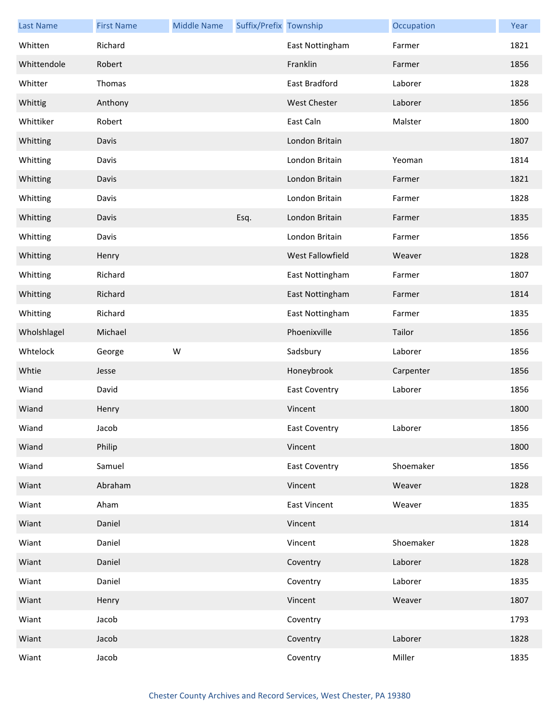| <b>Last Name</b> | <b>First Name</b> | <b>Middle Name</b> | Suffix/Prefix Township |                      | Occupation | Year |
|------------------|-------------------|--------------------|------------------------|----------------------|------------|------|
| Whitten          | Richard           |                    |                        | East Nottingham      | Farmer     | 1821 |
| Whittendole      | Robert            |                    |                        | Franklin             | Farmer     | 1856 |
| Whitter          | Thomas            |                    |                        | East Bradford        | Laborer    | 1828 |
| Whittig          | Anthony           |                    |                        | <b>West Chester</b>  | Laborer    | 1856 |
| Whittiker        | Robert            |                    |                        | East Caln            | Malster    | 1800 |
| Whitting         | Davis             |                    |                        | London Britain       |            | 1807 |
| Whitting         | Davis             |                    |                        | London Britain       | Yeoman     | 1814 |
| Whitting         | Davis             |                    |                        | London Britain       | Farmer     | 1821 |
| Whitting         | Davis             |                    |                        | London Britain       | Farmer     | 1828 |
| Whitting         | Davis             |                    | Esq.                   | London Britain       | Farmer     | 1835 |
| Whitting         | Davis             |                    |                        | London Britain       | Farmer     | 1856 |
| Whitting         | Henry             |                    |                        | West Fallowfield     | Weaver     | 1828 |
| Whitting         | Richard           |                    |                        | East Nottingham      | Farmer     | 1807 |
| Whitting         | Richard           |                    |                        | East Nottingham      | Farmer     | 1814 |
| Whitting         | Richard           |                    |                        | East Nottingham      | Farmer     | 1835 |
| Wholshlagel      | Michael           |                    |                        | Phoenixville         | Tailor     | 1856 |
| Whtelock         | George            | W                  |                        | Sadsbury             | Laborer    | 1856 |
| Whtie            | Jesse             |                    |                        | Honeybrook           | Carpenter  | 1856 |
| Wiand            | David             |                    |                        | <b>East Coventry</b> | Laborer    | 1856 |
| Wiand            | Henry             |                    |                        | Vincent              |            | 1800 |
| Wiand            | Jacob             |                    |                        | East Coventry        | Laborer    | 1856 |
| Wiand            | Philip            |                    |                        | Vincent              |            | 1800 |
| Wiand            | Samuel            |                    |                        | <b>East Coventry</b> | Shoemaker  | 1856 |
| Wiant            | Abraham           |                    |                        | Vincent              | Weaver     | 1828 |
| Wiant            | Aham              |                    |                        | <b>East Vincent</b>  | Weaver     | 1835 |
| Wiant            | Daniel            |                    |                        | Vincent              |            | 1814 |
| Wiant            | Daniel            |                    |                        | Vincent              | Shoemaker  | 1828 |
| Wiant            | Daniel            |                    |                        | Coventry             | Laborer    | 1828 |
| Wiant            | Daniel            |                    |                        | Coventry             | Laborer    | 1835 |
| Wiant            | Henry             |                    |                        | Vincent              | Weaver     | 1807 |
| Wiant            | Jacob             |                    |                        | Coventry             |            | 1793 |
| Wiant            | Jacob             |                    |                        | Coventry             | Laborer    | 1828 |
| Wiant            | Jacob             |                    |                        | Coventry             | Miller     | 1835 |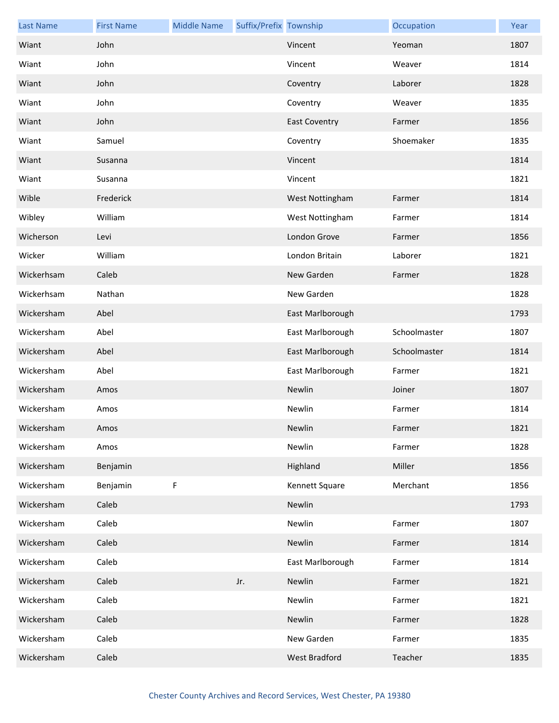| <b>Last Name</b> | <b>First Name</b> | <b>Middle Name</b> | Suffix/Prefix Township |                      | Occupation   | Year |
|------------------|-------------------|--------------------|------------------------|----------------------|--------------|------|
| Wiant            | John              |                    |                        | Vincent              | Yeoman       | 1807 |
| Wiant            | John              |                    |                        | Vincent              | Weaver       | 1814 |
| Wiant            | John              |                    |                        | Coventry             | Laborer      | 1828 |
| Wiant            | John              |                    |                        | Coventry             | Weaver       | 1835 |
| Wiant            | John              |                    |                        | <b>East Coventry</b> | Farmer       | 1856 |
| Wiant            | Samuel            |                    |                        | Coventry             | Shoemaker    | 1835 |
| Wiant            | Susanna           |                    |                        | Vincent              |              | 1814 |
| Wiant            | Susanna           |                    |                        | Vincent              |              | 1821 |
| Wible            | Frederick         |                    |                        | West Nottingham      | Farmer       | 1814 |
| Wibley           | William           |                    |                        | West Nottingham      | Farmer       | 1814 |
| Wicherson        | Levi              |                    |                        | London Grove         | Farmer       | 1856 |
| Wicker           | William           |                    |                        | London Britain       | Laborer      | 1821 |
| Wickerhsam       | Caleb             |                    |                        | New Garden           | Farmer       | 1828 |
| Wickerhsam       | Nathan            |                    |                        | New Garden           |              | 1828 |
| Wickersham       | Abel              |                    |                        | East Marlborough     |              | 1793 |
| Wickersham       | Abel              |                    |                        | East Marlborough     | Schoolmaster | 1807 |
| Wickersham       | Abel              |                    |                        | East Marlborough     | Schoolmaster | 1814 |
| Wickersham       | Abel              |                    |                        | East Marlborough     | Farmer       | 1821 |
| Wickersham       | Amos              |                    |                        | Newlin               | Joiner       | 1807 |
| Wickersham       | Amos              |                    |                        | Newlin               | Farmer       | 1814 |
| Wickersham       | Amos              |                    |                        | Newlin               | Farmer       | 1821 |
| Wickersham       | Amos              |                    |                        | Newlin               | Farmer       | 1828 |
| Wickersham       | Benjamin          |                    |                        | Highland             | Miller       | 1856 |
| Wickersham       | Benjamin          | F                  |                        | Kennett Square       | Merchant     | 1856 |
| Wickersham       | Caleb             |                    |                        | Newlin               |              | 1793 |
| Wickersham       | Caleb             |                    |                        | Newlin               | Farmer       | 1807 |
| Wickersham       | Caleb             |                    |                        | Newlin               | Farmer       | 1814 |
| Wickersham       | Caleb             |                    |                        | East Marlborough     | Farmer       | 1814 |
| Wickersham       | Caleb             |                    | Jr.                    | Newlin               | Farmer       | 1821 |
| Wickersham       | Caleb             |                    |                        | Newlin               | Farmer       | 1821 |
| Wickersham       | Caleb             |                    |                        | Newlin               | Farmer       | 1828 |
| Wickersham       | Caleb             |                    |                        | New Garden           | Farmer       | 1835 |
| Wickersham       | Caleb             |                    |                        | West Bradford        | Teacher      | 1835 |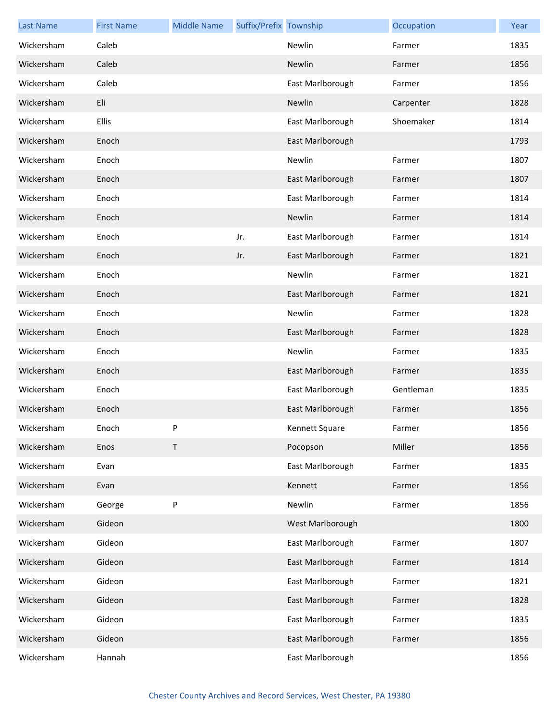| <b>Last Name</b> | <b>First Name</b> | <b>Middle Name</b> | Suffix/Prefix Township |                  | Occupation | Year |
|------------------|-------------------|--------------------|------------------------|------------------|------------|------|
| Wickersham       | Caleb             |                    |                        | Newlin           | Farmer     | 1835 |
| Wickersham       | Caleb             |                    |                        | Newlin           | Farmer     | 1856 |
| Wickersham       | Caleb             |                    |                        | East Marlborough | Farmer     | 1856 |
| Wickersham       | Eli               |                    |                        | Newlin           | Carpenter  | 1828 |
| Wickersham       | Ellis             |                    |                        | East Marlborough | Shoemaker  | 1814 |
| Wickersham       | Enoch             |                    |                        | East Marlborough |            | 1793 |
| Wickersham       | Enoch             |                    |                        | Newlin           | Farmer     | 1807 |
| Wickersham       | Enoch             |                    |                        | East Marlborough | Farmer     | 1807 |
| Wickersham       | Enoch             |                    |                        | East Marlborough | Farmer     | 1814 |
| Wickersham       | Enoch             |                    |                        | Newlin           | Farmer     | 1814 |
| Wickersham       | Enoch             |                    | Jr.                    | East Marlborough | Farmer     | 1814 |
| Wickersham       | Enoch             |                    | Jr.                    | East Marlborough | Farmer     | 1821 |
| Wickersham       | Enoch             |                    |                        | Newlin           | Farmer     | 1821 |
| Wickersham       | Enoch             |                    |                        | East Marlborough | Farmer     | 1821 |
| Wickersham       | Enoch             |                    |                        | Newlin           | Farmer     | 1828 |
| Wickersham       | Enoch             |                    |                        | East Marlborough | Farmer     | 1828 |
| Wickersham       | Enoch             |                    |                        | Newlin           | Farmer     | 1835 |
| Wickersham       | Enoch             |                    |                        | East Marlborough | Farmer     | 1835 |
| Wickersham       | Enoch             |                    |                        | East Marlborough | Gentleman  | 1835 |
| Wickersham       | Enoch             |                    |                        | East Marlborough | Farmer     | 1856 |
| Wickersham       | Enoch             | P                  |                        | Kennett Square   | Farmer     | 1856 |
| Wickersham       | Enos              | Τ                  |                        | Pocopson         | Miller     | 1856 |
| Wickersham       | Evan              |                    |                        | East Marlborough | Farmer     | 1835 |
| Wickersham       | Evan              |                    |                        | Kennett          | Farmer     | 1856 |
| Wickersham       | George            | P                  |                        | Newlin           | Farmer     | 1856 |
| Wickersham       | Gideon            |                    |                        | West Marlborough |            | 1800 |
| Wickersham       | Gideon            |                    |                        | East Marlborough | Farmer     | 1807 |
| Wickersham       | Gideon            |                    |                        | East Marlborough | Farmer     | 1814 |
| Wickersham       | Gideon            |                    |                        | East Marlborough | Farmer     | 1821 |
| Wickersham       | Gideon            |                    |                        | East Marlborough | Farmer     | 1828 |
| Wickersham       | Gideon            |                    |                        | East Marlborough | Farmer     | 1835 |
| Wickersham       | Gideon            |                    |                        | East Marlborough | Farmer     | 1856 |
| Wickersham       | Hannah            |                    |                        | East Marlborough |            | 1856 |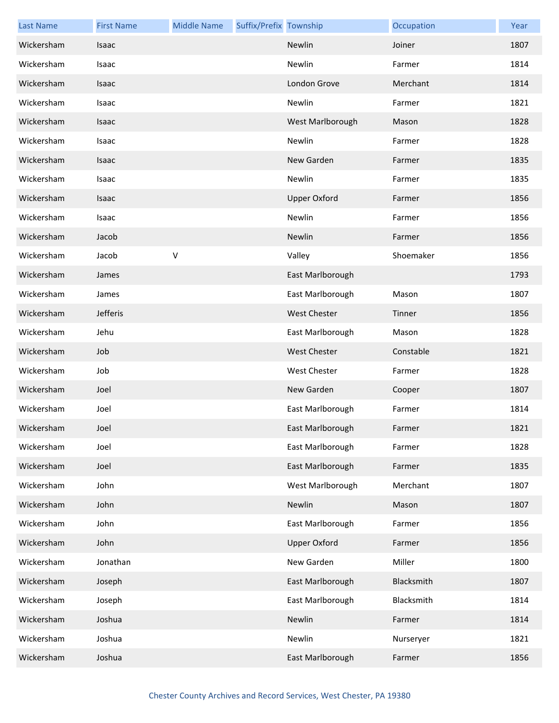| <b>Last Name</b> | <b>First Name</b> | <b>Middle Name</b> | Suffix/Prefix Township |                     | Occupation | Year |
|------------------|-------------------|--------------------|------------------------|---------------------|------------|------|
| Wickersham       | Isaac             |                    |                        | Newlin              | Joiner     | 1807 |
| Wickersham       | Isaac             |                    |                        | Newlin              | Farmer     | 1814 |
| Wickersham       | Isaac             |                    |                        | London Grove        | Merchant   | 1814 |
| Wickersham       | Isaac             |                    |                        | Newlin              | Farmer     | 1821 |
| Wickersham       | Isaac             |                    |                        | West Marlborough    | Mason      | 1828 |
| Wickersham       | Isaac             |                    |                        | Newlin              | Farmer     | 1828 |
| Wickersham       | Isaac             |                    |                        | New Garden          | Farmer     | 1835 |
| Wickersham       | Isaac             |                    |                        | Newlin              | Farmer     | 1835 |
| Wickersham       | Isaac             |                    |                        | <b>Upper Oxford</b> | Farmer     | 1856 |
| Wickersham       | Isaac             |                    |                        | Newlin              | Farmer     | 1856 |
| Wickersham       | Jacob             |                    |                        | Newlin              | Farmer     | 1856 |
| Wickersham       | Jacob             | $\sf V$            |                        | Valley              | Shoemaker  | 1856 |
| Wickersham       | James             |                    |                        | East Marlborough    |            | 1793 |
| Wickersham       | James             |                    |                        | East Marlborough    | Mason      | 1807 |
| Wickersham       | Jefferis          |                    |                        | West Chester        | Tinner     | 1856 |
| Wickersham       | Jehu              |                    |                        | East Marlborough    | Mason      | 1828 |
| Wickersham       | Job               |                    |                        | <b>West Chester</b> | Constable  | 1821 |
| Wickersham       | Job               |                    |                        | West Chester        | Farmer     | 1828 |
| Wickersham       | Joel              |                    |                        | New Garden          | Cooper     | 1807 |
| Wickersham       | Joel              |                    |                        | East Marlborough    | Farmer     | 1814 |
| Wickersham       | Joel              |                    |                        | East Marlborough    | Farmer     | 1821 |
| Wickersham       | Joel              |                    |                        | East Marlborough    | Farmer     | 1828 |
| Wickersham       | Joel              |                    |                        | East Marlborough    | Farmer     | 1835 |
| Wickersham       | John              |                    |                        | West Marlborough    | Merchant   | 1807 |
| Wickersham       | John              |                    |                        | Newlin              | Mason      | 1807 |
| Wickersham       | John              |                    |                        | East Marlborough    | Farmer     | 1856 |
| Wickersham       | John              |                    |                        | <b>Upper Oxford</b> | Farmer     | 1856 |
| Wickersham       | Jonathan          |                    |                        | New Garden          | Miller     | 1800 |
| Wickersham       | Joseph            |                    |                        | East Marlborough    | Blacksmith | 1807 |
| Wickersham       | Joseph            |                    |                        | East Marlborough    | Blacksmith | 1814 |
| Wickersham       | Joshua            |                    |                        | Newlin              | Farmer     | 1814 |
| Wickersham       | Joshua            |                    |                        | Newlin              | Nurseryer  | 1821 |
| Wickersham       | Joshua            |                    |                        | East Marlborough    | Farmer     | 1856 |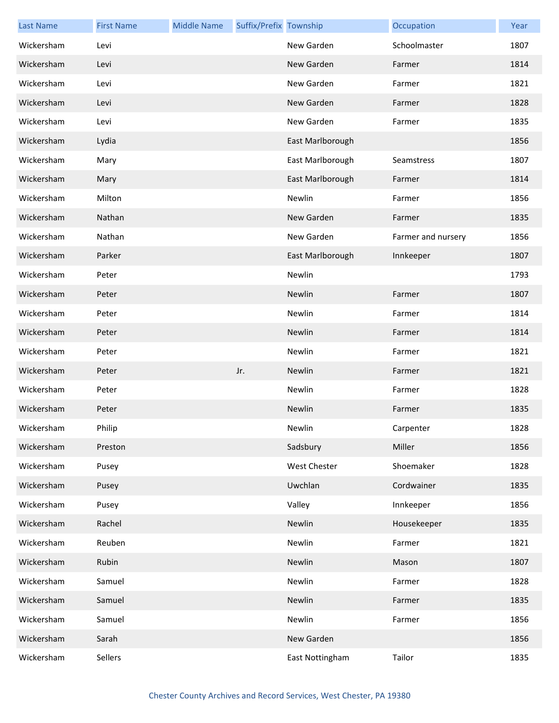| <b>Last Name</b> | <b>First Name</b> | <b>Middle Name</b> | Suffix/Prefix Township |                  | Occupation         | Year |
|------------------|-------------------|--------------------|------------------------|------------------|--------------------|------|
| Wickersham       | Levi              |                    |                        | New Garden       | Schoolmaster       | 1807 |
| Wickersham       | Levi              |                    |                        | New Garden       | Farmer             | 1814 |
| Wickersham       | Levi              |                    |                        | New Garden       | Farmer             | 1821 |
| Wickersham       | Levi              |                    |                        | New Garden       | Farmer             | 1828 |
| Wickersham       | Levi              |                    |                        | New Garden       | Farmer             | 1835 |
| Wickersham       | Lydia             |                    |                        | East Marlborough |                    | 1856 |
| Wickersham       | Mary              |                    |                        | East Marlborough | Seamstress         | 1807 |
| Wickersham       | Mary              |                    |                        | East Marlborough | Farmer             | 1814 |
| Wickersham       | Milton            |                    |                        | Newlin           | Farmer             | 1856 |
| Wickersham       | Nathan            |                    |                        | New Garden       | Farmer             | 1835 |
| Wickersham       | Nathan            |                    |                        | New Garden       | Farmer and nursery | 1856 |
| Wickersham       | Parker            |                    |                        | East Marlborough | Innkeeper          | 1807 |
| Wickersham       | Peter             |                    |                        | Newlin           |                    | 1793 |
| Wickersham       | Peter             |                    |                        | Newlin           | Farmer             | 1807 |
| Wickersham       | Peter             |                    |                        | Newlin           | Farmer             | 1814 |
| Wickersham       | Peter             |                    |                        | Newlin           | Farmer             | 1814 |
| Wickersham       | Peter             |                    |                        | Newlin           | Farmer             | 1821 |
| Wickersham       | Peter             |                    | Jr.                    | Newlin           | Farmer             | 1821 |
| Wickersham       | Peter             |                    |                        | Newlin           | Farmer             | 1828 |
| Wickersham       | Peter             |                    |                        | Newlin           | Farmer             | 1835 |
| Wickersham       | Philip            |                    |                        | Newlin           | Carpenter          | 1828 |
| Wickersham       | Preston           |                    |                        | Sadsbury         | Miller             | 1856 |
| Wickersham       | Pusey             |                    |                        | West Chester     | Shoemaker          | 1828 |
| Wickersham       | Pusey             |                    |                        | Uwchlan          | Cordwainer         | 1835 |
| Wickersham       | Pusey             |                    |                        | Valley           | Innkeeper          | 1856 |
| Wickersham       | Rachel            |                    |                        | Newlin           | Housekeeper        | 1835 |
| Wickersham       | Reuben            |                    |                        | Newlin           | Farmer             | 1821 |
| Wickersham       | Rubin             |                    |                        | Newlin           | Mason              | 1807 |
| Wickersham       | Samuel            |                    |                        | Newlin           | Farmer             | 1828 |
| Wickersham       | Samuel            |                    |                        | Newlin           | Farmer             | 1835 |
| Wickersham       | Samuel            |                    |                        | Newlin           | Farmer             | 1856 |
| Wickersham       | Sarah             |                    |                        | New Garden       |                    | 1856 |
| Wickersham       | Sellers           |                    |                        | East Nottingham  | Tailor             | 1835 |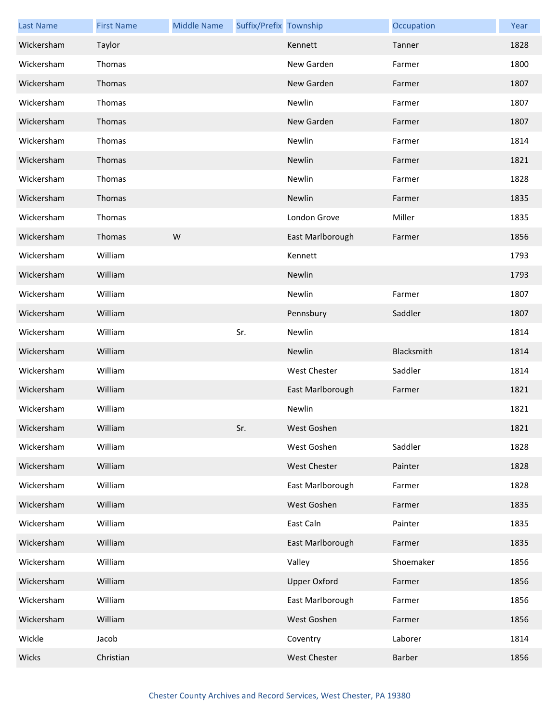| <b>Last Name</b> | <b>First Name</b> | <b>Middle Name</b> | Suffix/Prefix Township |                     | Occupation | Year |
|------------------|-------------------|--------------------|------------------------|---------------------|------------|------|
| Wickersham       | Taylor            |                    |                        | Kennett             | Tanner     | 1828 |
| Wickersham       | Thomas            |                    |                        | New Garden          | Farmer     | 1800 |
| Wickersham       | Thomas            |                    |                        | New Garden          | Farmer     | 1807 |
| Wickersham       | Thomas            |                    |                        | Newlin              | Farmer     | 1807 |
| Wickersham       | Thomas            |                    |                        | New Garden          | Farmer     | 1807 |
| Wickersham       | Thomas            |                    |                        | Newlin              | Farmer     | 1814 |
| Wickersham       | Thomas            |                    |                        | Newlin              | Farmer     | 1821 |
| Wickersham       | Thomas            |                    |                        | Newlin              | Farmer     | 1828 |
| Wickersham       | Thomas            |                    |                        | Newlin              | Farmer     | 1835 |
| Wickersham       | Thomas            |                    |                        | London Grove        | Miller     | 1835 |
| Wickersham       | Thomas            | W                  |                        | East Marlborough    | Farmer     | 1856 |
| Wickersham       | William           |                    |                        | Kennett             |            | 1793 |
| Wickersham       | William           |                    |                        | Newlin              |            | 1793 |
| Wickersham       | William           |                    |                        | Newlin              | Farmer     | 1807 |
| Wickersham       | William           |                    |                        | Pennsbury           | Saddler    | 1807 |
| Wickersham       | William           |                    | Sr.                    | Newlin              |            | 1814 |
| Wickersham       | William           |                    |                        | Newlin              | Blacksmith | 1814 |
| Wickersham       | William           |                    |                        | <b>West Chester</b> | Saddler    | 1814 |
| Wickersham       | William           |                    |                        | East Marlborough    | Farmer     | 1821 |
| Wickersham       | William           |                    |                        | Newlin              |            | 1821 |
| Wickersham       | William           |                    | Sr.                    | West Goshen         |            | 1821 |
| Wickersham       | William           |                    |                        | West Goshen         | Saddler    | 1828 |
| Wickersham       | William           |                    |                        | West Chester        | Painter    | 1828 |
| Wickersham       | William           |                    |                        | East Marlborough    | Farmer     | 1828 |
| Wickersham       | William           |                    |                        | West Goshen         | Farmer     | 1835 |
| Wickersham       | William           |                    |                        | East Caln           | Painter    | 1835 |
| Wickersham       | William           |                    |                        | East Marlborough    | Farmer     | 1835 |
| Wickersham       | William           |                    |                        | Valley              | Shoemaker  | 1856 |
| Wickersham       | William           |                    |                        | <b>Upper Oxford</b> | Farmer     | 1856 |
| Wickersham       | William           |                    |                        | East Marlborough    | Farmer     | 1856 |
| Wickersham       | William           |                    |                        | West Goshen         | Farmer     | 1856 |
| Wickle           | Jacob             |                    |                        | Coventry            | Laborer    | 1814 |
| Wicks            | Christian         |                    |                        | West Chester        | Barber     | 1856 |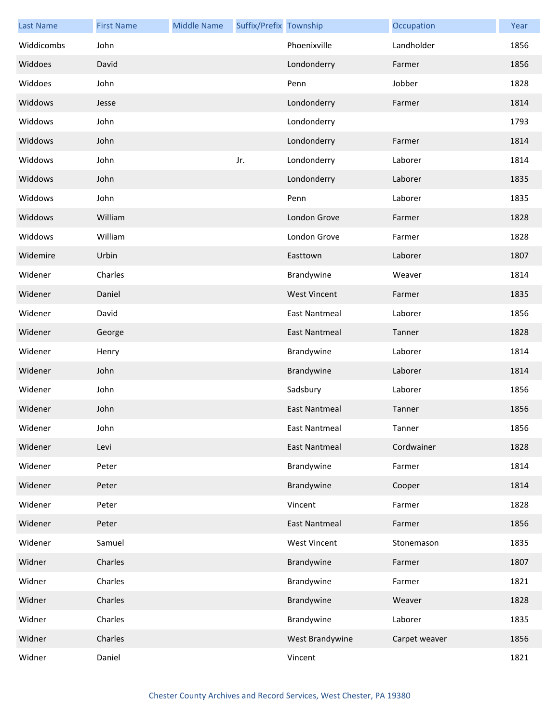| <b>Last Name</b> | <b>First Name</b> | <b>Middle Name</b> | Suffix/Prefix Township |                      | Occupation    | Year |
|------------------|-------------------|--------------------|------------------------|----------------------|---------------|------|
| Widdicombs       | John              |                    |                        | Phoenixville         | Landholder    | 1856 |
| Widdoes          | David             |                    |                        | Londonderry          | Farmer        | 1856 |
| Widdoes          | John              |                    |                        | Penn                 | Jobber        | 1828 |
| Widdows          | Jesse             |                    |                        | Londonderry          | Farmer        | 1814 |
| Widdows          | John              |                    |                        | Londonderry          |               | 1793 |
| Widdows          | John              |                    |                        | Londonderry          | Farmer        | 1814 |
| Widdows          | John              |                    | Jr.                    | Londonderry          | Laborer       | 1814 |
| Widdows          | John              |                    |                        | Londonderry          | Laborer       | 1835 |
| Widdows          | John              |                    |                        | Penn                 | Laborer       | 1835 |
| Widdows          | William           |                    |                        | London Grove         | Farmer        | 1828 |
| Widdows          | William           |                    |                        | London Grove         | Farmer        | 1828 |
| Widemire         | Urbin             |                    |                        | Easttown             | Laborer       | 1807 |
| Widener          | Charles           |                    |                        | Brandywine           | Weaver        | 1814 |
| Widener          | Daniel            |                    |                        | <b>West Vincent</b>  | Farmer        | 1835 |
| Widener          | David             |                    |                        | <b>East Nantmeal</b> | Laborer       | 1856 |
| Widener          | George            |                    |                        | <b>East Nantmeal</b> | Tanner        | 1828 |
| Widener          | Henry             |                    |                        | Brandywine           | Laborer       | 1814 |
| Widener          | John              |                    |                        | Brandywine           | Laborer       | 1814 |
| Widener          | John              |                    |                        | Sadsbury             | Laborer       | 1856 |
| Widener          | John              |                    |                        | <b>East Nantmeal</b> | Tanner        | 1856 |
| Widener          | John              |                    |                        | East Nantmeal        | Tanner        | 1856 |
| Widener          | Levi              |                    |                        | East Nantmeal        | Cordwainer    | 1828 |
| Widener          | Peter             |                    |                        | Brandywine           | Farmer        | 1814 |
| Widener          | Peter             |                    |                        | Brandywine           | Cooper        | 1814 |
| Widener          | Peter             |                    |                        | Vincent              | Farmer        | 1828 |
| Widener          | Peter             |                    |                        | <b>East Nantmeal</b> | Farmer        | 1856 |
| Widener          | Samuel            |                    |                        | <b>West Vincent</b>  | Stonemason    | 1835 |
| Widner           | Charles           |                    |                        | Brandywine           | Farmer        | 1807 |
| Widner           | Charles           |                    |                        | Brandywine           | Farmer        | 1821 |
| Widner           | Charles           |                    |                        | Brandywine           | Weaver        | 1828 |
| Widner           | Charles           |                    |                        | Brandywine           | Laborer       | 1835 |
| Widner           | Charles           |                    |                        | West Brandywine      | Carpet weaver | 1856 |
| Widner           | Daniel            |                    |                        | Vincent              |               | 1821 |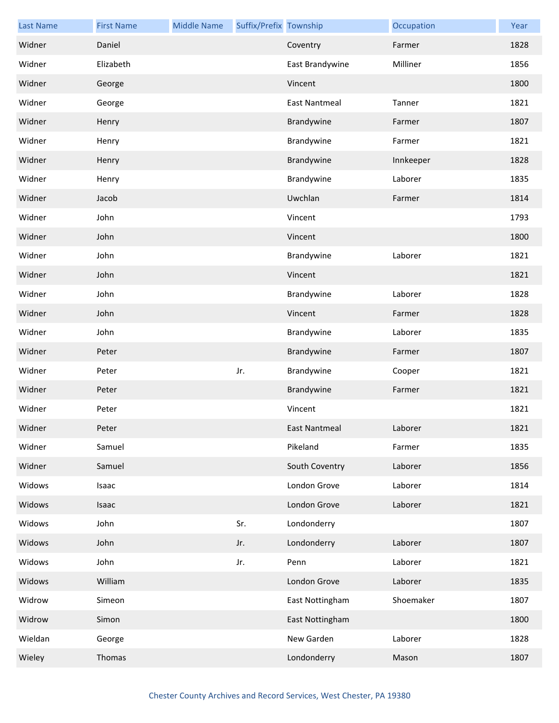| <b>Last Name</b> | <b>First Name</b> | <b>Middle Name</b> | Suffix/Prefix Township |                 | Occupation | Year |
|------------------|-------------------|--------------------|------------------------|-----------------|------------|------|
| Widner           | Daniel            |                    |                        | Coventry        | Farmer     | 1828 |
| Widner           | Elizabeth         |                    |                        | East Brandywine | Milliner   | 1856 |
| Widner           | George            |                    |                        | Vincent         |            | 1800 |
| Widner           | George            |                    |                        | East Nantmeal   | Tanner     | 1821 |
| Widner           | Henry             |                    |                        | Brandywine      | Farmer     | 1807 |
| Widner           | Henry             |                    |                        | Brandywine      | Farmer     | 1821 |
| Widner           | Henry             |                    |                        | Brandywine      | Innkeeper  | 1828 |
| Widner           | Henry             |                    |                        | Brandywine      | Laborer    | 1835 |
| Widner           | Jacob             |                    |                        | Uwchlan         | Farmer     | 1814 |
| Widner           | John              |                    |                        | Vincent         |            | 1793 |
| Widner           | John              |                    |                        | Vincent         |            | 1800 |
| Widner           | John              |                    |                        | Brandywine      | Laborer    | 1821 |
| Widner           | John              |                    |                        | Vincent         |            | 1821 |
| Widner           | John              |                    |                        | Brandywine      | Laborer    | 1828 |
| Widner           | John              |                    |                        | Vincent         | Farmer     | 1828 |
| Widner           | John              |                    |                        | Brandywine      | Laborer    | 1835 |
| Widner           | Peter             |                    |                        | Brandywine      | Farmer     | 1807 |
| Widner           | Peter             |                    | Jr.                    | Brandywine      | Cooper     | 1821 |
| Widner           | Peter             |                    |                        | Brandywine      | Farmer     | 1821 |
| Widner           | Peter             |                    |                        | Vincent         |            | 1821 |
| Widner           | Peter             |                    |                        | East Nantmeal   | Laborer    | 1821 |
| Widner           | Samuel            |                    |                        | Pikeland        | Farmer     | 1835 |
| Widner           | Samuel            |                    |                        | South Coventry  | Laborer    | 1856 |
| Widows           | Isaac             |                    |                        | London Grove    | Laborer    | 1814 |
| Widows           | Isaac             |                    |                        | London Grove    | Laborer    | 1821 |
| Widows           | John              |                    | Sr.                    | Londonderry     |            | 1807 |
| Widows           | John              |                    | Jr.                    | Londonderry     | Laborer    | 1807 |
| Widows           | John              |                    | Jr.                    | Penn            | Laborer    | 1821 |
| Widows           | William           |                    |                        | London Grove    | Laborer    | 1835 |
| Widrow           | Simeon            |                    |                        | East Nottingham | Shoemaker  | 1807 |
| Widrow           | Simon             |                    |                        | East Nottingham |            | 1800 |
| Wieldan          | George            |                    |                        | New Garden      | Laborer    | 1828 |
| Wieley           | Thomas            |                    |                        | Londonderry     | Mason      | 1807 |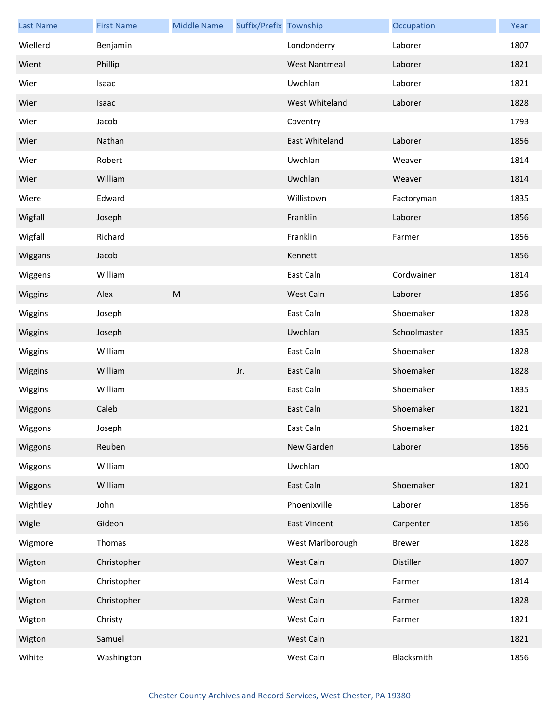| <b>Last Name</b> | <b>First Name</b> | <b>Middle Name</b> | Suffix/Prefix Township |                      | Occupation    | Year |
|------------------|-------------------|--------------------|------------------------|----------------------|---------------|------|
| Wiellerd         | Benjamin          |                    |                        | Londonderry          | Laborer       | 1807 |
| Wient            | Phillip           |                    |                        | <b>West Nantmeal</b> | Laborer       | 1821 |
| Wier             | Isaac             |                    |                        | Uwchlan              | Laborer       | 1821 |
| Wier             | Isaac             |                    |                        | West Whiteland       | Laborer       | 1828 |
| Wier             | Jacob             |                    |                        | Coventry             |               | 1793 |
| Wier             | Nathan            |                    |                        | East Whiteland       | Laborer       | 1856 |
| Wier             | Robert            |                    |                        | Uwchlan              | Weaver        | 1814 |
| Wier             | William           |                    |                        | Uwchlan              | Weaver        | 1814 |
| Wiere            | Edward            |                    |                        | Willistown           | Factoryman    | 1835 |
| Wigfall          | Joseph            |                    |                        | Franklin             | Laborer       | 1856 |
| Wigfall          | Richard           |                    |                        | Franklin             | Farmer        | 1856 |
| Wiggans          | Jacob             |                    |                        | Kennett              |               | 1856 |
| Wiggens          | William           |                    |                        | East Caln            | Cordwainer    | 1814 |
| Wiggins          | Alex              | ${\sf M}$          |                        | West Caln            | Laborer       | 1856 |
| Wiggins          | Joseph            |                    |                        | East Caln            | Shoemaker     | 1828 |
| Wiggins          | Joseph            |                    |                        | Uwchlan              | Schoolmaster  | 1835 |
| Wiggins          | William           |                    |                        | East Caln            | Shoemaker     | 1828 |
| Wiggins          | William           |                    | Jr.                    | East Caln            | Shoemaker     | 1828 |
| Wiggins          | William           |                    |                        | East Caln            | Shoemaker     | 1835 |
| Wiggons          | Caleb             |                    |                        | East Caln            | Shoemaker     | 1821 |
| Wiggons          | Joseph            |                    |                        | East Caln            | Shoemaker     | 1821 |
| Wiggons          | Reuben            |                    |                        | New Garden           | Laborer       | 1856 |
| Wiggons          | William           |                    |                        | Uwchlan              |               | 1800 |
| Wiggons          | William           |                    |                        | East Caln            | Shoemaker     | 1821 |
| Wightley         | John              |                    |                        | Phoenixville         | Laborer       | 1856 |
| Wigle            | Gideon            |                    |                        | <b>East Vincent</b>  | Carpenter     | 1856 |
| Wigmore          | Thomas            |                    |                        | West Marlborough     | <b>Brewer</b> | 1828 |
| Wigton           | Christopher       |                    |                        | West Caln            | Distiller     | 1807 |
| Wigton           | Christopher       |                    |                        | West Caln            | Farmer        | 1814 |
| Wigton           | Christopher       |                    |                        | West Caln            | Farmer        | 1828 |
| Wigton           | Christy           |                    |                        | West Caln            | Farmer        | 1821 |
| Wigton           | Samuel            |                    |                        | West Caln            |               | 1821 |
| Wihite           | Washington        |                    |                        | West Caln            | Blacksmith    | 1856 |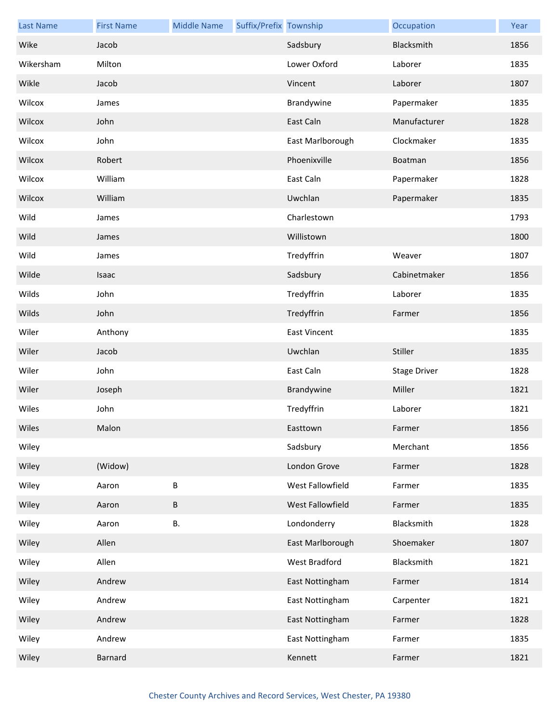| <b>Last Name</b> | <b>First Name</b> | <b>Middle Name</b> | Suffix/Prefix Township |                     | Occupation          | Year |
|------------------|-------------------|--------------------|------------------------|---------------------|---------------------|------|
| Wike             | Jacob             |                    |                        | Sadsbury            | Blacksmith          | 1856 |
| Wikersham        | Milton            |                    |                        | Lower Oxford        | Laborer             | 1835 |
| Wikle            | Jacob             |                    |                        | Vincent             | Laborer             | 1807 |
| Wilcox           | James             |                    |                        | Brandywine          | Papermaker          | 1835 |
| Wilcox           | John              |                    |                        | East Caln           | Manufacturer        | 1828 |
| Wilcox           | John              |                    |                        | East Marlborough    | Clockmaker          | 1835 |
| Wilcox           | Robert            |                    |                        | Phoenixville        | Boatman             | 1856 |
| Wilcox           | William           |                    |                        | East Caln           | Papermaker          | 1828 |
| Wilcox           | William           |                    |                        | Uwchlan             | Papermaker          | 1835 |
| Wild             | James             |                    |                        | Charlestown         |                     | 1793 |
| Wild             | James             |                    |                        | Willistown          |                     | 1800 |
| Wild             | James             |                    |                        | Tredyffrin          | Weaver              | 1807 |
| Wilde            | Isaac             |                    |                        | Sadsbury            | Cabinetmaker        | 1856 |
| Wilds            | John              |                    |                        | Tredyffrin          | Laborer             | 1835 |
| Wilds            | John              |                    |                        | Tredyffrin          | Farmer              | 1856 |
| Wiler            | Anthony           |                    |                        | <b>East Vincent</b> |                     | 1835 |
| Wiler            | Jacob             |                    |                        | Uwchlan             | Stiller             | 1835 |
| Wiler            | John              |                    |                        | East Caln           | <b>Stage Driver</b> | 1828 |
| Wiler            | Joseph            |                    |                        | Brandywine          | Miller              | 1821 |
| Wiles            | John              |                    |                        | Tredyffrin          | Laborer             | 1821 |
| Wiles            | Malon             |                    |                        | Easttown            | Farmer              | 1856 |
| Wiley            |                   |                    |                        | Sadsbury            | Merchant            | 1856 |
| Wiley            | (Widow)           |                    |                        | London Grove        | Farmer              | 1828 |
| Wiley            | Aaron             | $\sf B$            |                        | West Fallowfield    | Farmer              | 1835 |
| Wiley            | Aaron             | $\sf B$            |                        | West Fallowfield    | Farmer              | 1835 |
| Wiley            | Aaron             | В.                 |                        | Londonderry         | Blacksmith          | 1828 |
| Wiley            | Allen             |                    |                        | East Marlborough    | Shoemaker           | 1807 |
| Wiley            | Allen             |                    |                        | West Bradford       | Blacksmith          | 1821 |
| Wiley            | Andrew            |                    |                        | East Nottingham     | Farmer              | 1814 |
| Wiley            | Andrew            |                    |                        | East Nottingham     | Carpenter           | 1821 |
| Wiley            | Andrew            |                    |                        | East Nottingham     | Farmer              | 1828 |
| Wiley            | Andrew            |                    |                        | East Nottingham     | Farmer              | 1835 |
| Wiley            | <b>Barnard</b>    |                    |                        | Kennett             | Farmer              | 1821 |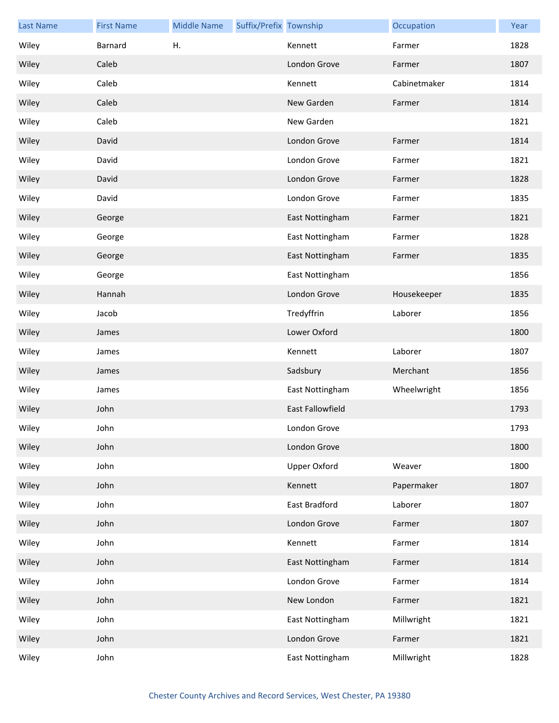| <b>Last Name</b> | <b>First Name</b> | <b>Middle Name</b> | Suffix/Prefix Township |                  | Occupation   | Year |
|------------------|-------------------|--------------------|------------------------|------------------|--------------|------|
| Wiley            | Barnard           | Η.                 |                        | Kennett          | Farmer       | 1828 |
| Wiley            | Caleb             |                    |                        | London Grove     | Farmer       | 1807 |
| Wiley            | Caleb             |                    |                        | Kennett          | Cabinetmaker | 1814 |
| Wiley            | Caleb             |                    |                        | New Garden       | Farmer       | 1814 |
| Wiley            | Caleb             |                    |                        | New Garden       |              | 1821 |
| Wiley            | David             |                    |                        | London Grove     | Farmer       | 1814 |
| Wiley            | David             |                    |                        | London Grove     | Farmer       | 1821 |
| Wiley            | David             |                    |                        | London Grove     | Farmer       | 1828 |
| Wiley            | David             |                    |                        | London Grove     | Farmer       | 1835 |
| Wiley            | George            |                    |                        | East Nottingham  | Farmer       | 1821 |
| Wiley            | George            |                    |                        | East Nottingham  | Farmer       | 1828 |
| Wiley            | George            |                    |                        | East Nottingham  | Farmer       | 1835 |
| Wiley            | George            |                    |                        | East Nottingham  |              | 1856 |
| Wiley            | Hannah            |                    |                        | London Grove     | Housekeeper  | 1835 |
| Wiley            | Jacob             |                    |                        | Tredyffrin       | Laborer      | 1856 |
| Wiley            | James             |                    |                        | Lower Oxford     |              | 1800 |
| Wiley            | James             |                    |                        | Kennett          | Laborer      | 1807 |
| Wiley            | James             |                    |                        | Sadsbury         | Merchant     | 1856 |
| Wiley            | James             |                    |                        | East Nottingham  | Wheelwright  | 1856 |
| Wiley            | John              |                    |                        | East Fallowfield |              | 1793 |
| Wiley            | John              |                    |                        | London Grove     |              | 1793 |
| Wiley            | John              |                    |                        | London Grove     |              | 1800 |
| Wiley            | John              |                    |                        | Upper Oxford     | Weaver       | 1800 |
| Wiley            | John              |                    |                        | Kennett          | Papermaker   | 1807 |
| Wiley            | John              |                    |                        | East Bradford    | Laborer      | 1807 |
| Wiley            | John              |                    |                        | London Grove     | Farmer       | 1807 |
| Wiley            | John              |                    |                        | Kennett          | Farmer       | 1814 |
| Wiley            | John              |                    |                        | East Nottingham  | Farmer       | 1814 |
| Wiley            | John              |                    |                        | London Grove     | Farmer       | 1814 |
| Wiley            | John              |                    |                        | New London       | Farmer       | 1821 |
| Wiley            | John              |                    |                        | East Nottingham  | Millwright   | 1821 |
| Wiley            | John              |                    |                        | London Grove     | Farmer       | 1821 |
| Wiley            | John              |                    |                        | East Nottingham  | Millwright   | 1828 |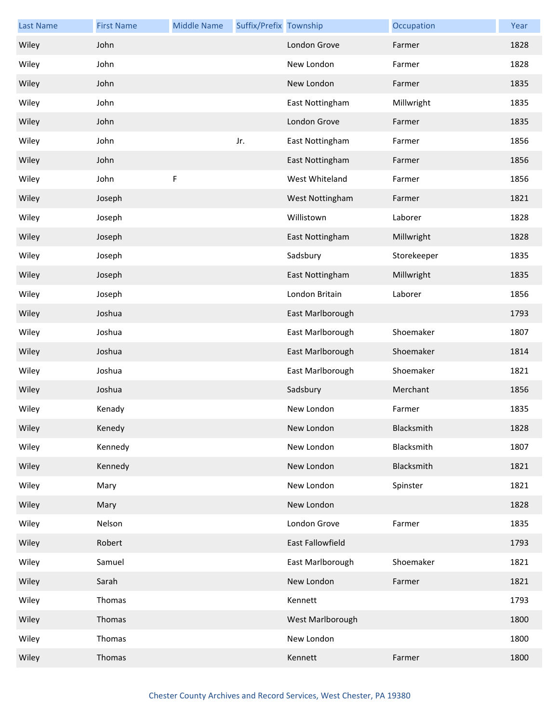| <b>Last Name</b> | <b>First Name</b> | <b>Middle Name</b> | Suffix/Prefix Township |                  | Occupation  | Year |
|------------------|-------------------|--------------------|------------------------|------------------|-------------|------|
| Wiley            | John              |                    |                        | London Grove     | Farmer      | 1828 |
| Wiley            | John              |                    |                        | New London       | Farmer      | 1828 |
| Wiley            | John              |                    |                        | New London       | Farmer      | 1835 |
| Wiley            | John              |                    |                        | East Nottingham  | Millwright  | 1835 |
| Wiley            | John              |                    |                        | London Grove     | Farmer      | 1835 |
| Wiley            | John              |                    | Jr.                    | East Nottingham  | Farmer      | 1856 |
| Wiley            | John              |                    |                        | East Nottingham  | Farmer      | 1856 |
| Wiley            | John              | F                  |                        | West Whiteland   | Farmer      | 1856 |
| Wiley            | Joseph            |                    |                        | West Nottingham  | Farmer      | 1821 |
| Wiley            | Joseph            |                    |                        | Willistown       | Laborer     | 1828 |
| Wiley            | Joseph            |                    |                        | East Nottingham  | Millwright  | 1828 |
| Wiley            | Joseph            |                    |                        | Sadsbury         | Storekeeper | 1835 |
| Wiley            | Joseph            |                    |                        | East Nottingham  | Millwright  | 1835 |
| Wiley            | Joseph            |                    |                        | London Britain   | Laborer     | 1856 |
| Wiley            | Joshua            |                    |                        | East Marlborough |             | 1793 |
| Wiley            | Joshua            |                    |                        | East Marlborough | Shoemaker   | 1807 |
| Wiley            | Joshua            |                    |                        | East Marlborough | Shoemaker   | 1814 |
| Wiley            | Joshua            |                    |                        | East Marlborough | Shoemaker   | 1821 |
| Wiley            | Joshua            |                    |                        | Sadsbury         | Merchant    | 1856 |
| Wiley            | Kenady            |                    |                        | New London       | Farmer      | 1835 |
| Wiley            | Kenedy            |                    |                        | New London       | Blacksmith  | 1828 |
| Wiley            | Kennedy           |                    |                        | New London       | Blacksmith  | 1807 |
| Wiley            | Kennedy           |                    |                        | New London       | Blacksmith  | 1821 |
| Wiley            | Mary              |                    |                        | New London       | Spinster    | 1821 |
| Wiley            | Mary              |                    |                        | New London       |             | 1828 |
| Wiley            | Nelson            |                    |                        | London Grove     | Farmer      | 1835 |
| Wiley            | Robert            |                    |                        | East Fallowfield |             | 1793 |
| Wiley            | Samuel            |                    |                        | East Marlborough | Shoemaker   | 1821 |
| Wiley            | Sarah             |                    |                        | New London       | Farmer      | 1821 |
| Wiley            | Thomas            |                    |                        | Kennett          |             | 1793 |
| Wiley            | Thomas            |                    |                        | West Marlborough |             | 1800 |
| Wiley            | Thomas            |                    |                        | New London       |             | 1800 |
| Wiley            | Thomas            |                    |                        | Kennett          | Farmer      | 1800 |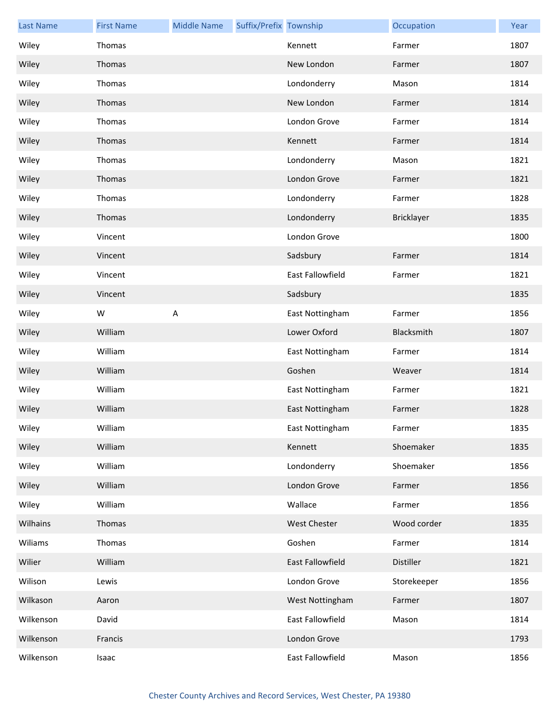| <b>Last Name</b> | <b>First Name</b> | <b>Middle Name</b>        | Suffix/Prefix Township |                         | Occupation  | Year |
|------------------|-------------------|---------------------------|------------------------|-------------------------|-------------|------|
| Wiley            | Thomas            |                           |                        | Kennett                 | Farmer      | 1807 |
| Wiley            | Thomas            |                           |                        | New London              | Farmer      | 1807 |
| Wiley            | Thomas            |                           |                        | Londonderry             | Mason       | 1814 |
| Wiley            | Thomas            |                           |                        | New London              | Farmer      | 1814 |
| Wiley            | Thomas            |                           |                        | London Grove            | Farmer      | 1814 |
| Wiley            | Thomas            |                           |                        | Kennett                 | Farmer      | 1814 |
| Wiley            | Thomas            |                           |                        | Londonderry             | Mason       | 1821 |
| Wiley            | Thomas            |                           |                        | London Grove            | Farmer      | 1821 |
| Wiley            | Thomas            |                           |                        | Londonderry             | Farmer      | 1828 |
| Wiley            | Thomas            |                           |                        | Londonderry             | Bricklayer  | 1835 |
| Wiley            | Vincent           |                           |                        | London Grove            |             | 1800 |
| Wiley            | Vincent           |                           |                        | Sadsbury                | Farmer      | 1814 |
| Wiley            | Vincent           |                           |                        | <b>East Fallowfield</b> | Farmer      | 1821 |
| Wiley            | Vincent           |                           |                        | Sadsbury                |             | 1835 |
| Wiley            | W                 | $\boldsymbol{\mathsf{A}}$ |                        | East Nottingham         | Farmer      | 1856 |
| Wiley            | William           |                           |                        | Lower Oxford            | Blacksmith  | 1807 |
| Wiley            | William           |                           |                        | East Nottingham         | Farmer      | 1814 |
| Wiley            | William           |                           |                        | Goshen                  | Weaver      | 1814 |
| Wiley            | William           |                           |                        | East Nottingham         | Farmer      | 1821 |
| Wiley            | William           |                           |                        | East Nottingham         | Farmer      | 1828 |
| Wiley            | William           |                           |                        | East Nottingham         | Farmer      | 1835 |
| Wiley            | William           |                           |                        | Kennett                 | Shoemaker   | 1835 |
| Wiley            | William           |                           |                        | Londonderry             | Shoemaker   | 1856 |
| Wiley            | William           |                           |                        | London Grove            | Farmer      | 1856 |
| Wiley            | William           |                           |                        | Wallace                 | Farmer      | 1856 |
| Wilhains         | Thomas            |                           |                        | West Chester            | Wood corder | 1835 |
| Wiliams          | Thomas            |                           |                        | Goshen                  | Farmer      | 1814 |
| Wilier           | William           |                           |                        | East Fallowfield        | Distiller   | 1821 |
| Wilison          | Lewis             |                           |                        | London Grove            | Storekeeper | 1856 |
| Wilkason         | Aaron             |                           |                        | West Nottingham         | Farmer      | 1807 |
| Wilkenson        | David             |                           |                        | East Fallowfield        | Mason       | 1814 |
| Wilkenson        | Francis           |                           |                        | London Grove            |             | 1793 |
| Wilkenson        | Isaac             |                           |                        | East Fallowfield        | Mason       | 1856 |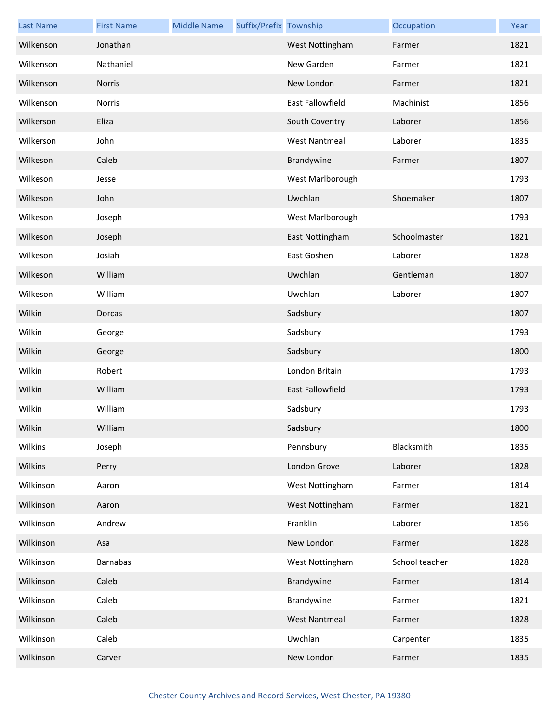| <b>Last Name</b> | <b>First Name</b> | <b>Middle Name</b> | Suffix/Prefix Township |                         | Occupation     | Year |
|------------------|-------------------|--------------------|------------------------|-------------------------|----------------|------|
| Wilkenson        | Jonathan          |                    |                        | West Nottingham         | Farmer         | 1821 |
| Wilkenson        | Nathaniel         |                    |                        | New Garden              | Farmer         | 1821 |
| Wilkenson        | <b>Norris</b>     |                    |                        | New London              | Farmer         | 1821 |
| Wilkenson        | Norris            |                    |                        | East Fallowfield        | Machinist      | 1856 |
| Wilkerson        | Eliza             |                    |                        | South Coventry          | Laborer        | 1856 |
| Wilkerson        | John              |                    |                        | <b>West Nantmeal</b>    | Laborer        | 1835 |
| Wilkeson         | Caleb             |                    |                        | Brandywine              | Farmer         | 1807 |
| Wilkeson         | Jesse             |                    |                        | West Marlborough        |                | 1793 |
| Wilkeson         | John              |                    |                        | Uwchlan                 | Shoemaker      | 1807 |
| Wilkeson         | Joseph            |                    |                        | West Marlborough        |                | 1793 |
| Wilkeson         | Joseph            |                    |                        | East Nottingham         | Schoolmaster   | 1821 |
| Wilkeson         | Josiah            |                    |                        | East Goshen             | Laborer        | 1828 |
| Wilkeson         | William           |                    |                        | Uwchlan                 | Gentleman      | 1807 |
| Wilkeson         | William           |                    |                        | Uwchlan                 | Laborer        | 1807 |
| Wilkin           | Dorcas            |                    |                        | Sadsbury                |                | 1807 |
| Wilkin           | George            |                    |                        | Sadsbury                |                | 1793 |
| Wilkin           | George            |                    |                        | Sadsbury                |                | 1800 |
| Wilkin           | Robert            |                    |                        | London Britain          |                | 1793 |
| Wilkin           | William           |                    |                        | <b>East Fallowfield</b> |                | 1793 |
| Wilkin           | William           |                    |                        | Sadsbury                |                | 1793 |
| Wilkin           | William           |                    |                        | Sadsbury                |                | 1800 |
| Wilkins          | Joseph            |                    |                        | Pennsbury               | Blacksmith     | 1835 |
| Wilkins          | Perry             |                    |                        | London Grove            | Laborer        | 1828 |
| Wilkinson        | Aaron             |                    |                        | West Nottingham         | Farmer         | 1814 |
| Wilkinson        | Aaron             |                    |                        | West Nottingham         | Farmer         | 1821 |
| Wilkinson        | Andrew            |                    |                        | Franklin                | Laborer        | 1856 |
| Wilkinson        | Asa               |                    |                        | New London              | Farmer         | 1828 |
| Wilkinson        | <b>Barnabas</b>   |                    |                        | West Nottingham         | School teacher | 1828 |
| Wilkinson        | Caleb             |                    |                        | Brandywine              | Farmer         | 1814 |
| Wilkinson        | Caleb             |                    |                        | Brandywine              | Farmer         | 1821 |
| Wilkinson        | Caleb             |                    |                        | <b>West Nantmeal</b>    | Farmer         | 1828 |
| Wilkinson        | Caleb             |                    |                        | Uwchlan                 | Carpenter      | 1835 |
| Wilkinson        | Carver            |                    |                        | New London              | Farmer         | 1835 |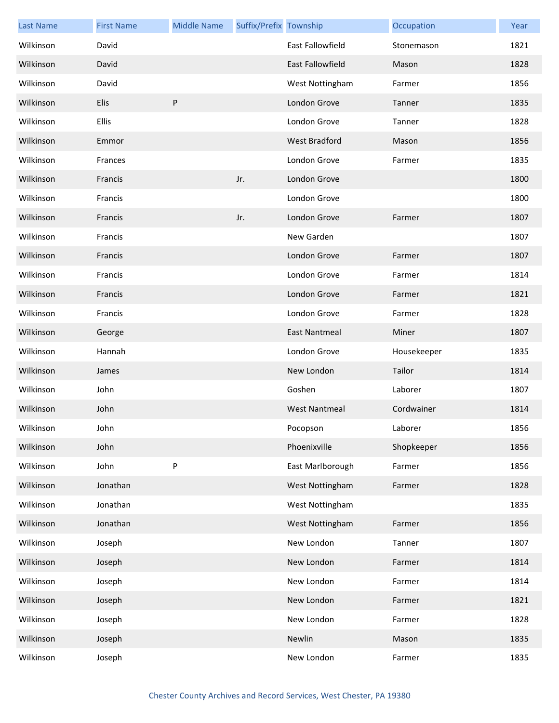| <b>Last Name</b> | <b>First Name</b> | <b>Middle Name</b> | Suffix/Prefix Township |                         | Occupation  | Year |
|------------------|-------------------|--------------------|------------------------|-------------------------|-------------|------|
| Wilkinson        | David             |                    |                        | <b>East Fallowfield</b> | Stonemason  | 1821 |
| Wilkinson        | David             |                    |                        | <b>East Fallowfield</b> | Mason       | 1828 |
| Wilkinson        | David             |                    |                        | West Nottingham         | Farmer      | 1856 |
| Wilkinson        | Elis              | P                  |                        | London Grove            | Tanner      | 1835 |
| Wilkinson        | Ellis             |                    |                        | London Grove            | Tanner      | 1828 |
| Wilkinson        | Emmor             |                    |                        | <b>West Bradford</b>    | Mason       | 1856 |
| Wilkinson        | Frances           |                    |                        | London Grove            | Farmer      | 1835 |
| Wilkinson        | Francis           |                    | Jr.                    | London Grove            |             | 1800 |
| Wilkinson        | Francis           |                    |                        | London Grove            |             | 1800 |
| Wilkinson        | Francis           |                    | Jr.                    | London Grove            | Farmer      | 1807 |
| Wilkinson        | Francis           |                    |                        | New Garden              |             | 1807 |
| Wilkinson        | Francis           |                    |                        | London Grove            | Farmer      | 1807 |
| Wilkinson        | Francis           |                    |                        | London Grove            | Farmer      | 1814 |
| Wilkinson        | Francis           |                    |                        | London Grove            | Farmer      | 1821 |
| Wilkinson        | Francis           |                    |                        | London Grove            | Farmer      | 1828 |
| Wilkinson        | George            |                    |                        | <b>East Nantmeal</b>    | Miner       | 1807 |
| Wilkinson        | Hannah            |                    |                        | London Grove            | Housekeeper | 1835 |
| Wilkinson        | James             |                    |                        | New London              | Tailor      | 1814 |
| Wilkinson        | John              |                    |                        | Goshen                  | Laborer     | 1807 |
| Wilkinson        | John              |                    |                        | <b>West Nantmeal</b>    | Cordwainer  | 1814 |
| Wilkinson        | John              |                    |                        | Pocopson                | Laborer     | 1856 |
| Wilkinson        | John              |                    |                        | Phoenixville            | Shopkeeper  | 1856 |
| Wilkinson        | John              | P                  |                        | East Marlborough        | Farmer      | 1856 |
| Wilkinson        | Jonathan          |                    |                        | West Nottingham         | Farmer      | 1828 |
| Wilkinson        | Jonathan          |                    |                        | West Nottingham         |             | 1835 |
| Wilkinson        | Jonathan          |                    |                        | West Nottingham         | Farmer      | 1856 |
| Wilkinson        | Joseph            |                    |                        | New London              | Tanner      | 1807 |
| Wilkinson        | Joseph            |                    |                        | New London              | Farmer      | 1814 |
| Wilkinson        | Joseph            |                    |                        | New London              | Farmer      | 1814 |
| Wilkinson        | Joseph            |                    |                        | New London              | Farmer      | 1821 |
| Wilkinson        | Joseph            |                    |                        | New London              | Farmer      | 1828 |
| Wilkinson        | Joseph            |                    |                        | Newlin                  | Mason       | 1835 |
| Wilkinson        | Joseph            |                    |                        | New London              | Farmer      | 1835 |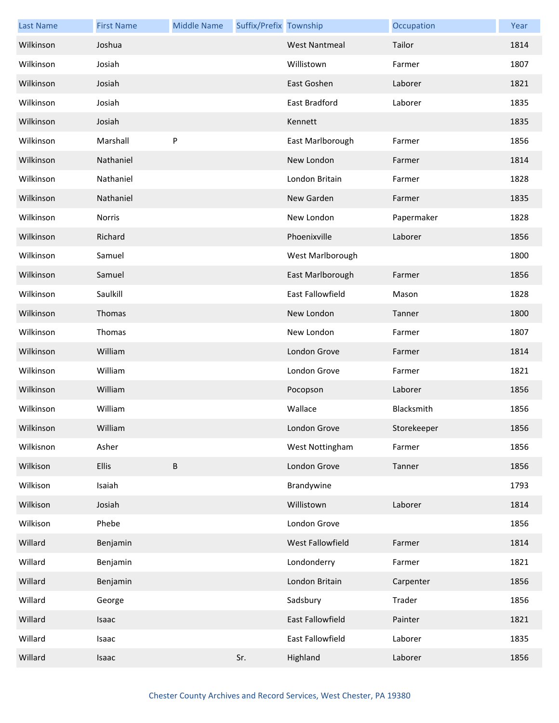| <b>Last Name</b> | <b>First Name</b> | <b>Middle Name</b> | Suffix/Prefix Township |                      | Occupation  | Year |
|------------------|-------------------|--------------------|------------------------|----------------------|-------------|------|
| Wilkinson        | Joshua            |                    |                        | <b>West Nantmeal</b> | Tailor      | 1814 |
| Wilkinson        | Josiah            |                    |                        | Willistown           | Farmer      | 1807 |
| Wilkinson        | Josiah            |                    |                        | East Goshen          | Laborer     | 1821 |
| Wilkinson        | Josiah            |                    |                        | East Bradford        | Laborer     | 1835 |
| Wilkinson        | Josiah            |                    |                        | Kennett              |             | 1835 |
| Wilkinson        | Marshall          | P                  |                        | East Marlborough     | Farmer      | 1856 |
| Wilkinson        | Nathaniel         |                    |                        | New London           | Farmer      | 1814 |
| Wilkinson        | Nathaniel         |                    |                        | London Britain       | Farmer      | 1828 |
| Wilkinson        | Nathaniel         |                    |                        | New Garden           | Farmer      | 1835 |
| Wilkinson        | <b>Norris</b>     |                    |                        | New London           | Papermaker  | 1828 |
| Wilkinson        | Richard           |                    |                        | Phoenixville         | Laborer     | 1856 |
| Wilkinson        | Samuel            |                    |                        | West Marlborough     |             | 1800 |
| Wilkinson        | Samuel            |                    |                        | East Marlborough     | Farmer      | 1856 |
| Wilkinson        | Saulkill          |                    |                        | East Fallowfield     | Mason       | 1828 |
| Wilkinson        | Thomas            |                    |                        | New London           | Tanner      | 1800 |
| Wilkinson        | Thomas            |                    |                        | New London           | Farmer      | 1807 |
| Wilkinson        | William           |                    |                        | London Grove         | Farmer      | 1814 |
| Wilkinson        | William           |                    |                        | London Grove         | Farmer      | 1821 |
| Wilkinson        | William           |                    |                        | Pocopson             | Laborer     | 1856 |
| Wilkinson        | William           |                    |                        | Wallace              | Blacksmith  | 1856 |
| Wilkinson        | William           |                    |                        | London Grove         | Storekeeper | 1856 |
| Wilkisnon        | Asher             |                    |                        | West Nottingham      | Farmer      | 1856 |
| Wilkison         | <b>Ellis</b>      | $\sf B$            |                        | London Grove         | Tanner      | 1856 |
| Wilkison         | Isaiah            |                    |                        | Brandywine           |             | 1793 |
| Wilkison         | Josiah            |                    |                        | Willistown           | Laborer     | 1814 |
| Wilkison         | Phebe             |                    |                        | London Grove         |             | 1856 |
| Willard          | Benjamin          |                    |                        | West Fallowfield     | Farmer      | 1814 |
| Willard          | Benjamin          |                    |                        | Londonderry          | Farmer      | 1821 |
| Willard          | Benjamin          |                    |                        | London Britain       | Carpenter   | 1856 |
| Willard          | George            |                    |                        | Sadsbury             | Trader      | 1856 |
| Willard          | Isaac             |                    |                        | East Fallowfield     | Painter     | 1821 |
| Willard          | Isaac             |                    |                        | East Fallowfield     | Laborer     | 1835 |
| Willard          | Isaac             |                    | Sr.                    | Highland             | Laborer     | 1856 |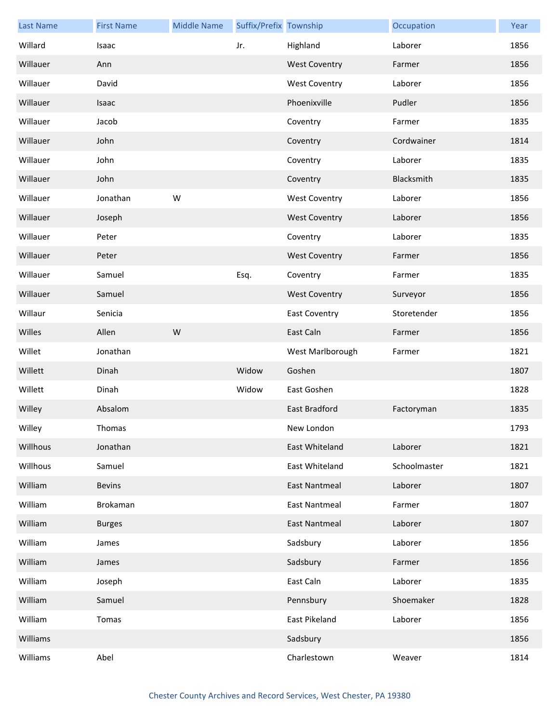| <b>Last Name</b> | <b>First Name</b> | <b>Middle Name</b> | Suffix/Prefix Township |                      | Occupation   | Year |
|------------------|-------------------|--------------------|------------------------|----------------------|--------------|------|
| Willard          | Isaac             |                    | Jr.                    | Highland             | Laborer      | 1856 |
| Willauer         | Ann               |                    |                        | <b>West Coventry</b> | Farmer       | 1856 |
| Willauer         | David             |                    |                        | <b>West Coventry</b> | Laborer      | 1856 |
| Willauer         | Isaac             |                    |                        | Phoenixville         | Pudler       | 1856 |
| Willauer         | Jacob             |                    |                        | Coventry             | Farmer       | 1835 |
| Willauer         | John              |                    |                        | Coventry             | Cordwainer   | 1814 |
| Willauer         | John              |                    |                        | Coventry             | Laborer      | 1835 |
| Willauer         | John              |                    |                        | Coventry             | Blacksmith   | 1835 |
| Willauer         | Jonathan          | W                  |                        | <b>West Coventry</b> | Laborer      | 1856 |
| Willauer         | Joseph            |                    |                        | <b>West Coventry</b> | Laborer      | 1856 |
| Willauer         | Peter             |                    |                        | Coventry             | Laborer      | 1835 |
| Willauer         | Peter             |                    |                        | <b>West Coventry</b> | Farmer       | 1856 |
| Willauer         | Samuel            |                    | Esq.                   | Coventry             | Farmer       | 1835 |
| Willauer         | Samuel            |                    |                        | <b>West Coventry</b> | Surveyor     | 1856 |
| Willaur          | Senicia           |                    |                        | <b>East Coventry</b> | Storetender  | 1856 |
| Willes           | Allen             | W                  |                        | East Caln            | Farmer       | 1856 |
| Willet           | Jonathan          |                    |                        | West Marlborough     | Farmer       | 1821 |
| Willett          | Dinah             |                    | Widow                  | Goshen               |              | 1807 |
| Willett          | Dinah             |                    | Widow                  | East Goshen          |              | 1828 |
| Willey           | Absalom           |                    |                        | <b>East Bradford</b> | Factoryman   | 1835 |
| Willey           | Thomas            |                    |                        | New London           |              | 1793 |
| Willhous         | Jonathan          |                    |                        | East Whiteland       | Laborer      | 1821 |
| Willhous         | Samuel            |                    |                        | East Whiteland       | Schoolmaster | 1821 |
| William          | <b>Bevins</b>     |                    |                        | <b>East Nantmeal</b> | Laborer      | 1807 |
| William          | Brokaman          |                    |                        | <b>East Nantmeal</b> | Farmer       | 1807 |
| William          | <b>Burges</b>     |                    |                        | <b>East Nantmeal</b> | Laborer      | 1807 |
| William          | James             |                    |                        | Sadsbury             | Laborer      | 1856 |
| William          | James             |                    |                        | Sadsbury             | Farmer       | 1856 |
| William          | Joseph            |                    |                        | East Caln            | Laborer      | 1835 |
| William          | Samuel            |                    |                        | Pennsbury            | Shoemaker    | 1828 |
| William          | Tomas             |                    |                        | East Pikeland        | Laborer      | 1856 |
| Williams         |                   |                    |                        | Sadsbury             |              | 1856 |
| Williams         | Abel              |                    |                        | Charlestown          | Weaver       | 1814 |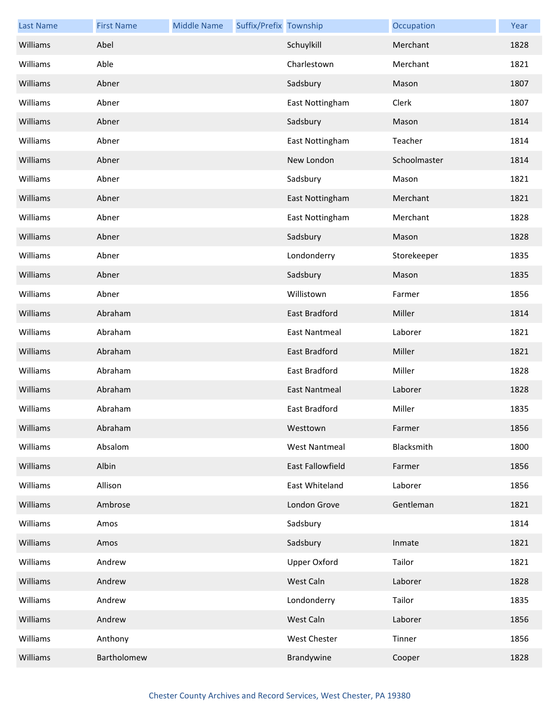| <b>Last Name</b> | <b>First Name</b> | <b>Middle Name</b> | Suffix/Prefix Township |                      | Occupation   | Year |
|------------------|-------------------|--------------------|------------------------|----------------------|--------------|------|
| Williams         | Abel              |                    |                        | Schuylkill           | Merchant     | 1828 |
| Williams         | Able              |                    |                        | Charlestown          | Merchant     | 1821 |
| Williams         | Abner             |                    |                        | Sadsbury             | Mason        | 1807 |
| Williams         | Abner             |                    |                        | East Nottingham      | Clerk        | 1807 |
| Williams         | Abner             |                    |                        | Sadsbury             | Mason        | 1814 |
| Williams         | Abner             |                    |                        | East Nottingham      | Teacher      | 1814 |
| Williams         | Abner             |                    |                        | New London           | Schoolmaster | 1814 |
| Williams         | Abner             |                    |                        | Sadsbury             | Mason        | 1821 |
| Williams         | Abner             |                    |                        | East Nottingham      | Merchant     | 1821 |
| Williams         | Abner             |                    |                        | East Nottingham      | Merchant     | 1828 |
| Williams         | Abner             |                    |                        | Sadsbury             | Mason        | 1828 |
| Williams         | Abner             |                    |                        | Londonderry          | Storekeeper  | 1835 |
| Williams         | Abner             |                    |                        | Sadsbury             | Mason        | 1835 |
| Williams         | Abner             |                    |                        | Willistown           | Farmer       | 1856 |
| Williams         | Abraham           |                    |                        | East Bradford        | Miller       | 1814 |
| Williams         | Abraham           |                    |                        | <b>East Nantmeal</b> | Laborer      | 1821 |
| Williams         | Abraham           |                    |                        | East Bradford        | Miller       | 1821 |
| Williams         | Abraham           |                    |                        | East Bradford        | Miller       | 1828 |
| Williams         | Abraham           |                    |                        | <b>East Nantmeal</b> | Laborer      | 1828 |
| Williams         | Abraham           |                    |                        | East Bradford        | Miller       | 1835 |
| Williams         | Abraham           |                    |                        | Westtown             | Farmer       | 1856 |
| Williams         | Absalom           |                    |                        | <b>West Nantmeal</b> | Blacksmith   | 1800 |
| Williams         | Albin             |                    |                        | East Fallowfield     | Farmer       | 1856 |
| Williams         | Allison           |                    |                        | East Whiteland       | Laborer      | 1856 |
| Williams         | Ambrose           |                    |                        | London Grove         | Gentleman    | 1821 |
| Williams         | Amos              |                    |                        | Sadsbury             |              | 1814 |
| Williams         | Amos              |                    |                        | Sadsbury             | Inmate       | 1821 |
| Williams         | Andrew            |                    |                        | <b>Upper Oxford</b>  | Tailor       | 1821 |
| Williams         | Andrew            |                    |                        | West Caln            | Laborer      | 1828 |
| Williams         | Andrew            |                    |                        | Londonderry          | Tailor       | 1835 |
| Williams         | Andrew            |                    |                        | West Caln            | Laborer      | 1856 |
| Williams         | Anthony           |                    |                        | West Chester         | Tinner       | 1856 |
| Williams         | Bartholomew       |                    |                        | Brandywine           | Cooper       | 1828 |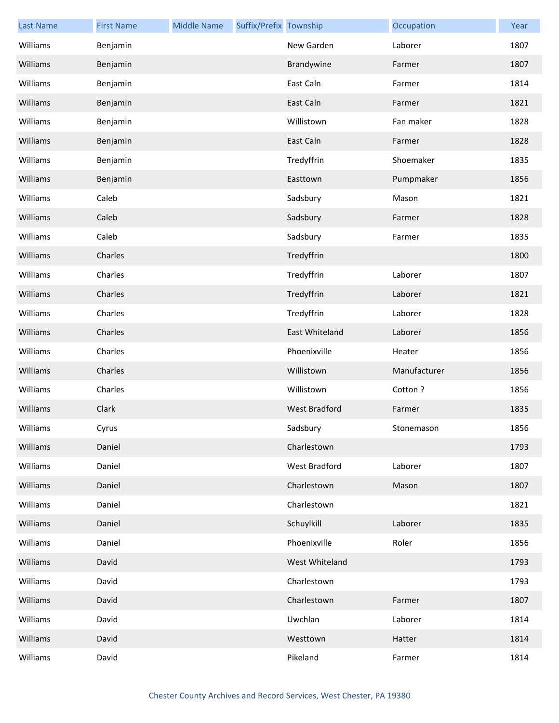| <b>Last Name</b> | <b>First Name</b> | <b>Middle Name</b> | Suffix/Prefix Township |                | Occupation   | Year |
|------------------|-------------------|--------------------|------------------------|----------------|--------------|------|
| Williams         | Benjamin          |                    |                        | New Garden     | Laborer      | 1807 |
| Williams         | Benjamin          |                    |                        | Brandywine     | Farmer       | 1807 |
| Williams         | Benjamin          |                    |                        | East Caln      | Farmer       | 1814 |
| Williams         | Benjamin          |                    |                        | East Caln      | Farmer       | 1821 |
| Williams         | Benjamin          |                    |                        | Willistown     | Fan maker    | 1828 |
| Williams         | Benjamin          |                    |                        | East Caln      | Farmer       | 1828 |
| Williams         | Benjamin          |                    |                        | Tredyffrin     | Shoemaker    | 1835 |
| Williams         | Benjamin          |                    |                        | Easttown       | Pumpmaker    | 1856 |
| Williams         | Caleb             |                    |                        | Sadsbury       | Mason        | 1821 |
| Williams         | Caleb             |                    |                        | Sadsbury       | Farmer       | 1828 |
| Williams         | Caleb             |                    |                        | Sadsbury       | Farmer       | 1835 |
| Williams         | Charles           |                    |                        | Tredyffrin     |              | 1800 |
| Williams         | Charles           |                    |                        | Tredyffrin     | Laborer      | 1807 |
| Williams         | Charles           |                    |                        | Tredyffrin     | Laborer      | 1821 |
| Williams         | Charles           |                    |                        | Tredyffrin     | Laborer      | 1828 |
| Williams         | Charles           |                    |                        | East Whiteland | Laborer      | 1856 |
| Williams         | Charles           |                    |                        | Phoenixville   | Heater       | 1856 |
| Williams         | Charles           |                    |                        | Willistown     | Manufacturer | 1856 |
| Williams         | Charles           |                    |                        | Willistown     | Cotton?      | 1856 |
| Williams         | Clark             |                    |                        | West Bradford  | Farmer       | 1835 |
| Williams         | Cyrus             |                    |                        | Sadsbury       | Stonemason   | 1856 |
| Williams         | Daniel            |                    |                        | Charlestown    |              | 1793 |
| Williams         | Daniel            |                    |                        | West Bradford  | Laborer      | 1807 |
| Williams         | Daniel            |                    |                        | Charlestown    | Mason        | 1807 |
| Williams         | Daniel            |                    |                        | Charlestown    |              | 1821 |
| Williams         | Daniel            |                    |                        | Schuylkill     | Laborer      | 1835 |
| Williams         | Daniel            |                    |                        | Phoenixville   | Roler        | 1856 |
| Williams         | David             |                    |                        | West Whiteland |              | 1793 |
| Williams         | David             |                    |                        | Charlestown    |              | 1793 |
| Williams         | David             |                    |                        | Charlestown    | Farmer       | 1807 |
| Williams         | David             |                    |                        | Uwchlan        | Laborer      | 1814 |
| Williams         | David             |                    |                        | Westtown       | Hatter       | 1814 |
| Williams         | David             |                    |                        | Pikeland       | Farmer       | 1814 |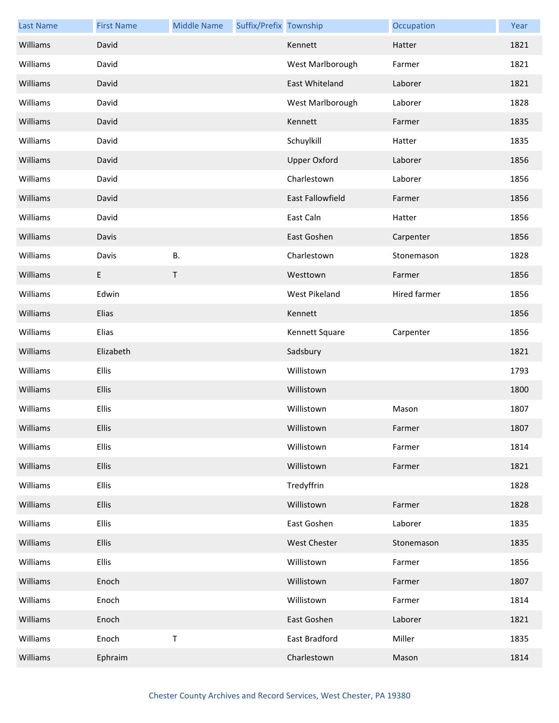| <b>Last Name</b> | <b>First Name</b> | <b>Middle Name</b> | Suffix/Prefix Township |                     | Occupation   | Year |
|------------------|-------------------|--------------------|------------------------|---------------------|--------------|------|
| Williams         | David             |                    |                        | Kennett             | Hatter       | 1821 |
| Williams         | David             |                    |                        | West Marlborough    | Farmer       | 1821 |
| Williams         | David             |                    |                        | East Whiteland      | Laborer      | 1821 |
| Williams         | David             |                    |                        | West Marlborough    | Laborer      | 1828 |
| Williams         | David             |                    |                        | Kennett             | Farmer       | 1835 |
| Williams         | David             |                    |                        | Schuylkill          | Hatter       | 1835 |
| Williams         | David             |                    |                        | <b>Upper Oxford</b> | Laborer      | 1856 |
| Williams         | David             |                    |                        | Charlestown         | Laborer      | 1856 |
| Williams         | David             |                    |                        | East Fallowfield    | Farmer       | 1856 |
| Williams         | David             |                    |                        | East Caln           | Hatter       | 1856 |
| Williams         | Davis             |                    |                        | East Goshen         | Carpenter    | 1856 |
| Williams         | Davis             | <b>B.</b>          |                        | Charlestown         | Stonemason   | 1828 |
| Williams         | E                 | $\mathsf T$        |                        | Westtown            | Farmer       | 1856 |
| Williams         | Edwin             |                    |                        | West Pikeland       | Hired farmer | 1856 |
| Williams         | Elias             |                    |                        | Kennett             |              | 1856 |
| Williams         | Elias             |                    |                        | Kennett Square      | Carpenter    | 1856 |
| Williams         | Elizabeth         |                    |                        | Sadsbury            |              | 1821 |
| Williams         | Ellis             |                    |                        | Willistown          |              | 1793 |
| Williams         | Ellis             |                    |                        | Willistown          |              | 1800 |
| Williams         | Ellis             |                    |                        | Willistown          | Mason        | 1807 |
| Williams         | <b>Ellis</b>      |                    |                        | Willistown          | Farmer       | 1807 |
| Williams         | Ellis             |                    |                        | Willistown          | Farmer       | 1814 |
| Williams         | <b>Ellis</b>      |                    |                        | Willistown          | Farmer       | 1821 |
| Williams         | <b>Ellis</b>      |                    |                        | Tredyffrin          |              | 1828 |
| Williams         | <b>Ellis</b>      |                    |                        | Willistown          | Farmer       | 1828 |
| Williams         | Ellis             |                    |                        | East Goshen         | Laborer      | 1835 |
| Williams         | <b>Ellis</b>      |                    |                        | <b>West Chester</b> | Stonemason   | 1835 |
| Williams         | <b>Ellis</b>      |                    |                        | Willistown          | Farmer       | 1856 |
| Williams         | Enoch             |                    |                        | Willistown          | Farmer       | 1807 |
| Williams         | Enoch             |                    |                        | Willistown          | Farmer       | 1814 |
| Williams         | Enoch             |                    |                        | East Goshen         | Laborer      | 1821 |
| Williams         | Enoch             | $\sf T$            |                        | East Bradford       | Miller       | 1835 |
| Williams         | Ephraim           |                    |                        | Charlestown         | Mason        | 1814 |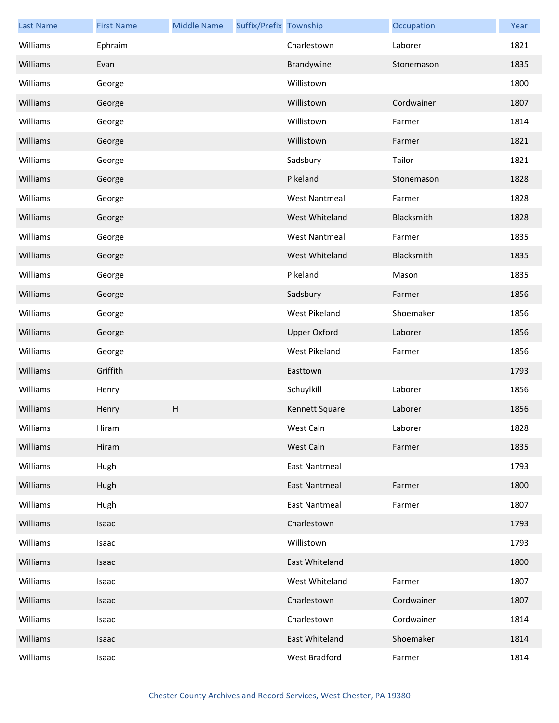| <b>Last Name</b> | <b>First Name</b> | <b>Middle Name</b> | Suffix/Prefix Township |                      | Occupation | Year |
|------------------|-------------------|--------------------|------------------------|----------------------|------------|------|
| Williams         | Ephraim           |                    |                        | Charlestown          | Laborer    | 1821 |
| Williams         | Evan              |                    |                        | Brandywine           | Stonemason | 1835 |
| Williams         | George            |                    |                        | Willistown           |            | 1800 |
| Williams         | George            |                    |                        | Willistown           | Cordwainer | 1807 |
| Williams         | George            |                    |                        | Willistown           | Farmer     | 1814 |
| Williams         | George            |                    |                        | Willistown           | Farmer     | 1821 |
| Williams         | George            |                    |                        | Sadsbury             | Tailor     | 1821 |
| Williams         | George            |                    |                        | Pikeland             | Stonemason | 1828 |
| Williams         | George            |                    |                        | <b>West Nantmeal</b> | Farmer     | 1828 |
| Williams         | George            |                    |                        | West Whiteland       | Blacksmith | 1828 |
| Williams         | George            |                    |                        | <b>West Nantmeal</b> | Farmer     | 1835 |
| Williams         | George            |                    |                        | West Whiteland       | Blacksmith | 1835 |
| Williams         | George            |                    |                        | Pikeland             | Mason      | 1835 |
| Williams         | George            |                    |                        | Sadsbury             | Farmer     | 1856 |
| Williams         | George            |                    |                        | West Pikeland        | Shoemaker  | 1856 |
| Williams         | George            |                    |                        | <b>Upper Oxford</b>  | Laborer    | 1856 |
| Williams         | George            |                    |                        | West Pikeland        | Farmer     | 1856 |
| Williams         | Griffith          |                    |                        | Easttown             |            | 1793 |
| Williams         | Henry             |                    |                        | Schuylkill           | Laborer    | 1856 |
| Williams         | Henry             | H                  |                        | Kennett Square       | Laborer    | 1856 |
| Williams         | Hiram             |                    |                        | West Caln            | Laborer    | 1828 |
| Williams         | Hiram             |                    |                        | West Caln            | Farmer     | 1835 |
| Williams         | Hugh              |                    |                        | <b>East Nantmeal</b> |            | 1793 |
| Williams         | Hugh              |                    |                        | <b>East Nantmeal</b> | Farmer     | 1800 |
| Williams         | Hugh              |                    |                        | <b>East Nantmeal</b> | Farmer     | 1807 |
| Williams         | Isaac             |                    |                        | Charlestown          |            | 1793 |
| Williams         | Isaac             |                    |                        | Willistown           |            | 1793 |
| Williams         | Isaac             |                    |                        | East Whiteland       |            | 1800 |
| Williams         | Isaac             |                    |                        | West Whiteland       | Farmer     | 1807 |
| Williams         | Isaac             |                    |                        | Charlestown          | Cordwainer | 1807 |
| Williams         | Isaac             |                    |                        | Charlestown          | Cordwainer | 1814 |
| Williams         | Isaac             |                    |                        | East Whiteland       | Shoemaker  | 1814 |
| Williams         | Isaac             |                    |                        | West Bradford        | Farmer     | 1814 |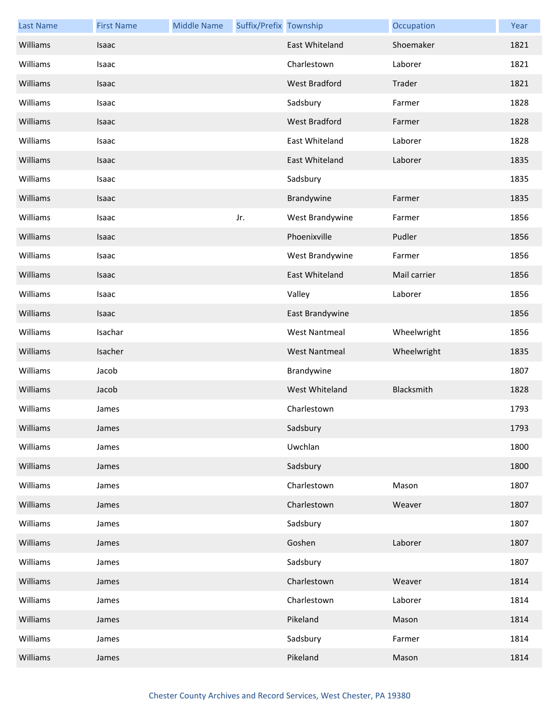| <b>Last Name</b> | <b>First Name</b> | <b>Middle Name</b> | Suffix/Prefix Township |                       | Occupation   | Year |
|------------------|-------------------|--------------------|------------------------|-----------------------|--------------|------|
| Williams         | Isaac             |                    |                        | <b>East Whiteland</b> | Shoemaker    | 1821 |
| Williams         | Isaac             |                    |                        | Charlestown           | Laborer      | 1821 |
| Williams         | Isaac             |                    |                        | <b>West Bradford</b>  | Trader       | 1821 |
| Williams         | Isaac             |                    |                        | Sadsbury              | Farmer       | 1828 |
| Williams         | Isaac             |                    |                        | West Bradford         | Farmer       | 1828 |
| Williams         | Isaac             |                    |                        | East Whiteland        | Laborer      | 1828 |
| Williams         | Isaac             |                    |                        | East Whiteland        | Laborer      | 1835 |
| Williams         | Isaac             |                    |                        | Sadsbury              |              | 1835 |
| Williams         | Isaac             |                    |                        | Brandywine            | Farmer       | 1835 |
| Williams         | Isaac             |                    | Jr.                    | West Brandywine       | Farmer       | 1856 |
| Williams         | Isaac             |                    |                        | Phoenixville          | Pudler       | 1856 |
| Williams         | Isaac             |                    |                        | West Brandywine       | Farmer       | 1856 |
| Williams         | Isaac             |                    |                        | East Whiteland        | Mail carrier | 1856 |
| Williams         | Isaac             |                    |                        | Valley                | Laborer      | 1856 |
| Williams         | Isaac             |                    |                        | East Brandywine       |              | 1856 |
| Williams         | Isachar           |                    |                        | <b>West Nantmeal</b>  | Wheelwright  | 1856 |
| Williams         | Isacher           |                    |                        | <b>West Nantmeal</b>  | Wheelwright  | 1835 |
| Williams         | Jacob             |                    |                        | Brandywine            |              | 1807 |
| Williams         | Jacob             |                    |                        | West Whiteland        | Blacksmith   | 1828 |
| Williams         | James             |                    |                        | Charlestown           |              | 1793 |
| Williams         | James             |                    |                        | Sadsbury              |              | 1793 |
| Williams         | James             |                    |                        | Uwchlan               |              | 1800 |
| Williams         | James             |                    |                        | Sadsbury              |              | 1800 |
| Williams         | James             |                    |                        | Charlestown           | Mason        | 1807 |
| Williams         | James             |                    |                        | Charlestown           | Weaver       | 1807 |
| Williams         | James             |                    |                        | Sadsbury              |              | 1807 |
| Williams         | James             |                    |                        | Goshen                | Laborer      | 1807 |
| Williams         | James             |                    |                        | Sadsbury              |              | 1807 |
| Williams         | James             |                    |                        | Charlestown           | Weaver       | 1814 |
| Williams         | James             |                    |                        | Charlestown           | Laborer      | 1814 |
| Williams         | James             |                    |                        | Pikeland              | Mason        | 1814 |
| Williams         | James             |                    |                        | Sadsbury              | Farmer       | 1814 |
| Williams         | James             |                    |                        | Pikeland              | Mason        | 1814 |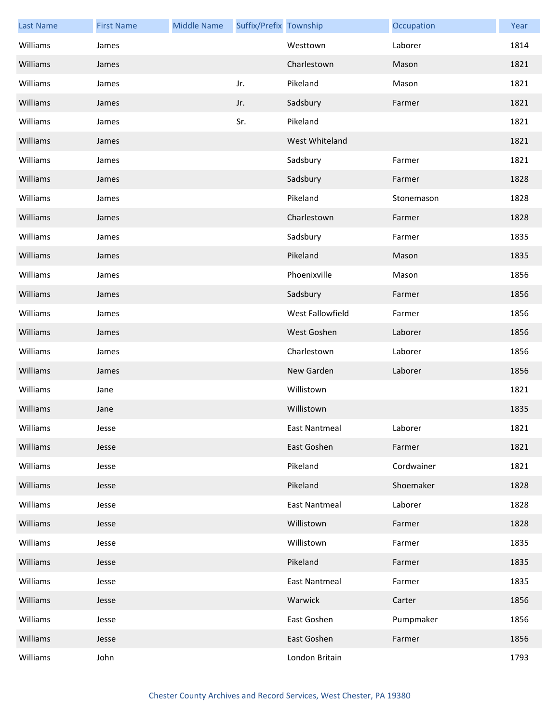| <b>Last Name</b> | <b>First Name</b> | <b>Middle Name</b> | Suffix/Prefix Township |                      | Occupation | Year |
|------------------|-------------------|--------------------|------------------------|----------------------|------------|------|
| Williams         | James             |                    |                        | Westtown             | Laborer    | 1814 |
| Williams         | James             |                    |                        | Charlestown          | Mason      | 1821 |
| Williams         | James             |                    | Jr.                    | Pikeland             | Mason      | 1821 |
| Williams         | James             |                    | Jr.                    | Sadsbury             | Farmer     | 1821 |
| Williams         | James             |                    | Sr.                    | Pikeland             |            | 1821 |
| Williams         | James             |                    |                        | West Whiteland       |            | 1821 |
| Williams         | James             |                    |                        | Sadsbury             | Farmer     | 1821 |
| Williams         | James             |                    |                        | Sadsbury             | Farmer     | 1828 |
| Williams         | James             |                    |                        | Pikeland             | Stonemason | 1828 |
| Williams         | James             |                    |                        | Charlestown          | Farmer     | 1828 |
| Williams         | James             |                    |                        | Sadsbury             | Farmer     | 1835 |
| Williams         | James             |                    |                        | Pikeland             | Mason      | 1835 |
| Williams         | James             |                    |                        | Phoenixville         | Mason      | 1856 |
| Williams         | James             |                    |                        | Sadsbury             | Farmer     | 1856 |
| Williams         | James             |                    |                        | West Fallowfield     | Farmer     | 1856 |
| Williams         | James             |                    |                        | West Goshen          | Laborer    | 1856 |
| Williams         | James             |                    |                        | Charlestown          | Laborer    | 1856 |
| Williams         | James             |                    |                        | New Garden           | Laborer    | 1856 |
| Williams         | Jane              |                    |                        | Willistown           |            | 1821 |
| Williams         | Jane              |                    |                        | Willistown           |            | 1835 |
| Williams         | Jesse             |                    |                        | East Nantmeal        | Laborer    | 1821 |
| Williams         | Jesse             |                    |                        | East Goshen          | Farmer     | 1821 |
| Williams         | Jesse             |                    |                        | Pikeland             | Cordwainer | 1821 |
| Williams         | Jesse             |                    |                        | Pikeland             | Shoemaker  | 1828 |
| Williams         | Jesse             |                    |                        | <b>East Nantmeal</b> | Laborer    | 1828 |
| Williams         | Jesse             |                    |                        | Willistown           | Farmer     | 1828 |
| Williams         | Jesse             |                    |                        | Willistown           | Farmer     | 1835 |
| Williams         | Jesse             |                    |                        | Pikeland             | Farmer     | 1835 |
| Williams         | Jesse             |                    |                        | <b>East Nantmeal</b> | Farmer     | 1835 |
| Williams         | Jesse             |                    |                        | Warwick              | Carter     | 1856 |
| Williams         | Jesse             |                    |                        | East Goshen          | Pumpmaker  | 1856 |
| Williams         | Jesse             |                    |                        | East Goshen          | Farmer     | 1856 |
| Williams         | John              |                    |                        | London Britain       |            | 1793 |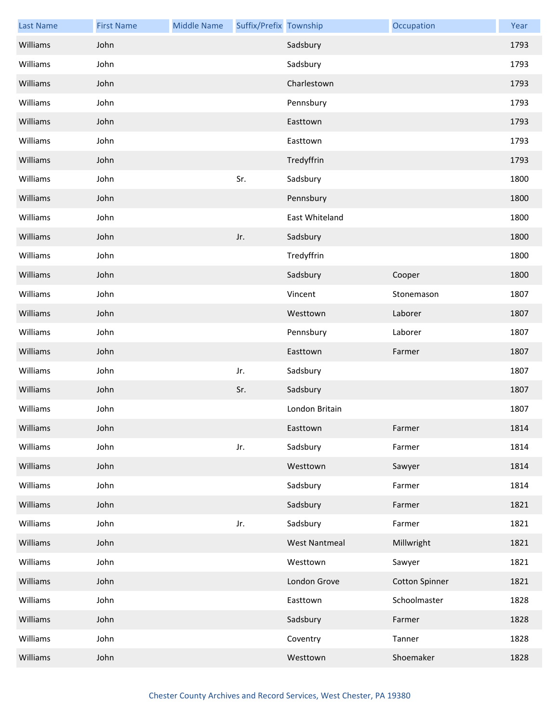| <b>Last Name</b> | <b>First Name</b> | <b>Middle Name</b> | Suffix/Prefix Township |                      | Occupation            | Year |
|------------------|-------------------|--------------------|------------------------|----------------------|-----------------------|------|
| Williams         | John              |                    |                        | Sadsbury             |                       | 1793 |
| Williams         | John              |                    |                        | Sadsbury             |                       | 1793 |
| Williams         | John              |                    |                        | Charlestown          |                       | 1793 |
| Williams         | John              |                    |                        | Pennsbury            |                       | 1793 |
| Williams         | John              |                    |                        | Easttown             |                       | 1793 |
| Williams         | John              |                    |                        | Easttown             |                       | 1793 |
| Williams         | John              |                    |                        | Tredyffrin           |                       | 1793 |
| Williams         | John              |                    | Sr.                    | Sadsbury             |                       | 1800 |
| Williams         | John              |                    |                        | Pennsbury            |                       | 1800 |
| Williams         | John              |                    |                        | East Whiteland       |                       | 1800 |
| Williams         | John              |                    | Jr.                    | Sadsbury             |                       | 1800 |
| Williams         | John              |                    |                        | Tredyffrin           |                       | 1800 |
| Williams         | John              |                    |                        | Sadsbury             | Cooper                | 1800 |
| Williams         | John              |                    |                        | Vincent              | Stonemason            | 1807 |
| Williams         | John              |                    |                        | Westtown             | Laborer               | 1807 |
| Williams         | John              |                    |                        | Pennsbury            | Laborer               | 1807 |
| Williams         | John              |                    |                        | Easttown             | Farmer                | 1807 |
| Williams         | John              |                    | Jr.                    | Sadsbury             |                       | 1807 |
| Williams         | John              |                    | Sr.                    | Sadsbury             |                       | 1807 |
| Williams         | John              |                    |                        | London Britain       |                       | 1807 |
| Williams         | John              |                    |                        | Easttown             | Farmer                | 1814 |
| Williams         | John              |                    | Jr.                    | Sadsbury             | Farmer                | 1814 |
| Williams         | John              |                    |                        | Westtown             | Sawyer                | 1814 |
| Williams         | John              |                    |                        | Sadsbury             | Farmer                | 1814 |
| Williams         | John              |                    |                        | Sadsbury             | Farmer                | 1821 |
| Williams         | John              |                    | Jr.                    | Sadsbury             | Farmer                | 1821 |
| Williams         | John              |                    |                        | <b>West Nantmeal</b> | Millwright            | 1821 |
| Williams         | John              |                    |                        | Westtown             | Sawyer                | 1821 |
| Williams         | John              |                    |                        | London Grove         | <b>Cotton Spinner</b> | 1821 |
| Williams         | John              |                    |                        | Easttown             | Schoolmaster          | 1828 |
| Williams         | John              |                    |                        | Sadsbury             | Farmer                | 1828 |
| Williams         | John              |                    |                        | Coventry             | Tanner                | 1828 |
| Williams         | John              |                    |                        | Westtown             | Shoemaker             | 1828 |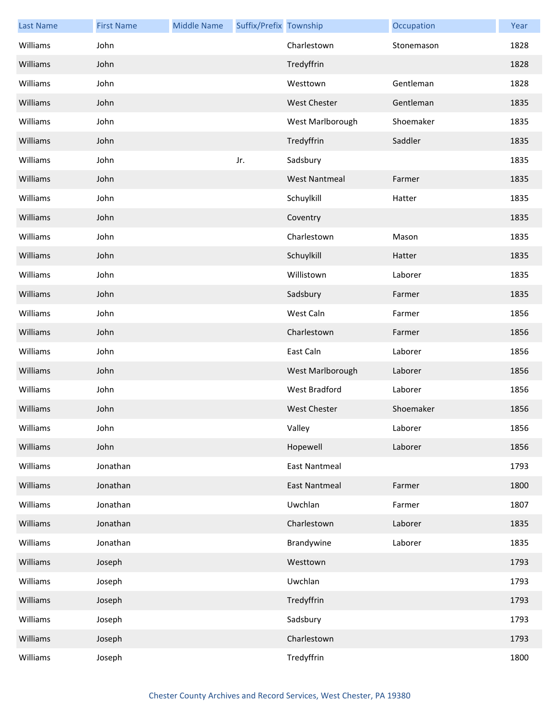| <b>Last Name</b> | <b>First Name</b> | <b>Middle Name</b> | Suffix/Prefix Township |                      | Occupation | Year |
|------------------|-------------------|--------------------|------------------------|----------------------|------------|------|
| Williams         | John              |                    |                        | Charlestown          | Stonemason | 1828 |
| Williams         | John              |                    |                        | Tredyffrin           |            | 1828 |
| Williams         | John              |                    |                        | Westtown             | Gentleman  | 1828 |
| Williams         | John              |                    |                        | <b>West Chester</b>  | Gentleman  | 1835 |
| Williams         | John              |                    |                        | West Marlborough     | Shoemaker  | 1835 |
| Williams         | John              |                    |                        | Tredyffrin           | Saddler    | 1835 |
| Williams         | John              |                    | Jr.                    | Sadsbury             |            | 1835 |
| Williams         | John              |                    |                        | <b>West Nantmeal</b> | Farmer     | 1835 |
| Williams         | John              |                    |                        | Schuylkill           | Hatter     | 1835 |
| Williams         | John              |                    |                        | Coventry             |            | 1835 |
| Williams         | John              |                    |                        | Charlestown          | Mason      | 1835 |
| Williams         | John              |                    |                        | Schuylkill           | Hatter     | 1835 |
| Williams         | John              |                    |                        | Willistown           | Laborer    | 1835 |
| Williams         | John              |                    |                        | Sadsbury             | Farmer     | 1835 |
| Williams         | John              |                    |                        | West Caln            | Farmer     | 1856 |
| Williams         | John              |                    |                        | Charlestown          | Farmer     | 1856 |
| Williams         | John              |                    |                        | East Caln            | Laborer    | 1856 |
| Williams         | John              |                    |                        | West Marlborough     | Laborer    | 1856 |
| Williams         | John              |                    |                        | <b>West Bradford</b> | Laborer    | 1856 |
| Williams         | John              |                    |                        | <b>West Chester</b>  | Shoemaker  | 1856 |
| Williams         | John              |                    |                        | Valley               | Laborer    | 1856 |
| Williams         | John              |                    |                        | Hopewell             | Laborer    | 1856 |
| Williams         | Jonathan          |                    |                        | <b>East Nantmeal</b> |            | 1793 |
| Williams         | Jonathan          |                    |                        | <b>East Nantmeal</b> | Farmer     | 1800 |
| Williams         | Jonathan          |                    |                        | Uwchlan              | Farmer     | 1807 |
| Williams         | Jonathan          |                    |                        | Charlestown          | Laborer    | 1835 |
| Williams         | Jonathan          |                    |                        | Brandywine           | Laborer    | 1835 |
| Williams         | Joseph            |                    |                        | Westtown             |            | 1793 |
| Williams         | Joseph            |                    |                        | Uwchlan              |            | 1793 |
| Williams         | Joseph            |                    |                        | Tredyffrin           |            | 1793 |
| Williams         | Joseph            |                    |                        | Sadsbury             |            | 1793 |
| Williams         | Joseph            |                    |                        | Charlestown          |            | 1793 |
| Williams         | Joseph            |                    |                        | Tredyffrin           |            | 1800 |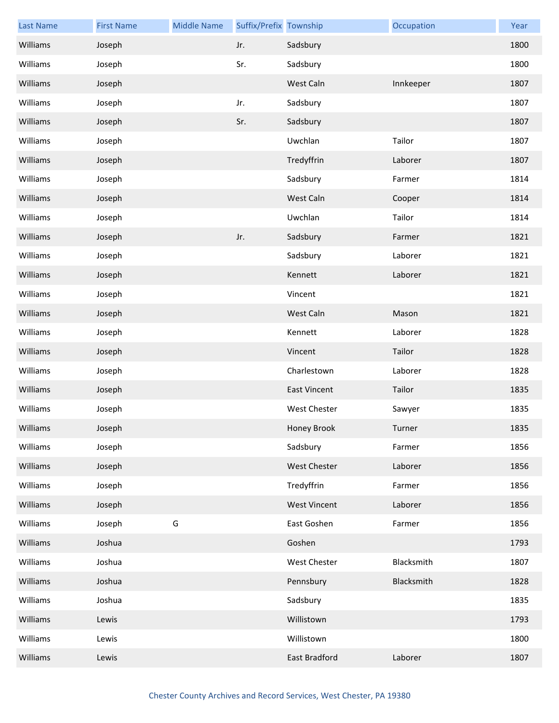| <b>Last Name</b> | <b>First Name</b> | <b>Middle Name</b> | Suffix/Prefix Township |                     | Occupation | Year |
|------------------|-------------------|--------------------|------------------------|---------------------|------------|------|
| Williams         | Joseph            |                    | Jr.                    | Sadsbury            |            | 1800 |
| Williams         | Joseph            |                    | Sr.                    | Sadsbury            |            | 1800 |
| Williams         | Joseph            |                    |                        | West Caln           | Innkeeper  | 1807 |
| Williams         | Joseph            |                    | Jr.                    | Sadsbury            |            | 1807 |
| Williams         | Joseph            |                    | Sr.                    | Sadsbury            |            | 1807 |
| Williams         | Joseph            |                    |                        | Uwchlan             | Tailor     | 1807 |
| Williams         | Joseph            |                    |                        | Tredyffrin          | Laborer    | 1807 |
| Williams         | Joseph            |                    |                        | Sadsbury            | Farmer     | 1814 |
| Williams         | Joseph            |                    |                        | West Caln           | Cooper     | 1814 |
| Williams         | Joseph            |                    |                        | Uwchlan             | Tailor     | 1814 |
| Williams         | Joseph            |                    | Jr.                    | Sadsbury            | Farmer     | 1821 |
| Williams         | Joseph            |                    |                        | Sadsbury            | Laborer    | 1821 |
| Williams         | Joseph            |                    |                        | Kennett             | Laborer    | 1821 |
| Williams         | Joseph            |                    |                        | Vincent             |            | 1821 |
| Williams         | Joseph            |                    |                        | West Caln           | Mason      | 1821 |
| Williams         | Joseph            |                    |                        | Kennett             | Laborer    | 1828 |
| Williams         | Joseph            |                    |                        | Vincent             | Tailor     | 1828 |
| Williams         | Joseph            |                    |                        | Charlestown         | Laborer    | 1828 |
| Williams         | Joseph            |                    |                        | <b>East Vincent</b> | Tailor     | 1835 |
| Williams         | Joseph            |                    |                        | <b>West Chester</b> | Sawyer     | 1835 |
| Williams         | Joseph            |                    |                        | Honey Brook         | Turner     | 1835 |
| Williams         | Joseph            |                    |                        | Sadsbury            | Farmer     | 1856 |
| Williams         | Joseph            |                    |                        | West Chester        | Laborer    | 1856 |
| Williams         | Joseph            |                    |                        | Tredyffrin          | Farmer     | 1856 |
| Williams         | Joseph            |                    |                        | <b>West Vincent</b> | Laborer    | 1856 |
| Williams         | Joseph            | G                  |                        | East Goshen         | Farmer     | 1856 |
| Williams         | Joshua            |                    |                        | Goshen              |            | 1793 |
| Williams         | Joshua            |                    |                        | West Chester        | Blacksmith | 1807 |
| Williams         | Joshua            |                    |                        | Pennsbury           | Blacksmith | 1828 |
| Williams         | Joshua            |                    |                        | Sadsbury            |            | 1835 |
| Williams         | Lewis             |                    |                        | Willistown          |            | 1793 |
| Williams         | Lewis             |                    |                        | Willistown          |            | 1800 |
| Williams         | Lewis             |                    |                        | East Bradford       | Laborer    | 1807 |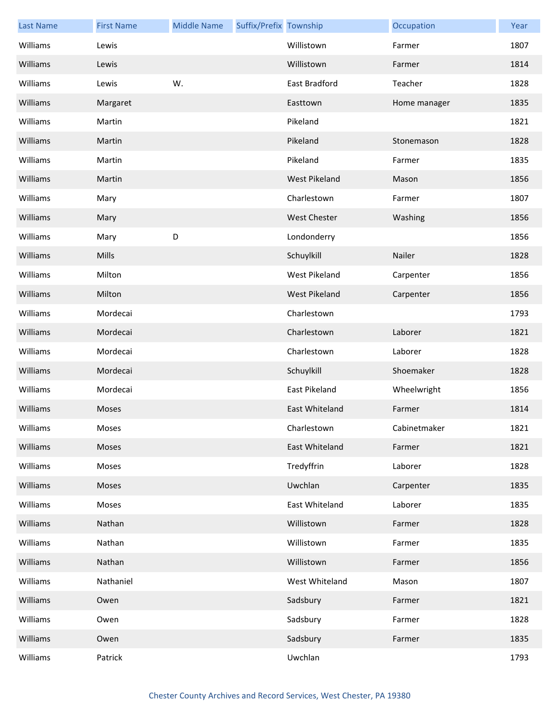| <b>Last Name</b> | <b>First Name</b> | <b>Middle Name</b> | Suffix/Prefix Township |                      | Occupation   | Year |
|------------------|-------------------|--------------------|------------------------|----------------------|--------------|------|
| Williams         | Lewis             |                    |                        | Willistown           | Farmer       | 1807 |
| Williams         | Lewis             |                    |                        | Willistown           | Farmer       | 1814 |
| Williams         | Lewis             | W.                 |                        | East Bradford        | Teacher      | 1828 |
| Williams         | Margaret          |                    |                        | Easttown             | Home manager | 1835 |
| Williams         | Martin            |                    |                        | Pikeland             |              | 1821 |
| Williams         | Martin            |                    |                        | Pikeland             | Stonemason   | 1828 |
| Williams         | Martin            |                    |                        | Pikeland             | Farmer       | 1835 |
| Williams         | Martin            |                    |                        | <b>West Pikeland</b> | Mason        | 1856 |
| Williams         | Mary              |                    |                        | Charlestown          | Farmer       | 1807 |
| Williams         | Mary              |                    |                        | <b>West Chester</b>  | Washing      | 1856 |
| Williams         | Mary              | D                  |                        | Londonderry          |              | 1856 |
| Williams         | Mills             |                    |                        | Schuylkill           | Nailer       | 1828 |
| Williams         | Milton            |                    |                        | West Pikeland        | Carpenter    | 1856 |
| Williams         | Milton            |                    |                        | <b>West Pikeland</b> | Carpenter    | 1856 |
| Williams         | Mordecai          |                    |                        | Charlestown          |              | 1793 |
| Williams         | Mordecai          |                    |                        | Charlestown          | Laborer      | 1821 |
| Williams         | Mordecai          |                    |                        | Charlestown          | Laborer      | 1828 |
| Williams         | Mordecai          |                    |                        | Schuylkill           | Shoemaker    | 1828 |
| Williams         | Mordecai          |                    |                        | East Pikeland        | Wheelwright  | 1856 |
| Williams         | Moses             |                    |                        | East Whiteland       | Farmer       | 1814 |
| Williams         | Moses             |                    |                        | Charlestown          | Cabinetmaker | 1821 |
| Williams         | Moses             |                    |                        | East Whiteland       | Farmer       | 1821 |
| Williams         | Moses             |                    |                        | Tredyffrin           | Laborer      | 1828 |
| Williams         | Moses             |                    |                        | Uwchlan              | Carpenter    | 1835 |
| Williams         | Moses             |                    |                        | East Whiteland       | Laborer      | 1835 |
| Williams         | Nathan            |                    |                        | Willistown           | Farmer       | 1828 |
| Williams         | Nathan            |                    |                        | Willistown           | Farmer       | 1835 |
| Williams         | Nathan            |                    |                        | Willistown           | Farmer       | 1856 |
| Williams         | Nathaniel         |                    |                        | West Whiteland       | Mason        | 1807 |
| Williams         | Owen              |                    |                        | Sadsbury             | Farmer       | 1821 |
| Williams         | Owen              |                    |                        | Sadsbury             | Farmer       | 1828 |
| Williams         | Owen              |                    |                        | Sadsbury             | Farmer       | 1835 |
| Williams         | Patrick           |                    |                        | Uwchlan              |              | 1793 |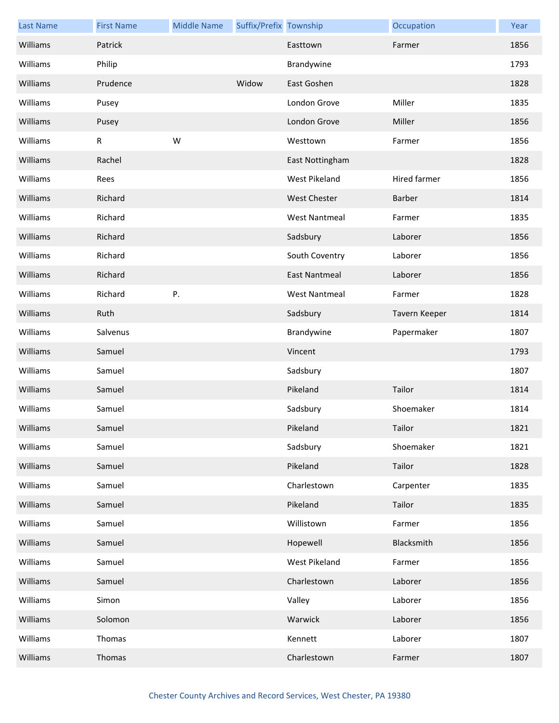| <b>Last Name</b> | <b>First Name</b> | <b>Middle Name</b> | Suffix/Prefix Township |                      | Occupation    | Year |
|------------------|-------------------|--------------------|------------------------|----------------------|---------------|------|
| Williams         | Patrick           |                    |                        | Easttown             | Farmer        | 1856 |
| Williams         | Philip            |                    |                        | Brandywine           |               | 1793 |
| Williams         | Prudence          |                    | Widow                  | East Goshen          |               | 1828 |
| Williams         | Pusey             |                    |                        | London Grove         | Miller        | 1835 |
| Williams         | Pusey             |                    |                        | London Grove         | Miller        | 1856 |
| Williams         | ${\sf R}$         | W                  |                        | Westtown             | Farmer        | 1856 |
| Williams         | Rachel            |                    |                        | East Nottingham      |               | 1828 |
| Williams         | Rees              |                    |                        | <b>West Pikeland</b> | Hired farmer  | 1856 |
| Williams         | Richard           |                    |                        | <b>West Chester</b>  | Barber        | 1814 |
| Williams         | Richard           |                    |                        | <b>West Nantmeal</b> | Farmer        | 1835 |
| Williams         | Richard           |                    |                        | Sadsbury             | Laborer       | 1856 |
| Williams         | Richard           |                    |                        | South Coventry       | Laborer       | 1856 |
| Williams         | Richard           |                    |                        | <b>East Nantmeal</b> | Laborer       | 1856 |
| Williams         | Richard           | Ρ.                 |                        | <b>West Nantmeal</b> | Farmer        | 1828 |
| Williams         | Ruth              |                    |                        | Sadsbury             | Tavern Keeper | 1814 |
| Williams         | Salvenus          |                    |                        | Brandywine           | Papermaker    | 1807 |
| Williams         | Samuel            |                    |                        | Vincent              |               | 1793 |
| Williams         | Samuel            |                    |                        | Sadsbury             |               | 1807 |
| Williams         | Samuel            |                    |                        | Pikeland             | Tailor        | 1814 |
| Williams         | Samuel            |                    |                        | Sadsbury             | Shoemaker     | 1814 |
| Williams         | Samuel            |                    |                        | Pikeland             | Tailor        | 1821 |
| Williams         | Samuel            |                    |                        | Sadsbury             | Shoemaker     | 1821 |
| Williams         | Samuel            |                    |                        | Pikeland             | Tailor        | 1828 |
| Williams         | Samuel            |                    |                        | Charlestown          | Carpenter     | 1835 |
| Williams         | Samuel            |                    |                        | Pikeland             | Tailor        | 1835 |
| Williams         | Samuel            |                    |                        | Willistown           | Farmer        | 1856 |
| Williams         | Samuel            |                    |                        | Hopewell             | Blacksmith    | 1856 |
| Williams         | Samuel            |                    |                        | West Pikeland        | Farmer        | 1856 |
| Williams         | Samuel            |                    |                        | Charlestown          | Laborer       | 1856 |
| Williams         | Simon             |                    |                        | Valley               | Laborer       | 1856 |
| Williams         | Solomon           |                    |                        | Warwick              | Laborer       | 1856 |
| Williams         | Thomas            |                    |                        | Kennett              | Laborer       | 1807 |
| Williams         | Thomas            |                    |                        | Charlestown          | Farmer        | 1807 |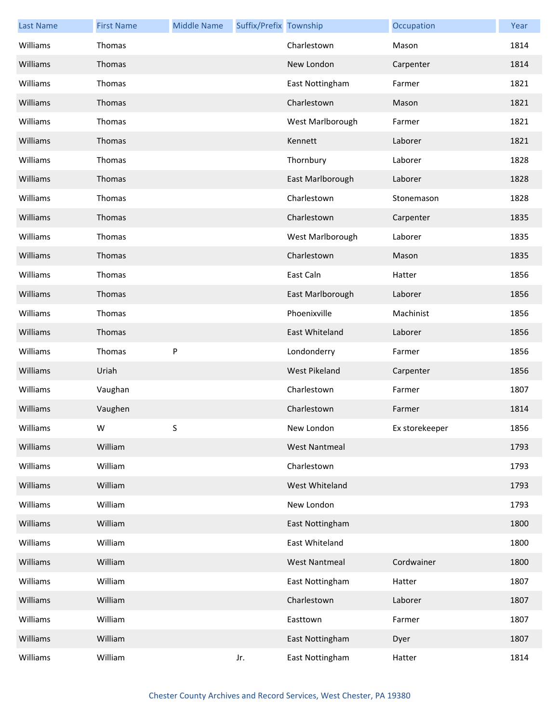| <b>Last Name</b> | <b>First Name</b> | <b>Middle Name</b> | Suffix/Prefix Township |                      | Occupation     | Year |
|------------------|-------------------|--------------------|------------------------|----------------------|----------------|------|
| Williams         | Thomas            |                    |                        | Charlestown          | Mason          | 1814 |
| Williams         | Thomas            |                    |                        | New London           | Carpenter      | 1814 |
| Williams         | Thomas            |                    |                        | East Nottingham      | Farmer         | 1821 |
| Williams         | Thomas            |                    |                        | Charlestown          | Mason          | 1821 |
| Williams         | Thomas            |                    |                        | West Marlborough     | Farmer         | 1821 |
| Williams         | Thomas            |                    |                        | Kennett              | Laborer        | 1821 |
| Williams         | Thomas            |                    |                        | Thornbury            | Laborer        | 1828 |
| Williams         | Thomas            |                    |                        | East Marlborough     | Laborer        | 1828 |
| Williams         | Thomas            |                    |                        | Charlestown          | Stonemason     | 1828 |
| Williams         | Thomas            |                    |                        | Charlestown          | Carpenter      | 1835 |
| Williams         | Thomas            |                    |                        | West Marlborough     | Laborer        | 1835 |
| Williams         | Thomas            |                    |                        | Charlestown          | Mason          | 1835 |
| Williams         | Thomas            |                    |                        | East Caln            | Hatter         | 1856 |
| Williams         | Thomas            |                    |                        | East Marlborough     | Laborer        | 1856 |
| Williams         | Thomas            |                    |                        | Phoenixville         | Machinist      | 1856 |
| Williams         | Thomas            |                    |                        | East Whiteland       | Laborer        | 1856 |
| Williams         | Thomas            | P                  |                        | Londonderry          | Farmer         | 1856 |
| Williams         | Uriah             |                    |                        | West Pikeland        | Carpenter      | 1856 |
| Williams         | Vaughan           |                    |                        | Charlestown          | Farmer         | 1807 |
| Williams         | Vaughen           |                    |                        | Charlestown          | Farmer         | 1814 |
| Williams         | W                 | S.                 |                        | New London           | Ex storekeeper | 1856 |
| Williams         | William           |                    |                        | <b>West Nantmeal</b> |                | 1793 |
| Williams         | William           |                    |                        | Charlestown          |                | 1793 |
| Williams         | William           |                    |                        | West Whiteland       |                | 1793 |
| Williams         | William           |                    |                        | New London           |                | 1793 |
| Williams         | William           |                    |                        | East Nottingham      |                | 1800 |
| Williams         | William           |                    |                        | East Whiteland       |                | 1800 |
| Williams         | William           |                    |                        | <b>West Nantmeal</b> | Cordwainer     | 1800 |
| Williams         | William           |                    |                        | East Nottingham      | Hatter         | 1807 |
| Williams         | William           |                    |                        | Charlestown          | Laborer        | 1807 |
| Williams         | William           |                    |                        | Easttown             | Farmer         | 1807 |
| Williams         | William           |                    |                        | East Nottingham      | Dyer           | 1807 |
| Williams         | William           |                    | Jr.                    | East Nottingham      | Hatter         | 1814 |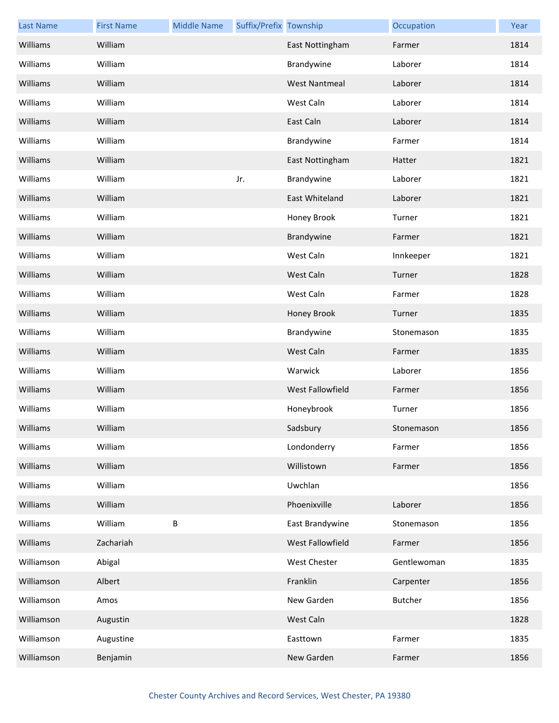| <b>Last Name</b> | <b>First Name</b> | <b>Middle Name</b> | Suffix/Prefix Township |                      | Occupation     | Year |
|------------------|-------------------|--------------------|------------------------|----------------------|----------------|------|
| Williams         | William           |                    |                        | East Nottingham      | Farmer         | 1814 |
| Williams         | William           |                    |                        | Brandywine           | Laborer        | 1814 |
| Williams         | William           |                    |                        | <b>West Nantmeal</b> | Laborer        | 1814 |
| Williams         | William           |                    |                        | West Caln            | Laborer        | 1814 |
| Williams         | William           |                    |                        | East Caln            | Laborer        | 1814 |
| Williams         | William           |                    |                        | Brandywine           | Farmer         | 1814 |
| Williams         | William           |                    |                        | East Nottingham      | Hatter         | 1821 |
| Williams         | William           |                    | Jr.                    | Brandywine           | Laborer        | 1821 |
| Williams         | William           |                    |                        | East Whiteland       | Laborer        | 1821 |
| Williams         | William           |                    |                        | Honey Brook          | Turner         | 1821 |
| Williams         | William           |                    |                        | Brandywine           | Farmer         | 1821 |
| Williams         | William           |                    |                        | West Caln            | Innkeeper      | 1821 |
| Williams         | William           |                    |                        | West Caln            | Turner         | 1828 |
| Williams         | William           |                    |                        | West Caln            | Farmer         | 1828 |
| Williams         | William           |                    |                        | Honey Brook          | Turner         | 1835 |
| Williams         | William           |                    |                        | Brandywine           | Stonemason     | 1835 |
| Williams         | William           |                    |                        | West Caln            | Farmer         | 1835 |
| Williams         | William           |                    |                        | Warwick              | Laborer        | 1856 |
| Williams         | William           |                    |                        | West Fallowfield     | Farmer         | 1856 |
| Williams         | William           |                    |                        | Honeybrook           | Turner         | 1856 |
| Williams         | William           |                    |                        | Sadsbury             | Stonemason     | 1856 |
| Williams         | William           |                    |                        | Londonderry          | Farmer         | 1856 |
| Williams         | William           |                    |                        | Willistown           | Farmer         | 1856 |
| Williams         | William           |                    |                        | Uwchlan              |                | 1856 |
| Williams         | William           |                    |                        | Phoenixville         | Laborer        | 1856 |
| Williams         | William           | B                  |                        | East Brandywine      | Stonemason     | 1856 |
| Williams         | Zachariah         |                    |                        | West Fallowfield     | Farmer         | 1856 |
| Williamson       | Abigal            |                    |                        | West Chester         | Gentlewoman    | 1835 |
| Williamson       | Albert            |                    |                        | Franklin             | Carpenter      | 1856 |
| Williamson       | Amos              |                    |                        | New Garden           | <b>Butcher</b> | 1856 |
| Williamson       | Augustin          |                    |                        | West Caln            |                | 1828 |
| Williamson       | Augustine         |                    |                        | Easttown             | Farmer         | 1835 |
| Williamson       | Benjamin          |                    |                        | New Garden           | Farmer         | 1856 |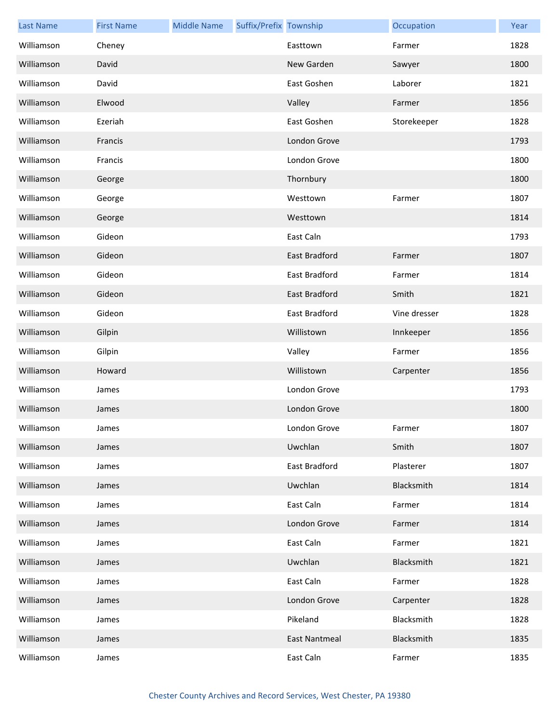| <b>Last Name</b> | <b>First Name</b> | <b>Middle Name</b> | Suffix/Prefix Township |                      | Occupation   | Year |
|------------------|-------------------|--------------------|------------------------|----------------------|--------------|------|
| Williamson       | Cheney            |                    |                        | Easttown             | Farmer       | 1828 |
| Williamson       | David             |                    |                        | New Garden           | Sawyer       | 1800 |
| Williamson       | David             |                    |                        | East Goshen          | Laborer      | 1821 |
| Williamson       | Elwood            |                    |                        | Valley               | Farmer       | 1856 |
| Williamson       | Ezeriah           |                    |                        | East Goshen          | Storekeeper  | 1828 |
| Williamson       | Francis           |                    |                        | London Grove         |              | 1793 |
| Williamson       | Francis           |                    |                        | London Grove         |              | 1800 |
| Williamson       | George            |                    |                        | Thornbury            |              | 1800 |
| Williamson       | George            |                    |                        | Westtown             | Farmer       | 1807 |
| Williamson       | George            |                    |                        | Westtown             |              | 1814 |
| Williamson       | Gideon            |                    |                        | East Caln            |              | 1793 |
| Williamson       | Gideon            |                    |                        | East Bradford        | Farmer       | 1807 |
| Williamson       | Gideon            |                    |                        | East Bradford        | Farmer       | 1814 |
| Williamson       | Gideon            |                    |                        | East Bradford        | Smith        | 1821 |
| Williamson       | Gideon            |                    |                        | East Bradford        | Vine dresser | 1828 |
| Williamson       | Gilpin            |                    |                        | Willistown           | Innkeeper    | 1856 |
| Williamson       | Gilpin            |                    |                        | Valley               | Farmer       | 1856 |
| Williamson       | Howard            |                    |                        | Willistown           | Carpenter    | 1856 |
| Williamson       | James             |                    |                        | London Grove         |              | 1793 |
| Williamson       | James             |                    |                        | London Grove         |              | 1800 |
| Williamson       | James             |                    |                        | London Grove         | Farmer       | 1807 |
| Williamson       | James             |                    |                        | Uwchlan              | Smith        | 1807 |
| Williamson       | James             |                    |                        | East Bradford        | Plasterer    | 1807 |
| Williamson       | James             |                    |                        | Uwchlan              | Blacksmith   | 1814 |
| Williamson       | James             |                    |                        | East Caln            | Farmer       | 1814 |
| Williamson       | James             |                    |                        | London Grove         | Farmer       | 1814 |
| Williamson       | James             |                    |                        | East Caln            | Farmer       | 1821 |
| Williamson       | James             |                    |                        | Uwchlan              | Blacksmith   | 1821 |
| Williamson       | James             |                    |                        | East Caln            | Farmer       | 1828 |
| Williamson       | James             |                    |                        | London Grove         | Carpenter    | 1828 |
| Williamson       | James             |                    |                        | Pikeland             | Blacksmith   | 1828 |
| Williamson       | James             |                    |                        | <b>East Nantmeal</b> | Blacksmith   | 1835 |
| Williamson       | James             |                    |                        | East Caln            | Farmer       | 1835 |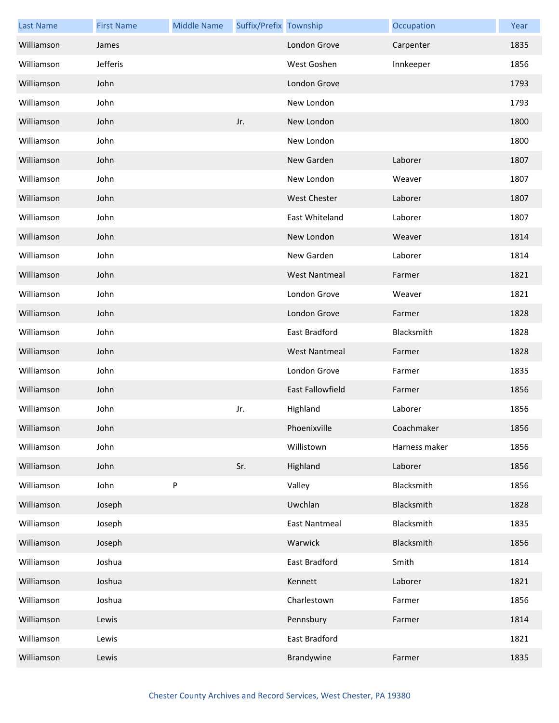| <b>Last Name</b> | <b>First Name</b> | <b>Middle Name</b> | Suffix/Prefix Township |                         | Occupation    | Year |
|------------------|-------------------|--------------------|------------------------|-------------------------|---------------|------|
| Williamson       | James             |                    |                        | London Grove            | Carpenter     | 1835 |
| Williamson       | Jefferis          |                    |                        | West Goshen             | Innkeeper     | 1856 |
| Williamson       | John              |                    |                        | London Grove            |               | 1793 |
| Williamson       | John              |                    |                        | New London              |               | 1793 |
| Williamson       | John              |                    | Jr.                    | New London              |               | 1800 |
| Williamson       | John              |                    |                        | New London              |               | 1800 |
| Williamson       | John              |                    |                        | New Garden              | Laborer       | 1807 |
| Williamson       | John              |                    |                        | New London              | Weaver        | 1807 |
| Williamson       | John              |                    |                        | <b>West Chester</b>     | Laborer       | 1807 |
| Williamson       | John              |                    |                        | East Whiteland          | Laborer       | 1807 |
| Williamson       | John              |                    |                        | New London              | Weaver        | 1814 |
| Williamson       | John              |                    |                        | New Garden              | Laborer       | 1814 |
| Williamson       | John              |                    |                        | <b>West Nantmeal</b>    | Farmer        | 1821 |
| Williamson       | John              |                    |                        | London Grove            | Weaver        | 1821 |
| Williamson       | John              |                    |                        | London Grove            | Farmer        | 1828 |
| Williamson       | John              |                    |                        | East Bradford           | Blacksmith    | 1828 |
| Williamson       | John              |                    |                        | <b>West Nantmeal</b>    | Farmer        | 1828 |
| Williamson       | John              |                    |                        | London Grove            | Farmer        | 1835 |
| Williamson       | John              |                    |                        | <b>East Fallowfield</b> | Farmer        | 1856 |
| Williamson       | John              |                    | Jr.                    | Highland                | Laborer       | 1856 |
| Williamson       | John              |                    |                        | Phoenixville            | Coachmaker    | 1856 |
| Williamson       | John              |                    |                        | Willistown              | Harness maker | 1856 |
| Williamson       | John              |                    | Sr.                    | Highland                | Laborer       | 1856 |
| Williamson       | John              | P                  |                        | Valley                  | Blacksmith    | 1856 |
| Williamson       | Joseph            |                    |                        | Uwchlan                 | Blacksmith    | 1828 |
| Williamson       | Joseph            |                    |                        | <b>East Nantmeal</b>    | Blacksmith    | 1835 |
| Williamson       | Joseph            |                    |                        | Warwick                 | Blacksmith    | 1856 |
| Williamson       | Joshua            |                    |                        | East Bradford           | Smith         | 1814 |
| Williamson       | Joshua            |                    |                        | Kennett                 | Laborer       | 1821 |
| Williamson       | Joshua            |                    |                        | Charlestown             | Farmer        | 1856 |
| Williamson       | Lewis             |                    |                        | Pennsbury               | Farmer        | 1814 |
| Williamson       | Lewis             |                    |                        | East Bradford           |               | 1821 |
| Williamson       | Lewis             |                    |                        | Brandywine              | Farmer        | 1835 |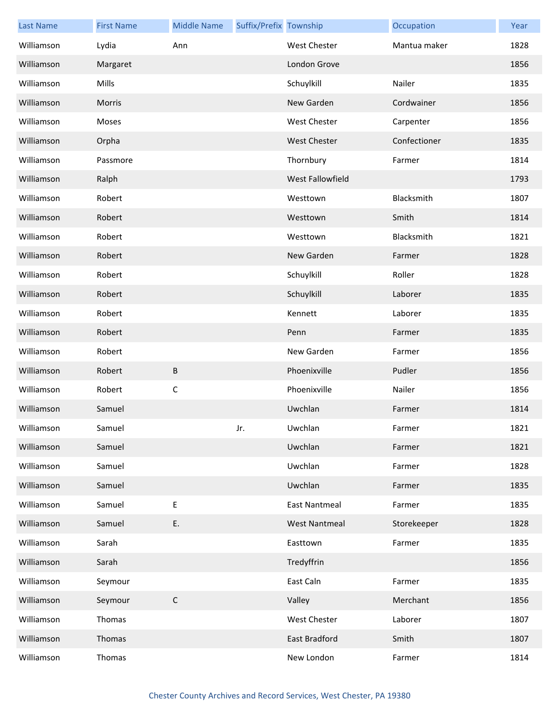| <b>Last Name</b> | <b>First Name</b> | <b>Middle Name</b> | Suffix/Prefix Township |                         | Occupation   | Year |
|------------------|-------------------|--------------------|------------------------|-------------------------|--------------|------|
| Williamson       | Lydia             | Ann                |                        | <b>West Chester</b>     | Mantua maker | 1828 |
| Williamson       | Margaret          |                    |                        | London Grove            |              | 1856 |
| Williamson       | Mills             |                    |                        | Schuylkill              | Nailer       | 1835 |
| Williamson       | Morris            |                    |                        | New Garden              | Cordwainer   | 1856 |
| Williamson       | Moses             |                    |                        | <b>West Chester</b>     | Carpenter    | 1856 |
| Williamson       | Orpha             |                    |                        | <b>West Chester</b>     | Confectioner | 1835 |
| Williamson       | Passmore          |                    |                        | Thornbury               | Farmer       | 1814 |
| Williamson       | Ralph             |                    |                        | <b>West Fallowfield</b> |              | 1793 |
| Williamson       | Robert            |                    |                        | Westtown                | Blacksmith   | 1807 |
| Williamson       | Robert            |                    |                        | Westtown                | Smith        | 1814 |
| Williamson       | Robert            |                    |                        | Westtown                | Blacksmith   | 1821 |
| Williamson       | Robert            |                    |                        | New Garden              | Farmer       | 1828 |
| Williamson       | Robert            |                    |                        | Schuylkill              | Roller       | 1828 |
| Williamson       | Robert            |                    |                        | Schuylkill              | Laborer      | 1835 |
| Williamson       | Robert            |                    |                        | Kennett                 | Laborer      | 1835 |
| Williamson       | Robert            |                    |                        | Penn                    | Farmer       | 1835 |
| Williamson       | Robert            |                    |                        | New Garden              | Farmer       | 1856 |
| Williamson       | Robert            | B                  |                        | Phoenixville            | Pudler       | 1856 |
| Williamson       | Robert            | $\mathsf C$        |                        | Phoenixville            | Nailer       | 1856 |
| Williamson       | Samuel            |                    |                        | Uwchlan                 | Farmer       | 1814 |
| Williamson       | Samuel            |                    | Jr.                    | Uwchlan                 | Farmer       | 1821 |
| Williamson       | Samuel            |                    |                        | Uwchlan                 | Farmer       | 1821 |
| Williamson       | Samuel            |                    |                        | Uwchlan                 | Farmer       | 1828 |
| Williamson       | Samuel            |                    |                        | Uwchlan                 | Farmer       | 1835 |
| Williamson       | Samuel            | E                  |                        | <b>East Nantmeal</b>    | Farmer       | 1835 |
| Williamson       | Samuel            | E.                 |                        | <b>West Nantmeal</b>    | Storekeeper  | 1828 |
| Williamson       | Sarah             |                    |                        | Easttown                | Farmer       | 1835 |
| Williamson       | Sarah             |                    |                        | Tredyffrin              |              | 1856 |
| Williamson       | Seymour           |                    |                        | East Caln               | Farmer       | 1835 |
| Williamson       | Seymour           | $\mathsf C$        |                        | Valley                  | Merchant     | 1856 |
| Williamson       | Thomas            |                    |                        | West Chester            | Laborer      | 1807 |
| Williamson       | Thomas            |                    |                        | East Bradford           | Smith        | 1807 |
| Williamson       | Thomas            |                    |                        | New London              | Farmer       | 1814 |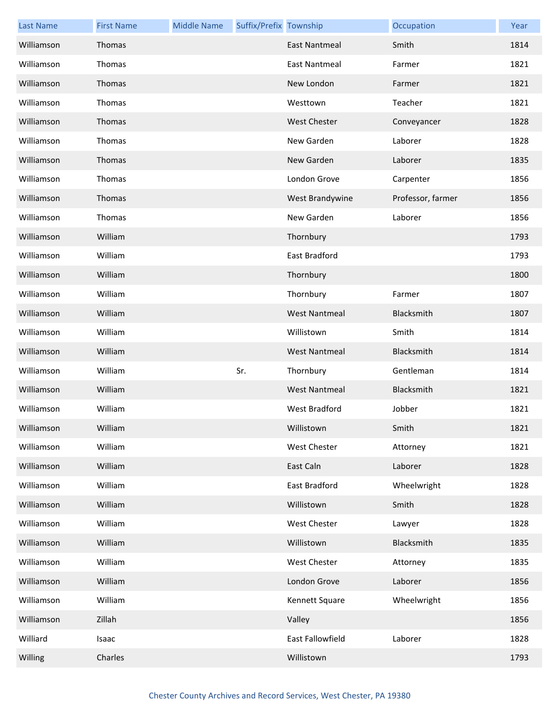| <b>Last Name</b> | <b>First Name</b> | <b>Middle Name</b> | Suffix/Prefix Township |                      | Occupation        | Year |
|------------------|-------------------|--------------------|------------------------|----------------------|-------------------|------|
| Williamson       | Thomas            |                    |                        | <b>East Nantmeal</b> | Smith             | 1814 |
| Williamson       | Thomas            |                    |                        | <b>East Nantmeal</b> | Farmer            | 1821 |
| Williamson       | Thomas            |                    |                        | New London           | Farmer            | 1821 |
| Williamson       | Thomas            |                    |                        | Westtown             | Teacher           | 1821 |
| Williamson       | Thomas            |                    |                        | <b>West Chester</b>  | Conveyancer       | 1828 |
| Williamson       | Thomas            |                    |                        | New Garden           | Laborer           | 1828 |
| Williamson       | Thomas            |                    |                        | New Garden           | Laborer           | 1835 |
| Williamson       | Thomas            |                    |                        | London Grove         | Carpenter         | 1856 |
| Williamson       | Thomas            |                    |                        | West Brandywine      | Professor, farmer | 1856 |
| Williamson       | Thomas            |                    |                        | New Garden           | Laborer           | 1856 |
| Williamson       | William           |                    |                        | Thornbury            |                   | 1793 |
| Williamson       | William           |                    |                        | <b>East Bradford</b> |                   | 1793 |
| Williamson       | William           |                    |                        | Thornbury            |                   | 1800 |
| Williamson       | William           |                    |                        | Thornbury            | Farmer            | 1807 |
| Williamson       | William           |                    |                        | <b>West Nantmeal</b> | Blacksmith        | 1807 |
| Williamson       | William           |                    |                        | Willistown           | Smith             | 1814 |
| Williamson       | William           |                    |                        | <b>West Nantmeal</b> | Blacksmith        | 1814 |
| Williamson       | William           |                    | Sr.                    | Thornbury            | Gentleman         | 1814 |
| Williamson       | William           |                    |                        | <b>West Nantmeal</b> | Blacksmith        | 1821 |
| Williamson       | William           |                    |                        | <b>West Bradford</b> | Jobber            | 1821 |
| Williamson       | William           |                    |                        | Willistown           | Smith             | 1821 |
| Williamson       | William           |                    |                        | West Chester         | Attorney          | 1821 |
| Williamson       | William           |                    |                        | East Caln            | Laborer           | 1828 |
| Williamson       | William           |                    |                        | East Bradford        | Wheelwright       | 1828 |
| Williamson       | William           |                    |                        | Willistown           | Smith             | 1828 |
| Williamson       | William           |                    |                        | West Chester         | Lawyer            | 1828 |
| Williamson       | William           |                    |                        | Willistown           | Blacksmith        | 1835 |
| Williamson       | William           |                    |                        | West Chester         | Attorney          | 1835 |
| Williamson       | William           |                    |                        | London Grove         | Laborer           | 1856 |
| Williamson       | William           |                    |                        | Kennett Square       | Wheelwright       | 1856 |
| Williamson       | Zillah            |                    |                        | Valley               |                   | 1856 |
| Williard         | Isaac             |                    |                        | East Fallowfield     | Laborer           | 1828 |
| Willing          | Charles           |                    |                        | Willistown           |                   | 1793 |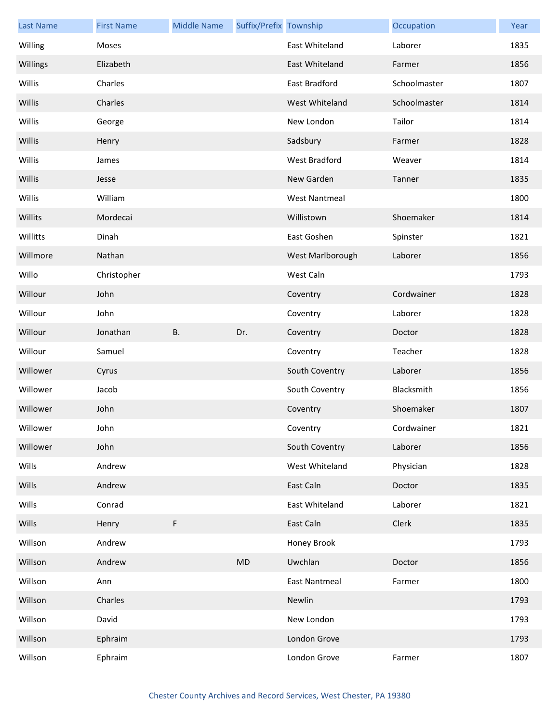| <b>Last Name</b> | <b>First Name</b> | <b>Middle Name</b> | Suffix/Prefix Township |                      | Occupation   | Year |
|------------------|-------------------|--------------------|------------------------|----------------------|--------------|------|
| Willing          | <b>Moses</b>      |                    |                        | East Whiteland       | Laborer      | 1835 |
| Willings         | Elizabeth         |                    |                        | East Whiteland       | Farmer       | 1856 |
| Willis           | Charles           |                    |                        | East Bradford        | Schoolmaster | 1807 |
| Willis           | Charles           |                    |                        | West Whiteland       | Schoolmaster | 1814 |
| Willis           | George            |                    |                        | New London           | Tailor       | 1814 |
| Willis           | Henry             |                    |                        | Sadsbury             | Farmer       | 1828 |
| Willis           | James             |                    |                        | <b>West Bradford</b> | Weaver       | 1814 |
| Willis           | Jesse             |                    |                        | New Garden           | Tanner       | 1835 |
| Willis           | William           |                    |                        | <b>West Nantmeal</b> |              | 1800 |
| Willits          | Mordecai          |                    |                        | Willistown           | Shoemaker    | 1814 |
| Willitts         | Dinah             |                    |                        | East Goshen          | Spinster     | 1821 |
| Willmore         | Nathan            |                    |                        | West Marlborough     | Laborer      | 1856 |
| Willo            | Christopher       |                    |                        | West Caln            |              | 1793 |
| Willour          | John              |                    |                        | Coventry             | Cordwainer   | 1828 |
| Willour          | John              |                    |                        | Coventry             | Laborer      | 1828 |
| Willour          | Jonathan          | <b>B.</b>          | Dr.                    | Coventry             | Doctor       | 1828 |
| Willour          | Samuel            |                    |                        | Coventry             | Teacher      | 1828 |
| Willower         | Cyrus             |                    |                        | South Coventry       | Laborer      | 1856 |
| Willower         | Jacob             |                    |                        | South Coventry       | Blacksmith   | 1856 |
| Willower         | John              |                    |                        | Coventry             | Shoemaker    | 1807 |
| Willower         | John              |                    |                        | Coventry             | Cordwainer   | 1821 |
| Willower         | John              |                    |                        | South Coventry       | Laborer      | 1856 |
| Wills            | Andrew            |                    |                        | West Whiteland       | Physician    | 1828 |
| Wills            | Andrew            |                    |                        | East Caln            | Doctor       | 1835 |
| Wills            | Conrad            |                    |                        | East Whiteland       | Laborer      | 1821 |
| Wills            | Henry             | $\mathsf F$        |                        | East Caln            | Clerk        | 1835 |
| Willson          | Andrew            |                    |                        | Honey Brook          |              | 1793 |
| Willson          | Andrew            |                    | MD                     | Uwchlan              | Doctor       | 1856 |
| Willson          | Ann               |                    |                        | <b>East Nantmeal</b> | Farmer       | 1800 |
| Willson          | Charles           |                    |                        | Newlin               |              | 1793 |
| Willson          | David             |                    |                        | New London           |              | 1793 |
| Willson          | Ephraim           |                    |                        | London Grove         |              | 1793 |
| Willson          | Ephraim           |                    |                        | London Grove         | Farmer       | 1807 |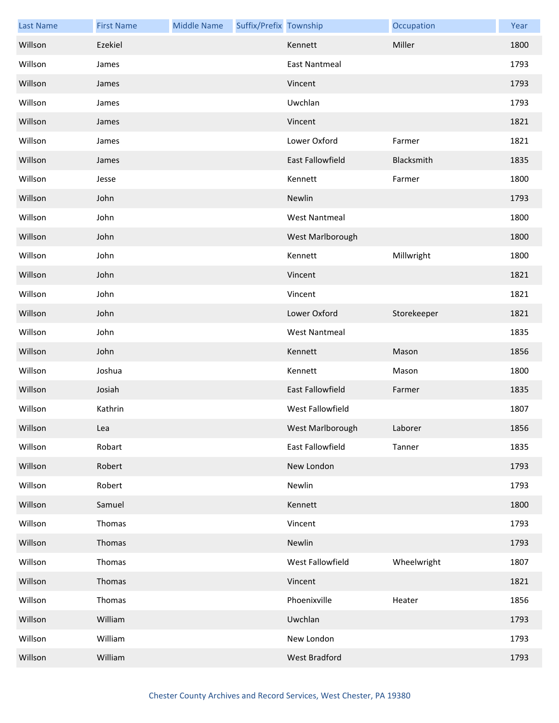| <b>Last Name</b> | <b>First Name</b> | <b>Middle Name</b> | Suffix/Prefix Township |                      | Occupation  | Year |
|------------------|-------------------|--------------------|------------------------|----------------------|-------------|------|
| Willson          | Ezekiel           |                    |                        | Kennett              | Miller      | 1800 |
| Willson          | James             |                    |                        | East Nantmeal        |             | 1793 |
| Willson          | James             |                    |                        | Vincent              |             | 1793 |
| Willson          | James             |                    |                        | Uwchlan              |             | 1793 |
| Willson          | James             |                    |                        | Vincent              |             | 1821 |
| Willson          | James             |                    |                        | Lower Oxford         | Farmer      | 1821 |
| Willson          | James             |                    |                        | East Fallowfield     | Blacksmith  | 1835 |
| Willson          | Jesse             |                    |                        | Kennett              | Farmer      | 1800 |
| Willson          | John              |                    |                        | Newlin               |             | 1793 |
| Willson          | John              |                    |                        | <b>West Nantmeal</b> |             | 1800 |
| Willson          | John              |                    |                        | West Marlborough     |             | 1800 |
| Willson          | John              |                    |                        | Kennett              | Millwright  | 1800 |
| Willson          | John              |                    |                        | Vincent              |             | 1821 |
| Willson          | John              |                    |                        | Vincent              |             | 1821 |
| Willson          | John              |                    |                        | Lower Oxford         | Storekeeper | 1821 |
| Willson          | John              |                    |                        | <b>West Nantmeal</b> |             | 1835 |
| Willson          | John              |                    |                        | Kennett              | Mason       | 1856 |
| Willson          | Joshua            |                    |                        | Kennett              | Mason       | 1800 |
| Willson          | Josiah            |                    |                        | East Fallowfield     | Farmer      | 1835 |
| Willson          | Kathrin           |                    |                        | West Fallowfield     |             | 1807 |
| Willson          | Lea               |                    |                        | West Marlborough     | Laborer     | 1856 |
| Willson          | Robart            |                    |                        | East Fallowfield     | Tanner      | 1835 |
| Willson          | Robert            |                    |                        | New London           |             | 1793 |
| Willson          | Robert            |                    |                        | Newlin               |             | 1793 |
| Willson          | Samuel            |                    |                        | Kennett              |             | 1800 |
| Willson          | Thomas            |                    |                        | Vincent              |             | 1793 |
| Willson          | Thomas            |                    |                        | Newlin               |             | 1793 |
| Willson          | Thomas            |                    |                        | West Fallowfield     | Wheelwright | 1807 |
| Willson          | Thomas            |                    |                        | Vincent              |             | 1821 |
| Willson          | Thomas            |                    |                        | Phoenixville         | Heater      | 1856 |
| Willson          | William           |                    |                        | Uwchlan              |             | 1793 |
| Willson          | William           |                    |                        | New London           |             | 1793 |
| Willson          | William           |                    |                        | West Bradford        |             | 1793 |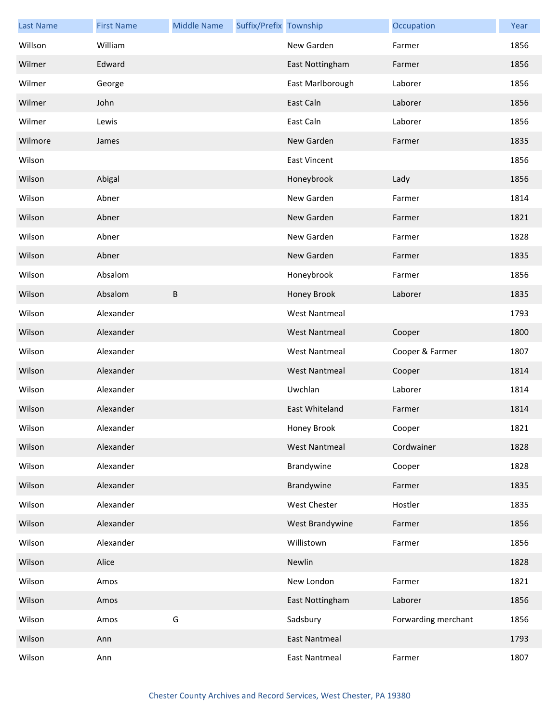| <b>Last Name</b> | <b>First Name</b> | <b>Middle Name</b> | Suffix/Prefix Township |                      | Occupation          | Year |
|------------------|-------------------|--------------------|------------------------|----------------------|---------------------|------|
| Willson          | William           |                    |                        | New Garden           | Farmer              | 1856 |
| Wilmer           | Edward            |                    |                        | East Nottingham      | Farmer              | 1856 |
| Wilmer           | George            |                    |                        | East Marlborough     | Laborer             | 1856 |
| Wilmer           | John              |                    |                        | East Caln            | Laborer             | 1856 |
| Wilmer           | Lewis             |                    |                        | East Caln            | Laborer             | 1856 |
| Wilmore          | James             |                    |                        | New Garden           | Farmer              | 1835 |
| Wilson           |                   |                    |                        | <b>East Vincent</b>  |                     | 1856 |
| Wilson           | Abigal            |                    |                        | Honeybrook           | Lady                | 1856 |
| Wilson           | Abner             |                    |                        | New Garden           | Farmer              | 1814 |
| Wilson           | Abner             |                    |                        | New Garden           | Farmer              | 1821 |
| Wilson           | Abner             |                    |                        | New Garden           | Farmer              | 1828 |
| Wilson           | Abner             |                    |                        | New Garden           | Farmer              | 1835 |
| Wilson           | Absalom           |                    |                        | Honeybrook           | Farmer              | 1856 |
| Wilson           | Absalom           | B                  |                        | Honey Brook          | Laborer             | 1835 |
| Wilson           | Alexander         |                    |                        | <b>West Nantmeal</b> |                     | 1793 |
| Wilson           | Alexander         |                    |                        | <b>West Nantmeal</b> | Cooper              | 1800 |
| Wilson           | Alexander         |                    |                        | <b>West Nantmeal</b> | Cooper & Farmer     | 1807 |
| Wilson           | Alexander         |                    |                        | <b>West Nantmeal</b> | Cooper              | 1814 |
| Wilson           | Alexander         |                    |                        | Uwchlan              | Laborer             | 1814 |
| Wilson           | Alexander         |                    |                        | East Whiteland       | Farmer              | 1814 |
| Wilson           | Alexander         |                    |                        | Honey Brook          | Cooper              | 1821 |
| Wilson           | Alexander         |                    |                        | <b>West Nantmeal</b> | Cordwainer          | 1828 |
| Wilson           | Alexander         |                    |                        | Brandywine           | Cooper              | 1828 |
| Wilson           | Alexander         |                    |                        | Brandywine           | Farmer              | 1835 |
| Wilson           | Alexander         |                    |                        | West Chester         | Hostler             | 1835 |
| Wilson           | Alexander         |                    |                        | West Brandywine      | Farmer              | 1856 |
| Wilson           | Alexander         |                    |                        | Willistown           | Farmer              | 1856 |
| Wilson           | Alice             |                    |                        | Newlin               |                     | 1828 |
| Wilson           | Amos              |                    |                        | New London           | Farmer              | 1821 |
| Wilson           | Amos              |                    |                        | East Nottingham      | Laborer             | 1856 |
| Wilson           | Amos              | G                  |                        | Sadsbury             | Forwarding merchant | 1856 |
| Wilson           | Ann               |                    |                        | <b>East Nantmeal</b> |                     | 1793 |
| Wilson           | Ann               |                    |                        | <b>East Nantmeal</b> | Farmer              | 1807 |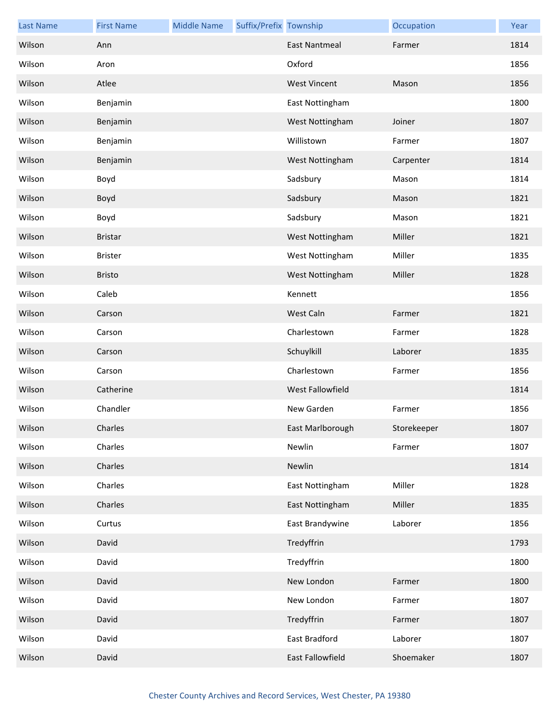| <b>Last Name</b> | <b>First Name</b> | <b>Middle Name</b> | Suffix/Prefix Township |                      | Occupation  | Year |
|------------------|-------------------|--------------------|------------------------|----------------------|-------------|------|
| Wilson           | Ann               |                    |                        | <b>East Nantmeal</b> | Farmer      | 1814 |
| Wilson           | Aron              |                    |                        | Oxford               |             | 1856 |
| Wilson           | Atlee             |                    |                        | <b>West Vincent</b>  | Mason       | 1856 |
| Wilson           | Benjamin          |                    |                        | East Nottingham      |             | 1800 |
| Wilson           | Benjamin          |                    |                        | West Nottingham      | Joiner      | 1807 |
| Wilson           | Benjamin          |                    |                        | Willistown           | Farmer      | 1807 |
| Wilson           | Benjamin          |                    |                        | West Nottingham      | Carpenter   | 1814 |
| Wilson           | Boyd              |                    |                        | Sadsbury             | Mason       | 1814 |
| Wilson           | Boyd              |                    |                        | Sadsbury             | Mason       | 1821 |
| Wilson           | Boyd              |                    |                        | Sadsbury             | Mason       | 1821 |
| Wilson           | <b>Bristar</b>    |                    |                        | West Nottingham      | Miller      | 1821 |
| Wilson           | Brister           |                    |                        | West Nottingham      | Miller      | 1835 |
| Wilson           | <b>Bristo</b>     |                    |                        | West Nottingham      | Miller      | 1828 |
| Wilson           | Caleb             |                    |                        | Kennett              |             | 1856 |
| Wilson           | Carson            |                    |                        | West Caln            | Farmer      | 1821 |
| Wilson           | Carson            |                    |                        | Charlestown          | Farmer      | 1828 |
| Wilson           | Carson            |                    |                        | Schuylkill           | Laborer     | 1835 |
| Wilson           | Carson            |                    |                        | Charlestown          | Farmer      | 1856 |
| Wilson           | Catherine         |                    |                        | West Fallowfield     |             | 1814 |
| Wilson           | Chandler          |                    |                        | New Garden           | Farmer      | 1856 |
| Wilson           | Charles           |                    |                        | East Marlborough     | Storekeeper | 1807 |
| Wilson           | Charles           |                    |                        | Newlin               | Farmer      | 1807 |
| Wilson           | Charles           |                    |                        | Newlin               |             | 1814 |
| Wilson           | Charles           |                    |                        | East Nottingham      | Miller      | 1828 |
| Wilson           | Charles           |                    |                        | East Nottingham      | Miller      | 1835 |
| Wilson           | Curtus            |                    |                        | East Brandywine      | Laborer     | 1856 |
| Wilson           | David             |                    |                        | Tredyffrin           |             | 1793 |
| Wilson           | David             |                    |                        | Tredyffrin           |             | 1800 |
| Wilson           | David             |                    |                        | New London           | Farmer      | 1800 |
| Wilson           | David             |                    |                        | New London           | Farmer      | 1807 |
| Wilson           | David             |                    |                        | Tredyffrin           | Farmer      | 1807 |
| Wilson           | David             |                    |                        | East Bradford        | Laborer     | 1807 |
| Wilson           | David             |                    |                        | East Fallowfield     | Shoemaker   | 1807 |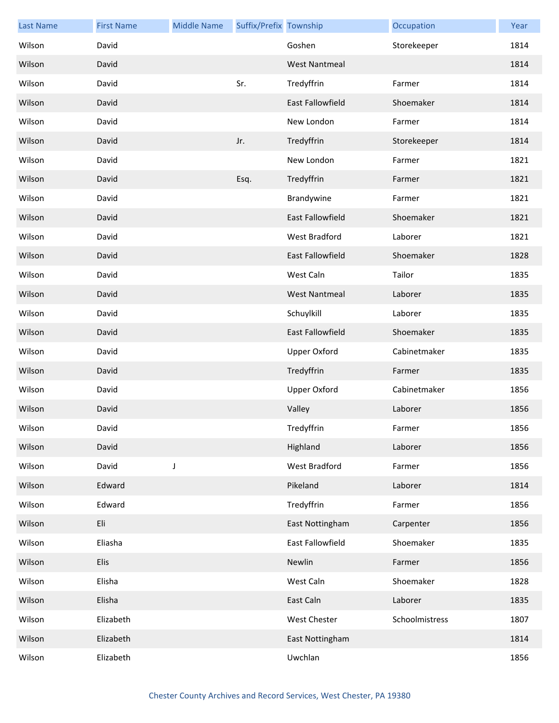| <b>Last Name</b> | <b>First Name</b> | <b>Middle Name</b> | Suffix/Prefix Township |                         | Occupation     | Year |
|------------------|-------------------|--------------------|------------------------|-------------------------|----------------|------|
| Wilson           | David             |                    |                        | Goshen                  | Storekeeper    | 1814 |
| Wilson           | David             |                    |                        | <b>West Nantmeal</b>    |                | 1814 |
| Wilson           | David             |                    | Sr.                    | Tredyffrin              | Farmer         | 1814 |
| Wilson           | David             |                    |                        | East Fallowfield        | Shoemaker      | 1814 |
| Wilson           | David             |                    |                        | New London              | Farmer         | 1814 |
| Wilson           | David             |                    | Jr.                    | Tredyffrin              | Storekeeper    | 1814 |
| Wilson           | David             |                    |                        | New London              | Farmer         | 1821 |
| Wilson           | David             |                    | Esq.                   | Tredyffrin              | Farmer         | 1821 |
| Wilson           | David             |                    |                        | Brandywine              | Farmer         | 1821 |
| Wilson           | David             |                    |                        | <b>East Fallowfield</b> | Shoemaker      | 1821 |
| Wilson           | David             |                    |                        | <b>West Bradford</b>    | Laborer        | 1821 |
| Wilson           | David             |                    |                        | <b>East Fallowfield</b> | Shoemaker      | 1828 |
| Wilson           | David             |                    |                        | West Caln               | Tailor         | 1835 |
| Wilson           | David             |                    |                        | <b>West Nantmeal</b>    | Laborer        | 1835 |
| Wilson           | David             |                    |                        | Schuylkill              | Laborer        | 1835 |
| Wilson           | David             |                    |                        | <b>East Fallowfield</b> | Shoemaker      | 1835 |
| Wilson           | David             |                    |                        | <b>Upper Oxford</b>     | Cabinetmaker   | 1835 |
| Wilson           | David             |                    |                        | Tredyffrin              | Farmer         | 1835 |
| Wilson           | David             |                    |                        | <b>Upper Oxford</b>     | Cabinetmaker   | 1856 |
| Wilson           | David             |                    |                        | Valley                  | Laborer        | 1856 |
| Wilson           | David             |                    |                        | Tredyffrin              | Farmer         | 1856 |
| Wilson           | David             |                    |                        | Highland                | Laborer        | 1856 |
| Wilson           | David             | $\mathsf J$        |                        | West Bradford           | Farmer         | 1856 |
| Wilson           | Edward            |                    |                        | Pikeland                | Laborer        | 1814 |
| Wilson           | Edward            |                    |                        | Tredyffrin              | Farmer         | 1856 |
| Wilson           | Eli               |                    |                        | East Nottingham         | Carpenter      | 1856 |
| Wilson           | Eliasha           |                    |                        | East Fallowfield        | Shoemaker      | 1835 |
| Wilson           | Elis              |                    |                        | Newlin                  | Farmer         | 1856 |
| Wilson           | Elisha            |                    |                        | West Caln               | Shoemaker      | 1828 |
| Wilson           | Elisha            |                    |                        | East Caln               | Laborer        | 1835 |
| Wilson           | Elizabeth         |                    |                        | West Chester            | Schoolmistress | 1807 |
| Wilson           | Elizabeth         |                    |                        | East Nottingham         |                | 1814 |
| Wilson           | Elizabeth         |                    |                        | Uwchlan                 |                | 1856 |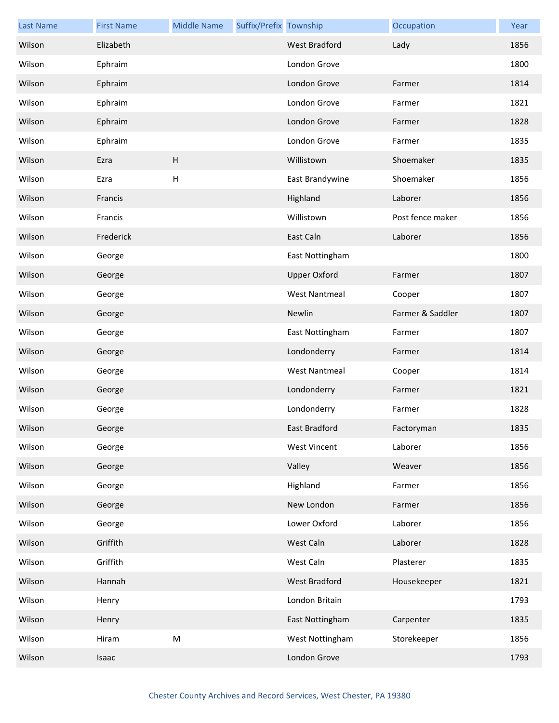| <b>Last Name</b> | <b>First Name</b> | <b>Middle Name</b> | Suffix/Prefix Township |                      | Occupation       | Year |
|------------------|-------------------|--------------------|------------------------|----------------------|------------------|------|
| Wilson           | Elizabeth         |                    |                        | <b>West Bradford</b> | Lady             | 1856 |
| Wilson           | Ephraim           |                    |                        | London Grove         |                  | 1800 |
| Wilson           | Ephraim           |                    |                        | London Grove         | Farmer           | 1814 |
| Wilson           | Ephraim           |                    |                        | London Grove         | Farmer           | 1821 |
| Wilson           | Ephraim           |                    |                        | London Grove         | Farmer           | 1828 |
| Wilson           | Ephraim           |                    |                        | London Grove         | Farmer           | 1835 |
| Wilson           | Ezra              | $\mathsf H$        |                        | Willistown           | Shoemaker        | 1835 |
| Wilson           | Ezra              | $\sf H$            |                        | East Brandywine      | Shoemaker        | 1856 |
| Wilson           | Francis           |                    |                        | Highland             | Laborer          | 1856 |
| Wilson           | Francis           |                    |                        | Willistown           | Post fence maker | 1856 |
| Wilson           | Frederick         |                    |                        | East Caln            | Laborer          | 1856 |
| Wilson           | George            |                    |                        | East Nottingham      |                  | 1800 |
| Wilson           | George            |                    |                        | <b>Upper Oxford</b>  | Farmer           | 1807 |
| Wilson           | George            |                    |                        | <b>West Nantmeal</b> | Cooper           | 1807 |
| Wilson           | George            |                    |                        | Newlin               | Farmer & Saddler | 1807 |
| Wilson           | George            |                    |                        | East Nottingham      | Farmer           | 1807 |
| Wilson           | George            |                    |                        | Londonderry          | Farmer           | 1814 |
| Wilson           | George            |                    |                        | <b>West Nantmeal</b> | Cooper           | 1814 |
| Wilson           | George            |                    |                        | Londonderry          | Farmer           | 1821 |
| Wilson           | George            |                    |                        | Londonderry          | Farmer           | 1828 |
| Wilson           | George            |                    |                        | East Bradford        | Factoryman       | 1835 |
| Wilson           | George            |                    |                        | <b>West Vincent</b>  | Laborer          | 1856 |
| Wilson           | George            |                    |                        | Valley               | Weaver           | 1856 |
| Wilson           | George            |                    |                        | Highland             | Farmer           | 1856 |
| Wilson           | George            |                    |                        | New London           | Farmer           | 1856 |
| Wilson           | George            |                    |                        | Lower Oxford         | Laborer          | 1856 |
| Wilson           | Griffith          |                    |                        | West Caln            | Laborer          | 1828 |
| Wilson           | Griffith          |                    |                        | West Caln            | Plasterer        | 1835 |
| Wilson           | Hannah            |                    |                        | West Bradford        | Housekeeper      | 1821 |
| Wilson           | Henry             |                    |                        | London Britain       |                  | 1793 |
| Wilson           | Henry             |                    |                        | East Nottingham      | Carpenter        | 1835 |
| Wilson           | Hiram             | ${\sf M}$          |                        | West Nottingham      | Storekeeper      | 1856 |
| Wilson           | Isaac             |                    |                        | London Grove         |                  | 1793 |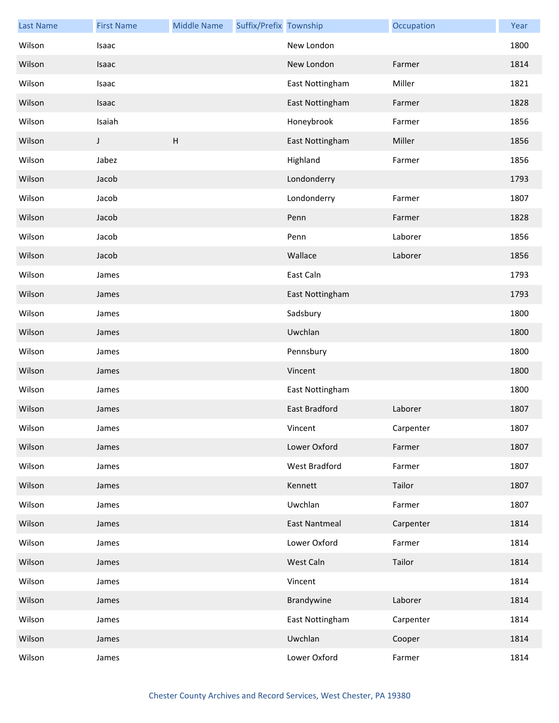| <b>Last Name</b> | <b>First Name</b> | <b>Middle Name</b> | Suffix/Prefix Township |                      | Occupation | Year |
|------------------|-------------------|--------------------|------------------------|----------------------|------------|------|
| Wilson           | Isaac             |                    |                        | New London           |            | 1800 |
| Wilson           | Isaac             |                    |                        | New London           | Farmer     | 1814 |
| Wilson           | Isaac             |                    |                        | East Nottingham      | Miller     | 1821 |
| Wilson           | Isaac             |                    |                        | East Nottingham      | Farmer     | 1828 |
| Wilson           | Isaiah            |                    |                        | Honeybrook           | Farmer     | 1856 |
| Wilson           | J                 | H                  |                        | East Nottingham      | Miller     | 1856 |
| Wilson           | Jabez             |                    |                        | Highland             | Farmer     | 1856 |
| Wilson           | Jacob             |                    |                        | Londonderry          |            | 1793 |
| Wilson           | Jacob             |                    |                        | Londonderry          | Farmer     | 1807 |
| Wilson           | Jacob             |                    |                        | Penn                 | Farmer     | 1828 |
| Wilson           | Jacob             |                    |                        | Penn                 | Laborer    | 1856 |
| Wilson           | Jacob             |                    |                        | Wallace              | Laborer    | 1856 |
| Wilson           | James             |                    |                        | East Caln            |            | 1793 |
| Wilson           | James             |                    |                        | East Nottingham      |            | 1793 |
| Wilson           | James             |                    |                        | Sadsbury             |            | 1800 |
| Wilson           | James             |                    |                        | Uwchlan              |            | 1800 |
| Wilson           | James             |                    |                        | Pennsbury            |            | 1800 |
| Wilson           | James             |                    |                        | Vincent              |            | 1800 |
| Wilson           | James             |                    |                        | East Nottingham      |            | 1800 |
| Wilson           | James             |                    |                        | East Bradford        | Laborer    | 1807 |
| Wilson           | James             |                    |                        | Vincent              | Carpenter  | 1807 |
| Wilson           | James             |                    |                        | Lower Oxford         | Farmer     | 1807 |
| Wilson           | James             |                    |                        | West Bradford        | Farmer     | 1807 |
| Wilson           | James             |                    |                        | Kennett              | Tailor     | 1807 |
| Wilson           | James             |                    |                        | Uwchlan              | Farmer     | 1807 |
| Wilson           | James             |                    |                        | <b>East Nantmeal</b> | Carpenter  | 1814 |
| Wilson           | James             |                    |                        | Lower Oxford         | Farmer     | 1814 |
| Wilson           | James             |                    |                        | West Caln            | Tailor     | 1814 |
| Wilson           | James             |                    |                        | Vincent              |            | 1814 |
| Wilson           | James             |                    |                        | Brandywine           | Laborer    | 1814 |
| Wilson           | James             |                    |                        | East Nottingham      | Carpenter  | 1814 |
| Wilson           | James             |                    |                        | Uwchlan              | Cooper     | 1814 |
| Wilson           | James             |                    |                        | Lower Oxford         | Farmer     | 1814 |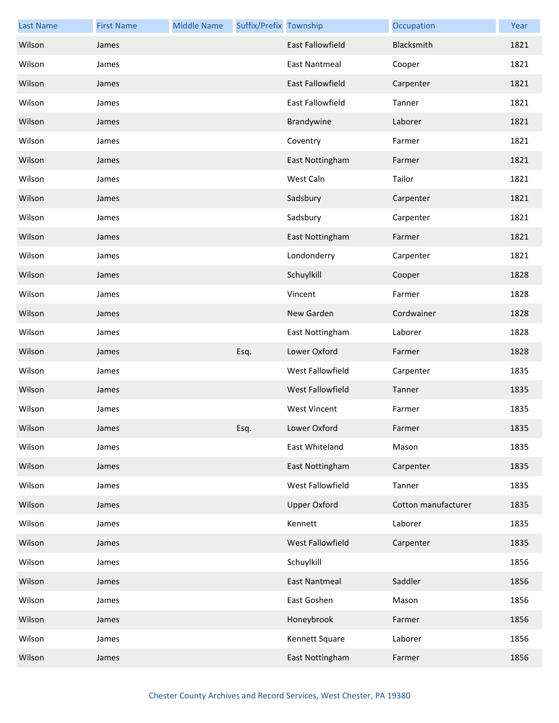| <b>Last Name</b> | <b>First Name</b> | <b>Middle Name</b> | Suffix/Prefix Township |                         | Occupation          | Year |
|------------------|-------------------|--------------------|------------------------|-------------------------|---------------------|------|
| Wilson           | James             |                    |                        | <b>East Fallowfield</b> | Blacksmith          | 1821 |
| Wilson           | James             |                    |                        | East Nantmeal           | Cooper              | 1821 |
| Wilson           | James             |                    |                        | East Fallowfield        | Carpenter           | 1821 |
| Wilson           | James             |                    |                        | East Fallowfield        | Tanner              | 1821 |
| Wilson           | James             |                    |                        | Brandywine              | Laborer             | 1821 |
| Wilson           | James             |                    |                        | Coventry                | Farmer              | 1821 |
| Wilson           | James             |                    |                        | East Nottingham         | Farmer              | 1821 |
| Wilson           | James             |                    |                        | West Caln               | Tailor              | 1821 |
| Wilson           | James             |                    |                        | Sadsbury                | Carpenter           | 1821 |
| Wilson           | James             |                    |                        | Sadsbury                | Carpenter           | 1821 |
| Wilson           | James             |                    |                        | East Nottingham         | Farmer              | 1821 |
| Wilson           | James             |                    |                        | Londonderry             | Carpenter           | 1821 |
| Wilson           | James             |                    |                        | Schuylkill              | Cooper              | 1828 |
| Wilson           | James             |                    |                        | Vincent                 | Farmer              | 1828 |
| Wilson           | James             |                    |                        | New Garden              | Cordwainer          | 1828 |
| Wilson           | James             |                    |                        | East Nottingham         | Laborer             | 1828 |
| Wilson           | James             |                    | Esq.                   | Lower Oxford            | Farmer              | 1828 |
| Wilson           | James             |                    |                        | West Fallowfield        | Carpenter           | 1835 |
| Wilson           | James             |                    |                        | West Fallowfield        | Tanner              | 1835 |
| Wilson           | James             |                    |                        | <b>West Vincent</b>     | Farmer              | 1835 |
| Wilson           | James             |                    | Esq.                   | Lower Oxford            | Farmer              | 1835 |
| Wilson           | James             |                    |                        | East Whiteland          | Mason               | 1835 |
| Wilson           | James             |                    |                        | East Nottingham         | Carpenter           | 1835 |
| Wilson           | James             |                    |                        | West Fallowfield        | Tanner              | 1835 |
| Wilson           | James             |                    |                        | <b>Upper Oxford</b>     | Cotton manufacturer | 1835 |
| Wilson           | James             |                    |                        | Kennett                 | Laborer             | 1835 |
| Wilson           | James             |                    |                        | West Fallowfield        | Carpenter           | 1835 |
| Wilson           | James             |                    |                        | Schuylkill              |                     | 1856 |
| Wilson           | James             |                    |                        | <b>East Nantmeal</b>    | Saddler             | 1856 |
| Wilson           | James             |                    |                        | East Goshen             | Mason               | 1856 |
| Wilson           | James             |                    |                        | Honeybrook              | Farmer              | 1856 |
| Wilson           | James             |                    |                        | Kennett Square          | Laborer             | 1856 |
| Wilson           | James             |                    |                        | East Nottingham         | Farmer              | 1856 |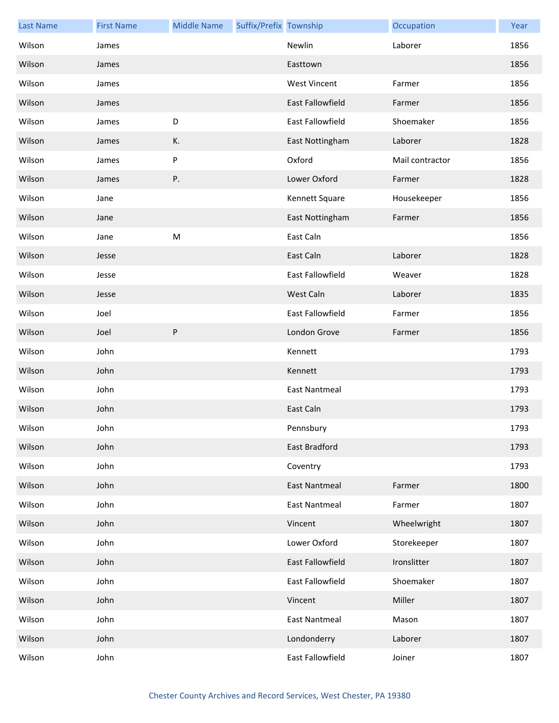| <b>Last Name</b> | <b>First Name</b> | <b>Middle Name</b> | Suffix/Prefix Township |                      | Occupation      | Year |
|------------------|-------------------|--------------------|------------------------|----------------------|-----------------|------|
| Wilson           | James             |                    |                        | Newlin               | Laborer         | 1856 |
| Wilson           | James             |                    |                        | Easttown             |                 | 1856 |
| Wilson           | James             |                    |                        | <b>West Vincent</b>  | Farmer          | 1856 |
| Wilson           | James             |                    |                        | East Fallowfield     | Farmer          | 1856 |
| Wilson           | James             | D                  |                        | East Fallowfield     | Shoemaker       | 1856 |
| Wilson           | James             | К.                 |                        | East Nottingham      | Laborer         | 1828 |
| Wilson           | James             | P                  |                        | Oxford               | Mail contractor | 1856 |
| Wilson           | James             | Ρ.                 |                        | Lower Oxford         | Farmer          | 1828 |
| Wilson           | Jane              |                    |                        | Kennett Square       | Housekeeper     | 1856 |
| Wilson           | Jane              |                    |                        | East Nottingham      | Farmer          | 1856 |
| Wilson           | Jane              | M                  |                        | East Caln            |                 | 1856 |
| Wilson           | Jesse             |                    |                        | East Caln            | Laborer         | 1828 |
| Wilson           | Jesse             |                    |                        | East Fallowfield     | Weaver          | 1828 |
| Wilson           | Jesse             |                    |                        | West Caln            | Laborer         | 1835 |
| Wilson           | Joel              |                    |                        | East Fallowfield     | Farmer          | 1856 |
| Wilson           | Joel              | ${\sf P}$          |                        | London Grove         | Farmer          | 1856 |
| Wilson           | John              |                    |                        | Kennett              |                 | 1793 |
| Wilson           | John              |                    |                        | Kennett              |                 | 1793 |
| Wilson           | John              |                    |                        | <b>East Nantmeal</b> |                 | 1793 |
| Wilson           | John              |                    |                        | East Caln            |                 | 1793 |
| Wilson           | John              |                    |                        | Pennsbury            |                 | 1793 |
| Wilson           | John              |                    |                        | <b>East Bradford</b> |                 | 1793 |
| Wilson           | John              |                    |                        | Coventry             |                 | 1793 |
| Wilson           | John              |                    |                        | <b>East Nantmeal</b> | Farmer          | 1800 |
| Wilson           | John              |                    |                        | <b>East Nantmeal</b> | Farmer          | 1807 |
| Wilson           | John              |                    |                        | Vincent              | Wheelwright     | 1807 |
| Wilson           | John              |                    |                        | Lower Oxford         | Storekeeper     | 1807 |
| Wilson           | John              |                    |                        | East Fallowfield     | Ironslitter     | 1807 |
| Wilson           | John              |                    |                        | East Fallowfield     | Shoemaker       | 1807 |
| Wilson           | John              |                    |                        | Vincent              | Miller          | 1807 |
| Wilson           | John              |                    |                        | <b>East Nantmeal</b> | Mason           | 1807 |
| Wilson           | John              |                    |                        | Londonderry          | Laborer         | 1807 |
| Wilson           | John              |                    |                        | East Fallowfield     | Joiner          | 1807 |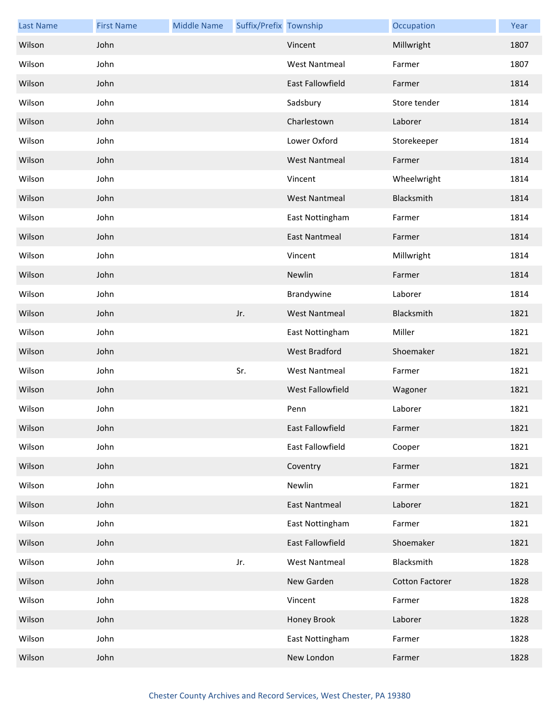| <b>Last Name</b> | <b>First Name</b> | <b>Middle Name</b> | Suffix/Prefix Township |                      | Occupation             | Year |
|------------------|-------------------|--------------------|------------------------|----------------------|------------------------|------|
| Wilson           | John              |                    |                        | Vincent              | Millwright             | 1807 |
| Wilson           | John              |                    |                        | <b>West Nantmeal</b> | Farmer                 | 1807 |
| Wilson           | John              |                    |                        | East Fallowfield     | Farmer                 | 1814 |
| Wilson           | John              |                    |                        | Sadsbury             | Store tender           | 1814 |
| Wilson           | John              |                    |                        | Charlestown          | Laborer                | 1814 |
| Wilson           | John              |                    |                        | Lower Oxford         | Storekeeper            | 1814 |
| Wilson           | John              |                    |                        | <b>West Nantmeal</b> | Farmer                 | 1814 |
| Wilson           | John              |                    |                        | Vincent              | Wheelwright            | 1814 |
| Wilson           | John              |                    |                        | <b>West Nantmeal</b> | Blacksmith             | 1814 |
| Wilson           | John              |                    |                        | East Nottingham      | Farmer                 | 1814 |
| Wilson           | John              |                    |                        | <b>East Nantmeal</b> | Farmer                 | 1814 |
| Wilson           | John              |                    |                        | Vincent              | Millwright             | 1814 |
| Wilson           | John              |                    |                        | Newlin               | Farmer                 | 1814 |
| Wilson           | John              |                    |                        | Brandywine           | Laborer                | 1814 |
| Wilson           | John              |                    | Jr.                    | <b>West Nantmeal</b> | Blacksmith             | 1821 |
| Wilson           | John              |                    |                        | East Nottingham      | Miller                 | 1821 |
| Wilson           | John              |                    |                        | West Bradford        | Shoemaker              | 1821 |
| Wilson           | John              |                    | Sr.                    | <b>West Nantmeal</b> | Farmer                 | 1821 |
| Wilson           | John              |                    |                        | West Fallowfield     | Wagoner                | 1821 |
| Wilson           | John              |                    |                        | Penn                 | Laborer                | 1821 |
| Wilson           | John              |                    |                        | East Fallowfield     | Farmer                 | 1821 |
| Wilson           | John              |                    |                        | East Fallowfield     | Cooper                 | 1821 |
| Wilson           | John              |                    |                        | Coventry             | Farmer                 | 1821 |
| Wilson           | John              |                    |                        | Newlin               | Farmer                 | 1821 |
| Wilson           | John              |                    |                        | <b>East Nantmeal</b> | Laborer                | 1821 |
| Wilson           | John              |                    |                        | East Nottingham      | Farmer                 | 1821 |
| Wilson           | John              |                    |                        | East Fallowfield     | Shoemaker              | 1821 |
| Wilson           | John              |                    | Jr.                    | <b>West Nantmeal</b> | Blacksmith             | 1828 |
| Wilson           | John              |                    |                        | New Garden           | <b>Cotton Factorer</b> | 1828 |
| Wilson           | John              |                    |                        | Vincent              | Farmer                 | 1828 |
| Wilson           | John              |                    |                        | Honey Brook          | Laborer                | 1828 |
| Wilson           | John              |                    |                        | East Nottingham      | Farmer                 | 1828 |
| Wilson           | John              |                    |                        | New London           | Farmer                 | 1828 |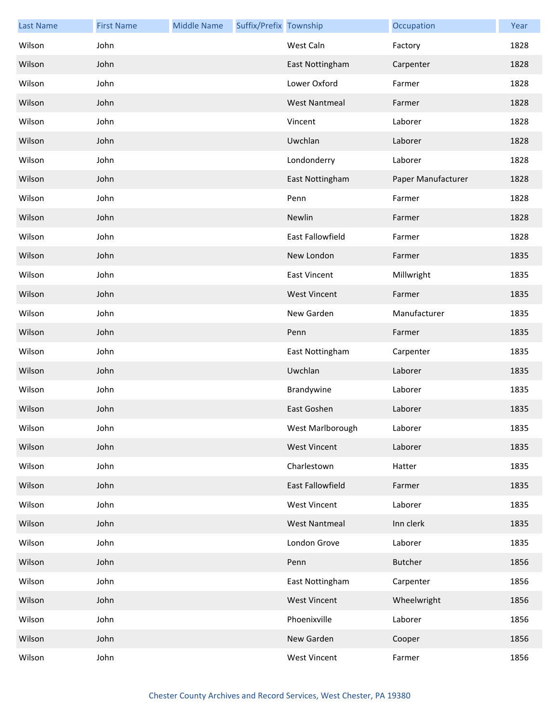| <b>Last Name</b> | <b>First Name</b> | <b>Middle Name</b> | Suffix/Prefix Township |                         | Occupation         | Year |
|------------------|-------------------|--------------------|------------------------|-------------------------|--------------------|------|
| Wilson           | John              |                    |                        | West Caln               | Factory            | 1828 |
| Wilson           | John              |                    |                        | East Nottingham         | Carpenter          | 1828 |
| Wilson           | John              |                    |                        | Lower Oxford            | Farmer             | 1828 |
| Wilson           | John              |                    |                        | <b>West Nantmeal</b>    | Farmer             | 1828 |
| Wilson           | John              |                    |                        | Vincent                 | Laborer            | 1828 |
| Wilson           | John              |                    |                        | Uwchlan                 | Laborer            | 1828 |
| Wilson           | John              |                    |                        | Londonderry             | Laborer            | 1828 |
| Wilson           | John              |                    |                        | East Nottingham         | Paper Manufacturer | 1828 |
| Wilson           | John              |                    |                        | Penn                    | Farmer             | 1828 |
| Wilson           | John              |                    |                        | Newlin                  | Farmer             | 1828 |
| Wilson           | John              |                    |                        | <b>East Fallowfield</b> | Farmer             | 1828 |
| Wilson           | John              |                    |                        | New London              | Farmer             | 1835 |
| Wilson           | John              |                    |                        | <b>East Vincent</b>     | Millwright         | 1835 |
| Wilson           | John              |                    |                        | <b>West Vincent</b>     | Farmer             | 1835 |
| Wilson           | John              |                    |                        | New Garden              | Manufacturer       | 1835 |
| Wilson           | John              |                    |                        | Penn                    | Farmer             | 1835 |
| Wilson           | John              |                    |                        | East Nottingham         | Carpenter          | 1835 |
| Wilson           | John              |                    |                        | Uwchlan                 | Laborer            | 1835 |
| Wilson           | John              |                    |                        | Brandywine              | Laborer            | 1835 |
| Wilson           | John              |                    |                        | East Goshen             | Laborer            | 1835 |
| Wilson           | John              |                    |                        | West Marlborough        | Laborer            | 1835 |
| Wilson           | John              |                    |                        | <b>West Vincent</b>     | Laborer            | 1835 |
| Wilson           | John              |                    |                        | Charlestown             | Hatter             | 1835 |
| Wilson           | John              |                    |                        | East Fallowfield        | Farmer             | 1835 |
| Wilson           | John              |                    |                        | <b>West Vincent</b>     | Laborer            | 1835 |
| Wilson           | John              |                    |                        | <b>West Nantmeal</b>    | Inn clerk          | 1835 |
| Wilson           | John              |                    |                        | London Grove            | Laborer            | 1835 |
| Wilson           | John              |                    |                        | Penn                    | <b>Butcher</b>     | 1856 |
| Wilson           | John              |                    |                        | East Nottingham         | Carpenter          | 1856 |
| Wilson           | John              |                    |                        | <b>West Vincent</b>     | Wheelwright        | 1856 |
| Wilson           | John              |                    |                        | Phoenixville            | Laborer            | 1856 |
| Wilson           | John              |                    |                        | New Garden              | Cooper             | 1856 |
| Wilson           | John              |                    |                        | <b>West Vincent</b>     | Farmer             | 1856 |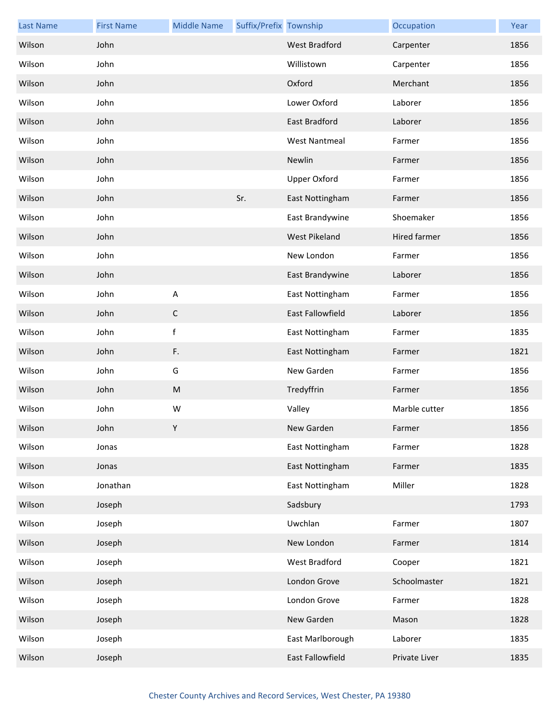| <b>Last Name</b> | <b>First Name</b> | <b>Middle Name</b>        | Suffix/Prefix Township |                      | Occupation    | Year |
|------------------|-------------------|---------------------------|------------------------|----------------------|---------------|------|
| Wilson           | John              |                           |                        | <b>West Bradford</b> | Carpenter     | 1856 |
| Wilson           | John              |                           |                        | Willistown           | Carpenter     | 1856 |
| Wilson           | John              |                           |                        | Oxford               | Merchant      | 1856 |
| Wilson           | John              |                           |                        | Lower Oxford         | Laborer       | 1856 |
| Wilson           | John              |                           |                        | East Bradford        | Laborer       | 1856 |
| Wilson           | John              |                           |                        | <b>West Nantmeal</b> | Farmer        | 1856 |
| Wilson           | John              |                           |                        | Newlin               | Farmer        | 1856 |
| Wilson           | John              |                           |                        | <b>Upper Oxford</b>  | Farmer        | 1856 |
| Wilson           | John              |                           | Sr.                    | East Nottingham      | Farmer        | 1856 |
| Wilson           | John              |                           |                        | East Brandywine      | Shoemaker     | 1856 |
| Wilson           | John              |                           |                        | West Pikeland        | Hired farmer  | 1856 |
| Wilson           | John              |                           |                        | New London           | Farmer        | 1856 |
| Wilson           | John              |                           |                        | East Brandywine      | Laborer       | 1856 |
| Wilson           | John              | $\boldsymbol{\mathsf{A}}$ |                        | East Nottingham      | Farmer        | 1856 |
| Wilson           | John              | $\mathsf C$               |                        | East Fallowfield     | Laborer       | 1856 |
| Wilson           | John              | $\mathsf f$               |                        | East Nottingham      | Farmer        | 1835 |
| Wilson           | John              | F.                        |                        | East Nottingham      | Farmer        | 1821 |
| Wilson           | John              | G                         |                        | New Garden           | Farmer        | 1856 |
| Wilson           | John              | M                         |                        | Tredyffrin           | Farmer        | 1856 |
| Wilson           | John              | W                         |                        | Valley               | Marble cutter | 1856 |
| Wilson           | John              | Y                         |                        | New Garden           | Farmer        | 1856 |
| Wilson           | Jonas             |                           |                        | East Nottingham      | Farmer        | 1828 |
| Wilson           | Jonas             |                           |                        | East Nottingham      | Farmer        | 1835 |
| Wilson           | Jonathan          |                           |                        | East Nottingham      | Miller        | 1828 |
| Wilson           | Joseph            |                           |                        | Sadsbury             |               | 1793 |
| Wilson           | Joseph            |                           |                        | Uwchlan              | Farmer        | 1807 |
| Wilson           | Joseph            |                           |                        | New London           | Farmer        | 1814 |
| Wilson           | Joseph            |                           |                        | West Bradford        | Cooper        | 1821 |
| Wilson           | Joseph            |                           |                        | London Grove         | Schoolmaster  | 1821 |
| Wilson           | Joseph            |                           |                        | London Grove         | Farmer        | 1828 |
| Wilson           | Joseph            |                           |                        | New Garden           | Mason         | 1828 |
| Wilson           | Joseph            |                           |                        | East Marlborough     | Laborer       | 1835 |
| Wilson           | Joseph            |                           |                        | East Fallowfield     | Private Liver | 1835 |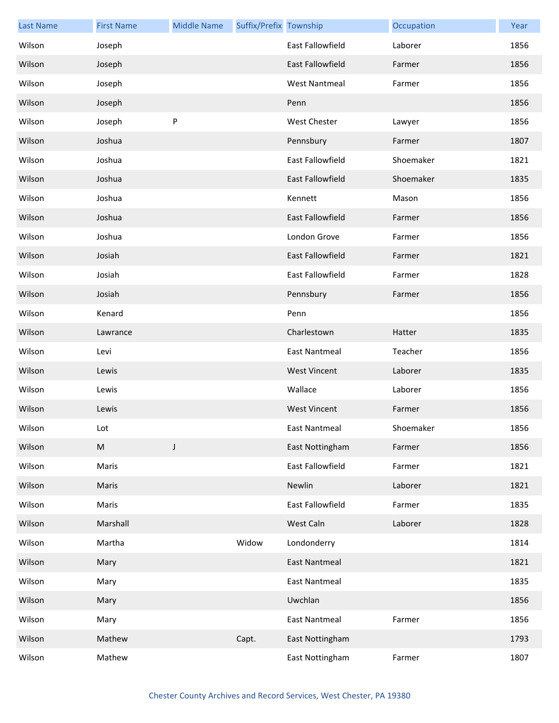| <b>Last Name</b> | <b>First Name</b> | <b>Middle Name</b> | Suffix/Prefix Township |                         | Occupation | Year |
|------------------|-------------------|--------------------|------------------------|-------------------------|------------|------|
| Wilson           | Joseph            |                    |                        | <b>East Fallowfield</b> | Laborer    | 1856 |
| Wilson           | Joseph            |                    |                        | <b>East Fallowfield</b> | Farmer     | 1856 |
| Wilson           | Joseph            |                    |                        | <b>West Nantmeal</b>    | Farmer     | 1856 |
| Wilson           | Joseph            |                    |                        | Penn                    |            | 1856 |
| Wilson           | Joseph            | P                  |                        | West Chester            | Lawyer     | 1856 |
| Wilson           | Joshua            |                    |                        | Pennsbury               | Farmer     | 1807 |
| Wilson           | Joshua            |                    |                        | East Fallowfield        | Shoemaker  | 1821 |
| Wilson           | Joshua            |                    |                        | East Fallowfield        | Shoemaker  | 1835 |
| Wilson           | Joshua            |                    |                        | Kennett                 | Mason      | 1856 |
| Wilson           | Joshua            |                    |                        | <b>East Fallowfield</b> | Farmer     | 1856 |
| Wilson           | Joshua            |                    |                        | London Grove            | Farmer     | 1856 |
| Wilson           | Josiah            |                    |                        | <b>East Fallowfield</b> | Farmer     | 1821 |
| Wilson           | Josiah            |                    |                        | East Fallowfield        | Farmer     | 1828 |
| Wilson           | Josiah            |                    |                        | Pennsbury               | Farmer     | 1856 |
| Wilson           | Kenard            |                    |                        | Penn                    |            | 1856 |
| Wilson           | Lawrance          |                    |                        | Charlestown             | Hatter     | 1835 |
| Wilson           | Levi              |                    |                        | <b>East Nantmeal</b>    | Teacher    | 1856 |
| Wilson           | Lewis             |                    |                        | <b>West Vincent</b>     | Laborer    | 1835 |
| Wilson           | Lewis             |                    |                        | Wallace                 | Laborer    | 1856 |
| Wilson           | Lewis             |                    |                        | <b>West Vincent</b>     | Farmer     | 1856 |
| Wilson           | Lot               |                    |                        | East Nantmeal           | Shoemaker  | 1856 |
| Wilson           | M                 | J                  |                        | East Nottingham         | Farmer     | 1856 |
| Wilson           | Maris             |                    |                        | East Fallowfield        | Farmer     | 1821 |
| Wilson           | Maris             |                    |                        | Newlin                  | Laborer    | 1821 |
| Wilson           | Maris             |                    |                        | East Fallowfield        | Farmer     | 1835 |
| Wilson           | Marshall          |                    |                        | West Caln               | Laborer    | 1828 |
| Wilson           | Martha            |                    | Widow                  | Londonderry             |            | 1814 |
| Wilson           | Mary              |                    |                        | <b>East Nantmeal</b>    |            | 1821 |
| Wilson           | Mary              |                    |                        | <b>East Nantmeal</b>    |            | 1835 |
| Wilson           | Mary              |                    |                        | Uwchlan                 |            | 1856 |
| Wilson           | Mary              |                    |                        | <b>East Nantmeal</b>    | Farmer     | 1856 |
| Wilson           | Mathew            |                    | Capt.                  | East Nottingham         |            | 1793 |
| Wilson           | Mathew            |                    |                        | East Nottingham         | Farmer     | 1807 |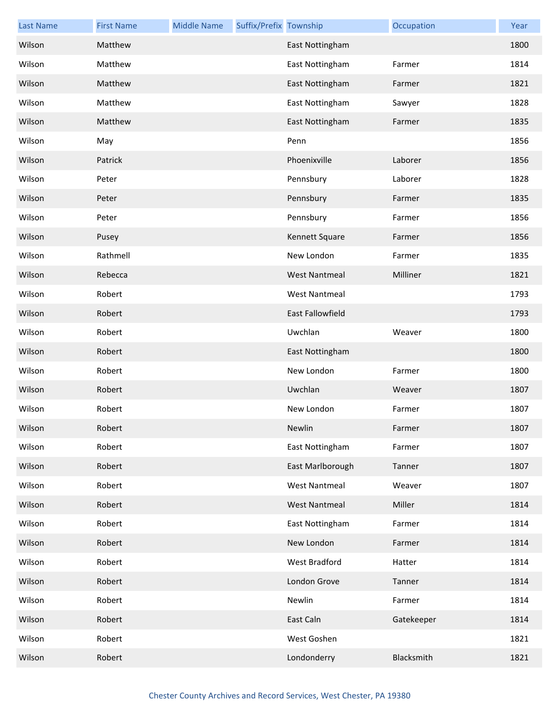| <b>Last Name</b> | <b>First Name</b> | <b>Middle Name</b> | Suffix/Prefix Township |                         | Occupation | Year |
|------------------|-------------------|--------------------|------------------------|-------------------------|------------|------|
| Wilson           | Matthew           |                    |                        | East Nottingham         |            | 1800 |
| Wilson           | Matthew           |                    |                        | East Nottingham         | Farmer     | 1814 |
| Wilson           | Matthew           |                    |                        | East Nottingham         | Farmer     | 1821 |
| Wilson           | Matthew           |                    |                        | East Nottingham         | Sawyer     | 1828 |
| Wilson           | Matthew           |                    |                        | East Nottingham         | Farmer     | 1835 |
| Wilson           | May               |                    |                        | Penn                    |            | 1856 |
| Wilson           | Patrick           |                    |                        | Phoenixville            | Laborer    | 1856 |
| Wilson           | Peter             |                    |                        | Pennsbury               | Laborer    | 1828 |
| Wilson           | Peter             |                    |                        | Pennsbury               | Farmer     | 1835 |
| Wilson           | Peter             |                    |                        | Pennsbury               | Farmer     | 1856 |
| Wilson           | Pusey             |                    |                        | Kennett Square          | Farmer     | 1856 |
| Wilson           | Rathmell          |                    |                        | New London              | Farmer     | 1835 |
| Wilson           | Rebecca           |                    |                        | <b>West Nantmeal</b>    | Milliner   | 1821 |
| Wilson           | Robert            |                    |                        | <b>West Nantmeal</b>    |            | 1793 |
| Wilson           | Robert            |                    |                        | <b>East Fallowfield</b> |            | 1793 |
| Wilson           | Robert            |                    |                        | Uwchlan                 | Weaver     | 1800 |
| Wilson           | Robert            |                    |                        | East Nottingham         |            | 1800 |
| Wilson           | Robert            |                    |                        | New London              | Farmer     | 1800 |
| Wilson           | Robert            |                    |                        | Uwchlan                 | Weaver     | 1807 |
| Wilson           | Robert            |                    |                        | New London              | Farmer     | 1807 |
| Wilson           | Robert            |                    |                        | Newlin                  | Farmer     | 1807 |
| Wilson           | Robert            |                    |                        | East Nottingham         | Farmer     | 1807 |
| Wilson           | Robert            |                    |                        | East Marlborough        | Tanner     | 1807 |
| Wilson           | Robert            |                    |                        | <b>West Nantmeal</b>    | Weaver     | 1807 |
| Wilson           | Robert            |                    |                        | <b>West Nantmeal</b>    | Miller     | 1814 |
| Wilson           | Robert            |                    |                        | East Nottingham         | Farmer     | 1814 |
| Wilson           | Robert            |                    |                        | New London              | Farmer     | 1814 |
| Wilson           | Robert            |                    |                        | West Bradford           | Hatter     | 1814 |
| Wilson           | Robert            |                    |                        | London Grove            | Tanner     | 1814 |
| Wilson           | Robert            |                    |                        | Newlin                  | Farmer     | 1814 |
| Wilson           | Robert            |                    |                        | East Caln               | Gatekeeper | 1814 |
| Wilson           | Robert            |                    |                        | West Goshen             |            | 1821 |
| Wilson           | Robert            |                    |                        | Londonderry             | Blacksmith | 1821 |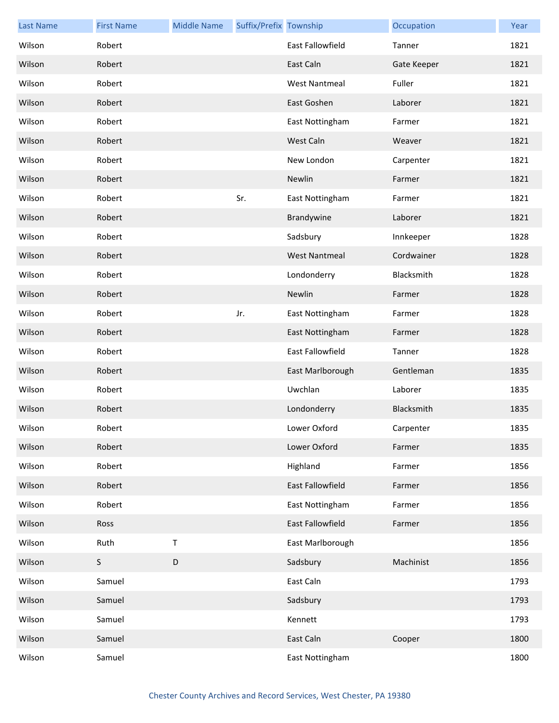| <b>Last Name</b> | <b>First Name</b> | <b>Middle Name</b> | Suffix/Prefix Township |                         | Occupation  | Year |
|------------------|-------------------|--------------------|------------------------|-------------------------|-------------|------|
| Wilson           | Robert            |                    |                        | <b>East Fallowfield</b> | Tanner      | 1821 |
| Wilson           | Robert            |                    |                        | East Caln               | Gate Keeper | 1821 |
| Wilson           | Robert            |                    |                        | <b>West Nantmeal</b>    | Fuller      | 1821 |
| Wilson           | Robert            |                    |                        | East Goshen             | Laborer     | 1821 |
| Wilson           | Robert            |                    |                        | East Nottingham         | Farmer      | 1821 |
| Wilson           | Robert            |                    |                        | West Caln               | Weaver      | 1821 |
| Wilson           | Robert            |                    |                        | New London              | Carpenter   | 1821 |
| Wilson           | Robert            |                    |                        | Newlin                  | Farmer      | 1821 |
| Wilson           | Robert            |                    | Sr.                    | East Nottingham         | Farmer      | 1821 |
| Wilson           | Robert            |                    |                        | Brandywine              | Laborer     | 1821 |
| Wilson           | Robert            |                    |                        | Sadsbury                | Innkeeper   | 1828 |
| Wilson           | Robert            |                    |                        | <b>West Nantmeal</b>    | Cordwainer  | 1828 |
| Wilson           | Robert            |                    |                        | Londonderry             | Blacksmith  | 1828 |
| Wilson           | Robert            |                    |                        | Newlin                  | Farmer      | 1828 |
| Wilson           | Robert            |                    | Jr.                    | East Nottingham         | Farmer      | 1828 |
| Wilson           | Robert            |                    |                        | East Nottingham         | Farmer      | 1828 |
| Wilson           | Robert            |                    |                        | East Fallowfield        | Tanner      | 1828 |
| Wilson           | Robert            |                    |                        | East Marlborough        | Gentleman   | 1835 |
| Wilson           | Robert            |                    |                        | Uwchlan                 | Laborer     | 1835 |
| Wilson           | Robert            |                    |                        | Londonderry             | Blacksmith  | 1835 |
| Wilson           | Robert            |                    |                        | Lower Oxford            | Carpenter   | 1835 |
| Wilson           | Robert            |                    |                        | Lower Oxford            | Farmer      | 1835 |
| Wilson           | Robert            |                    |                        | Highland                | Farmer      | 1856 |
| Wilson           | Robert            |                    |                        | <b>East Fallowfield</b> | Farmer      | 1856 |
| Wilson           | Robert            |                    |                        | East Nottingham         | Farmer      | 1856 |
| Wilson           | Ross              |                    |                        | East Fallowfield        | Farmer      | 1856 |
| Wilson           | Ruth              | $\mathsf T$        |                        | East Marlborough        |             | 1856 |
| Wilson           | S                 | D                  |                        | Sadsbury                | Machinist   | 1856 |
| Wilson           | Samuel            |                    |                        | East Caln               |             | 1793 |
| Wilson           | Samuel            |                    |                        | Sadsbury                |             | 1793 |
| Wilson           | Samuel            |                    |                        | Kennett                 |             | 1793 |
| Wilson           | Samuel            |                    |                        | East Caln               | Cooper      | 1800 |
| Wilson           | Samuel            |                    |                        | East Nottingham         |             | 1800 |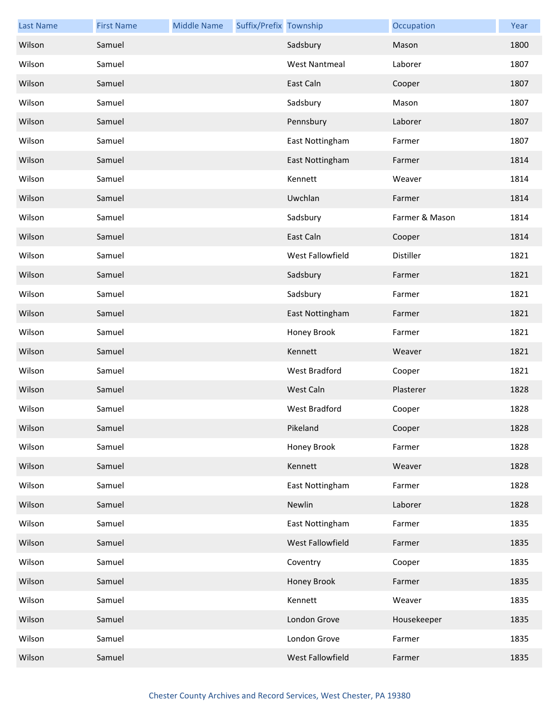| <b>Last Name</b> | <b>First Name</b> | <b>Middle Name</b> | Suffix/Prefix Township |                         | Occupation     | Year |
|------------------|-------------------|--------------------|------------------------|-------------------------|----------------|------|
| Wilson           | Samuel            |                    |                        | Sadsbury                | Mason          | 1800 |
| Wilson           | Samuel            |                    |                        | <b>West Nantmeal</b>    | Laborer        | 1807 |
| Wilson           | Samuel            |                    |                        | East Caln               | Cooper         | 1807 |
| Wilson           | Samuel            |                    |                        | Sadsbury                | Mason          | 1807 |
| Wilson           | Samuel            |                    |                        | Pennsbury               | Laborer        | 1807 |
| Wilson           | Samuel            |                    |                        | East Nottingham         | Farmer         | 1807 |
| Wilson           | Samuel            |                    |                        | East Nottingham         | Farmer         | 1814 |
| Wilson           | Samuel            |                    |                        | Kennett                 | Weaver         | 1814 |
| Wilson           | Samuel            |                    |                        | Uwchlan                 | Farmer         | 1814 |
| Wilson           | Samuel            |                    |                        | Sadsbury                | Farmer & Mason | 1814 |
| Wilson           | Samuel            |                    |                        | East Caln               | Cooper         | 1814 |
| Wilson           | Samuel            |                    |                        | <b>West Fallowfield</b> | Distiller      | 1821 |
| Wilson           | Samuel            |                    |                        | Sadsbury                | Farmer         | 1821 |
| Wilson           | Samuel            |                    |                        | Sadsbury                | Farmer         | 1821 |
| Wilson           | Samuel            |                    |                        | East Nottingham         | Farmer         | 1821 |
| Wilson           | Samuel            |                    |                        | Honey Brook             | Farmer         | 1821 |
| Wilson           | Samuel            |                    |                        | Kennett                 | Weaver         | 1821 |
| Wilson           | Samuel            |                    |                        | West Bradford           | Cooper         | 1821 |
| Wilson           | Samuel            |                    |                        | West Caln               | Plasterer      | 1828 |
| Wilson           | Samuel            |                    |                        | West Bradford           | Cooper         | 1828 |
| Wilson           | Samuel            |                    |                        | Pikeland                | Cooper         | 1828 |
| Wilson           | Samuel            |                    |                        | Honey Brook             | Farmer         | 1828 |
| Wilson           | Samuel            |                    |                        | Kennett                 | Weaver         | 1828 |
| Wilson           | Samuel            |                    |                        | East Nottingham         | Farmer         | 1828 |
| Wilson           | Samuel            |                    |                        | Newlin                  | Laborer        | 1828 |
| Wilson           | Samuel            |                    |                        | East Nottingham         | Farmer         | 1835 |
| Wilson           | Samuel            |                    |                        | West Fallowfield        | Farmer         | 1835 |
| Wilson           | Samuel            |                    |                        | Coventry                | Cooper         | 1835 |
| Wilson           | Samuel            |                    |                        | Honey Brook             | Farmer         | 1835 |
| Wilson           | Samuel            |                    |                        | Kennett                 | Weaver         | 1835 |
| Wilson           | Samuel            |                    |                        | London Grove            | Housekeeper    | 1835 |
| Wilson           | Samuel            |                    |                        | London Grove            | Farmer         | 1835 |
| Wilson           | Samuel            |                    |                        | West Fallowfield        | Farmer         | 1835 |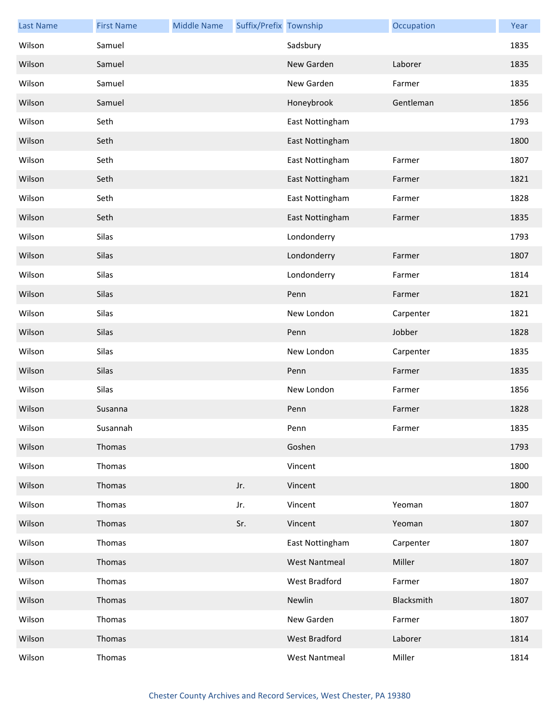| <b>Last Name</b> | <b>First Name</b> | <b>Middle Name</b> | Suffix/Prefix Township |                      | Occupation | Year |
|------------------|-------------------|--------------------|------------------------|----------------------|------------|------|
| Wilson           | Samuel            |                    |                        | Sadsbury             |            | 1835 |
| Wilson           | Samuel            |                    |                        | New Garden           | Laborer    | 1835 |
| Wilson           | Samuel            |                    |                        | New Garden           | Farmer     | 1835 |
| Wilson           | Samuel            |                    |                        | Honeybrook           | Gentleman  | 1856 |
| Wilson           | Seth              |                    |                        | East Nottingham      |            | 1793 |
| Wilson           | Seth              |                    |                        | East Nottingham      |            | 1800 |
| Wilson           | Seth              |                    |                        | East Nottingham      | Farmer     | 1807 |
| Wilson           | Seth              |                    |                        | East Nottingham      | Farmer     | 1821 |
| Wilson           | Seth              |                    |                        | East Nottingham      | Farmer     | 1828 |
| Wilson           | Seth              |                    |                        | East Nottingham      | Farmer     | 1835 |
| Wilson           | Silas             |                    |                        | Londonderry          |            | 1793 |
| Wilson           | Silas             |                    |                        | Londonderry          | Farmer     | 1807 |
| Wilson           | Silas             |                    |                        | Londonderry          | Farmer     | 1814 |
| Wilson           | Silas             |                    |                        | Penn                 | Farmer     | 1821 |
| Wilson           | Silas             |                    |                        | New London           | Carpenter  | 1821 |
| Wilson           | Silas             |                    |                        | Penn                 | Jobber     | 1828 |
| Wilson           | Silas             |                    |                        | New London           | Carpenter  | 1835 |
| Wilson           | Silas             |                    |                        | Penn                 | Farmer     | 1835 |
| Wilson           | Silas             |                    |                        | New London           | Farmer     | 1856 |
| Wilson           | Susanna           |                    |                        | Penn                 | Farmer     | 1828 |
| Wilson           | Susannah          |                    |                        | Penn                 | Farmer     | 1835 |
| Wilson           | Thomas            |                    |                        | Goshen               |            | 1793 |
| Wilson           | Thomas            |                    |                        | Vincent              |            | 1800 |
| Wilson           | Thomas            |                    | Jr.                    | Vincent              |            | 1800 |
| Wilson           | Thomas            |                    | Jr.                    | Vincent              | Yeoman     | 1807 |
| Wilson           | Thomas            |                    | Sr.                    | Vincent              | Yeoman     | 1807 |
| Wilson           | Thomas            |                    |                        | East Nottingham      | Carpenter  | 1807 |
| Wilson           | Thomas            |                    |                        | <b>West Nantmeal</b> | Miller     | 1807 |
| Wilson           | Thomas            |                    |                        | West Bradford        | Farmer     | 1807 |
| Wilson           | Thomas            |                    |                        | Newlin               | Blacksmith | 1807 |
| Wilson           | Thomas            |                    |                        | New Garden           | Farmer     | 1807 |
| Wilson           | Thomas            |                    |                        | West Bradford        | Laborer    | 1814 |
| Wilson           | Thomas            |                    |                        | <b>West Nantmeal</b> | Miller     | 1814 |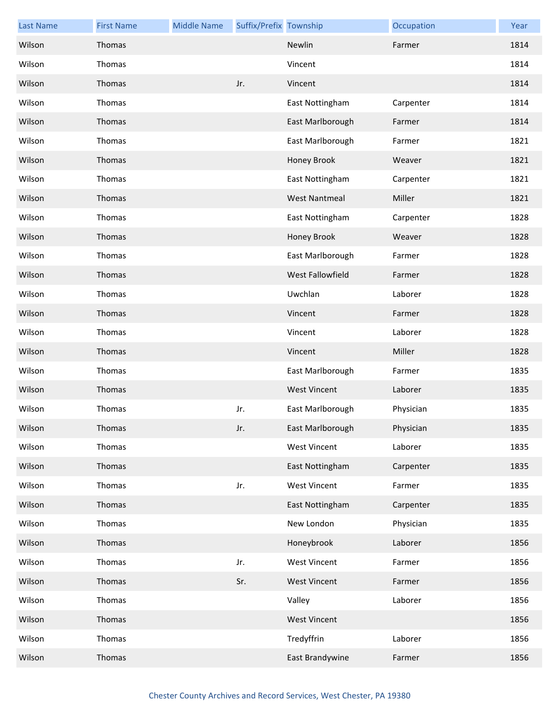| <b>Last Name</b> | <b>First Name</b> | <b>Middle Name</b> | Suffix/Prefix Township |                      | Occupation | Year |
|------------------|-------------------|--------------------|------------------------|----------------------|------------|------|
| Wilson           | Thomas            |                    |                        | Newlin               | Farmer     | 1814 |
| Wilson           | Thomas            |                    |                        | Vincent              |            | 1814 |
| Wilson           | Thomas            |                    | Jr.                    | Vincent              |            | 1814 |
| Wilson           | Thomas            |                    |                        | East Nottingham      | Carpenter  | 1814 |
| Wilson           | Thomas            |                    |                        | East Marlborough     | Farmer     | 1814 |
| Wilson           | Thomas            |                    |                        | East Marlborough     | Farmer     | 1821 |
| Wilson           | Thomas            |                    |                        | Honey Brook          | Weaver     | 1821 |
| Wilson           | Thomas            |                    |                        | East Nottingham      | Carpenter  | 1821 |
| Wilson           | Thomas            |                    |                        | <b>West Nantmeal</b> | Miller     | 1821 |
| Wilson           | Thomas            |                    |                        | East Nottingham      | Carpenter  | 1828 |
| Wilson           | Thomas            |                    |                        | Honey Brook          | Weaver     | 1828 |
| Wilson           | Thomas            |                    |                        | East Marlborough     | Farmer     | 1828 |
| Wilson           | Thomas            |                    |                        | West Fallowfield     | Farmer     | 1828 |
| Wilson           | Thomas            |                    |                        | Uwchlan              | Laborer    | 1828 |
| Wilson           | Thomas            |                    |                        | Vincent              | Farmer     | 1828 |
| Wilson           | Thomas            |                    |                        | Vincent              | Laborer    | 1828 |
| Wilson           | Thomas            |                    |                        | Vincent              | Miller     | 1828 |
| Wilson           | Thomas            |                    |                        | East Marlborough     | Farmer     | 1835 |
| Wilson           | Thomas            |                    |                        | <b>West Vincent</b>  | Laborer    | 1835 |
| Wilson           | Thomas            |                    | Jr.                    | East Marlborough     | Physician  | 1835 |
| Wilson           | Thomas            |                    | Jr.                    | East Marlborough     | Physician  | 1835 |
| Wilson           | Thomas            |                    |                        | <b>West Vincent</b>  | Laborer    | 1835 |
| Wilson           | Thomas            |                    |                        | East Nottingham      | Carpenter  | 1835 |
| Wilson           | Thomas            |                    | Jr.                    | <b>West Vincent</b>  | Farmer     | 1835 |
| Wilson           | Thomas            |                    |                        | East Nottingham      | Carpenter  | 1835 |
| Wilson           | Thomas            |                    |                        | New London           | Physician  | 1835 |
| Wilson           | Thomas            |                    |                        | Honeybrook           | Laborer    | 1856 |
| Wilson           | Thomas            |                    | Jr.                    | <b>West Vincent</b>  | Farmer     | 1856 |
| Wilson           | Thomas            |                    | Sr.                    | <b>West Vincent</b>  | Farmer     | 1856 |
| Wilson           | Thomas            |                    |                        | Valley               | Laborer    | 1856 |
| Wilson           | Thomas            |                    |                        | <b>West Vincent</b>  |            | 1856 |
| Wilson           | Thomas            |                    |                        | Tredyffrin           | Laborer    | 1856 |
| Wilson           | Thomas            |                    |                        | East Brandywine      | Farmer     | 1856 |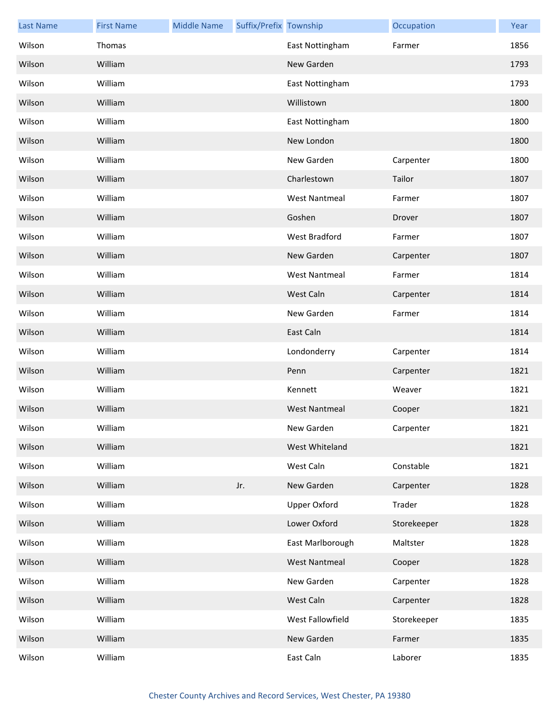| <b>Last Name</b> | <b>First Name</b> | <b>Middle Name</b> | Suffix/Prefix Township |                      | Occupation  | Year |
|------------------|-------------------|--------------------|------------------------|----------------------|-------------|------|
| Wilson           | Thomas            |                    |                        | East Nottingham      | Farmer      | 1856 |
| Wilson           | William           |                    |                        | New Garden           |             | 1793 |
| Wilson           | William           |                    |                        | East Nottingham      |             | 1793 |
| Wilson           | William           |                    |                        | Willistown           |             | 1800 |
| Wilson           | William           |                    |                        | East Nottingham      |             | 1800 |
| Wilson           | William           |                    |                        | New London           |             | 1800 |
| Wilson           | William           |                    |                        | New Garden           | Carpenter   | 1800 |
| Wilson           | William           |                    |                        | Charlestown          | Tailor      | 1807 |
| Wilson           | William           |                    |                        | <b>West Nantmeal</b> | Farmer      | 1807 |
| Wilson           | William           |                    |                        | Goshen               | Drover      | 1807 |
| Wilson           | William           |                    |                        | West Bradford        | Farmer      | 1807 |
| Wilson           | William           |                    |                        | New Garden           | Carpenter   | 1807 |
| Wilson           | William           |                    |                        | <b>West Nantmeal</b> | Farmer      | 1814 |
| Wilson           | William           |                    |                        | West Caln            | Carpenter   | 1814 |
| Wilson           | William           |                    |                        | New Garden           | Farmer      | 1814 |
| Wilson           | William           |                    |                        | East Caln            |             | 1814 |
| Wilson           | William           |                    |                        | Londonderry          | Carpenter   | 1814 |
| Wilson           | William           |                    |                        | Penn                 | Carpenter   | 1821 |
| Wilson           | William           |                    |                        | Kennett              | Weaver      | 1821 |
| Wilson           | William           |                    |                        | <b>West Nantmeal</b> | Cooper      | 1821 |
| Wilson           | William           |                    |                        | New Garden           | Carpenter   | 1821 |
| Wilson           | William           |                    |                        | West Whiteland       |             | 1821 |
| Wilson           | William           |                    |                        | West Caln            | Constable   | 1821 |
| Wilson           | William           |                    | Jr.                    | New Garden           | Carpenter   | 1828 |
| Wilson           | William           |                    |                        | <b>Upper Oxford</b>  | Trader      | 1828 |
| Wilson           | William           |                    |                        | Lower Oxford         | Storekeeper | 1828 |
| Wilson           | William           |                    |                        | East Marlborough     | Maltster    | 1828 |
| Wilson           | William           |                    |                        | <b>West Nantmeal</b> | Cooper      | 1828 |
| Wilson           | William           |                    |                        | New Garden           | Carpenter   | 1828 |
| Wilson           | William           |                    |                        | West Caln            | Carpenter   | 1828 |
| Wilson           | William           |                    |                        | West Fallowfield     | Storekeeper | 1835 |
| Wilson           | William           |                    |                        | New Garden           | Farmer      | 1835 |
| Wilson           | William           |                    |                        | East Caln            | Laborer     | 1835 |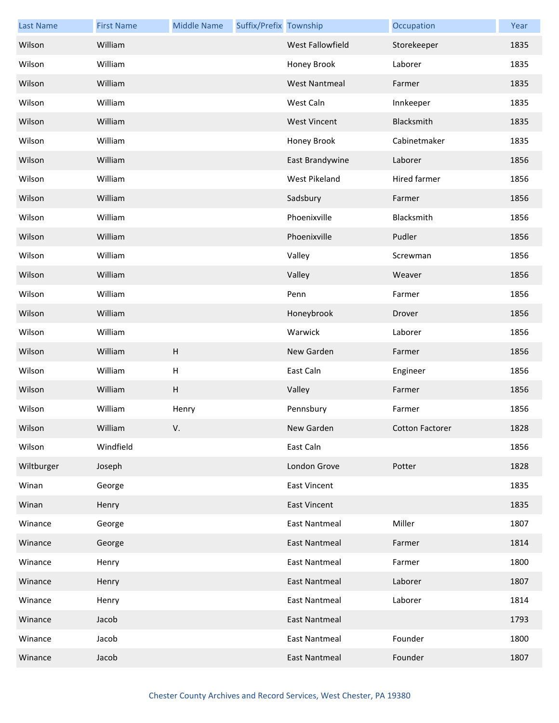| <b>Last Name</b> | <b>First Name</b> | <b>Middle Name</b>        | Suffix/Prefix Township |                         | Occupation             | Year |
|------------------|-------------------|---------------------------|------------------------|-------------------------|------------------------|------|
| Wilson           | William           |                           |                        | <b>West Fallowfield</b> | Storekeeper            | 1835 |
| Wilson           | William           |                           |                        | Honey Brook             | Laborer                | 1835 |
| Wilson           | William           |                           |                        | <b>West Nantmeal</b>    | Farmer                 | 1835 |
| Wilson           | William           |                           |                        | West Caln               | Innkeeper              | 1835 |
| Wilson           | William           |                           |                        | <b>West Vincent</b>     | Blacksmith             | 1835 |
| Wilson           | William           |                           |                        | Honey Brook             | Cabinetmaker           | 1835 |
| Wilson           | William           |                           |                        | East Brandywine         | Laborer                | 1856 |
| Wilson           | William           |                           |                        | West Pikeland           | Hired farmer           | 1856 |
| Wilson           | William           |                           |                        | Sadsbury                | Farmer                 | 1856 |
| Wilson           | William           |                           |                        | Phoenixville            | Blacksmith             | 1856 |
| Wilson           | William           |                           |                        | Phoenixville            | Pudler                 | 1856 |
| Wilson           | William           |                           |                        | Valley                  | Screwman               | 1856 |
| Wilson           | William           |                           |                        | Valley                  | Weaver                 | 1856 |
| Wilson           | William           |                           |                        | Penn                    | Farmer                 | 1856 |
| Wilson           | William           |                           |                        | Honeybrook              | Drover                 | 1856 |
| Wilson           | William           |                           |                        | Warwick                 | Laborer                | 1856 |
| Wilson           | William           | $\boldsymbol{\mathsf{H}}$ |                        | New Garden              | Farmer                 | 1856 |
| Wilson           | William           | $\boldsymbol{\mathsf{H}}$ |                        | East Caln               | Engineer               | 1856 |
| Wilson           | William           | H                         |                        | Valley                  | Farmer                 | 1856 |
| Wilson           | William           | Henry                     |                        | Pennsbury               | Farmer                 | 1856 |
| Wilson           | William           | V.                        |                        | New Garden              | <b>Cotton Factorer</b> | 1828 |
| Wilson           | Windfield         |                           |                        | East Caln               |                        | 1856 |
| Wiltburger       | Joseph            |                           |                        | London Grove            | Potter                 | 1828 |
| Winan            | George            |                           |                        | <b>East Vincent</b>     |                        | 1835 |
| Winan            | Henry             |                           |                        | <b>East Vincent</b>     |                        | 1835 |
| Winance          | George            |                           |                        | <b>East Nantmeal</b>    | Miller                 | 1807 |
| Winance          | George            |                           |                        | <b>East Nantmeal</b>    | Farmer                 | 1814 |
| Winance          | Henry             |                           |                        | <b>East Nantmeal</b>    | Farmer                 | 1800 |
| Winance          | Henry             |                           |                        | <b>East Nantmeal</b>    | Laborer                | 1807 |
| Winance          | Henry             |                           |                        | <b>East Nantmeal</b>    | Laborer                | 1814 |
| Winance          | Jacob             |                           |                        | <b>East Nantmeal</b>    |                        | 1793 |
| Winance          | Jacob             |                           |                        | <b>East Nantmeal</b>    | Founder                | 1800 |
| Winance          | Jacob             |                           |                        | <b>East Nantmeal</b>    | Founder                | 1807 |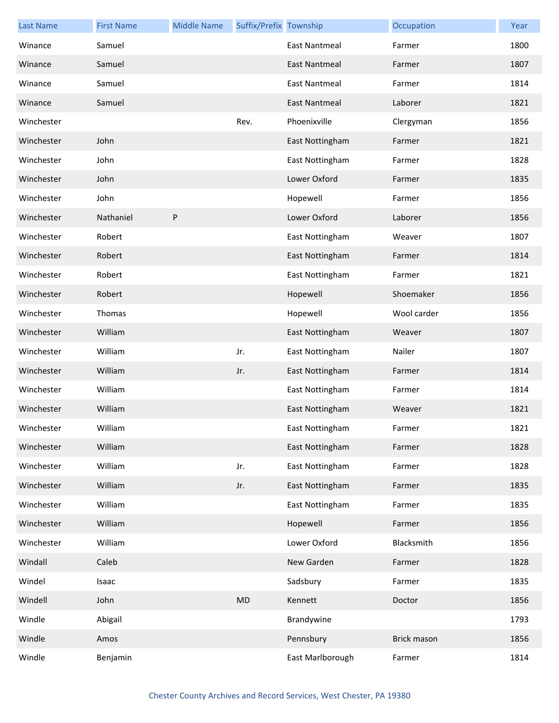| <b>Last Name</b> | <b>First Name</b> | <b>Middle Name</b> | Suffix/Prefix Township |                      | Occupation  | Year |
|------------------|-------------------|--------------------|------------------------|----------------------|-------------|------|
| Winance          | Samuel            |                    |                        | <b>East Nantmeal</b> | Farmer      | 1800 |
| Winance          | Samuel            |                    |                        | <b>East Nantmeal</b> | Farmer      | 1807 |
| Winance          | Samuel            |                    |                        | <b>East Nantmeal</b> | Farmer      | 1814 |
| Winance          | Samuel            |                    |                        | <b>East Nantmeal</b> | Laborer     | 1821 |
| Winchester       |                   |                    | Rev.                   | Phoenixville         | Clergyman   | 1856 |
| Winchester       | John              |                    |                        | East Nottingham      | Farmer      | 1821 |
| Winchester       | John              |                    |                        | East Nottingham      | Farmer      | 1828 |
| Winchester       | John              |                    |                        | Lower Oxford         | Farmer      | 1835 |
| Winchester       | John              |                    |                        | Hopewell             | Farmer      | 1856 |
| Winchester       | Nathaniel         | P                  |                        | Lower Oxford         | Laborer     | 1856 |
| Winchester       | Robert            |                    |                        | East Nottingham      | Weaver      | 1807 |
| Winchester       | Robert            |                    |                        | East Nottingham      | Farmer      | 1814 |
| Winchester       | Robert            |                    |                        | East Nottingham      | Farmer      | 1821 |
| Winchester       | Robert            |                    |                        | Hopewell             | Shoemaker   | 1856 |
| Winchester       | Thomas            |                    |                        | Hopewell             | Wool carder | 1856 |
| Winchester       | William           |                    |                        | East Nottingham      | Weaver      | 1807 |
| Winchester       | William           |                    | Jr.                    | East Nottingham      | Nailer      | 1807 |
| Winchester       | William           |                    | Jr.                    | East Nottingham      | Farmer      | 1814 |
| Winchester       | William           |                    |                        | East Nottingham      | Farmer      | 1814 |
| Winchester       | William           |                    |                        | East Nottingham      | Weaver      | 1821 |
| Winchester       | William           |                    |                        | East Nottingham      | Farmer      | 1821 |
| Winchester       | William           |                    |                        | East Nottingham      | Farmer      | 1828 |
| Winchester       | William           |                    | Jr.                    | East Nottingham      | Farmer      | 1828 |
| Winchester       | William           |                    | Jr.                    | East Nottingham      | Farmer      | 1835 |
| Winchester       | William           |                    |                        | East Nottingham      | Farmer      | 1835 |
| Winchester       | William           |                    |                        | Hopewell             | Farmer      | 1856 |
| Winchester       | William           |                    |                        | Lower Oxford         | Blacksmith  | 1856 |
| Windall          | Caleb             |                    |                        | New Garden           | Farmer      | 1828 |
| Windel           | Isaac             |                    |                        | Sadsbury             | Farmer      | 1835 |
| Windell          | John              |                    | MD                     | Kennett              | Doctor      | 1856 |
| Windle           | Abigail           |                    |                        | Brandywine           |             | 1793 |
| Windle           | Amos              |                    |                        | Pennsbury            | Brick mason | 1856 |
| Windle           | Benjamin          |                    |                        | East Marlborough     | Farmer      | 1814 |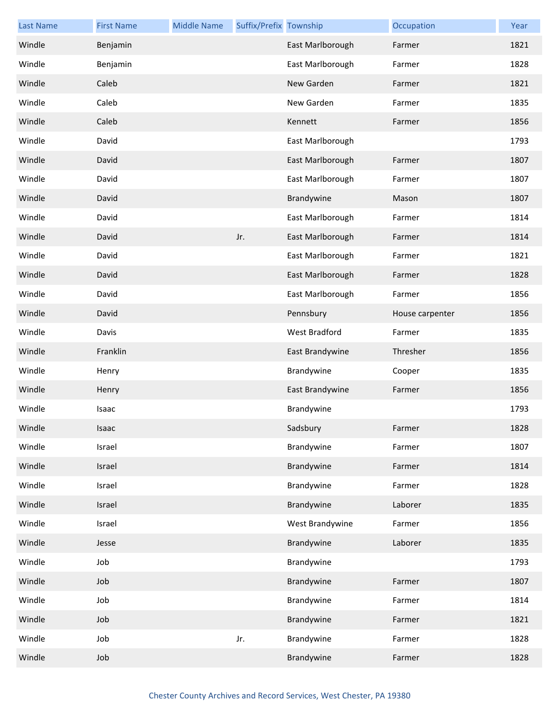| <b>Last Name</b> | <b>First Name</b> | <b>Middle Name</b> | Suffix/Prefix Township |                  | Occupation      | Year |
|------------------|-------------------|--------------------|------------------------|------------------|-----------------|------|
| Windle           | Benjamin          |                    |                        | East Marlborough | Farmer          | 1821 |
| Windle           | Benjamin          |                    |                        | East Marlborough | Farmer          | 1828 |
| Windle           | Caleb             |                    |                        | New Garden       | Farmer          | 1821 |
| Windle           | Caleb             |                    |                        | New Garden       | Farmer          | 1835 |
| Windle           | Caleb             |                    |                        | Kennett          | Farmer          | 1856 |
| Windle           | David             |                    |                        | East Marlborough |                 | 1793 |
| Windle           | David             |                    |                        | East Marlborough | Farmer          | 1807 |
| Windle           | David             |                    |                        | East Marlborough | Farmer          | 1807 |
| Windle           | David             |                    |                        | Brandywine       | Mason           | 1807 |
| Windle           | David             |                    |                        | East Marlborough | Farmer          | 1814 |
| Windle           | David             |                    | Jr.                    | East Marlborough | Farmer          | 1814 |
| Windle           | David             |                    |                        | East Marlborough | Farmer          | 1821 |
| Windle           | David             |                    |                        | East Marlborough | Farmer          | 1828 |
| Windle           | David             |                    |                        | East Marlborough | Farmer          | 1856 |
| Windle           | David             |                    |                        | Pennsbury        | House carpenter | 1856 |
| Windle           | Davis             |                    |                        | West Bradford    | Farmer          | 1835 |
| Windle           | Franklin          |                    |                        | East Brandywine  | Thresher        | 1856 |
| Windle           | Henry             |                    |                        | Brandywine       | Cooper          | 1835 |
| Windle           | Henry             |                    |                        | East Brandywine  | Farmer          | 1856 |
| Windle           | Isaac             |                    |                        | Brandywine       |                 | 1793 |
| Windle           | Isaac             |                    |                        | Sadsbury         | Farmer          | 1828 |
| Windle           | Israel            |                    |                        | Brandywine       | Farmer          | 1807 |
| Windle           | Israel            |                    |                        | Brandywine       | Farmer          | 1814 |
| Windle           | Israel            |                    |                        | Brandywine       | Farmer          | 1828 |
| Windle           | Israel            |                    |                        | Brandywine       | Laborer         | 1835 |
| Windle           | Israel            |                    |                        | West Brandywine  | Farmer          | 1856 |
| Windle           | Jesse             |                    |                        | Brandywine       | Laborer         | 1835 |
| Windle           | Job               |                    |                        | Brandywine       |                 | 1793 |
| Windle           | Job               |                    |                        | Brandywine       | Farmer          | 1807 |
| Windle           | Job               |                    |                        | Brandywine       | Farmer          | 1814 |
| Windle           | Job               |                    |                        | Brandywine       | Farmer          | 1821 |
| Windle           | Job               |                    | Jr.                    | Brandywine       | Farmer          | 1828 |
| Windle           | Job               |                    |                        | Brandywine       | Farmer          | 1828 |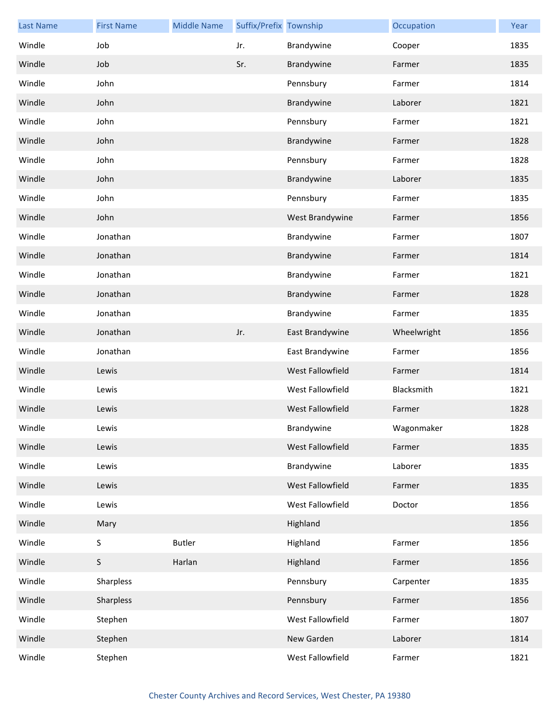| <b>Last Name</b> | <b>First Name</b> | <b>Middle Name</b> | Suffix/Prefix Township |                  | Occupation  | Year |
|------------------|-------------------|--------------------|------------------------|------------------|-------------|------|
| Windle           | Job               |                    | Jr.                    | Brandywine       | Cooper      | 1835 |
| Windle           | Job               |                    | Sr.                    | Brandywine       | Farmer      | 1835 |
| Windle           | John              |                    |                        | Pennsbury        | Farmer      | 1814 |
| Windle           | John              |                    |                        | Brandywine       | Laborer     | 1821 |
| Windle           | John              |                    |                        | Pennsbury        | Farmer      | 1821 |
| Windle           | John              |                    |                        | Brandywine       | Farmer      | 1828 |
| Windle           | John              |                    |                        | Pennsbury        | Farmer      | 1828 |
| Windle           | John              |                    |                        | Brandywine       | Laborer     | 1835 |
| Windle           | John              |                    |                        | Pennsbury        | Farmer      | 1835 |
| Windle           | John              |                    |                        | West Brandywine  | Farmer      | 1856 |
| Windle           | Jonathan          |                    |                        | Brandywine       | Farmer      | 1807 |
| Windle           | Jonathan          |                    |                        | Brandywine       | Farmer      | 1814 |
| Windle           | Jonathan          |                    |                        | Brandywine       | Farmer      | 1821 |
| Windle           | Jonathan          |                    |                        | Brandywine       | Farmer      | 1828 |
| Windle           | Jonathan          |                    |                        | Brandywine       | Farmer      | 1835 |
| Windle           | Jonathan          |                    | Jr.                    | East Brandywine  | Wheelwright | 1856 |
| Windle           | Jonathan          |                    |                        | East Brandywine  | Farmer      | 1856 |
| Windle           | Lewis             |                    |                        | West Fallowfield | Farmer      | 1814 |
| Windle           | Lewis             |                    |                        | West Fallowfield | Blacksmith  | 1821 |
| Windle           | Lewis             |                    |                        | West Fallowfield | Farmer      | 1828 |
| Windle           | Lewis             |                    |                        | Brandywine       | Wagonmaker  | 1828 |
| Windle           | Lewis             |                    |                        | West Fallowfield | Farmer      | 1835 |
| Windle           | Lewis             |                    |                        | Brandywine       | Laborer     | 1835 |
| Windle           | Lewis             |                    |                        | West Fallowfield | Farmer      | 1835 |
| Windle           | Lewis             |                    |                        | West Fallowfield | Doctor      | 1856 |
| Windle           | Mary              |                    |                        | Highland         |             | 1856 |
| Windle           | S                 | <b>Butler</b>      |                        | Highland         | Farmer      | 1856 |
| Windle           | S                 | Harlan             |                        | Highland         | Farmer      | 1856 |
| Windle           | Sharpless         |                    |                        | Pennsbury        | Carpenter   | 1835 |
| Windle           | Sharpless         |                    |                        | Pennsbury        | Farmer      | 1856 |
| Windle           | Stephen           |                    |                        | West Fallowfield | Farmer      | 1807 |
| Windle           | Stephen           |                    |                        | New Garden       | Laborer     | 1814 |
| Windle           | Stephen           |                    |                        | West Fallowfield | Farmer      | 1821 |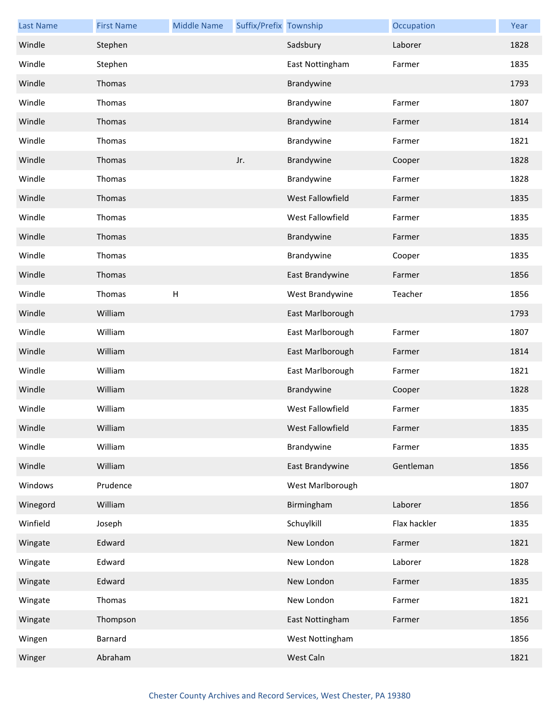| <b>Last Name</b> | <b>First Name</b> | <b>Middle Name</b> | Suffix/Prefix Township |                  | Occupation   | Year |
|------------------|-------------------|--------------------|------------------------|------------------|--------------|------|
| Windle           | Stephen           |                    |                        | Sadsbury         | Laborer      | 1828 |
| Windle           | Stephen           |                    |                        | East Nottingham  | Farmer       | 1835 |
| Windle           | Thomas            |                    |                        | Brandywine       |              | 1793 |
| Windle           | Thomas            |                    |                        | Brandywine       | Farmer       | 1807 |
| Windle           | Thomas            |                    |                        | Brandywine       | Farmer       | 1814 |
| Windle           | Thomas            |                    |                        | Brandywine       | Farmer       | 1821 |
| Windle           | Thomas            |                    | Jr.                    | Brandywine       | Cooper       | 1828 |
| Windle           | Thomas            |                    |                        | Brandywine       | Farmer       | 1828 |
| Windle           | Thomas            |                    |                        | West Fallowfield | Farmer       | 1835 |
| Windle           | Thomas            |                    |                        | West Fallowfield | Farmer       | 1835 |
| Windle           | Thomas            |                    |                        | Brandywine       | Farmer       | 1835 |
| Windle           | Thomas            |                    |                        | Brandywine       | Cooper       | 1835 |
| Windle           | Thomas            |                    |                        | East Brandywine  | Farmer       | 1856 |
| Windle           | Thomas            | $\mathsf{H}%$      |                        | West Brandywine  | Teacher      | 1856 |
| Windle           | William           |                    |                        | East Marlborough |              | 1793 |
| Windle           | William           |                    |                        | East Marlborough | Farmer       | 1807 |
| Windle           | William           |                    |                        | East Marlborough | Farmer       | 1814 |
| Windle           | William           |                    |                        | East Marlborough | Farmer       | 1821 |
| Windle           | William           |                    |                        | Brandywine       | Cooper       | 1828 |
| Windle           | William           |                    |                        | West Fallowfield | Farmer       | 1835 |
| Windle           | William           |                    |                        | West Fallowfield | Farmer       | 1835 |
| Windle           | William           |                    |                        | Brandywine       | Farmer       | 1835 |
| Windle           | William           |                    |                        | East Brandywine  | Gentleman    | 1856 |
| Windows          | Prudence          |                    |                        | West Marlborough |              | 1807 |
| Winegord         | William           |                    |                        | Birmingham       | Laborer      | 1856 |
| Winfield         | Joseph            |                    |                        | Schuylkill       | Flax hackler | 1835 |
| Wingate          | Edward            |                    |                        | New London       | Farmer       | 1821 |
| Wingate          | Edward            |                    |                        | New London       | Laborer      | 1828 |
| Wingate          | Edward            |                    |                        | New London       | Farmer       | 1835 |
| Wingate          | Thomas            |                    |                        | New London       | Farmer       | 1821 |
| Wingate          | Thompson          |                    |                        | East Nottingham  | Farmer       | 1856 |
| Wingen           | Barnard           |                    |                        | West Nottingham  |              | 1856 |
| Winger           | Abraham           |                    |                        | West Caln        |              | 1821 |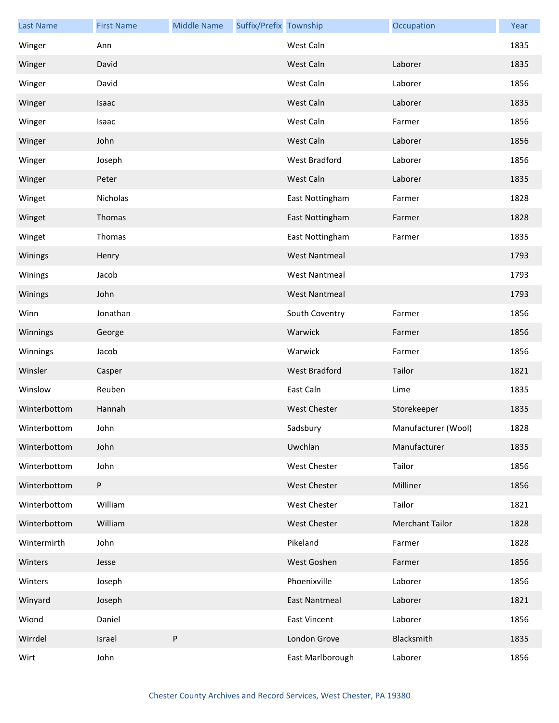| <b>Last Name</b> | <b>First Name</b> | <b>Middle Name</b> | Suffix/Prefix Township |                      | Occupation             | Year |
|------------------|-------------------|--------------------|------------------------|----------------------|------------------------|------|
| Winger           | Ann               |                    |                        | West Caln            |                        | 1835 |
| Winger           | David             |                    |                        | West Caln            | Laborer                | 1835 |
| Winger           | David             |                    |                        | West Caln            | Laborer                | 1856 |
| Winger           | Isaac             |                    |                        | West Caln            | Laborer                | 1835 |
| Winger           | Isaac             |                    |                        | West Caln            | Farmer                 | 1856 |
| Winger           | John              |                    |                        | West Caln            | Laborer                | 1856 |
| Winger           | Joseph            |                    |                        | West Bradford        | Laborer                | 1856 |
| Winger           | Peter             |                    |                        | West Caln            | Laborer                | 1835 |
| Winget           | Nicholas          |                    |                        | East Nottingham      | Farmer                 | 1828 |
| Winget           | Thomas            |                    |                        | East Nottingham      | Farmer                 | 1828 |
| Winget           | Thomas            |                    |                        | East Nottingham      | Farmer                 | 1835 |
| Winings          | Henry             |                    |                        | <b>West Nantmeal</b> |                        | 1793 |
| Winings          | Jacob             |                    |                        | <b>West Nantmeal</b> |                        | 1793 |
| Winings          | John              |                    |                        | <b>West Nantmeal</b> |                        | 1793 |
| Winn             | Jonathan          |                    |                        | South Coventry       | Farmer                 | 1856 |
| Winnings         | George            |                    |                        | Warwick              | Farmer                 | 1856 |
| Winnings         | Jacob             |                    |                        | Warwick              | Farmer                 | 1856 |
| Winsler          | Casper            |                    |                        | <b>West Bradford</b> | Tailor                 | 1821 |
| Winslow          | Reuben            |                    |                        | East Caln            | Lime                   | 1835 |
| Winterbottom     | Hannah            |                    |                        | <b>West Chester</b>  | Storekeeper            | 1835 |
| Winterbottom     | John              |                    |                        | Sadsbury             | Manufacturer (Wool)    | 1828 |
| Winterbottom     | John              |                    |                        | Uwchlan              | Manufacturer           | 1835 |
| Winterbottom     | John              |                    |                        | West Chester         | Tailor                 | 1856 |
| Winterbottom     | $\sf P$           |                    |                        | <b>West Chester</b>  | Milliner               | 1856 |
| Winterbottom     | William           |                    |                        | West Chester         | Tailor                 | 1821 |
| Winterbottom     | William           |                    |                        | <b>West Chester</b>  | <b>Merchant Tailor</b> | 1828 |
| Wintermirth      | John              |                    |                        | Pikeland             | Farmer                 | 1828 |
| Winters          | Jesse             |                    |                        | West Goshen          | Farmer                 | 1856 |
| Winters          | Joseph            |                    |                        | Phoenixville         | Laborer                | 1856 |
| Winyard          | Joseph            |                    |                        | <b>East Nantmeal</b> | Laborer                | 1821 |
| Wiond            | Daniel            |                    |                        | <b>East Vincent</b>  | Laborer                | 1856 |
| Wirrdel          | Israel            | P                  |                        | London Grove         | Blacksmith             | 1835 |
| Wirt             | John              |                    |                        | East Marlborough     | Laborer                | 1856 |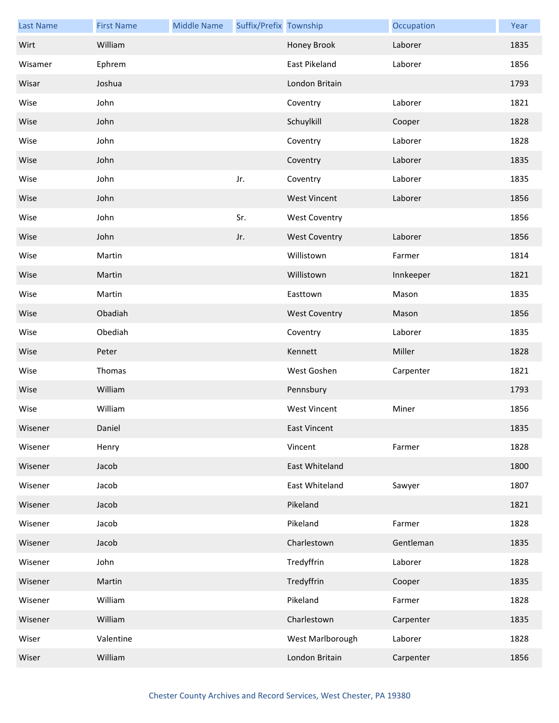| <b>Last Name</b> | <b>First Name</b> | <b>Middle Name</b> | Suffix/Prefix Township |                      | Occupation | Year |
|------------------|-------------------|--------------------|------------------------|----------------------|------------|------|
| Wirt             | William           |                    |                        | Honey Brook          | Laborer    | 1835 |
| Wisamer          | Ephrem            |                    |                        | East Pikeland        | Laborer    | 1856 |
| Wisar            | Joshua            |                    |                        | London Britain       |            | 1793 |
| Wise             | John              |                    |                        | Coventry             | Laborer    | 1821 |
| Wise             | John              |                    |                        | Schuylkill           | Cooper     | 1828 |
| Wise             | John              |                    |                        | Coventry             | Laborer    | 1828 |
| Wise             | John              |                    |                        | Coventry             | Laborer    | 1835 |
| Wise             | John              |                    | Jr.                    | Coventry             | Laborer    | 1835 |
| Wise             | John              |                    |                        | <b>West Vincent</b>  | Laborer    | 1856 |
| Wise             | John              |                    | Sr.                    | <b>West Coventry</b> |            | 1856 |
| Wise             | John              |                    | Jr.                    | <b>West Coventry</b> | Laborer    | 1856 |
| Wise             | Martin            |                    |                        | Willistown           | Farmer     | 1814 |
| Wise             | Martin            |                    |                        | Willistown           | Innkeeper  | 1821 |
| Wise             | Martin            |                    |                        | Easttown             | Mason      | 1835 |
| Wise             | Obadiah           |                    |                        | <b>West Coventry</b> | Mason      | 1856 |
| Wise             | Obediah           |                    |                        | Coventry             | Laborer    | 1835 |
| Wise             | Peter             |                    |                        | Kennett              | Miller     | 1828 |
| Wise             | Thomas            |                    |                        | West Goshen          | Carpenter  | 1821 |
| Wise             | William           |                    |                        | Pennsbury            |            | 1793 |
| Wise             | William           |                    |                        | <b>West Vincent</b>  | Miner      | 1856 |
| Wisener          | Daniel            |                    |                        | <b>East Vincent</b>  |            | 1835 |
| Wisener          | Henry             |                    |                        | Vincent              | Farmer     | 1828 |
| Wisener          | Jacob             |                    |                        | East Whiteland       |            | 1800 |
| Wisener          | Jacob             |                    |                        | East Whiteland       | Sawyer     | 1807 |
| Wisener          | Jacob             |                    |                        | Pikeland             |            | 1821 |
| Wisener          | Jacob             |                    |                        | Pikeland             | Farmer     | 1828 |
| Wisener          | Jacob             |                    |                        | Charlestown          | Gentleman  | 1835 |
| Wisener          | John              |                    |                        | Tredyffrin           | Laborer    | 1828 |
| Wisener          | Martin            |                    |                        | Tredyffrin           | Cooper     | 1835 |
| Wisener          | William           |                    |                        | Pikeland             | Farmer     | 1828 |
| Wisener          | William           |                    |                        | Charlestown          | Carpenter  | 1835 |
| Wiser            | Valentine         |                    |                        | West Marlborough     | Laborer    | 1828 |
| Wiser            | William           |                    |                        | London Britain       | Carpenter  | 1856 |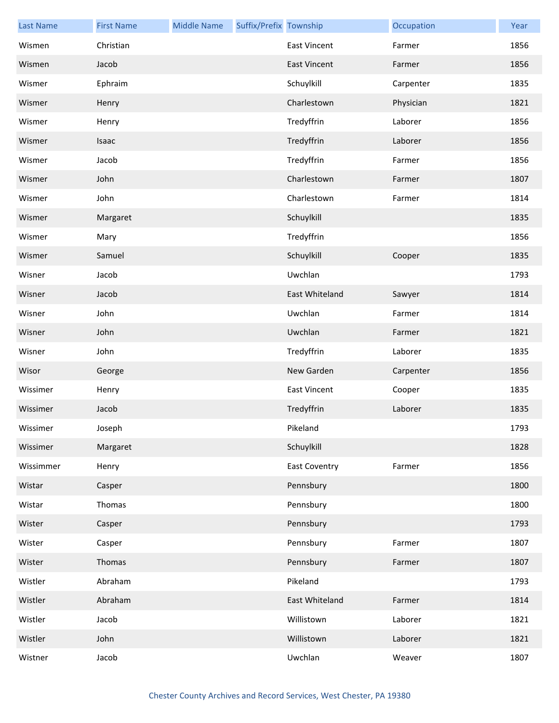| <b>Last Name</b> | <b>First Name</b> | <b>Middle Name</b> | Suffix/Prefix Township |                      | Occupation | Year |
|------------------|-------------------|--------------------|------------------------|----------------------|------------|------|
| Wismen           | Christian         |                    |                        | East Vincent         | Farmer     | 1856 |
| Wismen           | Jacob             |                    |                        | <b>East Vincent</b>  | Farmer     | 1856 |
| Wismer           | Ephraim           |                    |                        | Schuylkill           | Carpenter  | 1835 |
| Wismer           | Henry             |                    |                        | Charlestown          | Physician  | 1821 |
| Wismer           | Henry             |                    |                        | Tredyffrin           | Laborer    | 1856 |
| Wismer           | Isaac             |                    |                        | Tredyffrin           | Laborer    | 1856 |
| Wismer           | Jacob             |                    |                        | Tredyffrin           | Farmer     | 1856 |
| Wismer           | John              |                    |                        | Charlestown          | Farmer     | 1807 |
| Wismer           | John              |                    |                        | Charlestown          | Farmer     | 1814 |
| Wismer           | Margaret          |                    |                        | Schuylkill           |            | 1835 |
| Wismer           | Mary              |                    |                        | Tredyffrin           |            | 1856 |
| Wismer           | Samuel            |                    |                        | Schuylkill           | Cooper     | 1835 |
| Wisner           | Jacob             |                    |                        | Uwchlan              |            | 1793 |
| Wisner           | Jacob             |                    |                        | East Whiteland       | Sawyer     | 1814 |
| Wisner           | John              |                    |                        | Uwchlan              | Farmer     | 1814 |
| Wisner           | John              |                    |                        | Uwchlan              | Farmer     | 1821 |
| Wisner           | John              |                    |                        | Tredyffrin           | Laborer    | 1835 |
| Wisor            | George            |                    |                        | New Garden           | Carpenter  | 1856 |
| Wissimer         | Henry             |                    |                        | <b>East Vincent</b>  | Cooper     | 1835 |
| Wissimer         | Jacob             |                    |                        | Tredyffrin           | Laborer    | 1835 |
| Wissimer         | Joseph            |                    |                        | Pikeland             |            | 1793 |
| Wissimer         | Margaret          |                    |                        | Schuylkill           |            | 1828 |
| Wissimmer        | Henry             |                    |                        | <b>East Coventry</b> | Farmer     | 1856 |
| Wistar           | Casper            |                    |                        | Pennsbury            |            | 1800 |
| Wistar           | Thomas            |                    |                        | Pennsbury            |            | 1800 |
| Wister           | Casper            |                    |                        | Pennsbury            |            | 1793 |
| Wister           | Casper            |                    |                        | Pennsbury            | Farmer     | 1807 |
| Wister           | Thomas            |                    |                        | Pennsbury            | Farmer     | 1807 |
| Wistler          | Abraham           |                    |                        | Pikeland             |            | 1793 |
| Wistler          | Abraham           |                    |                        | East Whiteland       | Farmer     | 1814 |
| Wistler          | Jacob             |                    |                        | Willistown           | Laborer    | 1821 |
| Wistler          | John              |                    |                        | Willistown           | Laborer    | 1821 |
| Wistner          | Jacob             |                    |                        | Uwchlan              | Weaver     | 1807 |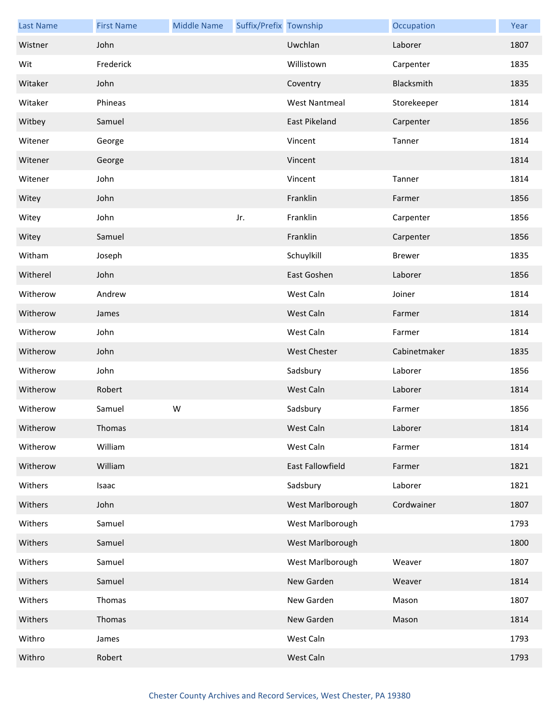| <b>Last Name</b> | <b>First Name</b> | <b>Middle Name</b> | Suffix/Prefix Township |                      | Occupation    | Year |
|------------------|-------------------|--------------------|------------------------|----------------------|---------------|------|
| Wistner          | John              |                    |                        | Uwchlan              | Laborer       | 1807 |
| Wit              | Frederick         |                    |                        | Willistown           | Carpenter     | 1835 |
| Witaker          | John              |                    |                        | Coventry             | Blacksmith    | 1835 |
| Witaker          | Phineas           |                    |                        | <b>West Nantmeal</b> | Storekeeper   | 1814 |
| Witbey           | Samuel            |                    |                        | East Pikeland        | Carpenter     | 1856 |
| Witener          | George            |                    |                        | Vincent              | Tanner        | 1814 |
| Witener          | George            |                    |                        | Vincent              |               | 1814 |
| Witener          | John              |                    |                        | Vincent              | Tanner        | 1814 |
| Witey            | John              |                    |                        | Franklin             | Farmer        | 1856 |
| Witey            | John              |                    | Jr.                    | Franklin             | Carpenter     | 1856 |
| Witey            | Samuel            |                    |                        | Franklin             | Carpenter     | 1856 |
| Witham           | Joseph            |                    |                        | Schuylkill           | <b>Brewer</b> | 1835 |
| Witherel         | John              |                    |                        | East Goshen          | Laborer       | 1856 |
| Witherow         | Andrew            |                    |                        | West Caln            | Joiner        | 1814 |
| Witherow         | James             |                    |                        | West Caln            | Farmer        | 1814 |
| Witherow         | John              |                    |                        | West Caln            | Farmer        | 1814 |
| Witherow         | John              |                    |                        | <b>West Chester</b>  | Cabinetmaker  | 1835 |
| Witherow         | John              |                    |                        | Sadsbury             | Laborer       | 1856 |
| Witherow         | Robert            |                    |                        | West Caln            | Laborer       | 1814 |
| Witherow         | Samuel            | ${\sf W}$          |                        | Sadsbury             | Farmer        | 1856 |
| Witherow         | Thomas            |                    |                        | West Caln            | Laborer       | 1814 |
| Witherow         | William           |                    |                        | West Caln            | Farmer        | 1814 |
| Witherow         | William           |                    |                        | East Fallowfield     | Farmer        | 1821 |
| Withers          | Isaac             |                    |                        | Sadsbury             | Laborer       | 1821 |
| Withers          | John              |                    |                        | West Marlborough     | Cordwainer    | 1807 |
| Withers          | Samuel            |                    |                        | West Marlborough     |               | 1793 |
| Withers          | Samuel            |                    |                        | West Marlborough     |               | 1800 |
| Withers          | Samuel            |                    |                        | West Marlborough     | Weaver        | 1807 |
| Withers          | Samuel            |                    |                        | New Garden           | Weaver        | 1814 |
| Withers          | Thomas            |                    |                        | New Garden           | Mason         | 1807 |
| Withers          | Thomas            |                    |                        | New Garden           | Mason         | 1814 |
| Withro           | James             |                    |                        | West Caln            |               | 1793 |
| Withro           | Robert            |                    |                        | West Caln            |               | 1793 |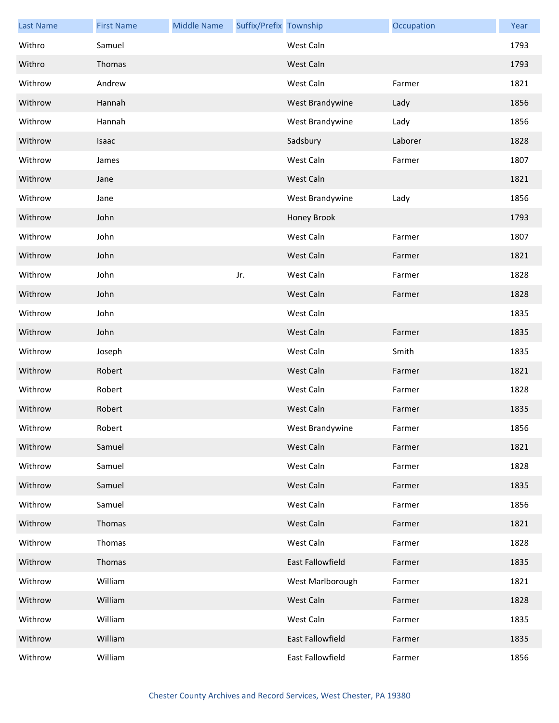| <b>Last Name</b> | <b>First Name</b> | <b>Middle Name</b> | Suffix/Prefix Township |                  | Occupation | Year |
|------------------|-------------------|--------------------|------------------------|------------------|------------|------|
| Withro           | Samuel            |                    |                        | West Caln        |            | 1793 |
| Withro           | Thomas            |                    |                        | West Caln        |            | 1793 |
| Withrow          | Andrew            |                    |                        | West Caln        | Farmer     | 1821 |
| Withrow          | Hannah            |                    |                        | West Brandywine  | Lady       | 1856 |
| Withrow          | Hannah            |                    |                        | West Brandywine  | Lady       | 1856 |
| Withrow          | Isaac             |                    |                        | Sadsbury         | Laborer    | 1828 |
| Withrow          | James             |                    |                        | West Caln        | Farmer     | 1807 |
| Withrow          | Jane              |                    |                        | West Caln        |            | 1821 |
| Withrow          | Jane              |                    |                        | West Brandywine  | Lady       | 1856 |
| Withrow          | John              |                    |                        | Honey Brook      |            | 1793 |
| Withrow          | John              |                    |                        | West Caln        | Farmer     | 1807 |
| Withrow          | John              |                    |                        | West Caln        | Farmer     | 1821 |
| Withrow          | John              |                    | Jr.                    | West Caln        | Farmer     | 1828 |
| Withrow          | John              |                    |                        | West Caln        | Farmer     | 1828 |
| Withrow          | John              |                    |                        | West Caln        |            | 1835 |
| Withrow          | John              |                    |                        | West Caln        | Farmer     | 1835 |
| Withrow          | Joseph            |                    |                        | West Caln        | Smith      | 1835 |
| Withrow          | Robert            |                    |                        | West Caln        | Farmer     | 1821 |
| Withrow          | Robert            |                    |                        | West Caln        | Farmer     | 1828 |
| Withrow          | Robert            |                    |                        | West Caln        | Farmer     | 1835 |
| Withrow          | Robert            |                    |                        | West Brandywine  | Farmer     | 1856 |
| Withrow          | Samuel            |                    |                        | West Caln        | Farmer     | 1821 |
| Withrow          | Samuel            |                    |                        | West Caln        | Farmer     | 1828 |
| Withrow          | Samuel            |                    |                        | West Caln        | Farmer     | 1835 |
| Withrow          | Samuel            |                    |                        | West Caln        | Farmer     | 1856 |
| Withrow          | Thomas            |                    |                        | West Caln        | Farmer     | 1821 |
| Withrow          | Thomas            |                    |                        | West Caln        | Farmer     | 1828 |
| Withrow          | Thomas            |                    |                        | East Fallowfield | Farmer     | 1835 |
| Withrow          | William           |                    |                        | West Marlborough | Farmer     | 1821 |
| Withrow          | William           |                    |                        | West Caln        | Farmer     | 1828 |
| Withrow          | William           |                    |                        | West Caln        | Farmer     | 1835 |
| Withrow          | William           |                    |                        | East Fallowfield | Farmer     | 1835 |
| Withrow          | William           |                    |                        | East Fallowfield | Farmer     | 1856 |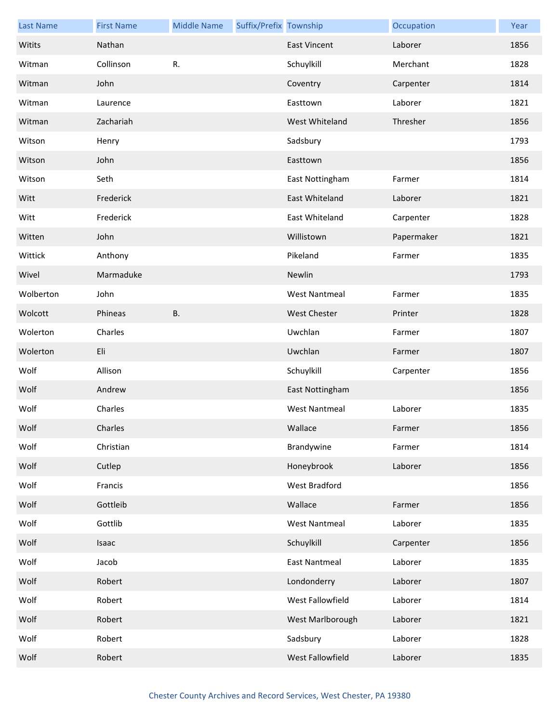| <b>Last Name</b> | <b>First Name</b> | <b>Middle Name</b> | Suffix/Prefix Township |                      | Occupation | Year |
|------------------|-------------------|--------------------|------------------------|----------------------|------------|------|
| Witits           | Nathan            |                    |                        | <b>East Vincent</b>  | Laborer    | 1856 |
| Witman           | Collinson         | R.                 |                        | Schuylkill           | Merchant   | 1828 |
| Witman           | John              |                    |                        | Coventry             | Carpenter  | 1814 |
| Witman           | Laurence          |                    |                        | Easttown             | Laborer    | 1821 |
| Witman           | Zachariah         |                    |                        | West Whiteland       | Thresher   | 1856 |
| Witson           | Henry             |                    |                        | Sadsbury             |            | 1793 |
| Witson           | John              |                    |                        | Easttown             |            | 1856 |
| Witson           | Seth              |                    |                        | East Nottingham      | Farmer     | 1814 |
| Witt             | Frederick         |                    |                        | East Whiteland       | Laborer    | 1821 |
| Witt             | Frederick         |                    |                        | East Whiteland       | Carpenter  | 1828 |
| Witten           | John              |                    |                        | Willistown           | Papermaker | 1821 |
| Wittick          | Anthony           |                    |                        | Pikeland             | Farmer     | 1835 |
| Wivel            | Marmaduke         |                    |                        | Newlin               |            | 1793 |
| Wolberton        | John              |                    |                        | <b>West Nantmeal</b> | Farmer     | 1835 |
| Wolcott          | Phineas           | <b>B.</b>          |                        | <b>West Chester</b>  | Printer    | 1828 |
| Wolerton         | Charles           |                    |                        | Uwchlan              | Farmer     | 1807 |
| Wolerton         | Eli               |                    |                        | Uwchlan              | Farmer     | 1807 |
| Wolf             | Allison           |                    |                        | Schuylkill           | Carpenter  | 1856 |
| Wolf             | Andrew            |                    |                        | East Nottingham      |            | 1856 |
| Wolf             | Charles           |                    |                        | <b>West Nantmeal</b> | Laborer    | 1835 |
| Wolf             | Charles           |                    |                        | Wallace              | Farmer     | 1856 |
| Wolf             | Christian         |                    |                        | Brandywine           | Farmer     | 1814 |
| Wolf             | Cutlep            |                    |                        | Honeybrook           | Laborer    | 1856 |
| Wolf             | Francis           |                    |                        | West Bradford        |            | 1856 |
| Wolf             | Gottleib          |                    |                        | Wallace              | Farmer     | 1856 |
| Wolf             | Gottlib           |                    |                        | <b>West Nantmeal</b> | Laborer    | 1835 |
| Wolf             | Isaac             |                    |                        | Schuylkill           | Carpenter  | 1856 |
| Wolf             | Jacob             |                    |                        | <b>East Nantmeal</b> | Laborer    | 1835 |
| Wolf             | Robert            |                    |                        | Londonderry          | Laborer    | 1807 |
| Wolf             | Robert            |                    |                        | West Fallowfield     | Laborer    | 1814 |
| Wolf             | Robert            |                    |                        | West Marlborough     | Laborer    | 1821 |
| Wolf             | Robert            |                    |                        | Sadsbury             | Laborer    | 1828 |
| Wolf             | Robert            |                    |                        | West Fallowfield     | Laborer    | 1835 |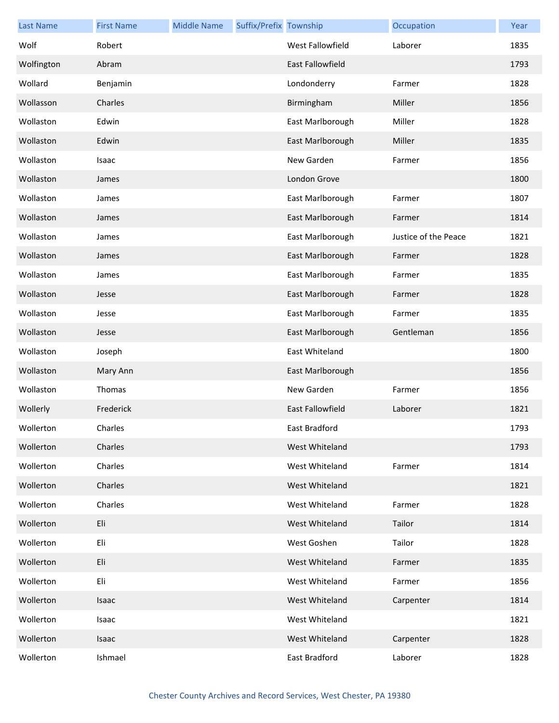| <b>Last Name</b> | <b>First Name</b> | <b>Middle Name</b> | Suffix/Prefix Township |                         | Occupation           | Year |
|------------------|-------------------|--------------------|------------------------|-------------------------|----------------------|------|
| Wolf             | Robert            |                    |                        | West Fallowfield        | Laborer              | 1835 |
| Wolfington       | Abram             |                    |                        | <b>East Fallowfield</b> |                      | 1793 |
| Wollard          | Benjamin          |                    |                        | Londonderry             | Farmer               | 1828 |
| Wollasson        | Charles           |                    |                        | Birmingham              | Miller               | 1856 |
| Wollaston        | Edwin             |                    |                        | East Marlborough        | Miller               | 1828 |
| Wollaston        | Edwin             |                    |                        | East Marlborough        | Miller               | 1835 |
| Wollaston        | Isaac             |                    |                        | New Garden              | Farmer               | 1856 |
| Wollaston        | James             |                    |                        | London Grove            |                      | 1800 |
| Wollaston        | James             |                    |                        | East Marlborough        | Farmer               | 1807 |
| Wollaston        | James             |                    |                        | East Marlborough        | Farmer               | 1814 |
| Wollaston        | James             |                    |                        | East Marlborough        | Justice of the Peace | 1821 |
| Wollaston        | James             |                    |                        | East Marlborough        | Farmer               | 1828 |
| Wollaston        | James             |                    |                        | East Marlborough        | Farmer               | 1835 |
| Wollaston        | Jesse             |                    |                        | East Marlborough        | Farmer               | 1828 |
| Wollaston        | Jesse             |                    |                        | East Marlborough        | Farmer               | 1835 |
| Wollaston        | Jesse             |                    |                        | East Marlborough        | Gentleman            | 1856 |
| Wollaston        | Joseph            |                    |                        | East Whiteland          |                      | 1800 |
| Wollaston        | Mary Ann          |                    |                        | East Marlborough        |                      | 1856 |
| Wollaston        | Thomas            |                    |                        | New Garden              | Farmer               | 1856 |
| Wollerly         | Frederick         |                    |                        | East Fallowfield        | Laborer              | 1821 |
| Wollerton        | Charles           |                    |                        | East Bradford           |                      | 1793 |
| Wollerton        | Charles           |                    |                        | West Whiteland          |                      | 1793 |
| Wollerton        | Charles           |                    |                        | West Whiteland          | Farmer               | 1814 |
| Wollerton        | Charles           |                    |                        | West Whiteland          |                      | 1821 |
| Wollerton        | Charles           |                    |                        | West Whiteland          | Farmer               | 1828 |
| Wollerton        | Eli               |                    |                        | West Whiteland          | Tailor               | 1814 |
| Wollerton        | Eli               |                    |                        | West Goshen             | Tailor               | 1828 |
| Wollerton        | Eli               |                    |                        | West Whiteland          | Farmer               | 1835 |
| Wollerton        | Eli               |                    |                        | West Whiteland          | Farmer               | 1856 |
| Wollerton        | <b>Isaac</b>      |                    |                        | West Whiteland          | Carpenter            | 1814 |
| Wollerton        | Isaac             |                    |                        | West Whiteland          |                      | 1821 |
| Wollerton        | Isaac             |                    |                        | West Whiteland          | Carpenter            | 1828 |
| Wollerton        | Ishmael           |                    |                        | East Bradford           | Laborer              | 1828 |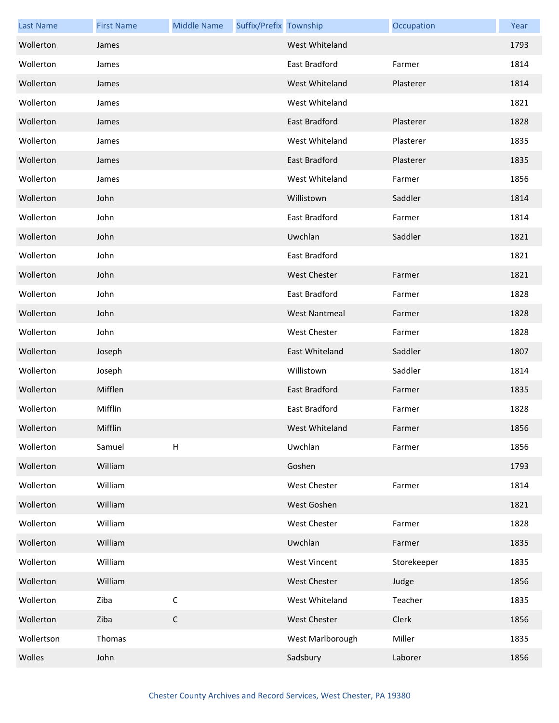| <b>Last Name</b> | <b>First Name</b> | <b>Middle Name</b> | Suffix/Prefix Township |                      | Occupation  | Year |
|------------------|-------------------|--------------------|------------------------|----------------------|-------------|------|
| Wollerton        | James             |                    |                        | West Whiteland       |             | 1793 |
| Wollerton        | James             |                    |                        | East Bradford        | Farmer      | 1814 |
| Wollerton        | James             |                    |                        | West Whiteland       | Plasterer   | 1814 |
| Wollerton        | James             |                    |                        | West Whiteland       |             | 1821 |
| Wollerton        | James             |                    |                        | <b>East Bradford</b> | Plasterer   | 1828 |
| Wollerton        | James             |                    |                        | West Whiteland       | Plasterer   | 1835 |
| Wollerton        | James             |                    |                        | East Bradford        | Plasterer   | 1835 |
| Wollerton        | James             |                    |                        | West Whiteland       | Farmer      | 1856 |
| Wollerton        | John              |                    |                        | Willistown           | Saddler     | 1814 |
| Wollerton        | John              |                    |                        | East Bradford        | Farmer      | 1814 |
| Wollerton        | John              |                    |                        | Uwchlan              | Saddler     | 1821 |
| Wollerton        | John              |                    |                        | East Bradford        |             | 1821 |
| Wollerton        | John              |                    |                        | <b>West Chester</b>  | Farmer      | 1821 |
| Wollerton        | John              |                    |                        | East Bradford        | Farmer      | 1828 |
| Wollerton        | John              |                    |                        | <b>West Nantmeal</b> | Farmer      | 1828 |
| Wollerton        | John              |                    |                        | <b>West Chester</b>  | Farmer      | 1828 |
| Wollerton        | Joseph            |                    |                        | East Whiteland       | Saddler     | 1807 |
| Wollerton        | Joseph            |                    |                        | Willistown           | Saddler     | 1814 |
| Wollerton        | Mifflen           |                    |                        | East Bradford        | Farmer      | 1835 |
| Wollerton        | Mifflin           |                    |                        | East Bradford        | Farmer      | 1828 |
| Wollerton        | Mifflin           |                    |                        | West Whiteland       | Farmer      | 1856 |
| Wollerton        | Samuel            | H                  |                        | Uwchlan              | Farmer      | 1856 |
| Wollerton        | William           |                    |                        | Goshen               |             | 1793 |
| Wollerton        | William           |                    |                        | West Chester         | Farmer      | 1814 |
| Wollerton        | William           |                    |                        | West Goshen          |             | 1821 |
| Wollerton        | William           |                    |                        | West Chester         | Farmer      | 1828 |
| Wollerton        | William           |                    |                        | Uwchlan              | Farmer      | 1835 |
| Wollerton        | William           |                    |                        | <b>West Vincent</b>  | Storekeeper | 1835 |
| Wollerton        | William           |                    |                        | West Chester         | Judge       | 1856 |
| Wollerton        | Ziba              | $\mathsf C$        |                        | West Whiteland       | Teacher     | 1835 |
| Wollerton        | Ziba              | $\mathsf C$        |                        | <b>West Chester</b>  | Clerk       | 1856 |
| Wollertson       | Thomas            |                    |                        | West Marlborough     | Miller      | 1835 |
| Wolles           | John              |                    |                        | Sadsbury             | Laborer     | 1856 |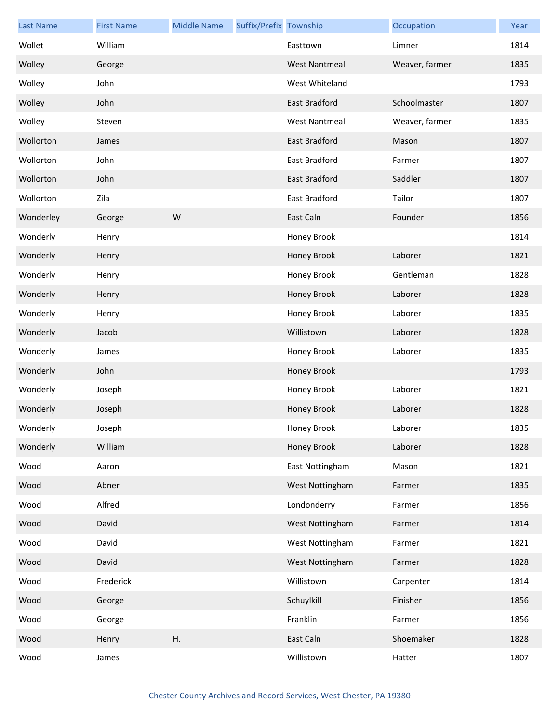| <b>Last Name</b> | <b>First Name</b> | <b>Middle Name</b> | Suffix/Prefix Township |                      | Occupation     | Year |
|------------------|-------------------|--------------------|------------------------|----------------------|----------------|------|
| Wollet           | William           |                    |                        | Easttown             | Limner         | 1814 |
| Wolley           | George            |                    |                        | <b>West Nantmeal</b> | Weaver, farmer | 1835 |
| Wolley           | John              |                    |                        | West Whiteland       |                | 1793 |
| Wolley           | John              |                    |                        | East Bradford        | Schoolmaster   | 1807 |
| Wolley           | Steven            |                    |                        | <b>West Nantmeal</b> | Weaver, farmer | 1835 |
| Wollorton        | James             |                    |                        | <b>East Bradford</b> | Mason          | 1807 |
| Wollorton        | John              |                    |                        | East Bradford        | Farmer         | 1807 |
| Wollorton        | John              |                    |                        | East Bradford        | Saddler        | 1807 |
| Wollorton        | Zila              |                    |                        | East Bradford        | Tailor         | 1807 |
| Wonderley        | George            | W                  |                        | East Caln            | Founder        | 1856 |
| Wonderly         | Henry             |                    |                        | Honey Brook          |                | 1814 |
| Wonderly         | Henry             |                    |                        | Honey Brook          | Laborer        | 1821 |
| Wonderly         | Henry             |                    |                        | Honey Brook          | Gentleman      | 1828 |
| Wonderly         | Henry             |                    |                        | Honey Brook          | Laborer        | 1828 |
| Wonderly         | Henry             |                    |                        | Honey Brook          | Laborer        | 1835 |
| Wonderly         | Jacob             |                    |                        | Willistown           | Laborer        | 1828 |
| Wonderly         | James             |                    |                        | Honey Brook          | Laborer        | 1835 |
| Wonderly         | John              |                    |                        | Honey Brook          |                | 1793 |
| Wonderly         | Joseph            |                    |                        | Honey Brook          | Laborer        | 1821 |
| Wonderly         | Joseph            |                    |                        | Honey Brook          | Laborer        | 1828 |
| Wonderly         | Joseph            |                    |                        | Honey Brook          | Laborer        | 1835 |
| Wonderly         | William           |                    |                        | Honey Brook          | Laborer        | 1828 |
| Wood             | Aaron             |                    |                        | East Nottingham      | Mason          | 1821 |
| Wood             | Abner             |                    |                        | West Nottingham      | Farmer         | 1835 |
| Wood             | Alfred            |                    |                        | Londonderry          | Farmer         | 1856 |
| Wood             | David             |                    |                        | West Nottingham      | Farmer         | 1814 |
| Wood             | David             |                    |                        | West Nottingham      | Farmer         | 1821 |
| Wood             | David             |                    |                        | West Nottingham      | Farmer         | 1828 |
| Wood             | Frederick         |                    |                        | Willistown           | Carpenter      | 1814 |
| Wood             | George            |                    |                        | Schuylkill           | Finisher       | 1856 |
| Wood             | George            |                    |                        | Franklin             | Farmer         | 1856 |
| Wood             | Henry             | Η.                 |                        | East Caln            | Shoemaker      | 1828 |
| Wood             | James             |                    |                        | Willistown           | Hatter         | 1807 |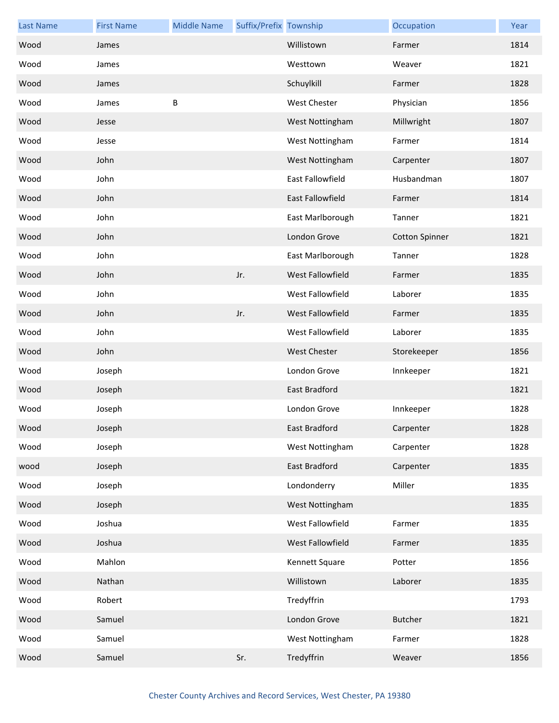| <b>Last Name</b> | <b>First Name</b> | <b>Middle Name</b> | Suffix/Prefix Township |                     | Occupation            | Year |
|------------------|-------------------|--------------------|------------------------|---------------------|-----------------------|------|
| Wood             | James             |                    |                        | Willistown          | Farmer                | 1814 |
| Wood             | James             |                    |                        | Westtown            | Weaver                | 1821 |
| Wood             | James             |                    |                        | Schuylkill          | Farmer                | 1828 |
| Wood             | James             | $\sf B$            |                        | <b>West Chester</b> | Physician             | 1856 |
| Wood             | Jesse             |                    |                        | West Nottingham     | Millwright            | 1807 |
| Wood             | Jesse             |                    |                        | West Nottingham     | Farmer                | 1814 |
| Wood             | John              |                    |                        | West Nottingham     | Carpenter             | 1807 |
| Wood             | John              |                    |                        | East Fallowfield    | Husbandman            | 1807 |
| Wood             | John              |                    |                        | East Fallowfield    | Farmer                | 1814 |
| Wood             | John              |                    |                        | East Marlborough    | Tanner                | 1821 |
| Wood             | John              |                    |                        | London Grove        | <b>Cotton Spinner</b> | 1821 |
| Wood             | John              |                    |                        | East Marlborough    | Tanner                | 1828 |
| Wood             | John              |                    | Jr.                    | West Fallowfield    | Farmer                | 1835 |
| Wood             | John              |                    |                        | West Fallowfield    | Laborer               | 1835 |
| Wood             | John              |                    | Jr.                    | West Fallowfield    | Farmer                | 1835 |
| Wood             | John              |                    |                        | West Fallowfield    | Laborer               | 1835 |
| Wood             | John              |                    |                        | <b>West Chester</b> | Storekeeper           | 1856 |
| Wood             | Joseph            |                    |                        | London Grove        | Innkeeper             | 1821 |
| Wood             | Joseph            |                    |                        | East Bradford       |                       | 1821 |
| Wood             | Joseph            |                    |                        | London Grove        | Innkeeper             | 1828 |
| Wood             | Joseph            |                    |                        | East Bradford       | Carpenter             | 1828 |
| Wood             | Joseph            |                    |                        | West Nottingham     | Carpenter             | 1828 |
| wood             | Joseph            |                    |                        | East Bradford       | Carpenter             | 1835 |
| Wood             | Joseph            |                    |                        | Londonderry         | Miller                | 1835 |
| Wood             | Joseph            |                    |                        | West Nottingham     |                       | 1835 |
| Wood             | Joshua            |                    |                        | West Fallowfield    | Farmer                | 1835 |
| Wood             | Joshua            |                    |                        | West Fallowfield    | Farmer                | 1835 |
| Wood             | Mahlon            |                    |                        | Kennett Square      | Potter                | 1856 |
| Wood             | Nathan            |                    |                        | Willistown          | Laborer               | 1835 |
| Wood             | Robert            |                    |                        | Tredyffrin          |                       | 1793 |
| Wood             | Samuel            |                    |                        | London Grove        | <b>Butcher</b>        | 1821 |
| Wood             | Samuel            |                    |                        | West Nottingham     | Farmer                | 1828 |
| Wood             | Samuel            |                    | Sr.                    | Tredyffrin          | Weaver                | 1856 |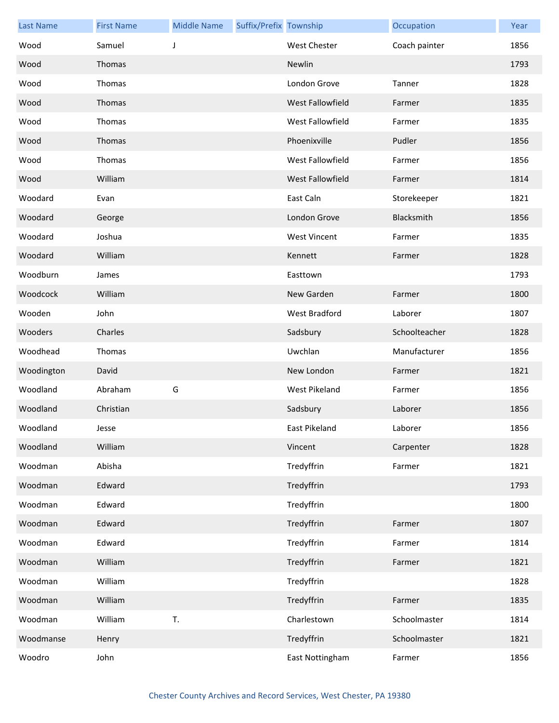| <b>Last Name</b> | <b>First Name</b> | <b>Middle Name</b> | Suffix/Prefix Township |                         | Occupation    | Year |
|------------------|-------------------|--------------------|------------------------|-------------------------|---------------|------|
| Wood             | Samuel            | J                  |                        | <b>West Chester</b>     | Coach painter | 1856 |
| Wood             | Thomas            |                    |                        | Newlin                  |               | 1793 |
| Wood             | Thomas            |                    |                        | London Grove            | Tanner        | 1828 |
| Wood             | Thomas            |                    |                        | West Fallowfield        | Farmer        | 1835 |
| Wood             | Thomas            |                    |                        | West Fallowfield        | Farmer        | 1835 |
| Wood             | Thomas            |                    |                        | Phoenixville            | Pudler        | 1856 |
| Wood             | Thomas            |                    |                        | West Fallowfield        | Farmer        | 1856 |
| Wood             | William           |                    |                        | <b>West Fallowfield</b> | Farmer        | 1814 |
| Woodard          | Evan              |                    |                        | East Caln               | Storekeeper   | 1821 |
| Woodard          | George            |                    |                        | London Grove            | Blacksmith    | 1856 |
| Woodard          | Joshua            |                    |                        | <b>West Vincent</b>     | Farmer        | 1835 |
| Woodard          | William           |                    |                        | Kennett                 | Farmer        | 1828 |
| Woodburn         | James             |                    |                        | Easttown                |               | 1793 |
| Woodcock         | William           |                    |                        | New Garden              | Farmer        | 1800 |
| Wooden           | John              |                    |                        | West Bradford           | Laborer       | 1807 |
| Wooders          | Charles           |                    |                        | Sadsbury                | Schoolteacher | 1828 |
| Woodhead         | Thomas            |                    |                        | Uwchlan                 | Manufacturer  | 1856 |
| Woodington       | David             |                    |                        | New London              | Farmer        | 1821 |
| Woodland         | Abraham           | G                  |                        | West Pikeland           | Farmer        | 1856 |
| Woodland         | Christian         |                    |                        | Sadsbury                | Laborer       | 1856 |
| Woodland         | Jesse             |                    |                        | East Pikeland           | Laborer       | 1856 |
| Woodland         | William           |                    |                        | Vincent                 | Carpenter     | 1828 |
| Woodman          | Abisha            |                    |                        | Tredyffrin              | Farmer        | 1821 |
| Woodman          | Edward            |                    |                        | Tredyffrin              |               | 1793 |
| Woodman          | Edward            |                    |                        | Tredyffrin              |               | 1800 |
| Woodman          | Edward            |                    |                        | Tredyffrin              | Farmer        | 1807 |
| Woodman          | Edward            |                    |                        | Tredyffrin              | Farmer        | 1814 |
| Woodman          | William           |                    |                        | Tredyffrin              | Farmer        | 1821 |
| Woodman          | William           |                    |                        | Tredyffrin              |               | 1828 |
| Woodman          | William           |                    |                        | Tredyffrin              | Farmer        | 1835 |
| Woodman          | William           | T.                 |                        | Charlestown             | Schoolmaster  | 1814 |
| Woodmanse        | Henry             |                    |                        | Tredyffrin              | Schoolmaster  | 1821 |
| Woodro           | John              |                    |                        | East Nottingham         | Farmer        | 1856 |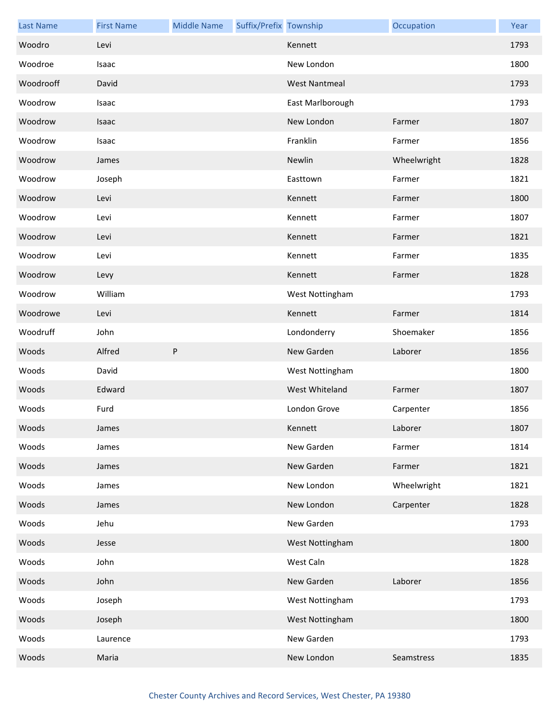| <b>Last Name</b> | <b>First Name</b> | <b>Middle Name</b> | Suffix/Prefix Township |                      | Occupation  | Year |
|------------------|-------------------|--------------------|------------------------|----------------------|-------------|------|
| Woodro           | Levi              |                    |                        | Kennett              |             | 1793 |
| Woodroe          | Isaac             |                    |                        | New London           |             | 1800 |
| Woodrooff        | David             |                    |                        | <b>West Nantmeal</b> |             | 1793 |
| Woodrow          | Isaac             |                    |                        | East Marlborough     |             | 1793 |
| Woodrow          | Isaac             |                    |                        | New London           | Farmer      | 1807 |
| Woodrow          | Isaac             |                    |                        | Franklin             | Farmer      | 1856 |
| Woodrow          | James             |                    |                        | Newlin               | Wheelwright | 1828 |
| Woodrow          | Joseph            |                    |                        | Easttown             | Farmer      | 1821 |
| Woodrow          | Levi              |                    |                        | Kennett              | Farmer      | 1800 |
| Woodrow          | Levi              |                    |                        | Kennett              | Farmer      | 1807 |
| Woodrow          | Levi              |                    |                        | Kennett              | Farmer      | 1821 |
| Woodrow          | Levi              |                    |                        | Kennett              | Farmer      | 1835 |
| Woodrow          | Levy              |                    |                        | Kennett              | Farmer      | 1828 |
| Woodrow          | William           |                    |                        | West Nottingham      |             | 1793 |
| Woodrowe         | Levi              |                    |                        | Kennett              | Farmer      | 1814 |
| Woodruff         | John              |                    |                        | Londonderry          | Shoemaker   | 1856 |
| Woods            | Alfred            | P                  |                        | New Garden           | Laborer     | 1856 |
| Woods            | David             |                    |                        | West Nottingham      |             | 1800 |
| Woods            | Edward            |                    |                        | West Whiteland       | Farmer      | 1807 |
| Woods            | Furd              |                    |                        | London Grove         | Carpenter   | 1856 |
| Woods            | James             |                    |                        | Kennett              | Laborer     | 1807 |
| Woods            | James             |                    |                        | New Garden           | Farmer      | 1814 |
| Woods            | James             |                    |                        | New Garden           | Farmer      | 1821 |
| Woods            | James             |                    |                        | New London           | Wheelwright | 1821 |
| Woods            | James             |                    |                        | New London           | Carpenter   | 1828 |
| Woods            | Jehu              |                    |                        | New Garden           |             | 1793 |
| Woods            | Jesse             |                    |                        | West Nottingham      |             | 1800 |
| Woods            | John              |                    |                        | West Caln            |             | 1828 |
| Woods            | John              |                    |                        | New Garden           | Laborer     | 1856 |
| Woods            | Joseph            |                    |                        | West Nottingham      |             | 1793 |
| Woods            | Joseph            |                    |                        | West Nottingham      |             | 1800 |
| Woods            | Laurence          |                    |                        | New Garden           |             | 1793 |
| Woods            | Maria             |                    |                        | New London           | Seamstress  | 1835 |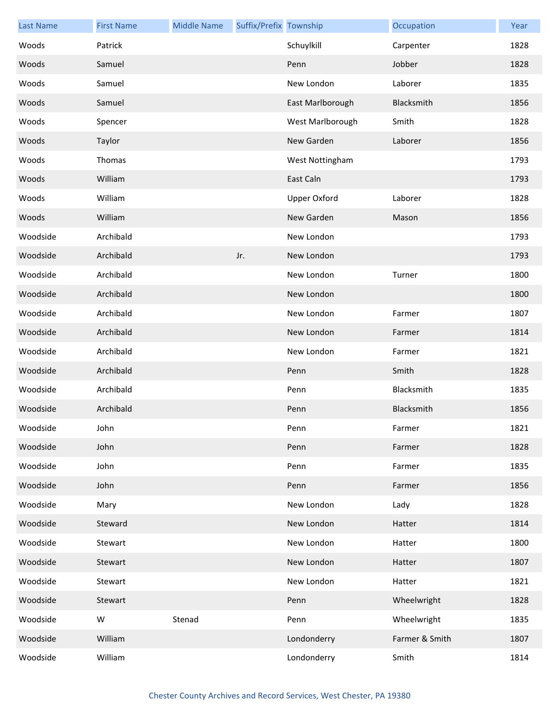| <b>Last Name</b> | <b>First Name</b> | <b>Middle Name</b> | Suffix/Prefix Township |                     | Occupation     | Year |
|------------------|-------------------|--------------------|------------------------|---------------------|----------------|------|
| Woods            | Patrick           |                    |                        | Schuylkill          | Carpenter      | 1828 |
| Woods            | Samuel            |                    |                        | Penn                | Jobber         | 1828 |
| Woods            | Samuel            |                    |                        | New London          | Laborer        | 1835 |
| Woods            | Samuel            |                    |                        | East Marlborough    | Blacksmith     | 1856 |
| Woods            | Spencer           |                    |                        | West Marlborough    | Smith          | 1828 |
| Woods            | Taylor            |                    |                        | New Garden          | Laborer        | 1856 |
| Woods            | Thomas            |                    |                        | West Nottingham     |                | 1793 |
| Woods            | William           |                    |                        | East Caln           |                | 1793 |
| Woods            | William           |                    |                        | <b>Upper Oxford</b> | Laborer        | 1828 |
| Woods            | William           |                    |                        | New Garden          | Mason          | 1856 |
| Woodside         | Archibald         |                    |                        | New London          |                | 1793 |
| Woodside         | Archibald         |                    | Jr.                    | New London          |                | 1793 |
| Woodside         | Archibald         |                    |                        | New London          | Turner         | 1800 |
| Woodside         | Archibald         |                    |                        | New London          |                | 1800 |
| Woodside         | Archibald         |                    |                        | New London          | Farmer         | 1807 |
| Woodside         | Archibald         |                    |                        | New London          | Farmer         | 1814 |
| Woodside         | Archibald         |                    |                        | New London          | Farmer         | 1821 |
| Woodside         | Archibald         |                    |                        | Penn                | Smith          | 1828 |
| Woodside         | Archibald         |                    |                        | Penn                | Blacksmith     | 1835 |
| Woodside         | Archibald         |                    |                        | Penn                | Blacksmith     | 1856 |
| Woodside         | John              |                    |                        | Penn                | Farmer         | 1821 |
| Woodside         | John              |                    |                        | Penn                | Farmer         | 1828 |
| Woodside         | John              |                    |                        | Penn                | Farmer         | 1835 |
| Woodside         | John              |                    |                        | Penn                | Farmer         | 1856 |
| Woodside         | Mary              |                    |                        | New London          | Lady           | 1828 |
| Woodside         | Steward           |                    |                        | New London          | Hatter         | 1814 |
| Woodside         | Stewart           |                    |                        | New London          | Hatter         | 1800 |
| Woodside         | Stewart           |                    |                        | New London          | Hatter         | 1807 |
| Woodside         | Stewart           |                    |                        | New London          | Hatter         | 1821 |
| Woodside         | Stewart           |                    |                        | Penn                | Wheelwright    | 1828 |
| Woodside         | W                 | Stenad             |                        | Penn                | Wheelwright    | 1835 |
| Woodside         | William           |                    |                        | Londonderry         | Farmer & Smith | 1807 |
| Woodside         | William           |                    |                        | Londonderry         | Smith          | 1814 |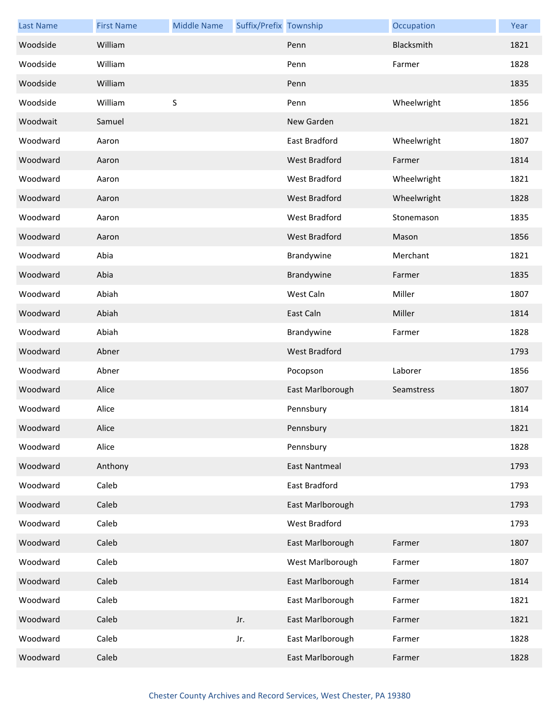| <b>Last Name</b> | <b>First Name</b> | <b>Middle Name</b> | Suffix/Prefix Township |                      | Occupation  | Year |
|------------------|-------------------|--------------------|------------------------|----------------------|-------------|------|
| Woodside         | William           |                    |                        | Penn                 | Blacksmith  | 1821 |
| Woodside         | William           |                    |                        | Penn                 | Farmer      | 1828 |
| Woodside         | William           |                    |                        | Penn                 |             | 1835 |
| Woodside         | William           | $\sf S$            |                        | Penn                 | Wheelwright | 1856 |
| Woodwait         | Samuel            |                    |                        | New Garden           |             | 1821 |
| Woodward         | Aaron             |                    |                        | East Bradford        | Wheelwright | 1807 |
| Woodward         | Aaron             |                    |                        | West Bradford        | Farmer      | 1814 |
| Woodward         | Aaron             |                    |                        | <b>West Bradford</b> | Wheelwright | 1821 |
| Woodward         | Aaron             |                    |                        | West Bradford        | Wheelwright | 1828 |
| Woodward         | Aaron             |                    |                        | <b>West Bradford</b> | Stonemason  | 1835 |
| Woodward         | Aaron             |                    |                        | West Bradford        | Mason       | 1856 |
| Woodward         | Abia              |                    |                        | Brandywine           | Merchant    | 1821 |
| Woodward         | Abia              |                    |                        | Brandywine           | Farmer      | 1835 |
| Woodward         | Abiah             |                    |                        | West Caln            | Miller      | 1807 |
| Woodward         | Abiah             |                    |                        | East Caln            | Miller      | 1814 |
| Woodward         | Abiah             |                    |                        | Brandywine           | Farmer      | 1828 |
| Woodward         | Abner             |                    |                        | West Bradford        |             | 1793 |
| Woodward         | Abner             |                    |                        | Pocopson             | Laborer     | 1856 |
| Woodward         | Alice             |                    |                        | East Marlborough     | Seamstress  | 1807 |
| Woodward         | Alice             |                    |                        | Pennsbury            |             | 1814 |
| Woodward         | Alice             |                    |                        | Pennsbury            |             | 1821 |
| Woodward         | Alice             |                    |                        | Pennsbury            |             | 1828 |
| Woodward         | Anthony           |                    |                        | <b>East Nantmeal</b> |             | 1793 |
| Woodward         | Caleb             |                    |                        | East Bradford        |             | 1793 |
| Woodward         | Caleb             |                    |                        | East Marlborough     |             | 1793 |
| Woodward         | Caleb             |                    |                        | West Bradford        |             | 1793 |
| Woodward         | Caleb             |                    |                        | East Marlborough     | Farmer      | 1807 |
| Woodward         | Caleb             |                    |                        | West Marlborough     | Farmer      | 1807 |
| Woodward         | Caleb             |                    |                        | East Marlborough     | Farmer      | 1814 |
| Woodward         | Caleb             |                    |                        | East Marlborough     | Farmer      | 1821 |
| Woodward         | Caleb             |                    | Jr.                    | East Marlborough     | Farmer      | 1821 |
| Woodward         | Caleb             |                    | Jr.                    | East Marlborough     | Farmer      | 1828 |
| Woodward         | Caleb             |                    |                        | East Marlborough     | Farmer      | 1828 |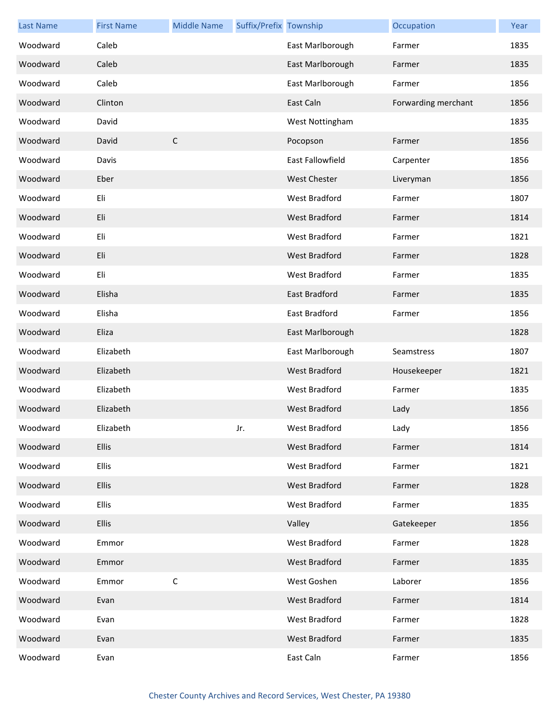| <b>Last Name</b> | <b>First Name</b> | <b>Middle Name</b> | Suffix/Prefix Township |                      | Occupation          | Year |
|------------------|-------------------|--------------------|------------------------|----------------------|---------------------|------|
| Woodward         | Caleb             |                    |                        | East Marlborough     | Farmer              | 1835 |
| Woodward         | Caleb             |                    |                        | East Marlborough     | Farmer              | 1835 |
| Woodward         | Caleb             |                    |                        | East Marlborough     | Farmer              | 1856 |
| Woodward         | Clinton           |                    |                        | East Caln            | Forwarding merchant | 1856 |
| Woodward         | David             |                    |                        | West Nottingham      |                     | 1835 |
| Woodward         | David             | $\mathsf C$        |                        | Pocopson             | Farmer              | 1856 |
| Woodward         | Davis             |                    |                        | East Fallowfield     | Carpenter           | 1856 |
| Woodward         | Eber              |                    |                        | <b>West Chester</b>  | Liveryman           | 1856 |
| Woodward         | Eli               |                    |                        | West Bradford        | Farmer              | 1807 |
| Woodward         | Eli               |                    |                        | <b>West Bradford</b> | Farmer              | 1814 |
| Woodward         | Eli               |                    |                        | <b>West Bradford</b> | Farmer              | 1821 |
| Woodward         | Eli               |                    |                        | <b>West Bradford</b> | Farmer              | 1828 |
| Woodward         | Eli               |                    |                        | West Bradford        | Farmer              | 1835 |
| Woodward         | Elisha            |                    |                        | <b>East Bradford</b> | Farmer              | 1835 |
| Woodward         | Elisha            |                    |                        | East Bradford        | Farmer              | 1856 |
| Woodward         | Eliza             |                    |                        | East Marlborough     |                     | 1828 |
| Woodward         | Elizabeth         |                    |                        | East Marlborough     | Seamstress          | 1807 |
| Woodward         | Elizabeth         |                    |                        | <b>West Bradford</b> | Housekeeper         | 1821 |
| Woodward         | Elizabeth         |                    |                        | <b>West Bradford</b> | Farmer              | 1835 |
| Woodward         | Elizabeth         |                    |                        | <b>West Bradford</b> | Lady                | 1856 |
| Woodward         | Elizabeth         |                    | Jr.                    | West Bradford        | Lady                | 1856 |
| Woodward         | Ellis             |                    |                        | West Bradford        | Farmer              | 1814 |
| Woodward         | Ellis             |                    |                        | West Bradford        | Farmer              | 1821 |
| Woodward         | Ellis             |                    |                        | West Bradford        | Farmer              | 1828 |
| Woodward         | Ellis             |                    |                        | West Bradford        | Farmer              | 1835 |
| Woodward         | Ellis             |                    |                        | Valley               | Gatekeeper          | 1856 |
| Woodward         | Emmor             |                    |                        | West Bradford        | Farmer              | 1828 |
| Woodward         | Emmor             |                    |                        | West Bradford        | Farmer              | 1835 |
| Woodward         | Emmor             | $\mathsf C$        |                        | West Goshen          | Laborer             | 1856 |
| Woodward         | Evan              |                    |                        | <b>West Bradford</b> | Farmer              | 1814 |
| Woodward         | Evan              |                    |                        | West Bradford        | Farmer              | 1828 |
| Woodward         | Evan              |                    |                        | West Bradford        | Farmer              | 1835 |
| Woodward         | Evan              |                    |                        | East Caln            | Farmer              | 1856 |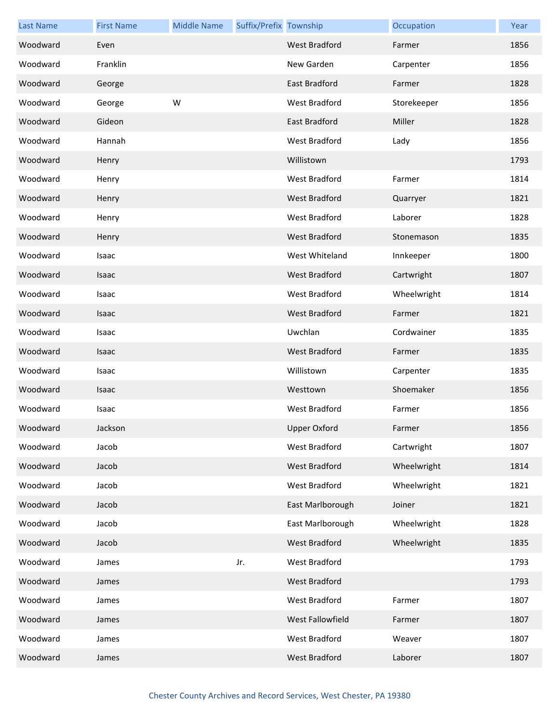| <b>Last Name</b> | <b>First Name</b> | <b>Middle Name</b> | Suffix/Prefix Township |                      | Occupation  | Year |
|------------------|-------------------|--------------------|------------------------|----------------------|-------------|------|
| Woodward         | Even              |                    |                        | <b>West Bradford</b> | Farmer      | 1856 |
| Woodward         | Franklin          |                    |                        | New Garden           | Carpenter   | 1856 |
| Woodward         | George            |                    |                        | <b>East Bradford</b> | Farmer      | 1828 |
| Woodward         | George            | W                  |                        | West Bradford        | Storekeeper | 1856 |
| Woodward         | Gideon            |                    |                        | East Bradford        | Miller      | 1828 |
| Woodward         | Hannah            |                    |                        | West Bradford        | Lady        | 1856 |
| Woodward         | Henry             |                    |                        | Willistown           |             | 1793 |
| Woodward         | Henry             |                    |                        | West Bradford        | Farmer      | 1814 |
| Woodward         | Henry             |                    |                        | <b>West Bradford</b> | Quarryer    | 1821 |
| Woodward         | Henry             |                    |                        | West Bradford        | Laborer     | 1828 |
| Woodward         | Henry             |                    |                        | <b>West Bradford</b> | Stonemason  | 1835 |
| Woodward         | Isaac             |                    |                        | West Whiteland       | Innkeeper   | 1800 |
| Woodward         | Isaac             |                    |                        | West Bradford        | Cartwright  | 1807 |
| Woodward         | Isaac             |                    |                        | <b>West Bradford</b> | Wheelwright | 1814 |
| Woodward         | Isaac             |                    |                        | <b>West Bradford</b> | Farmer      | 1821 |
| Woodward         | Isaac             |                    |                        | Uwchlan              | Cordwainer  | 1835 |
| Woodward         | Isaac             |                    |                        | <b>West Bradford</b> | Farmer      | 1835 |
| Woodward         | Isaac             |                    |                        | Willistown           | Carpenter   | 1835 |
| Woodward         | Isaac             |                    |                        | Westtown             | Shoemaker   | 1856 |
| Woodward         | Isaac             |                    |                        | West Bradford        | Farmer      | 1856 |
| Woodward         | Jackson           |                    |                        | <b>Upper Oxford</b>  | Farmer      | 1856 |
| Woodward         | Jacob             |                    |                        | West Bradford        | Cartwright  | 1807 |
| Woodward         | Jacob             |                    |                        | West Bradford        | Wheelwright | 1814 |
| Woodward         | Jacob             |                    |                        | West Bradford        | Wheelwright | 1821 |
| Woodward         | Jacob             |                    |                        | East Marlborough     | Joiner      | 1821 |
| Woodward         | Jacob             |                    |                        | East Marlborough     | Wheelwright | 1828 |
| Woodward         | Jacob             |                    |                        | <b>West Bradford</b> | Wheelwright | 1835 |
| Woodward         | James             |                    | Jr.                    | West Bradford        |             | 1793 |
| Woodward         | James             |                    |                        | West Bradford        |             | 1793 |
| Woodward         | James             |                    |                        | West Bradford        | Farmer      | 1807 |
| Woodward         | James             |                    |                        | West Fallowfield     | Farmer      | 1807 |
| Woodward         | James             |                    |                        | West Bradford        | Weaver      | 1807 |
| Woodward         | James             |                    |                        | West Bradford        | Laborer     | 1807 |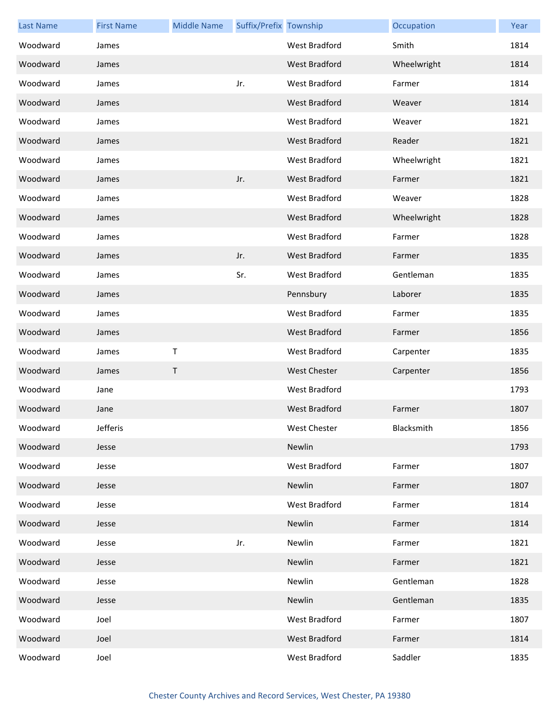| <b>Last Name</b> | <b>First Name</b> | <b>Middle Name</b> | Suffix/Prefix Township |                      | Occupation  | Year |
|------------------|-------------------|--------------------|------------------------|----------------------|-------------|------|
| Woodward         | James             |                    |                        | <b>West Bradford</b> | Smith       | 1814 |
| Woodward         | James             |                    |                        | West Bradford        | Wheelwright | 1814 |
| Woodward         | James             |                    | Jr.                    | West Bradford        | Farmer      | 1814 |
| Woodward         | James             |                    |                        | West Bradford        | Weaver      | 1814 |
| Woodward         | James             |                    |                        | West Bradford        | Weaver      | 1821 |
| Woodward         | James             |                    |                        | West Bradford        | Reader      | 1821 |
| Woodward         | James             |                    |                        | West Bradford        | Wheelwright | 1821 |
| Woodward         | James             |                    | Jr.                    | West Bradford        | Farmer      | 1821 |
| Woodward         | James             |                    |                        | West Bradford        | Weaver      | 1828 |
| Woodward         | James             |                    |                        | West Bradford        | Wheelwright | 1828 |
| Woodward         | James             |                    |                        | West Bradford        | Farmer      | 1828 |
| Woodward         | James             |                    | Jr.                    | West Bradford        | Farmer      | 1835 |
| Woodward         | James             |                    | Sr.                    | West Bradford        | Gentleman   | 1835 |
| Woodward         | James             |                    |                        | Pennsbury            | Laborer     | 1835 |
| Woodward         | James             |                    |                        | <b>West Bradford</b> | Farmer      | 1835 |
| Woodward         | James             |                    |                        | West Bradford        | Farmer      | 1856 |
| Woodward         | James             | $\sf T$            |                        | West Bradford        | Carpenter   | 1835 |
| Woodward         | James             | T                  |                        | <b>West Chester</b>  | Carpenter   | 1856 |
| Woodward         | Jane              |                    |                        | West Bradford        |             | 1793 |
| Woodward         | Jane              |                    |                        | <b>West Bradford</b> | Farmer      | 1807 |
| Woodward         | Jefferis          |                    |                        | <b>West Chester</b>  | Blacksmith  | 1856 |
| Woodward         | Jesse             |                    |                        | Newlin               |             | 1793 |
| Woodward         | Jesse             |                    |                        | West Bradford        | Farmer      | 1807 |
| Woodward         | Jesse             |                    |                        | Newlin               | Farmer      | 1807 |
| Woodward         | Jesse             |                    |                        | West Bradford        | Farmer      | 1814 |
| Woodward         | Jesse             |                    |                        | Newlin               | Farmer      | 1814 |
| Woodward         | Jesse             |                    | Jr.                    | Newlin               | Farmer      | 1821 |
| Woodward         | Jesse             |                    |                        | Newlin               | Farmer      | 1821 |
| Woodward         | Jesse             |                    |                        | Newlin               | Gentleman   | 1828 |
| Woodward         | Jesse             |                    |                        | Newlin               | Gentleman   | 1835 |
| Woodward         | Joel              |                    |                        | West Bradford        | Farmer      | 1807 |
| Woodward         | Joel              |                    |                        | <b>West Bradford</b> | Farmer      | 1814 |
| Woodward         | Joel              |                    |                        | West Bradford        | Saddler     | 1835 |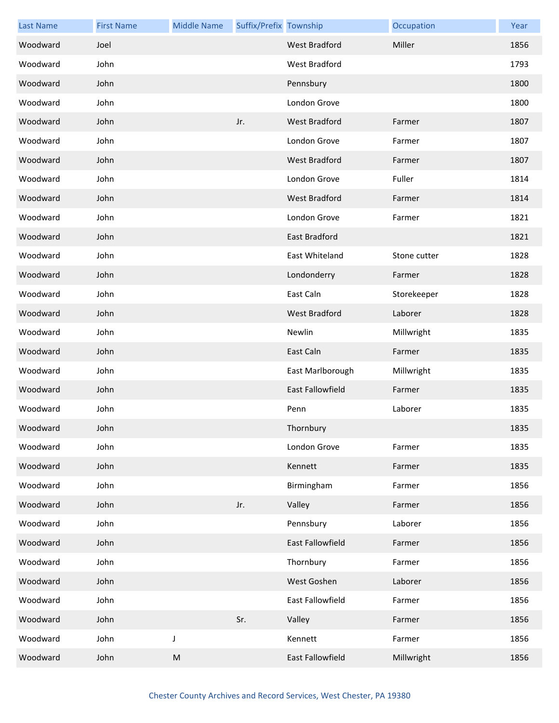| <b>Last Name</b> | <b>First Name</b> | <b>Middle Name</b> | Suffix/Prefix Township |                         | Occupation   | Year |
|------------------|-------------------|--------------------|------------------------|-------------------------|--------------|------|
| Woodward         | Joel              |                    |                        | <b>West Bradford</b>    | Miller       | 1856 |
| Woodward         | John              |                    |                        | West Bradford           |              | 1793 |
| Woodward         | John              |                    |                        | Pennsbury               |              | 1800 |
| Woodward         | John              |                    |                        | London Grove            |              | 1800 |
| Woodward         | John              |                    | Jr.                    | <b>West Bradford</b>    | Farmer       | 1807 |
| Woodward         | John              |                    |                        | London Grove            | Farmer       | 1807 |
| Woodward         | John              |                    |                        | <b>West Bradford</b>    | Farmer       | 1807 |
| Woodward         | John              |                    |                        | London Grove            | Fuller       | 1814 |
| Woodward         | John              |                    |                        | <b>West Bradford</b>    | Farmer       | 1814 |
| Woodward         | John              |                    |                        | London Grove            | Farmer       | 1821 |
| Woodward         | John              |                    |                        | East Bradford           |              | 1821 |
| Woodward         | John              |                    |                        | East Whiteland          | Stone cutter | 1828 |
| Woodward         | John              |                    |                        | Londonderry             | Farmer       | 1828 |
| Woodward         | John              |                    |                        | East Caln               | Storekeeper  | 1828 |
| Woodward         | John              |                    |                        | <b>West Bradford</b>    | Laborer      | 1828 |
| Woodward         | John              |                    |                        | Newlin                  | Millwright   | 1835 |
| Woodward         | John              |                    |                        | East Caln               | Farmer       | 1835 |
| Woodward         | John              |                    |                        | East Marlborough        | Millwright   | 1835 |
| Woodward         | John              |                    |                        | <b>East Fallowfield</b> | Farmer       | 1835 |
| Woodward         | John              |                    |                        | Penn                    | Laborer      | 1835 |
| Woodward         | John              |                    |                        | Thornbury               |              | 1835 |
| Woodward         | John              |                    |                        | London Grove            | Farmer       | 1835 |
| Woodward         | John              |                    |                        | Kennett                 | Farmer       | 1835 |
| Woodward         | John              |                    |                        | Birmingham              | Farmer       | 1856 |
| Woodward         | John              |                    | Jr.                    | Valley                  | Farmer       | 1856 |
| Woodward         | John              |                    |                        | Pennsbury               | Laborer      | 1856 |
| Woodward         | John              |                    |                        | East Fallowfield        | Farmer       | 1856 |
| Woodward         | John              |                    |                        | Thornbury               | Farmer       | 1856 |
| Woodward         | John              |                    |                        | West Goshen             | Laborer      | 1856 |
| Woodward         | John              |                    |                        | East Fallowfield        | Farmer       | 1856 |
| Woodward         | John              |                    | Sr.                    | Valley                  | Farmer       | 1856 |
| Woodward         | John              | J                  |                        | Kennett                 | Farmer       | 1856 |
| Woodward         | John              | M                  |                        | East Fallowfield        | Millwright   | 1856 |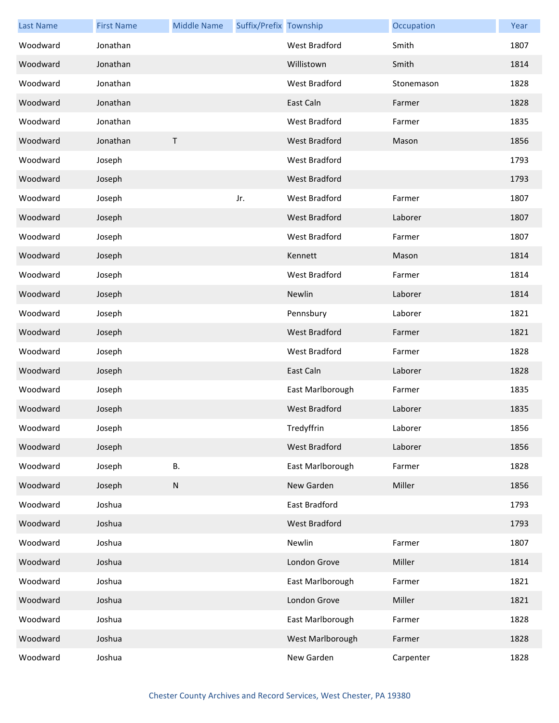| <b>Last Name</b> | <b>First Name</b> | <b>Middle Name</b> | Suffix/Prefix Township |                      | Occupation | Year |
|------------------|-------------------|--------------------|------------------------|----------------------|------------|------|
| Woodward         | Jonathan          |                    |                        | West Bradford        | Smith      | 1807 |
| Woodward         | Jonathan          |                    |                        | Willistown           | Smith      | 1814 |
| Woodward         | Jonathan          |                    |                        | West Bradford        | Stonemason | 1828 |
| Woodward         | Jonathan          |                    |                        | East Caln            | Farmer     | 1828 |
| Woodward         | Jonathan          |                    |                        | West Bradford        | Farmer     | 1835 |
| Woodward         | Jonathan          | $\mathsf T$        |                        | <b>West Bradford</b> | Mason      | 1856 |
| Woodward         | Joseph            |                    |                        | <b>West Bradford</b> |            | 1793 |
| Woodward         | Joseph            |                    |                        | <b>West Bradford</b> |            | 1793 |
| Woodward         | Joseph            |                    | Jr.                    | <b>West Bradford</b> | Farmer     | 1807 |
| Woodward         | Joseph            |                    |                        | <b>West Bradford</b> | Laborer    | 1807 |
| Woodward         | Joseph            |                    |                        | West Bradford        | Farmer     | 1807 |
| Woodward         | Joseph            |                    |                        | Kennett              | Mason      | 1814 |
| Woodward         | Joseph            |                    |                        | West Bradford        | Farmer     | 1814 |
| Woodward         | Joseph            |                    |                        | Newlin               | Laborer    | 1814 |
| Woodward         | Joseph            |                    |                        | Pennsbury            | Laborer    | 1821 |
| Woodward         | Joseph            |                    |                        | <b>West Bradford</b> | Farmer     | 1821 |
| Woodward         | Joseph            |                    |                        | West Bradford        | Farmer     | 1828 |
| Woodward         | Joseph            |                    |                        | East Caln            | Laborer    | 1828 |
| Woodward         | Joseph            |                    |                        | East Marlborough     | Farmer     | 1835 |
| Woodward         | Joseph            |                    |                        | <b>West Bradford</b> | Laborer    | 1835 |
| Woodward         | Joseph            |                    |                        | Tredyffrin           | Laborer    | 1856 |
| Woodward         | Joseph            |                    |                        | <b>West Bradford</b> | Laborer    | 1856 |
| Woodward         | Joseph            | В.                 |                        | East Marlborough     | Farmer     | 1828 |
| Woodward         | Joseph            | ${\sf N}$          |                        | New Garden           | Miller     | 1856 |
| Woodward         | Joshua            |                    |                        | East Bradford        |            | 1793 |
| Woodward         | Joshua            |                    |                        | <b>West Bradford</b> |            | 1793 |
| Woodward         | Joshua            |                    |                        | Newlin               | Farmer     | 1807 |
| Woodward         | Joshua            |                    |                        | London Grove         | Miller     | 1814 |
| Woodward         | Joshua            |                    |                        | East Marlborough     | Farmer     | 1821 |
| Woodward         | Joshua            |                    |                        | London Grove         | Miller     | 1821 |
| Woodward         | Joshua            |                    |                        | East Marlborough     | Farmer     | 1828 |
| Woodward         | Joshua            |                    |                        | West Marlborough     | Farmer     | 1828 |
| Woodward         | Joshua            |                    |                        | New Garden           | Carpenter  | 1828 |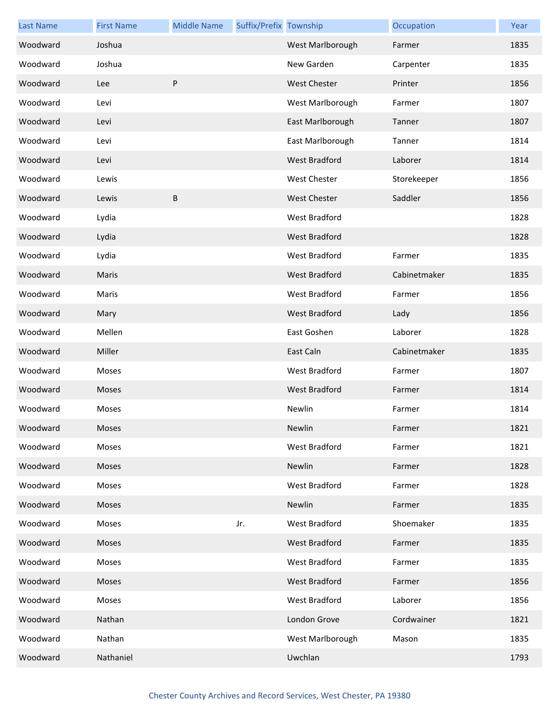| <b>Last Name</b> | <b>First Name</b> | <b>Middle Name</b> | Suffix/Prefix Township |                      | Occupation   | Year |
|------------------|-------------------|--------------------|------------------------|----------------------|--------------|------|
| Woodward         | Joshua            |                    |                        | West Marlborough     | Farmer       | 1835 |
| Woodward         | Joshua            |                    |                        | New Garden           | Carpenter    | 1835 |
| Woodward         | Lee               | P                  |                        | <b>West Chester</b>  | Printer      | 1856 |
| Woodward         | Levi              |                    |                        | West Marlborough     | Farmer       | 1807 |
| Woodward         | Levi              |                    |                        | East Marlborough     | Tanner       | 1807 |
| Woodward         | Levi              |                    |                        | East Marlborough     | Tanner       | 1814 |
| Woodward         | Levi              |                    |                        | <b>West Bradford</b> | Laborer      | 1814 |
| Woodward         | Lewis             |                    |                        | <b>West Chester</b>  | Storekeeper  | 1856 |
| Woodward         | Lewis             | B                  |                        | <b>West Chester</b>  | Saddler      | 1856 |
| Woodward         | Lydia             |                    |                        | <b>West Bradford</b> |              | 1828 |
| Woodward         | Lydia             |                    |                        | <b>West Bradford</b> |              | 1828 |
| Woodward         | Lydia             |                    |                        | West Bradford        | Farmer       | 1835 |
| Woodward         | Maris             |                    |                        | West Bradford        | Cabinetmaker | 1835 |
| Woodward         | Maris             |                    |                        | <b>West Bradford</b> | Farmer       | 1856 |
| Woodward         | Mary              |                    |                        | <b>West Bradford</b> | Lady         | 1856 |
| Woodward         | Mellen            |                    |                        | East Goshen          | Laborer      | 1828 |
| Woodward         | Miller            |                    |                        | East Caln            | Cabinetmaker | 1835 |
| Woodward         | Moses             |                    |                        | West Bradford        | Farmer       | 1807 |
| Woodward         | Moses             |                    |                        | <b>West Bradford</b> | Farmer       | 1814 |
| Woodward         | Moses             |                    |                        | Newlin               | Farmer       | 1814 |
| Woodward         | Moses             |                    |                        | Newlin               | Farmer       | 1821 |
| Woodward         | Moses             |                    |                        | West Bradford        | Farmer       | 1821 |
| Woodward         | Moses             |                    |                        | Newlin               | Farmer       | 1828 |
| Woodward         | Moses             |                    |                        | <b>West Bradford</b> | Farmer       | 1828 |
| Woodward         | Moses             |                    |                        | Newlin               | Farmer       | 1835 |
| Woodward         | Moses             |                    | Jr.                    | West Bradford        | Shoemaker    | 1835 |
| Woodward         | Moses             |                    |                        | West Bradford        | Farmer       | 1835 |
| Woodward         | Moses             |                    |                        | West Bradford        | Farmer       | 1835 |
| Woodward         | Moses             |                    |                        | West Bradford        | Farmer       | 1856 |
| Woodward         | Moses             |                    |                        | West Bradford        | Laborer      | 1856 |
| Woodward         | Nathan            |                    |                        | London Grove         | Cordwainer   | 1821 |
| Woodward         | Nathan            |                    |                        | West Marlborough     | Mason        | 1835 |
| Woodward         | Nathaniel         |                    |                        | Uwchlan              |              | 1793 |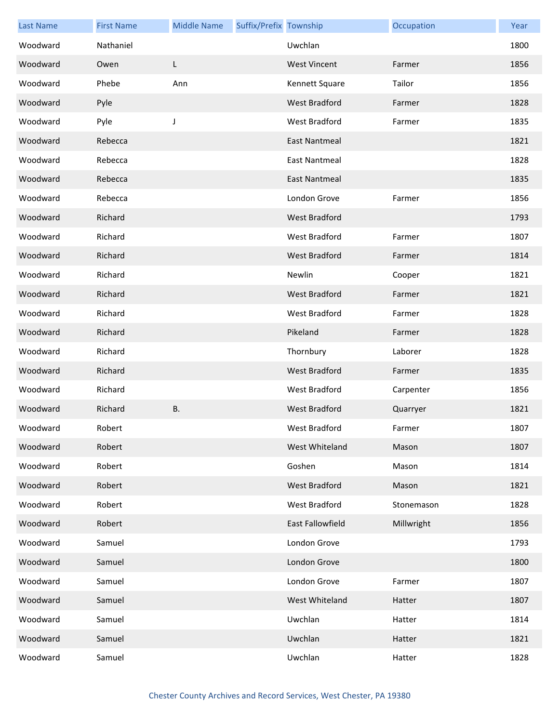| <b>Last Name</b> | <b>First Name</b> | <b>Middle Name</b> | Suffix/Prefix Township |                      | Occupation | Year |
|------------------|-------------------|--------------------|------------------------|----------------------|------------|------|
| Woodward         | Nathaniel         |                    |                        | Uwchlan              |            | 1800 |
| Woodward         | Owen              | L                  |                        | <b>West Vincent</b>  | Farmer     | 1856 |
| Woodward         | Phebe             | Ann                |                        | Kennett Square       | Tailor     | 1856 |
| Woodward         | Pyle              |                    |                        | <b>West Bradford</b> | Farmer     | 1828 |
| Woodward         | Pyle              | J                  |                        | West Bradford        | Farmer     | 1835 |
| Woodward         | Rebecca           |                    |                        | <b>East Nantmeal</b> |            | 1821 |
| Woodward         | Rebecca           |                    |                        | <b>East Nantmeal</b> |            | 1828 |
| Woodward         | Rebecca           |                    |                        | East Nantmeal        |            | 1835 |
| Woodward         | Rebecca           |                    |                        | London Grove         | Farmer     | 1856 |
| Woodward         | Richard           |                    |                        | <b>West Bradford</b> |            | 1793 |
| Woodward         | Richard           |                    |                        | <b>West Bradford</b> | Farmer     | 1807 |
| Woodward         | Richard           |                    |                        | <b>West Bradford</b> | Farmer     | 1814 |
| Woodward         | Richard           |                    |                        | Newlin               | Cooper     | 1821 |
| Woodward         | Richard           |                    |                        | <b>West Bradford</b> | Farmer     | 1821 |
| Woodward         | Richard           |                    |                        | West Bradford        | Farmer     | 1828 |
| Woodward         | Richard           |                    |                        | Pikeland             | Farmer     | 1828 |
| Woodward         | Richard           |                    |                        | Thornbury            | Laborer    | 1828 |
| Woodward         | Richard           |                    |                        | <b>West Bradford</b> | Farmer     | 1835 |
| Woodward         | Richard           |                    |                        | West Bradford        | Carpenter  | 1856 |
| Woodward         | Richard           | B.                 |                        | <b>West Bradford</b> | Quarryer   | 1821 |
| Woodward         | Robert            |                    |                        | West Bradford        | Farmer     | 1807 |
| Woodward         | Robert            |                    |                        | West Whiteland       | Mason      | 1807 |
| Woodward         | Robert            |                    |                        | Goshen               | Mason      | 1814 |
| Woodward         | Robert            |                    |                        | West Bradford        | Mason      | 1821 |
| Woodward         | Robert            |                    |                        | West Bradford        | Stonemason | 1828 |
| Woodward         | Robert            |                    |                        | East Fallowfield     | Millwright | 1856 |
| Woodward         | Samuel            |                    |                        | London Grove         |            | 1793 |
| Woodward         | Samuel            |                    |                        | London Grove         |            | 1800 |
| Woodward         | Samuel            |                    |                        | London Grove         | Farmer     | 1807 |
| Woodward         | Samuel            |                    |                        | West Whiteland       | Hatter     | 1807 |
| Woodward         | Samuel            |                    |                        | Uwchlan              | Hatter     | 1814 |
| Woodward         | Samuel            |                    |                        | Uwchlan              | Hatter     | 1821 |
| Woodward         | Samuel            |                    |                        | Uwchlan              | Hatter     | 1828 |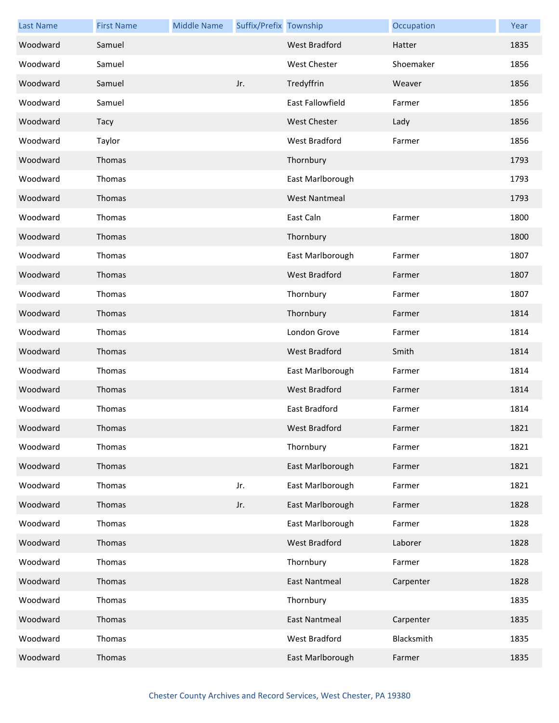| <b>Last Name</b> | <b>First Name</b> | <b>Middle Name</b> | Suffix/Prefix Township |                      | Occupation | Year |
|------------------|-------------------|--------------------|------------------------|----------------------|------------|------|
| Woodward         | Samuel            |                    |                        | <b>West Bradford</b> | Hatter     | 1835 |
| Woodward         | Samuel            |                    |                        | <b>West Chester</b>  | Shoemaker  | 1856 |
| Woodward         | Samuel            |                    | Jr.                    | Tredyffrin           | Weaver     | 1856 |
| Woodward         | Samuel            |                    |                        | East Fallowfield     | Farmer     | 1856 |
| Woodward         | Tacy              |                    |                        | <b>West Chester</b>  | Lady       | 1856 |
| Woodward         | Taylor            |                    |                        | West Bradford        | Farmer     | 1856 |
| Woodward         | Thomas            |                    |                        | Thornbury            |            | 1793 |
| Woodward         | Thomas            |                    |                        | East Marlborough     |            | 1793 |
| Woodward         | Thomas            |                    |                        | <b>West Nantmeal</b> |            | 1793 |
| Woodward         | Thomas            |                    |                        | East Caln            | Farmer     | 1800 |
| Woodward         | Thomas            |                    |                        | Thornbury            |            | 1800 |
| Woodward         | Thomas            |                    |                        | East Marlborough     | Farmer     | 1807 |
| Woodward         | Thomas            |                    |                        | <b>West Bradford</b> | Farmer     | 1807 |
| Woodward         | Thomas            |                    |                        | Thornbury            | Farmer     | 1807 |
| Woodward         | Thomas            |                    |                        | Thornbury            | Farmer     | 1814 |
| Woodward         | Thomas            |                    |                        | London Grove         | Farmer     | 1814 |
| Woodward         | Thomas            |                    |                        | <b>West Bradford</b> | Smith      | 1814 |
| Woodward         | Thomas            |                    |                        | East Marlborough     | Farmer     | 1814 |
| Woodward         | Thomas            |                    |                        | <b>West Bradford</b> | Farmer     | 1814 |
| Woodward         | Thomas            |                    |                        | East Bradford        | Farmer     | 1814 |
| Woodward         | <b>Thomas</b>     |                    |                        | <b>West Bradford</b> | Farmer     | 1821 |
| Woodward         | Thomas            |                    |                        | Thornbury            | Farmer     | 1821 |
| Woodward         | Thomas            |                    |                        | East Marlborough     | Farmer     | 1821 |
| Woodward         | Thomas            |                    | Jr.                    | East Marlborough     | Farmer     | 1821 |
| Woodward         | Thomas            |                    | Jr.                    | East Marlborough     | Farmer     | 1828 |
| Woodward         | Thomas            |                    |                        | East Marlborough     | Farmer     | 1828 |
| Woodward         | Thomas            |                    |                        | West Bradford        | Laborer    | 1828 |
| Woodward         | Thomas            |                    |                        | Thornbury            | Farmer     | 1828 |
| Woodward         | Thomas            |                    |                        | <b>East Nantmeal</b> | Carpenter  | 1828 |
| Woodward         | Thomas            |                    |                        | Thornbury            |            | 1835 |
| Woodward         | Thomas            |                    |                        | <b>East Nantmeal</b> | Carpenter  | 1835 |
| Woodward         | Thomas            |                    |                        | West Bradford        | Blacksmith | 1835 |
| Woodward         | Thomas            |                    |                        | East Marlborough     | Farmer     | 1835 |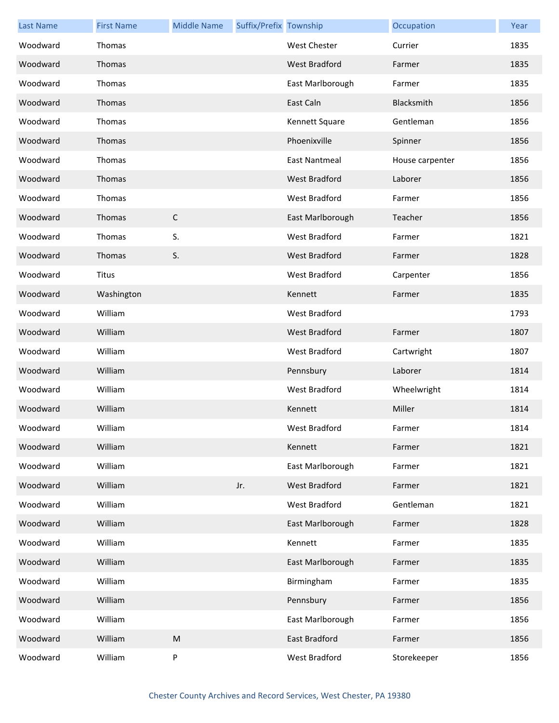| <b>Last Name</b> | <b>First Name</b> | <b>Middle Name</b> | Suffix/Prefix Township |                      | Occupation      | Year |
|------------------|-------------------|--------------------|------------------------|----------------------|-----------------|------|
| Woodward         | Thomas            |                    |                        | <b>West Chester</b>  | Currier         | 1835 |
| Woodward         | Thomas            |                    |                        | <b>West Bradford</b> | Farmer          | 1835 |
| Woodward         | Thomas            |                    |                        | East Marlborough     | Farmer          | 1835 |
| Woodward         | Thomas            |                    |                        | East Caln            | Blacksmith      | 1856 |
| Woodward         | Thomas            |                    |                        | Kennett Square       | Gentleman       | 1856 |
| Woodward         | Thomas            |                    |                        | Phoenixville         | Spinner         | 1856 |
| Woodward         | Thomas            |                    |                        | East Nantmeal        | House carpenter | 1856 |
| Woodward         | Thomas            |                    |                        | West Bradford        | Laborer         | 1856 |
| Woodward         | Thomas            |                    |                        | West Bradford        | Farmer          | 1856 |
| Woodward         | Thomas            | $\mathsf C$        |                        | East Marlborough     | Teacher         | 1856 |
| Woodward         | Thomas            | S.                 |                        | <b>West Bradford</b> | Farmer          | 1821 |
| Woodward         | Thomas            | S.                 |                        | <b>West Bradford</b> | Farmer          | 1828 |
| Woodward         | Titus             |                    |                        | <b>West Bradford</b> | Carpenter       | 1856 |
| Woodward         | Washington        |                    |                        | Kennett              | Farmer          | 1835 |
| Woodward         | William           |                    |                        | West Bradford        |                 | 1793 |
| Woodward         | William           |                    |                        | West Bradford        | Farmer          | 1807 |
| Woodward         | William           |                    |                        | West Bradford        | Cartwright      | 1807 |
| Woodward         | William           |                    |                        | Pennsbury            | Laborer         | 1814 |
| Woodward         | William           |                    |                        | West Bradford        | Wheelwright     | 1814 |
| Woodward         | William           |                    |                        | Kennett              | Miller          | 1814 |
| Woodward         | William           |                    |                        | West Bradford        | Farmer          | 1814 |
| Woodward         | William           |                    |                        | Kennett              | Farmer          | 1821 |
| Woodward         | William           |                    |                        | East Marlborough     | Farmer          | 1821 |
| Woodward         | William           |                    | Jr.                    | <b>West Bradford</b> | Farmer          | 1821 |
| Woodward         | William           |                    |                        | West Bradford        | Gentleman       | 1821 |
| Woodward         | William           |                    |                        | East Marlborough     | Farmer          | 1828 |
| Woodward         | William           |                    |                        | Kennett              | Farmer          | 1835 |
| Woodward         | William           |                    |                        | East Marlborough     | Farmer          | 1835 |
| Woodward         | William           |                    |                        | Birmingham           | Farmer          | 1835 |
| Woodward         | William           |                    |                        | Pennsbury            | Farmer          | 1856 |
| Woodward         | William           |                    |                        | East Marlborough     | Farmer          | 1856 |
| Woodward         | William           | ${\sf M}$          |                        | East Bradford        | Farmer          | 1856 |
| Woodward         | William           | P                  |                        | West Bradford        | Storekeeper     | 1856 |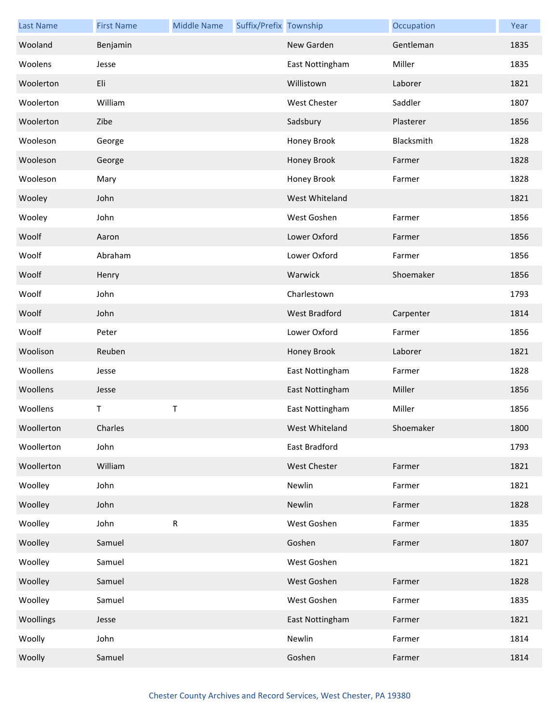| <b>Last Name</b> | <b>First Name</b> | <b>Middle Name</b> | Suffix/Prefix Township |                     | Occupation | Year |
|------------------|-------------------|--------------------|------------------------|---------------------|------------|------|
| Wooland          | Benjamin          |                    |                        | New Garden          | Gentleman  | 1835 |
| Woolens          | Jesse             |                    |                        | East Nottingham     | Miller     | 1835 |
| Woolerton        | Eli               |                    |                        | Willistown          | Laborer    | 1821 |
| Woolerton        | William           |                    |                        | <b>West Chester</b> | Saddler    | 1807 |
| Woolerton        | Zibe              |                    |                        | Sadsbury            | Plasterer  | 1856 |
| Wooleson         | George            |                    |                        | Honey Brook         | Blacksmith | 1828 |
| Wooleson         | George            |                    |                        | Honey Brook         | Farmer     | 1828 |
| Wooleson         | Mary              |                    |                        | Honey Brook         | Farmer     | 1828 |
| Wooley           | John              |                    |                        | West Whiteland      |            | 1821 |
| Wooley           | John              |                    |                        | West Goshen         | Farmer     | 1856 |
| Woolf            | Aaron             |                    |                        | Lower Oxford        | Farmer     | 1856 |
| Woolf            | Abraham           |                    |                        | Lower Oxford        | Farmer     | 1856 |
| Woolf            | Henry             |                    |                        | Warwick             | Shoemaker  | 1856 |
| Woolf            | John              |                    |                        | Charlestown         |            | 1793 |
| Woolf            | John              |                    |                        | West Bradford       | Carpenter  | 1814 |
| Woolf            | Peter             |                    |                        | Lower Oxford        | Farmer     | 1856 |
| Woolison         | Reuben            |                    |                        | Honey Brook         | Laborer    | 1821 |
| Woollens         | Jesse             |                    |                        | East Nottingham     | Farmer     | 1828 |
| Woollens         | Jesse             |                    |                        | East Nottingham     | Miller     | 1856 |
| Woollens         | т                 | $\sf T$            |                        | East Nottingham     | Miller     | 1856 |
| Woollerton       | Charles           |                    |                        | West Whiteland      | Shoemaker  | 1800 |
| Woollerton       | John              |                    |                        | East Bradford       |            | 1793 |
| Woollerton       | William           |                    |                        | West Chester        | Farmer     | 1821 |
| Woolley          | John              |                    |                        | Newlin              | Farmer     | 1821 |
| Woolley          | John              |                    |                        | Newlin              | Farmer     | 1828 |
| Woolley          | John              | ${\sf R}$          |                        | West Goshen         | Farmer     | 1835 |
| Woolley          | Samuel            |                    |                        | Goshen              | Farmer     | 1807 |
| Woolley          | Samuel            |                    |                        | West Goshen         |            | 1821 |
| Woolley          | Samuel            |                    |                        | West Goshen         | Farmer     | 1828 |
| Woolley          | Samuel            |                    |                        | West Goshen         | Farmer     | 1835 |
| Woollings        | Jesse             |                    |                        | East Nottingham     | Farmer     | 1821 |
| Woolly           | John              |                    |                        | Newlin              | Farmer     | 1814 |
| Woolly           | Samuel            |                    |                        | Goshen              | Farmer     | 1814 |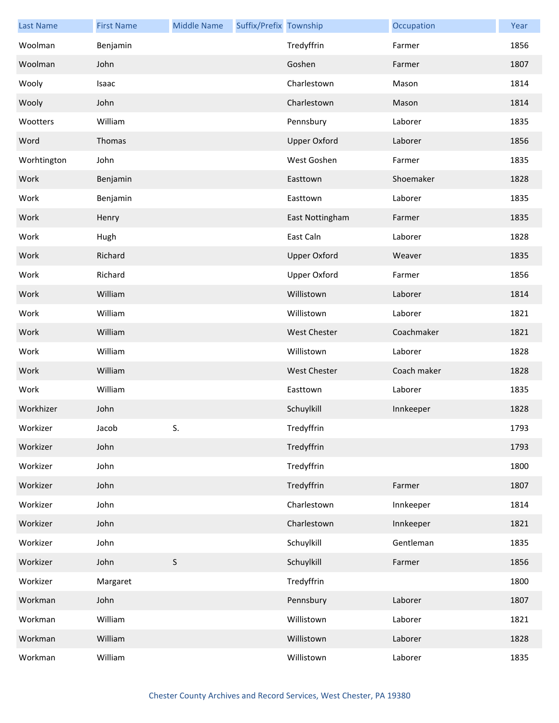| <b>Last Name</b> | <b>First Name</b> | <b>Middle Name</b> | Suffix/Prefix Township |                     | Occupation  | Year |
|------------------|-------------------|--------------------|------------------------|---------------------|-------------|------|
| Woolman          | Benjamin          |                    |                        | Tredyffrin          | Farmer      | 1856 |
| Woolman          | John              |                    |                        | Goshen              | Farmer      | 1807 |
| Wooly            | Isaac             |                    |                        | Charlestown         | Mason       | 1814 |
| Wooly            | John              |                    |                        | Charlestown         | Mason       | 1814 |
| Wootters         | William           |                    |                        | Pennsbury           | Laborer     | 1835 |
| Word             | Thomas            |                    |                        | <b>Upper Oxford</b> | Laborer     | 1856 |
| Worhtington      | John              |                    |                        | West Goshen         | Farmer      | 1835 |
| Work             | Benjamin          |                    |                        | Easttown            | Shoemaker   | 1828 |
| Work             | Benjamin          |                    |                        | Easttown            | Laborer     | 1835 |
| Work             | Henry             |                    |                        | East Nottingham     | Farmer      | 1835 |
| Work             | Hugh              |                    |                        | East Caln           | Laborer     | 1828 |
| Work             | Richard           |                    |                        | <b>Upper Oxford</b> | Weaver      | 1835 |
| Work             | Richard           |                    |                        | <b>Upper Oxford</b> | Farmer      | 1856 |
| Work             | William           |                    |                        | Willistown          | Laborer     | 1814 |
| Work             | William           |                    |                        | Willistown          | Laborer     | 1821 |
| Work             | William           |                    |                        | <b>West Chester</b> | Coachmaker  | 1821 |
| Work             | William           |                    |                        | Willistown          | Laborer     | 1828 |
| Work             | William           |                    |                        | <b>West Chester</b> | Coach maker | 1828 |
| Work             | William           |                    |                        | Easttown            | Laborer     | 1835 |
| Workhizer        | John              |                    |                        | Schuylkill          | Innkeeper   | 1828 |
| Workizer         | Jacob             | S.                 |                        | Tredyffrin          |             | 1793 |
| Workizer         | John              |                    |                        | Tredyffrin          |             | 1793 |
| Workizer         | John              |                    |                        | Tredyffrin          |             | 1800 |
| Workizer         | John              |                    |                        | Tredyffrin          | Farmer      | 1807 |
| Workizer         | John              |                    |                        | Charlestown         | Innkeeper   | 1814 |
| Workizer         | John              |                    |                        | Charlestown         | Innkeeper   | 1821 |
| Workizer         | John              |                    |                        | Schuylkill          | Gentleman   | 1835 |
| Workizer         | John              | $\mathsf S$        |                        | Schuylkill          | Farmer      | 1856 |
| Workizer         | Margaret          |                    |                        | Tredyffrin          |             | 1800 |
| Workman          | John              |                    |                        | Pennsbury           | Laborer     | 1807 |
| Workman          | William           |                    |                        | Willistown          | Laborer     | 1821 |
| Workman          | William           |                    |                        | Willistown          | Laborer     | 1828 |
| Workman          | William           |                    |                        | Willistown          | Laborer     | 1835 |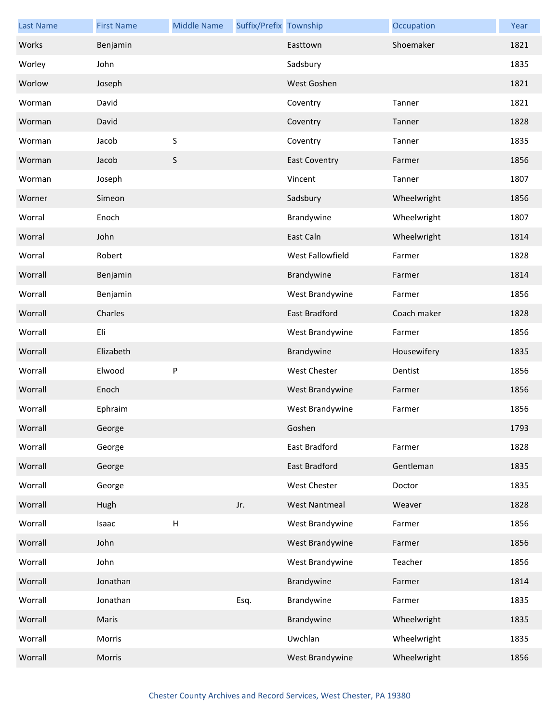| <b>Last Name</b> | <b>First Name</b> | <b>Middle Name</b> | Suffix/Prefix Township |                      | Occupation  | Year |
|------------------|-------------------|--------------------|------------------------|----------------------|-------------|------|
| Works            | Benjamin          |                    |                        | Easttown             | Shoemaker   | 1821 |
| Worley           | John              |                    |                        | Sadsbury             |             | 1835 |
| Worlow           | Joseph            |                    |                        | West Goshen          |             | 1821 |
| Worman           | David             |                    |                        | Coventry             | Tanner      | 1821 |
| Worman           | David             |                    |                        | Coventry             | Tanner      | 1828 |
| Worman           | Jacob             | S                  |                        | Coventry             | Tanner      | 1835 |
| Worman           | Jacob             | S                  |                        | <b>East Coventry</b> | Farmer      | 1856 |
| Worman           | Joseph            |                    |                        | Vincent              | Tanner      | 1807 |
| Worner           | Simeon            |                    |                        | Sadsbury             | Wheelwright | 1856 |
| Worral           | Enoch             |                    |                        | Brandywine           | Wheelwright | 1807 |
| Worral           | John              |                    |                        | East Caln            | Wheelwright | 1814 |
| Worral           | Robert            |                    |                        | West Fallowfield     | Farmer      | 1828 |
| Worrall          | Benjamin          |                    |                        | Brandywine           | Farmer      | 1814 |
| Worrall          | Benjamin          |                    |                        | West Brandywine      | Farmer      | 1856 |
| Worrall          | Charles           |                    |                        | East Bradford        | Coach maker | 1828 |
| Worrall          | Eli               |                    |                        | West Brandywine      | Farmer      | 1856 |
| Worrall          | Elizabeth         |                    |                        | Brandywine           | Housewifery | 1835 |
| Worrall          | Elwood            | P                  |                        | <b>West Chester</b>  | Dentist     | 1856 |
| Worrall          | Enoch             |                    |                        | West Brandywine      | Farmer      | 1856 |
| Worrall          | Ephraim           |                    |                        | West Brandywine      | Farmer      | 1856 |
| Worrall          | George            |                    |                        | Goshen               |             | 1793 |
| Worrall          | George            |                    |                        | East Bradford        | Farmer      | 1828 |
| Worrall          | George            |                    |                        | East Bradford        | Gentleman   | 1835 |
| Worrall          | George            |                    |                        | West Chester         | Doctor      | 1835 |
| Worrall          | Hugh              |                    | Jr.                    | <b>West Nantmeal</b> | Weaver      | 1828 |
| Worrall          | Isaac             | $\mathsf{H}%$      |                        | West Brandywine      | Farmer      | 1856 |
| Worrall          | John              |                    |                        | West Brandywine      | Farmer      | 1856 |
| Worrall          | John              |                    |                        | West Brandywine      | Teacher     | 1856 |
| Worrall          | Jonathan          |                    |                        | Brandywine           | Farmer      | 1814 |
| Worrall          | Jonathan          |                    | Esq.                   | Brandywine           | Farmer      | 1835 |
| Worrall          | Maris             |                    |                        | Brandywine           | Wheelwright | 1835 |
| Worrall          | Morris            |                    |                        | Uwchlan              | Wheelwright | 1835 |
| Worrall          | Morris            |                    |                        | West Brandywine      | Wheelwright | 1856 |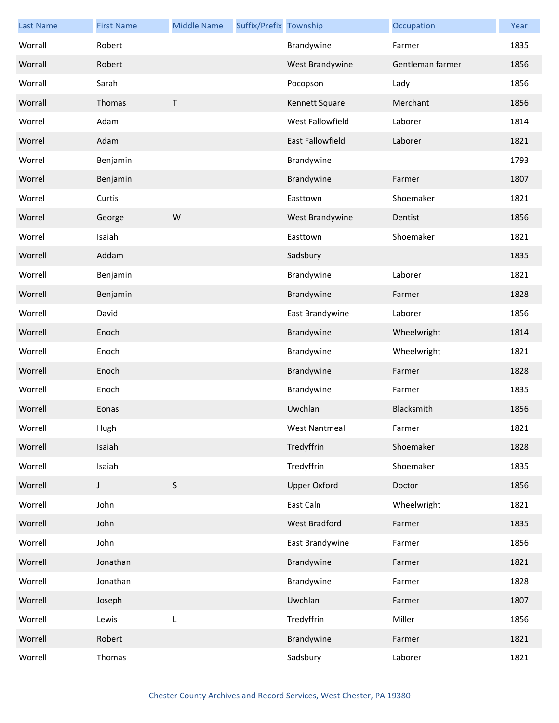| <b>Last Name</b> | <b>First Name</b> | <b>Middle Name</b> | Suffix/Prefix Township |                     | Occupation       | Year |
|------------------|-------------------|--------------------|------------------------|---------------------|------------------|------|
| Worrall          | Robert            |                    |                        | Brandywine          | Farmer           | 1835 |
| Worrall          | Robert            |                    |                        | West Brandywine     | Gentleman farmer | 1856 |
| Worrall          | Sarah             |                    |                        | Pocopson            | Lady             | 1856 |
| Worrall          | Thomas            | $\top$             |                        | Kennett Square      | Merchant         | 1856 |
| Worrel           | Adam              |                    |                        | West Fallowfield    | Laborer          | 1814 |
| Worrel           | Adam              |                    |                        | East Fallowfield    | Laborer          | 1821 |
| Worrel           | Benjamin          |                    |                        | Brandywine          |                  | 1793 |
| Worrel           | Benjamin          |                    |                        | Brandywine          | Farmer           | 1807 |
| Worrel           | Curtis            |                    |                        | Easttown            | Shoemaker        | 1821 |
| Worrel           | George            | W                  |                        | West Brandywine     | Dentist          | 1856 |
| Worrel           | Isaiah            |                    |                        | Easttown            | Shoemaker        | 1821 |
| Worrell          | Addam             |                    |                        | Sadsbury            |                  | 1835 |
| Worrell          | Benjamin          |                    |                        | Brandywine          | Laborer          | 1821 |
| Worrell          | Benjamin          |                    |                        | Brandywine          | Farmer           | 1828 |
| Worrell          | David             |                    |                        | East Brandywine     | Laborer          | 1856 |
| Worrell          | Enoch             |                    |                        | Brandywine          | Wheelwright      | 1814 |
| Worrell          | Enoch             |                    |                        | Brandywine          | Wheelwright      | 1821 |
| Worrell          | Enoch             |                    |                        | Brandywine          | Farmer           | 1828 |
| Worrell          | Enoch             |                    |                        | Brandywine          | Farmer           | 1835 |
| Worrell          | Eonas             |                    |                        | Uwchlan             | Blacksmith       | 1856 |
| Worrell          | Hugh              |                    |                        | West Nantmeal       | Farmer           | 1821 |
| Worrell          | Isaiah            |                    |                        | Tredyffrin          | Shoemaker        | 1828 |
| Worrell          | Isaiah            |                    |                        | Tredyffrin          | Shoemaker        | 1835 |
| Worrell          | J                 | $\mathsf S$        |                        | <b>Upper Oxford</b> | Doctor           | 1856 |
| Worrell          | John              |                    |                        | East Caln           | Wheelwright      | 1821 |
| Worrell          | John              |                    |                        | West Bradford       | Farmer           | 1835 |
| Worrell          | John              |                    |                        | East Brandywine     | Farmer           | 1856 |
| Worrell          | Jonathan          |                    |                        | Brandywine          | Farmer           | 1821 |
| Worrell          | Jonathan          |                    |                        | Brandywine          | Farmer           | 1828 |
| Worrell          | Joseph            |                    |                        | Uwchlan             | Farmer           | 1807 |
| Worrell          | Lewis             | L                  |                        | Tredyffrin          | Miller           | 1856 |
| Worrell          | Robert            |                    |                        | Brandywine          | Farmer           | 1821 |
| Worrell          | Thomas            |                    |                        | Sadsbury            | Laborer          | 1821 |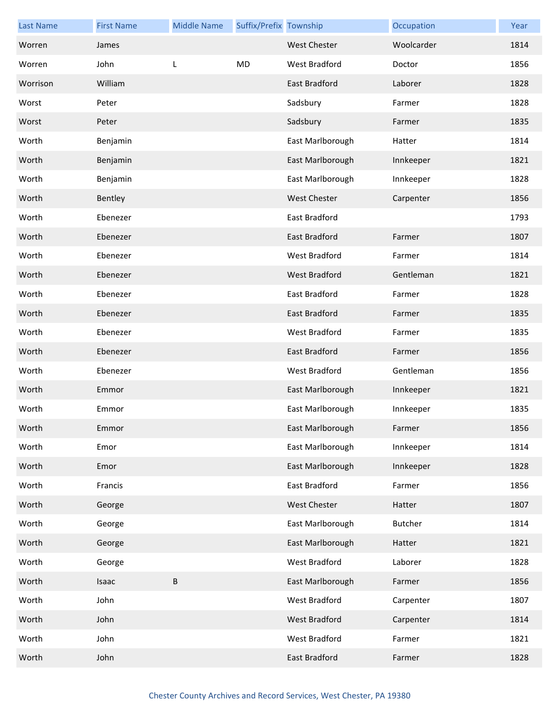| <b>Last Name</b> | <b>First Name</b> | <b>Middle Name</b> | Suffix/Prefix Township |                      | Occupation     | Year |
|------------------|-------------------|--------------------|------------------------|----------------------|----------------|------|
| Worren           | James             |                    |                        | <b>West Chester</b>  | Woolcarder     | 1814 |
| Worren           | John              | L                  | MD                     | West Bradford        | Doctor         | 1856 |
| Worrison         | William           |                    |                        | East Bradford        | Laborer        | 1828 |
| Worst            | Peter             |                    |                        | Sadsbury             | Farmer         | 1828 |
| Worst            | Peter             |                    |                        | Sadsbury             | Farmer         | 1835 |
| Worth            | Benjamin          |                    |                        | East Marlborough     | Hatter         | 1814 |
| Worth            | Benjamin          |                    |                        | East Marlborough     | Innkeeper      | 1821 |
| Worth            | Benjamin          |                    |                        | East Marlborough     | Innkeeper      | 1828 |
| Worth            | Bentley           |                    |                        | <b>West Chester</b>  | Carpenter      | 1856 |
| Worth            | Ebenezer          |                    |                        | East Bradford        |                | 1793 |
| Worth            | Ebenezer          |                    |                        | East Bradford        | Farmer         | 1807 |
| Worth            | Ebenezer          |                    |                        | <b>West Bradford</b> | Farmer         | 1814 |
| Worth            | Ebenezer          |                    |                        | West Bradford        | Gentleman      | 1821 |
| Worth            | Ebenezer          |                    |                        | East Bradford        | Farmer         | 1828 |
| Worth            | Ebenezer          |                    |                        | East Bradford        | Farmer         | 1835 |
| Worth            | Ebenezer          |                    |                        | West Bradford        | Farmer         | 1835 |
| Worth            | Ebenezer          |                    |                        | East Bradford        | Farmer         | 1856 |
| Worth            | Ebenezer          |                    |                        | West Bradford        | Gentleman      | 1856 |
| Worth            | Emmor             |                    |                        | East Marlborough     | Innkeeper      | 1821 |
| Worth            | Emmor             |                    |                        | East Marlborough     | Innkeeper      | 1835 |
| Worth            | Emmor             |                    |                        | East Marlborough     | Farmer         | 1856 |
| Worth            | Emor              |                    |                        | East Marlborough     | Innkeeper      | 1814 |
| Worth            | Emor              |                    |                        | East Marlborough     | Innkeeper      | 1828 |
| Worth            | Francis           |                    |                        | East Bradford        | Farmer         | 1856 |
| Worth            | George            |                    |                        | <b>West Chester</b>  | Hatter         | 1807 |
| Worth            | George            |                    |                        | East Marlborough     | <b>Butcher</b> | 1814 |
| Worth            | George            |                    |                        | East Marlborough     | Hatter         | 1821 |
| Worth            | George            |                    |                        | West Bradford        | Laborer        | 1828 |
| Worth            | Isaac             | B                  |                        | East Marlborough     | Farmer         | 1856 |
| Worth            | John              |                    |                        | West Bradford        | Carpenter      | 1807 |
| Worth            | John              |                    |                        | West Bradford        | Carpenter      | 1814 |
| Worth            | John              |                    |                        | West Bradford        | Farmer         | 1821 |
| Worth            | John              |                    |                        | East Bradford        | Farmer         | 1828 |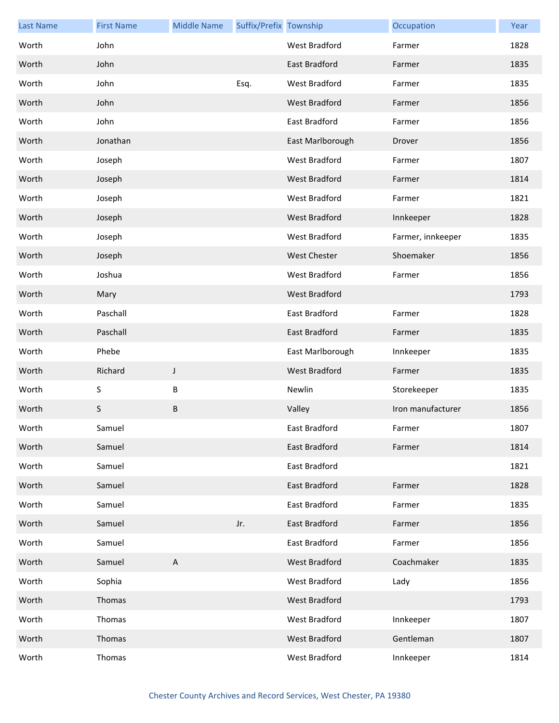| <b>Last Name</b> | <b>First Name</b> | <b>Middle Name</b>        | Suffix/Prefix Township |                      | Occupation        | Year |
|------------------|-------------------|---------------------------|------------------------|----------------------|-------------------|------|
| Worth            | John              |                           |                        | West Bradford        | Farmer            | 1828 |
| Worth            | John              |                           |                        | <b>East Bradford</b> | Farmer            | 1835 |
| Worth            | John              |                           | Esq.                   | West Bradford        | Farmer            | 1835 |
| Worth            | John              |                           |                        | West Bradford        | Farmer            | 1856 |
| Worth            | John              |                           |                        | East Bradford        | Farmer            | 1856 |
| Worth            | Jonathan          |                           |                        | East Marlborough     | Drover            | 1856 |
| Worth            | Joseph            |                           |                        | West Bradford        | Farmer            | 1807 |
| Worth            | Joseph            |                           |                        | <b>West Bradford</b> | Farmer            | 1814 |
| Worth            | Joseph            |                           |                        | West Bradford        | Farmer            | 1821 |
| Worth            | Joseph            |                           |                        | <b>West Bradford</b> | Innkeeper         | 1828 |
| Worth            | Joseph            |                           |                        | West Bradford        | Farmer, innkeeper | 1835 |
| Worth            | Joseph            |                           |                        | <b>West Chester</b>  | Shoemaker         | 1856 |
| Worth            | Joshua            |                           |                        | West Bradford        | Farmer            | 1856 |
| Worth            | Mary              |                           |                        | <b>West Bradford</b> |                   | 1793 |
| Worth            | Paschall          |                           |                        | East Bradford        | Farmer            | 1828 |
| Worth            | Paschall          |                           |                        | East Bradford        | Farmer            | 1835 |
| Worth            | Phebe             |                           |                        | East Marlborough     | Innkeeper         | 1835 |
| Worth            | Richard           | J                         |                        | <b>West Bradford</b> | Farmer            | 1835 |
| Worth            | S                 | В                         |                        | Newlin               | Storekeeper       | 1835 |
| Worth            | S                 | В                         |                        | Valley               | Iron manufacturer | 1856 |
| Worth            | Samuel            |                           |                        | East Bradford        | Farmer            | 1807 |
| Worth            | Samuel            |                           |                        | East Bradford        | Farmer            | 1814 |
| Worth            | Samuel            |                           |                        | East Bradford        |                   | 1821 |
| Worth            | Samuel            |                           |                        | East Bradford        | Farmer            | 1828 |
| Worth            | Samuel            |                           |                        | East Bradford        | Farmer            | 1835 |
| Worth            | Samuel            |                           | Jr.                    | <b>East Bradford</b> | Farmer            | 1856 |
| Worth            | Samuel            |                           |                        | East Bradford        | Farmer            | 1856 |
| Worth            | Samuel            | $\boldsymbol{\mathsf{A}}$ |                        | West Bradford        | Coachmaker        | 1835 |
| Worth            | Sophia            |                           |                        | West Bradford        | Lady              | 1856 |
| Worth            | Thomas            |                           |                        | West Bradford        |                   | 1793 |
| Worth            | Thomas            |                           |                        | West Bradford        | Innkeeper         | 1807 |
| Worth            | Thomas            |                           |                        | West Bradford        | Gentleman         | 1807 |
| Worth            | Thomas            |                           |                        | West Bradford        | Innkeeper         | 1814 |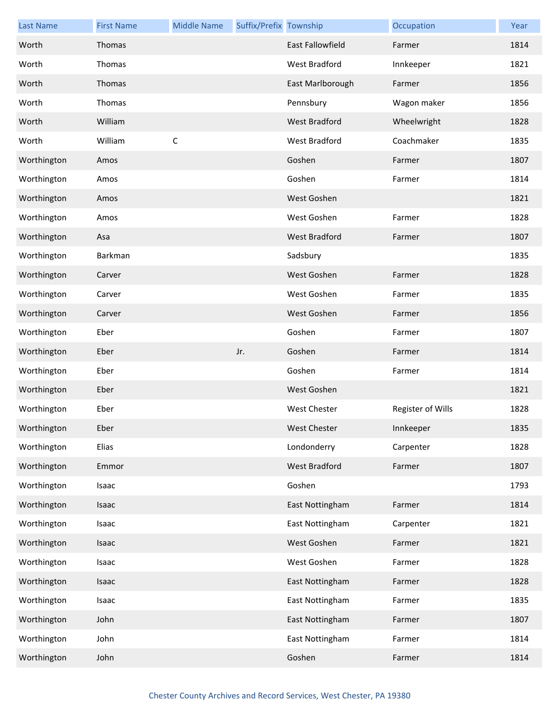| <b>Last Name</b> | <b>First Name</b> | <b>Middle Name</b> | Suffix/Prefix Township |                         | Occupation        | Year |
|------------------|-------------------|--------------------|------------------------|-------------------------|-------------------|------|
| Worth            | Thomas            |                    |                        | <b>East Fallowfield</b> | Farmer            | 1814 |
| Worth            | Thomas            |                    |                        | West Bradford           | Innkeeper         | 1821 |
| Worth            | Thomas            |                    |                        | East Marlborough        | Farmer            | 1856 |
| Worth            | Thomas            |                    |                        | Pennsbury               | Wagon maker       | 1856 |
| Worth            | William           |                    |                        | <b>West Bradford</b>    | Wheelwright       | 1828 |
| Worth            | William           | $\mathsf C$        |                        | West Bradford           | Coachmaker        | 1835 |
| Worthington      | Amos              |                    |                        | Goshen                  | Farmer            | 1807 |
| Worthington      | Amos              |                    |                        | Goshen                  | Farmer            | 1814 |
| Worthington      | Amos              |                    |                        | West Goshen             |                   | 1821 |
| Worthington      | Amos              |                    |                        | West Goshen             | Farmer            | 1828 |
| Worthington      | Asa               |                    |                        | <b>West Bradford</b>    | Farmer            | 1807 |
| Worthington      | Barkman           |                    |                        | Sadsbury                |                   | 1835 |
| Worthington      | Carver            |                    |                        | West Goshen             | Farmer            | 1828 |
| Worthington      | Carver            |                    |                        | West Goshen             | Farmer            | 1835 |
| Worthington      | Carver            |                    |                        | West Goshen             | Farmer            | 1856 |
| Worthington      | Eber              |                    |                        | Goshen                  | Farmer            | 1807 |
| Worthington      | Eber              |                    | Jr.                    | Goshen                  | Farmer            | 1814 |
| Worthington      | Eber              |                    |                        | Goshen                  | Farmer            | 1814 |
| Worthington      | Eber              |                    |                        | West Goshen             |                   | 1821 |
| Worthington      | Eber              |                    |                        | <b>West Chester</b>     | Register of Wills | 1828 |
| Worthington      | Eber              |                    |                        | West Chester            | Innkeeper         | 1835 |
| Worthington      | Elias             |                    |                        | Londonderry             | Carpenter         | 1828 |
| Worthington      | Emmor             |                    |                        | <b>West Bradford</b>    | Farmer            | 1807 |
| Worthington      | Isaac             |                    |                        | Goshen                  |                   | 1793 |
| Worthington      | Isaac             |                    |                        | East Nottingham         | Farmer            | 1814 |
| Worthington      | Isaac             |                    |                        | East Nottingham         | Carpenter         | 1821 |
| Worthington      | Isaac             |                    |                        | West Goshen             | Farmer            | 1821 |
| Worthington      | Isaac             |                    |                        | West Goshen             | Farmer            | 1828 |
| Worthington      | Isaac             |                    |                        | East Nottingham         | Farmer            | 1828 |
| Worthington      | Isaac             |                    |                        | East Nottingham         | Farmer            | 1835 |
| Worthington      | John              |                    |                        | East Nottingham         | Farmer            | 1807 |
| Worthington      | John              |                    |                        | East Nottingham         | Farmer            | 1814 |
| Worthington      | John              |                    |                        | Goshen                  | Farmer            | 1814 |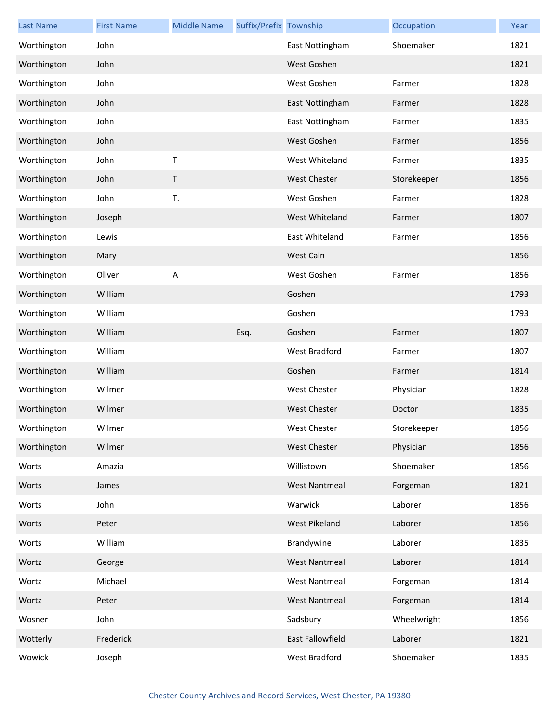| <b>Last Name</b> | <b>First Name</b> | <b>Middle Name</b> | Suffix/Prefix Township |                      | Occupation  | Year |
|------------------|-------------------|--------------------|------------------------|----------------------|-------------|------|
| Worthington      | John              |                    |                        | East Nottingham      | Shoemaker   | 1821 |
| Worthington      | John              |                    |                        | West Goshen          |             | 1821 |
| Worthington      | John              |                    |                        | West Goshen          | Farmer      | 1828 |
| Worthington      | John              |                    |                        | East Nottingham      | Farmer      | 1828 |
| Worthington      | John              |                    |                        | East Nottingham      | Farmer      | 1835 |
| Worthington      | John              |                    |                        | West Goshen          | Farmer      | 1856 |
| Worthington      | John              | $\mathsf T$        |                        | West Whiteland       | Farmer      | 1835 |
| Worthington      | John              | $\sf T$            |                        | <b>West Chester</b>  | Storekeeper | 1856 |
| Worthington      | John              | T.                 |                        | West Goshen          | Farmer      | 1828 |
| Worthington      | Joseph            |                    |                        | West Whiteland       | Farmer      | 1807 |
| Worthington      | Lewis             |                    |                        | East Whiteland       | Farmer      | 1856 |
| Worthington      | Mary              |                    |                        | West Caln            |             | 1856 |
| Worthington      | Oliver            | А                  |                        | West Goshen          | Farmer      | 1856 |
| Worthington      | William           |                    |                        | Goshen               |             | 1793 |
| Worthington      | William           |                    |                        | Goshen               |             | 1793 |
| Worthington      | William           |                    | Esq.                   | Goshen               | Farmer      | 1807 |
| Worthington      | William           |                    |                        | West Bradford        | Farmer      | 1807 |
| Worthington      | William           |                    |                        | Goshen               | Farmer      | 1814 |
| Worthington      | Wilmer            |                    |                        | <b>West Chester</b>  | Physician   | 1828 |
| Worthington      | Wilmer            |                    |                        | <b>West Chester</b>  | Doctor      | 1835 |
| Worthington      | Wilmer            |                    |                        | West Chester         | Storekeeper | 1856 |
| Worthington      | Wilmer            |                    |                        | <b>West Chester</b>  | Physician   | 1856 |
| Worts            | Amazia            |                    |                        | Willistown           | Shoemaker   | 1856 |
| Worts            | James             |                    |                        | <b>West Nantmeal</b> | Forgeman    | 1821 |
| Worts            | John              |                    |                        | Warwick              | Laborer     | 1856 |
| Worts            | Peter             |                    |                        | West Pikeland        | Laborer     | 1856 |
| Worts            | William           |                    |                        | Brandywine           | Laborer     | 1835 |
| Wortz            | George            |                    |                        | <b>West Nantmeal</b> | Laborer     | 1814 |
| Wortz            | Michael           |                    |                        | <b>West Nantmeal</b> | Forgeman    | 1814 |
| Wortz            | Peter             |                    |                        | <b>West Nantmeal</b> | Forgeman    | 1814 |
| Wosner           | John              |                    |                        | Sadsbury             | Wheelwright | 1856 |
| Wotterly         | Frederick         |                    |                        | East Fallowfield     | Laborer     | 1821 |
| Wowick           | Joseph            |                    |                        | West Bradford        | Shoemaker   | 1835 |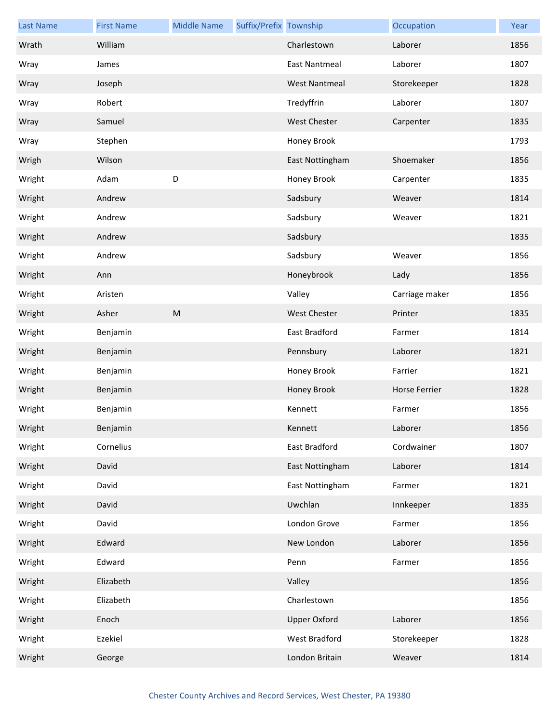| <b>Last Name</b> | <b>First Name</b> | <b>Middle Name</b> | Suffix/Prefix Township |                      | Occupation     | Year |
|------------------|-------------------|--------------------|------------------------|----------------------|----------------|------|
| Wrath            | William           |                    |                        | Charlestown          | Laborer        | 1856 |
| Wray             | James             |                    |                        | East Nantmeal        | Laborer        | 1807 |
| Wray             | Joseph            |                    |                        | <b>West Nantmeal</b> | Storekeeper    | 1828 |
| Wray             | Robert            |                    |                        | Tredyffrin           | Laborer        | 1807 |
| Wray             | Samuel            |                    |                        | <b>West Chester</b>  | Carpenter      | 1835 |
| Wray             | Stephen           |                    |                        | Honey Brook          |                | 1793 |
| Wrigh            | Wilson            |                    |                        | East Nottingham      | Shoemaker      | 1856 |
| Wright           | Adam              | D                  |                        | Honey Brook          | Carpenter      | 1835 |
| Wright           | Andrew            |                    |                        | Sadsbury             | Weaver         | 1814 |
| Wright           | Andrew            |                    |                        | Sadsbury             | Weaver         | 1821 |
| Wright           | Andrew            |                    |                        | Sadsbury             |                | 1835 |
| Wright           | Andrew            |                    |                        | Sadsbury             | Weaver         | 1856 |
| Wright           | Ann               |                    |                        | Honeybrook           | Lady           | 1856 |
| Wright           | Aristen           |                    |                        | Valley               | Carriage maker | 1856 |
| Wright           | Asher             | ${\sf M}$          |                        | <b>West Chester</b>  | Printer        | 1835 |
| Wright           | Benjamin          |                    |                        | East Bradford        | Farmer         | 1814 |
| Wright           | Benjamin          |                    |                        | Pennsbury            | Laborer        | 1821 |
| Wright           | Benjamin          |                    |                        | Honey Brook          | Farrier        | 1821 |
| Wright           | Benjamin          |                    |                        | Honey Brook          | Horse Ferrier  | 1828 |
| Wright           | Benjamin          |                    |                        | Kennett              | Farmer         | 1856 |
| Wright           | Benjamin          |                    |                        | Kennett              | Laborer        | 1856 |
| Wright           | Cornelius         |                    |                        | East Bradford        | Cordwainer     | 1807 |
| Wright           | David             |                    |                        | East Nottingham      | Laborer        | 1814 |
| Wright           | David             |                    |                        | East Nottingham      | Farmer         | 1821 |
| Wright           | David             |                    |                        | Uwchlan              | Innkeeper      | 1835 |
| Wright           | David             |                    |                        | London Grove         | Farmer         | 1856 |
| Wright           | Edward            |                    |                        | New London           | Laborer        | 1856 |
| Wright           | Edward            |                    |                        | Penn                 | Farmer         | 1856 |
| Wright           | Elizabeth         |                    |                        | Valley               |                | 1856 |
| Wright           | Elizabeth         |                    |                        | Charlestown          |                | 1856 |
| Wright           | Enoch             |                    |                        | <b>Upper Oxford</b>  | Laborer        | 1856 |
| Wright           | Ezekiel           |                    |                        | West Bradford        | Storekeeper    | 1828 |
| Wright           | George            |                    |                        | London Britain       | Weaver         | 1814 |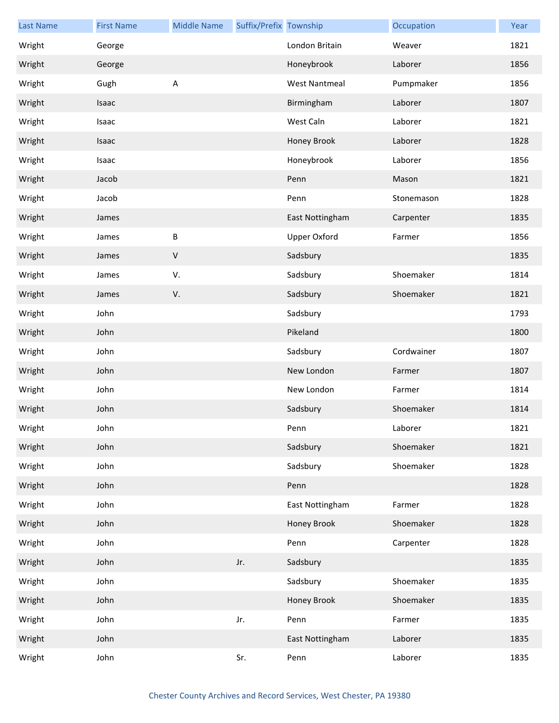| <b>Last Name</b> | <b>First Name</b> | <b>Middle Name</b>      | Suffix/Prefix Township |                      | Occupation | Year |
|------------------|-------------------|-------------------------|------------------------|----------------------|------------|------|
| Wright           | George            |                         |                        | London Britain       | Weaver     | 1821 |
| Wright           | George            |                         |                        | Honeybrook           | Laborer    | 1856 |
| Wright           | Gugh              | $\overline{\mathsf{A}}$ |                        | <b>West Nantmeal</b> | Pumpmaker  | 1856 |
| Wright           | Isaac             |                         |                        | Birmingham           | Laborer    | 1807 |
| Wright           | Isaac             |                         |                        | West Caln            | Laborer    | 1821 |
| Wright           | Isaac             |                         |                        | Honey Brook          | Laborer    | 1828 |
| Wright           | Isaac             |                         |                        | Honeybrook           | Laborer    | 1856 |
| Wright           | Jacob             |                         |                        | Penn                 | Mason      | 1821 |
| Wright           | Jacob             |                         |                        | Penn                 | Stonemason | 1828 |
| Wright           | James             |                         |                        | East Nottingham      | Carpenter  | 1835 |
| Wright           | James             | B                       |                        | <b>Upper Oxford</b>  | Farmer     | 1856 |
| Wright           | James             | $\mathsf V$             |                        | Sadsbury             |            | 1835 |
| Wright           | James             | V.                      |                        | Sadsbury             | Shoemaker  | 1814 |
| Wright           | James             | V.                      |                        | Sadsbury             | Shoemaker  | 1821 |
| Wright           | John              |                         |                        | Sadsbury             |            | 1793 |
| Wright           | John              |                         |                        | Pikeland             |            | 1800 |
| Wright           | John              |                         |                        | Sadsbury             | Cordwainer | 1807 |
| Wright           | John              |                         |                        | New London           | Farmer     | 1807 |
| Wright           | John              |                         |                        | New London           | Farmer     | 1814 |
| Wright           | John              |                         |                        | Sadsbury             | Shoemaker  | 1814 |
| Wright           | John              |                         |                        | Penn                 | Laborer    | 1821 |
| Wright           | John              |                         |                        | Sadsbury             | Shoemaker  | 1821 |
| Wright           | John              |                         |                        | Sadsbury             | Shoemaker  | 1828 |
| Wright           | John              |                         |                        | Penn                 |            | 1828 |
| Wright           | John              |                         |                        | East Nottingham      | Farmer     | 1828 |
| Wright           | John              |                         |                        | Honey Brook          | Shoemaker  | 1828 |
| Wright           | John              |                         |                        | Penn                 | Carpenter  | 1828 |
| Wright           | John              |                         | Jr.                    | Sadsbury             |            | 1835 |
| Wright           | John              |                         |                        | Sadsbury             | Shoemaker  | 1835 |
| Wright           | John              |                         |                        | Honey Brook          | Shoemaker  | 1835 |
| Wright           | John              |                         | Jr.                    | Penn                 | Farmer     | 1835 |
| Wright           | John              |                         |                        | East Nottingham      | Laborer    | 1835 |
| Wright           | John              |                         | Sr.                    | Penn                 | Laborer    | 1835 |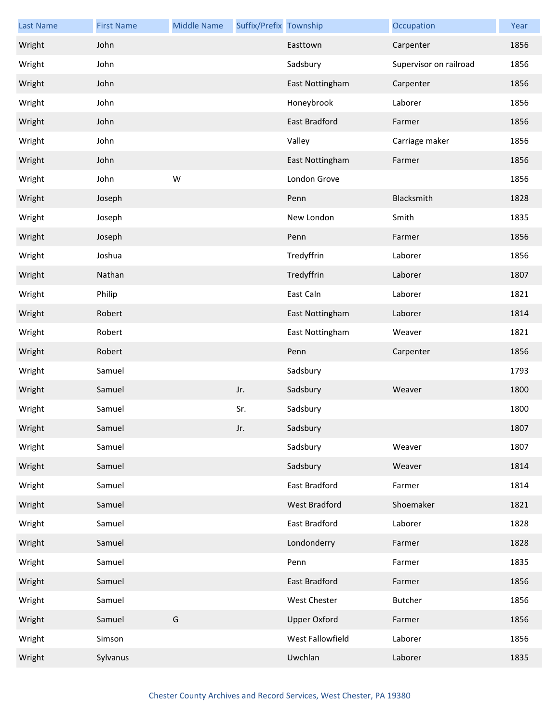| <b>Last Name</b> | <b>First Name</b> | <b>Middle Name</b> | Suffix/Prefix Township |                      | Occupation             | Year |
|------------------|-------------------|--------------------|------------------------|----------------------|------------------------|------|
| Wright           | John              |                    |                        | Easttown             | Carpenter              | 1856 |
| Wright           | John              |                    |                        | Sadsbury             | Supervisor on railroad | 1856 |
| Wright           | John              |                    |                        | East Nottingham      | Carpenter              | 1856 |
| Wright           | John              |                    |                        | Honeybrook           | Laborer                | 1856 |
| Wright           | John              |                    |                        | East Bradford        | Farmer                 | 1856 |
| Wright           | John              |                    |                        | Valley               | Carriage maker         | 1856 |
| Wright           | John              |                    |                        | East Nottingham      | Farmer                 | 1856 |
| Wright           | John              | W                  |                        | London Grove         |                        | 1856 |
| Wright           | Joseph            |                    |                        | Penn                 | Blacksmith             | 1828 |
| Wright           | Joseph            |                    |                        | New London           | Smith                  | 1835 |
| Wright           | Joseph            |                    |                        | Penn                 | Farmer                 | 1856 |
| Wright           | Joshua            |                    |                        | Tredyffrin           | Laborer                | 1856 |
| Wright           | Nathan            |                    |                        | Tredyffrin           | Laborer                | 1807 |
| Wright           | Philip            |                    |                        | East Caln            | Laborer                | 1821 |
| Wright           | Robert            |                    |                        | East Nottingham      | Laborer                | 1814 |
| Wright           | Robert            |                    |                        | East Nottingham      | Weaver                 | 1821 |
| Wright           | Robert            |                    |                        | Penn                 | Carpenter              | 1856 |
| Wright           | Samuel            |                    |                        | Sadsbury             |                        | 1793 |
| Wright           | Samuel            |                    | Jr.                    | Sadsbury             | Weaver                 | 1800 |
| Wright           | Samuel            |                    | Sr.                    | Sadsbury             |                        | 1800 |
| Wright           | Samuel            |                    | Jr.                    | Sadsbury             |                        | 1807 |
| Wright           | Samuel            |                    |                        | Sadsbury             | Weaver                 | 1807 |
| Wright           | Samuel            |                    |                        | Sadsbury             | Weaver                 | 1814 |
| Wright           | Samuel            |                    |                        | East Bradford        | Farmer                 | 1814 |
| Wright           | Samuel            |                    |                        | <b>West Bradford</b> | Shoemaker              | 1821 |
| Wright           | Samuel            |                    |                        | East Bradford        | Laborer                | 1828 |
| Wright           | Samuel            |                    |                        | Londonderry          | Farmer                 | 1828 |
| Wright           | Samuel            |                    |                        | Penn                 | Farmer                 | 1835 |
| Wright           | Samuel            |                    |                        | East Bradford        | Farmer                 | 1856 |
| Wright           | Samuel            |                    |                        | West Chester         | Butcher                | 1856 |
| Wright           | Samuel            | G                  |                        | <b>Upper Oxford</b>  | Farmer                 | 1856 |
| Wright           | Simson            |                    |                        | West Fallowfield     | Laborer                | 1856 |
| Wright           | Sylvanus          |                    |                        | Uwchlan              | Laborer                | 1835 |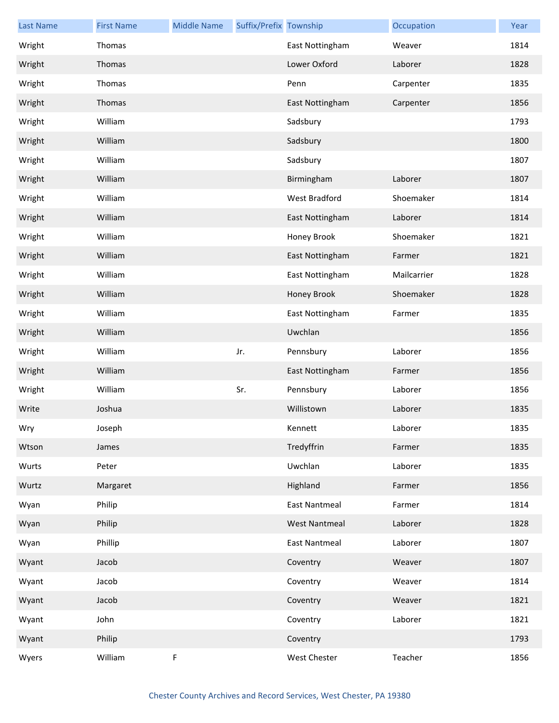| <b>Last Name</b> | <b>First Name</b> | <b>Middle Name</b> | Suffix/Prefix Township |                      | Occupation  | Year |
|------------------|-------------------|--------------------|------------------------|----------------------|-------------|------|
| Wright           | Thomas            |                    |                        | East Nottingham      | Weaver      | 1814 |
| Wright           | Thomas            |                    |                        | Lower Oxford         | Laborer     | 1828 |
| Wright           | Thomas            |                    |                        | Penn                 | Carpenter   | 1835 |
| Wright           | Thomas            |                    |                        | East Nottingham      | Carpenter   | 1856 |
| Wright           | William           |                    |                        | Sadsbury             |             | 1793 |
| Wright           | William           |                    |                        | Sadsbury             |             | 1800 |
| Wright           | William           |                    |                        | Sadsbury             |             | 1807 |
| Wright           | William           |                    |                        | Birmingham           | Laborer     | 1807 |
| Wright           | William           |                    |                        | West Bradford        | Shoemaker   | 1814 |
| Wright           | William           |                    |                        | East Nottingham      | Laborer     | 1814 |
| Wright           | William           |                    |                        | Honey Brook          | Shoemaker   | 1821 |
| Wright           | William           |                    |                        | East Nottingham      | Farmer      | 1821 |
| Wright           | William           |                    |                        | East Nottingham      | Mailcarrier | 1828 |
| Wright           | William           |                    |                        | Honey Brook          | Shoemaker   | 1828 |
| Wright           | William           |                    |                        | East Nottingham      | Farmer      | 1835 |
| Wright           | William           |                    |                        | Uwchlan              |             | 1856 |
| Wright           | William           |                    | Jr.                    | Pennsbury            | Laborer     | 1856 |
| Wright           | William           |                    |                        | East Nottingham      | Farmer      | 1856 |
| Wright           | William           |                    | Sr.                    | Pennsbury            | Laborer     | 1856 |
| Write            | Joshua            |                    |                        | Willistown           | Laborer     | 1835 |
| Wry              | Joseph            |                    |                        | Kennett              | Laborer     | 1835 |
| Wtson            | James             |                    |                        | Tredyffrin           | Farmer      | 1835 |
| Wurts            | Peter             |                    |                        | Uwchlan              | Laborer     | 1835 |
| Wurtz            | Margaret          |                    |                        | Highland             | Farmer      | 1856 |
| Wyan             | Philip            |                    |                        | <b>East Nantmeal</b> | Farmer      | 1814 |
| Wyan             | Philip            |                    |                        | <b>West Nantmeal</b> | Laborer     | 1828 |
| Wyan             | Phillip           |                    |                        | East Nantmeal        | Laborer     | 1807 |
| Wyant            | Jacob             |                    |                        | Coventry             | Weaver      | 1807 |
| Wyant            | Jacob             |                    |                        | Coventry             | Weaver      | 1814 |
| Wyant            | Jacob             |                    |                        | Coventry             | Weaver      | 1821 |
| Wyant            | John              |                    |                        | Coventry             | Laborer     | 1821 |
| Wyant            | Philip            |                    |                        | Coventry             |             | 1793 |
| Wyers            | William           | F                  |                        | West Chester         | Teacher     | 1856 |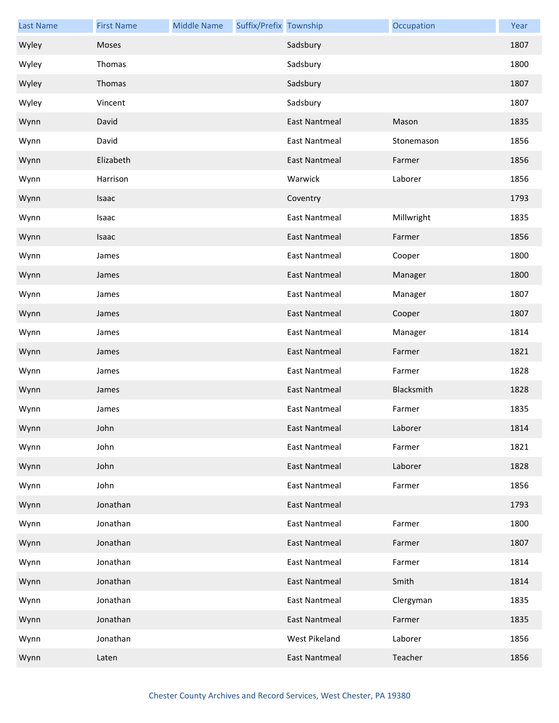| <b>Last Name</b> | <b>First Name</b> | <b>Middle Name</b> | Suffix/Prefix Township |                      | Occupation | Year |
|------------------|-------------------|--------------------|------------------------|----------------------|------------|------|
| Wyley            | Moses             |                    |                        | Sadsbury             |            | 1807 |
| Wyley            | Thomas            |                    |                        | Sadsbury             |            | 1800 |
| Wyley            | Thomas            |                    |                        | Sadsbury             |            | 1807 |
| Wyley            | Vincent           |                    |                        | Sadsbury             |            | 1807 |
| Wynn             | David             |                    |                        | <b>East Nantmeal</b> | Mason      | 1835 |
| Wynn             | David             |                    |                        | <b>East Nantmeal</b> | Stonemason | 1856 |
| Wynn             | Elizabeth         |                    |                        | <b>East Nantmeal</b> | Farmer     | 1856 |
| Wynn             | Harrison          |                    |                        | Warwick              | Laborer    | 1856 |
| Wynn             | Isaac             |                    |                        | Coventry             |            | 1793 |
| Wynn             | Isaac             |                    |                        | <b>East Nantmeal</b> | Millwright | 1835 |
| Wynn             | Isaac             |                    |                        | <b>East Nantmeal</b> | Farmer     | 1856 |
| Wynn             | James             |                    |                        | <b>East Nantmeal</b> | Cooper     | 1800 |
| Wynn             | James             |                    |                        | East Nantmeal        | Manager    | 1800 |
| Wynn             | James             |                    |                        | <b>East Nantmeal</b> | Manager    | 1807 |
| Wynn             | James             |                    |                        | <b>East Nantmeal</b> | Cooper     | 1807 |
| Wynn             | James             |                    |                        | <b>East Nantmeal</b> | Manager    | 1814 |
| Wynn             | James             |                    |                        | East Nantmeal        | Farmer     | 1821 |
| Wynn             | James             |                    |                        | <b>East Nantmeal</b> | Farmer     | 1828 |
| Wynn             | James             |                    |                        | <b>East Nantmeal</b> | Blacksmith | 1828 |
| Wynn             | James             |                    |                        | <b>East Nantmeal</b> | Farmer     | 1835 |
| Wynn             | John              |                    |                        | East Nantmeal        | Laborer    | 1814 |
| Wynn             | John              |                    |                        | <b>East Nantmeal</b> | Farmer     | 1821 |
| Wynn             | John              |                    |                        | <b>East Nantmeal</b> | Laborer    | 1828 |
| Wynn             | John              |                    |                        | <b>East Nantmeal</b> | Farmer     | 1856 |
| Wynn             | Jonathan          |                    |                        | <b>East Nantmeal</b> |            | 1793 |
| Wynn             | Jonathan          |                    |                        | <b>East Nantmeal</b> | Farmer     | 1800 |
| Wynn             | Jonathan          |                    |                        | <b>East Nantmeal</b> | Farmer     | 1807 |
| Wynn             | Jonathan          |                    |                        | <b>East Nantmeal</b> | Farmer     | 1814 |
| Wynn             | Jonathan          |                    |                        | <b>East Nantmeal</b> | Smith      | 1814 |
| Wynn             | Jonathan          |                    |                        | <b>East Nantmeal</b> | Clergyman  | 1835 |
| Wynn             | Jonathan          |                    |                        | <b>East Nantmeal</b> | Farmer     | 1835 |
| Wynn             | Jonathan          |                    |                        | West Pikeland        | Laborer    | 1856 |
| Wynn             | Laten             |                    |                        | <b>East Nantmeal</b> | Teacher    | 1856 |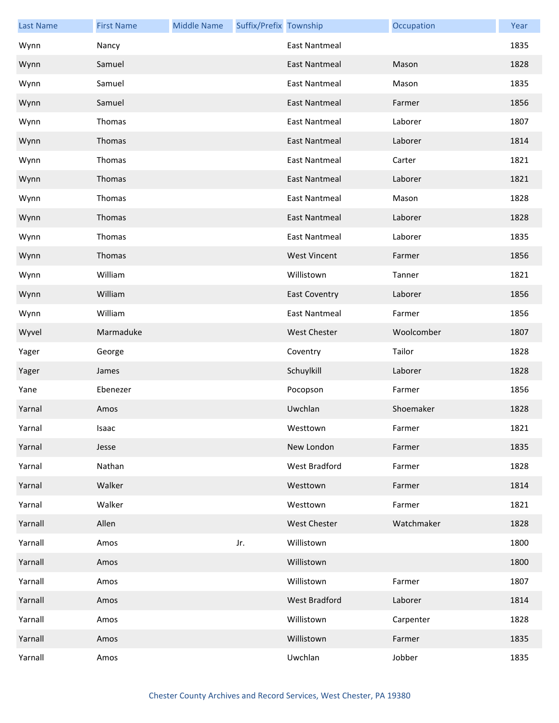| <b>Last Name</b> | <b>First Name</b> | <b>Middle Name</b> | Suffix/Prefix Township |                      | Occupation | Year |
|------------------|-------------------|--------------------|------------------------|----------------------|------------|------|
| Wynn             | Nancy             |                    |                        | <b>East Nantmeal</b> |            | 1835 |
| Wynn             | Samuel            |                    |                        | <b>East Nantmeal</b> | Mason      | 1828 |
| Wynn             | Samuel            |                    |                        | <b>East Nantmeal</b> | Mason      | 1835 |
| Wynn             | Samuel            |                    |                        | <b>East Nantmeal</b> | Farmer     | 1856 |
| Wynn             | Thomas            |                    |                        | <b>East Nantmeal</b> | Laborer    | 1807 |
| Wynn             | Thomas            |                    |                        | <b>East Nantmeal</b> | Laborer    | 1814 |
| Wynn             | Thomas            |                    |                        | <b>East Nantmeal</b> | Carter     | 1821 |
| Wynn             | Thomas            |                    |                        | <b>East Nantmeal</b> | Laborer    | 1821 |
| Wynn             | Thomas            |                    |                        | <b>East Nantmeal</b> | Mason      | 1828 |
| Wynn             | Thomas            |                    |                        | <b>East Nantmeal</b> | Laborer    | 1828 |
| Wynn             | Thomas            |                    |                        | <b>East Nantmeal</b> | Laborer    | 1835 |
| Wynn             | Thomas            |                    |                        | <b>West Vincent</b>  | Farmer     | 1856 |
| Wynn             | William           |                    |                        | Willistown           | Tanner     | 1821 |
| Wynn             | William           |                    |                        | <b>East Coventry</b> | Laborer    | 1856 |
| Wynn             | William           |                    |                        | East Nantmeal        | Farmer     | 1856 |
| Wyvel            | Marmaduke         |                    |                        | <b>West Chester</b>  | Woolcomber | 1807 |
| Yager            | George            |                    |                        | Coventry             | Tailor     | 1828 |
| Yager            | James             |                    |                        | Schuylkill           | Laborer    | 1828 |
| Yane             | Ebenezer          |                    |                        | Pocopson             | Farmer     | 1856 |
| Yarnal           | Amos              |                    |                        | Uwchlan              | Shoemaker  | 1828 |
| Yarnal           | Isaac             |                    |                        | Westtown             | Farmer     | 1821 |
| Yarnal           | Jesse             |                    |                        | New London           | Farmer     | 1835 |
| Yarnal           | Nathan            |                    |                        | West Bradford        | Farmer     | 1828 |
| Yarnal           | Walker            |                    |                        | Westtown             | Farmer     | 1814 |
| Yarnal           | Walker            |                    |                        | Westtown             | Farmer     | 1821 |
| Yarnall          | Allen             |                    |                        | <b>West Chester</b>  | Watchmaker | 1828 |
| Yarnall          | Amos              |                    | Jr.                    | Willistown           |            | 1800 |
| Yarnall          | Amos              |                    |                        | Willistown           |            | 1800 |
| Yarnall          | Amos              |                    |                        | Willistown           | Farmer     | 1807 |
| Yarnall          | Amos              |                    |                        | West Bradford        | Laborer    | 1814 |
| Yarnall          | Amos              |                    |                        | Willistown           | Carpenter  | 1828 |
| Yarnall          | Amos              |                    |                        | Willistown           | Farmer     | 1835 |
| Yarnall          | Amos              |                    |                        | Uwchlan              | Jobber     | 1835 |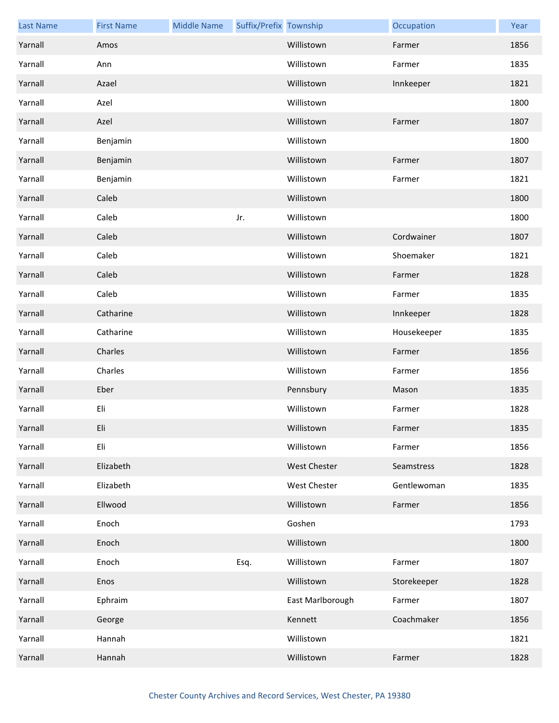| <b>Last Name</b> | <b>First Name</b> | <b>Middle Name</b> | Suffix/Prefix Township |                     | Occupation  | Year |
|------------------|-------------------|--------------------|------------------------|---------------------|-------------|------|
| Yarnall          | Amos              |                    |                        | Willistown          | Farmer      | 1856 |
| Yarnall          | Ann               |                    |                        | Willistown          | Farmer      | 1835 |
| Yarnall          | Azael             |                    |                        | Willistown          | Innkeeper   | 1821 |
| Yarnall          | Azel              |                    |                        | Willistown          |             | 1800 |
| Yarnall          | Azel              |                    |                        | Willistown          | Farmer      | 1807 |
| Yarnall          | Benjamin          |                    |                        | Willistown          |             | 1800 |
| Yarnall          | Benjamin          |                    |                        | Willistown          | Farmer      | 1807 |
| Yarnall          | Benjamin          |                    |                        | Willistown          | Farmer      | 1821 |
| Yarnall          | Caleb             |                    |                        | Willistown          |             | 1800 |
| Yarnall          | Caleb             |                    | Jr.                    | Willistown          |             | 1800 |
| Yarnall          | Caleb             |                    |                        | Willistown          | Cordwainer  | 1807 |
| Yarnall          | Caleb             |                    |                        | Willistown          | Shoemaker   | 1821 |
| Yarnall          | Caleb             |                    |                        | Willistown          | Farmer      | 1828 |
| Yarnall          | Caleb             |                    |                        | Willistown          | Farmer      | 1835 |
| Yarnall          | Catharine         |                    |                        | Willistown          | Innkeeper   | 1828 |
| Yarnall          | Catharine         |                    |                        | Willistown          | Housekeeper | 1835 |
| Yarnall          | Charles           |                    |                        | Willistown          | Farmer      | 1856 |
| Yarnall          | Charles           |                    |                        | Willistown          | Farmer      | 1856 |
| Yarnall          | Eber              |                    |                        | Pennsbury           | Mason       | 1835 |
| Yarnall          | Eli               |                    |                        | Willistown          | Farmer      | 1828 |
| Yarnall          | Eli               |                    |                        | Willistown          | Farmer      | 1835 |
| Yarnall          | Eli               |                    |                        | Willistown          | Farmer      | 1856 |
| Yarnall          | Elizabeth         |                    |                        | <b>West Chester</b> | Seamstress  | 1828 |
| Yarnall          | Elizabeth         |                    |                        | West Chester        | Gentlewoman | 1835 |
| Yarnall          | Ellwood           |                    |                        | Willistown          | Farmer      | 1856 |
| Yarnall          | Enoch             |                    |                        | Goshen              |             | 1793 |
| Yarnall          | Enoch             |                    |                        | Willistown          |             | 1800 |
| Yarnall          | Enoch             |                    | Esq.                   | Willistown          | Farmer      | 1807 |
| Yarnall          | Enos              |                    |                        | Willistown          | Storekeeper | 1828 |
| Yarnall          | Ephraim           |                    |                        | East Marlborough    | Farmer      | 1807 |
| Yarnall          | George            |                    |                        | Kennett             | Coachmaker  | 1856 |
| Yarnall          | Hannah            |                    |                        | Willistown          |             | 1821 |
| Yarnall          | Hannah            |                    |                        | Willistown          | Farmer      | 1828 |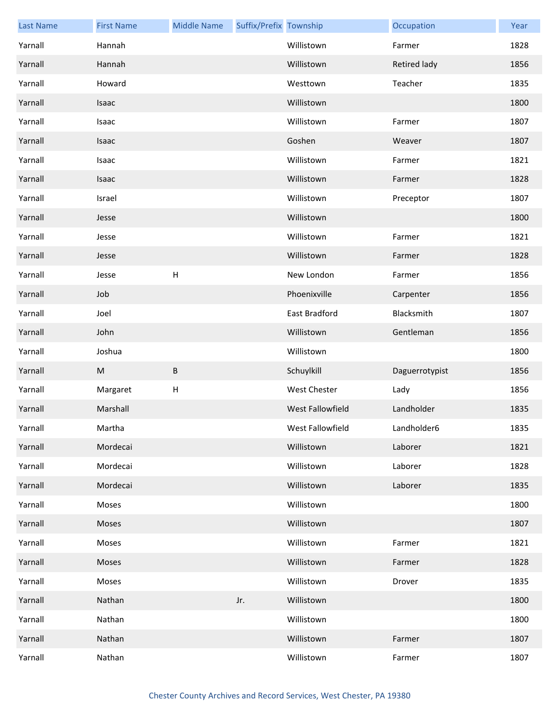| <b>Last Name</b> | <b>First Name</b> | <b>Middle Name</b> | Suffix/Prefix Township |                  | Occupation     | Year |
|------------------|-------------------|--------------------|------------------------|------------------|----------------|------|
| Yarnall          | Hannah            |                    |                        | Willistown       | Farmer         | 1828 |
| Yarnall          | Hannah            |                    |                        | Willistown       | Retired lady   | 1856 |
| Yarnall          | Howard            |                    |                        | Westtown         | Teacher        | 1835 |
| Yarnall          | Isaac             |                    |                        | Willistown       |                | 1800 |
| Yarnall          | Isaac             |                    |                        | Willistown       | Farmer         | 1807 |
| Yarnall          | Isaac             |                    |                        | Goshen           | Weaver         | 1807 |
| Yarnall          | Isaac             |                    |                        | Willistown       | Farmer         | 1821 |
| Yarnall          | Isaac             |                    |                        | Willistown       | Farmer         | 1828 |
| Yarnall          | Israel            |                    |                        | Willistown       | Preceptor      | 1807 |
| Yarnall          | Jesse             |                    |                        | Willistown       |                | 1800 |
| Yarnall          | Jesse             |                    |                        | Willistown       | Farmer         | 1821 |
| Yarnall          | Jesse             |                    |                        | Willistown       | Farmer         | 1828 |
| Yarnall          | Jesse             | H                  |                        | New London       | Farmer         | 1856 |
| Yarnall          | Job               |                    |                        | Phoenixville     | Carpenter      | 1856 |
| Yarnall          | Joel              |                    |                        | East Bradford    | Blacksmith     | 1807 |
| Yarnall          | John              |                    |                        | Willistown       | Gentleman      | 1856 |
| Yarnall          | Joshua            |                    |                        | Willistown       |                | 1800 |
| Yarnall          | ${\sf M}$         | B                  |                        | Schuylkill       | Daguerrotypist | 1856 |
| Yarnall          | Margaret          | H                  |                        | West Chester     | Lady           | 1856 |
| Yarnall          | Marshall          |                    |                        | West Fallowfield | Landholder     | 1835 |
| Yarnall          | Martha            |                    |                        | West Fallowfield | Landholder6    | 1835 |
| Yarnall          | Mordecai          |                    |                        | Willistown       | Laborer        | 1821 |
| Yarnall          | Mordecai          |                    |                        | Willistown       | Laborer        | 1828 |
| Yarnall          | Mordecai          |                    |                        | Willistown       | Laborer        | 1835 |
| Yarnall          | Moses             |                    |                        | Willistown       |                | 1800 |
| Yarnall          | Moses             |                    |                        | Willistown       |                | 1807 |
| Yarnall          | Moses             |                    |                        | Willistown       | Farmer         | 1821 |
| Yarnall          | Moses             |                    |                        | Willistown       | Farmer         | 1828 |
| Yarnall          | Moses             |                    |                        | Willistown       | Drover         | 1835 |
| Yarnall          | Nathan            |                    | Jr.                    | Willistown       |                | 1800 |
| Yarnall          | Nathan            |                    |                        | Willistown       |                | 1800 |
| Yarnall          | Nathan            |                    |                        | Willistown       | Farmer         | 1807 |
| Yarnall          | Nathan            |                    |                        | Willistown       | Farmer         | 1807 |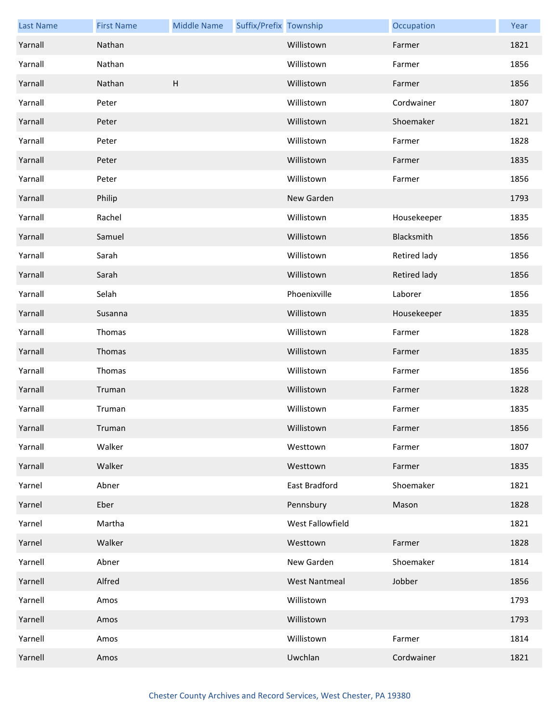| <b>Last Name</b> | <b>First Name</b> | <b>Middle Name</b> | Suffix/Prefix Township |                      | Occupation   | Year |
|------------------|-------------------|--------------------|------------------------|----------------------|--------------|------|
| Yarnall          | Nathan            |                    |                        | Willistown           | Farmer       | 1821 |
| Yarnall          | Nathan            |                    |                        | Willistown           | Farmer       | 1856 |
| Yarnall          | Nathan            | H                  |                        | Willistown           | Farmer       | 1856 |
| Yarnall          | Peter             |                    |                        | Willistown           | Cordwainer   | 1807 |
| Yarnall          | Peter             |                    |                        | Willistown           | Shoemaker    | 1821 |
| Yarnall          | Peter             |                    |                        | Willistown           | Farmer       | 1828 |
| Yarnall          | Peter             |                    |                        | Willistown           | Farmer       | 1835 |
| Yarnall          | Peter             |                    |                        | Willistown           | Farmer       | 1856 |
| Yarnall          | Philip            |                    |                        | New Garden           |              | 1793 |
| Yarnall          | Rachel            |                    |                        | Willistown           | Housekeeper  | 1835 |
| Yarnall          | Samuel            |                    |                        | Willistown           | Blacksmith   | 1856 |
| Yarnall          | Sarah             |                    |                        | Willistown           | Retired lady | 1856 |
| Yarnall          | Sarah             |                    |                        | Willistown           | Retired lady | 1856 |
| Yarnall          | Selah             |                    |                        | Phoenixville         | Laborer      | 1856 |
| Yarnall          | Susanna           |                    |                        | Willistown           | Housekeeper  | 1835 |
| Yarnall          | Thomas            |                    |                        | Willistown           | Farmer       | 1828 |
| Yarnall          | Thomas            |                    |                        | Willistown           | Farmer       | 1835 |
| Yarnall          | Thomas            |                    |                        | Willistown           | Farmer       | 1856 |
| Yarnall          | Truman            |                    |                        | Willistown           | Farmer       | 1828 |
| Yarnall          | Truman            |                    |                        | Willistown           | Farmer       | 1835 |
| Yarnall          | Truman            |                    |                        | Willistown           | Farmer       | 1856 |
| Yarnall          | Walker            |                    |                        | Westtown             | Farmer       | 1807 |
| Yarnall          | Walker            |                    |                        | Westtown             | Farmer       | 1835 |
| Yarnel           | Abner             |                    |                        | East Bradford        | Shoemaker    | 1821 |
| Yarnel           | Eber              |                    |                        | Pennsbury            | Mason        | 1828 |
| Yarnel           | Martha            |                    |                        | West Fallowfield     |              | 1821 |
| Yarnel           | Walker            |                    |                        | Westtown             | Farmer       | 1828 |
| Yarnell          | Abner             |                    |                        | New Garden           | Shoemaker    | 1814 |
| Yarnell          | Alfred            |                    |                        | <b>West Nantmeal</b> | Jobber       | 1856 |
| Yarnell          | Amos              |                    |                        | Willistown           |              | 1793 |
| Yarnell          | Amos              |                    |                        | Willistown           |              | 1793 |
| Yarnell          | Amos              |                    |                        | Willistown           | Farmer       | 1814 |
| Yarnell          | Amos              |                    |                        | Uwchlan              | Cordwainer   | 1821 |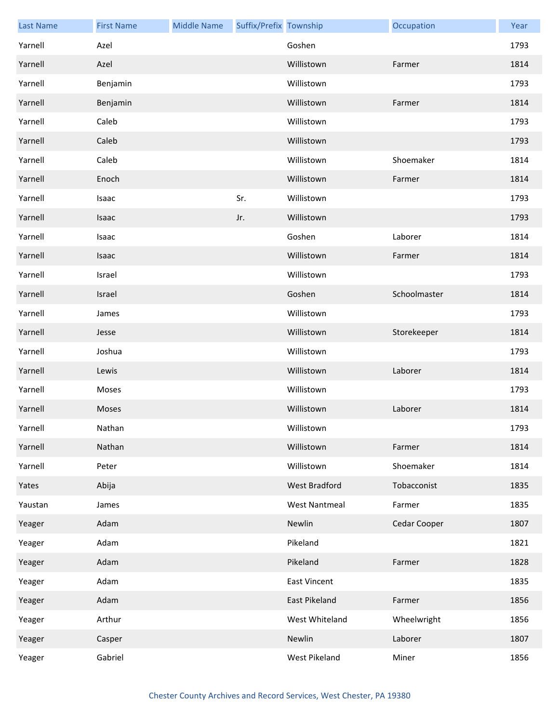| <b>Last Name</b> | <b>First Name</b> | <b>Middle Name</b> | Suffix/Prefix Township |                      | Occupation   | Year |
|------------------|-------------------|--------------------|------------------------|----------------------|--------------|------|
| Yarnell          | Azel              |                    |                        | Goshen               |              | 1793 |
| Yarnell          | Azel              |                    |                        | Willistown           | Farmer       | 1814 |
| Yarnell          | Benjamin          |                    |                        | Willistown           |              | 1793 |
| Yarnell          | Benjamin          |                    |                        | Willistown           | Farmer       | 1814 |
| Yarnell          | Caleb             |                    |                        | Willistown           |              | 1793 |
| Yarnell          | Caleb             |                    |                        | Willistown           |              | 1793 |
| Yarnell          | Caleb             |                    |                        | Willistown           | Shoemaker    | 1814 |
| Yarnell          | Enoch             |                    |                        | Willistown           | Farmer       | 1814 |
| Yarnell          | Isaac             |                    | Sr.                    | Willistown           |              | 1793 |
| Yarnell          | Isaac             |                    | Jr.                    | Willistown           |              | 1793 |
| Yarnell          | Isaac             |                    |                        | Goshen               | Laborer      | 1814 |
| Yarnell          | Isaac             |                    |                        | Willistown           | Farmer       | 1814 |
| Yarnell          | Israel            |                    |                        | Willistown           |              | 1793 |
| Yarnell          | Israel            |                    |                        | Goshen               | Schoolmaster | 1814 |
| Yarnell          | James             |                    |                        | Willistown           |              | 1793 |
| Yarnell          | Jesse             |                    |                        | Willistown           | Storekeeper  | 1814 |
| Yarnell          | Joshua            |                    |                        | Willistown           |              | 1793 |
| Yarnell          | Lewis             |                    |                        | Willistown           | Laborer      | 1814 |
| Yarnell          | Moses             |                    |                        | Willistown           |              | 1793 |
| Yarnell          | Moses             |                    |                        | Willistown           | Laborer      | 1814 |
| Yarnell          | Nathan            |                    |                        | Willistown           |              | 1793 |
| Yarnell          | Nathan            |                    |                        | Willistown           | Farmer       | 1814 |
| Yarnell          | Peter             |                    |                        | Willistown           | Shoemaker    | 1814 |
| Yates            | Abija             |                    |                        | West Bradford        | Tobacconist  | 1835 |
| Yaustan          | James             |                    |                        | <b>West Nantmeal</b> | Farmer       | 1835 |
| Yeager           | Adam              |                    |                        | Newlin               | Cedar Cooper | 1807 |
| Yeager           | Adam              |                    |                        | Pikeland             |              | 1821 |
| Yeager           | Adam              |                    |                        | Pikeland             | Farmer       | 1828 |
| Yeager           | Adam              |                    |                        | <b>East Vincent</b>  |              | 1835 |
| Yeager           | Adam              |                    |                        | East Pikeland        | Farmer       | 1856 |
| Yeager           | Arthur            |                    |                        | West Whiteland       | Wheelwright  | 1856 |
| Yeager           | Casper            |                    |                        | Newlin               | Laborer      | 1807 |
| Yeager           | Gabriel           |                    |                        | West Pikeland        | Miner        | 1856 |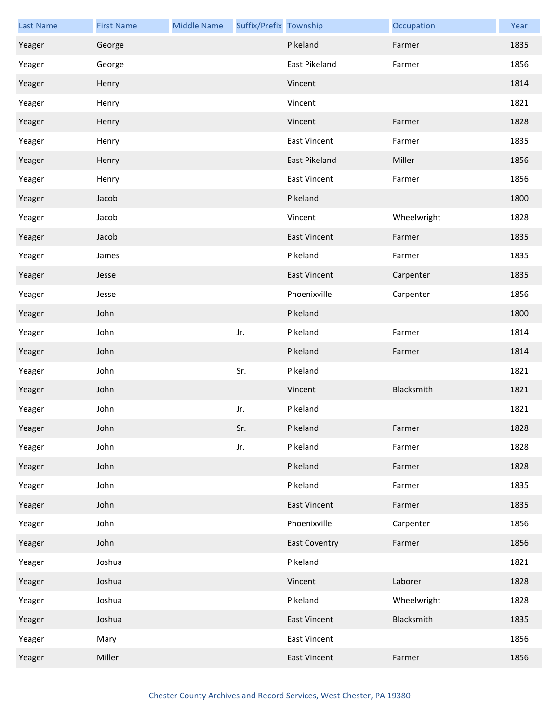| <b>Last Name</b> | <b>First Name</b> | <b>Middle Name</b> | Suffix/Prefix Township |                      | Occupation  | Year |
|------------------|-------------------|--------------------|------------------------|----------------------|-------------|------|
| Yeager           | George            |                    |                        | Pikeland             | Farmer      | 1835 |
| Yeager           | George            |                    |                        | East Pikeland        | Farmer      | 1856 |
| Yeager           | Henry             |                    |                        | Vincent              |             | 1814 |
| Yeager           | Henry             |                    |                        | Vincent              |             | 1821 |
| Yeager           | Henry             |                    |                        | Vincent              | Farmer      | 1828 |
| Yeager           | Henry             |                    |                        | <b>East Vincent</b>  | Farmer      | 1835 |
| Yeager           | Henry             |                    |                        | East Pikeland        | Miller      | 1856 |
| Yeager           | Henry             |                    |                        | <b>East Vincent</b>  | Farmer      | 1856 |
| Yeager           | Jacob             |                    |                        | Pikeland             |             | 1800 |
| Yeager           | Jacob             |                    |                        | Vincent              | Wheelwright | 1828 |
| Yeager           | Jacob             |                    |                        | <b>East Vincent</b>  | Farmer      | 1835 |
| Yeager           | James             |                    |                        | Pikeland             | Farmer      | 1835 |
| Yeager           | Jesse             |                    |                        | <b>East Vincent</b>  | Carpenter   | 1835 |
| Yeager           | Jesse             |                    |                        | Phoenixville         | Carpenter   | 1856 |
| Yeager           | John              |                    |                        | Pikeland             |             | 1800 |
| Yeager           | John              |                    | Jr.                    | Pikeland             | Farmer      | 1814 |
| Yeager           | John              |                    |                        | Pikeland             | Farmer      | 1814 |
| Yeager           | John              |                    | Sr.                    | Pikeland             |             | 1821 |
| Yeager           | John              |                    |                        | Vincent              | Blacksmith  | 1821 |
| Yeager           | John              |                    | Jr.                    | Pikeland             |             | 1821 |
| Yeager           | John              |                    | Sr.                    | Pikeland             | Farmer      | 1828 |
| Yeager           | John              |                    | Jr.                    | Pikeland             | Farmer      | 1828 |
| Yeager           | John              |                    |                        | Pikeland             | Farmer      | 1828 |
| Yeager           | John              |                    |                        | Pikeland             | Farmer      | 1835 |
| Yeager           | John              |                    |                        | <b>East Vincent</b>  | Farmer      | 1835 |
| Yeager           | John              |                    |                        | Phoenixville         | Carpenter   | 1856 |
| Yeager           | John              |                    |                        | <b>East Coventry</b> | Farmer      | 1856 |
| Yeager           | Joshua            |                    |                        | Pikeland             |             | 1821 |
| Yeager           | Joshua            |                    |                        | Vincent              | Laborer     | 1828 |
| Yeager           | Joshua            |                    |                        | Pikeland             | Wheelwright | 1828 |
| Yeager           | Joshua            |                    |                        | <b>East Vincent</b>  | Blacksmith  | 1835 |
| Yeager           | Mary              |                    |                        | <b>East Vincent</b>  |             | 1856 |
| Yeager           | Miller            |                    |                        | <b>East Vincent</b>  | Farmer      | 1856 |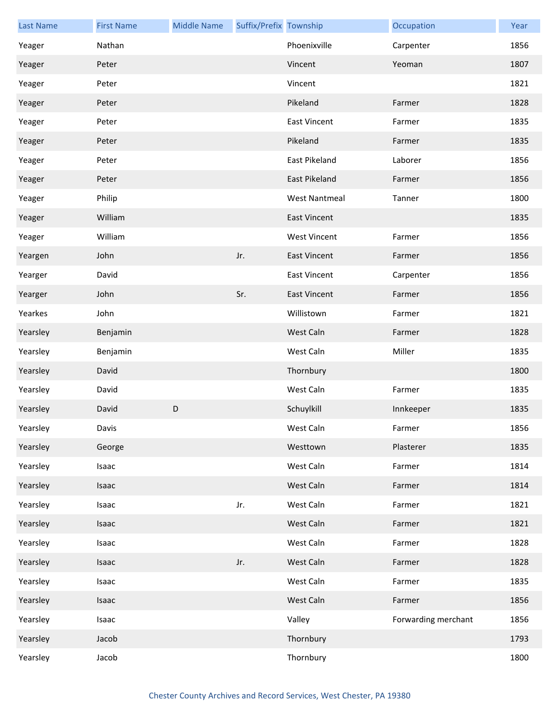| <b>Last Name</b> | <b>First Name</b> | <b>Middle Name</b> | Suffix/Prefix Township |                      | Occupation          | Year |
|------------------|-------------------|--------------------|------------------------|----------------------|---------------------|------|
| Yeager           | Nathan            |                    |                        | Phoenixville         | Carpenter           | 1856 |
| Yeager           | Peter             |                    |                        | Vincent              | Yeoman              | 1807 |
| Yeager           | Peter             |                    |                        | Vincent              |                     | 1821 |
| Yeager           | Peter             |                    |                        | Pikeland             | Farmer              | 1828 |
| Yeager           | Peter             |                    |                        | <b>East Vincent</b>  | Farmer              | 1835 |
| Yeager           | Peter             |                    |                        | Pikeland             | Farmer              | 1835 |
| Yeager           | Peter             |                    |                        | East Pikeland        | Laborer             | 1856 |
| Yeager           | Peter             |                    |                        | <b>East Pikeland</b> | Farmer              | 1856 |
| Yeager           | Philip            |                    |                        | <b>West Nantmeal</b> | Tanner              | 1800 |
| Yeager           | William           |                    |                        | <b>East Vincent</b>  |                     | 1835 |
| Yeager           | William           |                    |                        | <b>West Vincent</b>  | Farmer              | 1856 |
| Yeargen          | John              |                    | Jr.                    | <b>East Vincent</b>  | Farmer              | 1856 |
| Yearger          | David             |                    |                        | <b>East Vincent</b>  | Carpenter           | 1856 |
| Yearger          | John              |                    | Sr.                    | <b>East Vincent</b>  | Farmer              | 1856 |
| Yearkes          | John              |                    |                        | Willistown           | Farmer              | 1821 |
| Yearsley         | Benjamin          |                    |                        | West Caln            | Farmer              | 1828 |
| Yearsley         | Benjamin          |                    |                        | West Caln            | Miller              | 1835 |
| Yearsley         | David             |                    |                        | Thornbury            |                     | 1800 |
| Yearsley         | David             |                    |                        | West Caln            | Farmer              | 1835 |
| Yearsley         | David             | D                  |                        | Schuylkill           | Innkeeper           | 1835 |
| Yearsley         | Davis             |                    |                        | West Caln            | Farmer              | 1856 |
| Yearsley         | George            |                    |                        | Westtown             | Plasterer           | 1835 |
| Yearsley         | Isaac             |                    |                        | West Caln            | Farmer              | 1814 |
| Yearsley         | Isaac             |                    |                        | West Caln            | Farmer              | 1814 |
| Yearsley         | Isaac             |                    | Jr.                    | West Caln            | Farmer              | 1821 |
| Yearsley         | Isaac             |                    |                        | West Caln            | Farmer              | 1821 |
| Yearsley         | Isaac             |                    |                        | West Caln            | Farmer              | 1828 |
| Yearsley         | Isaac             |                    | Jr.                    | West Caln            | Farmer              | 1828 |
| Yearsley         | Isaac             |                    |                        | West Caln            | Farmer              | 1835 |
| Yearsley         | Isaac             |                    |                        | West Caln            | Farmer              | 1856 |
| Yearsley         | Isaac             |                    |                        | Valley               | Forwarding merchant | 1856 |
| Yearsley         | Jacob             |                    |                        | Thornbury            |                     | 1793 |
| Yearsley         | Jacob             |                    |                        | Thornbury            |                     | 1800 |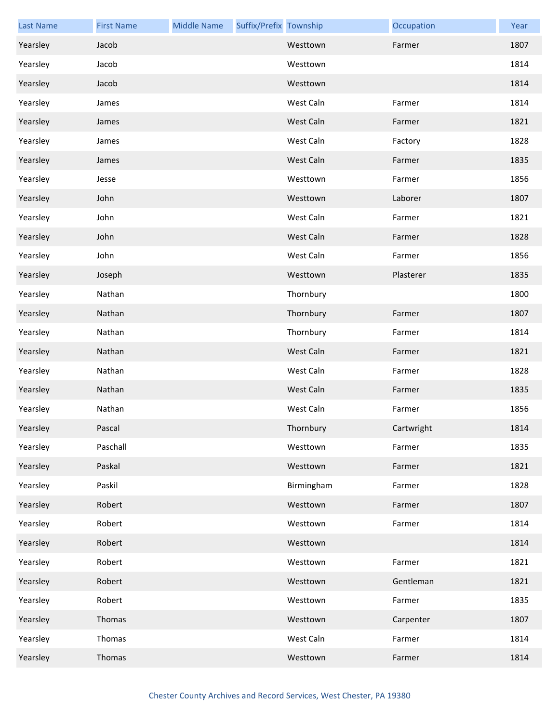| <b>Last Name</b> | <b>First Name</b> | <b>Middle Name</b> | Suffix/Prefix Township |            | Occupation | Year |
|------------------|-------------------|--------------------|------------------------|------------|------------|------|
| Yearsley         | Jacob             |                    |                        | Westtown   | Farmer     | 1807 |
| Yearsley         | Jacob             |                    |                        | Westtown   |            | 1814 |
| Yearsley         | Jacob             |                    |                        | Westtown   |            | 1814 |
| Yearsley         | James             |                    |                        | West Caln  | Farmer     | 1814 |
| Yearsley         | James             |                    |                        | West Caln  | Farmer     | 1821 |
| Yearsley         | James             |                    |                        | West Caln  | Factory    | 1828 |
| Yearsley         | James             |                    |                        | West Caln  | Farmer     | 1835 |
| Yearsley         | Jesse             |                    |                        | Westtown   | Farmer     | 1856 |
| Yearsley         | John              |                    |                        | Westtown   | Laborer    | 1807 |
| Yearsley         | John              |                    |                        | West Caln  | Farmer     | 1821 |
| Yearsley         | John              |                    |                        | West Caln  | Farmer     | 1828 |
| Yearsley         | John              |                    |                        | West Caln  | Farmer     | 1856 |
| Yearsley         | Joseph            |                    |                        | Westtown   | Plasterer  | 1835 |
| Yearsley         | Nathan            |                    |                        | Thornbury  |            | 1800 |
| Yearsley         | Nathan            |                    |                        | Thornbury  | Farmer     | 1807 |
| Yearsley         | Nathan            |                    |                        | Thornbury  | Farmer     | 1814 |
| Yearsley         | Nathan            |                    |                        | West Caln  | Farmer     | 1821 |
| Yearsley         | Nathan            |                    |                        | West Caln  | Farmer     | 1828 |
| Yearsley         | Nathan            |                    |                        | West Caln  | Farmer     | 1835 |
| Yearsley         | Nathan            |                    |                        | West Caln  | Farmer     | 1856 |
| Yearsley         | Pascal            |                    |                        | Thornbury  | Cartwright | 1814 |
| Yearsley         | Paschall          |                    |                        | Westtown   | Farmer     | 1835 |
| Yearsley         | Paskal            |                    |                        | Westtown   | Farmer     | 1821 |
| Yearsley         | Paskil            |                    |                        | Birmingham | Farmer     | 1828 |
| Yearsley         | Robert            |                    |                        | Westtown   | Farmer     | 1807 |
| Yearsley         | Robert            |                    |                        | Westtown   | Farmer     | 1814 |
| Yearsley         | Robert            |                    |                        | Westtown   |            | 1814 |
| Yearsley         | Robert            |                    |                        | Westtown   | Farmer     | 1821 |
| Yearsley         | Robert            |                    |                        | Westtown   | Gentleman  | 1821 |
| Yearsley         | Robert            |                    |                        | Westtown   | Farmer     | 1835 |
| Yearsley         | Thomas            |                    |                        | Westtown   | Carpenter  | 1807 |
| Yearsley         | Thomas            |                    |                        | West Caln  | Farmer     | 1814 |
| Yearsley         | Thomas            |                    |                        | Westtown   | Farmer     | 1814 |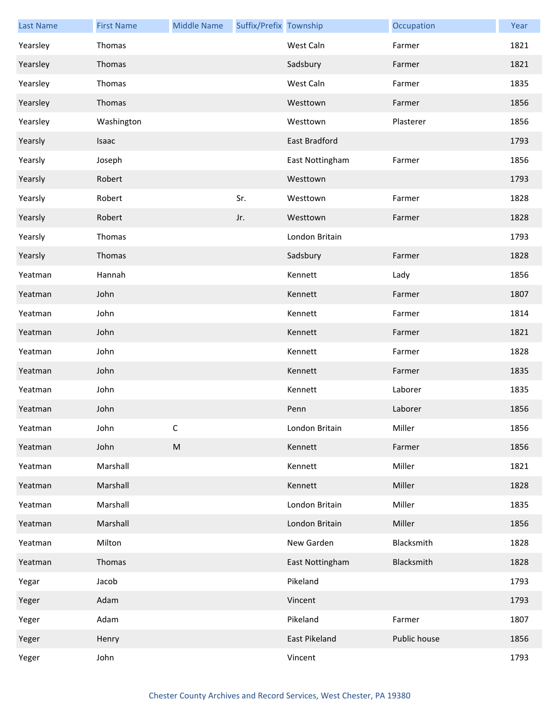| <b>Last Name</b> | <b>First Name</b> | <b>Middle Name</b> | Suffix/Prefix Township |                      | Occupation   | Year |
|------------------|-------------------|--------------------|------------------------|----------------------|--------------|------|
| Yearsley         | Thomas            |                    |                        | West Caln            | Farmer       | 1821 |
| Yearsley         | Thomas            |                    |                        | Sadsbury             | Farmer       | 1821 |
| Yearsley         | Thomas            |                    |                        | West Caln            | Farmer       | 1835 |
| Yearsley         | Thomas            |                    |                        | Westtown             | Farmer       | 1856 |
| Yearsley         | Washington        |                    |                        | Westtown             | Plasterer    | 1856 |
| Yearsly          | Isaac             |                    |                        | <b>East Bradford</b> |              | 1793 |
| Yearsly          | Joseph            |                    |                        | East Nottingham      | Farmer       | 1856 |
| Yearsly          | Robert            |                    |                        | Westtown             |              | 1793 |
| Yearsly          | Robert            |                    | Sr.                    | Westtown             | Farmer       | 1828 |
| Yearsly          | Robert            |                    | Jr.                    | Westtown             | Farmer       | 1828 |
| Yearsly          | Thomas            |                    |                        | London Britain       |              | 1793 |
| Yearsly          | Thomas            |                    |                        | Sadsbury             | Farmer       | 1828 |
| Yeatman          | Hannah            |                    |                        | Kennett              | Lady         | 1856 |
| Yeatman          | John              |                    |                        | Kennett              | Farmer       | 1807 |
| Yeatman          | John              |                    |                        | Kennett              | Farmer       | 1814 |
| Yeatman          | John              |                    |                        | Kennett              | Farmer       | 1821 |
| Yeatman          | John              |                    |                        | Kennett              | Farmer       | 1828 |
| Yeatman          | John              |                    |                        | Kennett              | Farmer       | 1835 |
| Yeatman          | John              |                    |                        | Kennett              | Laborer      | 1835 |
| Yeatman          | John              |                    |                        | Penn                 | Laborer      | 1856 |
| Yeatman          | John              | C.                 |                        | London Britain       | Miller       | 1856 |
| Yeatman          | John              | ${\sf M}$          |                        | Kennett              | Farmer       | 1856 |
| Yeatman          | Marshall          |                    |                        | Kennett              | Miller       | 1821 |
| Yeatman          | Marshall          |                    |                        | Kennett              | Miller       | 1828 |
| Yeatman          | Marshall          |                    |                        | London Britain       | Miller       | 1835 |
| Yeatman          | Marshall          |                    |                        | London Britain       | Miller       | 1856 |
| Yeatman          | Milton            |                    |                        | New Garden           | Blacksmith   | 1828 |
| Yeatman          | Thomas            |                    |                        | East Nottingham      | Blacksmith   | 1828 |
| Yegar            | Jacob             |                    |                        | Pikeland             |              | 1793 |
| Yeger            | Adam              |                    |                        | Vincent              |              | 1793 |
| Yeger            | Adam              |                    |                        | Pikeland             | Farmer       | 1807 |
| Yeger            | Henry             |                    |                        | East Pikeland        | Public house | 1856 |
| Yeger            | John              |                    |                        | Vincent              |              | 1793 |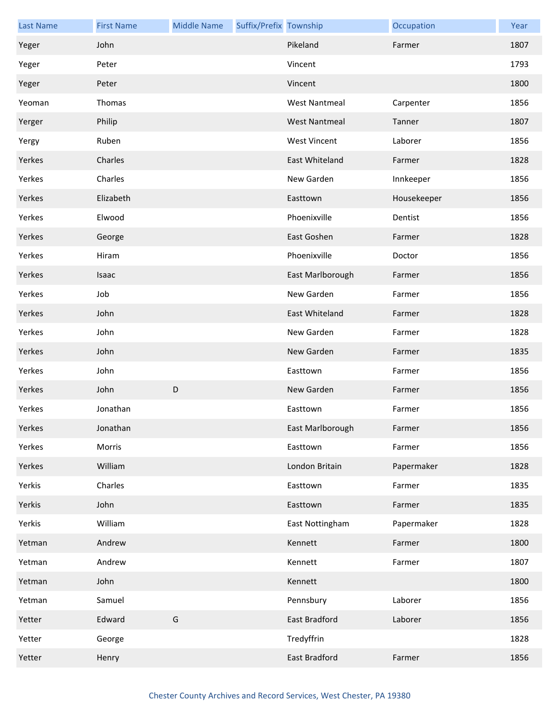| <b>Last Name</b> | <b>First Name</b> | <b>Middle Name</b> | Suffix/Prefix Township |                      | Occupation  | Year |
|------------------|-------------------|--------------------|------------------------|----------------------|-------------|------|
| Yeger            | John              |                    |                        | Pikeland             | Farmer      | 1807 |
| Yeger            | Peter             |                    |                        | Vincent              |             | 1793 |
| Yeger            | Peter             |                    |                        | Vincent              |             | 1800 |
| Yeoman           | Thomas            |                    |                        | <b>West Nantmeal</b> | Carpenter   | 1856 |
| Yerger           | Philip            |                    |                        | <b>West Nantmeal</b> | Tanner      | 1807 |
| Yergy            | Ruben             |                    |                        | <b>West Vincent</b>  | Laborer     | 1856 |
| Yerkes           | Charles           |                    |                        | East Whiteland       | Farmer      | 1828 |
| Yerkes           | Charles           |                    |                        | New Garden           | Innkeeper   | 1856 |
| Yerkes           | Elizabeth         |                    |                        | Easttown             | Housekeeper | 1856 |
| Yerkes           | Elwood            |                    |                        | Phoenixville         | Dentist     | 1856 |
| Yerkes           | George            |                    |                        | East Goshen          | Farmer      | 1828 |
| Yerkes           | Hiram             |                    |                        | Phoenixville         | Doctor      | 1856 |
| Yerkes           | Isaac             |                    |                        | East Marlborough     | Farmer      | 1856 |
| Yerkes           | Job               |                    |                        | New Garden           | Farmer      | 1856 |
| Yerkes           | John              |                    |                        | East Whiteland       | Farmer      | 1828 |
| Yerkes           | John              |                    |                        | New Garden           | Farmer      | 1828 |
| Yerkes           | John              |                    |                        | New Garden           | Farmer      | 1835 |
| Yerkes           | John              |                    |                        | Easttown             | Farmer      | 1856 |
| Yerkes           | John              | D                  |                        | New Garden           | Farmer      | 1856 |
| Yerkes           | Jonathan          |                    |                        | Easttown             | Farmer      | 1856 |
| Yerkes           | Jonathan          |                    |                        | East Marlborough     | Farmer      | 1856 |
| Yerkes           | Morris            |                    |                        | Easttown             | Farmer      | 1856 |
| Yerkes           | William           |                    |                        | London Britain       | Papermaker  | 1828 |
| Yerkis           | Charles           |                    |                        | Easttown             | Farmer      | 1835 |
| Yerkis           | John              |                    |                        | Easttown             | Farmer      | 1835 |
| Yerkis           | William           |                    |                        | East Nottingham      | Papermaker  | 1828 |
| Yetman           | Andrew            |                    |                        | Kennett              | Farmer      | 1800 |
| Yetman           | Andrew            |                    |                        | Kennett              | Farmer      | 1807 |
| Yetman           | John              |                    |                        | Kennett              |             | 1800 |
| Yetman           | Samuel            |                    |                        | Pennsbury            | Laborer     | 1856 |
| Yetter           | Edward            | G                  |                        | East Bradford        | Laborer     | 1856 |
| Yetter           | George            |                    |                        | Tredyffrin           |             | 1828 |
| Yetter           | Henry             |                    |                        | East Bradford        | Farmer      | 1856 |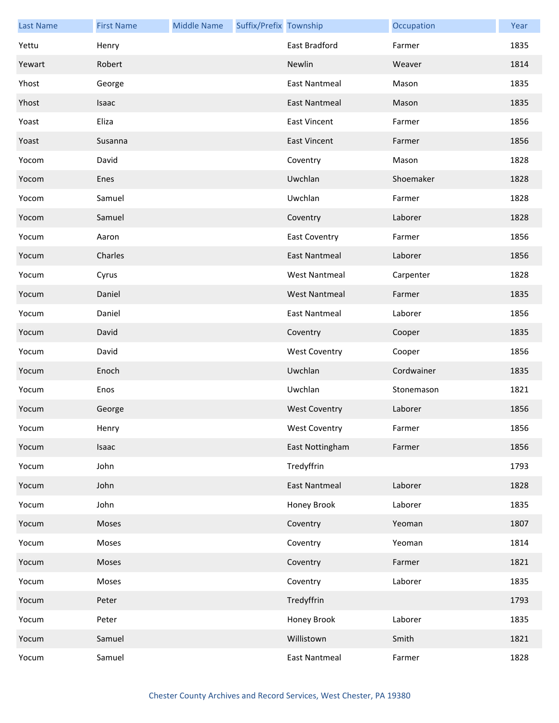| <b>Last Name</b> | <b>First Name</b> | <b>Middle Name</b> | Suffix/Prefix Township |                      | Occupation | Year |
|------------------|-------------------|--------------------|------------------------|----------------------|------------|------|
| Yettu            | Henry             |                    |                        | East Bradford        | Farmer     | 1835 |
| Yewart           | Robert            |                    |                        | Newlin               | Weaver     | 1814 |
| Yhost            | George            |                    |                        | <b>East Nantmeal</b> | Mason      | 1835 |
| Yhost            | Isaac             |                    |                        | <b>East Nantmeal</b> | Mason      | 1835 |
| Yoast            | Eliza             |                    |                        | <b>East Vincent</b>  | Farmer     | 1856 |
| Yoast            | Susanna           |                    |                        | <b>East Vincent</b>  | Farmer     | 1856 |
| Yocom            | David             |                    |                        | Coventry             | Mason      | 1828 |
| Yocom            | Enes              |                    |                        | Uwchlan              | Shoemaker  | 1828 |
| Yocom            | Samuel            |                    |                        | Uwchlan              | Farmer     | 1828 |
| Yocom            | Samuel            |                    |                        | Coventry             | Laborer    | 1828 |
| Yocum            | Aaron             |                    |                        | <b>East Coventry</b> | Farmer     | 1856 |
| Yocum            | Charles           |                    |                        | <b>East Nantmeal</b> | Laborer    | 1856 |
| Yocum            | Cyrus             |                    |                        | <b>West Nantmeal</b> | Carpenter  | 1828 |
| Yocum            | Daniel            |                    |                        | <b>West Nantmeal</b> | Farmer     | 1835 |
| Yocum            | Daniel            |                    |                        | <b>East Nantmeal</b> | Laborer    | 1856 |
| Yocum            | David             |                    |                        | Coventry             | Cooper     | 1835 |
| Yocum            | David             |                    |                        | <b>West Coventry</b> | Cooper     | 1856 |
| Yocum            | Enoch             |                    |                        | Uwchlan              | Cordwainer | 1835 |
| Yocum            | Enos              |                    |                        | Uwchlan              | Stonemason | 1821 |
| Yocum            | George            |                    |                        | <b>West Coventry</b> | Laborer    | 1856 |
| Yocum            | Henry             |                    |                        | West Coventry        | Farmer     | 1856 |
| Yocum            | Isaac             |                    |                        | East Nottingham      | Farmer     | 1856 |
| Yocum            | John              |                    |                        | Tredyffrin           |            | 1793 |
| Yocum            | John              |                    |                        | <b>East Nantmeal</b> | Laborer    | 1828 |
| Yocum            | John              |                    |                        | Honey Brook          | Laborer    | 1835 |
| Yocum            | Moses             |                    |                        | Coventry             | Yeoman     | 1807 |
| Yocum            | Moses             |                    |                        | Coventry             | Yeoman     | 1814 |
| Yocum            | Moses             |                    |                        | Coventry             | Farmer     | 1821 |
| Yocum            | Moses             |                    |                        | Coventry             | Laborer    | 1835 |
| Yocum            | Peter             |                    |                        | Tredyffrin           |            | 1793 |
| Yocum            | Peter             |                    |                        | Honey Brook          | Laborer    | 1835 |
| Yocum            | Samuel            |                    |                        | Willistown           | Smith      | 1821 |
| Yocum            | Samuel            |                    |                        | <b>East Nantmeal</b> | Farmer     | 1828 |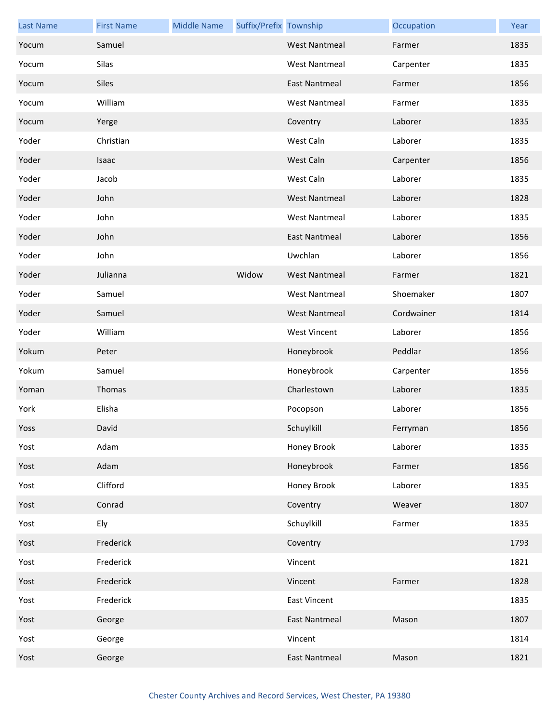| <b>Last Name</b> | <b>First Name</b> | <b>Middle Name</b> | Suffix/Prefix Township |                      | Occupation | Year |
|------------------|-------------------|--------------------|------------------------|----------------------|------------|------|
| Yocum            | Samuel            |                    |                        | <b>West Nantmeal</b> | Farmer     | 1835 |
| Yocum            | Silas             |                    |                        | <b>West Nantmeal</b> | Carpenter  | 1835 |
| Yocum            | <b>Siles</b>      |                    |                        | <b>East Nantmeal</b> | Farmer     | 1856 |
| Yocum            | William           |                    |                        | <b>West Nantmeal</b> | Farmer     | 1835 |
| Yocum            | Yerge             |                    |                        | Coventry             | Laborer    | 1835 |
| Yoder            | Christian         |                    |                        | West Caln            | Laborer    | 1835 |
| Yoder            | Isaac             |                    |                        | West Caln            | Carpenter  | 1856 |
| Yoder            | Jacob             |                    |                        | West Caln            | Laborer    | 1835 |
| Yoder            | John              |                    |                        | <b>West Nantmeal</b> | Laborer    | 1828 |
| Yoder            | John              |                    |                        | <b>West Nantmeal</b> | Laborer    | 1835 |
| Yoder            | John              |                    |                        | <b>East Nantmeal</b> | Laborer    | 1856 |
| Yoder            | John              |                    |                        | Uwchlan              | Laborer    | 1856 |
| Yoder            | Julianna          |                    | Widow                  | <b>West Nantmeal</b> | Farmer     | 1821 |
| Yoder            | Samuel            |                    |                        | <b>West Nantmeal</b> | Shoemaker  | 1807 |
| Yoder            | Samuel            |                    |                        | <b>West Nantmeal</b> | Cordwainer | 1814 |
| Yoder            | William           |                    |                        | <b>West Vincent</b>  | Laborer    | 1856 |
| Yokum            | Peter             |                    |                        | Honeybrook           | Peddlar    | 1856 |
| Yokum            | Samuel            |                    |                        | Honeybrook           | Carpenter  | 1856 |
| Yoman            | Thomas            |                    |                        | Charlestown          | Laborer    | 1835 |
| York             | Elisha            |                    |                        | Pocopson             | Laborer    | 1856 |
| Yoss             | David             |                    |                        | Schuylkill           | Ferryman   | 1856 |
| Yost             | Adam              |                    |                        | Honey Brook          | Laborer    | 1835 |
| Yost             | Adam              |                    |                        | Honeybrook           | Farmer     | 1856 |
| Yost             | Clifford          |                    |                        | Honey Brook          | Laborer    | 1835 |
| Yost             | Conrad            |                    |                        | Coventry             | Weaver     | 1807 |
| Yost             | Ely               |                    |                        | Schuylkill           | Farmer     | 1835 |
| Yost             | Frederick         |                    |                        | Coventry             |            | 1793 |
| Yost             | Frederick         |                    |                        | Vincent              |            | 1821 |
| Yost             | Frederick         |                    |                        | Vincent              | Farmer     | 1828 |
| Yost             | Frederick         |                    |                        | <b>East Vincent</b>  |            | 1835 |
| Yost             | George            |                    |                        | <b>East Nantmeal</b> | Mason      | 1807 |
| Yost             | George            |                    |                        | Vincent              |            | 1814 |
| Yost             | George            |                    |                        | <b>East Nantmeal</b> | Mason      | 1821 |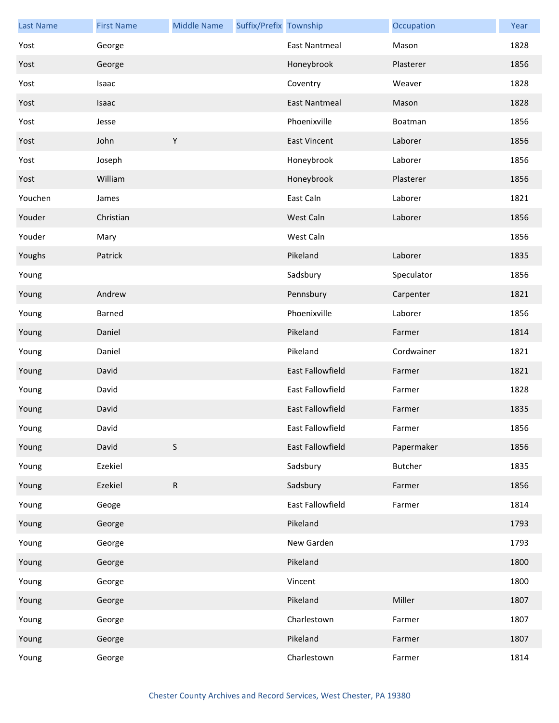| <b>Last Name</b> | <b>First Name</b> | <b>Middle Name</b> | Suffix/Prefix Township |                      | Occupation     | Year |
|------------------|-------------------|--------------------|------------------------|----------------------|----------------|------|
| Yost             | George            |                    |                        | <b>East Nantmeal</b> | Mason          | 1828 |
| Yost             | George            |                    |                        | Honeybrook           | Plasterer      | 1856 |
| Yost             | Isaac             |                    |                        | Coventry             | Weaver         | 1828 |
| Yost             | Isaac             |                    |                        | <b>East Nantmeal</b> | Mason          | 1828 |
| Yost             | Jesse             |                    |                        | Phoenixville         | Boatman        | 1856 |
| Yost             | John              | $\mathsf Y$        |                        | <b>East Vincent</b>  | Laborer        | 1856 |
| Yost             | Joseph            |                    |                        | Honeybrook           | Laborer        | 1856 |
| Yost             | William           |                    |                        | Honeybrook           | Plasterer      | 1856 |
| Youchen          | James             |                    |                        | East Caln            | Laborer        | 1821 |
| Youder           | Christian         |                    |                        | West Caln            | Laborer        | 1856 |
| Youder           | Mary              |                    |                        | West Caln            |                | 1856 |
| Youghs           | Patrick           |                    |                        | Pikeland             | Laborer        | 1835 |
| Young            |                   |                    |                        | Sadsbury             | Speculator     | 1856 |
| Young            | Andrew            |                    |                        | Pennsbury            | Carpenter      | 1821 |
| Young            | Barned            |                    |                        | Phoenixville         | Laborer        | 1856 |
| Young            | Daniel            |                    |                        | Pikeland             | Farmer         | 1814 |
| Young            | Daniel            |                    |                        | Pikeland             | Cordwainer     | 1821 |
| Young            | David             |                    |                        | East Fallowfield     | Farmer         | 1821 |
| Young            | David             |                    |                        | East Fallowfield     | Farmer         | 1828 |
| Young            | David             |                    |                        | East Fallowfield     | Farmer         | 1835 |
| Young            | David             |                    |                        | East Fallowfield     | Farmer         | 1856 |
| Young            | David             | $\mathsf S$        |                        | East Fallowfield     | Papermaker     | 1856 |
| Young            | Ezekiel           |                    |                        | Sadsbury             | <b>Butcher</b> | 1835 |
| Young            | Ezekiel           | ${\sf R}$          |                        | Sadsbury             | Farmer         | 1856 |
| Young            | Geoge             |                    |                        | East Fallowfield     | Farmer         | 1814 |
| Young            | George            |                    |                        | Pikeland             |                | 1793 |
| Young            | George            |                    |                        | New Garden           |                | 1793 |
| Young            | George            |                    |                        | Pikeland             |                | 1800 |
| Young            | George            |                    |                        | Vincent              |                | 1800 |
| Young            | George            |                    |                        | Pikeland             | Miller         | 1807 |
| Young            | George            |                    |                        | Charlestown          | Farmer         | 1807 |
| Young            | George            |                    |                        | Pikeland             | Farmer         | 1807 |
| Young            | George            |                    |                        | Charlestown          | Farmer         | 1814 |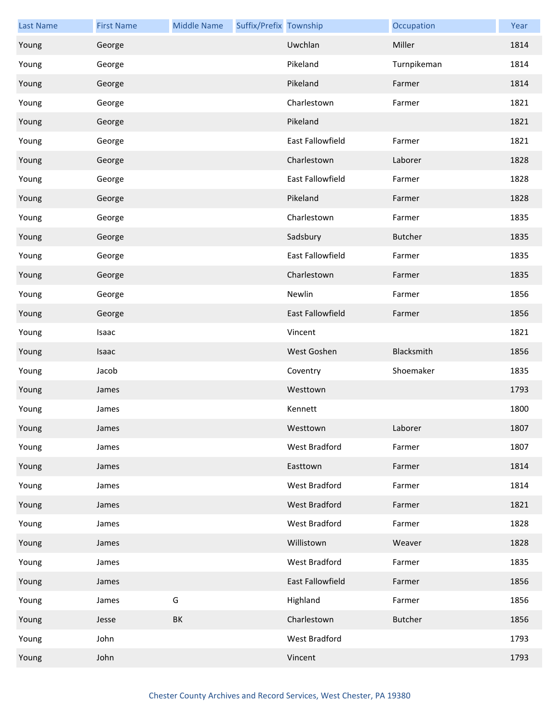| <b>Last Name</b> | <b>First Name</b> | <b>Middle Name</b> | Suffix/Prefix Township |                  | Occupation     | Year |
|------------------|-------------------|--------------------|------------------------|------------------|----------------|------|
| Young            | George            |                    |                        | Uwchlan          | Miller         | 1814 |
| Young            | George            |                    |                        | Pikeland         | Turnpikeman    | 1814 |
| Young            | George            |                    |                        | Pikeland         | Farmer         | 1814 |
| Young            | George            |                    |                        | Charlestown      | Farmer         | 1821 |
| Young            | George            |                    |                        | Pikeland         |                | 1821 |
| Young            | George            |                    |                        | East Fallowfield | Farmer         | 1821 |
| Young            | George            |                    |                        | Charlestown      | Laborer        | 1828 |
| Young            | George            |                    |                        | East Fallowfield | Farmer         | 1828 |
| Young            | George            |                    |                        | Pikeland         | Farmer         | 1828 |
| Young            | George            |                    |                        | Charlestown      | Farmer         | 1835 |
| Young            | George            |                    |                        | Sadsbury         | <b>Butcher</b> | 1835 |
| Young            | George            |                    |                        | East Fallowfield | Farmer         | 1835 |
| Young            | George            |                    |                        | Charlestown      | Farmer         | 1835 |
| Young            | George            |                    |                        | Newlin           | Farmer         | 1856 |
| Young            | George            |                    |                        | East Fallowfield | Farmer         | 1856 |
| Young            | Isaac             |                    |                        | Vincent          |                | 1821 |
| Young            | Isaac             |                    |                        | West Goshen      | Blacksmith     | 1856 |
| Young            | Jacob             |                    |                        | Coventry         | Shoemaker      | 1835 |
| Young            | James             |                    |                        | Westtown         |                | 1793 |
| Young            | James             |                    |                        | Kennett          |                | 1800 |
| Young            | James             |                    |                        | Westtown         | Laborer        | 1807 |
| Young            | James             |                    |                        | West Bradford    | Farmer         | 1807 |
| Young            | James             |                    |                        | Easttown         | Farmer         | 1814 |
| Young            | James             |                    |                        | West Bradford    | Farmer         | 1814 |
| Young            | James             |                    |                        | West Bradford    | Farmer         | 1821 |
| Young            | James             |                    |                        | West Bradford    | Farmer         | 1828 |
| Young            | James             |                    |                        | Willistown       | Weaver         | 1828 |
| Young            | James             |                    |                        | West Bradford    | Farmer         | 1835 |
| Young            | James             |                    |                        | East Fallowfield | Farmer         | 1856 |
| Young            | James             | G                  |                        | Highland         | Farmer         | 1856 |
| Young            | Jesse             | BK                 |                        | Charlestown      | <b>Butcher</b> | 1856 |
| Young            | John              |                    |                        | West Bradford    |                | 1793 |
| Young            | John              |                    |                        | Vincent          |                | 1793 |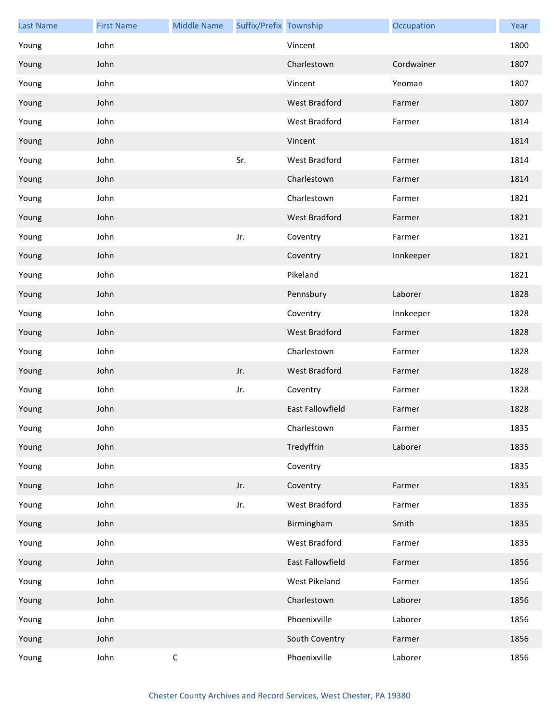| <b>Last Name</b> | <b>First Name</b> | <b>Middle Name</b> | Suffix/Prefix Township |                         | Occupation | Year |
|------------------|-------------------|--------------------|------------------------|-------------------------|------------|------|
| Young            | John              |                    |                        | Vincent                 |            | 1800 |
| Young            | John              |                    |                        | Charlestown             | Cordwainer | 1807 |
| Young            | John              |                    |                        | Vincent                 | Yeoman     | 1807 |
| Young            | John              |                    |                        | <b>West Bradford</b>    | Farmer     | 1807 |
| Young            | John              |                    |                        | West Bradford           | Farmer     | 1814 |
| Young            | John              |                    |                        | Vincent                 |            | 1814 |
| Young            | John              |                    | Sr.                    | West Bradford           | Farmer     | 1814 |
| Young            | John              |                    |                        | Charlestown             | Farmer     | 1814 |
| Young            | John              |                    |                        | Charlestown             | Farmer     | 1821 |
| Young            | John              |                    |                        | West Bradford           | Farmer     | 1821 |
| Young            | John              |                    | Jr.                    | Coventry                | Farmer     | 1821 |
| Young            | John              |                    |                        | Coventry                | Innkeeper  | 1821 |
| Young            | John              |                    |                        | Pikeland                |            | 1821 |
| Young            | John              |                    |                        | Pennsbury               | Laborer    | 1828 |
| Young            | John              |                    |                        | Coventry                | Innkeeper  | 1828 |
| Young            | John              |                    |                        | <b>West Bradford</b>    | Farmer     | 1828 |
| Young            | John              |                    |                        | Charlestown             | Farmer     | 1828 |
| Young            | John              |                    | Jr.                    | West Bradford           | Farmer     | 1828 |
| Young            | John              |                    | Jr.                    | Coventry                | Farmer     | 1828 |
| Young            | John              |                    |                        | <b>East Fallowfield</b> | Farmer     | 1828 |
| Young            | John              |                    |                        | Charlestown             | Farmer     | 1835 |
| Young            | John              |                    |                        | Tredyffrin              | Laborer    | 1835 |
| Young            | John              |                    |                        | Coventry                |            | 1835 |
| Young            | John              |                    | Jr.                    | Coventry                | Farmer     | 1835 |
| Young            | John              |                    | Jr.                    | West Bradford           | Farmer     | 1835 |
| Young            | John              |                    |                        | Birmingham              | Smith      | 1835 |
| Young            | John              |                    |                        | West Bradford           | Farmer     | 1835 |
| Young            | John              |                    |                        | East Fallowfield        | Farmer     | 1856 |
| Young            | John              |                    |                        | West Pikeland           | Farmer     | 1856 |
| Young            | John              |                    |                        | Charlestown             | Laborer    | 1856 |
| Young            | John              |                    |                        | Phoenixville            | Laborer    | 1856 |
| Young            | John              |                    |                        | South Coventry          | Farmer     | 1856 |
| Young            | John              | $\mathsf C$        |                        | Phoenixville            | Laborer    | 1856 |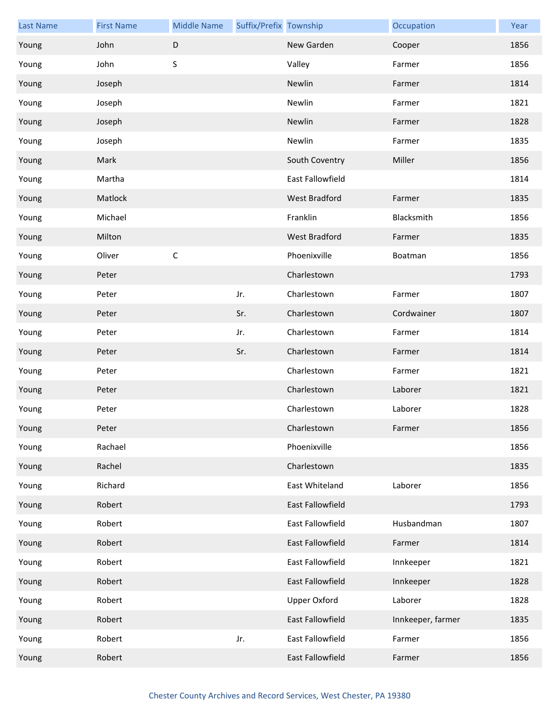| <b>Last Name</b> | <b>First Name</b> | <b>Middle Name</b> | Suffix/Prefix Township |                      | Occupation        | Year |
|------------------|-------------------|--------------------|------------------------|----------------------|-------------------|------|
| Young            | John              | $\mathsf D$        |                        | New Garden           | Cooper            | 1856 |
| Young            | John              | S                  |                        | Valley               | Farmer            | 1856 |
| Young            | Joseph            |                    |                        | Newlin               | Farmer            | 1814 |
| Young            | Joseph            |                    |                        | Newlin               | Farmer            | 1821 |
| Young            | Joseph            |                    |                        | Newlin               | Farmer            | 1828 |
| Young            | Joseph            |                    |                        | Newlin               | Farmer            | 1835 |
| Young            | Mark              |                    |                        | South Coventry       | Miller            | 1856 |
| Young            | Martha            |                    |                        | East Fallowfield     |                   | 1814 |
| Young            | Matlock           |                    |                        | West Bradford        | Farmer            | 1835 |
| Young            | Michael           |                    |                        | Franklin             | Blacksmith        | 1856 |
| Young            | Milton            |                    |                        | <b>West Bradford</b> | Farmer            | 1835 |
| Young            | Oliver            | $\mathsf C$        |                        | Phoenixville         | Boatman           | 1856 |
| Young            | Peter             |                    |                        | Charlestown          |                   | 1793 |
| Young            | Peter             |                    | Jr.                    | Charlestown          | Farmer            | 1807 |
| Young            | Peter             |                    | Sr.                    | Charlestown          | Cordwainer        | 1807 |
| Young            | Peter             |                    | Jr.                    | Charlestown          | Farmer            | 1814 |
| Young            | Peter             |                    | Sr.                    | Charlestown          | Farmer            | 1814 |
| Young            | Peter             |                    |                        | Charlestown          | Farmer            | 1821 |
| Young            | Peter             |                    |                        | Charlestown          | Laborer           | 1821 |
| Young            | Peter             |                    |                        | Charlestown          | Laborer           | 1828 |
| Young            | Peter             |                    |                        | Charlestown          | Farmer            | 1856 |
| Young            | Rachael           |                    |                        | Phoenixville         |                   | 1856 |
| Young            | Rachel            |                    |                        | Charlestown          |                   | 1835 |
| Young            | Richard           |                    |                        | East Whiteland       | Laborer           | 1856 |
| Young            | Robert            |                    |                        | East Fallowfield     |                   | 1793 |
| Young            | Robert            |                    |                        | East Fallowfield     | Husbandman        | 1807 |
| Young            | Robert            |                    |                        | East Fallowfield     | Farmer            | 1814 |
| Young            | Robert            |                    |                        | East Fallowfield     | Innkeeper         | 1821 |
| Young            | Robert            |                    |                        | East Fallowfield     | Innkeeper         | 1828 |
| Young            | Robert            |                    |                        | <b>Upper Oxford</b>  | Laborer           | 1828 |
| Young            | Robert            |                    |                        | East Fallowfield     | Innkeeper, farmer | 1835 |
| Young            | Robert            |                    | Jr.                    | East Fallowfield     | Farmer            | 1856 |
| Young            | Robert            |                    |                        | East Fallowfield     | Farmer            | 1856 |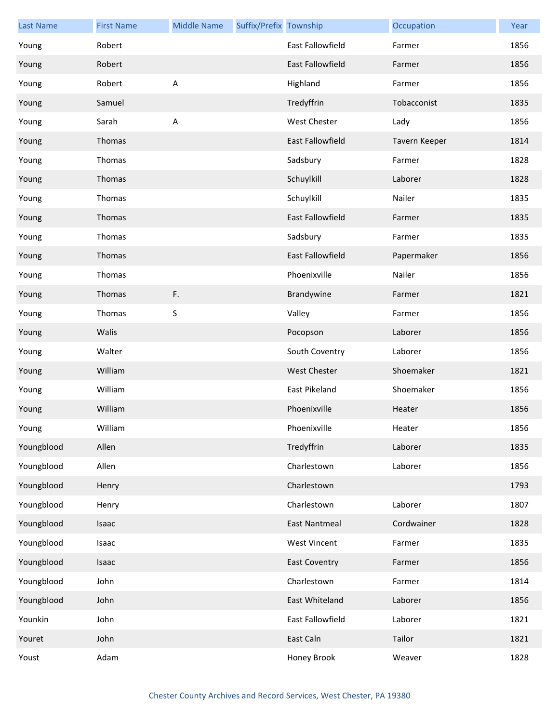| <b>Last Name</b> | <b>First Name</b> | <b>Middle Name</b> | Suffix/Prefix Township |                         | Occupation    | Year |
|------------------|-------------------|--------------------|------------------------|-------------------------|---------------|------|
| Young            | Robert            |                    |                        | East Fallowfield        | Farmer        | 1856 |
| Young            | Robert            |                    |                        | <b>East Fallowfield</b> | Farmer        | 1856 |
| Young            | Robert            | $\overline{A}$     |                        | Highland                | Farmer        | 1856 |
| Young            | Samuel            |                    |                        | Tredyffrin              | Tobacconist   | 1835 |
| Young            | Sarah             | $\sf A$            |                        | West Chester            | Lady          | 1856 |
| Young            | Thomas            |                    |                        | <b>East Fallowfield</b> | Tavern Keeper | 1814 |
| Young            | Thomas            |                    |                        | Sadsbury                | Farmer        | 1828 |
| Young            | Thomas            |                    |                        | Schuylkill              | Laborer       | 1828 |
| Young            | Thomas            |                    |                        | Schuylkill              | Nailer        | 1835 |
| Young            | Thomas            |                    |                        | <b>East Fallowfield</b> | Farmer        | 1835 |
| Young            | Thomas            |                    |                        | Sadsbury                | Farmer        | 1835 |
| Young            | Thomas            |                    |                        | <b>East Fallowfield</b> | Papermaker    | 1856 |
| Young            | Thomas            |                    |                        | Phoenixville            | Nailer        | 1856 |
| Young            | Thomas            | F.                 |                        | Brandywine              | Farmer        | 1821 |
| Young            | Thomas            | S                  |                        | Valley                  | Farmer        | 1856 |
| Young            | Walis             |                    |                        | Pocopson                | Laborer       | 1856 |
| Young            | Walter            |                    |                        | South Coventry          | Laborer       | 1856 |
| Young            | William           |                    |                        | West Chester            | Shoemaker     | 1821 |
| Young            | William           |                    |                        | East Pikeland           | Shoemaker     | 1856 |
| Young            | William           |                    |                        | Phoenixville            | Heater        | 1856 |
| Young            | William           |                    |                        | Phoenixville            | Heater        | 1856 |
| Youngblood       | Allen             |                    |                        | Tredyffrin              | Laborer       | 1835 |
| Youngblood       | Allen             |                    |                        | Charlestown             | Laborer       | 1856 |
| Youngblood       | Henry             |                    |                        | Charlestown             |               | 1793 |
| Youngblood       | Henry             |                    |                        | Charlestown             | Laborer       | 1807 |
| Youngblood       | Isaac             |                    |                        | East Nantmeal           | Cordwainer    | 1828 |
| Youngblood       | Isaac             |                    |                        | <b>West Vincent</b>     | Farmer        | 1835 |
| Youngblood       | Isaac             |                    |                        | <b>East Coventry</b>    | Farmer        | 1856 |
| Youngblood       | John              |                    |                        | Charlestown             | Farmer        | 1814 |
| Youngblood       | John              |                    |                        | East Whiteland          | Laborer       | 1856 |
| Younkin          | John              |                    |                        | East Fallowfield        | Laborer       | 1821 |
| Youret           | John              |                    |                        | East Caln               | Tailor        | 1821 |
| Youst            | Adam              |                    |                        | Honey Brook             | Weaver        | 1828 |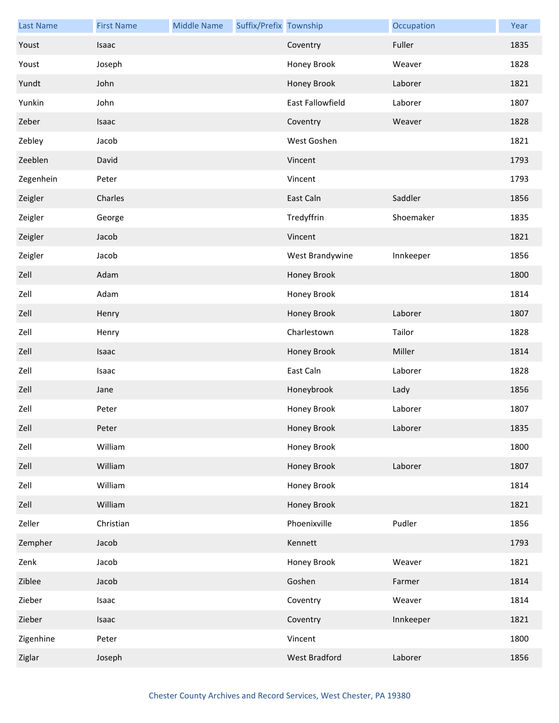| <b>Last Name</b> | <b>First Name</b> | <b>Middle Name</b> | Suffix/Prefix Township |                  | Occupation | Year |
|------------------|-------------------|--------------------|------------------------|------------------|------------|------|
| Youst            | Isaac             |                    |                        | Coventry         | Fuller     | 1835 |
| Youst            | Joseph            |                    |                        | Honey Brook      | Weaver     | 1828 |
| Yundt            | John              |                    |                        | Honey Brook      | Laborer    | 1821 |
| Yunkin           | John              |                    |                        | East Fallowfield | Laborer    | 1807 |
| Zeber            | Isaac             |                    |                        | Coventry         | Weaver     | 1828 |
| Zebley           | Jacob             |                    |                        | West Goshen      |            | 1821 |
| Zeeblen          | David             |                    |                        | Vincent          |            | 1793 |
| Zegenhein        | Peter             |                    |                        | Vincent          |            | 1793 |
| Zeigler          | Charles           |                    |                        | East Caln        | Saddler    | 1856 |
| Zeigler          | George            |                    |                        | Tredyffrin       | Shoemaker  | 1835 |
| Zeigler          | Jacob             |                    |                        | Vincent          |            | 1821 |
| Zeigler          | Jacob             |                    |                        | West Brandywine  | Innkeeper  | 1856 |
| Zell             | Adam              |                    |                        | Honey Brook      |            | 1800 |
| Zell             | Adam              |                    |                        | Honey Brook      |            | 1814 |
| Zell             | Henry             |                    |                        | Honey Brook      | Laborer    | 1807 |
| Zell             | Henry             |                    |                        | Charlestown      | Tailor     | 1828 |
| Zell             | Isaac             |                    |                        | Honey Brook      | Miller     | 1814 |
| Zell             | Isaac             |                    |                        | East Caln        | Laborer    | 1828 |
| Zell             | Jane              |                    |                        | Honeybrook       | Lady       | 1856 |
| Zell             | Peter             |                    |                        | Honey Brook      | Laborer    | 1807 |
| Zell             | Peter             |                    |                        | Honey Brook      | Laborer    | 1835 |
| Zell             | William           |                    |                        | Honey Brook      |            | 1800 |
| Zell             | William           |                    |                        | Honey Brook      | Laborer    | 1807 |
| Zell             | William           |                    |                        | Honey Brook      |            | 1814 |
| Zell             | William           |                    |                        | Honey Brook      |            | 1821 |
| Zeller           | Christian         |                    |                        | Phoenixville     | Pudler     | 1856 |
| Zempher          | Jacob             |                    |                        | Kennett          |            | 1793 |
| Zenk             | Jacob             |                    |                        | Honey Brook      | Weaver     | 1821 |
| Ziblee           | Jacob             |                    |                        | Goshen           | Farmer     | 1814 |
| Zieber           | Isaac             |                    |                        | Coventry         | Weaver     | 1814 |
| Zieber           | Isaac             |                    |                        | Coventry         | Innkeeper  | 1821 |
| Zigenhine        | Peter             |                    |                        | Vincent          |            | 1800 |
| Ziglar           | Joseph            |                    |                        | West Bradford    | Laborer    | 1856 |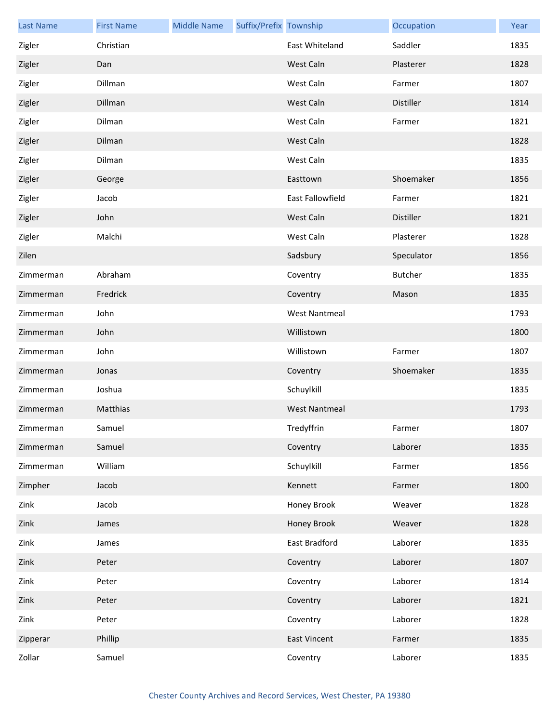| <b>Last Name</b> | <b>First Name</b> | <b>Middle Name</b> | Suffix/Prefix Township |                      | Occupation       | Year |
|------------------|-------------------|--------------------|------------------------|----------------------|------------------|------|
| Zigler           | Christian         |                    |                        | East Whiteland       | Saddler          | 1835 |
| Zigler           | Dan               |                    |                        | West Caln            | Plasterer        | 1828 |
| Zigler           | Dillman           |                    |                        | West Caln            | Farmer           | 1807 |
| Zigler           | Dillman           |                    |                        | West Caln            | Distiller        | 1814 |
| Zigler           | Dilman            |                    |                        | West Caln            | Farmer           | 1821 |
| Zigler           | Dilman            |                    |                        | West Caln            |                  | 1828 |
| Zigler           | Dilman            |                    |                        | West Caln            |                  | 1835 |
| Zigler           | George            |                    |                        | Easttown             | Shoemaker        | 1856 |
| Zigler           | Jacob             |                    |                        | East Fallowfield     | Farmer           | 1821 |
| Zigler           | John              |                    |                        | West Caln            | <b>Distiller</b> | 1821 |
| Zigler           | Malchi            |                    |                        | West Caln            | Plasterer        | 1828 |
| Zilen            |                   |                    |                        | Sadsbury             | Speculator       | 1856 |
| Zimmerman        | Abraham           |                    |                        | Coventry             | <b>Butcher</b>   | 1835 |
| Zimmerman        | Fredrick          |                    |                        | Coventry             | Mason            | 1835 |
| Zimmerman        | John              |                    |                        | <b>West Nantmeal</b> |                  | 1793 |
| Zimmerman        | John              |                    |                        | Willistown           |                  | 1800 |
| Zimmerman        | John              |                    |                        | Willistown           | Farmer           | 1807 |
| Zimmerman        | Jonas             |                    |                        | Coventry             | Shoemaker        | 1835 |
| Zimmerman        | Joshua            |                    |                        | Schuylkill           |                  | 1835 |
| Zimmerman        | Matthias          |                    |                        | <b>West Nantmeal</b> |                  | 1793 |
| Zimmerman        | Samuel            |                    |                        | Tredyffrin           | Farmer           | 1807 |
| Zimmerman        | Samuel            |                    |                        | Coventry             | Laborer          | 1835 |
| Zimmerman        | William           |                    |                        | Schuylkill           | Farmer           | 1856 |
| Zimpher          | Jacob             |                    |                        | Kennett              | Farmer           | 1800 |
| Zink             | Jacob             |                    |                        | Honey Brook          | Weaver           | 1828 |
| Zink             | James             |                    |                        | Honey Brook          | Weaver           | 1828 |
| Zink             | James             |                    |                        | East Bradford        | Laborer          | 1835 |
| Zink             | Peter             |                    |                        | Coventry             | Laborer          | 1807 |
| Zink             | Peter             |                    |                        | Coventry             | Laborer          | 1814 |
| Zink             | Peter             |                    |                        | Coventry             | Laborer          | 1821 |
| Zink             | Peter             |                    |                        | Coventry             | Laborer          | 1828 |
| Zipperar         | Phillip           |                    |                        | <b>East Vincent</b>  | Farmer           | 1835 |
| Zollar           | Samuel            |                    |                        | Coventry             | Laborer          | 1835 |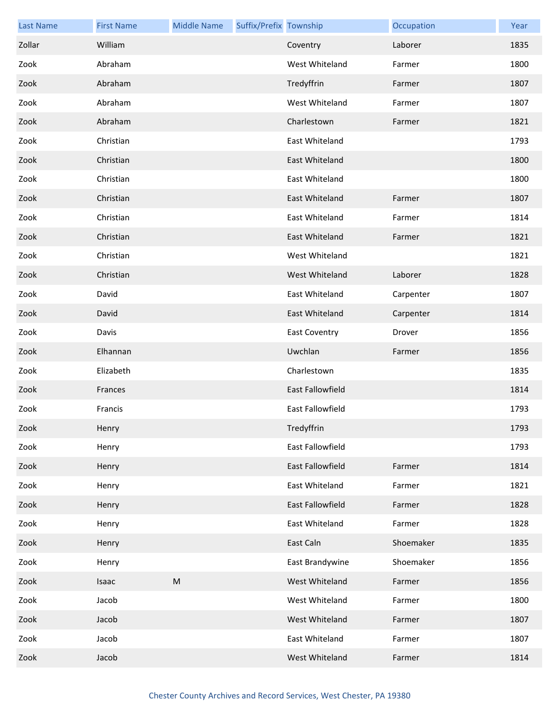| <b>Last Name</b> | <b>First Name</b> | <b>Middle Name</b> | Suffix/Prefix Township |                         | Occupation | Year |
|------------------|-------------------|--------------------|------------------------|-------------------------|------------|------|
| Zollar           | William           |                    |                        | Coventry                | Laborer    | 1835 |
| Zook             | Abraham           |                    |                        | West Whiteland          | Farmer     | 1800 |
| Zook             | Abraham           |                    |                        | Tredyffrin              | Farmer     | 1807 |
| Zook             | Abraham           |                    |                        | West Whiteland          | Farmer     | 1807 |
| Zook             | Abraham           |                    |                        | Charlestown             | Farmer     | 1821 |
| Zook             | Christian         |                    |                        | East Whiteland          |            | 1793 |
| Zook             | Christian         |                    |                        | East Whiteland          |            | 1800 |
| Zook             | Christian         |                    |                        | East Whiteland          |            | 1800 |
| Zook             | Christian         |                    |                        | East Whiteland          | Farmer     | 1807 |
| Zook             | Christian         |                    |                        | East Whiteland          | Farmer     | 1814 |
| Zook             | Christian         |                    |                        | East Whiteland          | Farmer     | 1821 |
| Zook             | Christian         |                    |                        | West Whiteland          |            | 1821 |
| Zook             | Christian         |                    |                        | West Whiteland          | Laborer    | 1828 |
| Zook             | David             |                    |                        | East Whiteland          | Carpenter  | 1807 |
| Zook             | David             |                    |                        | East Whiteland          | Carpenter  | 1814 |
| Zook             | Davis             |                    |                        | <b>East Coventry</b>    | Drover     | 1856 |
| Zook             | Elhannan          |                    |                        | Uwchlan                 | Farmer     | 1856 |
| Zook             | Elizabeth         |                    |                        | Charlestown             |            | 1835 |
| Zook             | Frances           |                    |                        | East Fallowfield        |            | 1814 |
| Zook             | Francis           |                    |                        | <b>East Fallowfield</b> |            | 1793 |
| Zook             | Henry             |                    |                        | Tredyffrin              |            | 1793 |
| Zook             | Henry             |                    |                        | East Fallowfield        |            | 1793 |
| Zook             | Henry             |                    |                        | East Fallowfield        | Farmer     | 1814 |
| Zook             | Henry             |                    |                        | East Whiteland          | Farmer     | 1821 |
| Zook             | Henry             |                    |                        | East Fallowfield        | Farmer     | 1828 |
| Zook             | Henry             |                    |                        | East Whiteland          | Farmer     | 1828 |
| Zook             | Henry             |                    |                        | East Caln               | Shoemaker  | 1835 |
| Zook             | Henry             |                    |                        | East Brandywine         | Shoemaker  | 1856 |
| Zook             | Isaac             | M                  |                        | West Whiteland          | Farmer     | 1856 |
| Zook             | Jacob             |                    |                        | West Whiteland          | Farmer     | 1800 |
| Zook             | Jacob             |                    |                        | West Whiteland          | Farmer     | 1807 |
| Zook             | Jacob             |                    |                        | East Whiteland          | Farmer     | 1807 |
| Zook             | Jacob             |                    |                        | West Whiteland          | Farmer     | 1814 |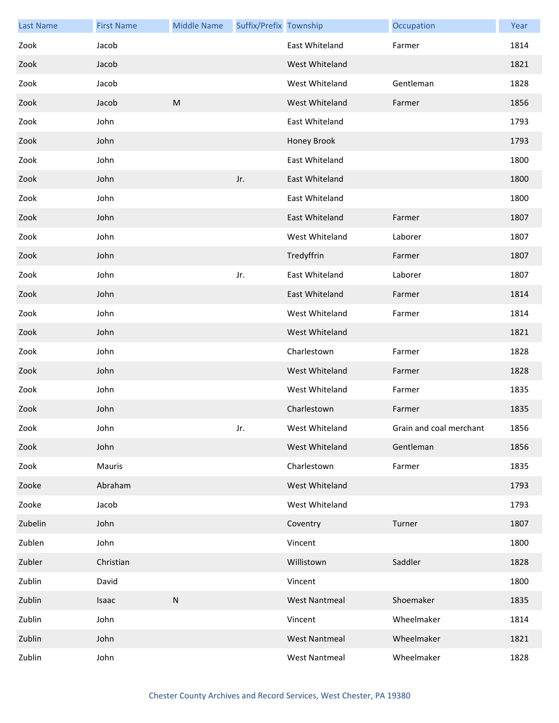| <b>Last Name</b> | <b>First Name</b> | <b>Middle Name</b> | Suffix/Prefix Township |                      | Occupation              | Year |
|------------------|-------------------|--------------------|------------------------|----------------------|-------------------------|------|
| Zook             | Jacob             |                    |                        | East Whiteland       | Farmer                  | 1814 |
| Zook             | Jacob             |                    |                        | West Whiteland       |                         | 1821 |
| Zook             | Jacob             |                    |                        | West Whiteland       | Gentleman               | 1828 |
| Zook             | Jacob             | ${\sf M}$          |                        | West Whiteland       | Farmer                  | 1856 |
| Zook             | John              |                    |                        | East Whiteland       |                         | 1793 |
| Zook             | John              |                    |                        | Honey Brook          |                         | 1793 |
| Zook             | John              |                    |                        | East Whiteland       |                         | 1800 |
| Zook             | John              |                    | Jr.                    | East Whiteland       |                         | 1800 |
| Zook             | John              |                    |                        | East Whiteland       |                         | 1800 |
| Zook             | John              |                    |                        | East Whiteland       | Farmer                  | 1807 |
| Zook             | John              |                    |                        | West Whiteland       | Laborer                 | 1807 |
| Zook             | John              |                    |                        | Tredyffrin           | Farmer                  | 1807 |
| Zook             | John              |                    | Jr.                    | East Whiteland       | Laborer                 | 1807 |
| Zook             | John              |                    |                        | East Whiteland       | Farmer                  | 1814 |
| Zook             | John              |                    |                        | West Whiteland       | Farmer                  | 1814 |
| Zook             | John              |                    |                        | West Whiteland       |                         | 1821 |
| Zook             | John              |                    |                        | Charlestown          | Farmer                  | 1828 |
| Zook             | John              |                    |                        | West Whiteland       | Farmer                  | 1828 |
| Zook             | John              |                    |                        | West Whiteland       | Farmer                  | 1835 |
| Zook             | John              |                    |                        | Charlestown          | Farmer                  | 1835 |
| Zook             | John              |                    | Jr.                    | West Whiteland       | Grain and coal merchant | 1856 |
| Zook             | John              |                    |                        | West Whiteland       | Gentleman               | 1856 |
| Zook             | Mauris            |                    |                        | Charlestown          | Farmer                  | 1835 |
| Zooke            | Abraham           |                    |                        | West Whiteland       |                         | 1793 |
| Zooke            | Jacob             |                    |                        | West Whiteland       |                         | 1793 |
| Zubelin          | John              |                    |                        | Coventry             | Turner                  | 1807 |
| Zublen           | John              |                    |                        | Vincent              |                         | 1800 |
| Zubler           | Christian         |                    |                        | Willistown           | Saddler                 | 1828 |
| Zublin           | David             |                    |                        | Vincent              |                         | 1800 |
| Zublin           | Isaac             | ${\sf N}$          |                        | <b>West Nantmeal</b> | Shoemaker               | 1835 |
| Zublin           | John              |                    |                        | Vincent              | Wheelmaker              | 1814 |
| Zublin           | John              |                    |                        | <b>West Nantmeal</b> | Wheelmaker              | 1821 |
| Zublin           | John              |                    |                        | <b>West Nantmeal</b> | Wheelmaker              | 1828 |